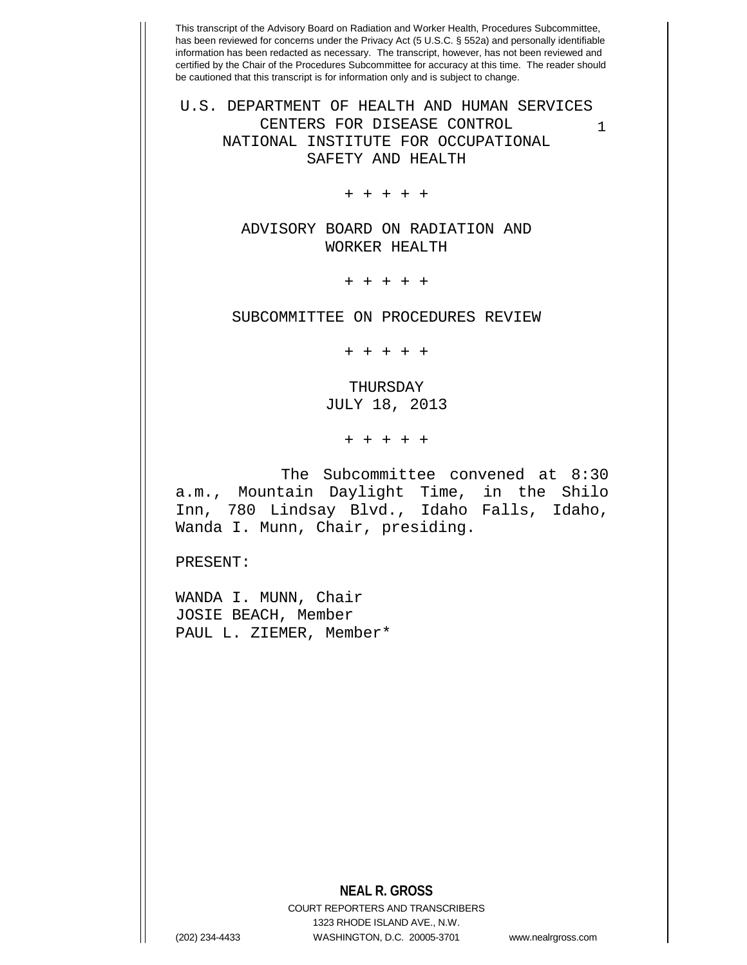1 U.S. DEPARTMENT OF HEALTH AND HUMAN SERVICES CENTERS FOR DISEASE CONTROL NATIONAL INSTITUTE FOR OCCUPATIONAL SAFETY AND HEALTH

+ + + + +

ADVISORY BOARD ON RADIATION AND WORKER HEALTH

+ + + + +

SUBCOMMITTEE ON PROCEDURES REVIEW

+ + + + +

THURSDAY JULY 18, 2013

+ + + + +

The Subcommittee convened at 8:30 a.m., Mountain Daylight Time, in the Shilo Inn, 780 Lindsay Blvd., Idaho Falls, Idaho, Wanda I. Munn, Chair, presiding.

PRESENT:

WANDA I. MUNN, Chair JOSIE BEACH, Member PAUL L. ZIEMER, Member\*

## **NEAL R. GROSS**

COURT REPORTERS AND TRANSCRIBERS 1323 RHODE ISLAND AVE., N.W. (202) 234-4433 WASHINGTON, D.C. 20005-3701 www.nealrgross.com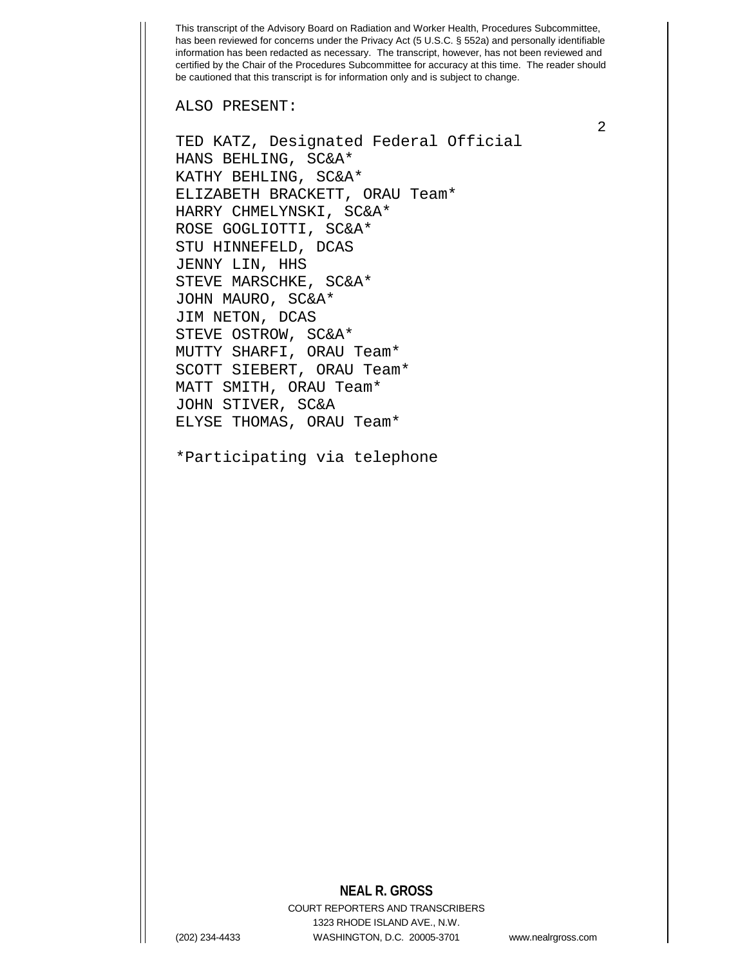ALSO PRESENT:

TED KATZ, Designated Federal Official HANS BEHLING, SC&A\* KATHY BEHLING, SC&A\* ELIZABETH BRACKETT, ORAU Team\* HARRY CHMELYNSKI, SC&A\* ROSE GOGLIOTTI, SC&A\* STU HINNEFELD, DCAS JENNY LIN, HHS STEVE MARSCHKE, SC&A\* JOHN MAURO, SC&A\* JIM NETON, DCAS STEVE OSTROW, SC&A\* MUTTY SHARFI, ORAU Team\* SCOTT SIEBERT, ORAU Team\* MATT SMITH, ORAU Team\* JOHN STIVER, SC&A ELYSE THOMAS, ORAU Team\*

\*Participating via telephone

## **NEAL R. GROSS**

COURT REPORTERS AND TRANSCRIBERS 1323 RHODE ISLAND AVE., N.W. (202) 234-4433 WASHINGTON, D.C. 20005-3701 www.nealrgross.com

2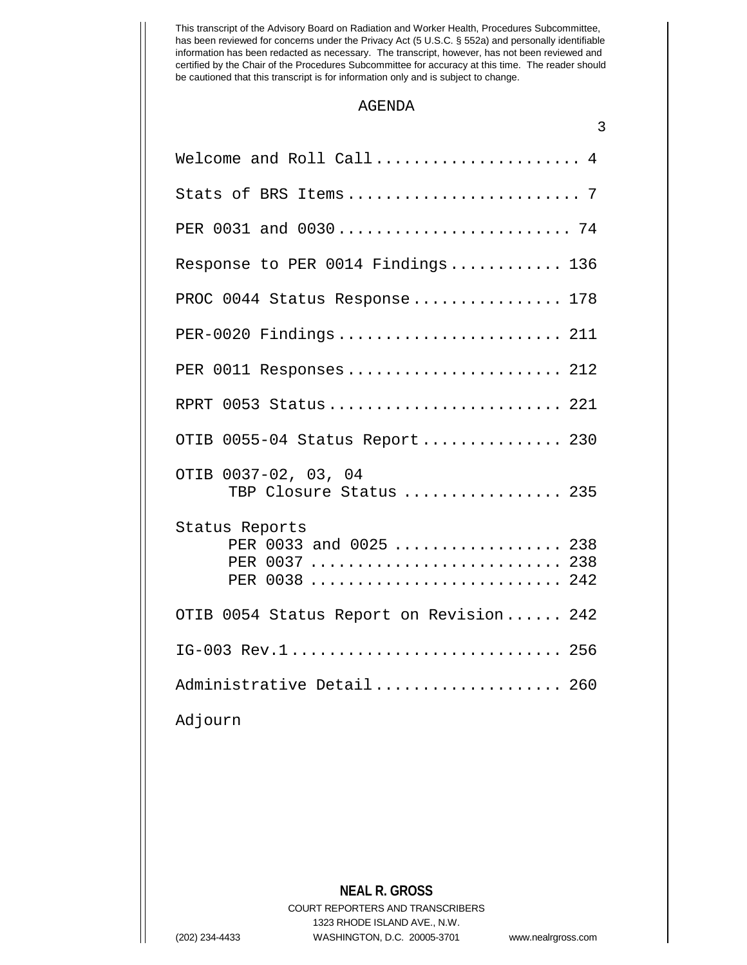## AGENDA

| 3                                                                          |
|----------------------------------------------------------------------------|
| Welcome and Roll Call 4                                                    |
|                                                                            |
| PER 0031 and 0030 74                                                       |
| Response to PER 0014 Findings 136                                          |
| PROC 0044 Status Response 178                                              |
| PER-0020 Findings 211                                                      |
| PER 0011 Responses  212                                                    |
| RPRT 0053 Status 221                                                       |
| OTIB 0055-04 Status Report 230                                             |
| OTIB 0037-02, 03, 04<br>TBP Closure Status  235                            |
| Status Reports<br>PER 0033 and 0025  238<br>PER 0037  238<br>PER 0038  242 |
| OTIB 0054 Status Report on Revision 242                                    |
| IG-003 Rev.1 256                                                           |
| Administrative Detail 260                                                  |
| the property of the property of the                                        |

Adjourn

**NEAL R. GROSS** COURT REPORTERS AND TRANSCRIBERS 1323 RHODE ISLAND AVE., N.W. (202) 234-4433 WASHINGTON, D.C. 20005-3701 www.nealrgross.com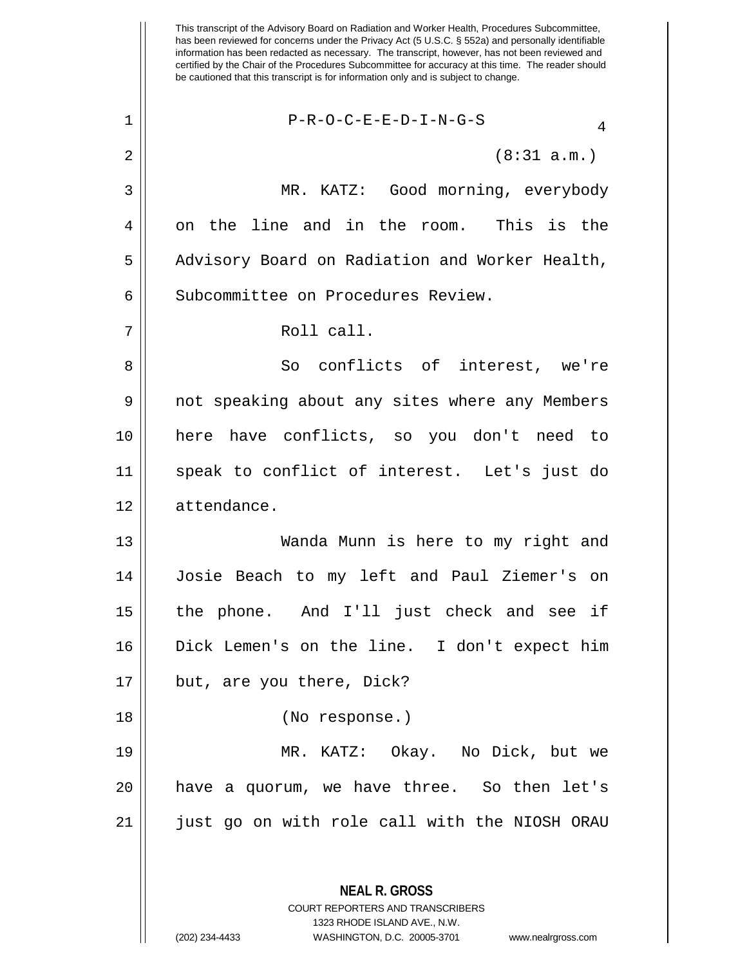This transcript of the Advisory Board on Radiation and Worker Health, Procedures Subcommittee, has been reviewed for concerns under the Privacy Act (5 U.S.C. § 552a) and personally identifiable information has been redacted as necessary. The transcript, however, has not been reviewed and certified by the Chair of the Procedures Subcommittee for accuracy at this time. The reader should be cautioned that this transcript is for information only and is subject to change. **NEAL R. GROSS** COURT REPORTERS AND TRANSCRIBERS 1323 RHODE ISLAND AVE., N.W.  $1$  | P-R-O-C-E-E-D-I-N-G-S  $2 \parallel$  (8:31 a.m.) 3 MR. KATZ: Good morning, everybody 4 on the line and in the room. This is the 5 | Advisory Board on Radiation and Worker Health, 6 | Subcommittee on Procedures Review. 7 || Roll call. 8 || So conflicts of interest, we're 9 || not speaking about any sites where any Members 10 here have conflicts, so you don't need to 11 speak to conflict of interest. Let's just do 12 attendance. 13 Wanda Munn is here to my right and 14 Josie Beach to my left and Paul Ziemer's on 15 the phone. And I'll just check and see if 16 Dick Lemen's on the line. I don't expect him 17 || but, are you there, Dick? 18 (No response.) 19 MR. KATZ: Okay. No Dick, but we 20 have a quorum, we have three. So then let's 21 just go on with role call with the NIOSH ORAU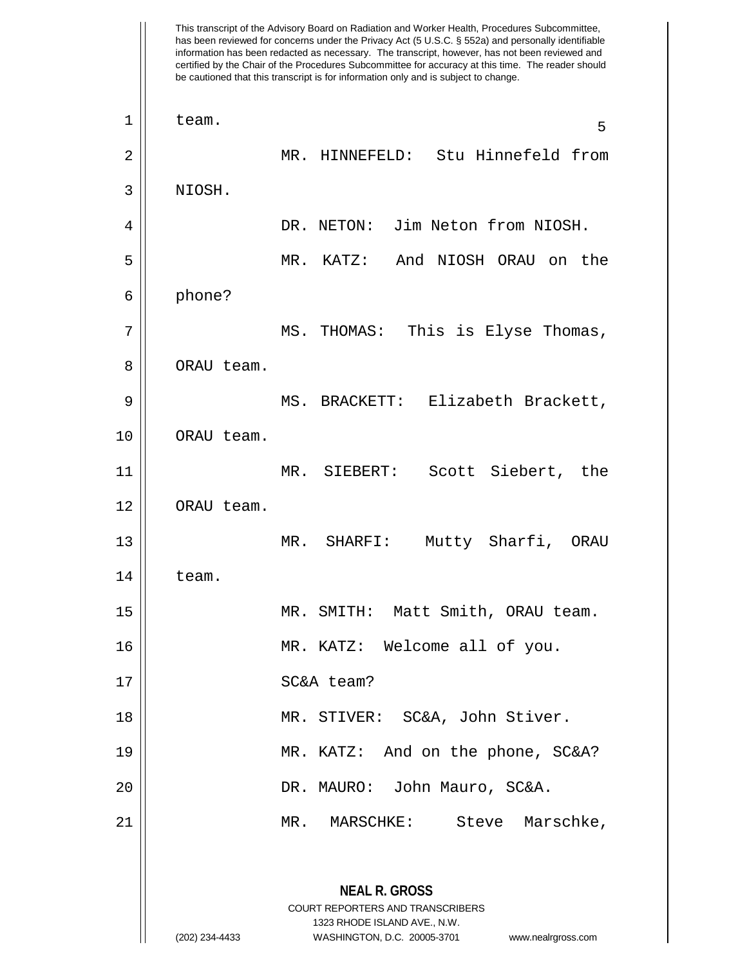This transcript of the Advisory Board on Radiation and Worker Health, Procedures Subcommittee, has been reviewed for concerns under the Privacy Act (5 U.S.C. § 552a) and personally identifiable information has been redacted as necessary. The transcript, however, has not been reviewed and certified by the Chair of the Procedures Subcommittee for accuracy at this time. The reader should be cautioned that this transcript is for information only and is subject to change. **NEAL R. GROSS** COURT REPORTERS AND TRANSCRIBERS 1323 RHODE ISLAND AVE., N.W. (202) 234-4433 WASHINGTON, D.C. 20005-3701 www.nealrgross.com  $\begin{array}{|c|c|c|c|c|}\n1 & \text{team.} & \text{5}\n\end{array}$ 2 || MR. HINNEFELD: Stu Hinnefeld from 3 NIOSH. 4 DR. NETON: Jim Neton from NIOSH. 5 MR. KATZ: And NIOSH ORAU on the 6 phone? 7 MS. THOMAS: This is Elyse Thomas, 8 || ORAU team. 9 MS. BRACKETT: Elizabeth Brackett, 10 ORAU team. 11 MR. SIEBERT: Scott Siebert, the 12 | ORAU team. 13 || MR. SHARFI: Mutty Sharfi, ORAU  $14$   $\parallel$  team. 15 MR. SMITH: Matt Smith, ORAU team. 16 MR. KATZ: Welcome all of you. 17 || SC&A team? 18 || MR. STIVER: SC&A, John Stiver. 19 MR. KATZ: And on the phone, SC&A? 20 DR. MAURO: John Mauro, SC&A. 21 || MR. MARSCHKE: Steve Marschke,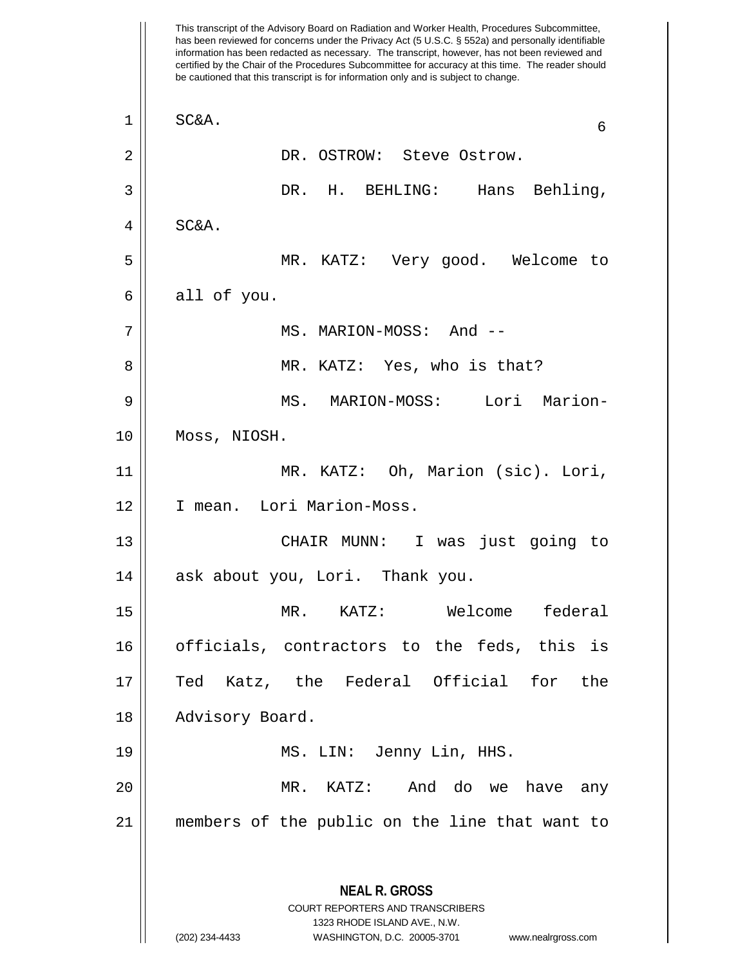This transcript of the Advisory Board on Radiation and Worker Health, Procedures Subcommittee, has been reviewed for concerns under the Privacy Act (5 U.S.C. § 552a) and personally identifiable information has been redacted as necessary. The transcript, however, has not been reviewed and certified by the Chair of the Procedures Subcommittee for accuracy at this time. The reader should be cautioned that this transcript is for information only and is subject to change. **NEAL R. GROSS** COURT REPORTERS AND TRANSCRIBERS 1323 RHODE ISLAND AVE., N.W. (202) 234-4433 WASHINGTON, D.C. 20005-3701 www.nealrgross.com  $\begin{array}{c|c}\n1 & \text{SC}\& 6\n\end{array}$ 2 DR. OSTROW: Steve Ostrow. 3 DR. H. BEHLING: Hans Behling,  $4 \parallel$  SC&A. 5 MR. KATZ: Very good. Welcome to  $6 \parallel$  all of you. 7 MS. MARION-MOSS: And -- 8 MR. KATZ: Yes, who is that? 9 MS. MARION-MOSS: Lori Marion-10 Moss, NIOSH. 11 || MR. KATZ: Oh, Marion (sic). Lori, 12 || I mean. Lori Marion-Moss. 13 || CHAIR MUNN: I was just going to 14 || ask about you, Lori. Thank you. 15 MR. KATZ: Welcome federal 16 || officials, contractors to the feds, this is 17 Ted Katz, the Federal Official for the 18 || Advisory Board. 19 MS. LIN: Jenny Lin, HHS. 20 MR. KATZ: And do we have any 21 members of the public on the line that want to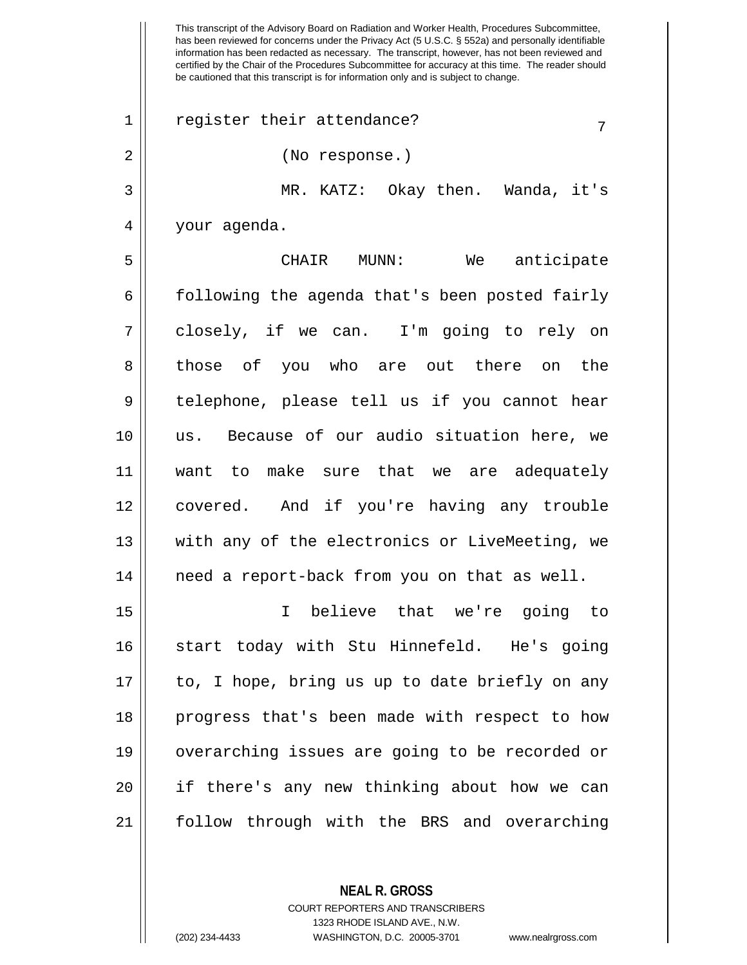This transcript of the Advisory Board on Radiation and Worker Health, Procedures Subcommittee, has been reviewed for concerns under the Privacy Act (5 U.S.C. § 552a) and personally identifiable information has been redacted as necessary. The transcript, however, has not been reviewed and certified by the Chair of the Procedures Subcommittee for accuracy at this time. The reader should be cautioned that this transcript is for information only and is subject to change.  $1 \parallel$  register their attendance? 2 (No response.) 3 MR. KATZ: Okay then. Wanda, it's 4 your agenda. 5 CHAIR MUNN: We anticipate  $6 \parallel$  following the agenda that's been posted fairly 7 closely, if we can. I'm going to rely on 8 || those of you who are out there on the  $9 \parallel$  telephone, please tell us if you cannot hear 10 us. Because of our audio situation here, we 11 want to make sure that we are adequately 12 covered. And if you're having any trouble 13 || with any of the electronics or LiveMeeting, we  $14$  | need a report-back from you on that as well. 15 I believe that we're going to 16 || start today with Stu Hinnefeld. He's going  $17$  || to, I hope, bring us up to date briefly on any 18 progress that's been made with respect to how 19 overarching issues are going to be recorded or 20 if there's any new thinking about how we can 21 follow through with the BRS and overarching

> **NEAL R. GROSS** COURT REPORTERS AND TRANSCRIBERS

> > 1323 RHODE ISLAND AVE., N.W.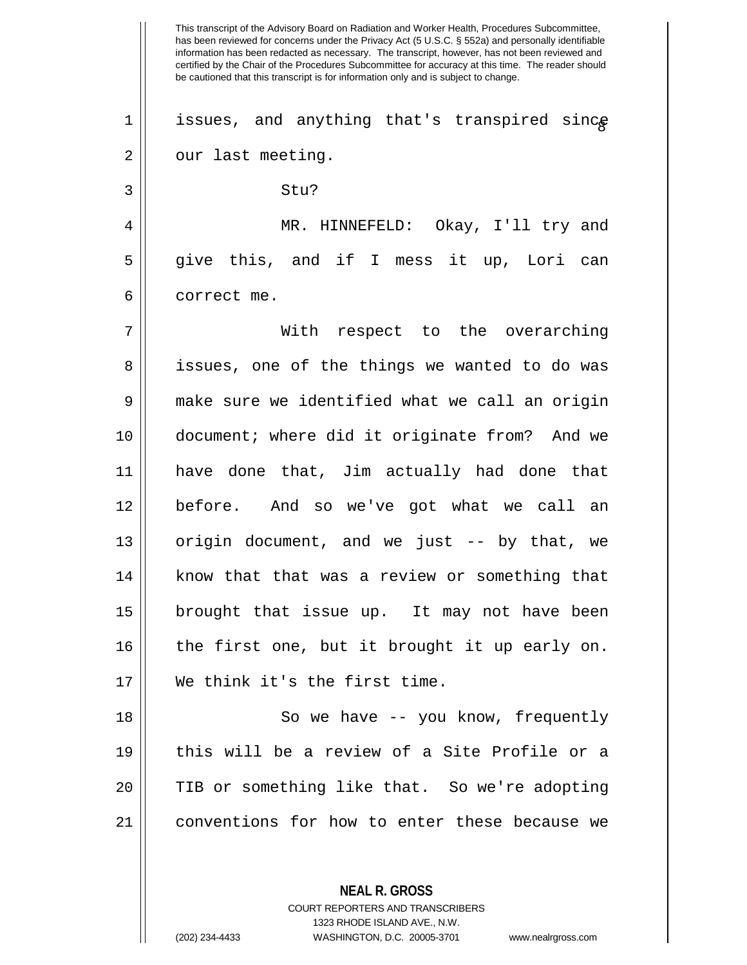This transcript of the Advisory Board on Radiation and Worker Health, Procedures Subcommittee, has been reviewed for concerns under the Privacy Act (5 U.S.C. § 552a) and personally identifiable information has been redacted as necessary. The transcript, however, has not been reviewed and certified by the Chair of the Procedures Subcommittee for accuracy at this time. The reader should be cautioned that this transcript is for information only and is subject to change.  $1 ||$  issues, and anything that's transpired since  $2 \parallel$  our last meeting.  $3 \parallel$  Stu? 4 MR. HINNEFELD: Okay, I'll try and 5 || give this, and if I mess it up, Lori can 6 l correct me. 7 With respect to the overarching 8 || issues, one of the things we wanted to do was 9 make sure we identified what we call an origin 10 document; where did it originate from? And we 11 have done that, Jim actually had done that 12 before. And so we've got what we call an 13  $\parallel$  origin document, and we just -- by that, we 14 || know that that was a review or something that 15 brought that issue up. It may not have been 16 || the first one, but it brought it up early on. 17 We think it's the first time. 18 || So we have -- you know, frequently 19 this will be a review of a Site Profile or a 20 || TIB or something like that. So we're adopting 21 conventions for how to enter these because we

> **NEAL R. GROSS** COURT REPORTERS AND TRANSCRIBERS 1323 RHODE ISLAND AVE., N.W.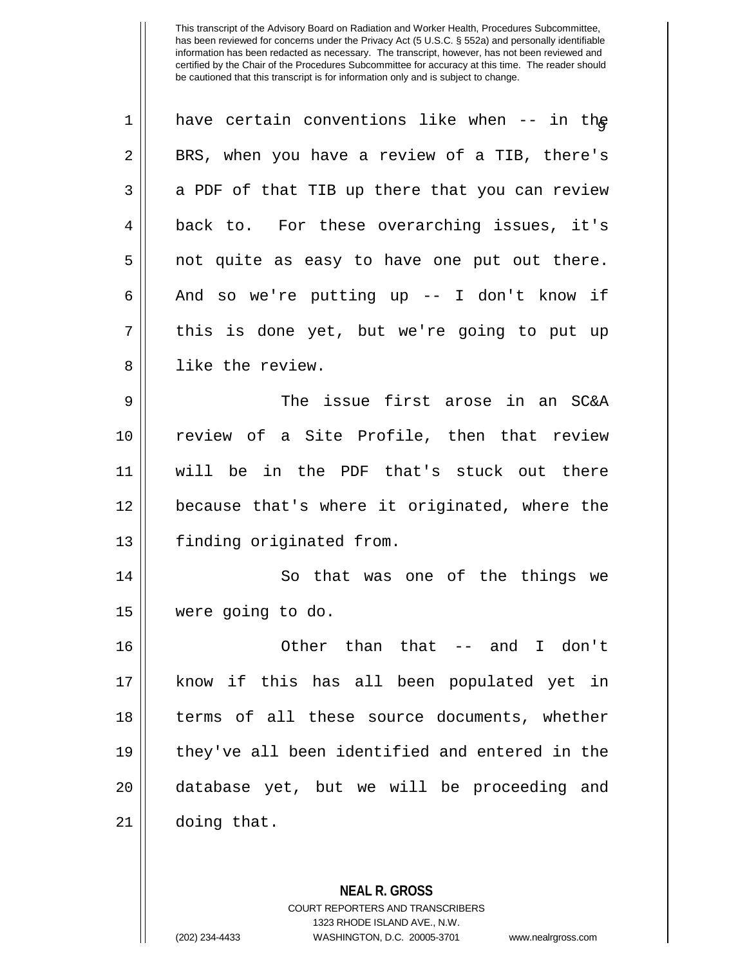| 1  | have certain conventions like when -- in the   |
|----|------------------------------------------------|
| 2  | BRS, when you have a review of a TIB, there's  |
| 3  | a PDF of that TIB up there that you can review |
| 4  | back to. For these overarching issues, it's    |
| 5  | not quite as easy to have one put out there.   |
| 6  | And so we're putting up -- I don't know if     |
| 7  | this is done yet, but we're going to put up    |
| 8  | like the review.                               |
| 9  | The issue first arose in an SC&A               |
| 10 | review of a Site Profile, then that review     |
| 11 | will be in the PDF that's stuck out there      |
| 12 | because that's where it originated, where the  |
| 13 | finding originated from.                       |
| 14 | So that was one of the things we               |
| 15 | were going to do.                              |
| 16 | Other than that -- and<br>I don't              |
| 17 | know if this has all been populated yet in     |
| 18 | terms of all these source documents, whether   |
| 19 | they've all been identified and entered in the |
| 20 | database yet, but we will be proceeding and    |
| 21 | doing that.                                    |
|    |                                                |

**NEAL R. GROSS** COURT REPORTERS AND TRANSCRIBERS 1323 RHODE ISLAND AVE., N.W.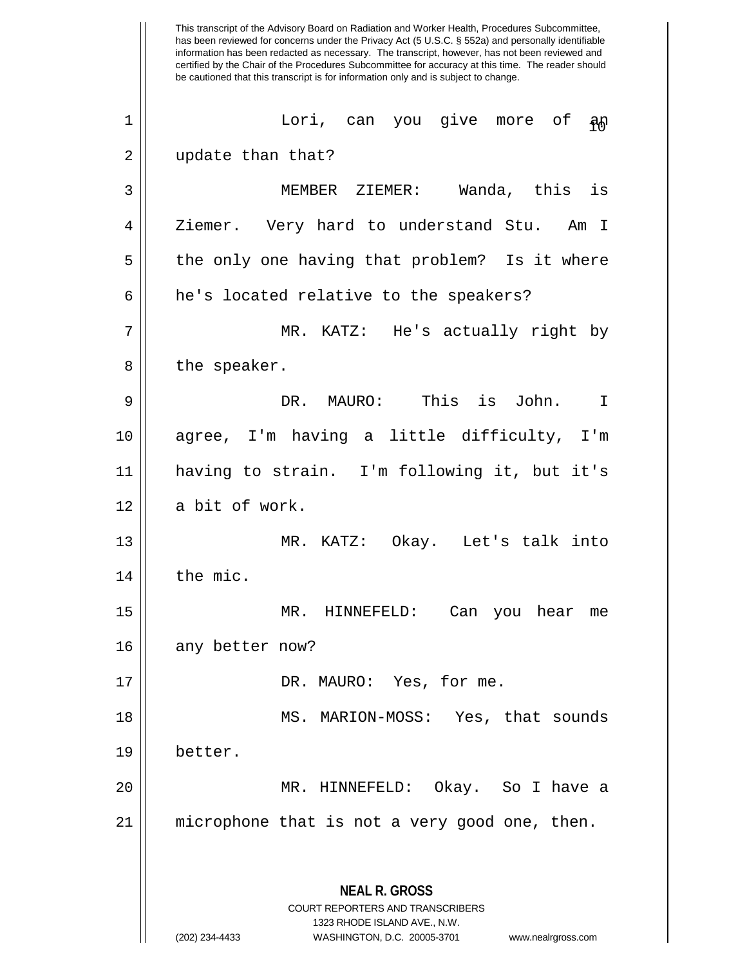This transcript of the Advisory Board on Radiation and Worker Health, Procedures Subcommittee, has been reviewed for concerns under the Privacy Act (5 U.S.C. § 552a) and personally identifiable information has been redacted as necessary. The transcript, however, has not been reviewed and certified by the Chair of the Procedures Subcommittee for accuracy at this time. The reader should be cautioned that this transcript is for information only and is subject to change. **NEAL R. GROSS** COURT REPORTERS AND TRANSCRIBERS 1323 RHODE ISLAND AVE., N.W. (202) 234-4433 WASHINGTON, D.C. 20005-3701 www.nealrgross.com <sup>10</sup> <sup>1</sup> Lori, can you give more of an 2 || update than that? 3 MEMBER ZIEMER: Wanda, this is 4 | Ziemer. Very hard to understand Stu. Am I  $5 \parallel$  the only one having that problem? Is it where  $6 \parallel$  he's located relative to the speakers? 7 MR. KATZ: He's actually right by  $8 \parallel$  the speaker. 9 DR. MAURO: This is John. I 10 agree, I'm having a little difficulty, I'm 11 having to strain. I'm following it, but it's 12 | a bit of work. 13 MR. KATZ: Okay. Let's talk into  $14$   $\parallel$  the mic. 15 MR. HINNEFELD: Can you hear me 16 || any better now? 17 || DR. MAURO: Yes, for me. 18 MS. MARION-MOSS: Yes, that sounds 19 better. 20 MR. HINNEFELD: Okay. So I have a 21 microphone that is not a very good one, then.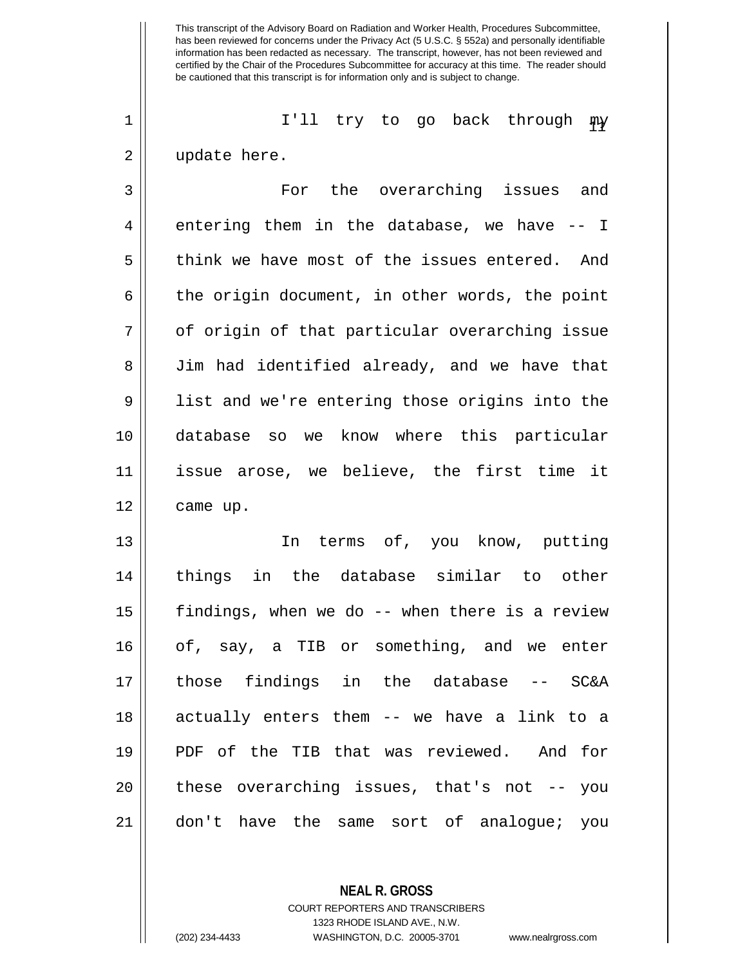1 || I'll try to go back through  $\mathfrak{m}$ 2 || update here.

3 For the overarching issues and  $4 \parallel$  entering them in the database, we have  $-$  I 5 || think we have most of the issues entered. And  $6 \parallel$  the origin document, in other words, the point 7 || of origin of that particular overarching issue 8 Jim had identified already, and we have that 9 || list and we're entering those origins into the 10 database so we know where this particular 11 issue arose, we believe, the first time it 12 | came up.

13 || The terms of, you know, putting 14 || things in the database similar to other 15 findings, when we do -- when there is a review 16 || of, say, a TIB or something, and we enter 17 those findings in the database -- SC&A 18 actually enters them -- we have a link to a 19 PDF of the TIB that was reviewed. And for 20 || these overarching issues, that's not -- you 21 don't have the same sort of analogue; you

> **NEAL R. GROSS** COURT REPORTERS AND TRANSCRIBERS 1323 RHODE ISLAND AVE., N.W.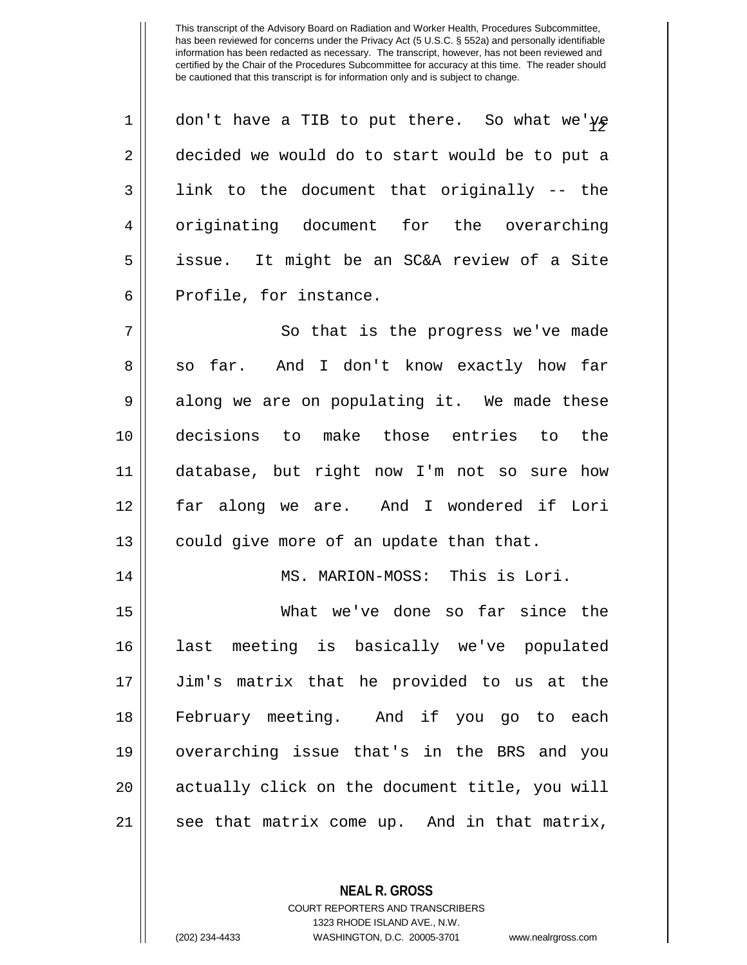| $\mathbf 1$    | don't have a TIB to put there. So what we've   |
|----------------|------------------------------------------------|
| $\overline{2}$ | decided we would do to start would be to put a |
| 3              | link to the document that originally -- the    |
| 4              | originating document for the overarching       |
| 5              | issue. It might be an SC&A review of a Site    |
| 6              | Profile, for instance.                         |
| 7              | So that is the progress we've made             |
| 8              | so far. And I don't know exactly how far       |
| 9              | along we are on populating it. We made these   |
| 10             | decisions to make those entries to<br>the      |
| 11             | database, but right now I'm not so sure how    |
| 12             | far along we are. And I wondered if Lori       |
| 13             | could give more of an update than that.        |
| 14             | MS. MARION-MOSS: This is Lori.                 |
| 15             | What we've done so far since the               |
| 16             | last meeting is basically we've populated      |
| 17             | Jim's matrix that he provided to us at the     |
| 18             | February meeting. And if you go to each        |
| 19             | overarching issue that's in the BRS and you    |
| 20             | actually click on the document title, you will |
| 21             | see that matrix come up. And in that matrix,   |
|                |                                                |

**NEAL R. GROSS** COURT REPORTERS AND TRANSCRIBERS

1323 RHODE ISLAND AVE., N.W.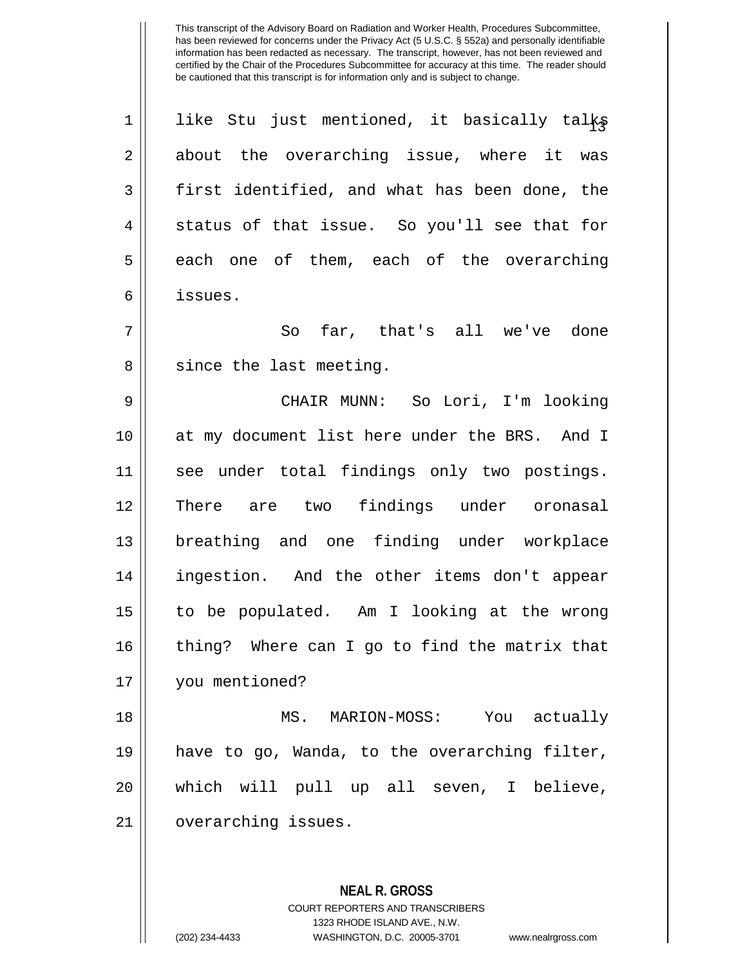1 $\parallel$  like Stu just mentioned, it basically talks 2 about the overarching issue, where it was  $3 \parallel$  first identified, and what has been done, the  $4 \parallel$  status of that issue. So you'll see that for  $5 \parallel$  each one of them, each of the overarching 6 issues. 7 So far, that's all we've done

8 || since the last meeting.

 CHAIR MUNN: So Lori, I'm looking 10 || at my document list here under the BRS. And I see under total findings only two postings. There are two findings under oronasal breathing and one finding under workplace 14 || ingestion. And the other items don't appear to be populated. Am I looking at the wrong 16 || thing? Where can I go to find the matrix that you mentioned?

18 MS. MARION-MOSS: You actually 19 have to go, Wanda, to the overarching filter, 20 || which will pull up all seven, I believe, 21 | overarching issues.

> **NEAL R. GROSS** COURT REPORTERS AND TRANSCRIBERS 1323 RHODE ISLAND AVE., N.W. (202) 234-4433 WASHINGTON, D.C. 20005-3701 www.nealrgross.com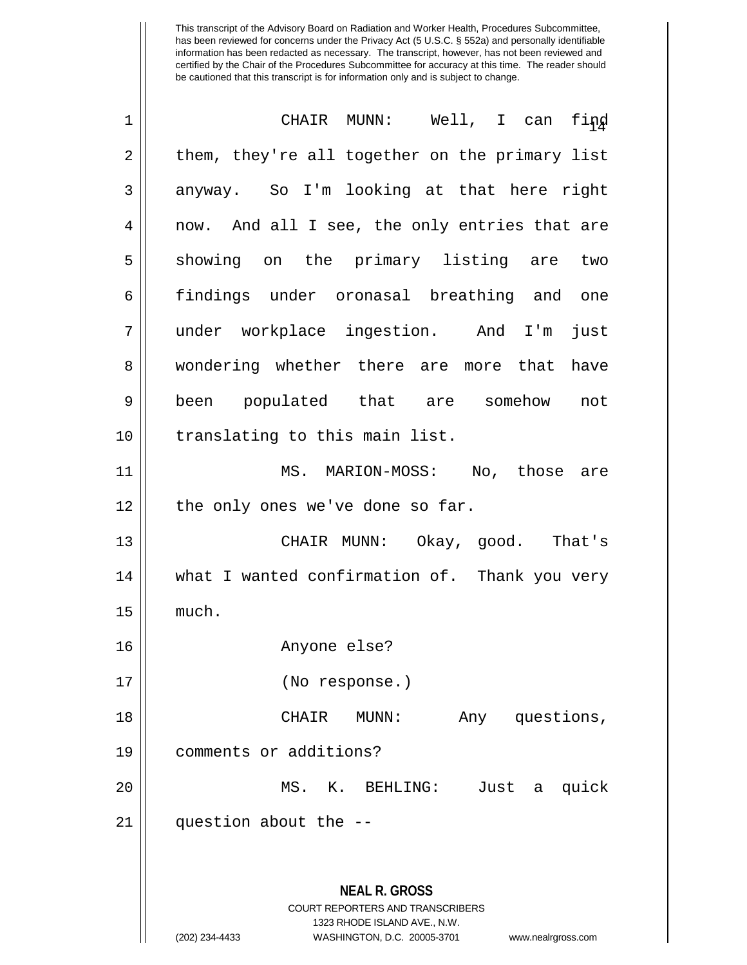| 1  | CHAIR MUNN: Well, I can find                                                                                                                                           |
|----|------------------------------------------------------------------------------------------------------------------------------------------------------------------------|
| 2  | them, they're all together on the primary list                                                                                                                         |
| 3  | anyway. So I'm looking at that here right                                                                                                                              |
| 4  | now. And all I see, the only entries that are                                                                                                                          |
| 5  | showing on the primary listing are two                                                                                                                                 |
| 6  | findings under oronasal breathing and one                                                                                                                              |
| 7  | under workplace ingestion. And I'm just                                                                                                                                |
| 8  | wondering whether there are more that have                                                                                                                             |
| 9  | been populated that are somehow not                                                                                                                                    |
| 10 | translating to this main list.                                                                                                                                         |
| 11 | MS. MARION-MOSS: No, those are                                                                                                                                         |
| 12 | the only ones we've done so far.                                                                                                                                       |
| 13 | CHAIR MUNN: Okay, good. That's                                                                                                                                         |
| 14 | what I wanted confirmation of. Thank you very                                                                                                                          |
| 15 | much.                                                                                                                                                                  |
| 16 | Anyone else?                                                                                                                                                           |
| 17 | (No response.)                                                                                                                                                         |
| 18 | CHAIR<br>Any questions,<br>MUNN:                                                                                                                                       |
| 19 | comments or additions?                                                                                                                                                 |
| 20 | Just<br>MS. K. BEHLING:<br>quick<br>a                                                                                                                                  |
| 21 | question about the --                                                                                                                                                  |
|    | <b>NEAL R. GROSS</b><br><b>COURT REPORTERS AND TRANSCRIBERS</b><br>1323 RHODE ISLAND AVE., N.W.<br>WASHINGTON, D.C. 20005-3701<br>(202) 234-4433<br>www.nealrgross.com |
|    |                                                                                                                                                                        |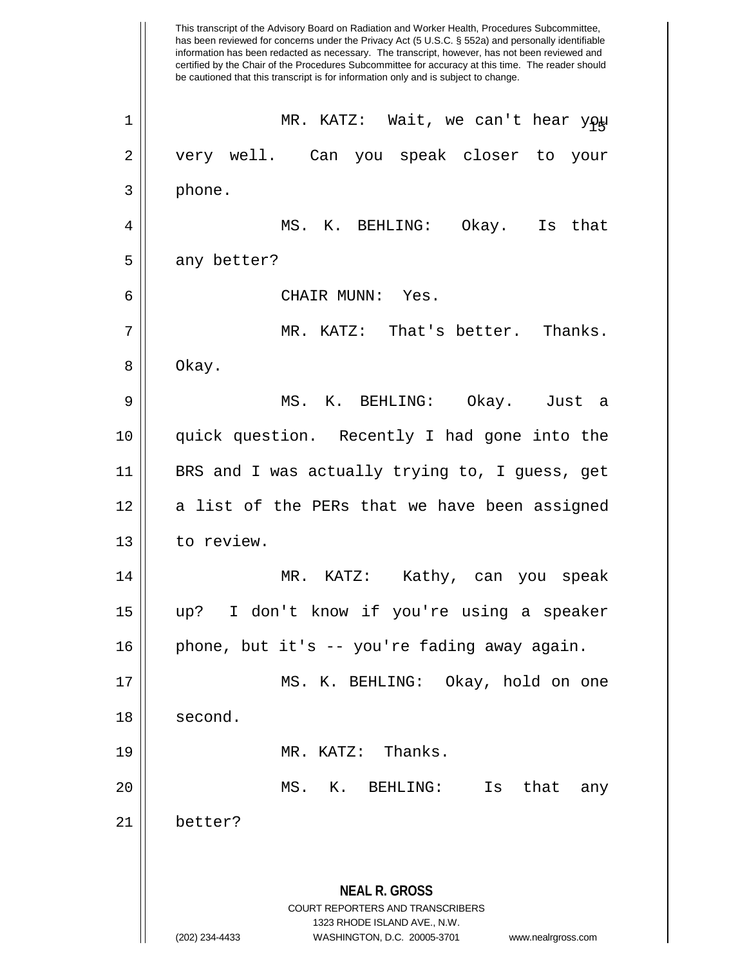This transcript of the Advisory Board on Radiation and Worker Health, Procedures Subcommittee, has been reviewed for concerns under the Privacy Act (5 U.S.C. § 552a) and personally identifiable information has been redacted as necessary. The transcript, however, has not been reviewed and certified by the Chair of the Procedures Subcommittee for accuracy at this time. The reader should be cautioned that this transcript is for information only and is subject to change. **NEAL R. GROSS** COURT REPORTERS AND TRANSCRIBERS 1323 RHODE ISLAND AVE., N.W. (202) 234-4433 WASHINGTON, D.C. 20005-3701 www.nealrgross.com <sup>15</sup> <sup>1</sup> MR. KATZ: Wait, we can't hear you 2 || very well. Can you speak closer to your 3 phone. 4 MS. K. BEHLING: Okay. Is that  $5 \parallel$  any better? 6 CHAIR MUNN: Yes. 7 MR. KATZ: That's better. Thanks. 8 | Okay. 9 MS. K. BEHLING: Okay. Just a 10 quick question. Recently I had gone into the 11 || BRS and I was actually trying to, I guess, get 12 || a list of the PERs that we have been assigned 13 | to review. 14 MR. KATZ: Kathy, can you speak 15 up? I don't know if you're using a speaker 16 phone, but it's -- you're fading away again. 17 MS. K. BEHLING: Okay, hold on one 18 | second. 19 MR. KATZ: Thanks. 20 MS. K. BEHLING: Is that any 21 better?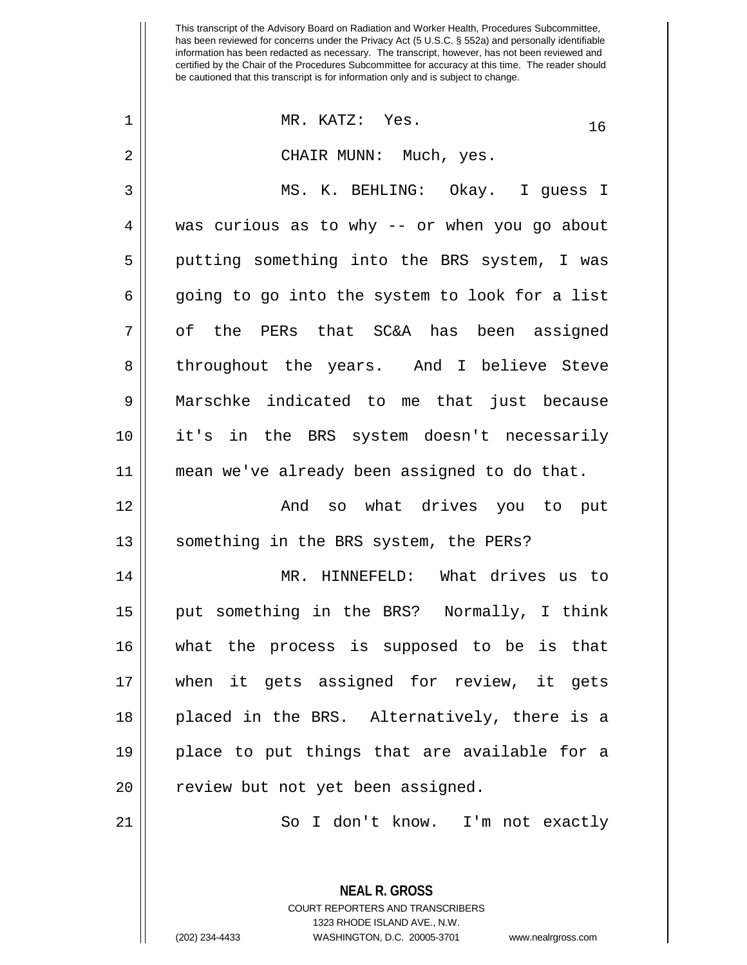| $\mathbf 1$ | MR. KATZ: Yes.<br>16                           |
|-------------|------------------------------------------------|
| 2           | CHAIR MUNN: Much, yes.                         |
| 3           | MS. K. BEHLING: Okay. I guess I                |
| 4           | was curious as to why -- or when you go about  |
| 5           | putting something into the BRS system, I was   |
| 6           | going to go into the system to look for a list |
| 7           | of the PERs that SC&A has been assigned        |
| 8           | throughout the years. And I believe Steve      |
| 9           | Marschke indicated to me that just because     |
| 10          | it's in the BRS system doesn't necessarily     |
| 11          | mean we've already been assigned to do that.   |
| 12          | And so what drives you to put                  |
| 13          | something in the BRS system, the PERs?         |
| 14          | MR. HINNEFELD: What drives us to               |
| 15          | put something in the BRS? Normally, I think    |
| 16          | what the process is supposed to be is that     |
| 17          | when it gets assigned for review, it gets      |
| 18          | placed in the BRS. Alternatively, there is a   |
| 19          | place to put things that are available for a   |
| 20          | review but not yet been assigned.              |
| 21          | I don't know. I'm not exactly<br>So            |
|             |                                                |

COURT REPORTERS AND TRANSCRIBERS 1323 RHODE ISLAND AVE., N.W. (202) 234-4433 WASHINGTON, D.C. 20005-3701 www.nealrgross.com

**NEAL R. GROSS**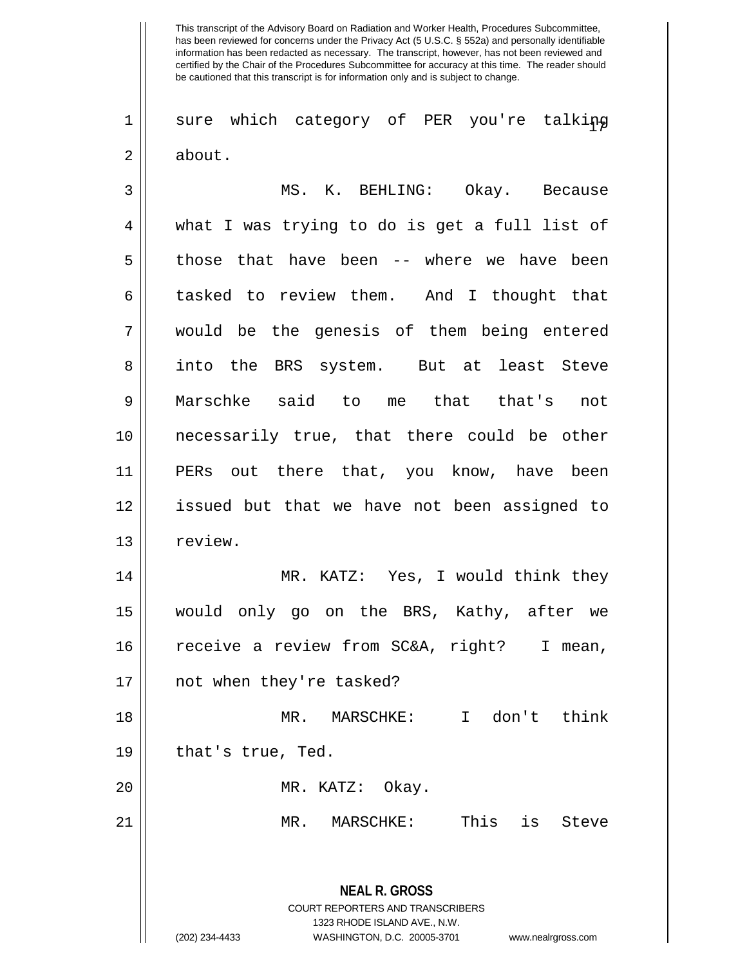1| sure which category of PER you're talking 2 about.

**NEAL R. GROSS** COURT REPORTERS AND TRANSCRIBERS 1323 RHODE ISLAND AVE., N.W. 3 MS. K. BEHLING: Okay. Because 4 what I was trying to do is get a full list of 5 || those that have been -- where we have been 6 tasked to review them. And I thought that 7 would be the genesis of them being entered 8 || into the BRS system. But at least Steve 9 Marschke said to me that that's not 10 necessarily true, that there could be other 11 PERs out there that, you know, have been 12 issued but that we have not been assigned to 13 | review. 14 MR. KATZ: Yes, I would think they 15 would only go on the BRS, Kathy, after we 16 receive a review from SC&A, right? I mean, 17 not when they're tasked? 18 MR. MARSCHKE: I don't think  $19 \parallel$  that's true, Ted. 20 MR. KATZ: Okay. 21 MR. MARSCHKE: This is Steve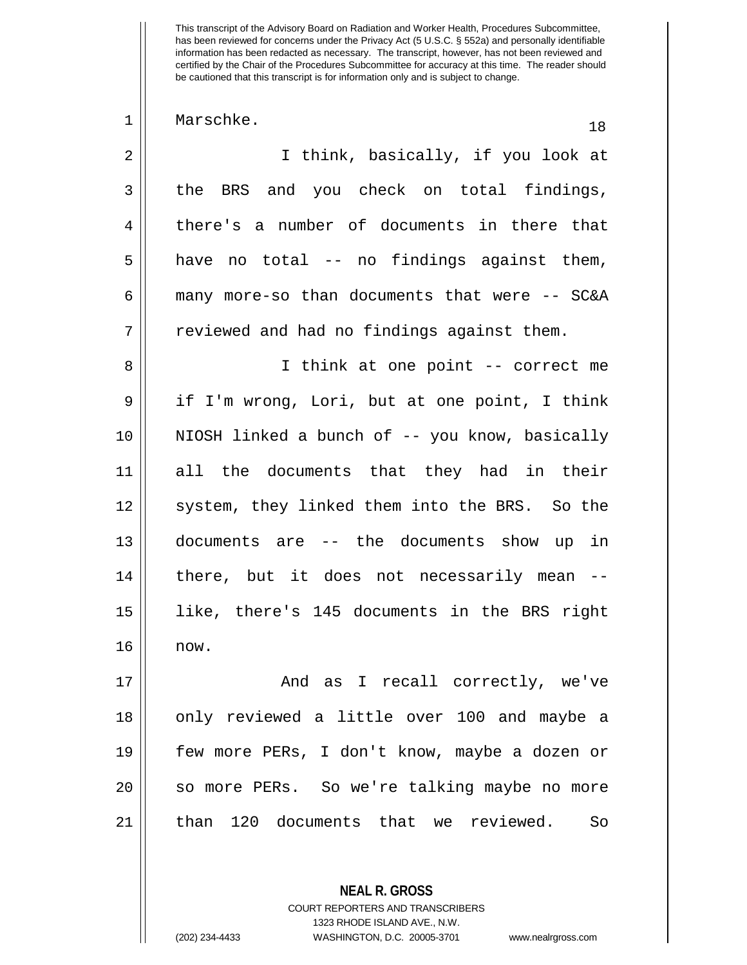| 1              | Marschke.<br>18                                |
|----------------|------------------------------------------------|
| $\overline{2}$ | I think, basically, if you look at             |
| 3              | the BRS and you check on total findings,       |
| $\overline{4}$ | there's a number of documents in there that    |
| 5              | have no total -- no findings against them,     |
| 6              | many more-so than documents that were -- SC&A  |
| 7              | reviewed and had no findings against them.     |
| 8              | I think at one point -- correct me             |
| 9              | if I'm wrong, Lori, but at one point, I think  |
| 10             | NIOSH linked a bunch of -- you know, basically |
| 11             | all the documents that they had in their       |
| 12             | system, they linked them into the BRS. So the  |
| 13             | documents are -- the documents show up in      |
| 14             | there, but it does not necessarily mean --     |
| 15             | like, there's 145 documents in the BRS right   |
| 16             | now.                                           |
| 17             | And as I recall correctly, we've               |
| 1 R            | only reviewed a little over 100 and maybe a    |

 $\parallel$  only reviewed a little over 100 and maybe a few more PERs, I don't know, maybe a dozen or 20 || so more PERs. So we're talking maybe no more 21 || than 120 documents that we reviewed. So

> COURT REPORTERS AND TRANSCRIBERS 1323 RHODE ISLAND AVE., N.W. (202) 234-4433 WASHINGTON, D.C. 20005-3701 www.nealrgross.com

**NEAL R. GROSS**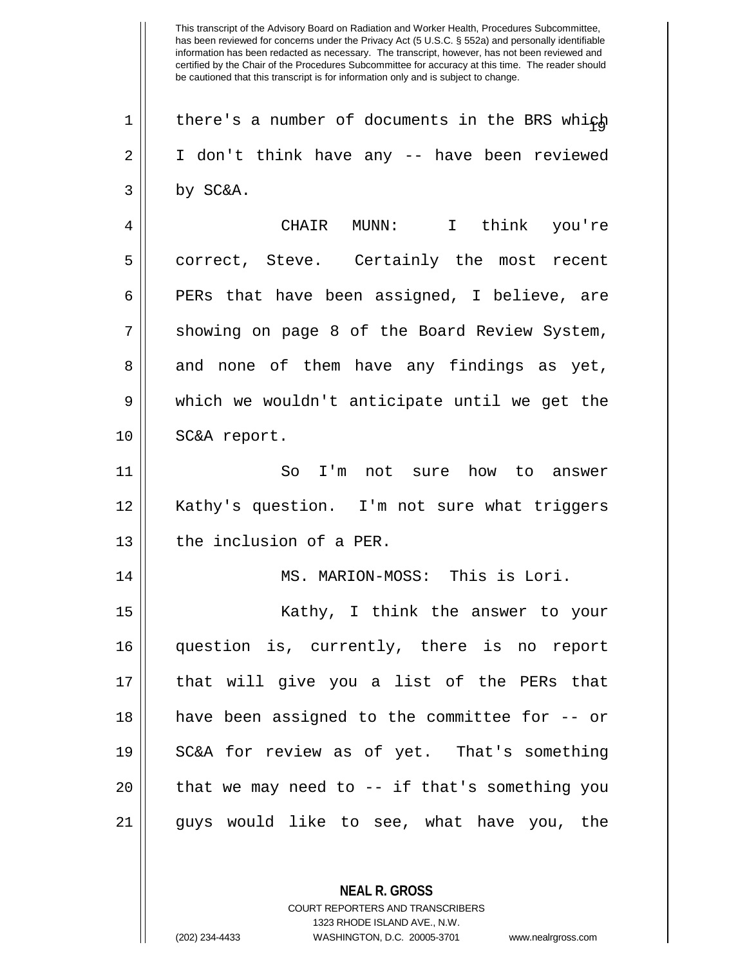1 | there's a number of documents in the BRS which 2 || I don't think have any -- have been reviewed  $3 \parallel$  by SC&A. 4 CHAIR MUNN: I think you're 5 || correct, Steve. Certainly the most recent  $6 \parallel$  PERs that have been assigned, I believe, are 7 Showing on page 8 of the Board Review System, 8 and none of them have any findings as yet, 9 which we wouldn't anticipate until we get the 10 | SC&A report. 11 || So I'm not sure how to answer 12 Kathy's question. I'm not sure what triggers 13 || the inclusion of a PER. 14 || MS. MARION-MOSS: This is Lori. 15 || Kathy, I think the answer to your 16 question is, currently, there is no report 17 that will give you a list of the PERs that 18 have been assigned to the committee for -- or 19 SC&A for review as of yet. That's something  $20$  || that we may need to  $-$  if that's something you 21 guys would like to see, what have you, the

> **NEAL R. GROSS** COURT REPORTERS AND TRANSCRIBERS 1323 RHODE ISLAND AVE., N.W. (202) 234-4433 WASHINGTON, D.C. 20005-3701 www.nealrgross.com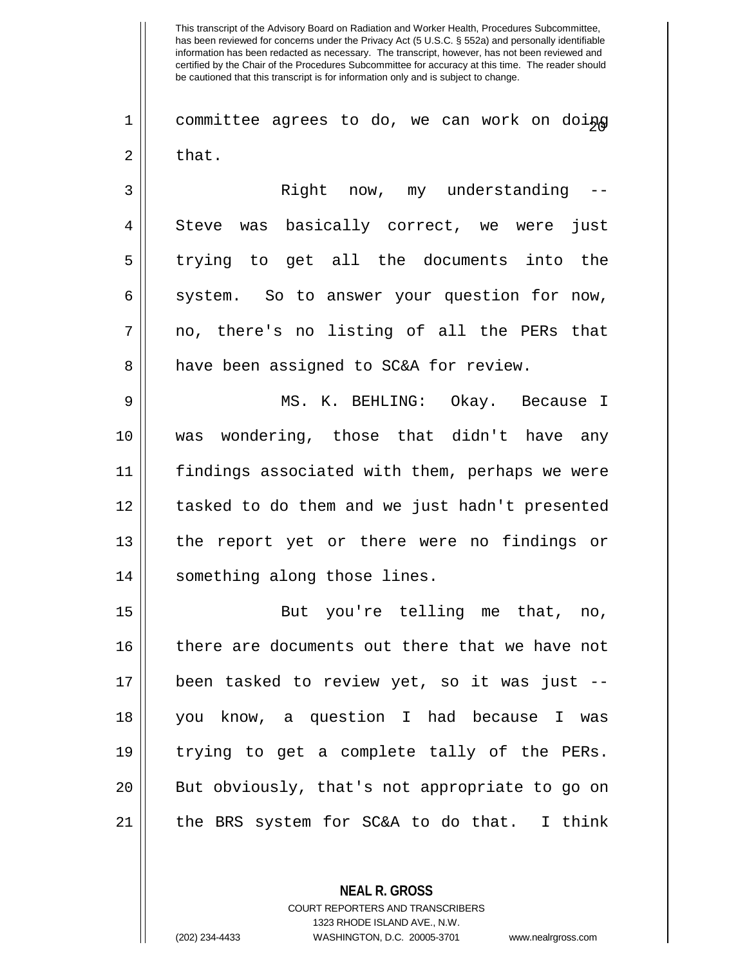$1 \parallel$  committee agrees to do, we can work on doing  $2 \parallel$  that.

3 Right now, my understanding -- 4 Steve was basically correct, we were just 5 || trying to get all the documents into the  $6 \parallel$  system. So to answer your question for now,  $7 \parallel$  no, there's no listing of all the PERs that 8 || have been assigned to SC&A for review.

9 MS. K. BEHLING: Okay. Because I 10 was wondering, those that didn't have any 11 findings associated with them, perhaps we were 12 || tasked to do them and we just hadn't presented 13 || the report yet or there were no findings or 14 | something along those lines.

15 || But you're telling me that, no, 16 || there are documents out there that we have not 17 been tasked to review yet, so it was just -- 18 you know, a question I had because I was 19 trying to get a complete tally of the PERs. 20 || But obviously, that's not appropriate to go on 21 || the BRS system for SC&A to do that. I think

> **NEAL R. GROSS** COURT REPORTERS AND TRANSCRIBERS 1323 RHODE ISLAND AVE., N.W. (202) 234-4433 WASHINGTON, D.C. 20005-3701 www.nealrgross.com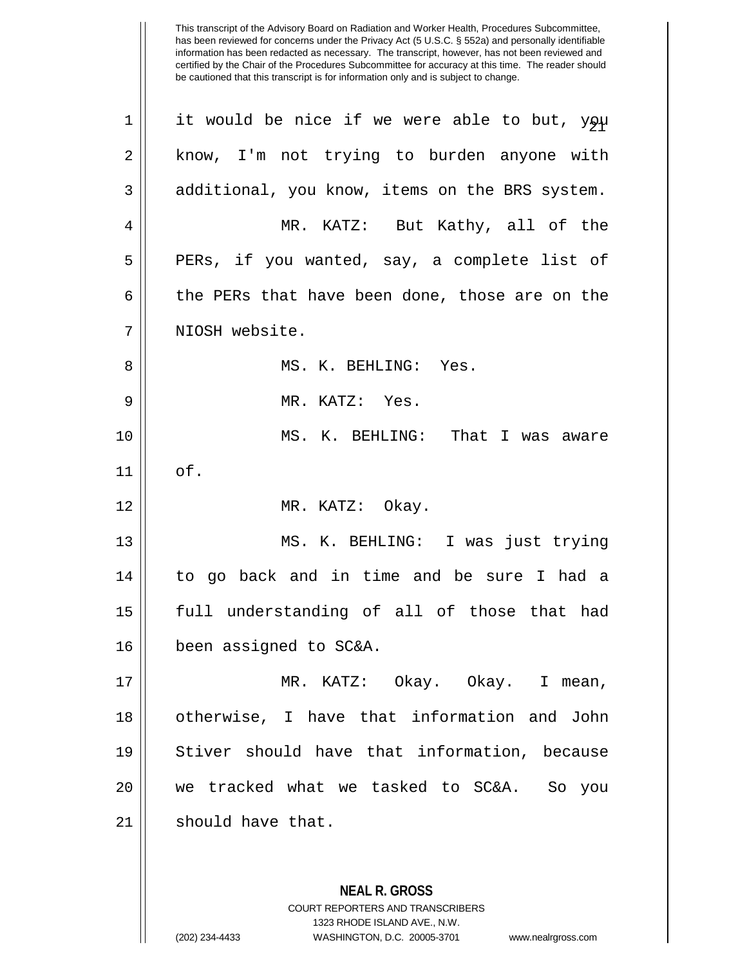| 1  | it would be nice if we were able to but, you   |
|----|------------------------------------------------|
| 2  | know, I'm not trying to burden anyone with     |
| 3  | additional, you know, items on the BRS system. |
| 4  | MR. KATZ: But Kathy, all of the                |
| 5  | PERs, if you wanted, say, a complete list of   |
| 6  | the PERs that have been done, those are on the |
| 7  | NIOSH website.                                 |
| 8  | MS. K. BEHLING: Yes.                           |
| 9  | MR. KATZ: Yes.                                 |
| 10 | MS. K. BEHLING: That I was aware               |
| 11 | of.                                            |
| 12 | MR. KATZ: Okay.                                |
| 13 | MS. K. BEHLING: I was just trying              |
| 14 | to go back and in time and be sure I had a     |
| 15 | full understanding of all of those that had    |
| 16 | been assigned to SC&A.                         |
| 17 | MR. KATZ: Okay. Okay. I mean,                  |
| 18 | otherwise, I have that information and John    |
| 19 | Stiver should have that information, because   |
| 20 | we tracked what we tasked to SC&A. So you      |
| 21 | should have that.                              |
|    |                                                |
|    | <b>NEAL R. GROSS</b>                           |

COURT REPORTERS AND TRANSCRIBERS 1323 RHODE ISLAND AVE., N.W.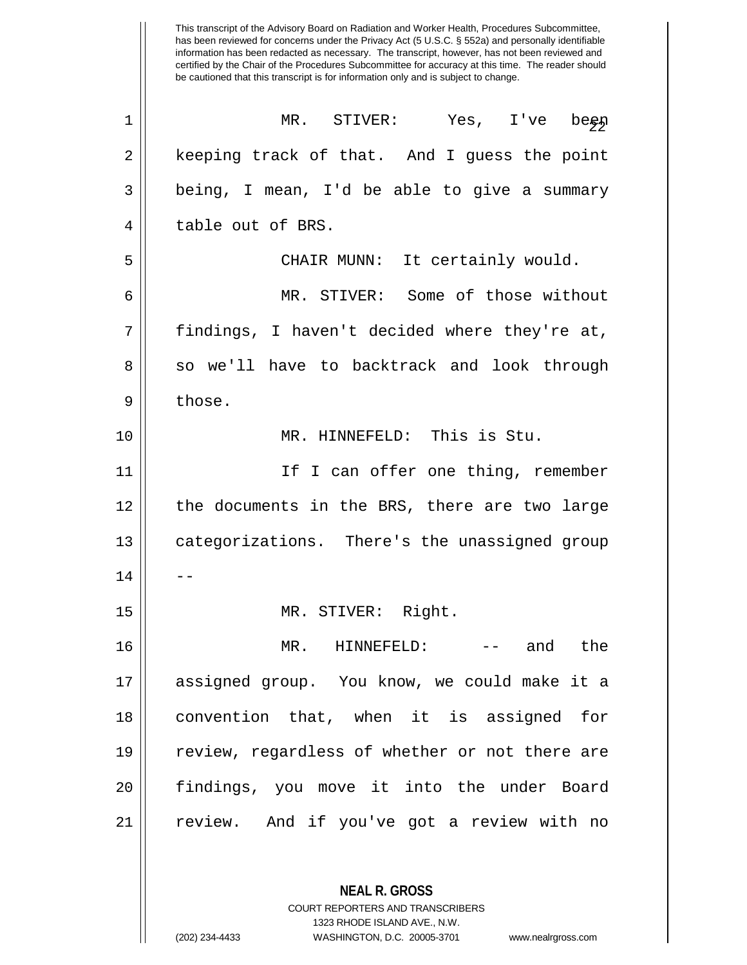This transcript of the Advisory Board on Radiation and Worker Health, Procedures Subcommittee, has been reviewed for concerns under the Privacy Act (5 U.S.C. § 552a) and personally identifiable information has been redacted as necessary. The transcript, however, has not been reviewed and certified by the Chair of the Procedures Subcommittee for accuracy at this time. The reader should be cautioned that this transcript is for information only and is subject to change.  $\begin{array}{ccc} \texttt{1} & \texttt{M} & \texttt{STIVER:} & \texttt{Yes, I've } be \texttt{gap} \end{array}$ 2 || keeping track of that. And I guess the point  $3 \parallel$  being, I mean, I'd be able to give a summary 4 || table out of BRS. 5 CHAIR MUNN: It certainly would. 6 MR. STIVER: Some of those without 7 || findings, I haven't decided where they're at, 8 || so we'll have to backtrack and look through  $9 \parallel$  those.

10 || MR. HINNEFELD: This is Stu.

| 11 | If I can offer one thing, remember             |
|----|------------------------------------------------|
| 12 | the documents in the BRS, there are two large  |
| 13 | categorizations. There's the unassigned group  |
| 14 |                                                |
| 15 | MR. STIVER: Right.                             |
| 16 | MR. HINNEFELD:<br>the<br>and                   |
| 17 | assigned group. You know, we could make it a   |
| 18 | convention that, when it is assigned for       |
| 19 | review, regardless of whether or not there are |
| 20 | findings, you move it into the under Board     |
| 21 | review. And if you've got a review with no     |

**NEAL R. GROSS** COURT REPORTERS AND TRANSCRIBERS 1323 RHODE ISLAND AVE., N.W.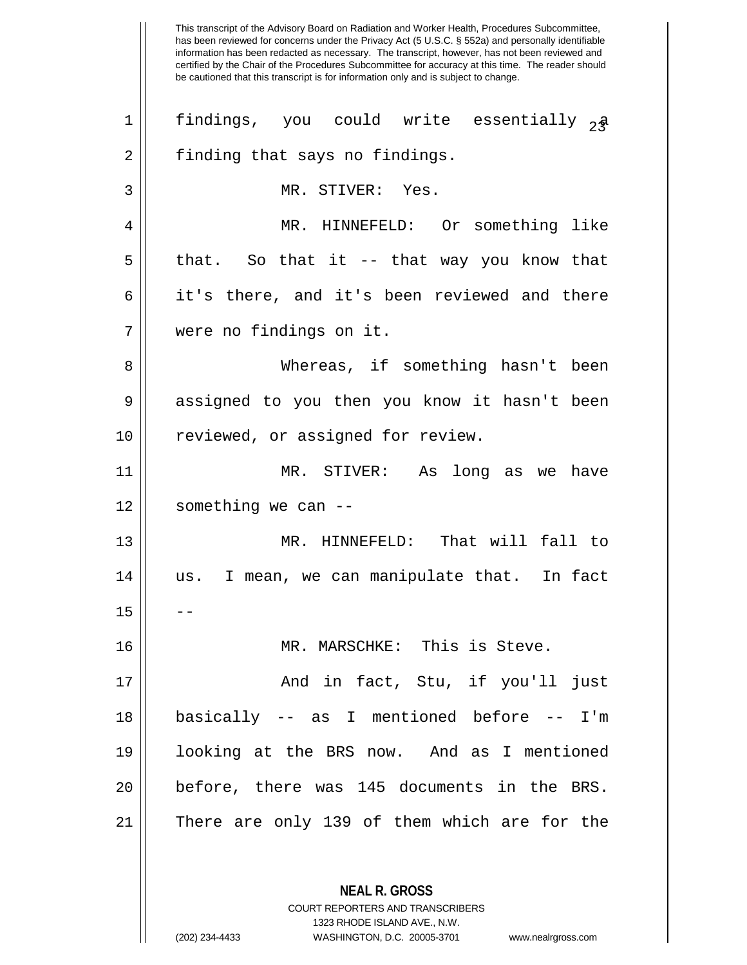1 || findings, you could write essentially  $_2$ a 2 | finding that says no findings. MR. STIVER: Yes. MR. HINNEFELD: Or something like  $5 \parallel$  that. So that it -- that way you know that 6 || it's there, and it's been reviewed and there were no findings on it. Whereas, if something hasn't been 9 assigned to you then you know it hasn't been 10 || reviewed, or assigned for review. MR. STIVER: As long as we have  $12 \parallel$  something we can -- MR. HINNEFELD: That will fall to us. I mean, we can manipulate that. In fact  $15$  MR. MARSCHKE: This is Steve. And in fact, Stu, if you'll just basically -- as I mentioned before -- I'm looking at the BRS now. And as I mentioned before, there was 145 documents in the BRS. There are only 139 of them which are for the

> COURT REPORTERS AND TRANSCRIBERS 1323 RHODE ISLAND AVE., N.W. (202) 234-4433 WASHINGTON, D.C. 20005-3701 www.nealrgross.com

**NEAL R. GROSS**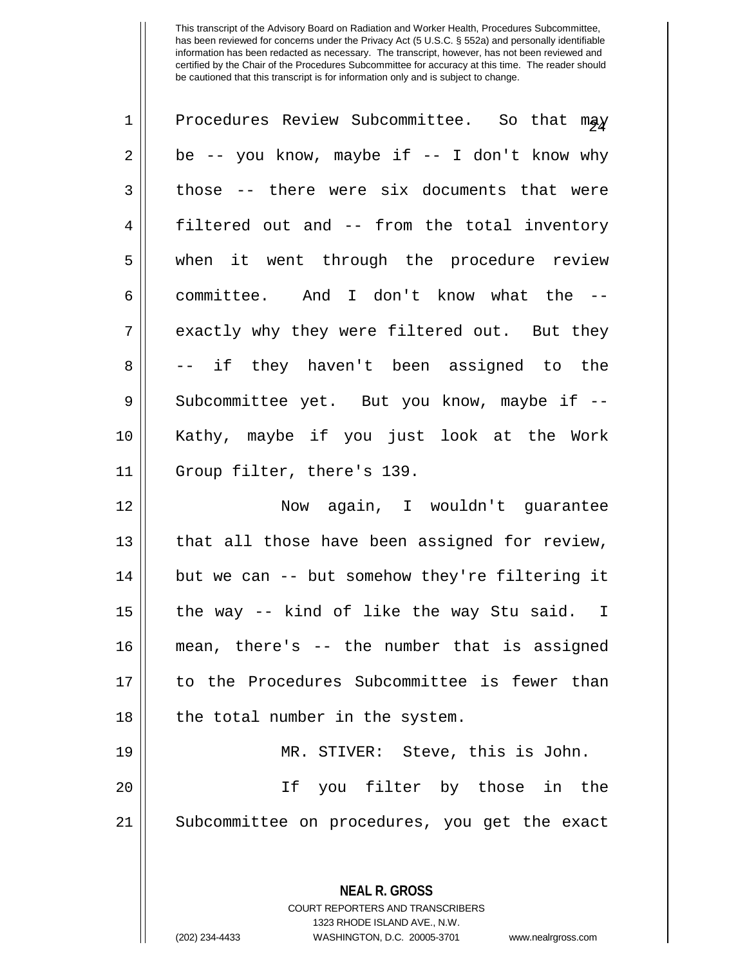| $\mathbf 1$ | Procedures Review Subcommittee. So that may    |
|-------------|------------------------------------------------|
| 2           | be -- you know, maybe if -- I don't know why   |
| 3           | those -- there were six documents that were    |
| 4           | filtered out and -- from the total inventory   |
| 5           | when it went through the procedure review      |
| 6           | committee. And I don't know what the --        |
| 7           | exactly why they were filtered out. But they   |
| 8           | -- if they haven't been assigned to the        |
| 9           | Subcommittee yet. But you know, maybe if --    |
| 10          | Kathy, maybe if you just look at the Work      |
| 11          | Group filter, there's 139.                     |
| 12          | Now again, I wouldn't guarantee                |
| 13          | that all those have been assigned for review,  |
| 14          | but we can -- but somehow they're filtering it |
| 15          | the way -- kind of like the way Stu said. I    |
| 16          | mean, there's -- the number that is assigned   |
| 17          | to the Procedures Subcommittee is fewer than   |
| 18          | the total number in the system.                |
| 19          | MR. STIVER: Steve, this is John.               |
| 20          | If you filter by those in the                  |
| 21          | Subcommittee on procedures, you get the exact  |
|             |                                                |
|             | <b>NEAL R. GROSS</b>                           |

COURT REPORTERS AND TRANSCRIBERS 1323 RHODE ISLAND AVE., N.W.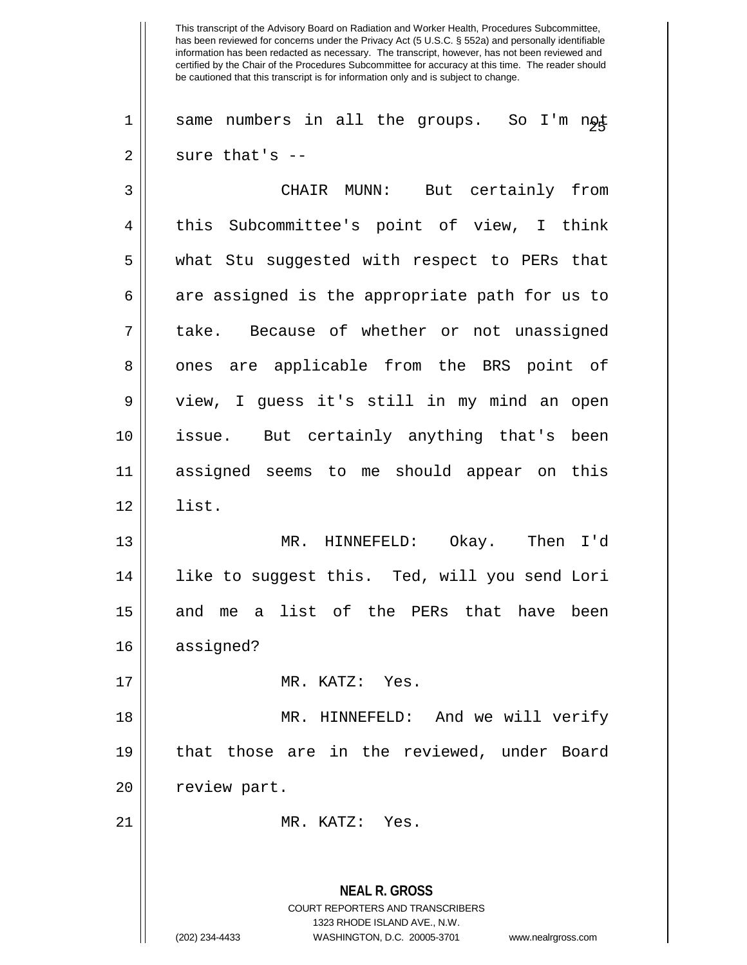1 || same numbers in all the groups. So I'm ngt  $2 \parallel$  sure that's --

| 3              | But certainly from<br>CHAIR MUNN:                        |
|----------------|----------------------------------------------------------|
| $\overline{4}$ | this Subcommittee's point of view, I think               |
| 5              | what Stu suggested with respect to PERs that             |
| 6              | are assigned is the appropriate path for us to           |
| 7              | take. Because of whether or not unassigned               |
| 8              | ones are applicable from the BRS point of                |
| $\mathsf 9$    | view, I guess it's still in my mind an open              |
| 10             | issue. But certainly anything that's been                |
| 11             | assigned seems to me should appear on this               |
| 12             | list.                                                    |
| 13             | MR. HINNEFELD: Okay. Then I'd                            |
| 14             | like to suggest this. Ted, will you send Lori            |
| 15             | and me a list of the PERs that have been                 |
| 16             | assigned?                                                |
| 17             | MR. KATZ: Yes.                                           |
| 18             | MR. HINNEFELD: And we will verify                        |
| 19             | that those are in the reviewed, under Board              |
| 20             | review part.                                             |
| 21             | MR. KATZ: Yes.                                           |
|                |                                                          |
|                | <b>NEAL R. GROSS</b><br>COURT REPORTERS AND TRANSCRIBERS |

1323 RHODE ISLAND AVE., N.W.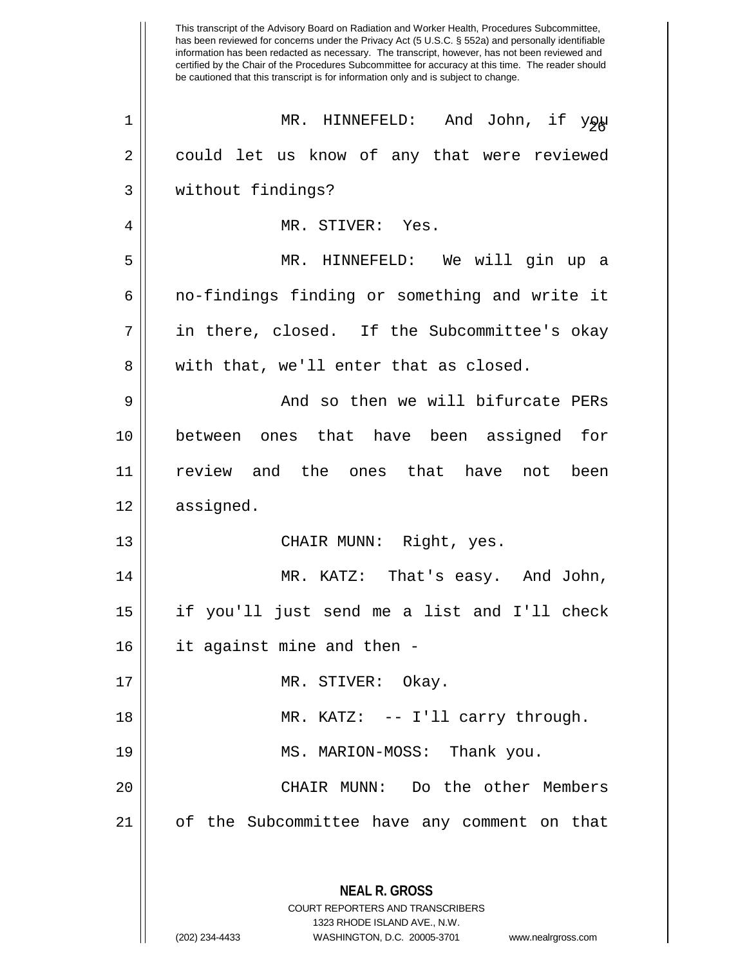This transcript of the Advisory Board on Radiation and Worker Health, Procedures Subcommittee, has been reviewed for concerns under the Privacy Act (5 U.S.C. § 552a) and personally identifiable information has been redacted as necessary. The transcript, however, has not been reviewed and certified by the Chair of the Procedures Subcommittee for accuracy at this time. The reader should be cautioned that this transcript is for information only and is subject to change. **NEAL R. GROSS** COURT REPORTERS AND TRANSCRIBERS 1323 RHODE ISLAND AVE., N.W. (202) 234-4433 WASHINGTON, D.C. 20005-3701 www.nealrgross.com <sup>26</sup> <sup>1</sup> MR. HINNEFELD: And John, if you 2 || could let us know of any that were reviewed 3 without findings? 4 MR. STIVER: Yes. 5 MR. HINNEFELD: We will gin up a 6 no-findings finding or something and write it 7 in there, closed. If the Subcommittee's okay 8 || with that, we'll enter that as closed. 9 And so then we will bifurcate PERs 10 between ones that have been assigned for 11 review and the ones that have not been 12 assigned. 13 || CHAIR MUNN: Right, yes. 14 MR. KATZ: That's easy. And John, 15 if you'll just send me a list and I'll check 16 it against mine and then - 17 || MR. STIVER: Okay. 18 MR. KATZ: -- I'll carry through. 19 MS. MARION-MOSS: Thank you. 20 CHAIR MUNN: Do the other Members 21 of the Subcommittee have any comment on that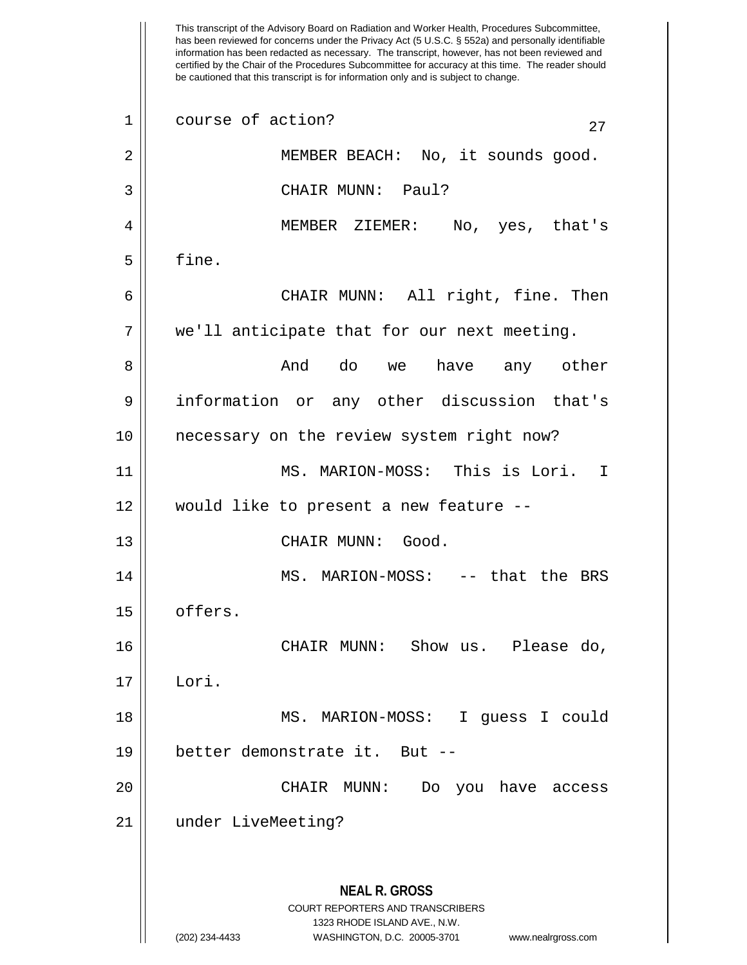This transcript of the Advisory Board on Radiation and Worker Health, Procedures Subcommittee, has been reviewed for concerns under the Privacy Act (5 U.S.C. § 552a) and personally identifiable information has been redacted as necessary. The transcript, however, has not been reviewed and certified by the Chair of the Procedures Subcommittee for accuracy at this time. The reader should be cautioned that this transcript is for information only and is subject to change. **NEAL R. GROSS** COURT REPORTERS AND TRANSCRIBERS 1323 RHODE ISLAND AVE., N.W. (202) 234-4433 WASHINGTON, D.C. 20005-3701 www.nealrgross.com  $\begin{array}{c|c} 1 & \text{course of action?} \end{array}$  27 2 || MEMBER BEACH: No, it sounds good. 3 || CHAIR MUNN: Paul? 4 MEMBER ZIEMER: No, yes, that's  $5 \parallel$  fine. 6 CHAIR MUNN: All right, fine. Then 7 we'll anticipate that for our next meeting. 8 And do we have any other 9 || information or any other discussion that's 10 necessary on the review system right now? 11 MS. MARION-MOSS: This is Lori. I 12 would like to present a new feature -- 13 || CHAIR MUNN: Good. 14 || MS. MARION-MOSS: -- that the BRS 15 | offers. 16 CHAIR MUNN: Show us. Please do, 17 Lori. 18 MS. MARION-MOSS: I guess I could 19 better demonstrate it. But -- 20 CHAIR MUNN: Do you have access 21 under LiveMeeting?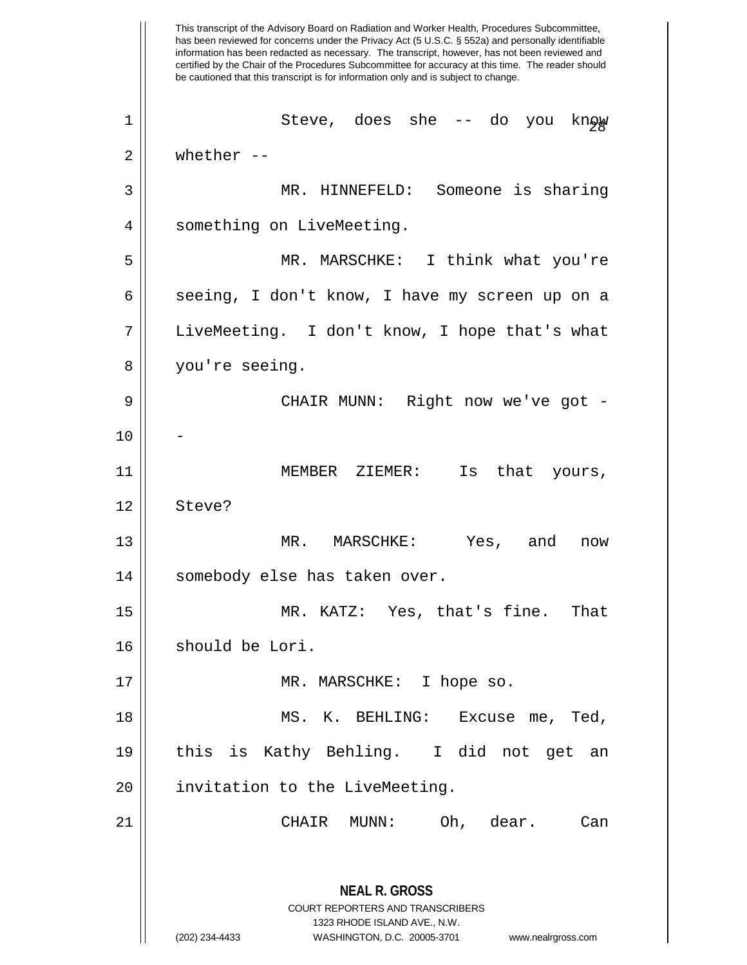This transcript of the Advisory Board on Radiation and Worker Health, Procedures Subcommittee, has been reviewed for concerns under the Privacy Act (5 U.S.C. § 552a) and personally identifiable information has been redacted as necessary. The transcript, however, has not been reviewed and certified by the Chair of the Procedures Subcommittee for accuracy at this time. The reader should be cautioned that this transcript is for information only and is subject to change. **NEAL R. GROSS** COURT REPORTERS AND TRANSCRIBERS 1323 RHODE ISLAND AVE., N.W. (202) 234-4433 WASHINGTON, D.C. 20005-3701 www.nealrgross.com <sup>28</sup> <sup>1</sup> Steve, does she -- do you know  $2 \parallel$  whether --3 MR. HINNEFELD: Someone is sharing 4 | something on LiveMeeting. 5 MR. MARSCHKE: I think what you're 6 || seeing, I don't know, I have my screen up on a 7 LiveMeeting. I don't know, I hope that's what 8 you're seeing. 9 CHAIR MUNN: Right now we've got -  $10$ 11 MEMBER ZIEMER: Is that yours, 12 || Steve? 13 || MR. MARSCHKE: Yes, and now 14 | somebody else has taken over. 15 MR. KATZ: Yes, that's fine. That 16 | should be Lori. 17 || MR. MARSCHKE: I hope so. 18 || MS. K. BEHLING: Excuse me, Ted, 19 this is Kathy Behling. I did not get an 20 || invitation to the LiveMeeting. 21 CHAIR MUNN: Oh, dear. Can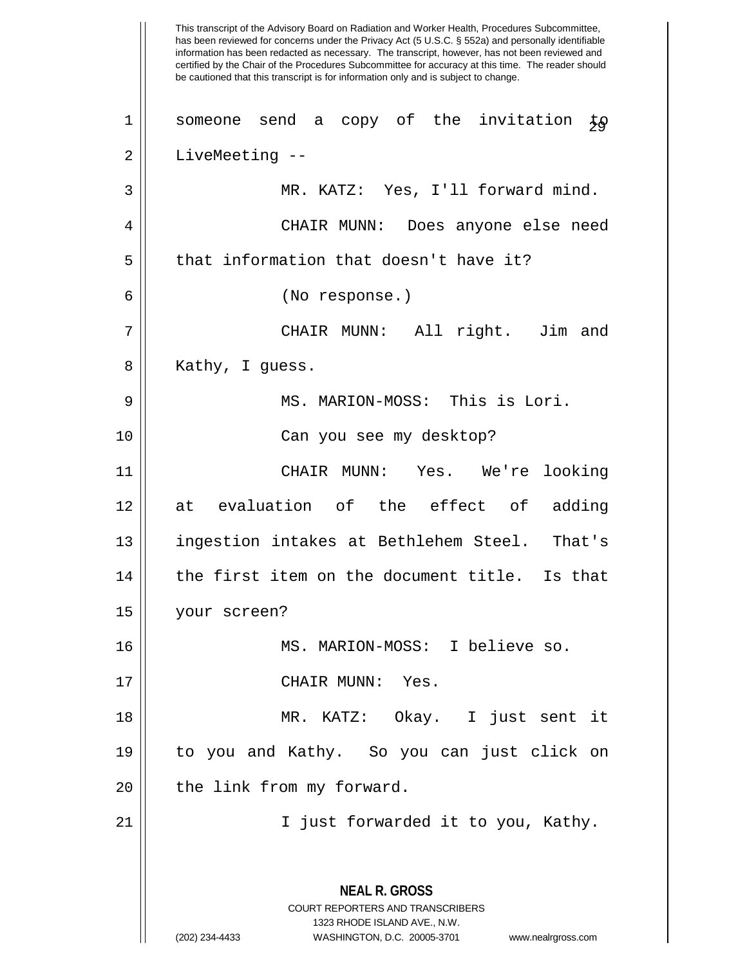This transcript of the Advisory Board on Radiation and Worker Health, Procedures Subcommittee, has been reviewed for concerns under the Privacy Act (5 U.S.C. § 552a) and personally identifiable information has been redacted as necessary. The transcript, however, has not been reviewed and certified by the Chair of the Procedures Subcommittee for accuracy at this time. The reader should be cautioned that this transcript is for information only and is subject to change. **NEAL R. GROSS** COURT REPORTERS AND TRANSCRIBERS 1323 RHODE ISLAND AVE., N.W. (202) 234-4433 WASHINGTON, D.C. 20005-3701 www.nealrgross.com 1 Someone send a copy of the invitation  $\frac{1}{2}$ 2 | LiveMeeting --3 || MR. KATZ: Yes, I'll forward mind. 4 CHAIR MUNN: Does anyone else need  $5$  || that information that doesn't have it? 6 (No response.) 7 CHAIR MUNN: All right. Jim and 8 || Kathy, I guess. 9 MS. MARION-MOSS: This is Lori. 10 Can you see my desktop? 11 CHAIR MUNN: Yes. We're looking 12 at evaluation of the effect of adding 13 || ingestion intakes at Bethlehem Steel. That's  $14$   $\parallel$  the first item on the document title. Is that 15 your screen? 16 MS. MARION-MOSS: I believe so. 17 CHAIR MUNN: Yes. 18 MR. KATZ: Okay. I just sent it 19 to you and Kathy. So you can just click on 20 || the link from my forward. 21 || I just forwarded it to you, Kathy.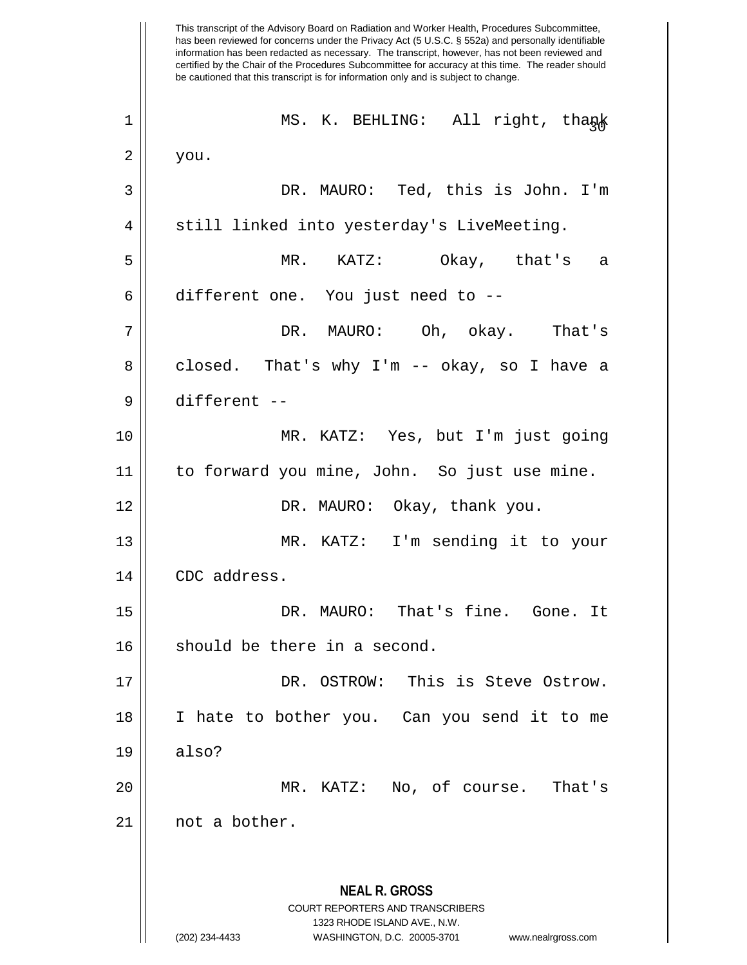This transcript of the Advisory Board on Radiation and Worker Health, Procedures Subcommittee, has been reviewed for concerns under the Privacy Act (5 U.S.C. § 552a) and personally identifiable information has been redacted as necessary. The transcript, however, has not been reviewed and certified by the Chair of the Procedures Subcommittee for accuracy at this time. The reader should be cautioned that this transcript is for information only and is subject to change. **NEAL R. GROSS** COURT REPORTERS AND TRANSCRIBERS 1323 RHODE ISLAND AVE., N.W. (202) 234-4433 WASHINGTON, D.C. 20005-3701 www.nealrgross.com <sup>30</sup> <sup>1</sup> MS. K. BEHLING: All right, thank  $2 \parallel$  you. 3 DR. MAURO: Ted, this is John. I'm 4 || still linked into yesterday's LiveMeeting. 5 MR. KATZ: Okay, that's a  $6 \parallel$  different one. You just need to  $-$ 7 DR. MAURO: Oh, okay. That's  $8 \parallel$  closed. That's why I'm -- okay, so I have a 9 different -- 10 MR. KATZ: Yes, but I'm just going 11 to forward you mine, John. So just use mine. 12 DR. MAURO: Okay, thank you. 13 MR. KATZ: I'm sending it to your 14 CDC address. 15 DR. MAURO: That's fine. Gone. It 16 || should be there in a second. 17 DR. OSTROW: This is Steve Ostrow. 18 I hate to bother you. Can you send it to me  $19 \parallel$  also? 20 MR. KATZ: No, of course. That's 21 | not a bother.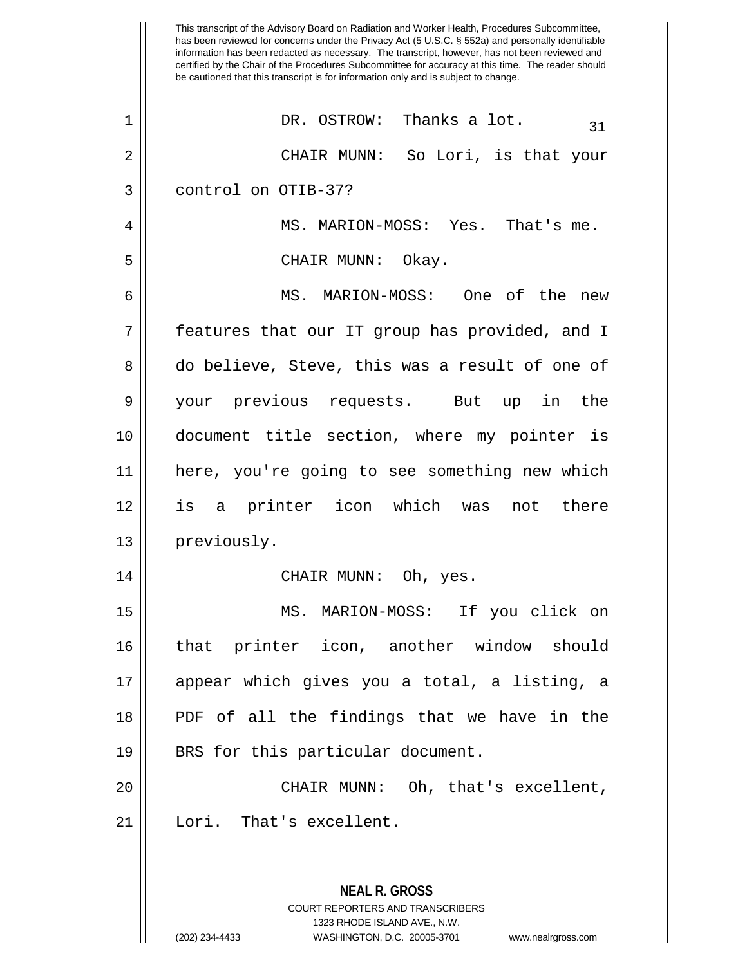|    | This transcript of the Advisory Board on Radiation and Worker Health, Procedures Subcommittee,<br>has been reviewed for concerns under the Privacy Act (5 U.S.C. § 552a) and personally identifiable<br>information has been redacted as necessary. The transcript, however, has not been reviewed and<br>certified by the Chair of the Procedures Subcommittee for accuracy at this time. The reader should<br>be cautioned that this transcript is for information only and is subject to change. |
|----|-----------------------------------------------------------------------------------------------------------------------------------------------------------------------------------------------------------------------------------------------------------------------------------------------------------------------------------------------------------------------------------------------------------------------------------------------------------------------------------------------------|
| 1  | Thanks a lot.<br>DR. OSTROW:<br>31                                                                                                                                                                                                                                                                                                                                                                                                                                                                  |
| 2  | CHAIR MUNN: So Lori, is that your                                                                                                                                                                                                                                                                                                                                                                                                                                                                   |
| 3  | control on OTIB-37?                                                                                                                                                                                                                                                                                                                                                                                                                                                                                 |
| 4  | MS. MARION-MOSS: Yes.<br>That's me.                                                                                                                                                                                                                                                                                                                                                                                                                                                                 |
| 5  | CHAIR MUNN:<br>Okay.                                                                                                                                                                                                                                                                                                                                                                                                                                                                                |
| 6  | MARION-MOSS:<br>One of the<br>MS.<br>new                                                                                                                                                                                                                                                                                                                                                                                                                                                            |
| 7  | features that our IT group has provided, and I                                                                                                                                                                                                                                                                                                                                                                                                                                                      |
| 8  | do believe, Steve, this was a result of one of                                                                                                                                                                                                                                                                                                                                                                                                                                                      |
| 9  | your previous requests. But<br>the<br>in<br>up                                                                                                                                                                                                                                                                                                                                                                                                                                                      |
| 10 | document title section, where my pointer is                                                                                                                                                                                                                                                                                                                                                                                                                                                         |
| 11 | here, you're going to see something new which                                                                                                                                                                                                                                                                                                                                                                                                                                                       |
| 12 | printer icon which was<br>there<br>is<br>not<br>a                                                                                                                                                                                                                                                                                                                                                                                                                                                   |
| 13 | previously.                                                                                                                                                                                                                                                                                                                                                                                                                                                                                         |
| 14 | CHAIR MUNN: Oh, yes.                                                                                                                                                                                                                                                                                                                                                                                                                                                                                |
| 15 | MS. MARION-MOSS: If you click on                                                                                                                                                                                                                                                                                                                                                                                                                                                                    |
| 16 | that printer icon, another window should                                                                                                                                                                                                                                                                                                                                                                                                                                                            |
| 17 | appear which gives you a total, a listing, a                                                                                                                                                                                                                                                                                                                                                                                                                                                        |
| 18 | PDF of all the findings that we have in the                                                                                                                                                                                                                                                                                                                                                                                                                                                         |
| 19 | BRS for this particular document.                                                                                                                                                                                                                                                                                                                                                                                                                                                                   |
| 20 | CHAIR MUNN: Oh, that's excellent,                                                                                                                                                                                                                                                                                                                                                                                                                                                                   |
| 21 | Lori. That's excellent.                                                                                                                                                                                                                                                                                                                                                                                                                                                                             |
|    |                                                                                                                                                                                                                                                                                                                                                                                                                                                                                                     |
|    | <b>NEAL R. GROSS</b><br>COURT REPORTERS AND TRANSCRIBERS                                                                                                                                                                                                                                                                                                                                                                                                                                            |

1323 RHODE ISLAND AVE., N.W.

 $\mathop{\text{||}}$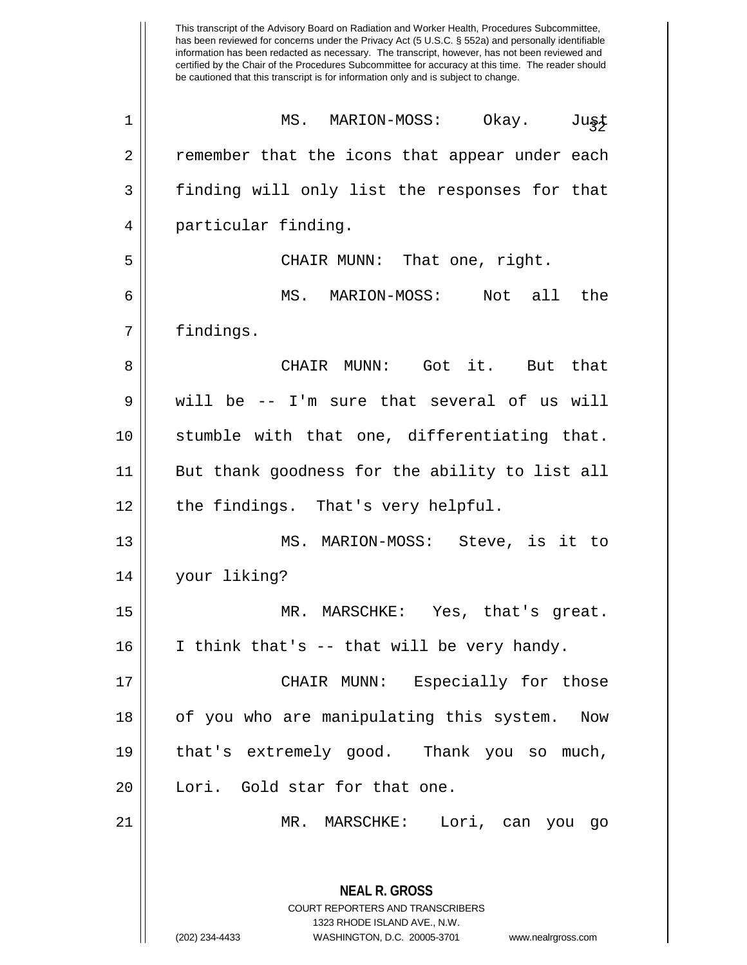This transcript of the Advisory Board on Radiation and Worker Health, Procedures Subcommittee, has been reviewed for concerns under the Privacy Act (5 U.S.C. § 552a) and personally identifiable information has been redacted as necessary. The transcript, however, has not been reviewed and certified by the Chair of the Procedures Subcommittee for accuracy at this time. The reader should be cautioned that this transcript is for information only and is subject to change. **NEAL R. GROSS** COURT REPORTERS AND TRANSCRIBERS 1323 RHODE ISLAND AVE., N.W. <sup>32</sup> <sup>1</sup> MS. MARION-MOSS: Okay. Just 2 || remember that the icons that appear under each 3 finding will only list the responses for that 4 || particular finding. 5 CHAIR MUNN: That one, right. 6 MS. MARION-MOSS: Not all the 7 || findings. 8 CHAIR MUNN: Got it. But that  $9 \parallel$  will be -- I'm sure that several of us will 10 stumble with that one, differentiating that. 11 But thank goodness for the ability to list all 12 || the findings. That's very helpful. 13 || MS. MARION-MOSS: Steve, is it to 14 your liking? 15 MR. MARSCHKE: Yes, that's great. 16 || I think that's -- that will be very handy. 17 CHAIR MUNN: Especially for those 18 || of you who are manipulating this system. Now 19 that's extremely good. Thank you so much, 20 || Lori. Gold star for that one. 21 MR. MARSCHKE: Lori, can you go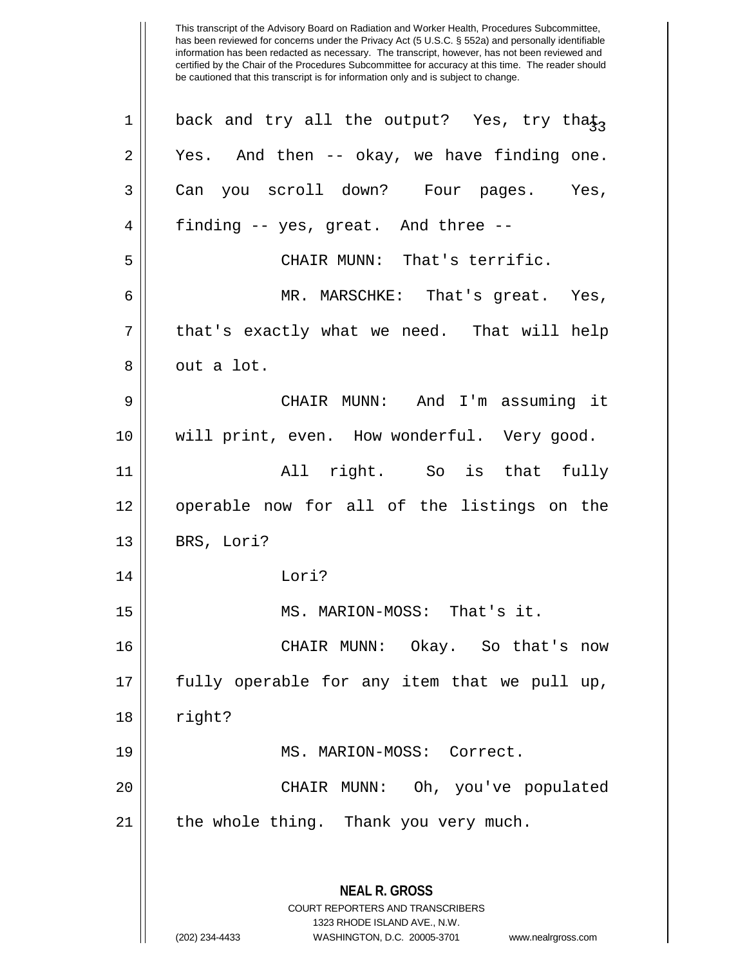| 1       | back and try all the output? Yes, try tha $\mathfrak{t}_{3}$                                    |
|---------|-------------------------------------------------------------------------------------------------|
| 2       | Yes. And then -- okay, we have finding one.                                                     |
| 3       | Can you scroll down? Four pages. Yes,                                                           |
| 4       | finding -- yes, great. And three --                                                             |
| 5       | CHAIR MUNN: That's terrific.                                                                    |
| 6       | MR. MARSCHKE: That's great. Yes,                                                                |
| 7       | that's exactly what we need. That will help                                                     |
| 8       | out a lot.                                                                                      |
| 9       | CHAIR MUNN: And I'm assuming it                                                                 |
| $10 \,$ | will print, even. How wonderful. Very good.                                                     |
| 11      | All right. So is that fully                                                                     |
| 12      | operable now for all of the listings on the                                                     |
| 13      | BRS, Lori?                                                                                      |
| 14      | Lori?                                                                                           |
| 15      | MS. MARION-MOSS: That's it.                                                                     |
| 16      | CHAIR MUNN: Okay. So that's now                                                                 |
| 17      | fully operable for any item that we pull up,                                                    |
| 18      | right?                                                                                          |
| 19      | MS. MARION-MOSS: Correct.                                                                       |
| 20      | CHAIR MUNN: Oh, you've populated                                                                |
| 21      | the whole thing. Thank you very much.                                                           |
|         | <b>NEAL R. GROSS</b><br><b>COURT REPORTERS AND TRANSCRIBERS</b><br>1323 RHODE ISLAND AVE., N.W. |
|         | (202) 234-4433<br>WASHINGTON, D.C. 20005-3701<br>www.nealrgross.com                             |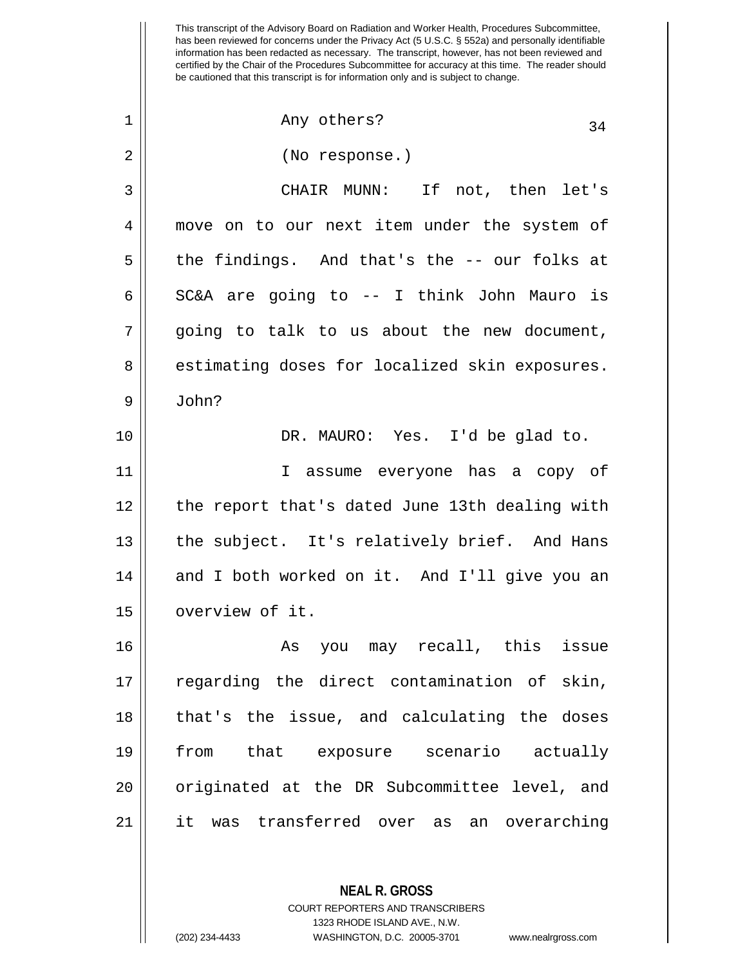<sup>34</sup> <sup>1</sup> Any others? 2 || (No response.) 3 CHAIR MUNN: If not, then let's 4 move on to our next item under the system of  $5 \parallel$  the findings. And that's the -- our folks at 6 SC&A are going to  $-$  I think John Mauro is 7 going to talk to us about the new document, 8 || estimating doses for localized skin exposures.  $9 \parallel$  John? 10 DR. MAURO: Yes. I'd be glad to. 11 I assume everyone has a copy of 12 || the report that's dated June 13th dealing with 13 || the subject. It's relatively brief. And Hans 14 and I both worked on it. And I'll give you an 15 | overview of it. 16 As you may recall, this issue 17 || regarding the direct contamination of skin,  $18$  || that's the issue, and calculating the doses 19 from that exposure scenario actually 20 || originated at the DR Subcommittee level, and 21 it was transferred over as an overarching

> COURT REPORTERS AND TRANSCRIBERS 1323 RHODE ISLAND AVE., N.W. (202) 234-4433 WASHINGTON, D.C. 20005-3701 www.nealrgross.com

**NEAL R. GROSS**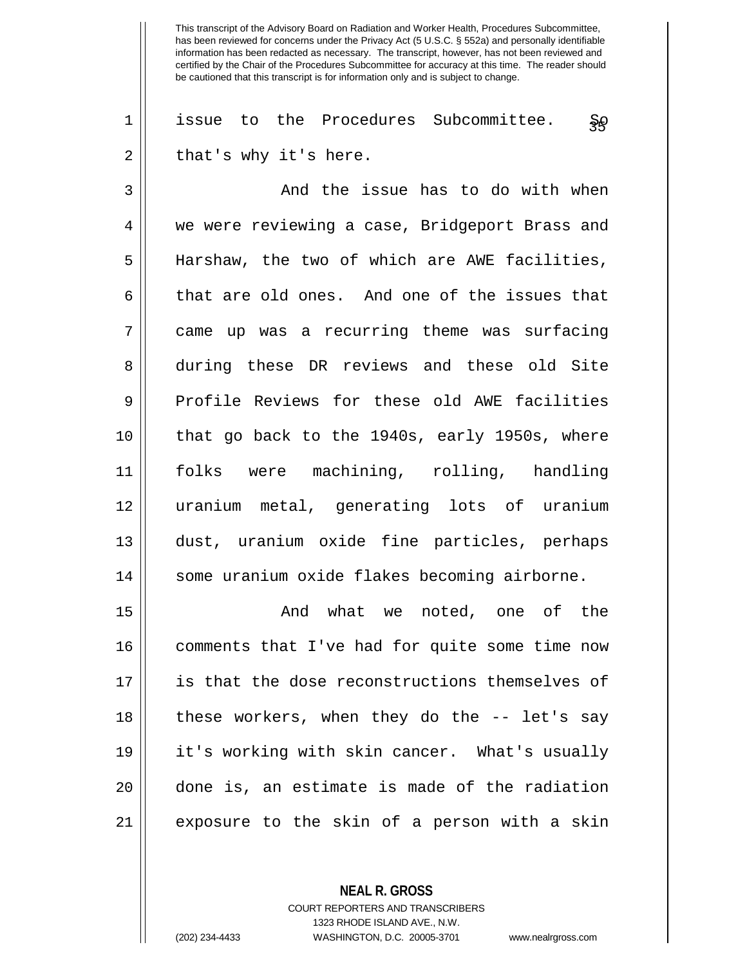$1 \parallel$  issue to the Procedures Subcommittee. So  $2 \parallel$  that's why it's here.

3 And the issue has to do with when 4 we were reviewing a case, Bridgeport Brass and 5 || Harshaw, the two of which are AWE facilities,  $6 \parallel$  that are old ones. And one of the issues that 7 came up was a recurring theme was surfacing 8 during these DR reviews and these old Site 9 Profile Reviews for these old AWE facilities 10 || that go back to the 1940s, early 1950s, where 11 folks were machining, rolling, handling 12 uranium metal, generating lots of uranium 13 dust, uranium oxide fine particles, perhaps 14 || some uranium oxide flakes becoming airborne.

15 And what we noted, one of the 16 || comments that I've had for quite some time now 17 || is that the dose reconstructions themselves of 18 || these workers, when they do the -- let's say 19 it's working with skin cancer. What's usually 20 done is, an estimate is made of the radiation 21 exposure to the skin of a person with a skin

> **NEAL R. GROSS** COURT REPORTERS AND TRANSCRIBERS 1323 RHODE ISLAND AVE., N.W. (202) 234-4433 WASHINGTON, D.C. 20005-3701 www.nealrgross.com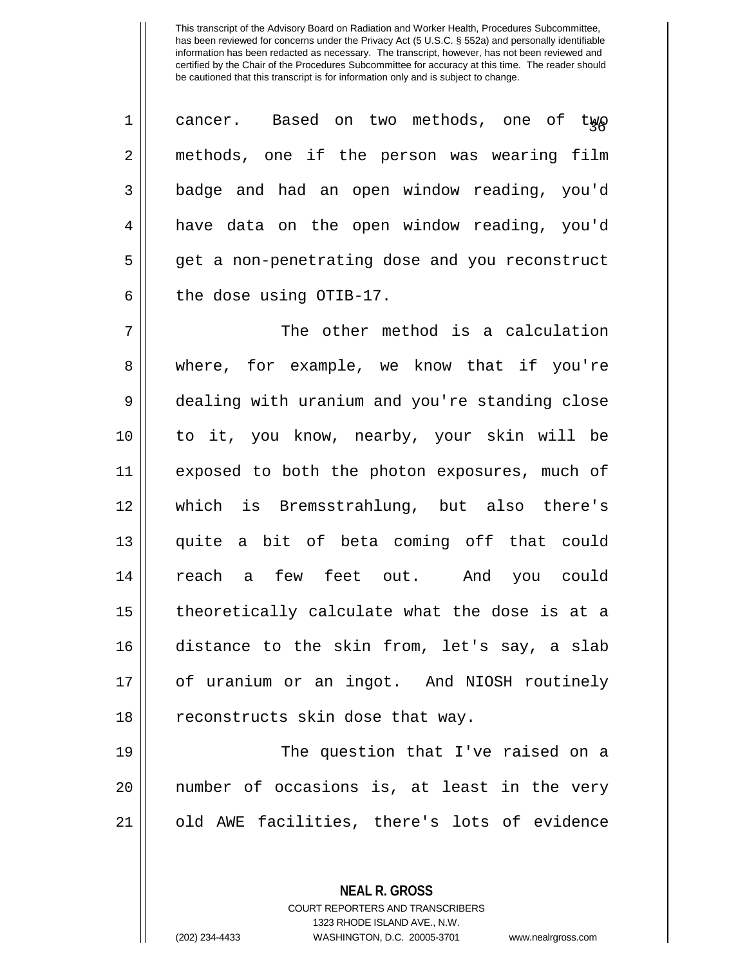| $\mathbf 1$ | cancer. Based on two methods, one of two       |
|-------------|------------------------------------------------|
| 2           | methods, one if the person was wearing film    |
| 3           | badge and had an open window reading, you'd    |
| 4           | have data on the open window reading, you'd    |
| 5           | get a non-penetrating dose and you reconstruct |
| 6           | the dose using OTIB-17.                        |
| 7           | The other method is a calculation              |
| 8           | where, for example, we know that if you're     |
| 9           | dealing with uranium and you're standing close |
| 10          | to it, you know, nearby, your skin will be     |
| 11          | exposed to both the photon exposures, much of  |
| 12          | which is Bremsstrahlung, but also there's      |
| 13          | quite a bit of beta coming off that could      |
| 14          | reach a few feet out. And you could            |
| 15          | theoretically calculate what the dose is at a  |
| 16          | distance to the skin from, let's say, a slab   |
| 17          | of uranium or an ingot. And NIOSH routinely    |
| 18          | reconstructs skin dose that way.               |
| 19          | The question that I've raised on a             |
| 20          | number of occasions is, at least in the very   |
| 21          | old AWE facilities, there's lots of evidence   |
|             |                                                |

**NEAL R. GROSS** COURT REPORTERS AND TRANSCRIBERS 1323 RHODE ISLAND AVE., N.W.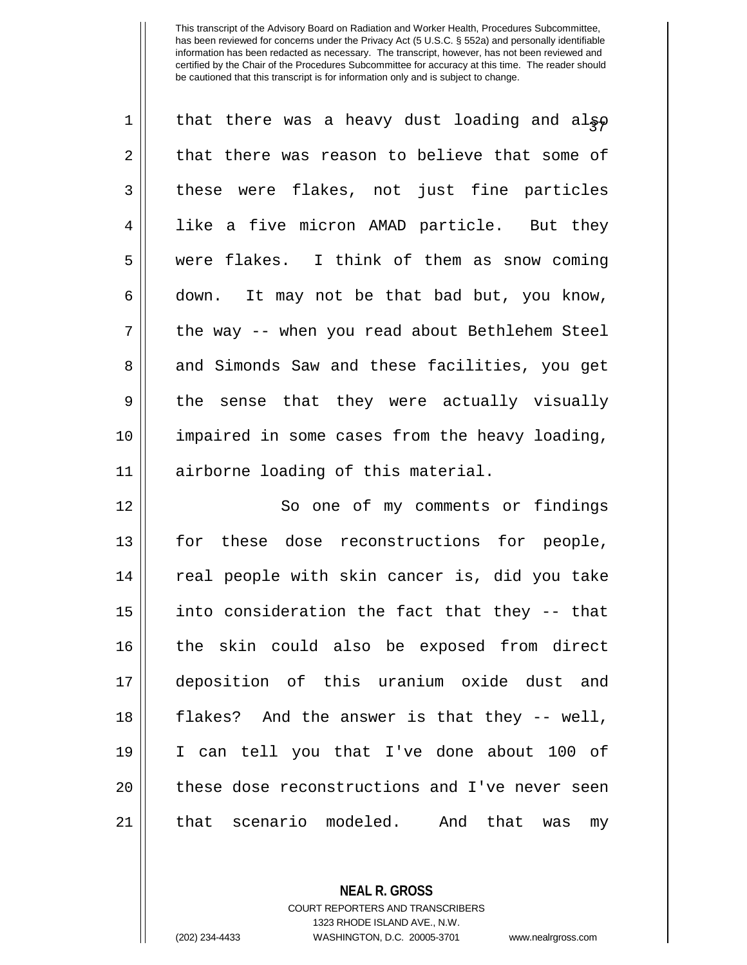| 1           | that there was a heavy dust loading and also          |
|-------------|-------------------------------------------------------|
| 2           | that there was reason to believe that some of         |
| 3           | these were flakes, not just fine particles            |
| 4           | like a five micron AMAD particle. But they            |
| 5           | were flakes. I think of them as snow coming           |
| 6           | down. It may not be that bad but, you know,           |
| 7           | the way -- when you read about Bethlehem Steel        |
| 8           | and Simonds Saw and these facilities, you get         |
| $\mathsf 9$ | the sense that they were actually visually            |
| 10          | impaired in some cases from the heavy loading,        |
| 11          | airborne loading of this material.                    |
| 12          | So one of my comments or findings                     |
| 13          | for these dose reconstructions for people,            |
| 14          | real people with skin cancer is, did you take         |
| 15          | into consideration the fact that they -- that         |
| 16          | the skin could also be exposed from direct            |
| 17          | deposition of this uranium oxide dust and             |
| 18          | flakes? And the answer is that they -- well,          |
| 19          | I can tell you that I've done about 100 of            |
| 20          | these dose reconstructions and I've never seen        |
| 21          | scenario modeled.<br>that<br>And<br>that<br>was<br>my |

**NEAL R. GROSS** COURT REPORTERS AND TRANSCRIBERS

1323 RHODE ISLAND AVE., N.W.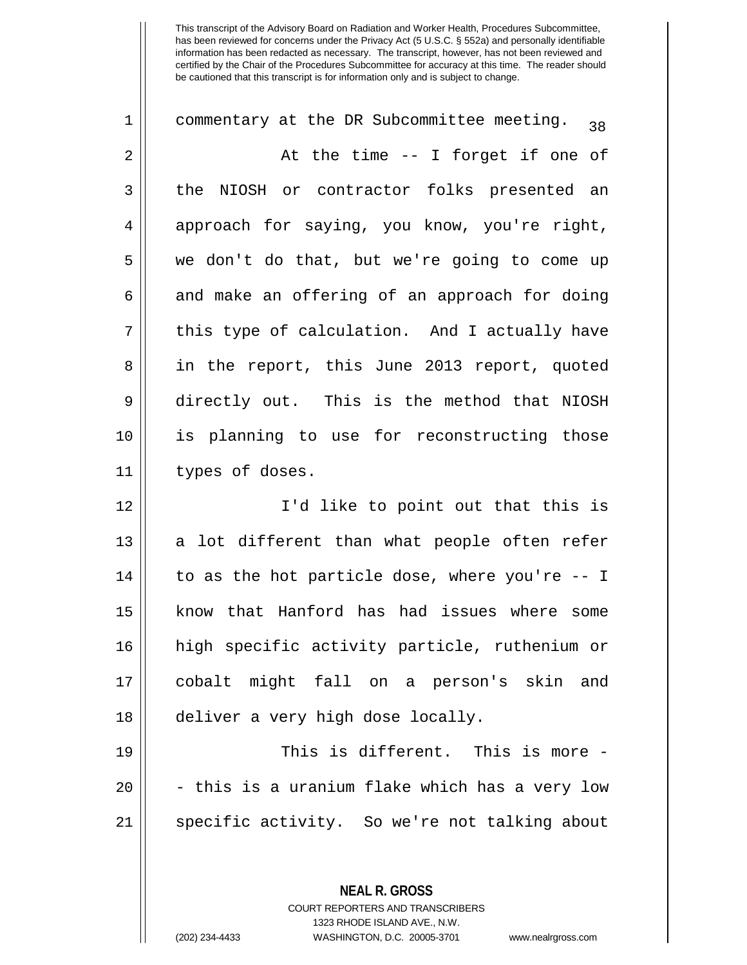| 1        | commentary at the DR Subcommittee meeting.<br>38 |
|----------|--------------------------------------------------|
| 2        | At the time -- I forget if one of                |
| 3        | the NIOSH or contractor folks presented an       |
| 4        | approach for saying, you know, you're right,     |
| 5        | we don't do that, but we're going to come up     |
| 6        | and make an offering of an approach for doing    |
| 7        | this type of calculation. And I actually have    |
| 8        | in the report, this June 2013 report, quoted     |
| 9        | directly out. This is the method that NIOSH      |
| 10       | is planning to use for reconstructing those      |
| 11       | types of doses.                                  |
|          |                                                  |
| 12       | I'd like to point out that this is               |
| 13       | a lot different than what people often refer     |
| 14       | to as the hot particle dose, where you're -- I   |
| 15       | know that Hanford has had issues where some      |
|          | high specific activity particle, ruthenium or    |
| 16<br>17 | cobalt might fall on a person's skin and         |
| 18       | deliver a very high dose locally.                |
| 19       | This is different. This is more -                |
| 20       | - this is a uranium flake which has a very low   |
| 21       | specific activity. So we're not talking about    |

**NEAL R. GROSS** COURT REPORTERS AND TRANSCRIBERS 1323 RHODE ISLAND AVE., N.W.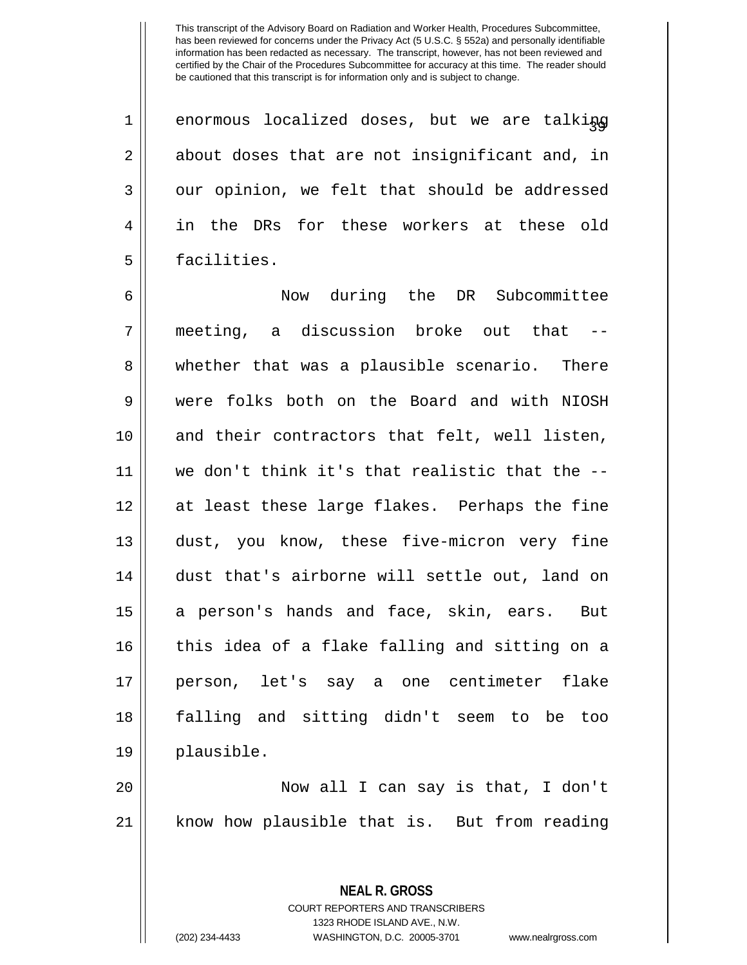$1$  | enormous localized doses, but we are talking 2 || about doses that are not insignificant and, in 3 || our opinion, we felt that should be addressed 4 in the DRs for these workers at these old 5 | facilities.

 Now during the DR Subcommittee meeting, a discussion broke out that -- 8 whether that was a plausible scenario. There were folks both on the Board and with NIOSH 10 || and their contractors that felt, well listen, we don't think it's that realistic that the -- at least these large flakes. Perhaps the fine 13 dust, you know, these five-micron very fine dust that's airborne will settle out, land on 15 || a person's hands and face, skin, ears. But 16 || this idea of a flake falling and sitting on a person, let's say a one centimeter flake falling and sitting didn't seem to be too plausible.

20 Now all I can say is that, I don't 21 know how plausible that is. But from reading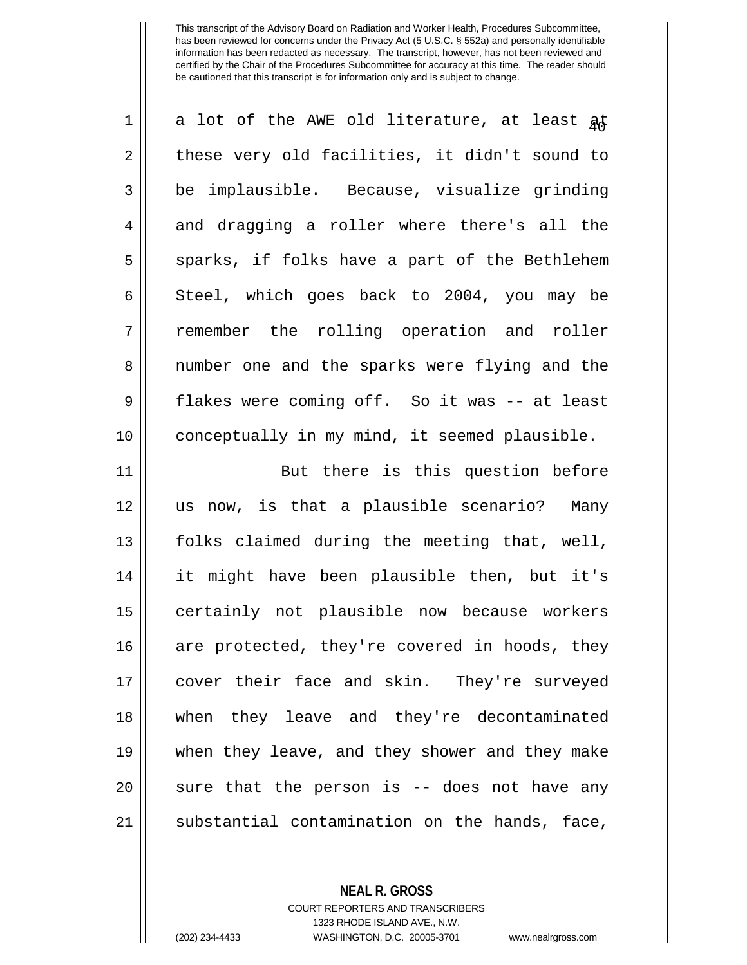| $\mathbf 1$ | a lot of the AWE old literature, at least at   |
|-------------|------------------------------------------------|
| 2           | these very old facilities, it didn't sound to  |
| 3           | be implausible. Because, visualize grinding    |
| 4           | and dragging a roller where there's all the    |
| 5           | sparks, if folks have a part of the Bethlehem  |
| 6           | Steel, which goes back to 2004, you may be     |
| 7           | remember the rolling operation and roller      |
| 8           | number one and the sparks were flying and the  |
| $\mathsf 9$ | flakes were coming off. So it was -- at least  |
| 10          | conceptually in my mind, it seemed plausible.  |
| 11          | But there is this question before              |
| 12          | us now, is that a plausible scenario? Many     |
| 13          | folks claimed during the meeting that, well,   |
| 14          | it might have been plausible then, but it's    |
| 15          | certainly not plausible now because workers    |
| 16          | are protected, they're covered in hoods, they  |
| 17          | cover their face and skin. They're surveyed    |
| 18          | when they leave and they're decontaminated     |
| 19          | when they leave, and they shower and they make |
| 20          | sure that the person is -- does not have any   |
| 21          | substantial contamination on the hands, face,  |

**NEAL R. GROSS** COURT REPORTERS AND TRANSCRIBERS

1323 RHODE ISLAND AVE., N.W.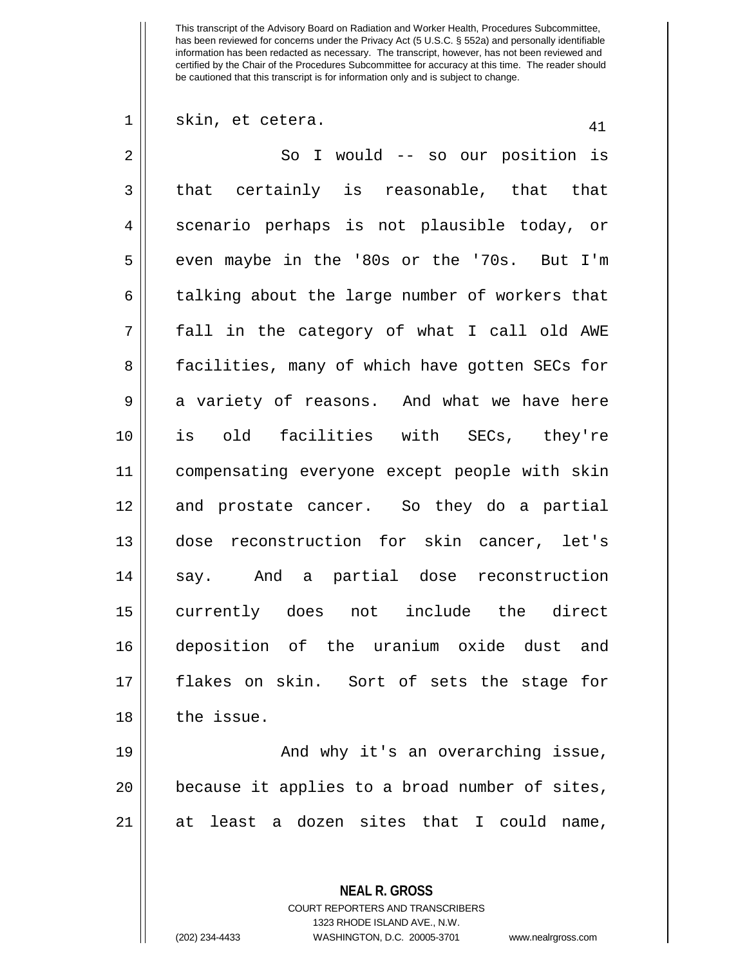$1 \parallel$  skin, et cetera.  $41$ 

2 So I would -- so our position is  $3 \parallel$  that certainly is reasonable, that that 4 || scenario perhaps is not plausible today, or  $5 \parallel$  even maybe in the '80s or the '70s. But I'm  $6 \parallel$  talking about the large number of workers that 7 fall in the category of what I call old AWE 8 || facilities, many of which have gotten SECs for  $9 \parallel$  a variety of reasons. And what we have here 10 is old facilities with SECs, they're 11 compensating everyone except people with skin 12 and prostate cancer. So they do a partial 13 dose reconstruction for skin cancer, let's 14 say. And a partial dose reconstruction 15 currently does not include the direct 16 deposition of the uranium oxide dust and 17 flakes on skin. Sort of sets the stage for 18 || the issue.

19 || And why it's an overarching issue, 20 || because it applies to a broad number of sites, 21 at least a dozen sites that I could name,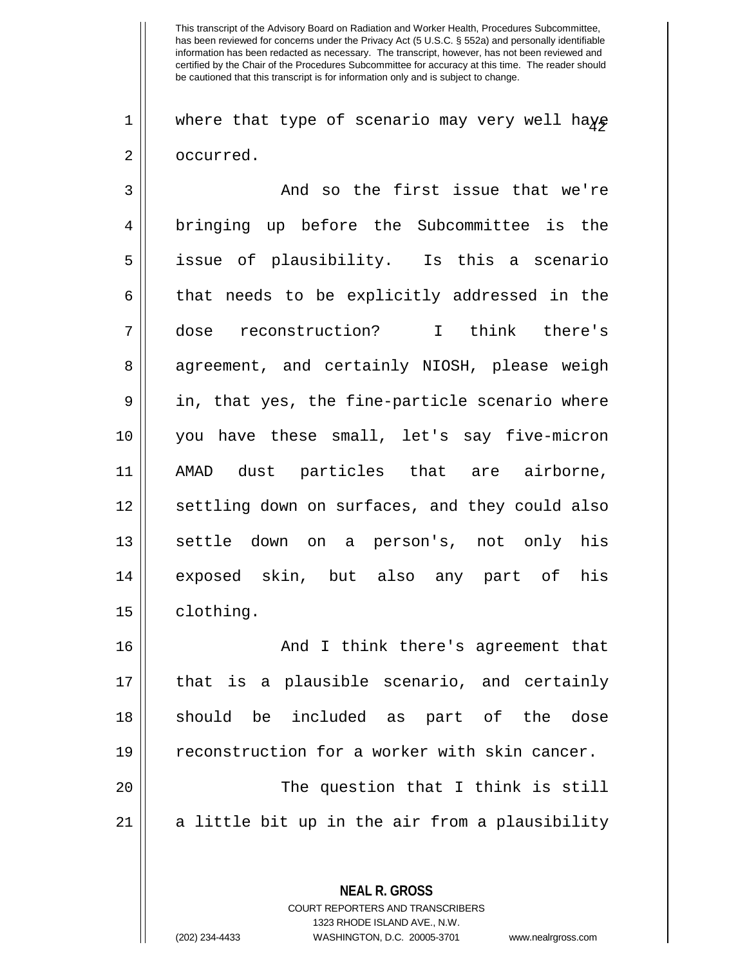1 || where that type of scenario may very well haye 2 | occurred.

3 and so the first issue that we're 4 || bringing up before the Subcommittee is the 5 || issue of plausibility. Is this a scenario  $6 \parallel$  that needs to be explicitly addressed in the 7 dose reconstruction? I think there's 8 agreement, and certainly NIOSH, please weigh  $9 \parallel$  in, that yes, the fine-particle scenario where 10 you have these small, let's say five-micron 11 AMAD dust particles that are airborne, 12 || settling down on surfaces, and they could also 13 || settle down on a person's, not only his 14 exposed skin, but also any part of his 15 || clothing. 16 || And I think there's agreement that 17 that is a plausible scenario, and certainly 18 Should be included as part of the dose 19 Feconstruction for a worker with skin cancer.

20 The question that I think is still  $21$  a little bit up in the air from a plausibility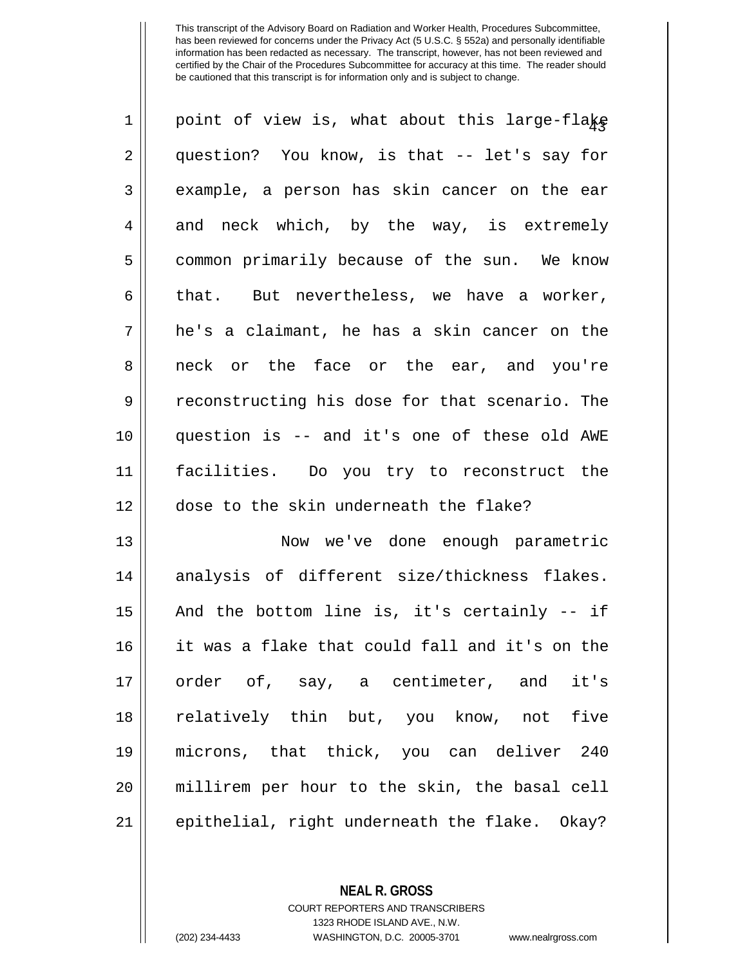| $\mathbf 1$ | point of view is, what about this large-flake  |
|-------------|------------------------------------------------|
| 2           | question? You know, is that -- let's say for   |
| 3           | example, a person has skin cancer on the ear   |
| 4           | and neck which, by the way, is extremely       |
| 5           | common primarily because of the sun. We know   |
| 6           | that. But nevertheless, we have a worker,      |
| 7           | he's a claimant, he has a skin cancer on the   |
| 8           | neck or the face or the ear, and you're        |
| 9           | reconstructing his dose for that scenario. The |
| 10          | question is -- and it's one of these old AWE   |
| 11          | facilities. Do you try to reconstruct the      |
| 12          | dose to the skin underneath the flake?         |
| 13          | Now we've done enough parametric               |
| 14          | analysis of different size/thickness flakes.   |
| 15          | And the bottom line is, it's certainly -- if   |
| 16          | it was a flake that could fall and it's on the |
| 17          | order of, say, a centimeter, and it's          |
| 18          | relatively thin but, you know, not five        |
| 19          | microns, that thick, you can deliver 240       |
| 20          | millirem per hour to the skin, the basal cell  |
| 21          | epithelial, right underneath the flake. Okay?  |

**NEAL R. GROSS**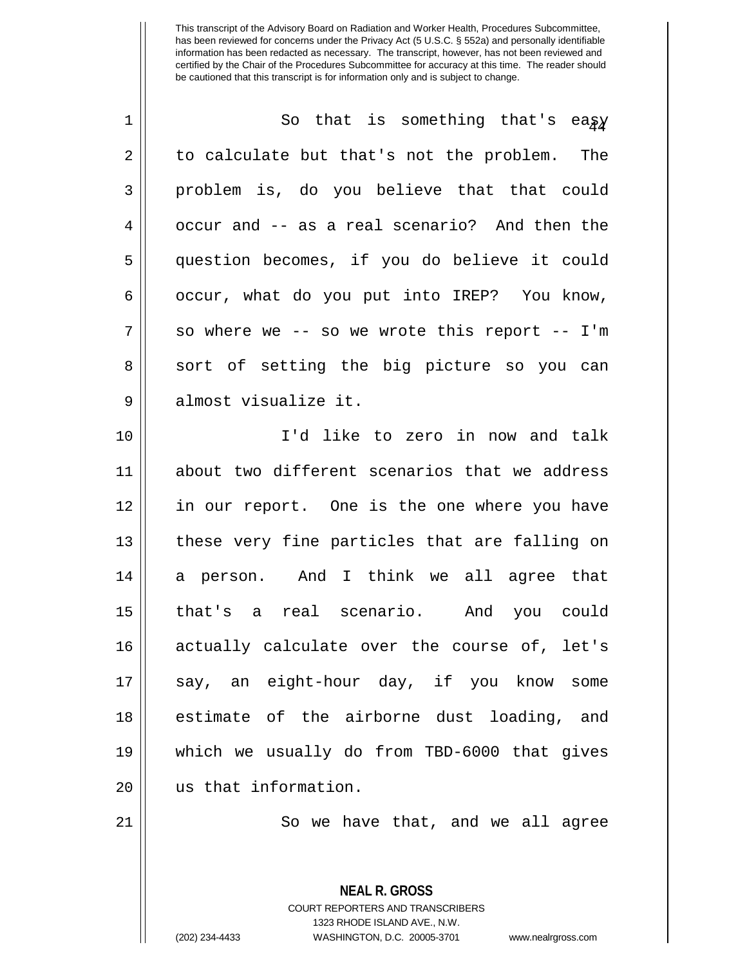| $\mathbf 1$ | So that is something that's eagy              |
|-------------|-----------------------------------------------|
| 2           | to calculate but that's not the problem. The  |
| 3           | problem is, do you believe that that could    |
| 4           | occur and -- as a real scenario? And then the |
| 5           | question becomes, if you do believe it could  |
| 6           | occur, what do you put into IREP? You know,   |
| 7           | so where we -- so we wrote this report -- I'm |
| 8           | sort of setting the big picture so you can    |
| 9           | almost visualize it.                          |
| 10          | I'd like to zero in now and talk              |
| 11          | about two different scenarios that we address |
| 12          | in our report. One is the one where you have  |
| 13          | these very fine particles that are falling on |
| 14          | a person. And I think we all agree that       |
| 15          | that's a real scenario. And you could         |
| 16          | actually calculate over the course of, let's  |
| 17          | say, an eight-hour day, if you know some      |
| 18          | estimate of the airborne dust loading, and    |
| 19          | which we usually do from TBD-6000 that gives  |
| 20          | us that information.                          |
|             |                                               |

 $\parallel$  So we have that, and we all agree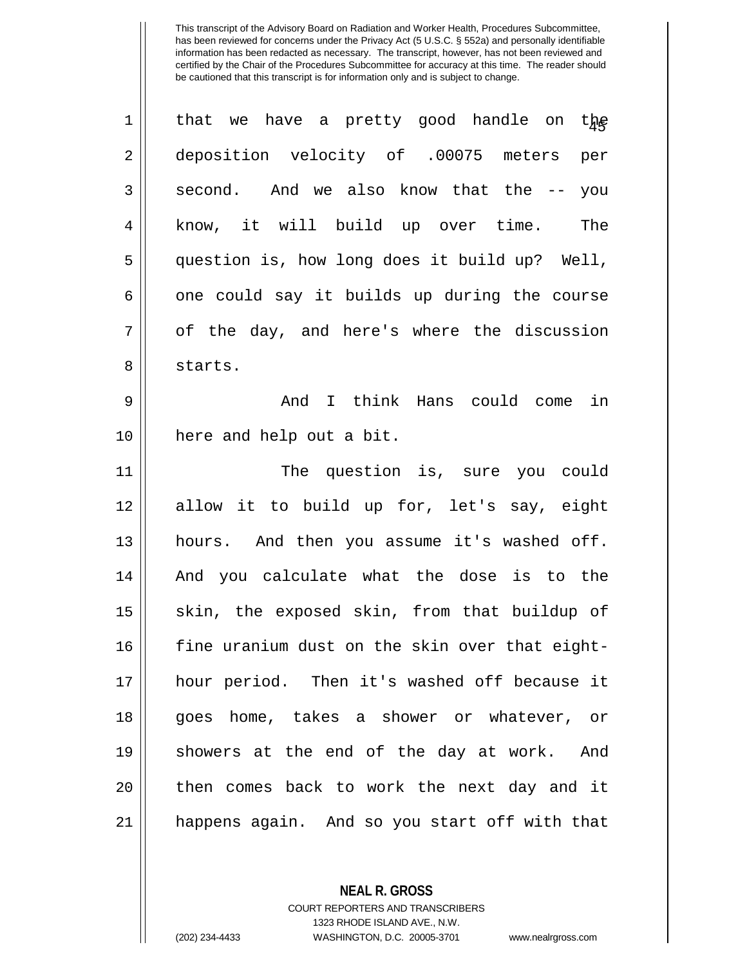| $\mathbf 1$ | that we have a pretty good handle on the       |
|-------------|------------------------------------------------|
| 2           | deposition velocity of .00075 meters per       |
| 3           | second. And we also know that the -- you       |
| 4           | know, it will build up over time.<br>The       |
| 5           | question is, how long does it build up? Well,  |
| 6           | one could say it builds up during the course   |
| 7           | of the day, and here's where the discussion    |
| 8           | starts.                                        |
| 9           | I think Hans could come in<br>And              |
| 10          | here and help out a bit.                       |
| 11          | The question is, sure you could                |
| 12          | allow it to build up for, let's say, eight     |
| 13          | hours. And then you assume it's washed off.    |
| 14          | And you calculate what the dose is to the      |
| 15          | skin, the exposed skin, from that buildup of   |
| 16          | fine uranium dust on the skin over that eight- |
| 17          | hour period. Then it's washed off because it   |
| 18          | goes home, takes a shower or whatever, or      |
| 19          | showers at the end of the day at work. And     |
| 20          | then comes back to work the next day and it    |
| 21          | happens again. And so you start off with that  |

**NEAL R. GROSS**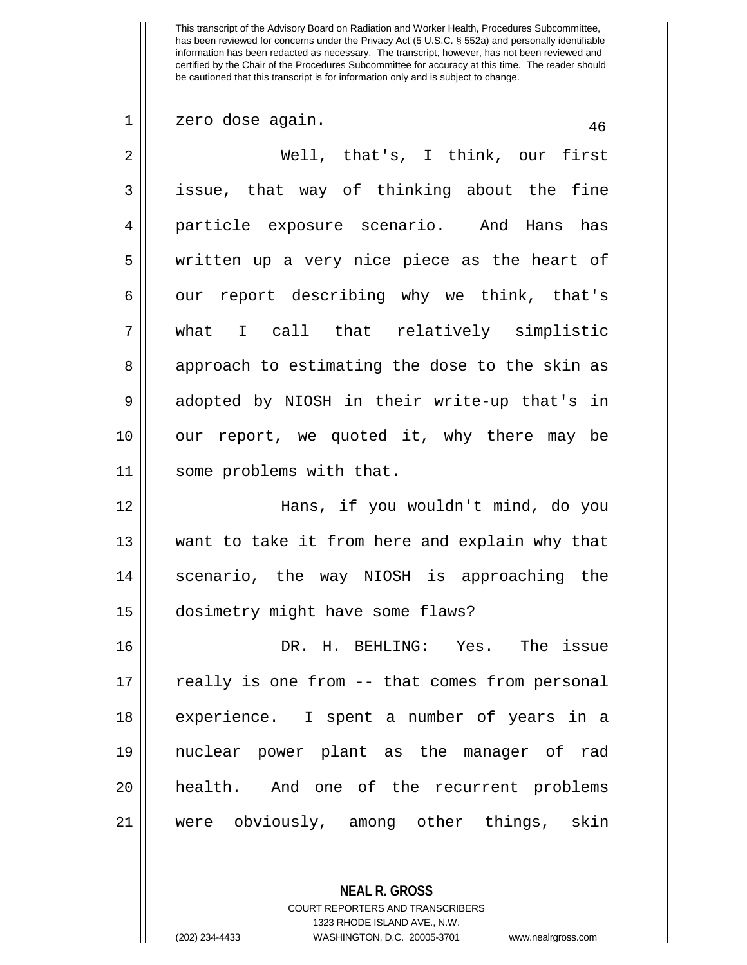1 || zero dose again. 46 2 Well, that's, I think, our first  $3 \parallel$  issue, that way of thinking about the fine 4 particle exposure scenario. And Hans has 5 || written up a very nice piece as the heart of  $6 \parallel$  our report describing why we think, that's 7 what I call that relatively simplistic 8 approach to estimating the dose to the skin as 9 || adopted by NIOSH in their write-up that's in 10 || our report, we quoted it, why there may be 11 some problems with that. 12 Hans, if you wouldn't mind, do you 13 || want to take it from here and explain why that 14 || scenario, the way NIOSH is approaching the 15 dosimetry might have some flaws? 16 DR. H. BEHLING: Yes. The issue  $17$   $\parallel$  really is one from  $-$  that comes from personal 18 experience. I spent a number of years in a 19 nuclear power plant as the manager of rad 20 health. And one of the recurrent problems 21 were obviously, among other things, skin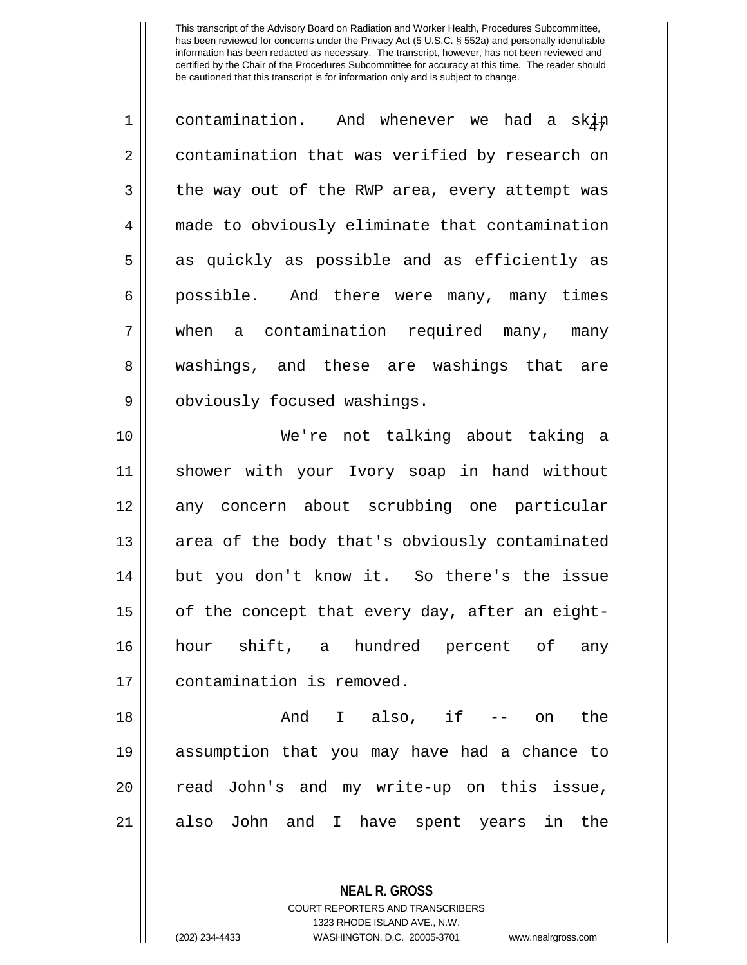| $\mathbf 1$ | contamination. And whenever we had a skin      |
|-------------|------------------------------------------------|
| 2           | contamination that was verified by research on |
| 3           | the way out of the RWP area, every attempt was |
| 4           | made to obviously eliminate that contamination |
| 5           | as quickly as possible and as efficiently as   |
| 6           | possible. And there were many, many times      |
| 7           | when a contamination required many, many       |
| 8           | washings, and these are washings that are      |
| 9           | obviously focused washings.                    |
| 10          | We're not talking about taking a               |
| 11          | shower with your Ivory soap in hand without    |
| 12          | any concern about scrubbing one particular     |
| 13          | area of the body that's obviously contaminated |
| 14          | but you don't know it. So there's the issue    |
| 15          | of the concept that every day, after an eight- |
| 16          | hour shift, a hundred percent of<br>any        |
| 17          | contamination is removed.                      |

 And I also, if -- on the assumption that you may have had a chance to 20 || read John's and my write-up on this issue, 21 || also John and I have spent years in the

> COURT REPORTERS AND TRANSCRIBERS 1323 RHODE ISLAND AVE., N.W.

**NEAL R. GROSS**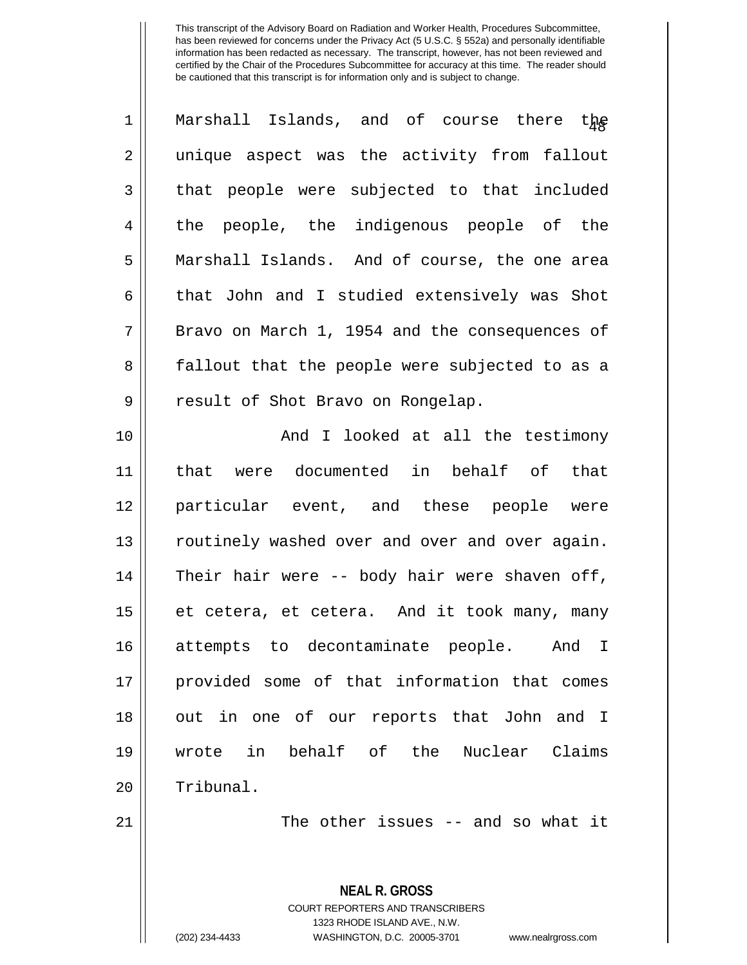| $\mathbf 1$    | Marshall Islands, and of course there the      |
|----------------|------------------------------------------------|
| $\overline{2}$ | unique aspect was the activity from fallout    |
| 3              | that people were subjected to that included    |
| 4              | the people, the indigenous people of the       |
| 5              | Marshall Islands. And of course, the one area  |
| 6              | that John and I studied extensively was Shot   |
| 7              | Bravo on March 1, 1954 and the consequences of |
| 8              | fallout that the people were subjected to as a |
| $\mathsf 9$    | result of Shot Bravo on Rongelap.              |
| 10             | And I looked at all the testimony              |
| 11             | were documented in behalf of<br>that<br>that   |
| 12             | particular event, and these people were        |
| 13             | routinely washed over and over and over again. |
| 14             | Their hair were -- body hair were shaven off,  |
| 15             | et cetera, et cetera. And it took many, many   |
| 16             | attempts to decontaminate people. And I        |
| 17             | provided some of that information that comes   |
| 18             | out in one of our reports that John and I      |
| 19             | wrote in behalf of the Nuclear Claims          |
| 20             | Tribunal.                                      |
| 21             | The other issues $-$ and so what it            |
|                | NEAL R. GROSS                                  |

COURT REPORTERS AND TRANSCRIBERS 1323 RHODE ISLAND AVE., N.W.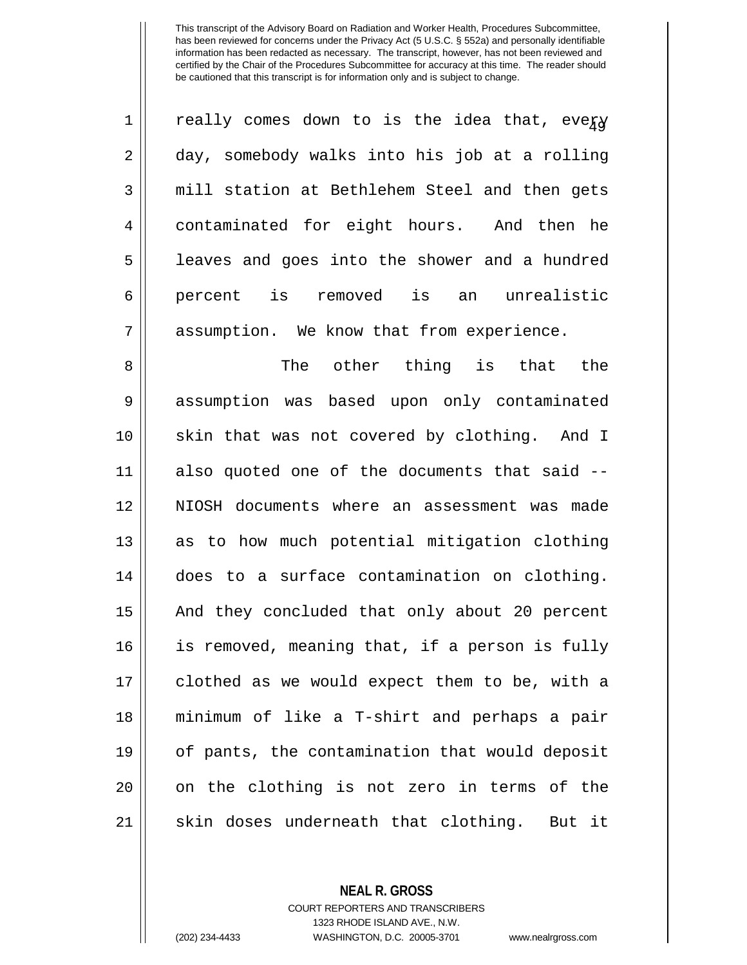| $\overline{1}$ | really comes down to is the idea that, every  |
|----------------|-----------------------------------------------|
| $\overline{2}$ | day, somebody walks into his job at a rolling |
| 3              | mill station at Bethlehem Steel and then gets |
| 4              | contaminated for eight hours. And then he     |
| 5              | leaves and goes into the shower and a hundred |
| 6              | percent is removed is an unrealistic          |
| 7              | assumption. We know that from experience.     |
|                |                                               |

8 The other thing is that the 9 | assumption was based upon only contaminated 10 skin that was not covered by clothing. And I 11 also quoted one of the documents that said -- 12 NIOSH documents where an assessment was made  $13$  as to how much potential mitigation clothing 14 does to a surface contamination on clothing. 15 || And they concluded that only about 20 percent 16 is removed, meaning that, if a person is fully 17 || clothed as we would expect them to be, with a 18 minimum of like a T-shirt and perhaps a pair 19 of pants, the contamination that would deposit 20 || on the clothing is not zero in terms of the 21 || skin doses underneath that clothing. But it

**NEAL R. GROSS**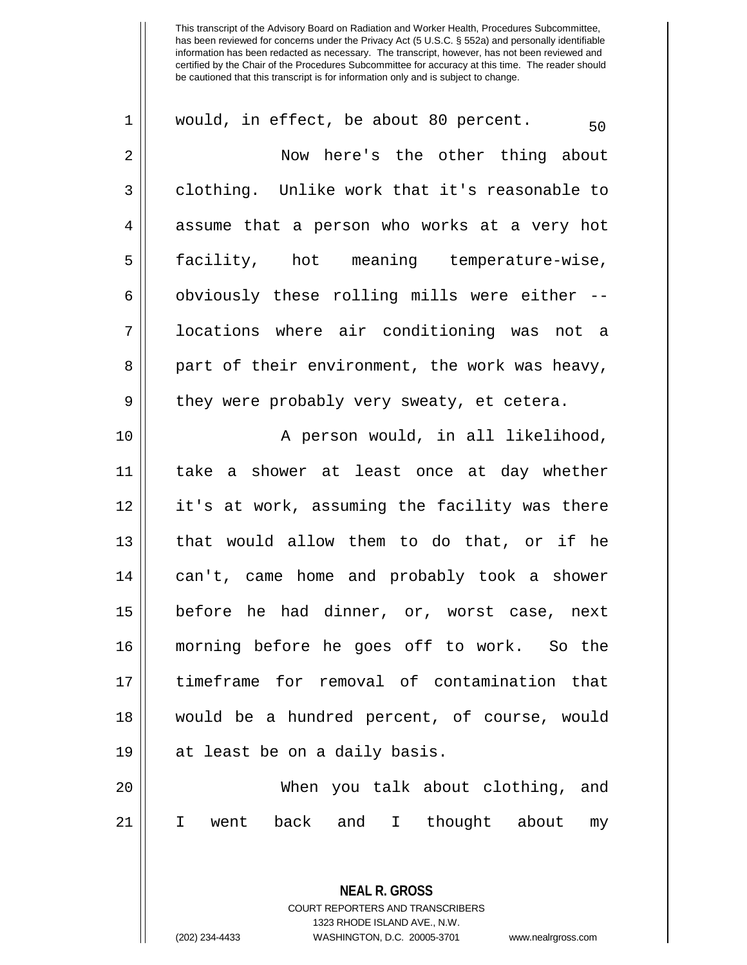| $\mathbf 1$ | would, in effect, be about 80 percent.<br>50   |
|-------------|------------------------------------------------|
| 2           | Now here's the other thing about               |
| 3           | clothing. Unlike work that it's reasonable to  |
| 4           | assume that a person who works at a very hot   |
| 5           | facility, hot meaning temperature-wise,        |
| 6           | obviously these rolling mills were either --   |
| 7           | locations where air conditioning was not a     |
| 8           | part of their environment, the work was heavy, |
| 9           | they were probably very sweaty, et cetera.     |
| 10          | A person would, in all likelihood,             |
| 11          | take a shower at least once at day whether     |
| 12          | it's at work, assuming the facility was there  |
| 13          | that would allow them to do that, or if he     |
| 14          | can't, came home and probably took a shower    |
| 15          | before he had dinner, or, worst case, next     |
| 16          | morning before he goes off to work. So the     |
| 17          | timeframe for removal of contamination that    |
| 18          | would be a hundred percent, of course, would   |
| 19          | at least be on a daily basis.                  |
| 20          | When you talk about clothing, and              |
| 21          | I went back and I thought about<br>my          |
|             |                                                |

1323 RHODE ISLAND AVE., N.W. (202) 234-4433 WASHINGTON, D.C. 20005-3701 www.nealrgross.com

**NEAL R. GROSS** COURT REPORTERS AND TRANSCRIBERS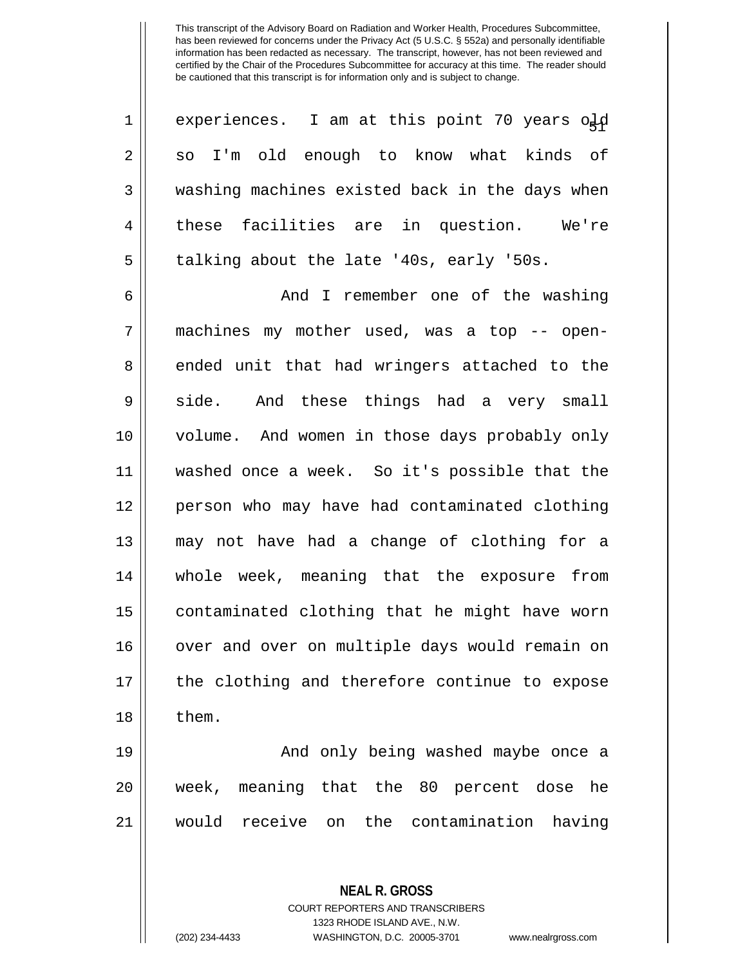| 1              | experiences. I am at this point 70 years old   |
|----------------|------------------------------------------------|
| 2 <sup>1</sup> | so I'm old enough to know what kinds of        |
| 3              | washing machines existed back in the days when |
| $\overline{4}$ | these facilities are in question.<br>We're     |
| 5              | talking about the late '40s, early '50s.       |

6 And I remember one of the washing 7 machines my mother used, was a top -- open-8 || ended unit that had wringers attached to the  $9 \parallel$  side. And these things had a very small 10 volume. And women in those days probably only 11 washed once a week. So it's possible that the 12 person who may have had contaminated clothing 13 may not have had a change of clothing for a 14 whole week, meaning that the exposure from 15 | contaminated clothing that he might have worn 16 || over and over on multiple days would remain on 17 || the clothing and therefore continue to expose  $18 \parallel$  them.

19 And only being washed maybe once a 20 week, meaning that the 80 percent dose he 21 would receive on the contamination having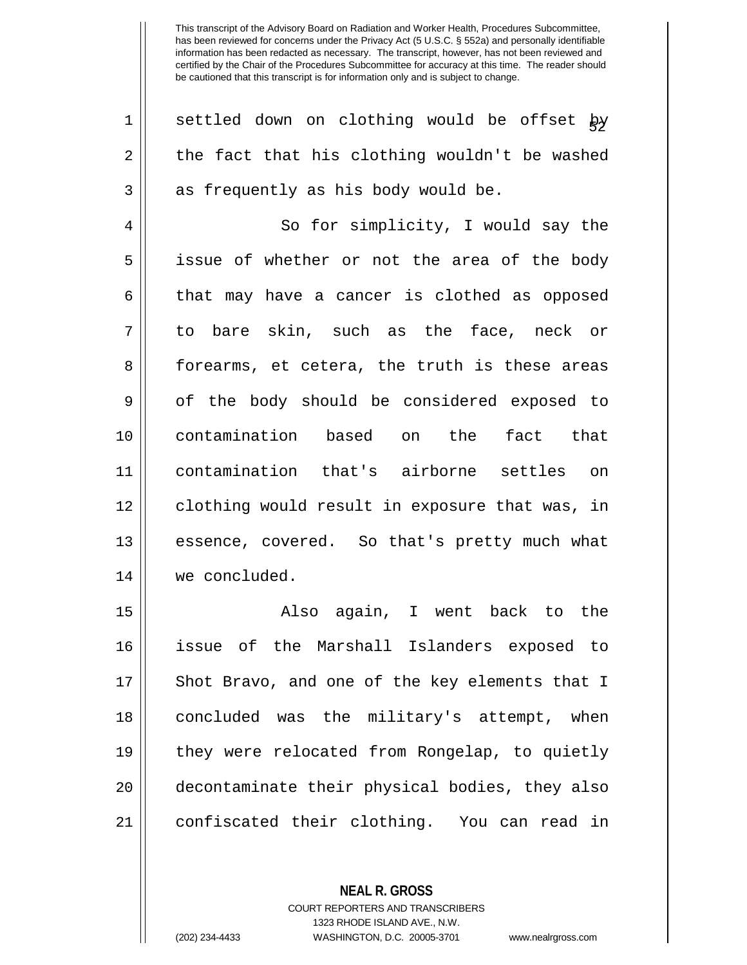| 1  | settled down on clothing would be offset by    |
|----|------------------------------------------------|
| 2  | the fact that his clothing wouldn't be washed  |
| 3  | as frequently as his body would be.            |
| 4  | So for simplicity, I would say the             |
| 5  | issue of whether or not the area of the body   |
| 6  | that may have a cancer is clothed as opposed   |
| 7  | to bare skin, such as the face, neck or        |
| 8  | forearms, et cetera, the truth is these areas  |
| 9  | of the body should be considered exposed to    |
|    |                                                |
| 10 | contamination based on the<br>fact that        |
| 11 | contamination that's airborne settles on       |
| 12 | clothing would result in exposure that was, in |
| 13 | essence, covered. So that's pretty much what   |
| 14 | we concluded.                                  |
| 15 | Also again, I went back to the                 |
| 16 | issue of the Marshall Islanders exposed to     |
| 17 | Shot Bravo, and one of the key elements that I |

COURT REPORTERS AND TRANSCRIBERS 1323 RHODE ISLAND AVE., N.W.

**NEAL R. GROSS**

19 || they were relocated from Rongelap, to quietly

| decontaminate their physical bodies, they also

21 | confiscated their clothing. You can read in

<sup>(202) 234-4433</sup> WASHINGTON, D.C. 20005-3701 www.nealrgross.com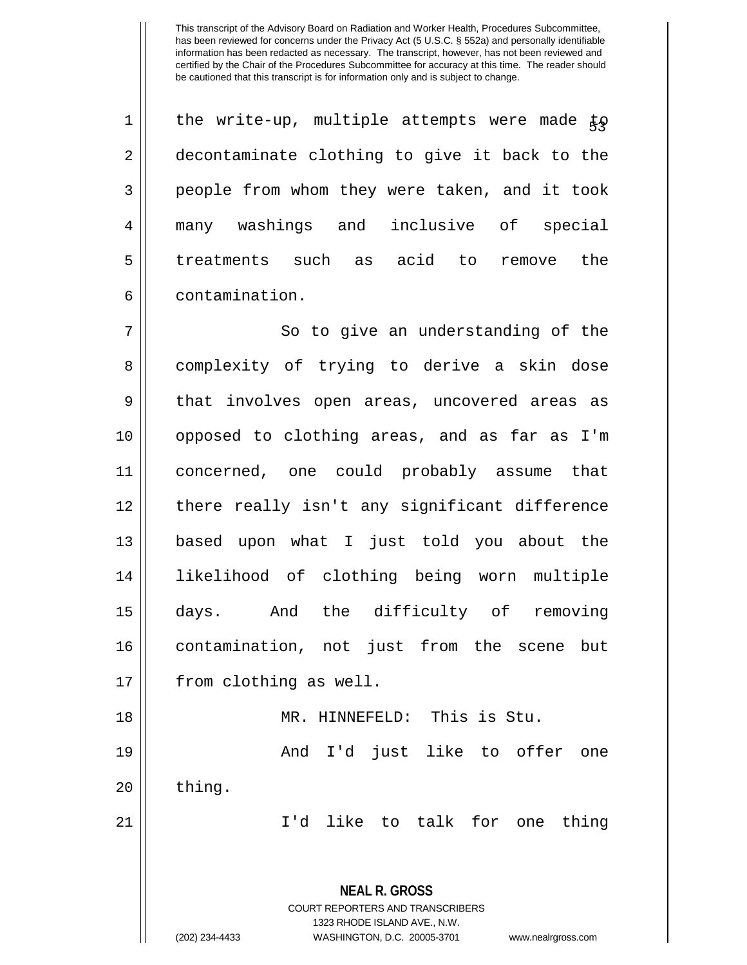1 || the write-up, multiple attempts were made  $\frac{1}{k}$ 2 | decontaminate clothing to give it back to the 3 || people from whom they were taken, and it took 4 many washings and inclusive of special 5 treatments such as acid to remove the 6 contamination.

7 || So to give an understanding of the 8 | complexity of trying to derive a skin dose 9 || that involves open areas, uncovered areas as opposed to clothing areas, and as far as I'm concerned, one could probably assume that there really isn't any significant difference based upon what I just told you about the likelihood of clothing being worn multiple days. And the difficulty of removing contamination, not just from the scene but 17 | from clothing as well. MR. HINNEFELD: This is Stu. And I'd just like to offer one || thing.

21 I'd like to talk for one thing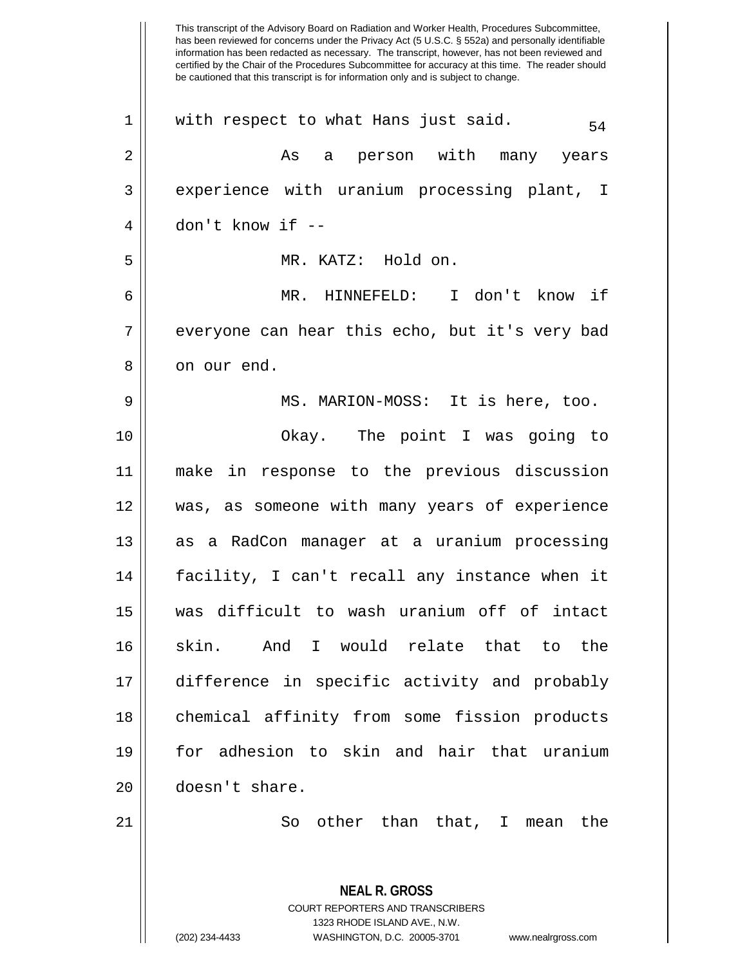has been reviewed for concerns under the Privacy Act (5 U.S.C. § 552a) and personally identifiable information has been redacted as necessary. The transcript, however, has not been reviewed and certified by the Chair of the Procedures Subcommittee for accuracy at this time. The reader should be cautioned that this transcript is for information only and is subject to change. **NEAL R. GROSS** COURT REPORTERS AND TRANSCRIBERS  $1 \parallel$  with respect to what Hans just said. 2 As a person with many years 3 experience with uranium processing plant, I 4 don't know if -- 5 MR. KATZ: Hold on. 6 MR. HINNEFELD: I don't know if 7 || everyone can hear this echo, but it's very bad 8 || on our end. 9 MS. MARION-MOSS: It is here, too. 10 Okay. The point I was going to 11 make in response to the previous discussion 12 was, as someone with many years of experience 13 || as a RadCon manager at a uranium processing 14 || facility, I can't recall any instance when it 15 was difficult to wash uranium off of intact 16 Skin. And I would relate that to the 17 difference in specific activity and probably 18 || chemical affinity from some fission products 19 for adhesion to skin and hair that uranium 20 | doesn't share. 21 || So other than that, I mean the

1323 RHODE ISLAND AVE., N.W.

This transcript of the Advisory Board on Radiation and Worker Health, Procedures Subcommittee,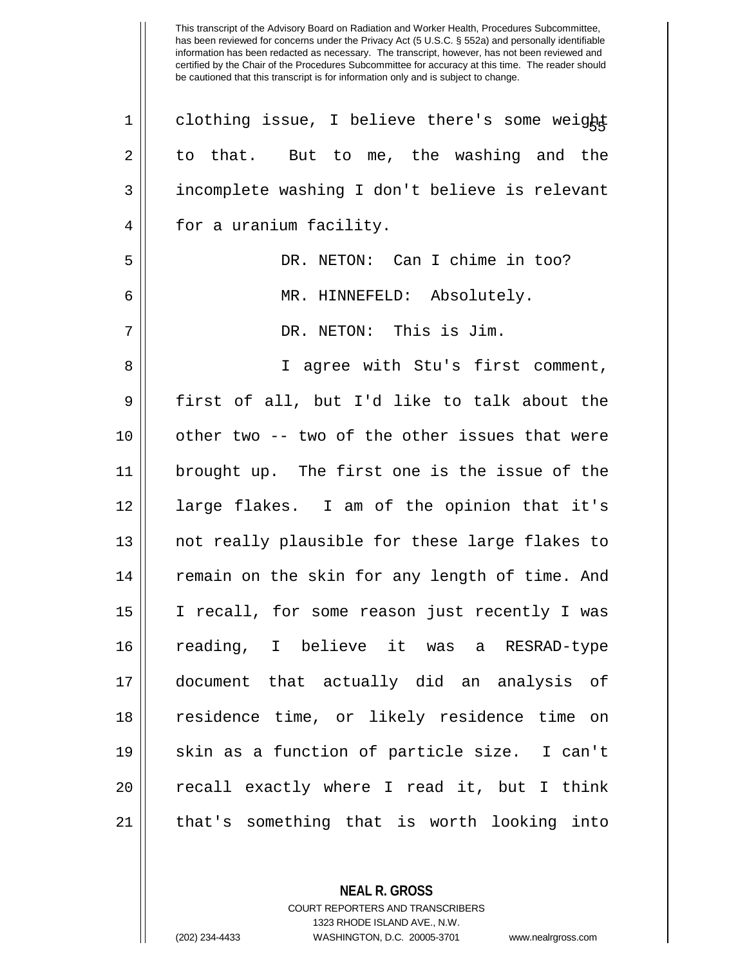| $\mathbf 1$ | clothing issue, I believe there's some weight  |
|-------------|------------------------------------------------|
| 2           | to that. But to me, the washing and the        |
| 3           | incomplete washing I don't believe is relevant |
| 4           | for a uranium facility.                        |
| 5           | DR. NETON: Can I chime in too?                 |
| 6           | MR. HINNEFELD: Absolutely.                     |
| 7           | DR. NETON: This is Jim.                        |
| 8           | I agree with Stu's first comment,              |
| $\mathsf 9$ | first of all, but I'd like to talk about the   |
| 10          | other two -- two of the other issues that were |
| 11          | brought up. The first one is the issue of the  |
| 12          | large flakes. I am of the opinion that it's    |
| 13          | not really plausible for these large flakes to |
| 14          | remain on the skin for any length of time. And |
| 15          | I recall, for some reason just recently I was  |
| 16          | reading, I believe it was a RESRAD-type        |
| 17          | document that actually did an analysis of      |
| 18          | residence time, or likely residence time on    |
| 19          | skin as a function of particle size. I can't   |
| 20          | recall exactly where I read it, but I think    |
| 21          | that's something that is worth looking into    |

COURT REPORTERS AND TRANSCRIBERS 1323 RHODE ISLAND AVE., N.W.

**NEAL R. GROSS**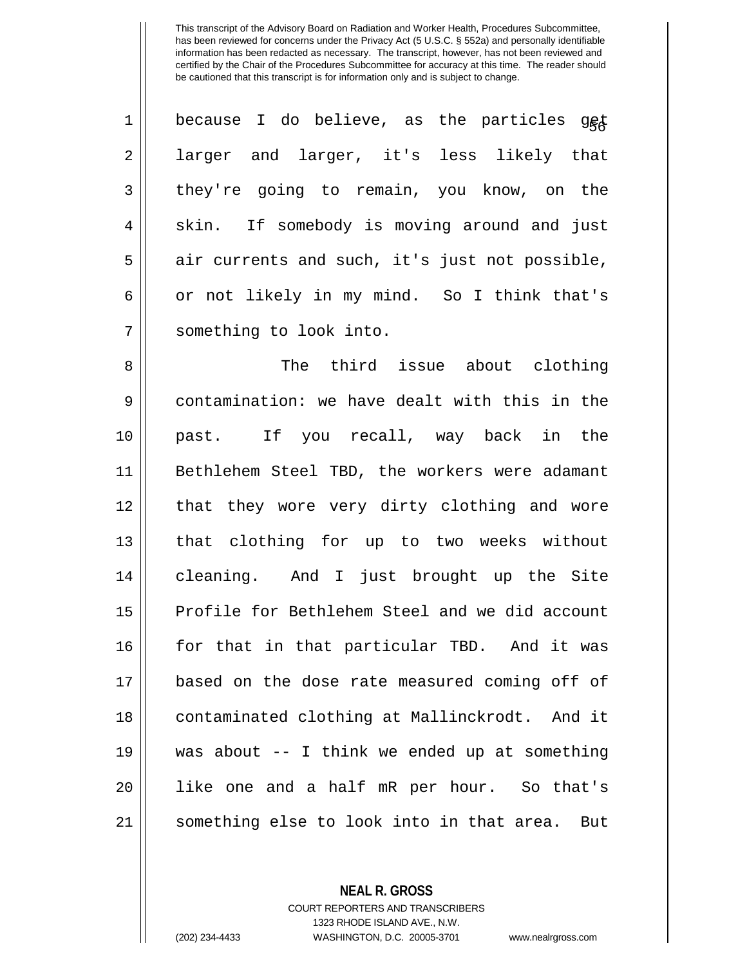| $\mathbf 1$ | because I do believe, as the particles get     |
|-------------|------------------------------------------------|
| 2           | larger and larger, it's less likely that       |
| 3           | they're going to remain, you know, on the      |
| 4           | skin. If somebody is moving around and just    |
| 5           | air currents and such, it's just not possible, |
| 6           | or not likely in my mind. So I think that's    |
| 7           | something to look into.                        |
| 8           | The third issue about clothing                 |
| 9           | contamination: we have dealt with this in the  |
| 10          | past. If you recall, way back in the           |
| 11          | Bethlehem Steel TBD, the workers were adamant  |
| 12          | that they wore very dirty clothing and wore    |
| 13          | that clothing for up to two weeks without      |
| 14          | cleaning. And I just brought up the Site       |
| 15          | Profile for Bethlehem Steel and we did account |
| 16          | for that in that particular TBD. And it was    |
| 17          | based on the dose rate measured coming off of  |
| 18          | contaminated clothing at Mallinckrodt. And it  |
| 19          | was about -- I think we ended up at something  |

21 || something else to look into in that area. But

**NEAL R. GROSS** COURT REPORTERS AND TRANSCRIBERS

20 || like one and a half mR per hour. So that's

1323 RHODE ISLAND AVE., N.W. (202) 234-4433 WASHINGTON, D.C. 20005-3701 www.nealrgross.com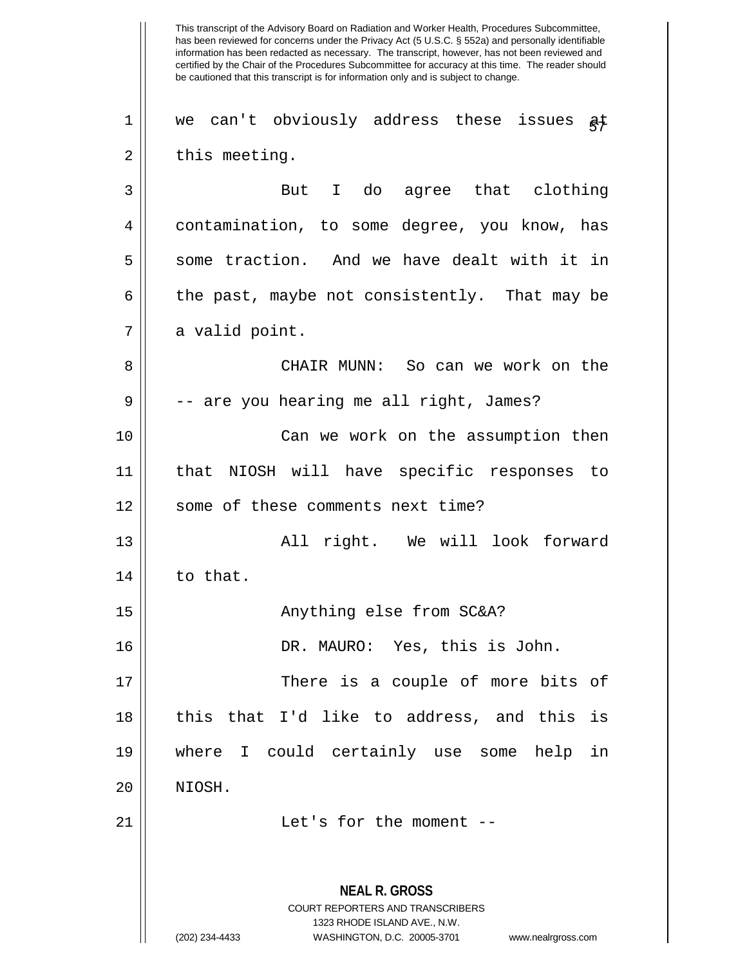This transcript of the Advisory Board on Radiation and Worker Health, Procedures Subcommittee, has been reviewed for concerns under the Privacy Act (5 U.S.C. § 552a) and personally identifiable information has been redacted as necessary. The transcript, however, has not been reviewed and certified by the Chair of the Procedures Subcommittee for accuracy at this time. The reader should be cautioned that this transcript is for information only and is subject to change. **NEAL R. GROSS** COURT REPORTERS AND TRANSCRIBERS 1323 RHODE ISLAND AVE., N.W. 1 || we can't obviously address these issues  $a\overline{t}$  $2 \parallel$  this meeting. 3 || But I do agree that clothing 4 contamination, to some degree, you know, has  $5 \parallel$  some traction. And we have dealt with it in  $6 \parallel$  the past, maybe not consistently. That may be  $7 ||$  a valid point. 8 CHAIR MUNN: So can we work on the  $9 \parallel$  -- are you hearing me all right, James? 10 Can we work on the assumption then 11 that NIOSH will have specific responses to 12 || some of these comments next time? 13 All right. We will look forward  $14$  to that. 15 || Anything else from SC&A? 16 DR. MAURO: Yes, this is John. 17 || There is a couple of more bits of 18 || this that I'd like to address, and this is 19 where I could certainly use some help in 20 NIOSH. 21 || Let's for the moment --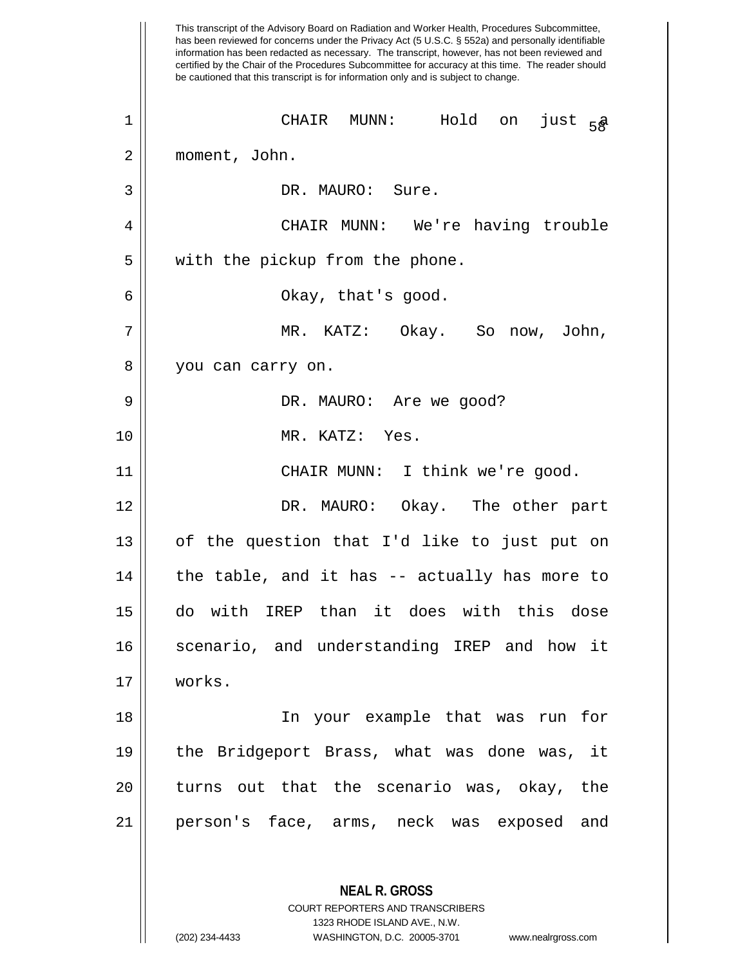This transcript of the Advisory Board on Radiation and Worker Health, Procedures Subcommittee, has been reviewed for concerns under the Privacy Act (5 U.S.C. § 552a) and personally identifiable information has been redacted as necessary. The transcript, however, has not been reviewed and certified by the Chair of the Procedures Subcommittee for accuracy at this time. The reader should be cautioned that this transcript is for information only and is subject to change. **NEAL R. GROSS** COURT REPORTERS AND TRANSCRIBERS 1323 RHODE ISLAND AVE., N.W.  $\begin{array}{ccc} 1 & \hspace{1cm} \text{CHAIR} \hspace{1.5cm} \text{MUNN:} \hspace{1.5cm} \text{Hold} \hspace{1.5cm} \text{on} \hspace{1.5cm} \text{just} \hspace{1.5cm} 58 \end{array}$ 2 moment, John. 3 || DR. MAURO: Sure. 4 CHAIR MUNN: We're having trouble  $5 \parallel$  with the pickup from the phone. 6 Okay, that's good. 7 MR. KATZ: Okay. So now, John, 8 || you can carry on. 9 DR. MAURO: Are we good? 10 MR. KATZ: Yes. 11 CHAIR MUNN: I think we're good. 12 DR. MAURO: Okay. The other part  $13$  || of the question that I'd like to just put on  $14$  | the table, and it has  $-$  actually has more to 15 do with IREP than it does with this dose 16 || scenario, and understanding IREP and how it 17 works. 18 In your example that was run for 19 the Bridgeport Brass, what was done was, it  $20$  || turns out that the scenario was, okay, the 21 person's face, arms, neck was exposed and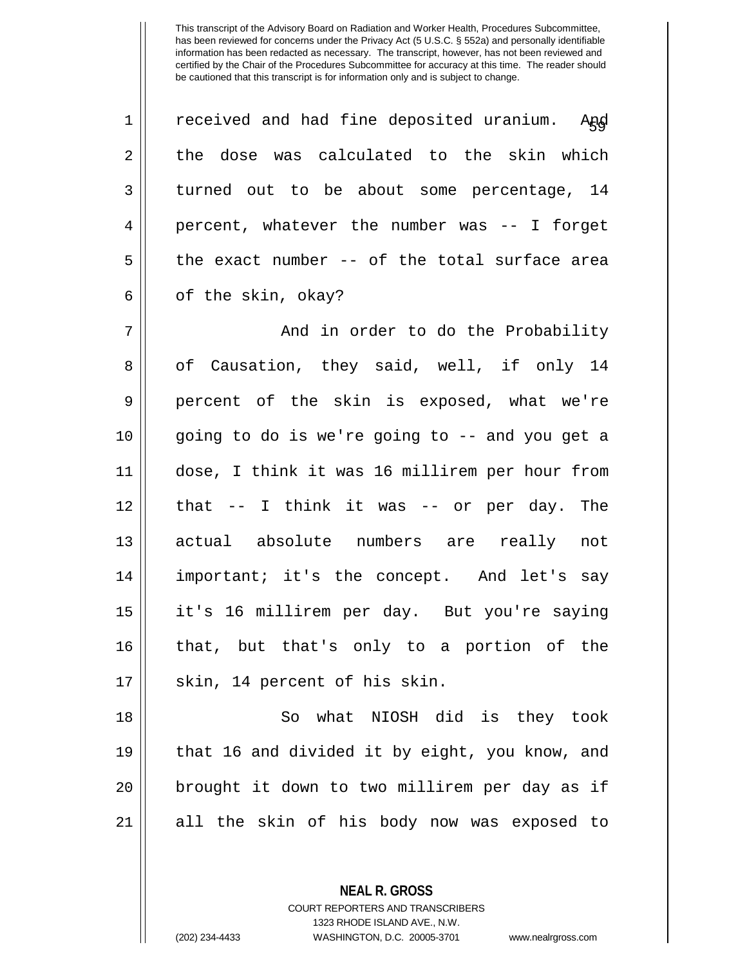| $\mathbf 1$ | received and had fine deposited uranium. Apd   |
|-------------|------------------------------------------------|
| 2           | the dose was calculated to the skin which      |
| 3           | turned out to be about some percentage, 14     |
| 4           | percent, whatever the number was -- I forget   |
| 5           | the exact number -- of the total surface area  |
| 6           | of the skin, okay?                             |
| 7           | And in order to do the Probability             |
| 8           | of Causation, they said, well, if only 14      |
| $\mathsf 9$ | percent of the skin is exposed, what we're     |
| 10          | going to do is we're going to -- and you get a |
| 11          | dose, I think it was 16 millirem per hour from |
| 12          | that -- I think it was -- or per day. The      |
| 13          | actual absolute numbers are really not         |
| 14          | important; it's the concept. And let's say     |
| 15          | it's 16 millirem per day. But you're saying    |
| 16          | that, but that's only to a portion of the      |
| 17          | skin, 14 percent of his skin.                  |
| 18          | what NIOSH did is they took<br>So              |
| 19          | that 16 and divided it by eight, you know, and |
| 20          | brought it down to two millirem per day as if  |

all the skin of his body now was exposed to

**NEAL R. GROSS**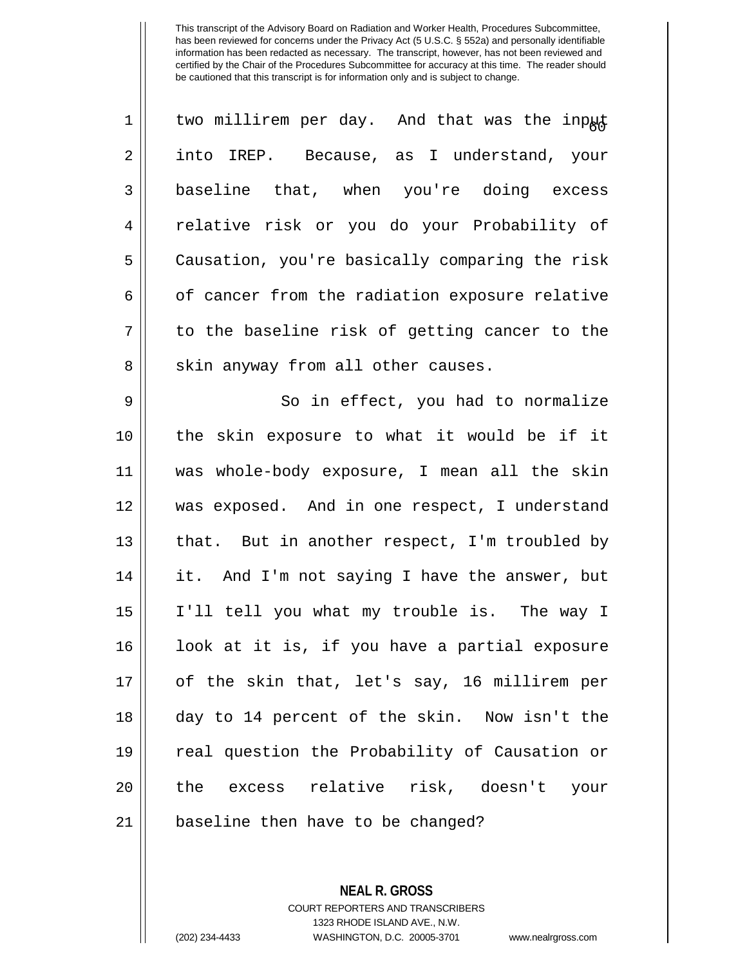| $\mathbf 1$    | two millirem per day. And that was the input   |
|----------------|------------------------------------------------|
| $\overline{2}$ | into IREP. Because, as I understand, your      |
| 3              | baseline that, when you're doing excess        |
| $\overline{4}$ | relative risk or you do your Probability of    |
| 5              | Causation, you're basically comparing the risk |
| 6              | of cancer from the radiation exposure relative |
| 7              | to the baseline risk of getting cancer to the  |
| 8              | skin anyway from all other causes.             |
| $\mathsf 9$    | So in effect, you had to normalize             |
| 10             | the skin exposure to what it would be if it    |
| 11             | was whole-body exposure, I mean all the skin   |
| 12             | was exposed. And in one respect, I understand  |
| 13             | that. But in another respect, I'm troubled by  |
| 14             | it. And I'm not saying I have the answer, but  |
| 15             | I'll tell you what my trouble is. The way I    |
| 16             | look at it is, if you have a partial exposure  |
| 17             | of the skin that, let's say, 16 millirem per   |
| 18             | day to 14 percent of the skin. Now isn't the   |
| 19             | real question the Probability of Causation or  |
| 20             | the excess relative risk, doesn't your         |
| 21             | baseline then have to be changed?              |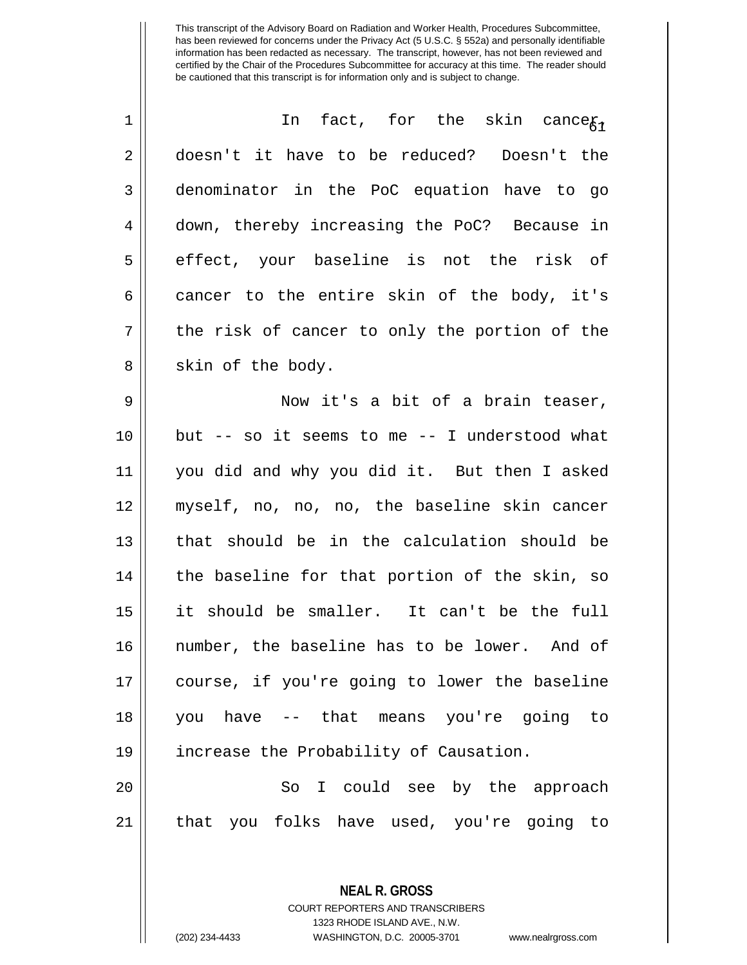| $\mathbf 1$ | In fact, for the skin cance $g_{\gamma}$        |
|-------------|-------------------------------------------------|
| 2           | doesn't it have to be reduced? Doesn't the      |
| 3           | denominator in the PoC equation have to go      |
| 4           | down, thereby increasing the PoC? Because in    |
| 5           | effect, your baseline is not the risk of        |
| 6           | cancer to the entire skin of the body, it's     |
| 7           | the risk of cancer to only the portion of the   |
| 8           | skin of the body.                               |
| 9           | Now it's a bit of a brain teaser,               |
| 10          | but $-$ so it seems to me $-$ I understood what |
| 11          | you did and why you did it. But then I asked    |
| 12          | myself, no, no, no, the baseline skin cancer    |
| 13          | that should be in the calculation should be     |
| 14          | the baseline for that portion of the skin, so   |
| 15          | it should be smaller. It can't be the full      |
| 16          | number, the baseline has to be lower. And of    |
| 17          | course, if you're going to lower the baseline   |
| 18          | you have -- that means you're going to          |
| 19          | increase the Probability of Causation.          |
| 20          | So I could see by the approach                  |
| 21          | that you folks have used, you're going to       |
|             |                                                 |

**NEAL R. GROSS** COURT REPORTERS AND TRANSCRIBERS 1323 RHODE ISLAND AVE., N.W.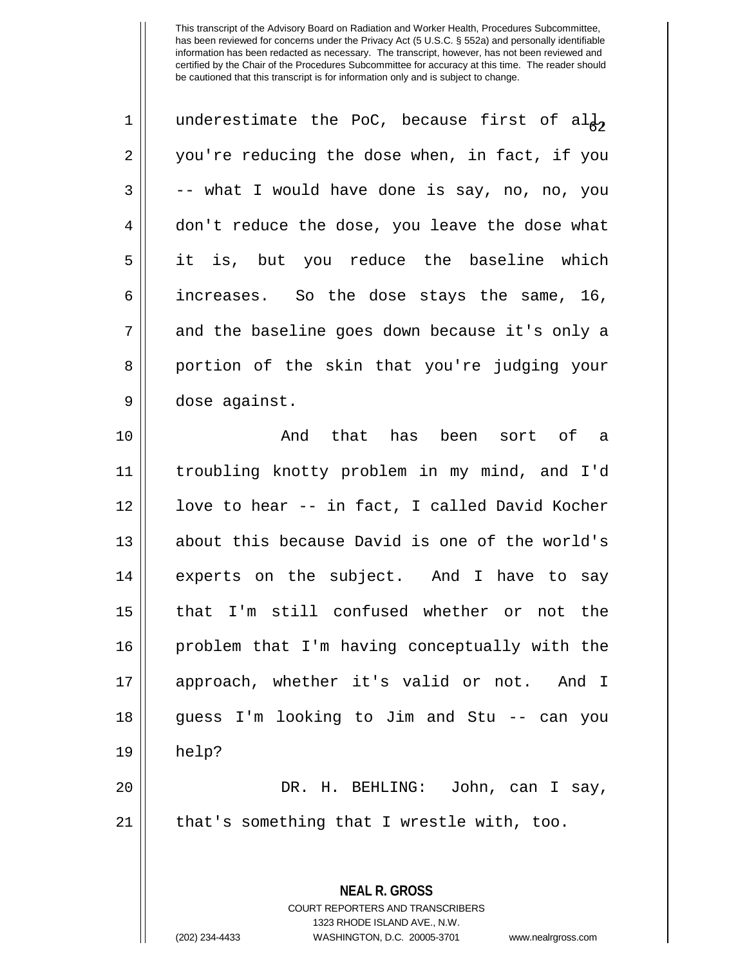| 1  | underestimate the PoC, because first of al $\frac{1}{6}$ |
|----|----------------------------------------------------------|
| 2  | you're reducing the dose when, in fact, if you           |
| 3  | -- what I would have done is say, no, no, you            |
| 4  | don't reduce the dose, you leave the dose what           |
| 5  | it is, but you reduce the baseline which                 |
| 6  | increases. So the dose stays the same, 16,               |
| 7  | and the baseline goes down because it's only a           |
| 8  | portion of the skin that you're judging your             |
| 9  | dose against.                                            |
| 10 | that has been sort of a<br>And                           |
| 11 | troubling knotty problem in my mind, and I'd             |
| 12 | love to hear -- in fact, I called David Kocher           |
| 13 | about this because David is one of the world's           |
| 14 | experts on the subject. And I have to say                |
| 15 | that I'm still confused whether or not the               |
| 16 | problem that I'm having conceptually with the            |
| 17 | approach, whether it's valid or not. And I               |
| 18 | guess I'm looking to Jim and Stu -- can you              |
| 19 | help?                                                    |
| 20 | DR. H. BEHLING: John, can I say,                         |
| 21 | that's something that I wrestle with, too.               |
|    |                                                          |
|    | <b>NEAL R. GROSS</b>                                     |

COURT REPORTERS AND TRANSCRIBERS 1323 RHODE ISLAND AVE., N.W.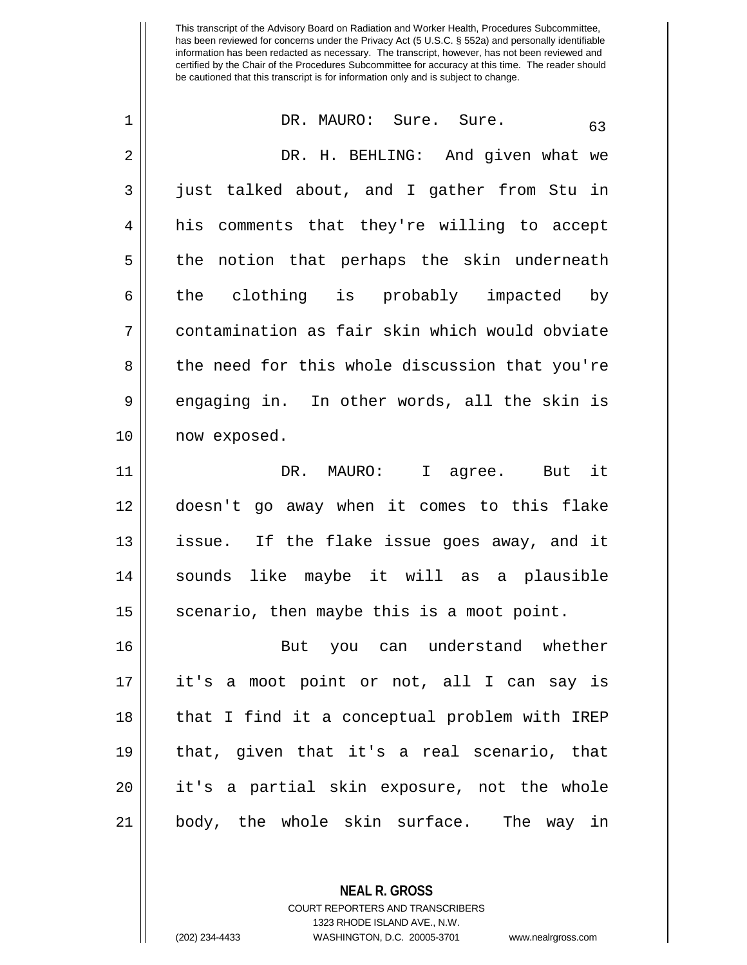| $\mathbf 1$ | DR. MAURO: Sure. Sure.<br>63                   |
|-------------|------------------------------------------------|
| 2           | DR. H. BEHLING: And given what we              |
| 3           | just talked about, and I gather from Stu in    |
| 4           | comments that they're willing to accept<br>his |
| 5           | the notion that perhaps the skin underneath    |
| 6           | the clothing is probably impacted by           |
| 7           | contamination as fair skin which would obviate |
| 8           | the need for this whole discussion that you're |
| 9           | engaging in. In other words, all the skin is   |
| 10          | now exposed.                                   |
| 11          | DR. MAURO: I agree. But it                     |
| 12          | doesn't go away when it comes to this flake    |
| 13          | issue. If the flake issue goes away, and it    |
| 14          | sounds like maybe it will as a plausible       |
| 15          | scenario, then maybe this is a moot point.     |
| 16          | But you can understand whether                 |
| 17          | it's a moot point or not, all I can say is     |
| 18          | that I find it a conceptual problem with IREP  |
| 19          | that, given that it's a real scenario, that    |
| 20          | it's a partial skin exposure, not the whole    |
| 21          | body, the whole skin surface. The way in       |

**NEAL R. GROSS** COURT REPORTERS AND TRANSCRIBERS

1323 RHODE ISLAND AVE., N.W.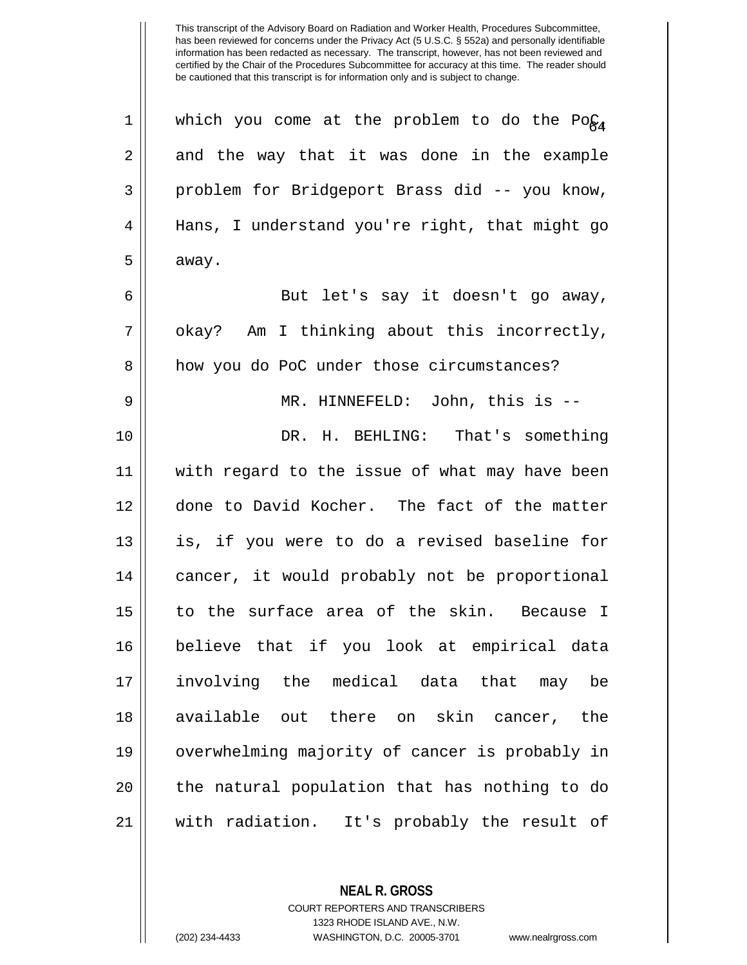| $\mathbf 1$ | which you come at the problem to do the Po $\zeta_4$ |
|-------------|------------------------------------------------------|
| 2           | and the way that it was done in the example          |
| 3           | problem for Bridgeport Brass did -- you know,        |
| 4           | Hans, I understand you're right, that might go       |
| 5           | away.                                                |
| 6           | But let's say it doesn't go away,                    |
| 7           | okay? Am I thinking about this incorrectly,          |
| 8           | how you do PoC under those circumstances?            |
| 9           | MR. HINNEFELD: John, this is --                      |
| 10          | DR. H. BEHLING: That's something                     |
| 11          | with regard to the issue of what may have been       |
| 12          | done to David Kocher. The fact of the matter         |
| 13          | is, if you were to do a revised baseline for         |
| 14          | cancer, it would probably not be proportional        |
| 15          | to the surface area of the skin. Because I           |
| 16          | believe that if you look at empirical data           |
| 17          | involving the medical data that may<br>be            |
| 18          | available out there on skin cancer, the              |
| 19          | overwhelming majority of cancer is probably in       |
| 20          | the natural population that has nothing to do        |
| 21          | with radiation. It's probably the result of          |

**NEAL R. GROSS**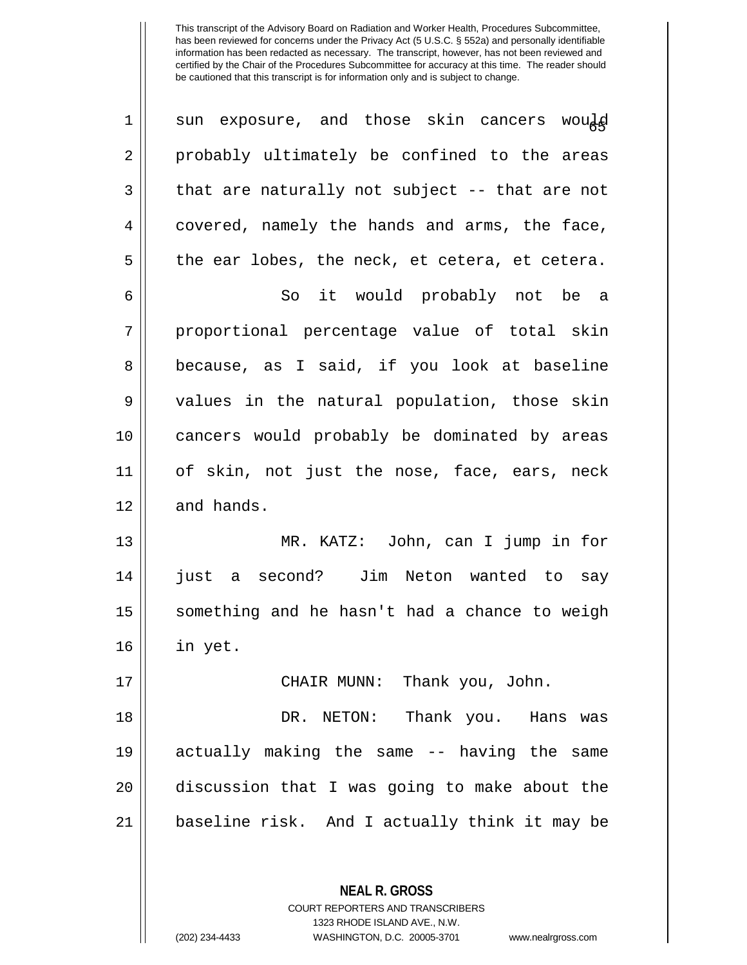| 1  | sun exposure, and those skin cancers would     |
|----|------------------------------------------------|
| 2  | probably ultimately be confined to the areas   |
| 3  | that are naturally not subject -- that are not |
| 4  | covered, namely the hands and arms, the face,  |
| 5  | the ear lobes, the neck, et cetera, et cetera. |
| 6  | So it would probably not be a                  |
| 7  | proportional percentage value of total skin    |
| 8  | because, as I said, if you look at baseline    |
| 9  | values in the natural population, those skin   |
| 10 | cancers would probably be dominated by areas   |
| 11 | of skin, not just the nose, face, ears, neck   |
| 12 | and hands.                                     |
| 13 | MR. KATZ: John, can I jump in for              |
| 14 | a second? Jim Neton wanted to say<br>just      |
| 15 | something and he hasn't had a chance to weigh  |
| 16 | in yet.                                        |
| 17 | CHAIR MUNN: Thank you, John.                   |
| 18 | DR. NETON: Thank you. Hans was                 |
| 19 | actually making the same -- having the same    |
| 20 | discussion that I was going to make about the  |
| 21 | baseline risk. And I actually think it may be  |
|    |                                                |

**NEAL R. GROSS** COURT REPORTERS AND TRANSCRIBERS 1323 RHODE ISLAND AVE., N.W.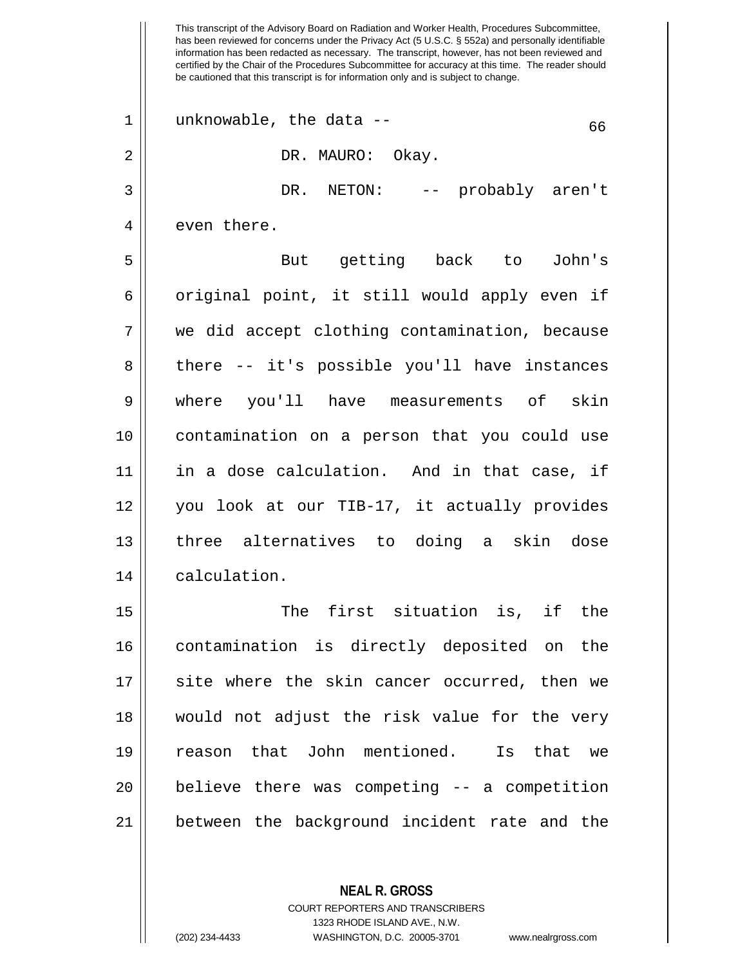This transcript of the Advisory Board on Radiation and Worker Health, Procedures Subcommittee, has been reviewed for concerns under the Privacy Act (5 U.S.C. § 552a) and personally identifiable information has been redacted as necessary. The transcript, however, has not been reviewed and certified by the Chair of the Procedures Subcommittee for accuracy at this time. The reader should be cautioned that this transcript is for information only and is subject to change.  $1 \parallel$  unknowable, the data --2 DR. MAURO: Okay. 3 DR. NETON: -- probably aren't 4 | even there. 5 But getting back to John's  $6 \parallel$  original point, it still would apply even if 7 we did accept clothing contamination, because 8 || there -- it's possible you'll have instances 9 where you'll have measurements of skin 10 contamination on a person that you could use 11 in a dose calculation. And in that case, if 12 || you look at our TIB-17, it actually provides 13 || three alternatives to doing a skin dose 14 calculation. 15 The first situation is, if the 16 contamination is directly deposited on the 17 || site where the skin cancer occurred, then we 18 would not adjust the risk value for the very 19 reason that John mentioned. Is that we 20 || believe there was competing -- a competition 21 between the background incident rate and the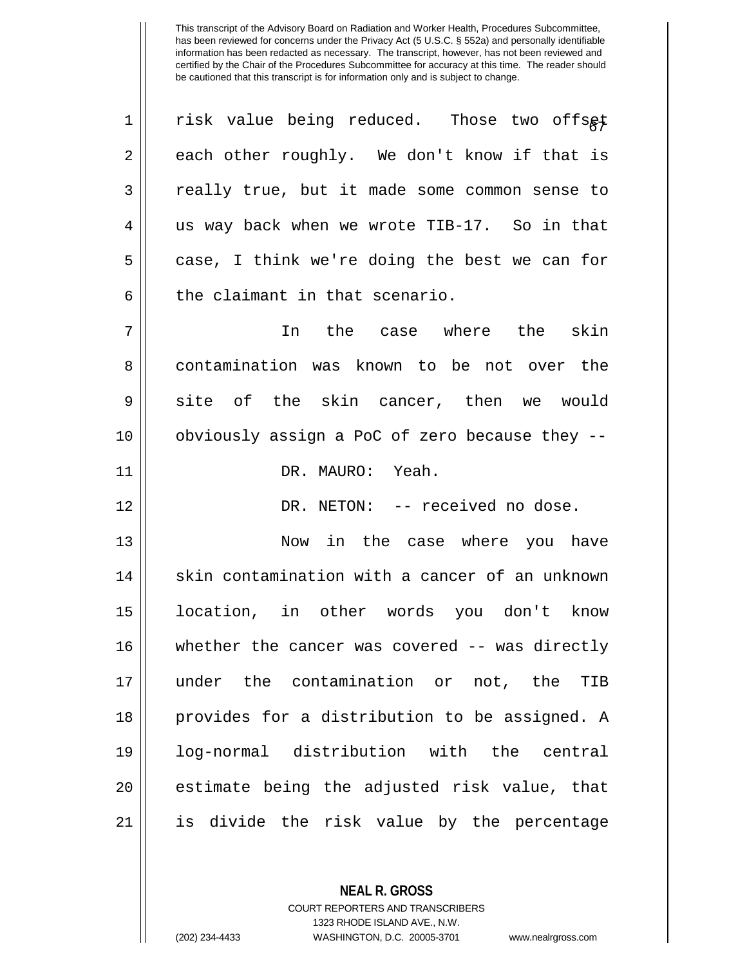| $\mathbf 1$ | risk value being reduced. Those two offsgt     |
|-------------|------------------------------------------------|
| 2           | each other roughly. We don't know if that is   |
| 3           | really true, but it made some common sense to  |
| 4           | us way back when we wrote TIB-17. So in that   |
| 5           | case, I think we're doing the best we can for  |
| 6           | the claimant in that scenario.                 |
| 7           | In the case where the skin                     |
| 8           | contamination was known to be not over the     |
| 9           | site of the skin cancer, then we would         |
| 10          | obviously assign a PoC of zero because they -- |
| 11          | DR. MAURO: Yeah.                               |
| 12          | DR. NETON: -- received no dose.                |
| 13          | Now in the case where you have                 |
| 14          | skin contamination with a cancer of an unknown |
| 15          | location, in other words you don't know        |
| 16          | whether the cancer was covered -- was directly |
| 17          | under the contamination or not, the<br>TIB     |
| 18          | provides for a distribution to be assigned. A  |
| 19          | log-normal distribution with the central       |
| 20          | estimate being the adjusted risk value, that   |
| 21          | is divide the risk value by the percentage     |

COURT REPORTERS AND TRANSCRIBERS 1323 RHODE ISLAND AVE., N.W. (202) 234-4433 WASHINGTON, D.C. 20005-3701 www.nealrgross.com

**NEAL R. GROSS**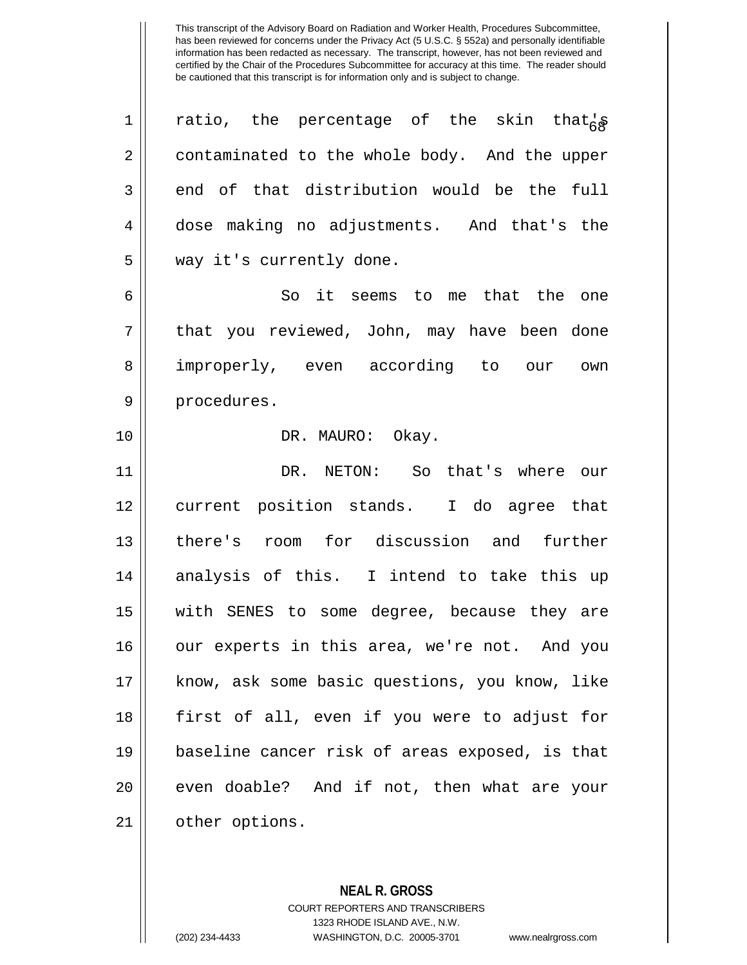| $\mathbf 1$ | ratio, the percentage of the skin that's       |
|-------------|------------------------------------------------|
| 2           | contaminated to the whole body. And the upper  |
| 3           | end of that distribution would be the full     |
| 4           | dose making no adjustments. And that's the     |
| 5           | way it's currently done.                       |
| 6           | So it seems to me that the one                 |
| 7           | that you reviewed, John, may have been done    |
| 8           | improperly, even according to our own          |
| 9           | procedures.                                    |
| 10          | DR. MAURO: Okay.                               |
| 11          | DR. NETON: So that's where our                 |
| 12          | current position stands. I do agree that       |
| 13          | there's room for discussion and further        |
| 14          | analysis of this. I intend to take this up     |
| 15          | with SENES to some degree, because they are    |
| 16          | our experts in this area, we're not. And you   |
| 17          | know, ask some basic questions, you know, like |
| 18          | first of all, even if you were to adjust for   |
| 19          | baseline cancer risk of areas exposed, is that |
| 20          | even doable? And if not, then what are your    |
| 21          | other options.                                 |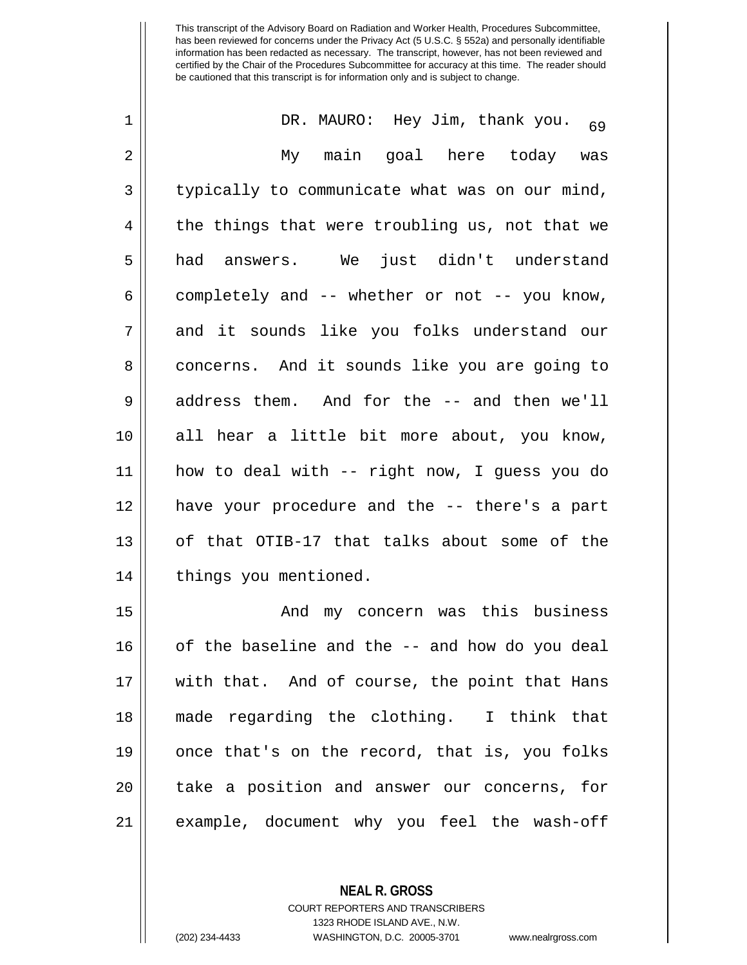| $\mathbf 1$ | DR. MAURO: Hey Jim, thank you.<br>69           |
|-------------|------------------------------------------------|
| 2           | My main goal here today was                    |
| 3           | typically to communicate what was on our mind, |
| 4           | the things that were troubling us, not that we |
| 5           | had answers. We just didn't understand         |
| 6           | completely and -- whether or not -- you know,  |
| 7           | and it sounds like you folks understand our    |
| 8           | concerns. And it sounds like you are going to  |
| 9           | address them. And for the -- and then we'll    |
| 10          | all hear a little bit more about, you know,    |
| 11          | how to deal with -- right now, I guess you do  |
| 12          | have your procedure and the -- there's a part  |
| 13          | of that OTIB-17 that talks about some of the   |
| 14          | things you mentioned.                          |
| 15          | And my concern was this business               |
| 16          | of the baseline and the -- and how do you deal |
| 17          | with that. And of course, the point that Hans  |
| 18          | made regarding the clothing. I think that      |
| 19          | once that's on the record, that is, you folks  |
| 20          | take a position and answer our concerns, for   |
| 21          | example, document why you feel the wash-off    |

COURT REPORTERS AND TRANSCRIBERS 1323 RHODE ISLAND AVE., N.W.

**NEAL R. GROSS**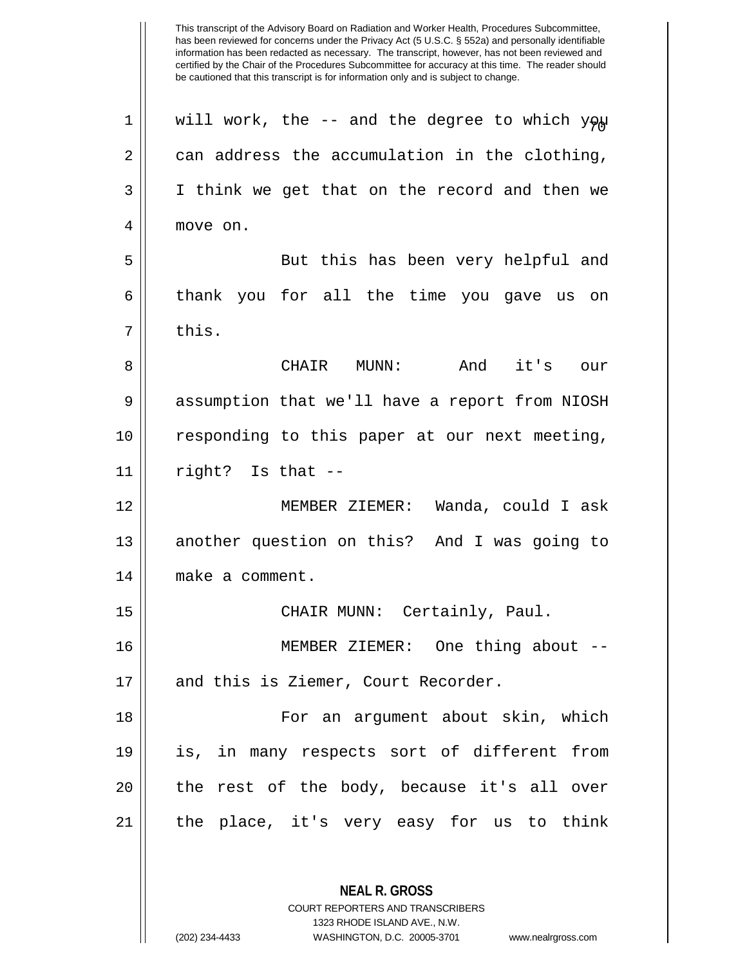This transcript of the Advisory Board on Radiation and Worker Health, Procedures Subcommittee, has been reviewed for concerns under the Privacy Act (5 U.S.C. § 552a) and personally identifiable information has been redacted as necessary. The transcript, however, has not been reviewed and certified by the Chair of the Procedures Subcommittee for accuracy at this time. The reader should be cautioned that this transcript is for information only and is subject to change. **NEAL R. GROSS** 1 || will work, the -- and the degree to which  $y \varphi \mu$  $2 \parallel$  can address the accumulation in the clothing, 3 I think we get that on the record and then we 4 move on. 5 || But this has been very helpful and 6 thank you for all the time you gave us on 7 II this. 8 CHAIR MUNN: And it's our 9 | assumption that we'll have a report from NIOSH 10 responding to this paper at our next meeting,  $11$  || right? Is that  $-$ 12 MEMBER ZIEMER: Wanda, could I ask 13 || another question on this? And I was going to 14 | make a comment. 15 CHAIR MUNN: Certainly, Paul. 16 MEMBER ZIEMER: One thing about -- 17 || and this is Ziemer, Court Recorder. 18 || Tor an argument about skin, which 19 is, in many respects sort of different from 20 || the rest of the body, because it's all over 21 the place, it's very easy for us to think

> COURT REPORTERS AND TRANSCRIBERS 1323 RHODE ISLAND AVE., N.W.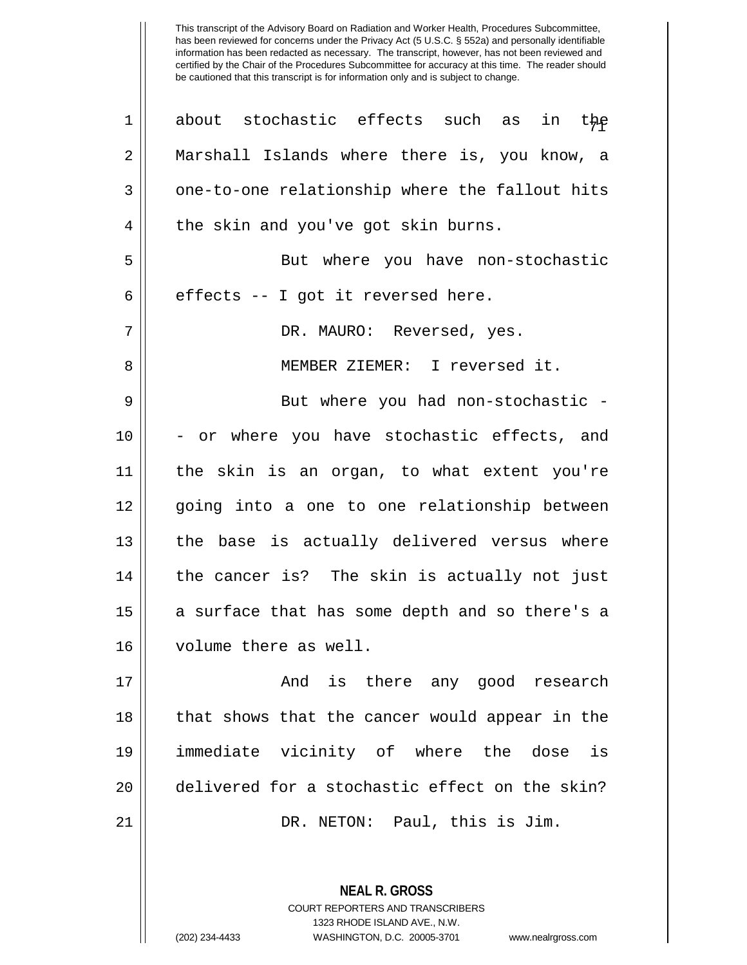| 1  | about stochastic effects such as<br>in the     |
|----|------------------------------------------------|
| 2  | Marshall Islands where there is, you know, a   |
| 3  | one-to-one relationship where the fallout hits |
| 4  | the skin and you've got skin burns.            |
| 5  | But where you have non-stochastic              |
| 6  | effects -- I got it reversed here.             |
| 7  | DR. MAURO: Reversed, yes.                      |
| 8  | MEMBER ZIEMER: I reversed it.                  |
| 9  | But where you had non-stochastic -             |
| 10 | - or where you have stochastic effects, and    |
| 11 | the skin is an organ, to what extent you're    |
| 12 | going into a one to one relationship between   |
| 13 | the base is actually delivered versus where    |
| 14 | the cancer is? The skin is actually not just   |
| 15 | a surface that has some depth and so there's a |
| 16 | volume there as well.                          |
| 17 | And is there any good research                 |
| 18 | that shows that the cancer would appear in the |
| 19 | immediate vicinity of where the dose is        |
| 20 | delivered for a stochastic effect on the skin? |
| 21 | DR. NETON: Paul, this is Jim.                  |
|    |                                                |

COURT REPORTERS AND TRANSCRIBERS 1323 RHODE ISLAND AVE., N.W. (202) 234-4433 WASHINGTON, D.C. 20005-3701 www.nealrgross.com

**NEAL R. GROSS**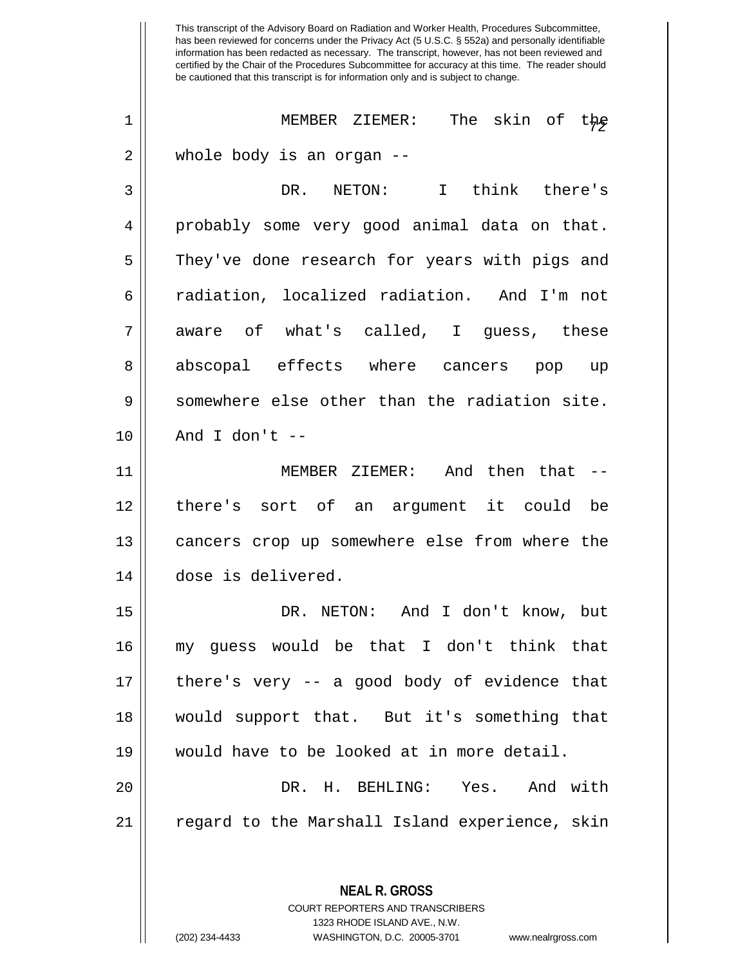This transcript of the Advisory Board on Radiation and Worker Health, Procedures Subcommittee, has been reviewed for concerns under the Privacy Act (5 U.S.C. § 552a) and personally identifiable information has been redacted as necessary. The transcript, however, has not been reviewed and certified by the Chair of the Procedures Subcommittee for accuracy at this time. The reader should be cautioned that this transcript is for information only and is subject to change. **NEAL R. GROSS** COURT REPORTERS AND TRANSCRIBERS <sup>72</sup> <sup>1</sup> MEMBER ZIEMER: The skin of the 2 whole body is an organ -- 3 DR. NETON: I think there's 4 probably some very good animal data on that. 5 || They've done research for years with pigs and 6 radiation, localized radiation. And I'm not 7 aware of what's called, I guess, these 8 abscopal effects where cancers pop up  $9 \parallel$  somewhere else other than the radiation site.  $10$  || And I don't --11 MEMBER ZIEMER: And then that -- 12 there's sort of an argument it could be 13 || cancers crop up somewhere else from where the 14 dose is delivered. 15 DR. NETON: And I don't know, but 16 my guess would be that I don't think that  $17$  || there's very -- a good body of evidence that 18 would support that. But it's something that 19 would have to be looked at in more detail. 20 DR. H. BEHLING: Yes. And with 21 || regard to the Marshall Island experience, skin

1323 RHODE ISLAND AVE., N.W.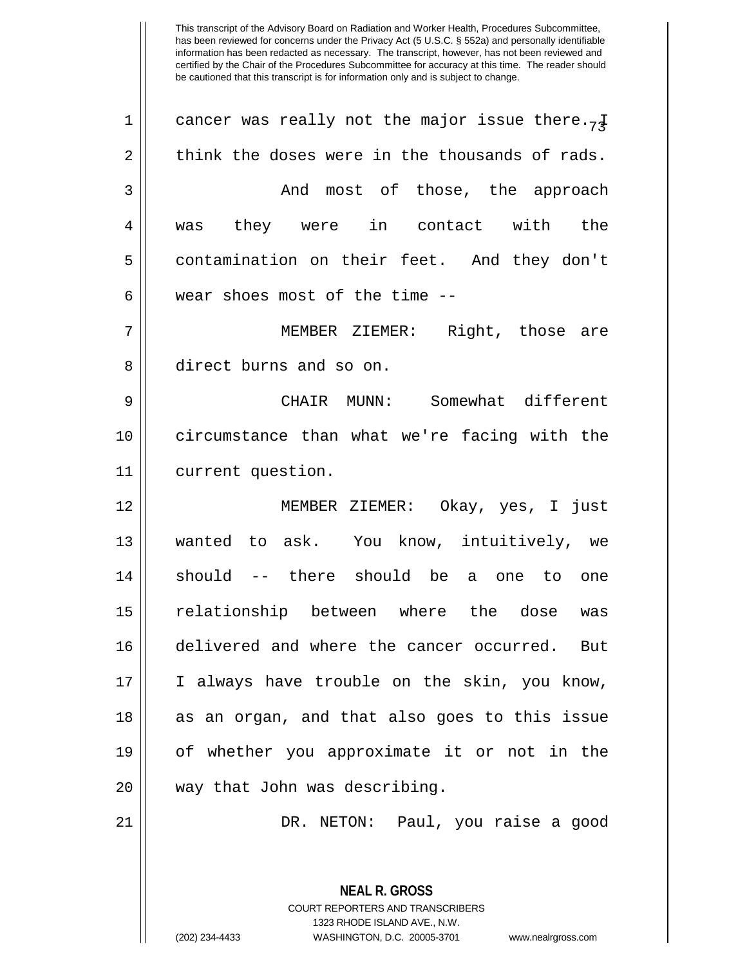| $\mathbf 1$ | cancer was really not the major issue there. <sub>7</sub> $\frac{1}{4}$ |
|-------------|-------------------------------------------------------------------------|
| 2           | think the doses were in the thousands of rads.                          |
| 3           | And most of those, the approach                                         |
| 4           | they were in contact with the<br>was                                    |
| 5           | contamination on their feet. And they don't                             |
| 6           | wear shoes most of the time --                                          |
| 7           | MEMBER ZIEMER: Right, those are                                         |
| 8           | direct burns and so on.                                                 |
| 9           | CHAIR MUNN: Somewhat different                                          |
| 10          | circumstance than what we're facing with the                            |
| 11          | current question.                                                       |
| 12          | MEMBER ZIEMER: Okay, yes, I just                                        |
| 13          | wanted to ask. You know, intuitively, we                                |
| 14          | should -- there should be a one to one                                  |
| 15          | relationship between where the dose<br>was                              |
| 16          | delivered and where the cancer occurred.<br>But                         |
| 17          | I always have trouble on the skin, you know,                            |
| 18          | as an organ, and that also goes to this issue                           |
| 19          | of whether you approximate it or not in the                             |
| 20          | way that John was describing.                                           |
| 21          | DR. NETON: Paul, you raise a good                                       |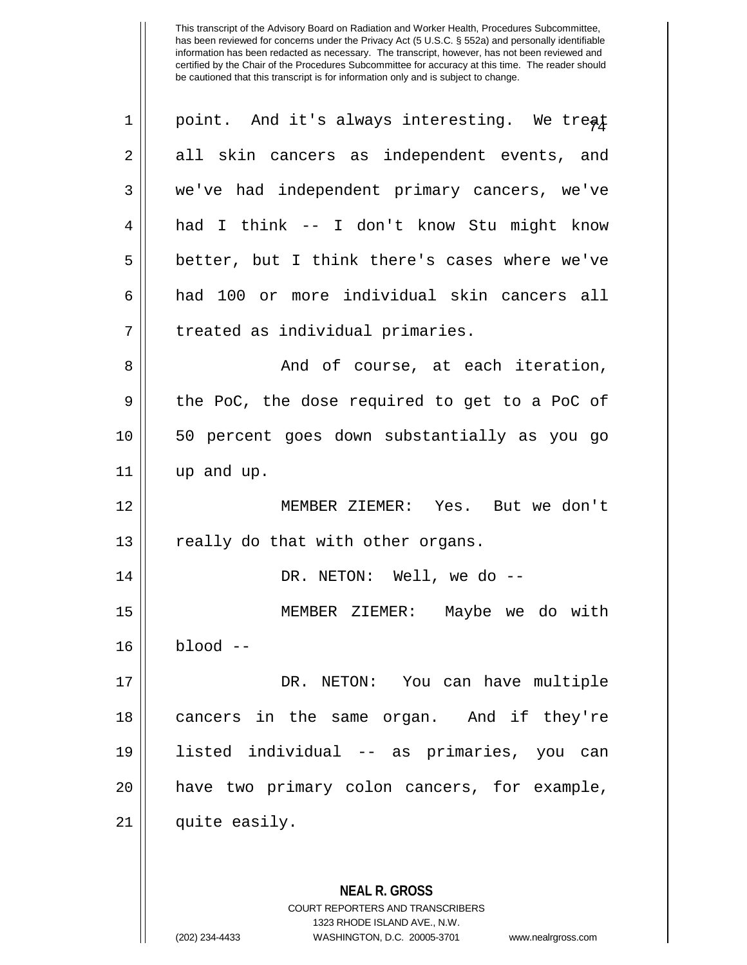| 1  | point. And it's always interesting. We treat  |
|----|-----------------------------------------------|
| 2  | all skin cancers as independent events, and   |
| 3  | we've had independent primary cancers, we've  |
| 4  | had I think -- I don't know Stu might know    |
| 5  | better, but I think there's cases where we've |
| 6  | had 100 or more individual skin cancers all   |
| 7  | treated as individual primaries.              |
| 8  | And of course, at each iteration,             |
| 9  | the PoC, the dose required to get to a PoC of |
| 10 | 50 percent goes down substantially as you go  |
| 11 | up and up.                                    |
| 12 | MEMBER ZIEMER: Yes. But we don't              |
| 13 | really do that with other organs.             |
| 14 | DR. NETON: Well, we do --                     |
| 15 | MEMBER ZIEMER: Maybe we do with               |
| 16 | blood                                         |
| 17 | DR. NETON: You can have multiple              |
| 18 | cancers in the same organ. And if they're     |
| 19 | listed individual -- as primaries, you can    |
| 20 | have two primary colon cancers, for example,  |
| 21 | quite easily.                                 |
|    |                                               |
|    | <b>NEAL R. GROSS</b>                          |

COURT REPORTERS AND TRANSCRIBERS 1323 RHODE ISLAND AVE., N.W.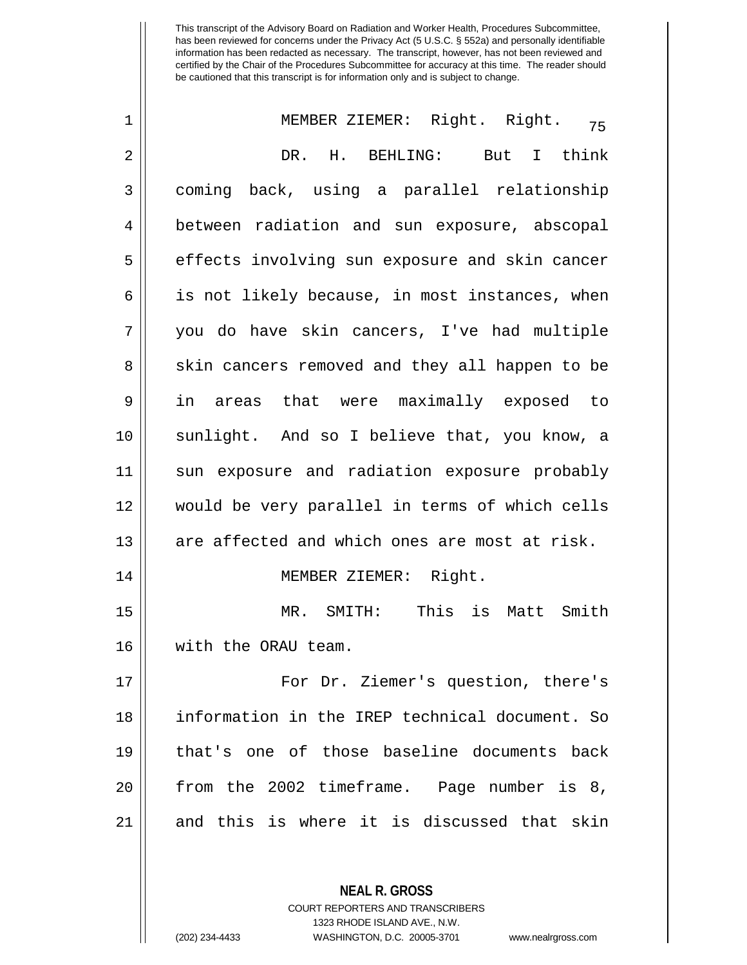| $\mathbf 1$ | MEMBER ZIEMER: Right. Right.<br>75             |
|-------------|------------------------------------------------|
| 2           | DR. H. BEHLING: But I think                    |
| 3           | coming back, using a parallel relationship     |
| 4           | between radiation and sun exposure, abscopal   |
| 5           | effects involving sun exposure and skin cancer |
| 6           | is not likely because, in most instances, when |
| 7           | you do have skin cancers, I've had multiple    |
| 8           | skin cancers removed and they all happen to be |
| 9           | in areas that were maximally exposed to        |
| 10          | sunlight. And so I believe that, you know, a   |
| 11          | sun exposure and radiation exposure probably   |
| 12          | would be very parallel in terms of which cells |
| 13          | are affected and which ones are most at risk.  |
| 14          | MEMBER ZIEMER: Right.                          |
| 15          | MR. SMITH: This is Matt Smith                  |
| 16          | with the ORAU team.                            |
| 17          | For Dr. Ziemer's question, there's             |
| 18          | information in the IREP technical document. So |
| 19          | that's one of those baseline documents back    |
| 20          | from the 2002 timeframe. Page number is 8,     |
| 21          | and this is where it is discussed that skin    |
|             |                                                |

1323 RHODE ISLAND AVE., N.W.

**NEAL R. GROSS** COURT REPORTERS AND TRANSCRIBERS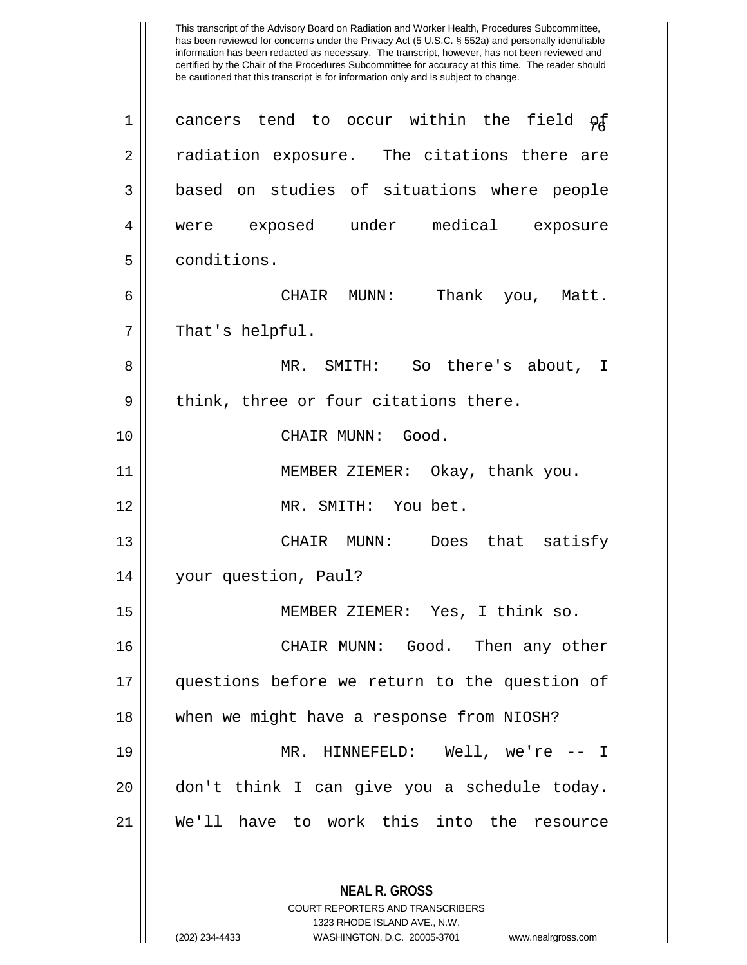This transcript of the Advisory Board on Radiation and Worker Health, Procedures Subcommittee, has been reviewed for concerns under the Privacy Act (5 U.S.C. § 552a) and personally identifiable information has been redacted as necessary. The transcript, however, has not been reviewed and certified by the Chair of the Procedures Subcommittee for accuracy at this time. The reader should be cautioned that this transcript is for information only and is subject to change. **NEAL R. GROSS** 1 || cancers tend to occur within the field  $\varphi$ 2 || radiation exposure. The citations there are 3 || based on studies of situations where people 4 were exposed under medical exposure 5 | conditions. 6 CHAIR MUNN: Thank you, Matt.  $7 ||$  That's helpful. 8 MR. SMITH: So there's about, I  $9 \parallel$  think, three or four citations there. 10 || CHAIR MUNN: Good. 11 MEMBER ZIEMER: Okay, thank you. 12 MR. SMITH: You bet. 13 CHAIR MUNN: Does that satisfy 14 | your question, Paul? 15 MEMBER ZIEMER: Yes, I think so. 16 CHAIR MUNN: Good. Then any other 17 questions before we return to the question of 18 when we might have a response from NIOSH? 19 MR. HINNEFELD: Well, we're -- I 20 don't think I can give you a schedule today. 21 We'll have to work this into the resource

> COURT REPORTERS AND TRANSCRIBERS 1323 RHODE ISLAND AVE., N.W.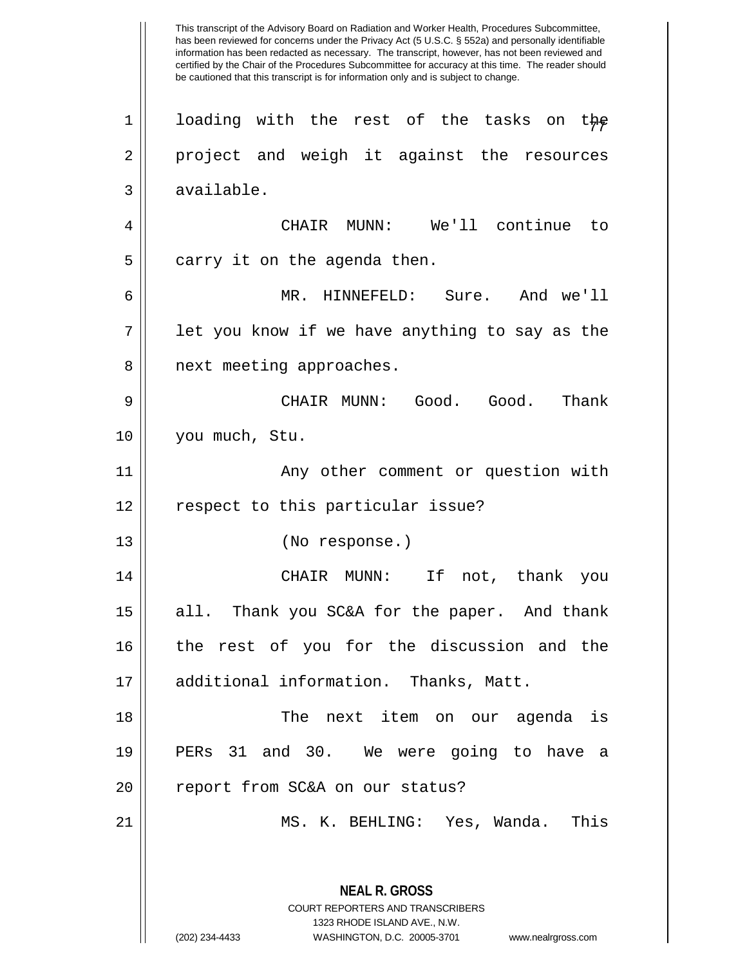This transcript of the Advisory Board on Radiation and Worker Health, Procedures Subcommittee, has been reviewed for concerns under the Privacy Act (5 U.S.C. § 552a) and personally identifiable information has been redacted as necessary. The transcript, however, has not been reviewed and certified by the Chair of the Procedures Subcommittee for accuracy at this time. The reader should be cautioned that this transcript is for information only and is subject to change. **NEAL R. GROSS** COURT REPORTERS AND TRANSCRIBERS 1323 RHODE ISLAND AVE., N.W. 1 || loading with the rest of the tasks on the 2 || project and weigh it against the resources  $3 \parallel$  available. 4 CHAIR MUNN: We'll continue to  $5 \parallel$  carry it on the agenda then. 6 MR. HINNEFELD: Sure. And we'll  $7 \parallel$  let you know if we have anything to say as the 8 || next meeting approaches. 9 CHAIR MUNN: Good. Good. Thank 10 you much, Stu. 11 || Any other comment or question with 12 || respect to this particular issue? 13 (No response.) 14 CHAIR MUNN: If not, thank you 15 || all. Thank you SC&A for the paper. And thank 16 the rest of you for the discussion and the 17 || additional information. Thanks, Matt. 18 The next item on our agenda is 19 PERs 31 and 30. We were going to have a 20 || report from SC&A on our status? 21 || MS. K. BEHLING: Yes, Wanda. This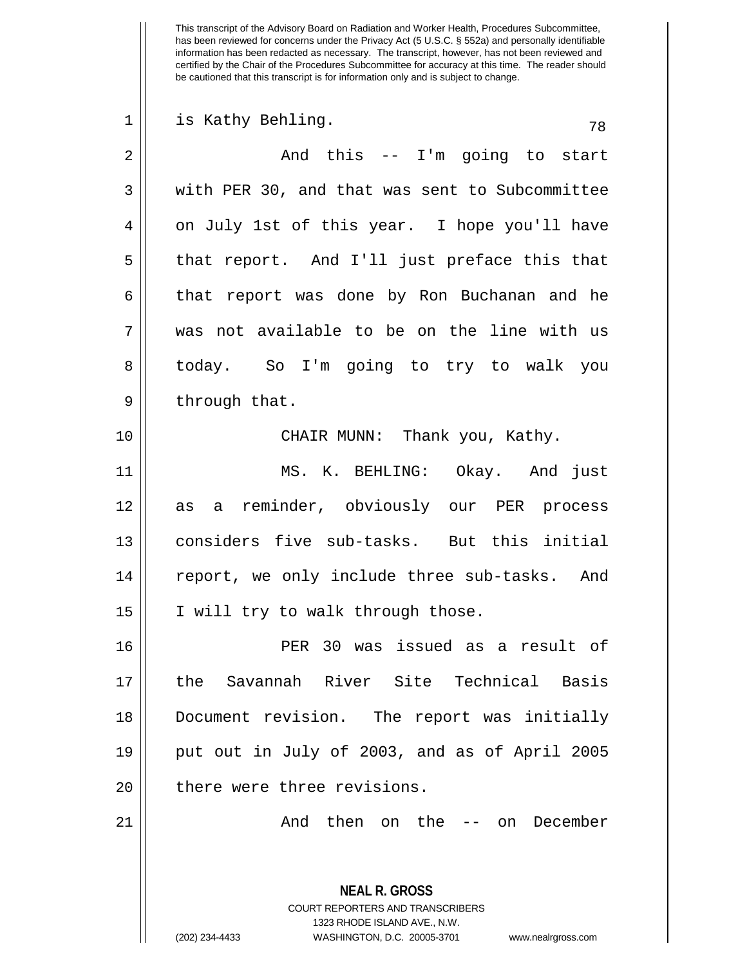| $\mathbf 1$    | is Kathy Behling.<br>78                                         |
|----------------|-----------------------------------------------------------------|
| $\overline{2}$ | And this -- I'm going to start                                  |
| $\mathbf{3}$   | with PER 30, and that was sent to Subcommittee                  |
| 4              | on July 1st of this year. I hope you'll have                    |
| 5              | that report. And I'll just preface this that                    |
| 6              | that report was done by Ron Buchanan and he                     |
| 7              | was not available to be on the line with us                     |
| 8              | today. So I'm going to try to walk you                          |
| 9              | through that.                                                   |
| 10             | CHAIR MUNN: Thank you, Kathy.                                   |
| 11             | MS. K. BEHLING: Okay. And just                                  |
| 12             | as a reminder, obviously our PER process                        |
| 13             | considers five sub-tasks. But this initial                      |
| 14             | report, we only include three sub-tasks. And                    |
| 15             | I will try to walk through those.                               |
| 16             | PER 30 was issued as a result of                                |
| 17             | the Savannah River Site Technical Basis                         |
| 18             | Document revision. The report was initially                     |
| 19             | put out in July of 2003, and as of April 2005                   |
| 20             | there were three revisions.                                     |
| 21             | And then on the -- on December                                  |
|                |                                                                 |
|                | <b>NEAL R. GROSS</b><br><b>COURT REPORTERS AND TRANSCRIBERS</b> |

1323 RHODE ISLAND AVE., N.W.

 $\mathop{\text{||}}$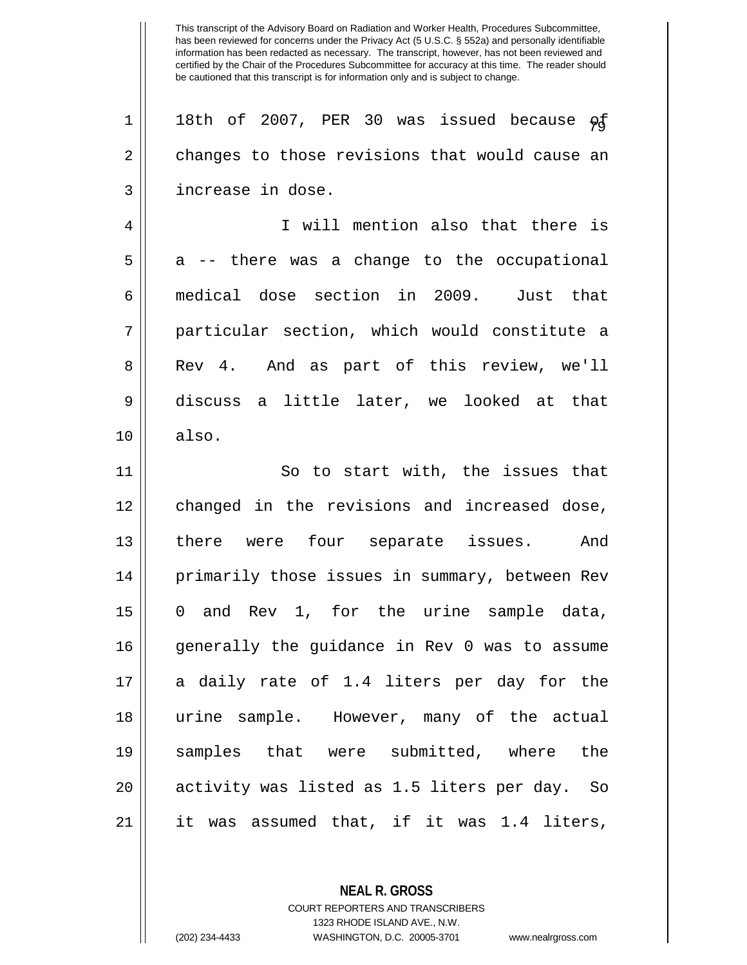1 || 18th of 2007, PER 30 was issued because  $\varphi$ f 2 changes to those revisions that would cause an 3 || increase in dose. 4 I will mention also that there is  $5 \parallel$  a -- there was a change to the occupational 6 medical dose section in 2009. Just that 7 particular section, which would constitute a 8 || Rev 4. And as part of this review, we'll 9 discuss a little later, we looked at that  $10 \parallel$  also. 11 || So to start with, the issues that 12 changed in the revisions and increased dose, 13 || there were four separate issues. And 14 || primarily those issues in summary, between Rev 15 0 and Rev 1, for the urine sample data, 16 generally the guidance in Rev 0 was to assume 17 || a daily rate of 1.4 liters per day for the 18 urine sample. However, many of the actual 19 samples that were submitted, where the 20 activity was listed as 1.5 liters per day. So  $21$  || it was assumed that, if it was 1.4 liters,

> **NEAL R. GROSS** COURT REPORTERS AND TRANSCRIBERS 1323 RHODE ISLAND AVE., N.W.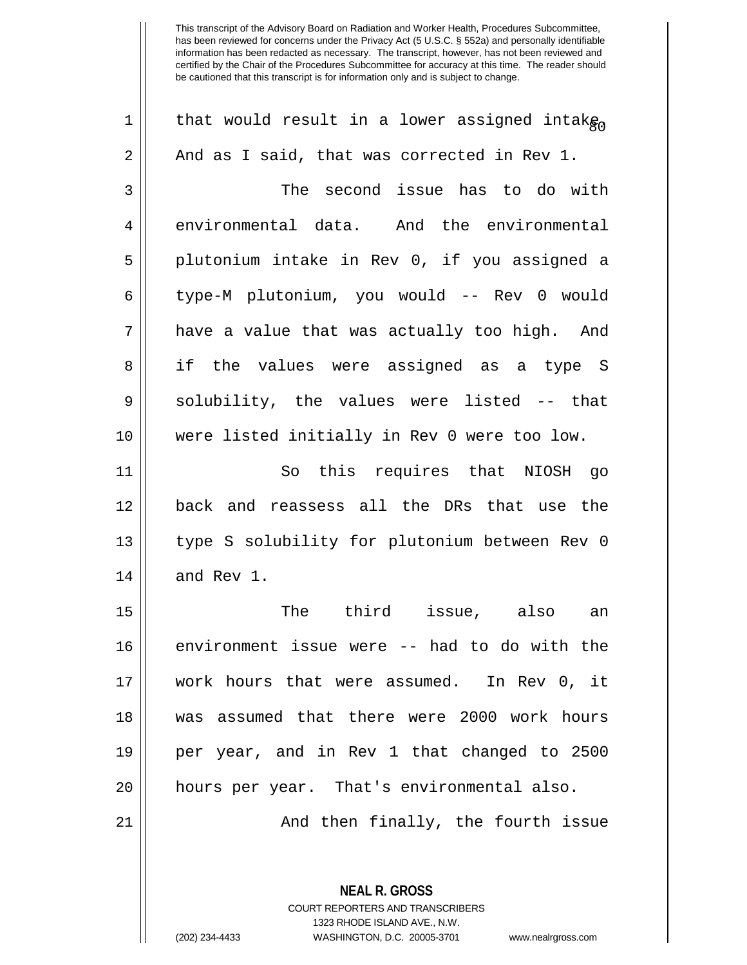| $\mathbf 1$ | that would result in a lower assigned intak $_{\mathsf{Rn}}$ |
|-------------|--------------------------------------------------------------|
| 2           | And as I said, that was corrected in Rev 1.                  |
| 3           | The second issue has to do with                              |
| 4           | environmental data. And the environmental                    |
| 5           | plutonium intake in Rev 0, if you assigned a                 |
| 6           | type-M plutonium, you would -- Rev 0 would                   |
| 7           | have a value that was actually too high. And                 |
| 8           | if the values were assigned as a type S                      |
| 9           | solubility, the values were listed -- that                   |
| 10          | were listed initially in Rev 0 were too low.                 |
| 11          | So this requires that NIOSH go                               |
| 12          | back and reassess all the DRs that use the                   |
| 13          | type S solubility for plutonium between Rev 0                |
| 14          | and Rev 1.                                                   |
| 15          | The<br>third<br>issue, also<br>an                            |
| 16          | environment issue were -- had to do with the                 |
| 17          | work hours that were assumed. In Rev 0, it                   |
| 18          | was assumed that there were 2000 work hours                  |
| 19          | per year, and in Rev 1 that changed to 2500                  |
| 20          | hours per year. That's environmental also.                   |
| 21          | And then finally, the fourth issue                           |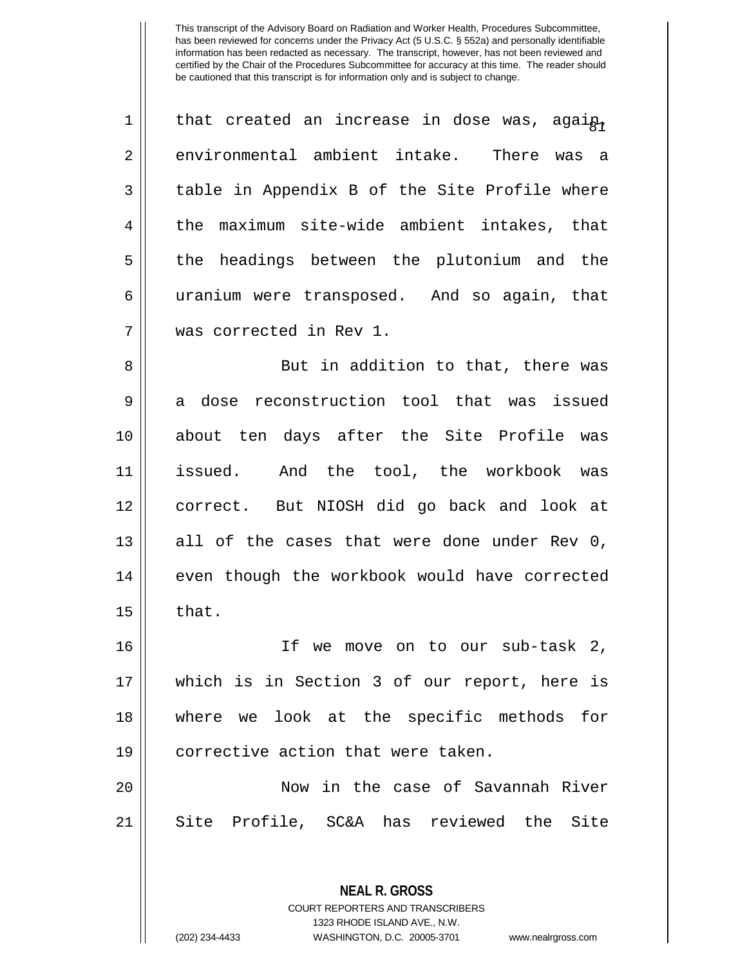1  $\parallel$  that created an increase in dose was, agai $_{\rm A\gamma}$ 2 environmental ambient intake. There was a 3 || table in Appendix B of the Site Profile where 4 the maximum site-wide ambient intakes, that 5 || the headings between the plutonium and the 6 || uranium were transposed. And so again, that 7 was corrected in Rev 1. 8 || But in addition to that, there was

9 || a dose reconstruction tool that was issued 10 about ten days after the Site Profile was 11 issued. And the tool, the workbook was 12 correct. But NIOSH did go back and look at  $13$  all of the cases that were done under Rev 0, 14 || even though the workbook would have corrected  $15 \parallel$  that.

 If we move on to our sub-task 2, which is in Section 3 of our report, here is where we look at the specific methods for 19 || corrective action that were taken.

20 Now in the case of Savannah River 21 || Site Profile, SC&A has reviewed the Site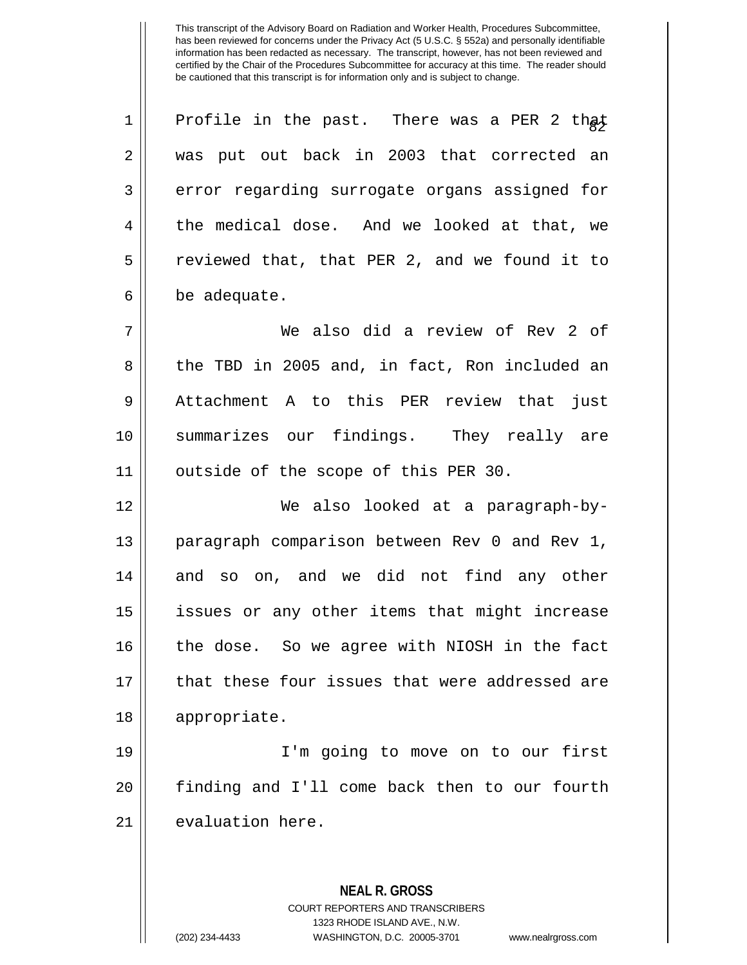| 1  | Profile in the past. There was a PER 2 that              |
|----|----------------------------------------------------------|
|    |                                                          |
| 2  | was put out back in 2003 that corrected an               |
| 3  | error regarding surrogate organs assigned for            |
| 4  | the medical dose. And we looked at that, we              |
| 5  | reviewed that, that PER 2, and we found it to            |
| 6  | be adequate.                                             |
| 7  | We also did a review of Rev 2 of                         |
| 8  | the TBD in 2005 and, in fact, Ron included an            |
| 9  | Attachment A to this PER review that just                |
| 10 | summarizes our findings. They really are                 |
| 11 | outside of the scope of this PER 30.                     |
| 12 | We also looked at a paragraph-by-                        |
| 13 | paragraph comparison between Rev 0 and Rev 1,            |
| 14 | and so on, and we did not find any other                 |
| 15 | issues or any other items that might increase            |
| 16 | the dose. So we agree with NIOSH in the fact             |
| 17 | that these four issues that were addressed are           |
| 18 | appropriate.                                             |
| 19 | I'm going to move on to our first                        |
| 20 | finding and I'll come back then to our fourth            |
| 21 | evaluation here.                                         |
|    |                                                          |
|    |                                                          |
|    | <b>NEAL R. GROSS</b><br>COURT REPORTERS AND TRANSCRIBERS |
|    |                                                          |

1323 RHODE ISLAND AVE., N.W.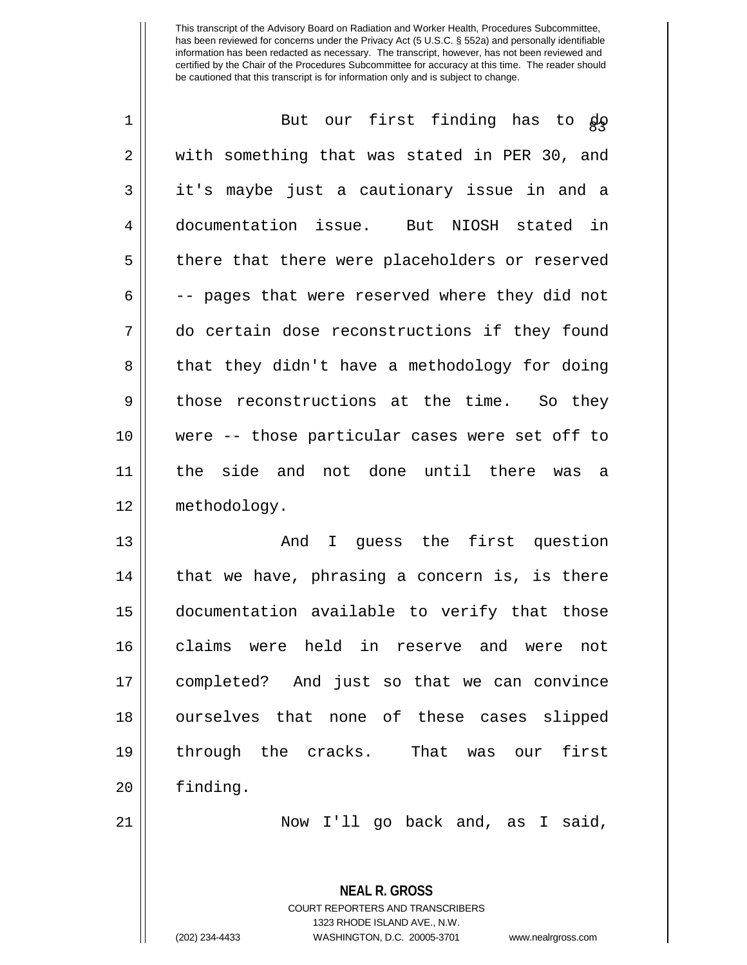| $\mathbf 1$ | our first finding has to go<br>But             |
|-------------|------------------------------------------------|
| 2           | with something that was stated in PER 30, and  |
| 3           | it's maybe just a cautionary issue in and a    |
| 4           | documentation issue. But NIOSH stated in       |
| 5           | there that there were placeholders or reserved |
| 6           | -- pages that were reserved where they did not |
| 7           | do certain dose reconstructions if they found  |
| 8           | that they didn't have a methodology for doing  |
| 9           | those reconstructions at the time. So they     |
| 10          | were -- those particular cases were set off to |
| 11          | the side and not done until there was<br>a     |
| 12          | methodology.                                   |
| 13          | I guess the first question<br>And              |
| 14          | that we have, phrasing a concern is, is there  |
| 15          | documentation available to verify that those   |
| 16          | claims were held in reserve and were not       |
| 17          | completed? And just so that we can convince    |
| 18          | ourselves that none of these cases slipped     |
| 19          | through the cracks.<br>That was our<br>first   |
| 20          | finding.                                       |
|             |                                                |
| 21          | Now I'll go back and, as I said,               |

COURT REPORTERS AND TRANSCRIBERS 1323 RHODE ISLAND AVE., N.W. (202) 234-4433 WASHINGTON, D.C. 20005-3701 www.nealrgross.com

**NEAL R. GROSS**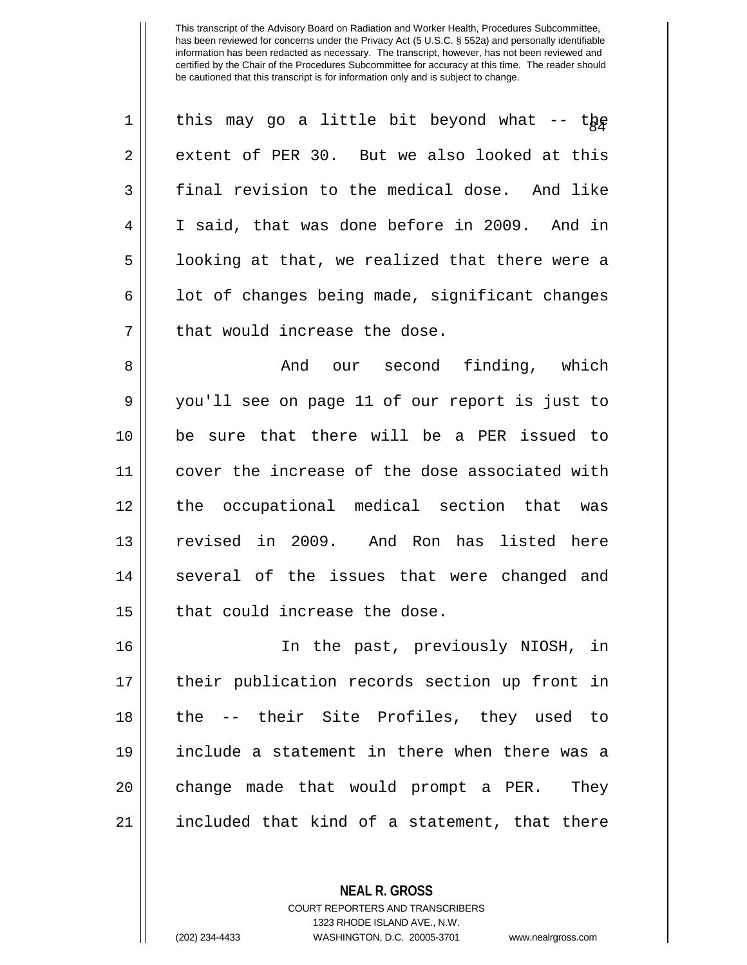| $\mathbf 1$    | this may go a little bit beyond what -- the    |
|----------------|------------------------------------------------|
| $\overline{2}$ | extent of PER 30. But we also looked at this   |
| 3              | final revision to the medical dose. And like   |
| 4              | I said, that was done before in 2009. And in   |
| 5              | looking at that, we realized that there were a |
| 6              | lot of changes being made, significant changes |
| 7              | that would increase the dose.                  |
| 8              | our second finding, which<br>And               |
| 9              | you'll see on page 11 of our report is just to |
| 10             | be sure that there will be a PER issued to     |
| 11             | cover the increase of the dose associated with |
| 12             | the occupational medical section that was      |
| 13             | revised in 2009. And Ron has listed here       |
| 14             | several of the issues that were changed and    |
| 15             | that could increase the dose.                  |
| 16             | In the past, previously NIOSH, in              |
| 17             | their publication records section up front in  |
| 18             | the -- their Site Profiles, they used to       |
| 19             | include a statement in there when there was a  |
| 20             | change made that would prompt a PER.<br>They   |
| 21             | included that kind of a statement, that there  |

**NEAL R. GROSS** COURT REPORTERS AND TRANSCRIBERS

1323 RHODE ISLAND AVE., N.W.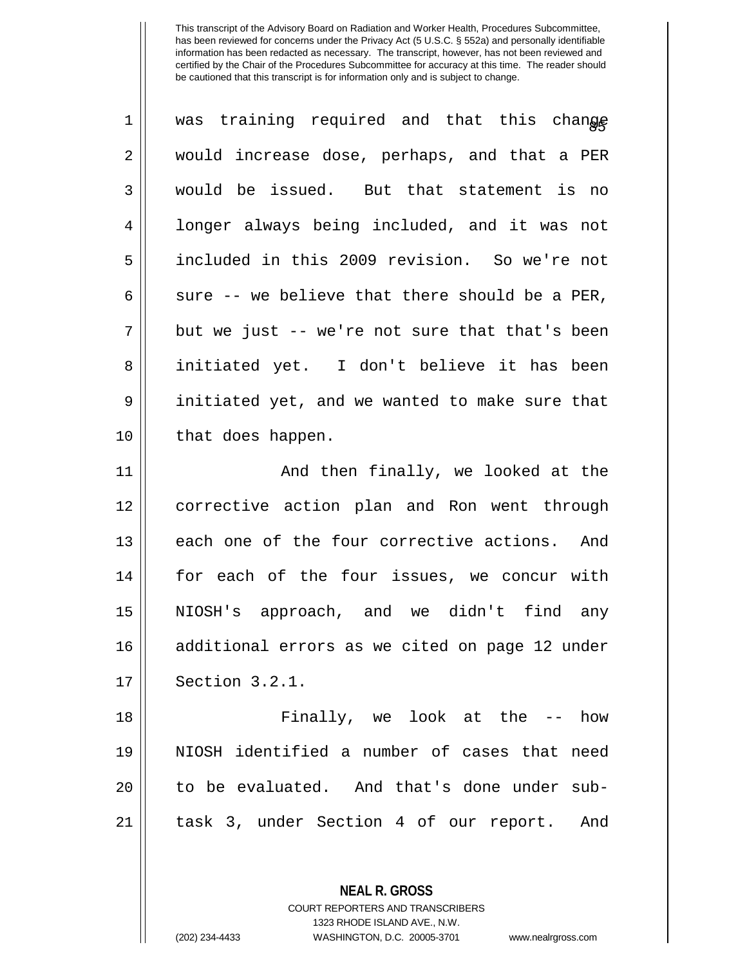| $\mathbf 1$ | was training required and that this change     |
|-------------|------------------------------------------------|
| 2           | would increase dose, perhaps, and that a PER   |
| 3           | would be issued. But that statement is no      |
| 4           | longer always being included, and it was not   |
| 5           | included in this 2009 revision. So we're not   |
| 6           | sure -- we believe that there should be a PER, |
| 7           | but we just -- we're not sure that that's been |
| 8           | initiated yet. I don't believe it has been     |
| 9           | initiated yet, and we wanted to make sure that |
| 10          | that does happen.                              |
| 11          | And then finally, we looked at the             |
| 12          | corrective action plan and Ron went through    |
| 13          | each one of the four corrective actions. And   |
| 14          | for each of the four issues, we concur with    |
| 15          | NIOSH's approach, and we didn't find any       |
| 16          | additional errors as we cited on page 12 under |
| 17          | Section 3.2.1.                                 |
| 18          | Finally, we look at the -- how                 |
| 19          | NIOSH identified a number of cases that need   |
| 20          | to be evaluated. And that's done under sub-    |
| 21          | task 3, under Section 4 of our report. And     |

**NEAL R. GROSS** COURT REPORTERS AND TRANSCRIBERS

1323 RHODE ISLAND AVE., N.W. (202) 234-4433 WASHINGTON, D.C. 20005-3701 www.nealrgross.com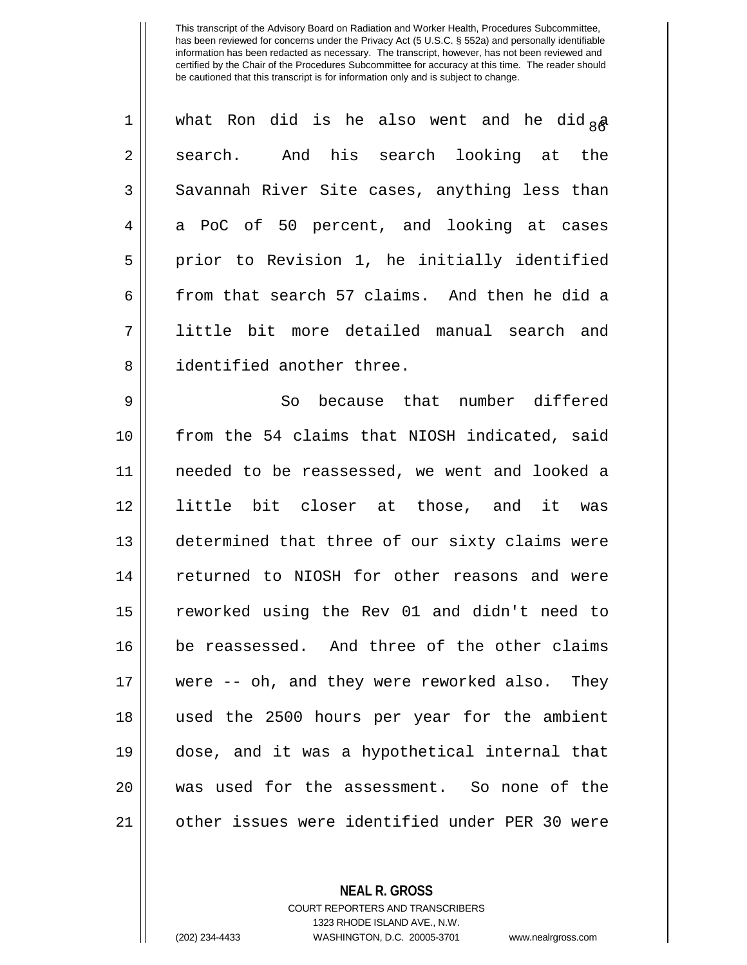| $\mathbf 1$    | what Ron did is he also went and he did $_{8}$ a |
|----------------|--------------------------------------------------|
| $\overline{2}$ | search. And his search looking at the            |
| 3              | Savannah River Site cases, anything less than    |
| 4              | a PoC of 50 percent, and looking at cases        |
| 5              | prior to Revision 1, he initially identified     |
| 6              | from that search 57 claims. And then he did a    |
| 7              | little bit more detailed manual search and       |
| 8              | identified another three.                        |
| $\mathsf 9$    | So because that number differed                  |
| 10             | from the 54 claims that NIOSH indicated, said    |
| 11             | needed to be reassessed, we went and looked a    |
| 12             | little bit closer at those, and it was           |
| 13             | determined that three of our sixty claims were   |
| 14             | returned to NIOSH for other reasons and were     |
| 15             | reworked using the Rev 01 and didn't need to     |
| 16             | be reassessed. And three of the other claims     |
| 17             | were -- oh, and they were reworked also. They    |
| 18             | used the 2500 hours per year for the ambient     |
| 19             | dose, and it was a hypothetical internal that    |
| 20             | was used for the assessment. So none of the      |
| 21             | other issues were identified under PER 30 were   |

**NEAL R. GROSS**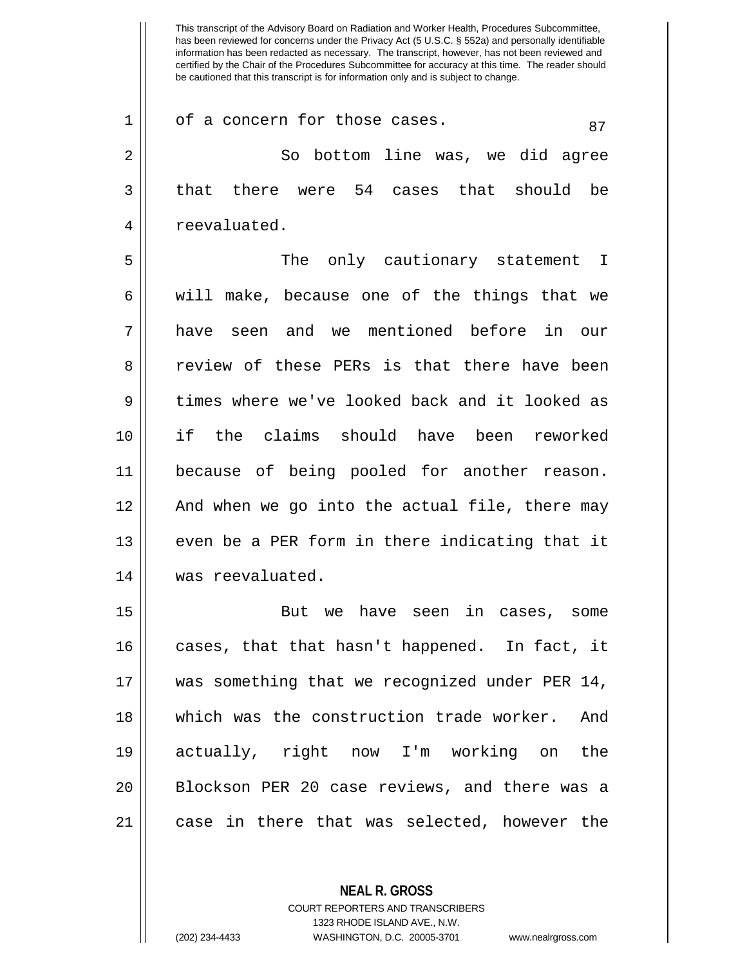This transcript of the Advisory Board on Radiation and Worker Health, Procedures Subcommittee, has been reviewed for concerns under the Privacy Act (5 U.S.C. § 552a) and personally identifiable information has been redacted as necessary. The transcript, however, has not been reviewed and certified by the Chair of the Procedures Subcommittee for accuracy at this time. The reader should be cautioned that this transcript is for information only and is subject to change.  $1 \parallel$  of a concern for those cases.  $87$ 2 So bottom line was, we did agree  $3 \parallel$  that there were 54 cases that should be 4 | reevaluated. 5 The only cautionary statement I 6 || will make, because one of the things that we 7 have seen and we mentioned before in our 8 and in review of these PERs is that there have been 9 times where we've looked back and it looked as 10 if the claims should have been reworked 11 because of being pooled for another reason. 12 And when we go into the actual file, there may  $13$  || even be a PER form in there indicating that it 14 was reevaluated. 15 But we have seen in cases, some 16 || cases, that that hasn't happened. In fact, it 17 || was something that we recognized under PER 14, 18 which was the construction trade worker. And 19 actually, right now I'm working on the

 $21$  || case in there that was selected, however the

**NEAL R. GROSS** COURT REPORTERS AND TRANSCRIBERS 1323 RHODE ISLAND AVE., N.W. (202) 234-4433 WASHINGTON, D.C. 20005-3701 www.nealrgross.com

20 || Blockson PER 20 case reviews, and there was a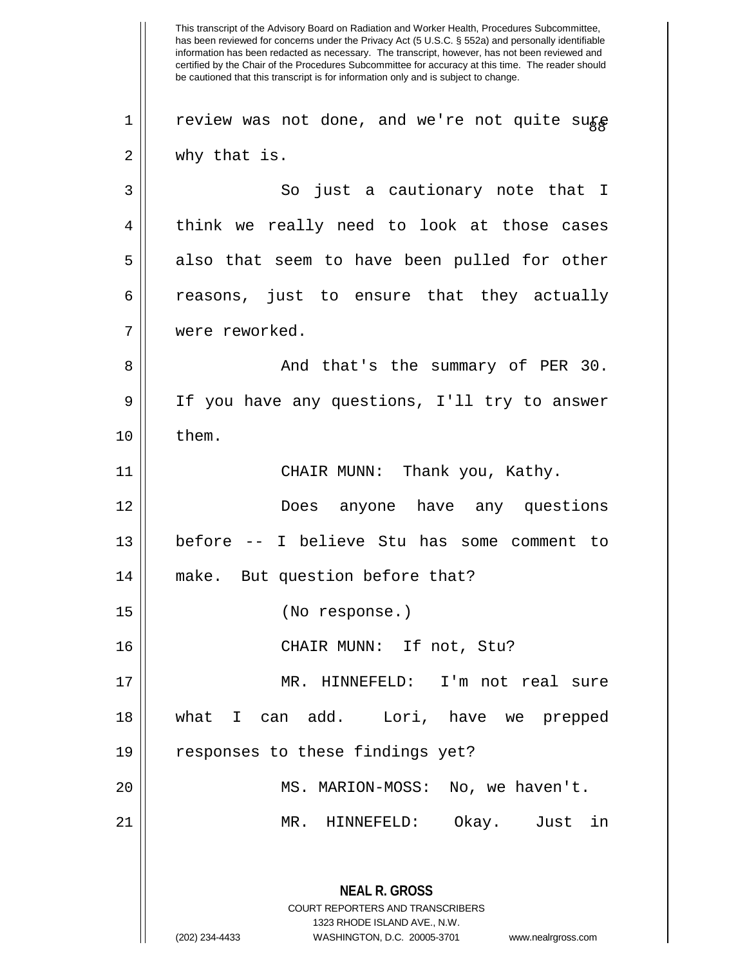This transcript of the Advisory Board on Radiation and Worker Health, Procedures Subcommittee, has been reviewed for concerns under the Privacy Act (5 U.S.C. § 552a) and personally identifiable information has been redacted as necessary. The transcript, however, has not been reviewed and certified by the Chair of the Procedures Subcommittee for accuracy at this time. The reader should be cautioned that this transcript is for information only and is subject to change. **NEAL R. GROSS** COURT REPORTERS AND TRANSCRIBERS 1323 RHODE ISLAND AVE., N.W. (202) 234-4433 WASHINGTON, D.C. 20005-3701 www.nealrgross.com 1 | review was not done, and we're not quite sure 2 || why that is. 3 So just a cautionary note that I 4 || think we really need to look at those cases  $5 \parallel$  also that seem to have been pulled for other  $6 \parallel$  reasons, just to ensure that they actually 7 were reworked. 8 And that's the summary of PER 30. 9 || If you have any questions, I'll try to answer  $10 \parallel$  them. 11 CHAIR MUNN: Thank you, Kathy. 12 Does anyone have any questions 13 before -- I believe Stu has some comment to 14 || make. But question before that? 15 (No response.) 16 || CHAIR MUNN: If not, Stu? 17 MR. HINNEFELD: I'm not real sure 18 what I can add. Lori, have we prepped  $19$  | responses to these findings yet? 20 MS. MARION-MOSS: No, we haven't. 21 MR. HINNEFELD: Okay. Just in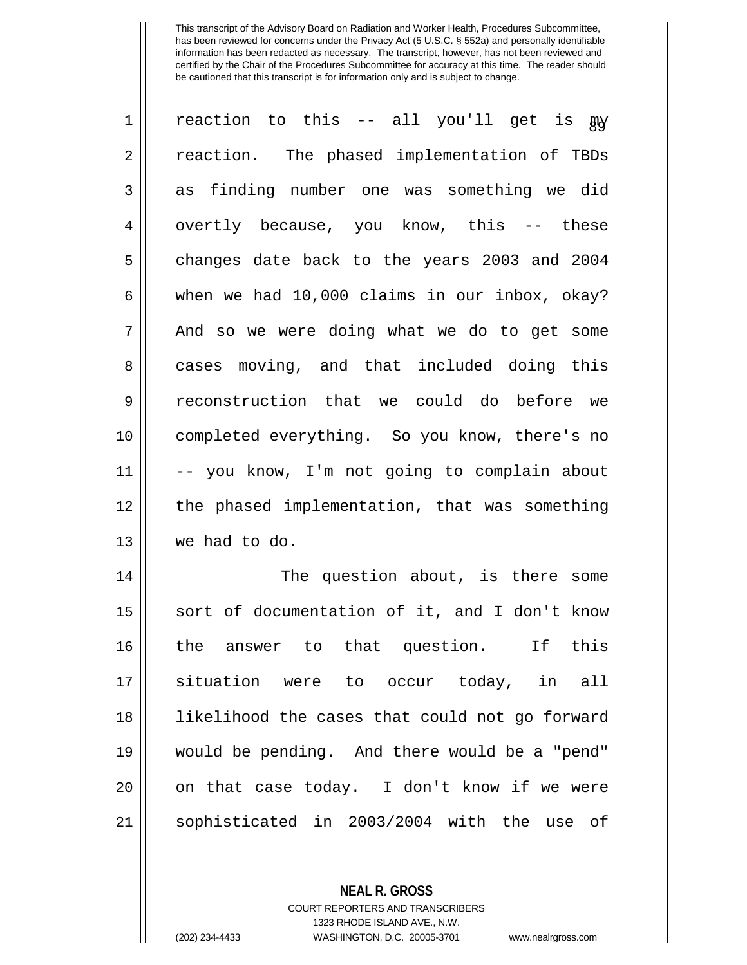| $\mathbf 1$ | reaction to this -- all you'll get is guy      |
|-------------|------------------------------------------------|
| 2           | reaction. The phased implementation of TBDs    |
| 3           | finding number one was something we did<br>as  |
| 4           | overtly because, you know, this -- these       |
| 5           | changes date back to the years 2003 and 2004   |
| 6           | when we had 10,000 claims in our inbox, okay?  |
| 7           | And so we were doing what we do to get some    |
| 8           | cases moving, and that included doing this     |
| 9           | reconstruction that we could do before we      |
| 10          | completed everything. So you know, there's no  |
| 11          | -- you know, I'm not going to complain about   |
| 12          | the phased implementation, that was something  |
| 13          | we had to do.                                  |
| 14          | The question about, is there some              |
| 15          | sort of documentation of it, and I don't know  |
| 16          | answer to that question.<br>If this<br>the     |
| 17          | situation were to occur today, in all          |
| 18          | likelihood the cases that could not go forward |
| 19          | would be pending. And there would be a "pend"  |
| 20          | on that case today. I don't know if we were    |
| 21          | sophisticated in 2003/2004 with the use of     |

**NEAL R. GROSS** COURT REPORTERS AND TRANSCRIBERS

1323 RHODE ISLAND AVE., N.W.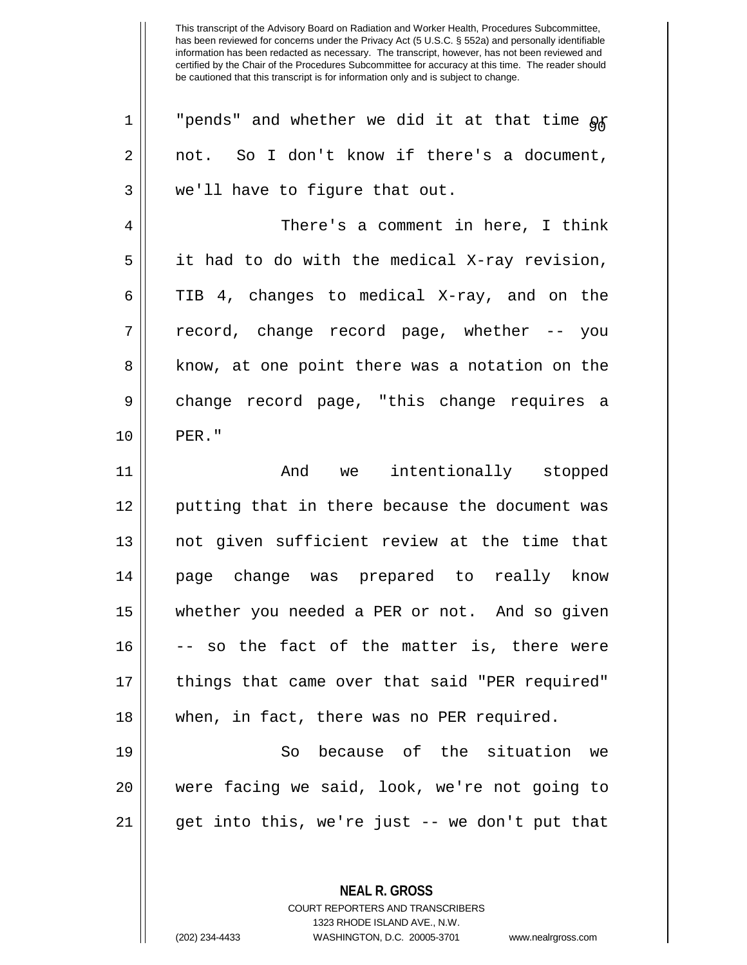| $\mathbf 1$ | "pends" and whether we did it at that time of  |
|-------------|------------------------------------------------|
| 2           | not. So I don't know if there's a document,    |
| 3           | we'll have to figure that out.                 |
| 4           | There's a comment in here, I think             |
| 5           | it had to do with the medical X-ray revision,  |
| 6           | TIB 4, changes to medical X-ray, and on the    |
| 7           | record, change record page, whether -- you     |
| 8           | know, at one point there was a notation on the |
| $\mathsf 9$ | change record page, "this change requires a    |
| 10          | PER."                                          |
| 11          | And we intentionally stopped                   |
|             |                                                |
| 12          | putting that in there because the document was |
| 13          | not given sufficient review at the time that   |
| 14          | page change was prepared to really know        |
| 15          | whether you needed a PER or not. And so given  |
| 16          | -- so the fact of the matter is, there were    |
| 17          | things that came over that said "PER required" |
| 18          | when, in fact, there was no PER required.      |
| 19          | because of the situation we<br>So              |
| 20          | were facing we said, look, we're not going to  |
| 21          | get into this, we're just -- we don't put that |

**NEAL R. GROSS** COURT REPORTERS AND TRANSCRIBERS 1323 RHODE ISLAND AVE., N.W.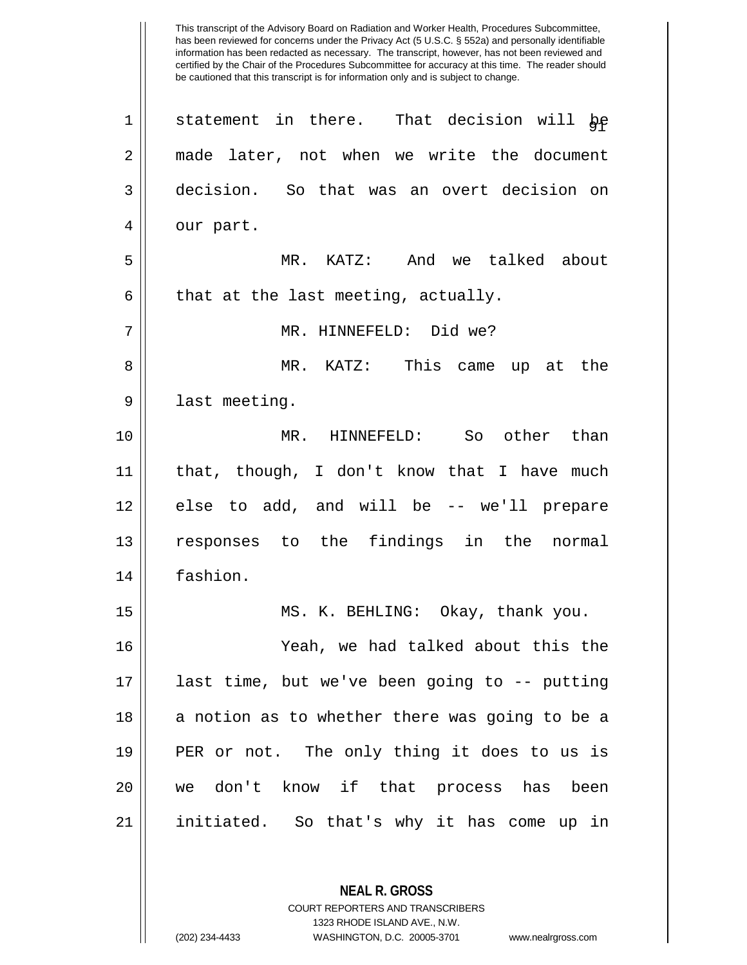This transcript of the Advisory Board on Radiation and Worker Health, Procedures Subcommittee, has been reviewed for concerns under the Privacy Act (5 U.S.C. § 552a) and personally identifiable information has been redacted as necessary. The transcript, however, has not been reviewed and certified by the Chair of the Procedures Subcommittee for accuracy at this time. The reader should be cautioned that this transcript is for information only and is subject to change.  $1 ||$  statement in there. That decision will be 2 || made later, not when we write the document 3 decision. So that was an overt decision on  $4 \parallel$  our part. 5 MR. KATZ: And we talked about  $6 \parallel$  that at the last meeting, actually. 7 MR. HINNEFELD: Did we? 8 MR. KATZ: This came up at the 9 || last meeting. 10 MR. HINNEFELD: So other than 11 that, though, I don't know that I have much 12 || else to add, and will be -- we'll prepare 13 responses to the findings in the normal 14 fashion. 15 MS. K. BEHLING: Okay, thank you. 16 Yeah, we had talked about this the 17 last time, but we've been going to -- putting  $18$  || a notion as to whether there was going to be a 19 PER or not. The only thing it does to us is 20 we don't know if that process has been 21 || initiated. So that's why it has come up in

> COURT REPORTERS AND TRANSCRIBERS 1323 RHODE ISLAND AVE., N.W.

**NEAL R. GROSS**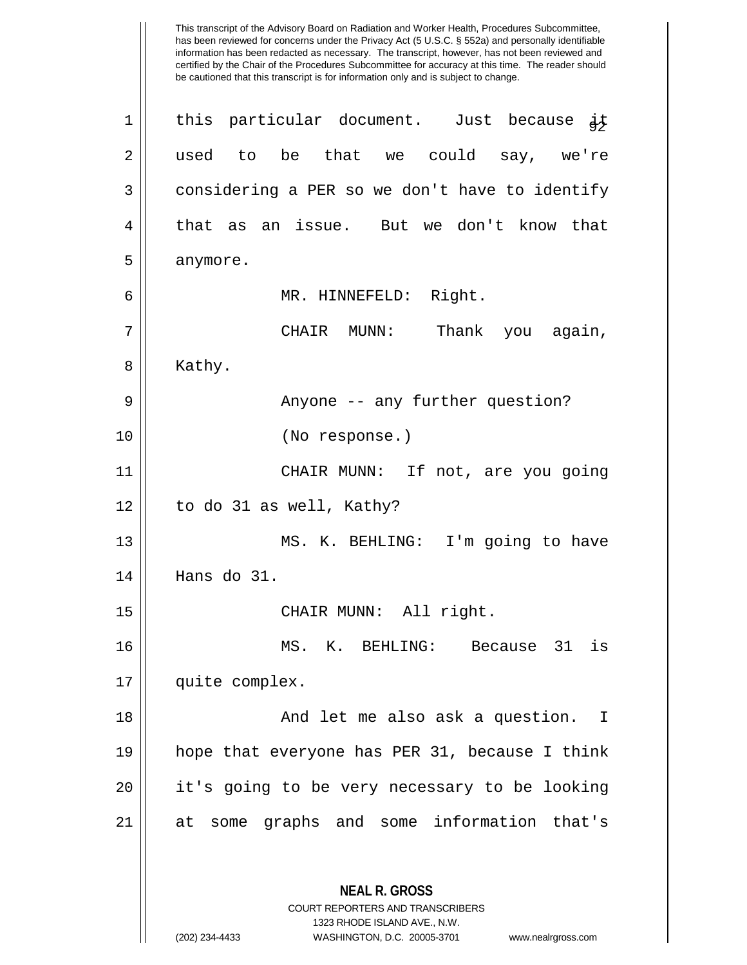has been reviewed for concerns under the Privacy Act (5 U.S.C. § 552a) and personally identifiable information has been redacted as necessary. The transcript, however, has not been reviewed and certified by the Chair of the Procedures Subcommittee for accuracy at this time. The reader should be cautioned that this transcript is for information only and is subject to change. **NEAL R. GROSS** COURT REPORTERS AND TRANSCRIBERS 1323 RHODE ISLAND AVE., N.W. 1 || this particular document. Just because  $\frac{1}{9}$ 2 || used to be that we could say, we're 3 | considering a PER so we don't have to identify 4 that as an issue. But we don't know that  $5 \parallel$  anymore. 6 MR. HINNEFELD: Right. 7 CHAIR MUNN: Thank you again, 8 | Kathy. 9 Anyone -- any further question? 10 (No response.) 11 CHAIR MUNN: If not, are you going 12 || to do 31 as well, Kathy? 13 || MS. K. BEHLING: I'm going to have 14 Hans do 31. 15 || CHAIR MUNN: All right. 16 MS. K. BEHLING: Because 31 is 17 | quite complex. 18 And let me also ask a question. I 19 hope that everyone has PER 31, because I think 20 || it's going to be very necessary to be looking 21 at some graphs and some information that's

This transcript of the Advisory Board on Radiation and Worker Health, Procedures Subcommittee,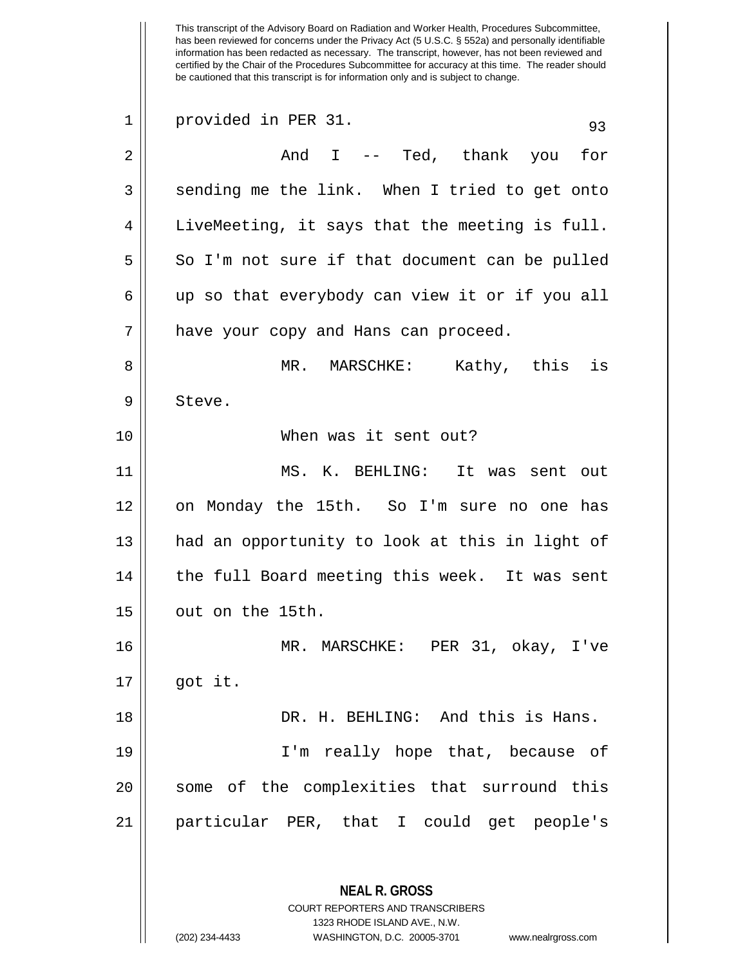This transcript of the Advisory Board on Radiation and Worker Health, Procedures Subcommittee, has been reviewed for concerns under the Privacy Act (5 U.S.C. § 552a) and personally identifiable information has been redacted as necessary. The transcript, however, has not been reviewed and certified by the Chair of the Procedures Subcommittee for accuracy at this time. The reader should be cautioned that this transcript is for information only and is subject to change. **NEAL R. GROSS** 1 provided in PER 31. 93 2 And I -- Ted, thank you for 3 || sending me the link. When I tried to get onto  $4 \parallel$  LiveMeeting, it says that the meeting is full.  $5 \parallel$  So I'm not sure if that document can be pulled  $6 \parallel$  up so that everybody can view it or if you all 7 || have your copy and Hans can proceed. 8 MR. MARSCHKE: Kathy, this is 9 | Steve. 10 When was it sent out? 11 MS. K. BEHLING: It was sent out 12 on Monday the 15th. So I'm sure no one has 13 || had an opportunity to look at this in light of  $14$  | the full Board meeting this week. It was sent  $15$   $\parallel$  out on the 15th. 16 MR. MARSCHKE: PER 31, okay, I've  $17 \parallel$  got it. 18 DR. H. BEHLING: And this is Hans. 19 I'm really hope that, because of 20 || some of the complexities that surround this 21 particular PER, that I could get people's

> COURT REPORTERS AND TRANSCRIBERS 1323 RHODE ISLAND AVE., N.W.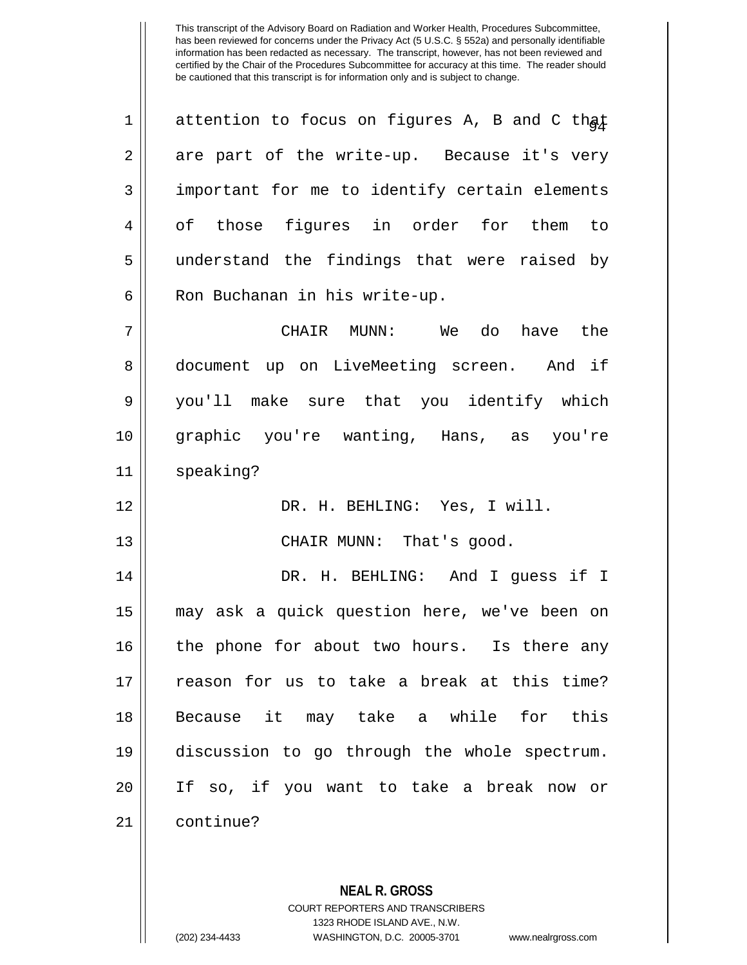1 || attention to focus on figures A, B and C that  $2 \parallel$  are part of the write-up. Because it's very 3 || important for me to identify certain elements 4 || of those figures in order for them to 5 || understand the findings that were raised by 6 || Ron Buchanan in his write-up. 7 CHAIR MUNN: We do have the 8 document up on LiveMeeting screen. And if 9 you'll make sure that you identify which 10 graphic you're wanting, Hans, as you're 11 speaking? 12 DR. H. BEHLING: Yes, I will. 13 || CHAIR MUNN: That's good.

 DR. H. BEHLING: And I guess if I may ask a quick question here, we've been on 16 || the phone for about two hours. Is there any 17 || reason for us to take a break at this time? Because it may take a while for this discussion to go through the whole spectrum. If so, if you want to take a break now or 21 continue?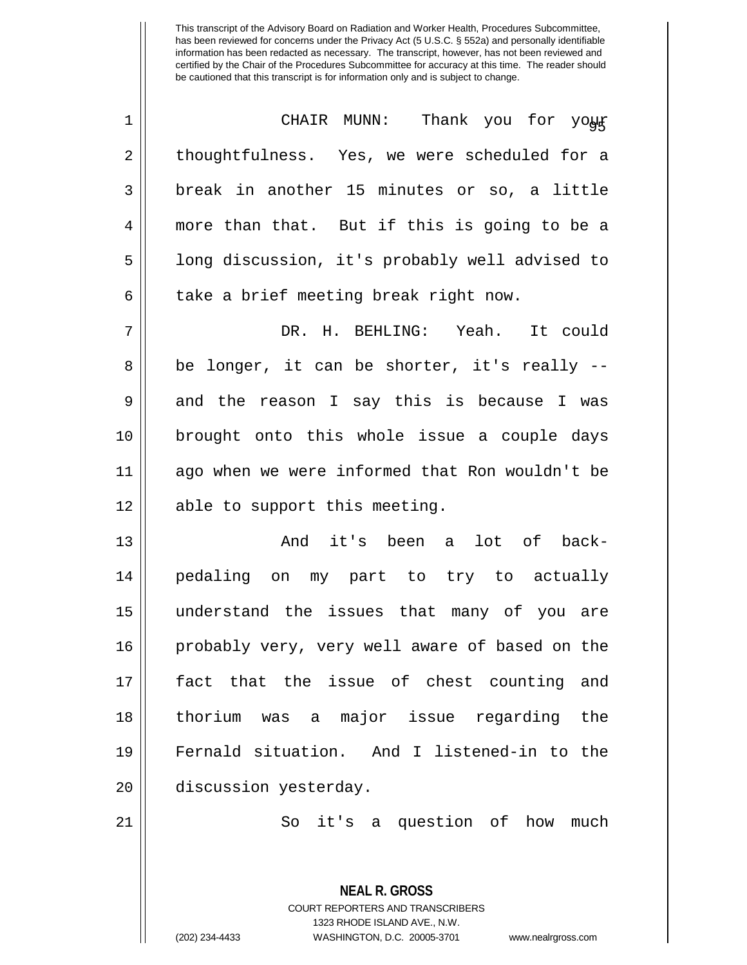| $\mathbf 1$    | CHAIR MUNN: Thank you for your                 |
|----------------|------------------------------------------------|
| $\overline{2}$ | thoughtfulness. Yes, we were scheduled for a   |
| 3              | break in another 15 minutes or so, a little    |
| 4              | more than that. But if this is going to be a   |
| 5              | long discussion, it's probably well advised to |
| 6              | take a brief meeting break right now.          |
| 7              | DR. H. BEHLING: Yeah. It could                 |
| 8              | be longer, it can be shorter, it's really --   |
| 9              | and the reason I say this is because I was     |
| 10             | brought onto this whole issue a couple days    |
| 11             | ago when we were informed that Ron wouldn't be |
| 12             | able to support this meeting.                  |
| 13             | And it's been a<br>lot of back-                |
| 14             | pedaling on my part to try to actually         |
| 15             | understand the issues that many of you are     |
| 16             | probably very, very well aware of based on the |
| 17             | fact that the issue of chest counting and      |
| 18             | thorium was a major issue regarding the        |
| 19             | Fernald situation. And I listened-in to the    |
| 20             | discussion yesterday.                          |
| 21             | So it's a question of how<br>much              |

**NEAL R. GROSS** COURT REPORTERS AND TRANSCRIBERS 1323 RHODE ISLAND AVE., N.W.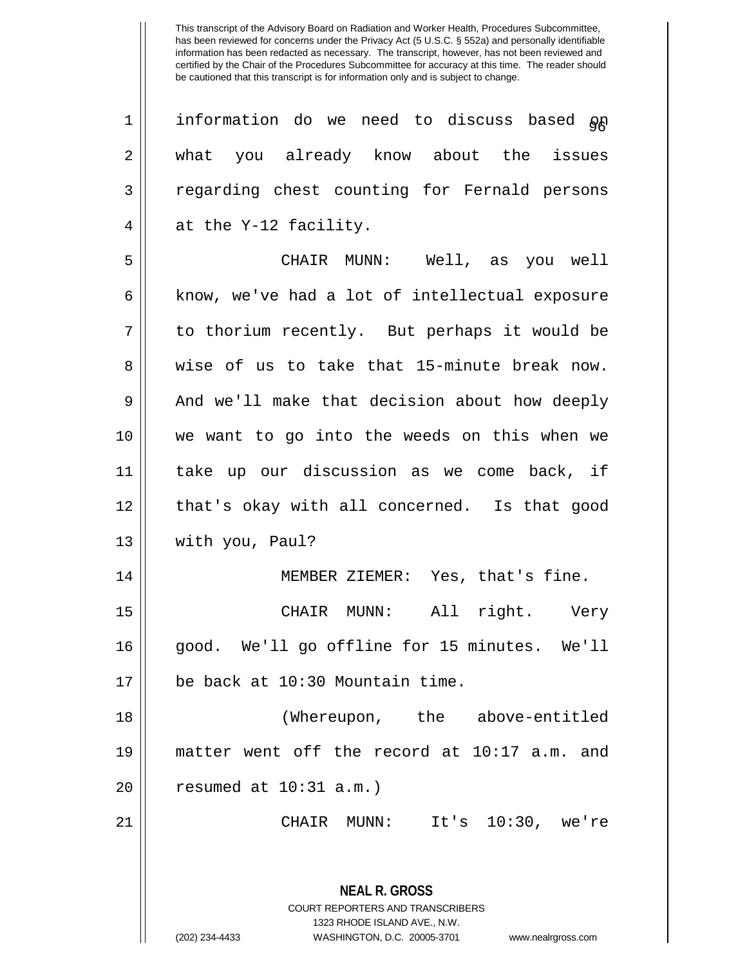**NEAL R. GROSS** COURT REPORTERS AND TRANSCRIBERS  $1$  | information do we need to discuss based  $\delta p$ 2 || what you already know about the issues 3 || regarding chest counting for Fernald persons  $4 \parallel$  at the Y-12 facility. 5 CHAIR MUNN: Well, as you well  $6 \parallel$  know, we've had a lot of intellectual exposure 7 to thorium recently. But perhaps it would be 8 wise of us to take that 15-minute break now.  $9 \parallel$  And we'll make that decision about how deeply 10 we want to go into the weeds on this when we 11 take up our discussion as we come back, if 12 || that's okay with all concerned. Is that good 13 || with you, Paul? 14 | MEMBER ZIEMER: Yes, that's fine. 15 CHAIR MUNN: All right. Very 16 good. We'll go offline for 15 minutes. We'll  $17$  | be back at 10:30 Mountain time. 18 (Whereupon, the above-entitled 19 matter went off the record at 10:17 a.m. and  $20$  | resumed at  $10:31$  a.m.) 21 CHAIR MUNN: It's 10:30, we're

1323 RHODE ISLAND AVE., N.W.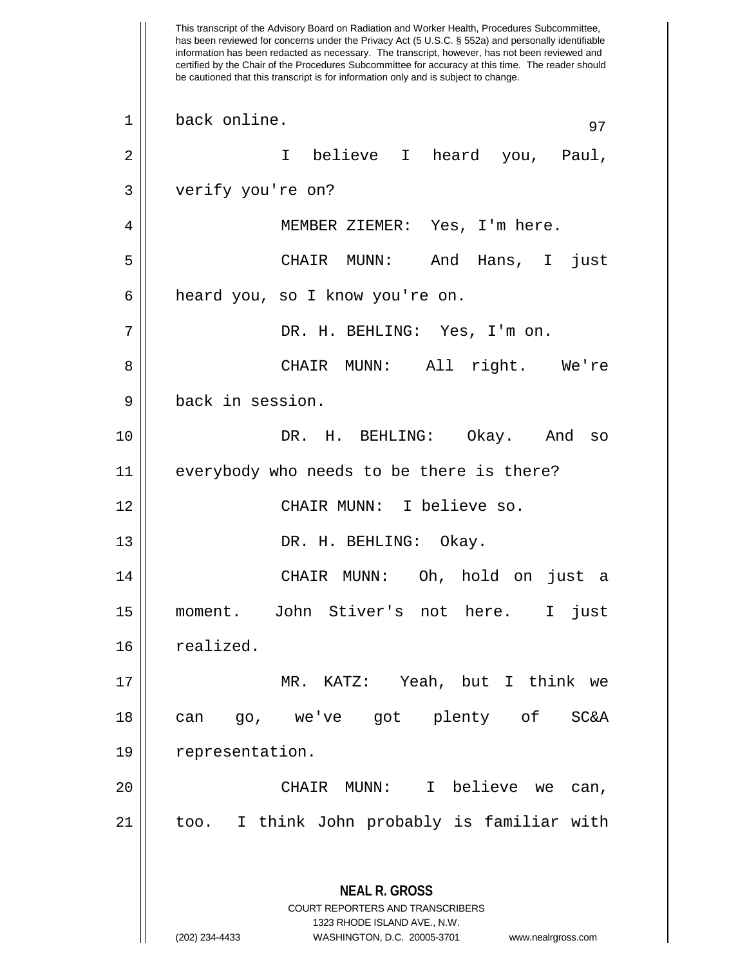This transcript of the Advisory Board on Radiation and Worker Health, Procedures Subcommittee, has been reviewed for concerns under the Privacy Act (5 U.S.C. § 552a) and personally identifiable information has been redacted as necessary. The transcript, however, has not been reviewed and certified by the Chair of the Procedures Subcommittee for accuracy at this time. The reader should be cautioned that this transcript is for information only and is subject to change. **NEAL R. GROSS** COURT REPORTERS AND TRANSCRIBERS 1323 RHODE ISLAND AVE., N.W. (202) 234-4433 WASHINGTON, D.C. 20005-3701 www.nealrgross.com  $1 \parallel$  back online. 2 || T believe I heard you, Paul, 3 verify you're on? 4 || MEMBER ZIEMER: Yes, I'm here. 5 CHAIR MUNN: And Hans, I just 6 | heard you, so I know you're on. 7 DR. H. BEHLING: Yes, I'm on. 8 CHAIR MUNN: All right. We're 9 back in session. 10 DR. H. BEHLING: Okay. And so 11 everybody who needs to be there is there? 12 CHAIR MUNN: I believe so. 13 || DR. H. BEHLING: Okay. 14 CHAIR MUNN: Oh, hold on just a 15 moment. John Stiver's not here. I just 16 | realized. 17 MR. KATZ: Yeah, but I think we 18 can go, we've got plenty of SC&A 19 | representation. 20 CHAIR MUNN: I believe we can, 21 || too. I think John probably is familiar with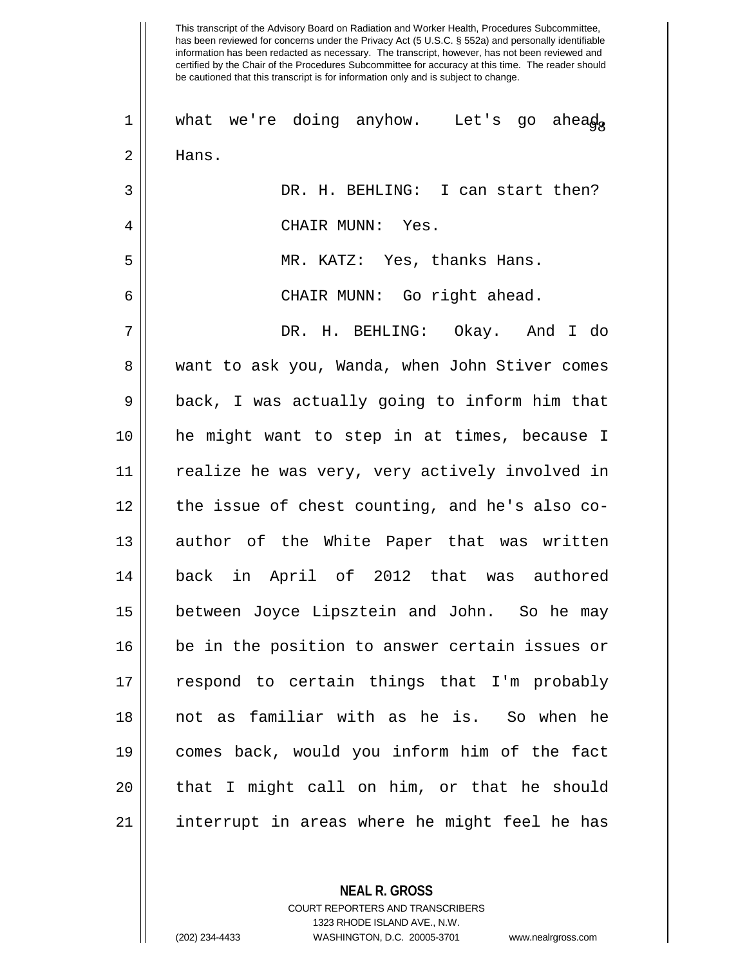has been reviewed for concerns under the Privacy Act (5 U.S.C. § 552a) and personally identifiable information has been redacted as necessary. The transcript, however, has not been reviewed and certified by the Chair of the Procedures Subcommittee for accuracy at this time. The reader should be cautioned that this transcript is for information only and is subject to change. 1 || what we're doing anyhow. Let's go ahea $\phi_{\alpha}$ 2 | Hans. 3 DR. H. BEHLING: I can start then? 4 CHAIR MUNN: Yes. 5 MR. KATZ: Yes, thanks Hans. 6 CHAIR MUNN: Go right ahead. 7 DR. H. BEHLING: Okay. And I do 8 want to ask you, Wanda, when John Stiver comes  $9 \parallel$  back, I was actually going to inform him that 10 he might want to step in at times, because I 11 realize he was very, very actively involved in 12 the issue of chest counting, and he's also co-13 || author of the White Paper that was written 14 back in April of 2012 that was authored 15 between Joyce Lipsztein and John. So he may 16 be in the position to answer certain issues or 17 || respond to certain things that I'm probably 18 not as familiar with as he is. So when he 19 comes back, would you inform him of the fact 20 || that I might call on him, or that he should 21 interrupt in areas where he might feel he has

This transcript of the Advisory Board on Radiation and Worker Health, Procedures Subcommittee,

1323 RHODE ISLAND AVE., N.W.

**NEAL R. GROSS** COURT REPORTERS AND TRANSCRIBERS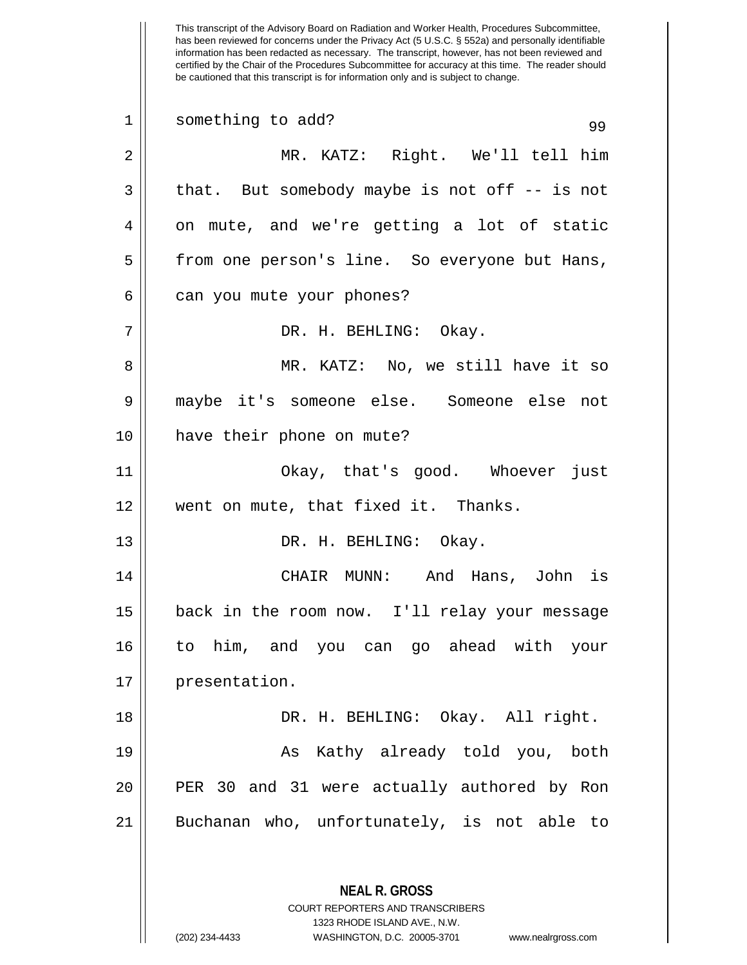This transcript of the Advisory Board on Radiation and Worker Health, Procedures Subcommittee, has been reviewed for concerns under the Privacy Act (5 U.S.C. § 552a) and personally identifiable information has been redacted as necessary. The transcript, however, has not been reviewed and certified by the Chair of the Procedures Subcommittee for accuracy at this time. The reader should be cautioned that this transcript is for information only and is subject to change. **NEAL R. GROSS** COURT REPORTERS AND TRANSCRIBERS 1323 RHODE ISLAND AVE., N.W. 1 Something to add? 99 2 MR. KATZ: Right. We'll tell him  $3 \parallel$  that. But somebody maybe is not off -- is not  $4 \parallel$  on mute, and we're getting a lot of static 5 | from one person's line. So everyone but Hans,  $6 \parallel$  can you mute your phones? 7 DR. H. BEHLING: Okay. 8 || MR. KATZ: No, we still have it so 9 maybe it's someone else. Someone else not 10 have their phone on mute? 11 Okay, that's good. Whoever just 12 went on mute, that fixed it. Thanks. 13 || DR. H. BEHLING: Okay. 14 CHAIR MUNN: And Hans, John is 15 back in the room now. I'll relay your message 16 to him, and you can go ahead with your 17 || presentation. 18 DR. H. BEHLING: Okay. All right. 19 || As Kathy already told you, both 20 PER 30 and 31 were actually authored by Ron 21 Buchanan who, unfortunately, is not able to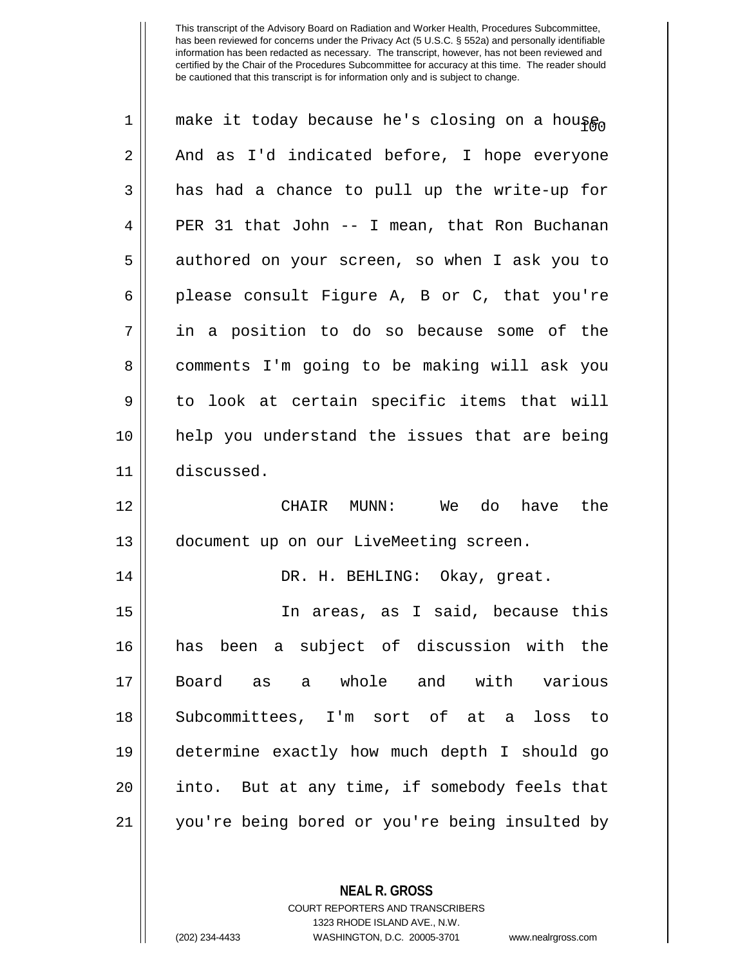| 1  | make it today because he's closing on a housen |
|----|------------------------------------------------|
| 2  | And as I'd indicated before, I hope everyone   |
| 3  | has had a chance to pull up the write-up for   |
| 4  | PER 31 that John -- I mean, that Ron Buchanan  |
| 5  | authored on your screen, so when I ask you to  |
| 6  | please consult Figure A, B or C, that you're   |
| 7  | in a position to do so because some of the     |
| 8  | comments I'm going to be making will ask you   |
| 9  | to look at certain specific items that will    |
| 10 | help you understand the issues that are being  |
| 11 | discussed.                                     |
| 12 | CHAIR MUNN:<br>We do have<br>the               |
| 13 | document up on our LiveMeeting screen.         |
| 14 | DR. H. BEHLING: Okay, great.                   |
| 15 | In areas, as I said, because this              |
| 16 | has been a subject of discussion with the      |
| 17 | Board as a whole and with various              |
| 18 | Subcommittees, I'm sort of at a loss to        |
| 19 | determine exactly how much depth I should go   |
| 20 | into. But at any time, if somebody feels that  |
| 21 | you're being bored or you're being insulted by |

**NEAL R. GROSS** COURT REPORTERS AND TRANSCRIBERS

1323 RHODE ISLAND AVE., N.W. (202) 234-4433 WASHINGTON, D.C. 20005-3701 www.nealrgross.com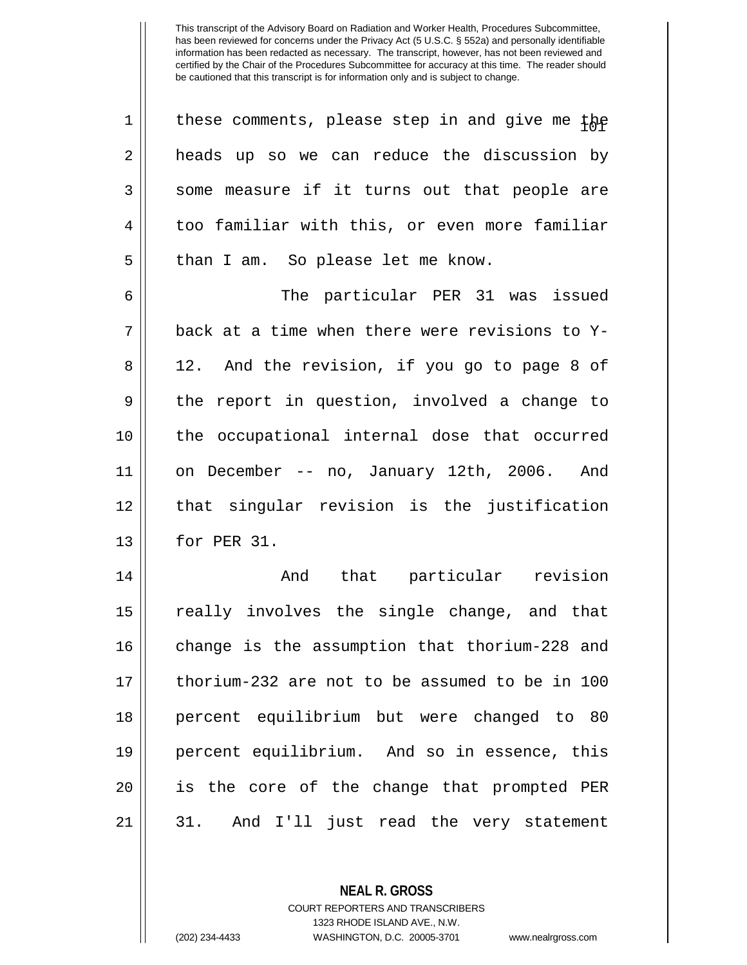| $\mathbf 1$ | these comments, please step in and give me the |
|-------------|------------------------------------------------|
| 2           | heads up so we can reduce the discussion by    |
| 3           | some measure if it turns out that people are   |
| 4           | too familiar with this, or even more familiar  |
| 5           | than I am. So please let me know.              |
| 6           | The particular PER 31 was issued               |
| 7           | back at a time when there were revisions to Y- |
| 8           | 12. And the revision, if you go to page 8 of   |
| 9           | the report in question, involved a change to   |
| 10          | the occupational internal dose that occurred   |
| 11          | on December -- no, January 12th, 2006. And     |
| 12          | that singular revision is the justification    |
| 13          | for PER 31.                                    |
| 14          | And that particular revision                   |
| 15          | really involves the single change, and that    |
| 16          | change is the assumption that thorium-228 and  |
| 17          | thorium-232 are not to be assumed to be in 100 |
| 18          | percent equilibrium but were changed to 80     |
| 19          | percent equilibrium. And so in essence, this   |
| 20          | is the core of the change that prompted PER    |
| 21          | 31. And I'll just read the very statement      |

**NEAL R. GROSS** COURT REPORTERS AND TRANSCRIBERS

1323 RHODE ISLAND AVE., N.W.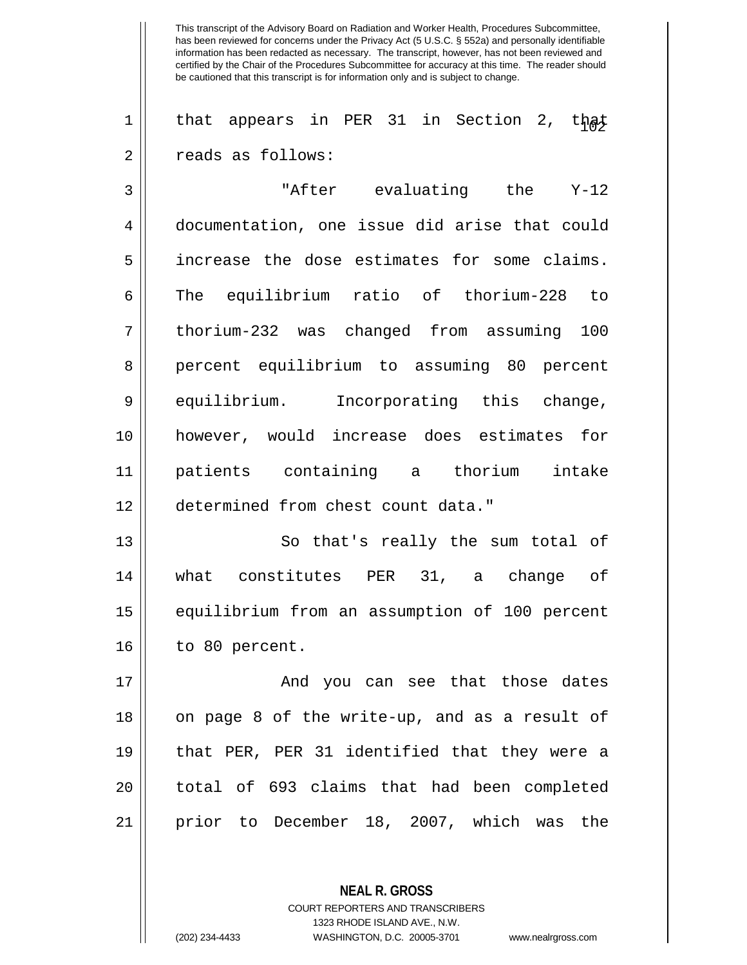1 || that appears in PER 31 in Section 2, that 2 | Treads as follows:

 "After evaluating the Y-12 documentation, one issue did arise that could 5 | increase the dose estimates for some claims. The equilibrium ratio of thorium-228 to thorium-232 was changed from assuming 100 8 percent equilibrium to assuming 80 percent 9 equilibrium. Incorporating this change, however, would increase does estimates for patients containing a thorium intake determined from chest count data."

13 || So that's really the sum total of 14 what constitutes PER 31, a change of 15 || equilibrium from an assumption of 100 percent  $16$  | to 80 percent.

17 And you can see that those dates 18 || on page 8 of the write-up, and as a result of 19 that PER, PER 31 identified that they were a 20 || total of 693 claims that had been completed 21 prior to December 18, 2007, which was the

> **NEAL R. GROSS** COURT REPORTERS AND TRANSCRIBERS

1323 RHODE ISLAND AVE., N.W.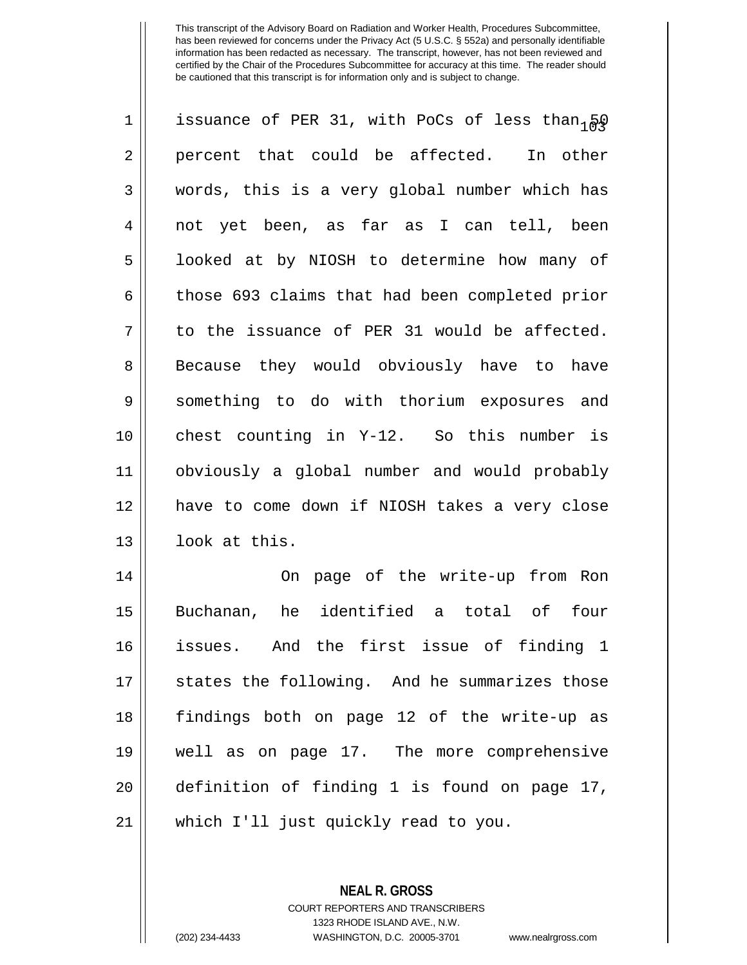| $\mathbf 1$ | issuance of PER 31, with PoCs of less than $\beta Q$ |
|-------------|------------------------------------------------------|
| 2           | percent that could be affected. In other             |
| 3           | words, this is a very global number which has        |
| 4           | not yet been, as far as I can tell, been             |
| 5           | looked at by NIOSH to determine how many of          |
| 6           | those 693 claims that had been completed prior       |
| 7           | to the issuance of PER 31 would be affected.         |
| 8           | Because they would obviously have to have            |
| 9           | something to do with thorium exposures and           |
| 10          | chest counting in Y-12. So this number is            |
| 11          | obviously a global number and would probably         |
| 12          | have to come down if NIOSH takes a very close        |
| 13          | look at this.                                        |
| 14          | On page of the write-up from Ron                     |
| 15          | Buchanan, he identified a total of<br>four           |
| 16          | issues. And the first issue of finding 1             |
| 17          | states the following. And he summarizes those        |
| 18          | findings both on page 12 of the write-up as          |
| 19          | well as on page 17. The more comprehensive           |
| 20          | definition of finding 1 is found on page 17,         |
| 21          | which I'll just quickly read to you.                 |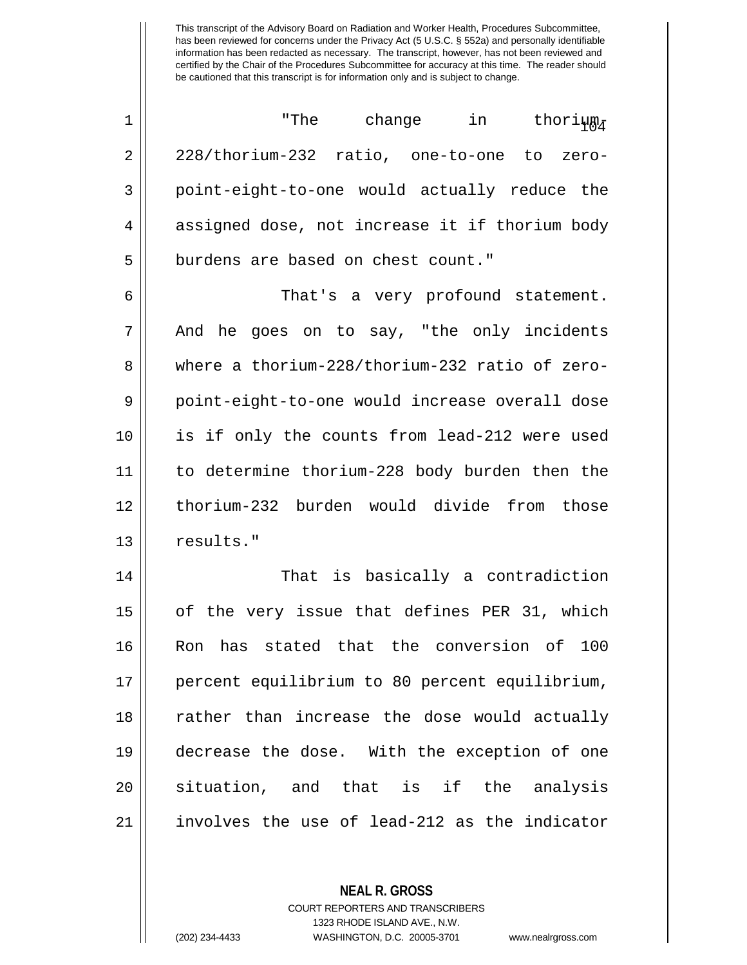$\begin{array}{ccc} \hbox{\small\it 1}\hskip 2pt \end{array}$   $\begin{array}{ccc} \hbox{\small\it 1}\hskip 2pt \end{array}$   $\begin{array}{ccc} \hbox{\small\it 1}\hskip 2pt \end{array}$   $\begin{array}{ccc} \hbox{\small\it 1}\hskip 2pt \end{array}$ 2 228/thorium-232 ratio, one-to-one to zero-3 || point-eight-to-one would actually reduce the 4 assigned dose, not increase it if thorium body 5 | burdens are based on chest count."

6 That's a very profound statement.  $7 \parallel$  And he goes on to say, "the only incidents 8 where a thorium-228/thorium-232 ratio of zero-9 point-eight-to-one would increase overall dose 10 is if only the counts from lead-212 were used 11 to determine thorium-228 body burden then the 12 thorium-232 burden would divide from those 13 results."

14 || That is basically a contradiction 15 || of the very issue that defines PER 31, which 16 Ron has stated that the conversion of 100 17 percent equilibrium to 80 percent equilibrium, 18 || rather than increase the dose would actually 19 decrease the dose. With the exception of one 20 || situation, and that is if the analysis 21 involves the use of lead-212 as the indicator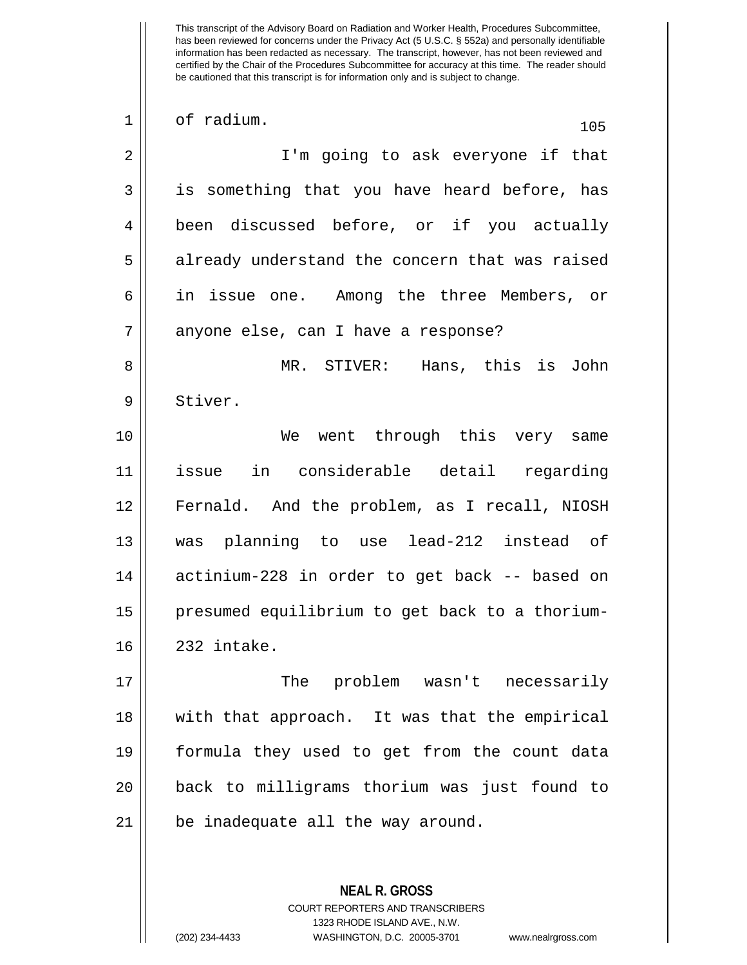1 of radium. 105 2 || I'm going to ask everyone if that 3 || is something that you have heard before, has 4 been discussed before, or if you actually 5 || already understand the concern that was raised 6 in issue one. Among the three Members, or 7 || anyone else, can I have a response? 8 MR. STIVER: Hans, this is John 9 Stiver. 10 We went through this very same 11 issue in considerable detail regarding 12 Fernald. And the problem, as I recall, NIOSH 13 was planning to use lead-212 instead of 14 || actinium-228 in order to get back -- based on 15 | presumed equilibrium to get back to a thorium-16 232 intake. 17 The problem wasn't necessarily 18 with that approach. It was that the empirical 19 formula they used to get from the count data 20 back to milligrams thorium was just found to 21 | be inadequate all the way around.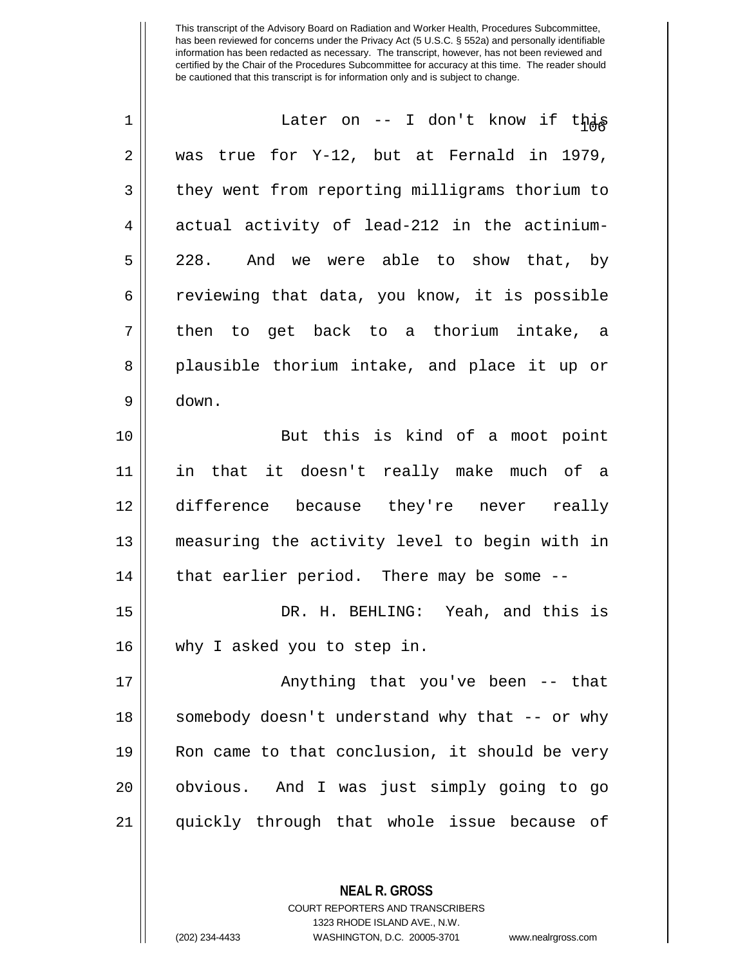| 1  | Later on -- I don't know if this               |
|----|------------------------------------------------|
| 2  | was true for Y-12, but at Fernald in 1979,     |
| 3  | they went from reporting milligrams thorium to |
| 4  | actual activity of lead-212 in the actinium-   |
| 5  | 228. And we were able to show that, by         |
| 6  | reviewing that data, you know, it is possible  |
| 7  | then to get back to a thorium intake, a        |
| 8  | plausible thorium intake, and place it up or   |
| 9  | down.                                          |
| 10 | But this is kind of a moot point               |
| 11 | in that it doesn't really make much of a       |
| 12 | difference because they're never really        |
| 13 | measuring the activity level to begin with in  |
| 14 | that earlier period. There may be some --      |
| 15 | DR. H. BEHLING: Yeah, and this is              |
| 16 | why I asked you to step in.                    |
| 17 | Anything that you've been -- that              |
| 18 | somebody doesn't understand why that -- or why |
| 19 | Ron came to that conclusion, it should be very |
| 20 | obvious. And I was just simply going to go     |
| 21 | quickly through that whole issue because of    |

COURT REPORTERS AND TRANSCRIBERS 1323 RHODE ISLAND AVE., N.W.

**NEAL R. GROSS**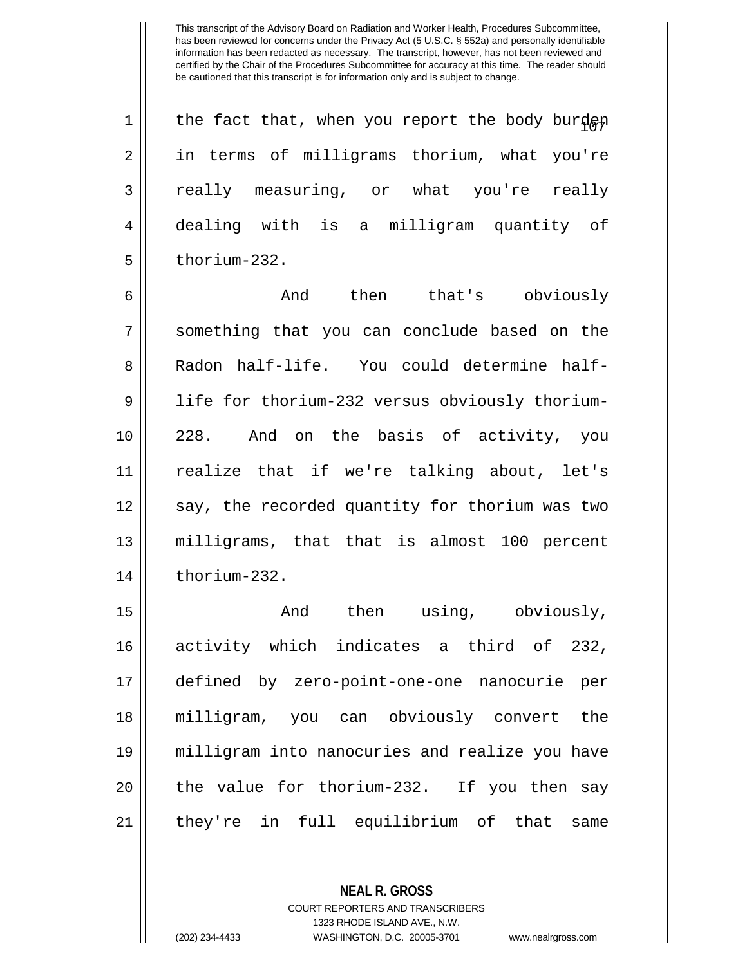| $1 \parallel$  | the fact that, when you report the body burden |
|----------------|------------------------------------------------|
| 2 <sup>1</sup> | in terms of milligrams thorium, what you're    |
| $\overline{3}$ | really measuring, or what you're really        |
| $\overline{4}$ | dealing with is a milligram quantity of        |
| 5 <sup>1</sup> | thorium-232.                                   |

6 And then that's obviously 7 Something that you can conclude based on the 8 Radon half-life. You could determine half-9 | life for thorium-232 versus obviously thorium-10 228. And on the basis of activity, you 11 realize that if we're talking about, let's 12 || say, the recorded quantity for thorium was two 13 milligrams, that that is almost 100 percent  $14$   $\parallel$  thorium-232.

15 || Then using, obviously, activity which indicates a third of 232, defined by zero-point-one-one nanocurie per milligram, you can obviously convert the milligram into nanocuries and realize you have || the value for thorium-232. If you then say they're in full equilibrium of that same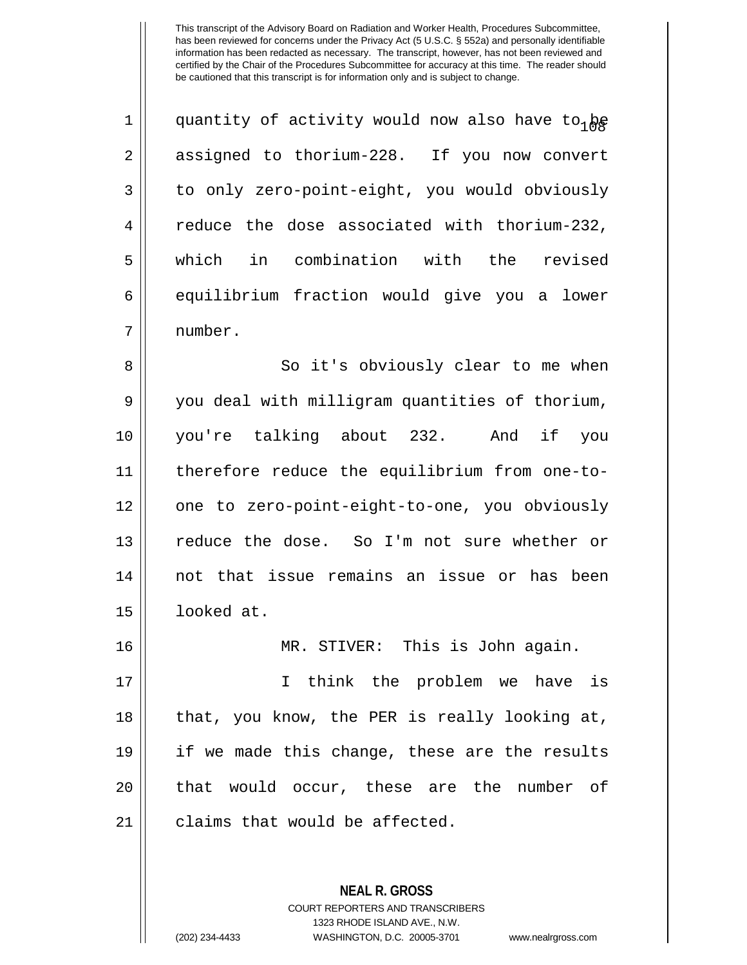| 1  | quantity of activity would now also have to <sub>1</sub> be |
|----|-------------------------------------------------------------|
| 2  | assigned to thorium-228. If you now convert                 |
| 3  | to only zero-point-eight, you would obviously               |
| 4  | reduce the dose associated with thorium-232,                |
| 5  | which in combination with the revised                       |
| 6  | equilibrium fraction would give you a lower                 |
| 7  | number.                                                     |
| 8  | So it's obviously clear to me when                          |
| 9  | you deal with milligram quantities of thorium,              |
| 10 | you're talking about 232. And if<br>you                     |
| 11 | therefore reduce the equilibrium from one-to-               |
| 12 | one to zero-point-eight-to-one, you obviously               |
| 13 | reduce the dose. So I'm not sure whether or                 |
| 14 | not that issue remains an issue or has been                 |
| 15 | looked at.                                                  |
| 16 | MR. STIVER: This is John again.                             |
| 17 | I think the problem we have is                              |
| 18 | that, you know, the PER is really looking at,               |
| 19 | if we made this change, these are the results               |
| 20 | that would occur, these are the<br>number of                |
| 21 | claims that would be affected.                              |
|    |                                                             |

**NEAL R. GROSS** COURT REPORTERS AND TRANSCRIBERS 1323 RHODE ISLAND AVE., N.W.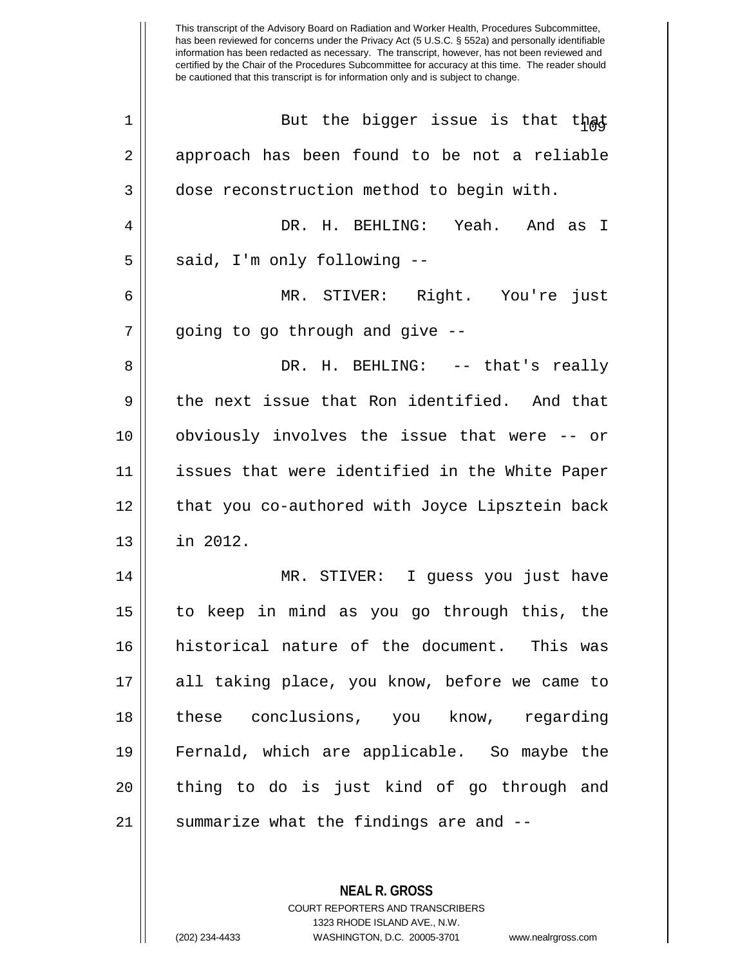| 1  | But the bigger issue is that that              |
|----|------------------------------------------------|
| 2  | approach has been found to be not a reliable   |
| 3  | dose reconstruction method to begin with.      |
| 4  | DR. H. BEHLING: Yeah. And as I                 |
| 5  | said, I'm only following --                    |
| 6  | MR. STIVER: Right. You're just                 |
| 7  | going to go through and give --                |
| 8  | DR. H. BEHLING: -- that's really               |
| 9  | the next issue that Ron identified. And that   |
| 10 | obviously involves the issue that were -- or   |
| 11 | issues that were identified in the White Paper |
| 12 | that you co-authored with Joyce Lipsztein back |
| 13 | in 2012.                                       |
| 14 | MR. STIVER: I guess you just have              |
| 15 | to keep in mind as you go through this, the    |
| 16 | historical nature of the document. This was    |
| 17 | all taking place, you know, before we came to  |
| 18 | these conclusions, you know, regarding         |
| 19 | Fernald, which are applicable. So maybe the    |
| 20 | thing to do is just kind of go through and     |
| 21 | summarize what the findings are and --         |
|    |                                                |

COURT REPORTERS AND TRANSCRIBERS 1323 RHODE ISLAND AVE., N.W. (202) 234-4433 WASHINGTON, D.C. 20005-3701 www.nealrgross.com

**NEAL R. GROSS**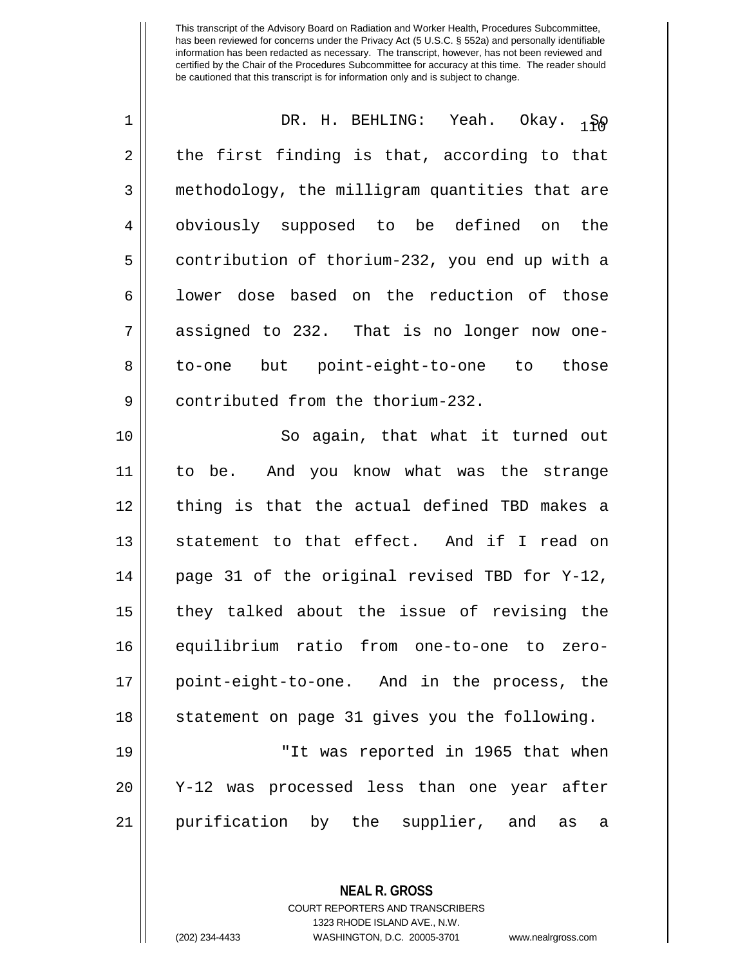| 1  | DR. H. BEHLING: Yeah. Okay. 180                |
|----|------------------------------------------------|
| 2  | the first finding is that, according to that   |
| 3  | methodology, the milligram quantities that are |
| 4  | obviously supposed to be defined on the        |
| 5  | contribution of thorium-232, you end up with a |
| 6  | lower dose based on the reduction of those     |
| 7  | assigned to 232. That is no longer now one-    |
| 8  | to-one but point-eight-to-one to those         |
| 9  | contributed from the thorium-232.              |
| 10 | So again, that what it turned out              |
| 11 | to be. And you know what was the strange       |
| 12 | thing is that the actual defined TBD makes a   |
| 13 | statement to that effect. And if I read on     |
| 14 | page 31 of the original revised TBD for Y-12,  |
| 15 | they talked about the issue of revising the    |
| 16 | equilibrium ratio from one-to-one to zero-     |
| 17 | point-eight-to-one. And in the process, the    |
| 18 | statement on page 31 gives you the following.  |
| 19 | "It was reported in 1965 that when             |
| 20 | Y-12 was processed less than one year after    |
| 21 | purification by the supplier, and<br>as<br>a   |

**NEAL R. GROSS**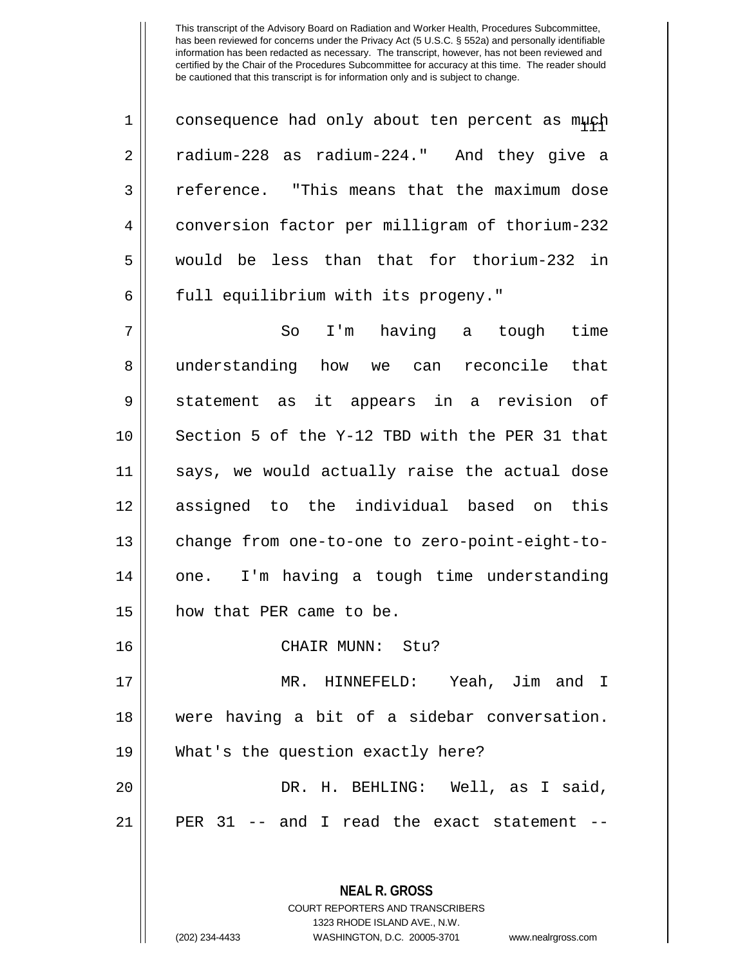| consequence had only about ten percent as much radium-228 as radium-224." And they give a 3 Feference. "This means that the maximum dose conversion factor per milligram of thorium-232 would be less than that for thorium-232 in 6 || full equilibrium with its progeny."

7 So I'm having a tough time 8 || understanding how we can reconcile that 9 || statement as it appears in a revision of 10 || Section 5 of the Y-12 TBD with the PER 31 that 11 says, we would actually raise the actual dose 12 assigned to the individual based on this 13 | change from one-to-one to zero-point-eight-to- $14$  | one. I'm having a tough time understanding 15 how that PER came to be.

## 16 CHAIR MUNN: Stu?

 MR. HINNEFELD: Yeah, Jim and I were having a bit of a sidebar conversation. What's the question exactly here? DR. H. BEHLING: Well, as I said,

 $21$  || PER 31 -- and I read the exact statement --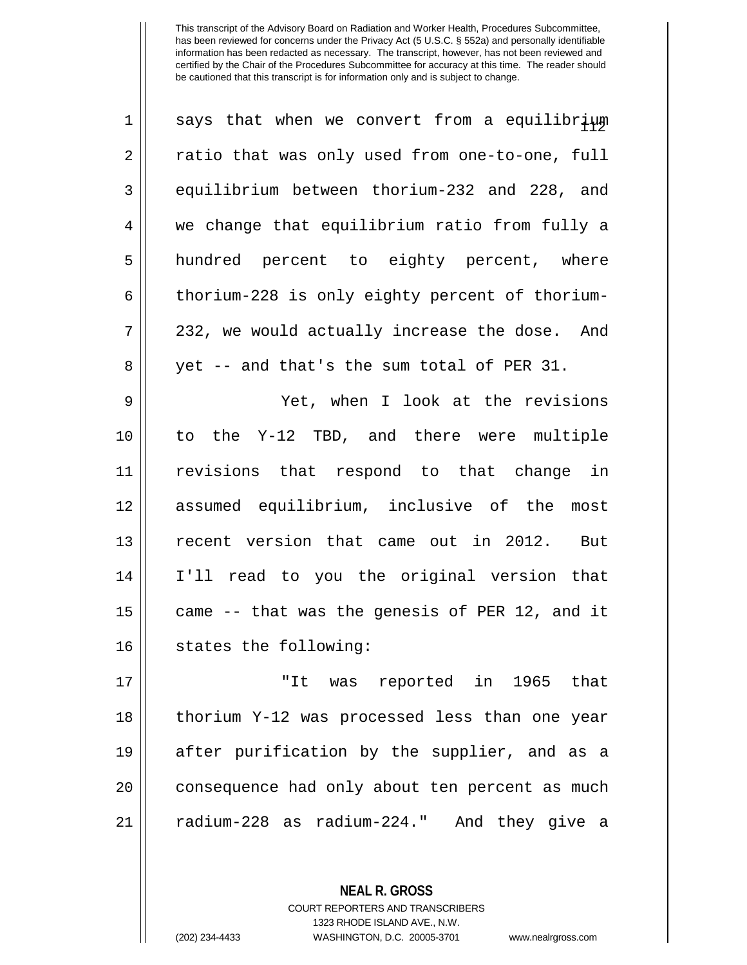| $\mathbf 1$ | says that when we convert from a equilibrium   |
|-------------|------------------------------------------------|
| 2           | ratio that was only used from one-to-one, full |
| 3           | equilibrium between thorium-232 and 228, and   |
| 4           | we change that equilibrium ratio from fully a  |
| 5           | hundred percent to eighty percent, where       |
| 6           | thorium-228 is only eighty percent of thorium- |
| 7           | 232, we would actually increase the dose. And  |
| 8           | yet -- and that's the sum total of PER 31.     |
| 9           | Yet, when I look at the revisions              |
| 10          | to the Y-12 TBD, and there were multiple       |
| 11          | revisions that respond to that change in       |
| 12          | assumed equilibrium, inclusive of the most     |
| 13          | recent version that came out in 2012. But      |
| 14          | I'll read to you the original version that     |
| 15          | came -- that was the genesis of PER 12, and it |
| 16          | states the following:                          |
| 17          | "It was reported in 1965 that                  |
| 18          | thorium Y-12 was processed less than one year  |
| 19          | after purification by the supplier, and as a   |
| 20          | consequence had only about ten percent as much |
| 21          | radium-228 as radium-224."<br>And they give a  |

COURT REPORTERS AND TRANSCRIBERS 1323 RHODE ISLAND AVE., N.W.

**NEAL R. GROSS**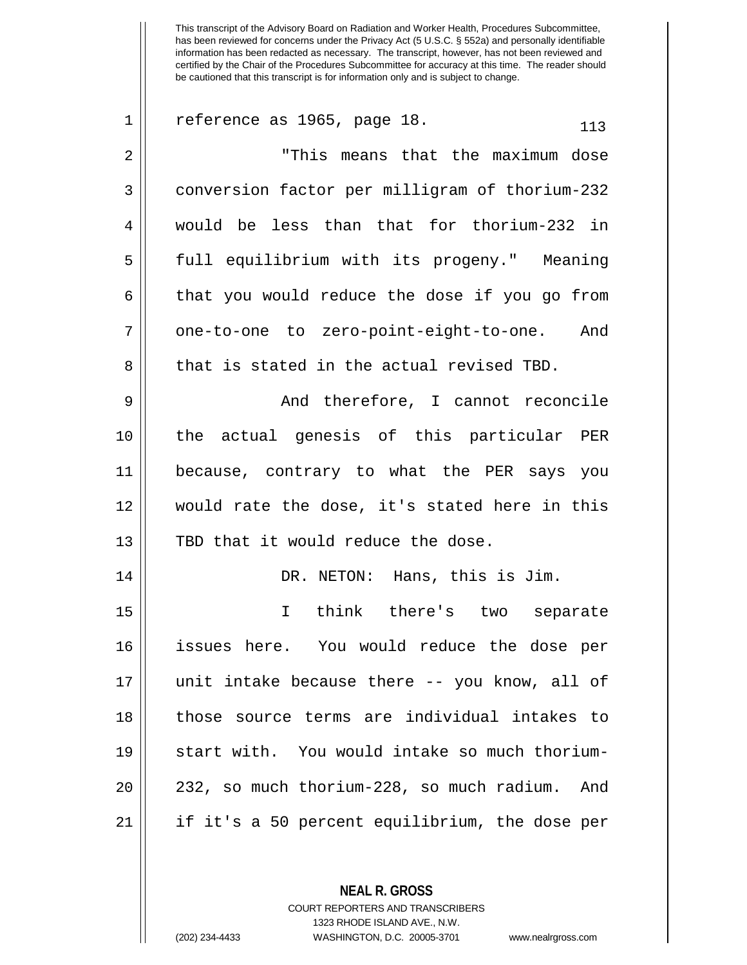| $\mathbf 1$ | reference as 1965, page 18.<br>113               |
|-------------|--------------------------------------------------|
| 2           | "This means that the maximum dose                |
| 3           | conversion factor per milligram of thorium-232   |
| 4           | would be less than that for thorium-232 in       |
| 5           | full equilibrium with its progeny." Meaning      |
| 6           | that you would reduce the dose if you go from    |
| 7           | one-to-one to zero-point-eight-to-one. And       |
| 8           | that is stated in the actual revised TBD.        |
| 9           | And therefore, I cannot reconcile                |
| 10          | the actual genesis of this particular PER        |
| 11          | because, contrary to what the PER says you       |
| 12          | would rate the dose, it's stated here in this    |
| 13          | TBD that it would reduce the dose.               |
| 14          | DR. NETON: Hans, this is Jim.                    |
| 15          | think there's two separate<br>$\mathbf I$        |
| 16          | issues here. You would reduce the dose per       |
| 17          | unit intake because there -- you know, all of    |
| 18          | those source terms are individual intakes to     |
| 19          | start with. You would intake so much thorium-    |
| 20          | 232, so much thorium-228, so much radium.<br>And |
| 21          | if it's a 50 percent equilibrium, the dose per   |
|             |                                                  |

**NEAL R. GROSS** COURT REPORTERS AND TRANSCRIBERS

1323 RHODE ISLAND AVE., N.W.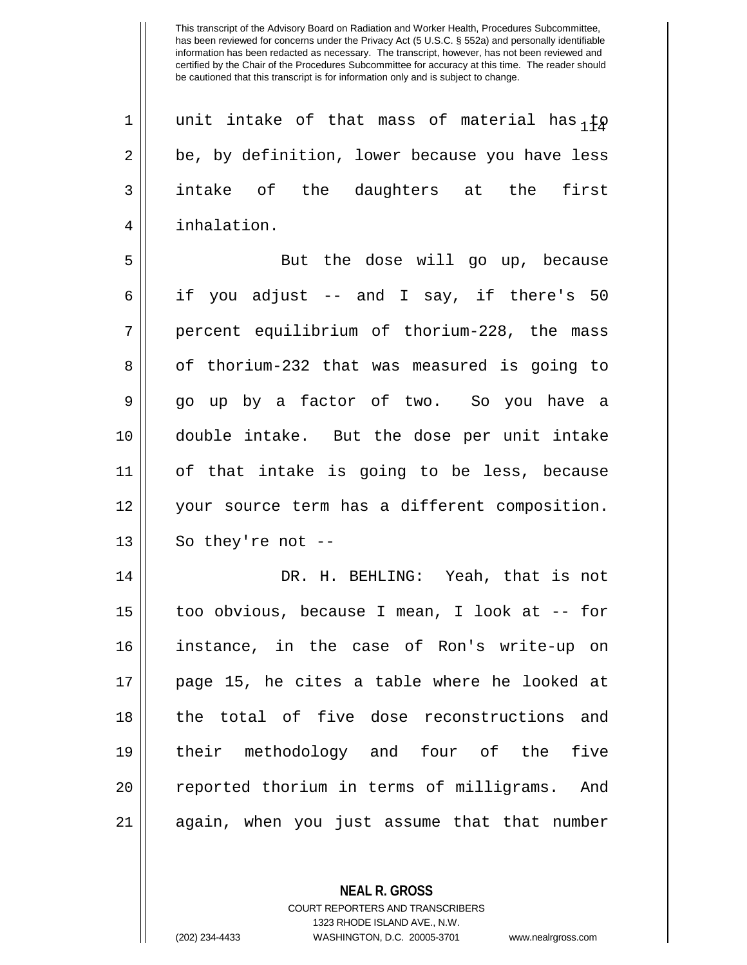| $\mathbf 1$    | unit intake of that mass of material has ${}_{1} \sharp \rho$ |
|----------------|---------------------------------------------------------------|
| 2              | be, by definition, lower because you have less                |
| 3              | intake of the daughters at the first                          |
| $\overline{4}$ | inhalation.                                                   |
| 5              | But the dose will go up, because                              |
| 6              | if you adjust -- and I say, if there's 50                     |
| 7              | percent equilibrium of thorium-228, the mass                  |
| 8              | of thorium-232 that was measured is going to                  |
| 9              | go up by a factor of two. So you have a                       |
| 10             | double intake. But the dose per unit intake                   |
| 11             | of that intake is going to be less, because                   |
| 12             | your source term has a different composition.                 |
| 13             | So they're not $-$                                            |
| 14             | DR. H. BEHLING: Yeah, that is not                             |
| 15             | too obvious, because I mean, I look at -- for                 |
| 16             | instance, in the case of Ron's write-up on                    |
| 17             | page 15, he cites a table where he looked at                  |
| 18             | the total of five dose reconstructions and                    |
| 19             | their methodology and four of the five                        |
| 20             | reported thorium in terms of milligrams. And                  |
| 21             | again, when you just assume that that number                  |

**NEAL R. GROSS** COURT REPORTERS AND TRANSCRIBERS

1323 RHODE ISLAND AVE., N.W.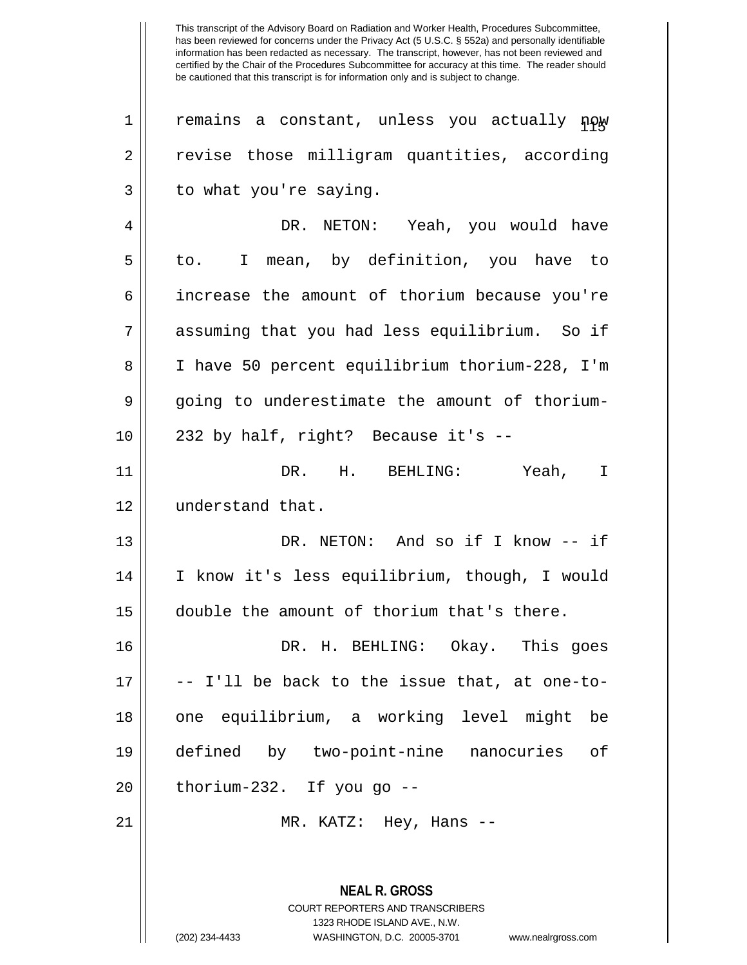| 1  | remains a constant, unless you actually now    |
|----|------------------------------------------------|
| 2  | revise those milligram quantities, according   |
| 3  | to what you're saying.                         |
| 4  | DR. NETON: Yeah, you would have                |
| 5  | to. I mean, by definition, you have to         |
| 6  | increase the amount of thorium because you're  |
| 7  | assuming that you had less equilibrium. So if  |
| 8  | I have 50 percent equilibrium thorium-228, I'm |
| 9  | going to underestimate the amount of thorium-  |
| 10 | 232 by half, right? Because it's --            |
| 11 | DR. H. BEHLING: Yeah, I                        |
| 12 | understand that.                               |
| 13 | DR. NETON: And so if I know -- if              |
| 14 | I know it's less equilibrium, though, I would  |
| 15 | double the amount of thorium that's there.     |
| 16 | DR. H. BEHLING: Okay. This goes                |
| 17 | -- I'll be back to the issue that, at one-to-  |
| 18 | one equilibrium, a working level might be      |
| 19 | defined by two-point-nine nanocuries of        |
| 20 | thorium-232. If you go --                      |
| 21 | MR. KATZ: Hey, Hans --                         |
|    |                                                |
|    |                                                |

**NEAL R. GROSS** COURT REPORTERS AND TRANSCRIBERS 1323 RHODE ISLAND AVE., N.W.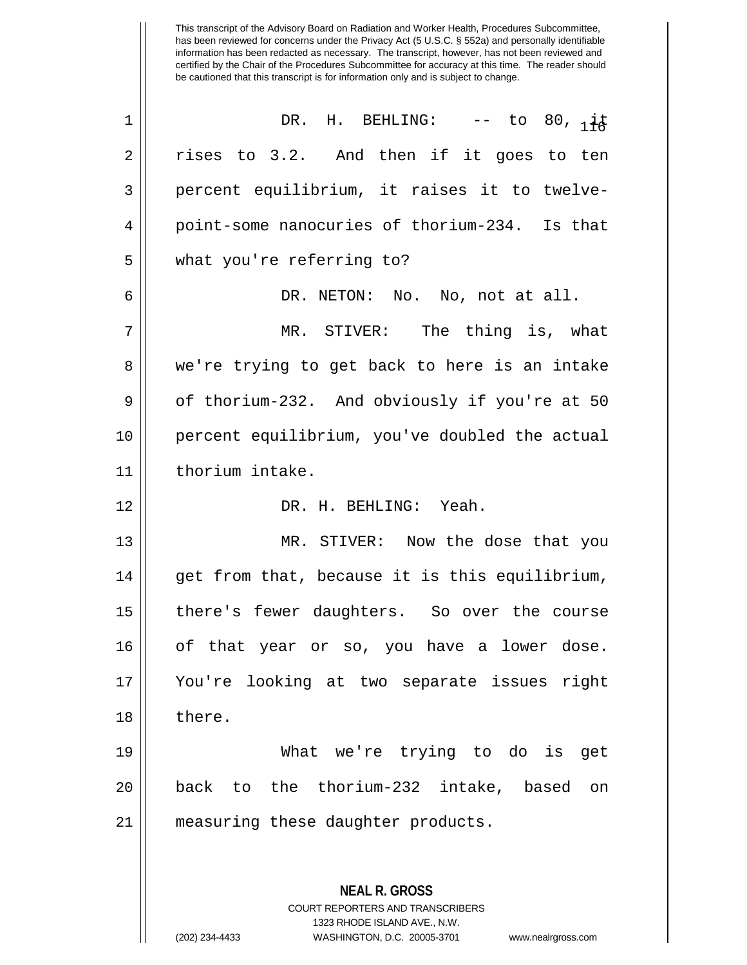| $\mathbf 1$ | DR. H. BEHLING: $--$ to 80, $i\neq$                      |
|-------------|----------------------------------------------------------|
| 2           | rises to 3.2. And then if it goes to ten                 |
| 3           | percent equilibrium, it raises it to twelve-             |
| 4           | point-some nanocuries of thorium-234. Is that            |
| 5           | what you're referring to?                                |
| 6           | DR. NETON: No. No, not at all.                           |
| 7           | MR. STIVER: The thing is, what                           |
| 8           | we're trying to get back to here is an intake            |
| $\mathsf 9$ | of thorium-232. And obviously if you're at 50            |
| 10          | percent equilibrium, you've doubled the actual           |
| 11          | thorium intake.                                          |
| 12          | DR. H. BEHLING: Yeah.                                    |
| 13          | MR. STIVER: Now the dose that you                        |
| 14          | get from that, because it is this equilibrium,           |
| 15          | there's fewer daughters. So over the course              |
| 16          | of that year or so, you have a lower dose.               |
| 17          | You're looking at two separate issues right              |
| 18          | there.                                                   |
| 19          | What we're trying to do is get                           |
| 20          | back to the thorium-232 intake, based<br>on              |
| 21          | measuring these daughter products.                       |
|             |                                                          |
|             | <b>NEAL R. GROSS</b><br>COURT REPORTERS AND TRANSCRIBERS |

1323 RHODE ISLAND AVE., N.W.

 $\mathsf{I}$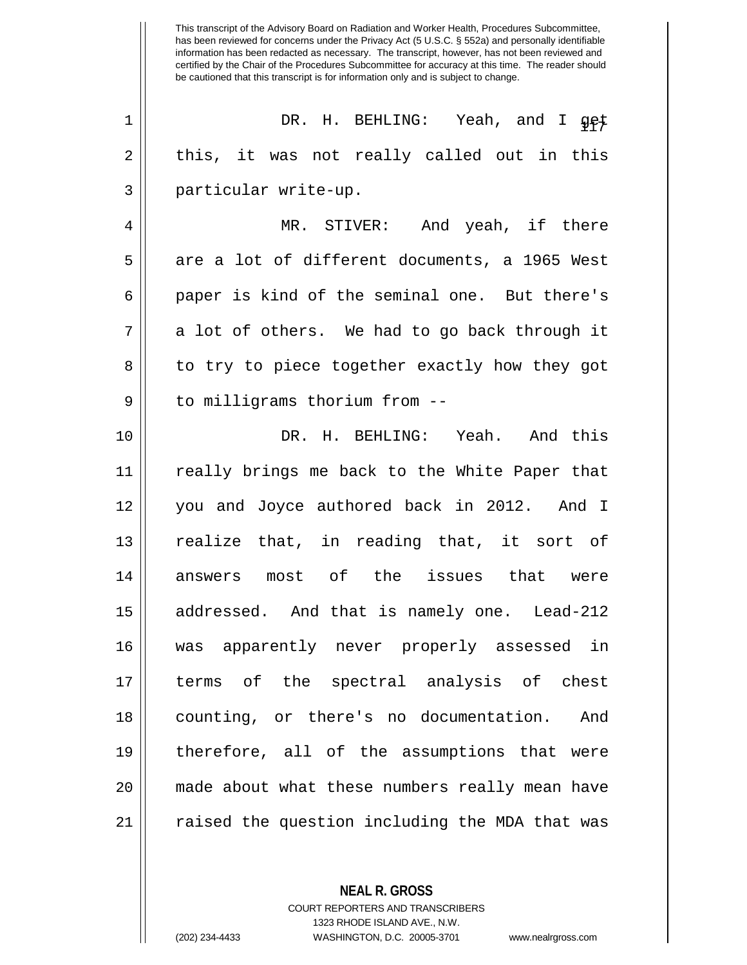<sup>117</sup> <sup>1</sup> DR. H. BEHLING: Yeah, and I get  $2 \parallel$  this, it was not really called out in this 3 || particular write-up.

4 MR. STIVER: And yeah, if there  $5 \parallel$  are a lot of different documents, a 1965 West 6 || paper is kind of the seminal one. But there's  $7 \parallel$  a lot of others. We had to go back through it 8 || to try to piece together exactly how they got 9 | to milligrams thorium from --

 DR. H. BEHLING: Yeah. And this really brings me back to the White Paper that you and Joyce authored back in 2012. And I realize that, in reading that, it sort of answers most of the issues that were 15 || addressed. And that is namely one. Lead-212 was apparently never properly assessed in terms of the spectral analysis of chest counting, or there's no documentation. And therefore, all of the assumptions that were made about what these numbers really mean have 21 || raised the question including the MDA that was

> **NEAL R. GROSS** COURT REPORTERS AND TRANSCRIBERS 1323 RHODE ISLAND AVE., N.W.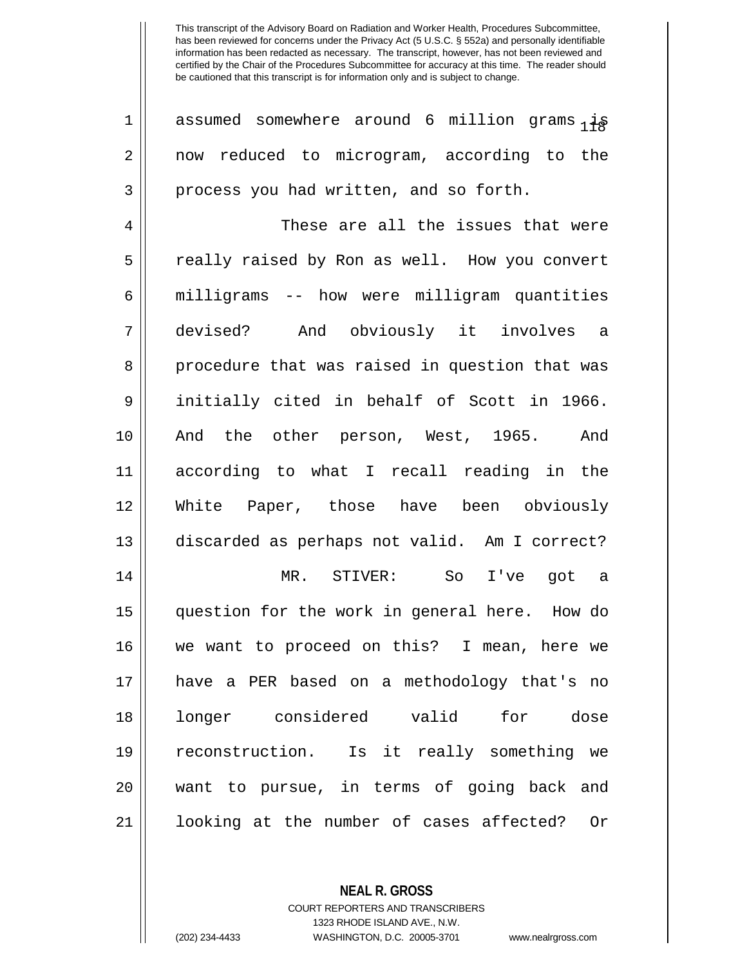| $\mathbf 1$    | assumed somewhere around 6 million grams $_1\ddagger s$ |
|----------------|---------------------------------------------------------|
| $\overline{2}$ | now reduced to microgram, according to the              |
| 3              | process you had written, and so forth.                  |
| 4              | These are all the issues that were                      |
| 5              | really raised by Ron as well. How you convert           |
| 6              | milligrams -- how were milligram quantities             |
| 7              | devised? And obviously it involves a                    |
| 8              | procedure that was raised in question that was          |
| 9              | initially cited in behalf of Scott in 1966.             |
| 10             | And the other person, West, 1965.<br>And                |
| 11             | according to what I recall reading in the               |
| 12             | White Paper, those have been obviously                  |
| 13             | discarded as perhaps not valid. Am I correct?           |
| 14             | MR. STIVER: So I've got a                               |
| 15             | question for the work in general here. How do           |
| 16             | we want to proceed on this? I mean, here we             |
| 17             | have a PER based on a methodology that's no             |
| 18             | longer considered valid for dose                        |
| 19             | reconstruction. Is it really something we               |
| 20             | want to pursue, in terms of going back and              |
| 21             | looking at the number of cases affected?<br>Or          |

**NEAL R. GROSS** COURT REPORTERS AND TRANSCRIBERS

1323 RHODE ISLAND AVE., N.W.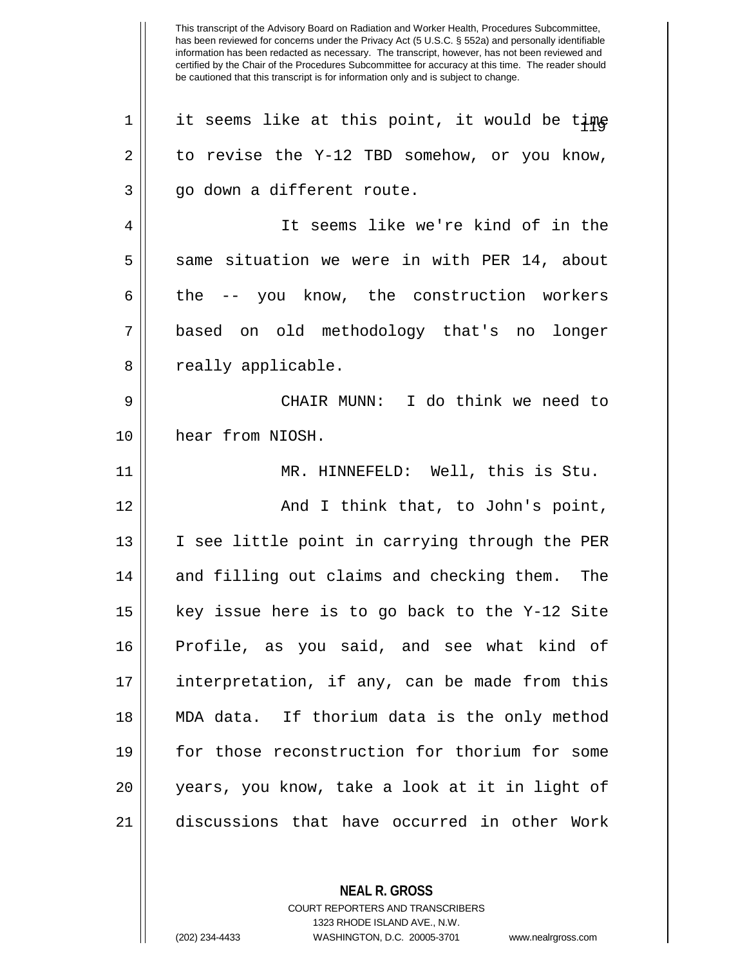| 1  | it seems like at this point, it would be time  |
|----|------------------------------------------------|
| 2  | to revise the Y-12 TBD somehow, or you know,   |
| 3  | go down a different route.                     |
| 4  | It seems like we're kind of in the             |
| 5  | same situation we were in with PER 14, about   |
| 6  | the -- you know, the construction workers      |
| 7  | based on old methodology that's no longer      |
| 8  | really applicable.                             |
| 9  | CHAIR MUNN: I do think we need to              |
| 10 | hear from NIOSH.                               |
| 11 | MR. HINNEFELD: Well, this is Stu.              |
| 12 | And I think that, to John's point,             |
| 13 | I see little point in carrying through the PER |
| 14 | and filling out claims and checking them. The  |
| 15 | key issue here is to go back to the Y-12 Site  |
| 16 | Profile, as you said, and see what kind of     |
| 17 | interpretation, if any, can be made from this  |
| 18 | MDA data. If thorium data is the only method   |
| 19 | for those reconstruction for thorium for some  |
| 20 | years, you know, take a look at it in light of |
| 21 | discussions that have occurred in other Work   |
|    |                                                |

**NEAL R. GROSS**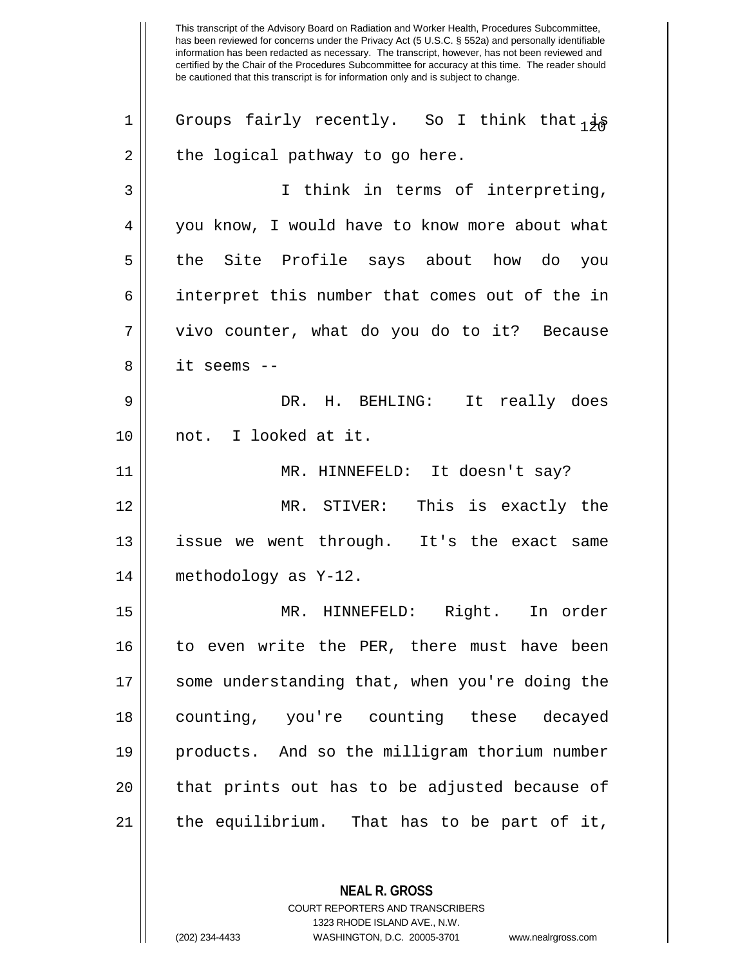This transcript of the Advisory Board on Radiation and Worker Health, Procedures Subcommittee, has been reviewed for concerns under the Privacy Act (5 U.S.C. § 552a) and personally identifiable information has been redacted as necessary. The transcript, however, has not been reviewed and certified by the Chair of the Procedures Subcommittee for accuracy at this time. The reader should be cautioned that this transcript is for information only and is subject to change. 1 Groups fairly recently. So I think that  $i \notin S$  $2 \parallel$  the logical pathway to go here. 3 I think in terms of interpreting, 4 | you know, I would have to know more about what 5 || the Site Profile says about how do you 6 || interpret this number that comes out of the in 7 vivo counter, what do you do to it? Because 8 it seems -- 9 DR. H. BEHLING: It really does 10 not. I looked at it. 11 MR. HINNEFELD: It doesn't say? 12 MR. STIVER: This is exactly the 13 || issue we went through. It's the exact same 14 methodology as Y-12. 15 MR. HINNEFELD: Right. In order 16 || to even write the PER, there must have been 17 || some understanding that, when you're doing the 18 counting, you're counting these decayed 19 products. And so the milligram thorium number 20 || that prints out has to be adjusted because of  $21$  || the equilibrium. That has to be part of it,

> COURT REPORTERS AND TRANSCRIBERS 1323 RHODE ISLAND AVE., N.W. (202) 234-4433 WASHINGTON, D.C. 20005-3701 www.nealrgross.com

**NEAL R. GROSS**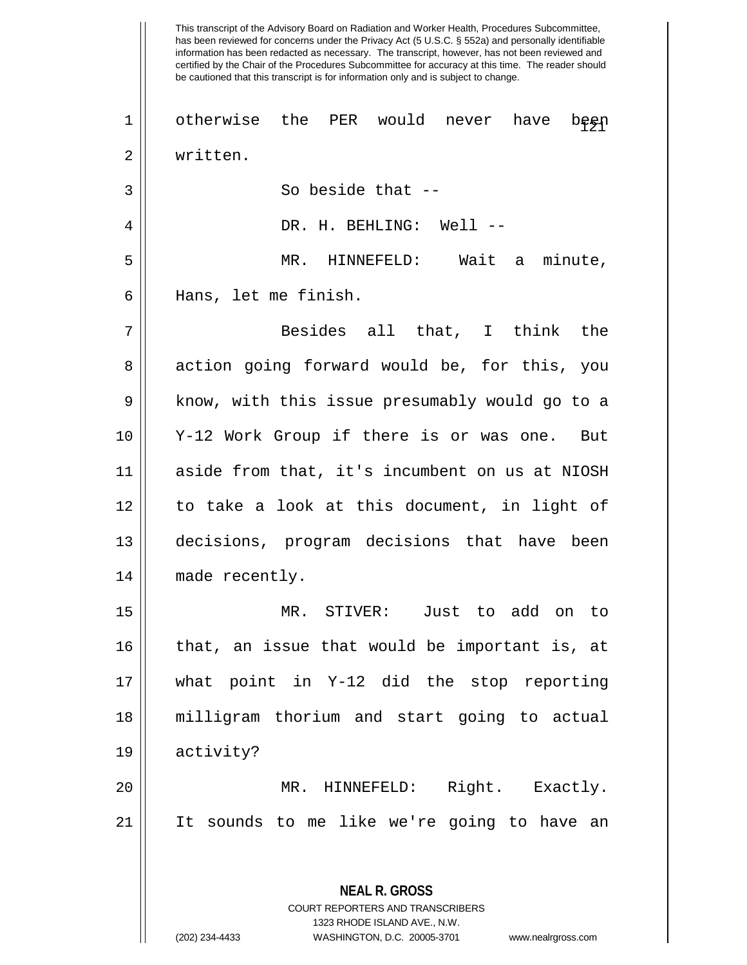This transcript of the Advisory Board on Radiation and Worker Health, Procedures Subcommittee, has been reviewed for concerns under the Privacy Act (5 U.S.C. § 552a) and personally identifiable information has been redacted as necessary. The transcript, however, has not been reviewed and certified by the Chair of the Procedures Subcommittee for accuracy at this time. The reader should be cautioned that this transcript is for information only and is subject to change. **NEAL R. GROSS** COURT REPORTERS AND TRANSCRIBERS 1 || otherwise the PER would never have been 2 written. 3 || So beside that --4 DR. H. BEHLING: Well -- 5 MR. HINNEFELD: Wait a minute, 6 Hans, let me finish. 7 Besides all that, I think the 8 action going forward would be, for this, you 9 || know, with this issue presumably would go to a 10 Y-12 Work Group if there is or was one. But 11 aside from that, it's incumbent on us at NIOSH 12 to take a look at this document, in light of 13 decisions, program decisions that have been 14 | made recently. 15 MR. STIVER: Just to add on to 16 || that, an issue that would be important is, at 17 what point in Y-12 did the stop reporting 18 milligram thorium and start going to actual 19 activity? 20 MR. HINNEFELD: Right. Exactly. 21 It sounds to me like we're going to have an

1323 RHODE ISLAND AVE., N.W.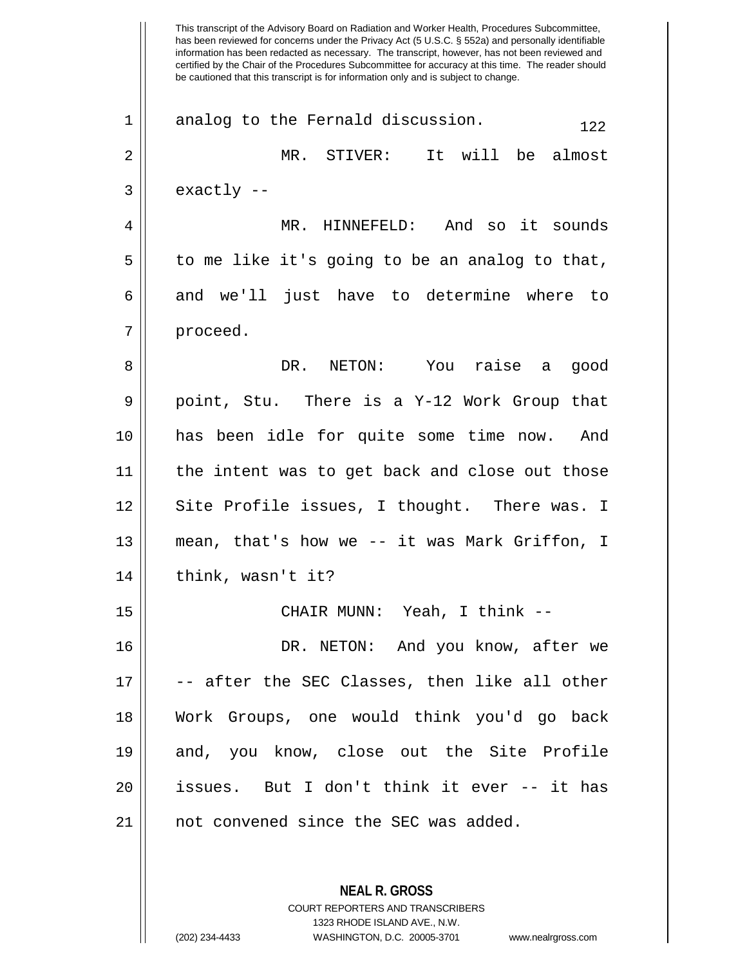This transcript of the Advisory Board on Radiation and Worker Health, Procedures Subcommittee, has been reviewed for concerns under the Privacy Act (5 U.S.C. § 552a) and personally identifiable information has been redacted as necessary. The transcript, however, has not been reviewed and certified by the Chair of the Procedures Subcommittee for accuracy at this time. The reader should be cautioned that this transcript is for information only and is subject to change.  $1 \parallel$  analog to the Fernald discussion.  $122$ 2 MR. STIVER: It will be almost  $3 \parallel$  exactly  $-$ 4 MR. HINNEFELD: And so it sounds  $5 \parallel$  to me like it's going to be an analog to that,  $6 \parallel$  and we'll just have to determine where to 7 | proceed. 8 DR. NETON: You raise a good  $9 \parallel$  point, Stu. There is a Y-12 Work Group that 10 has been idle for quite some time now. And 11 the intent was to get back and close out those 12 || Site Profile issues, I thought. There was. I 13 mean, that's how we -- it was Mark Griffon, I  $14$  | think, wasn't it? 15 CHAIR MUNN: Yeah, I think -- 16 DR. NETON: And you know, after we  $17 \parallel$  -- after the SEC Classes, then like all other 18 Work Groups, one would think you'd go back 19 and, you know, close out the Site Profile 20 issues. But I don't think it ever -- it has 21 || not convened since the SEC was added.

> **NEAL R. GROSS** COURT REPORTERS AND TRANSCRIBERS 1323 RHODE ISLAND AVE., N.W.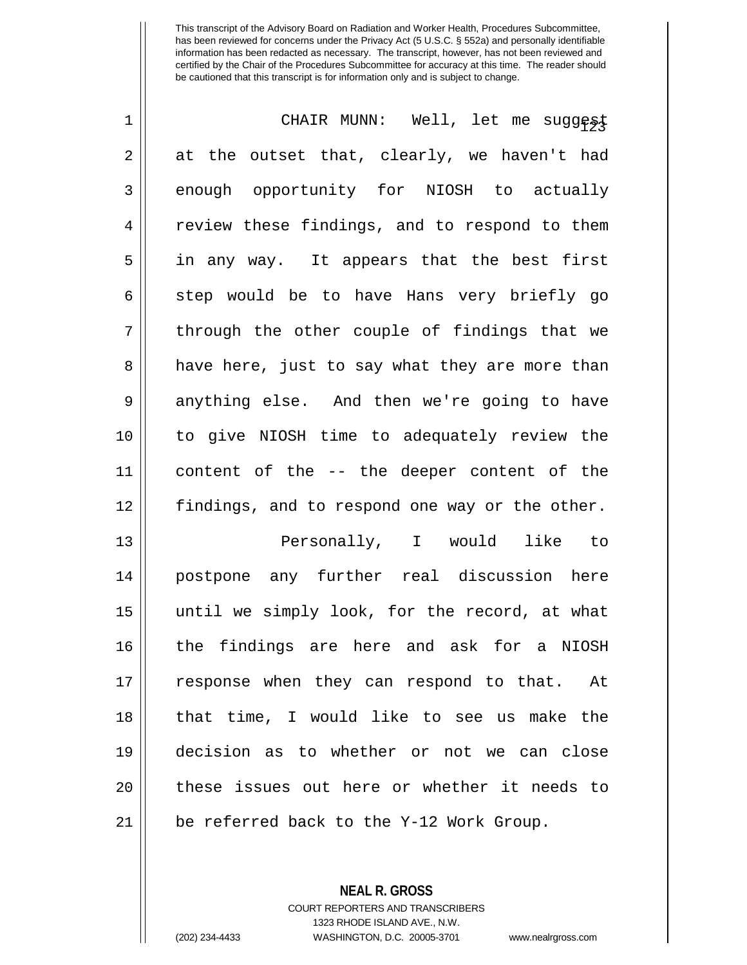| 1           | CHAIR MUNN: Well, let me suggest               |
|-------------|------------------------------------------------|
| 2           | at the outset that, clearly, we haven't had    |
| 3           | enough opportunity for NIOSH to actually       |
| 4           | review these findings, and to respond to them  |
| 5           | in any way. It appears that the best first     |
| 6           | step would be to have Hans very briefly go     |
| 7           | through the other couple of findings that we   |
| 8           | have here, just to say what they are more than |
| $\mathsf 9$ | anything else. And then we're going to have    |
| 10          | to give NIOSH time to adequately review the    |
| 11          | content of the -- the deeper content of the    |
| 12          | findings, and to respond one way or the other. |
| 13          | Personally, I would like to                    |
| 14          | postpone any further real discussion here      |
| 15          | until we simply look, for the record, at what  |
| 16          | the findings are here and ask for a NIOSH      |
| 17          | response when they can respond to that. At     |
| 18          | that time, I would like to see us make the     |
| 19          | decision as to whether or not we can close     |
| 20          | these issues out here or whether it needs to   |
| 21          | be referred back to the Y-12 Work Group.       |

**NEAL R. GROSS** COURT REPORTERS AND TRANSCRIBERS 1323 RHODE ISLAND AVE., N.W.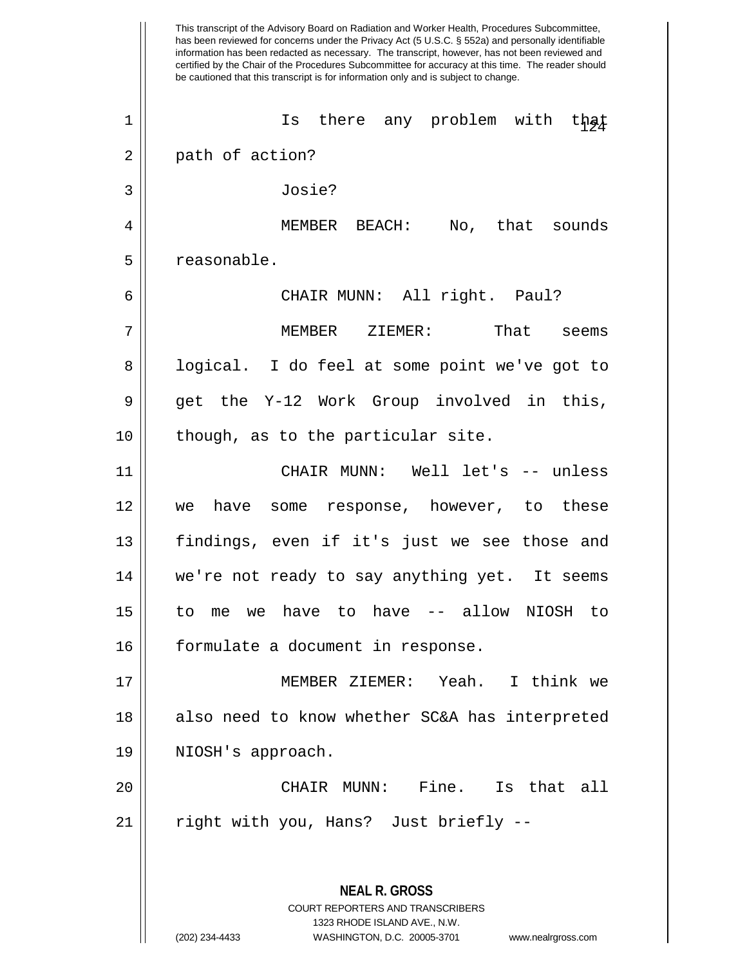This transcript of the Advisory Board on Radiation and Worker Health, Procedures Subcommittee, has been reviewed for concerns under the Privacy Act (5 U.S.C. § 552a) and personally identifiable information has been redacted as necessary. The transcript, however, has not been reviewed and certified by the Chair of the Procedures Subcommittee for accuracy at this time. The reader should be cautioned that this transcript is for information only and is subject to change. **NEAL R. GROSS** COURT REPORTERS AND TRANSCRIBERS 1323 RHODE ISLAND AVE., N.W. 1 || Is there any problem with that 2 || path of action? 3 Josie? 4 MEMBER BEACH: No, that sounds 5 | reasonable. 6 CHAIR MUNN: All right. Paul? 7 || MEMBER ZIEMER: That seems 8 || logical. I do feel at some point we've got to  $9 \parallel$  get the Y-12 Work Group involved in this,  $10$  || though, as to the particular site. 11 CHAIR MUNN: Well let's -- unless 12 we have some response, however, to these 13 || findings, even if it's just we see those and 14 || we're not ready to say anything yet. It seems 15 to me we have to have -- allow NIOSH to 16 || formulate a document in response. 17 MEMBER ZIEMER: Yeah. I think we 18 || also need to know whether SC&A has interpreted 19 | NIOSH's approach. 20 CHAIR MUNN: Fine. Is that all 21 || right with you, Hans? Just briefly --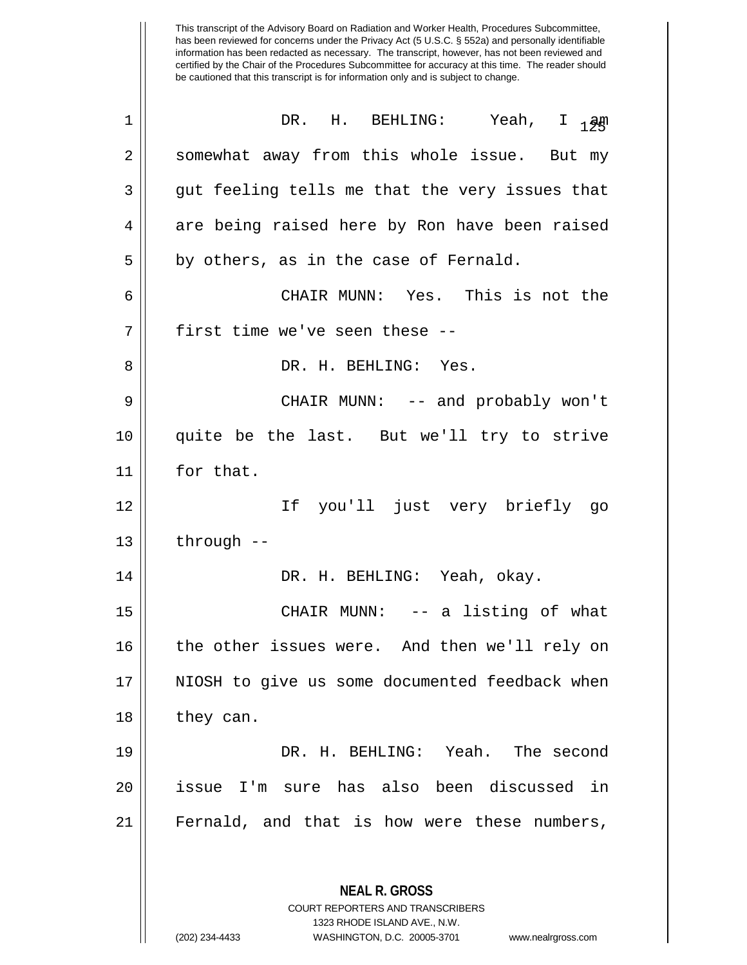This transcript of the Advisory Board on Radiation and Worker Health, Procedures Subcommittee, has been reviewed for concerns under the Privacy Act (5 U.S.C. § 552a) and personally identifiable information has been redacted as necessary. The transcript, however, has not been reviewed and certified by the Chair of the Procedures Subcommittee for accuracy at this time. The reader should be cautioned that this transcript is for information only and is subject to change.  $\begin{array}{ccc} 1 & \hspace{1.1cm} \texttt{DR.} & \texttt{H.} & \texttt{BEHLING:} & \hspace{1.5cm} \texttt{Yeah,} & \hspace{1.5cm} \texttt{I} & \hspace{1.5cm} \texttt{aph} \end{array}$ 2 | somewhat away from this whole issue. But my  $3 \parallel$  gut feeling tells me that the very issues that  $4 \parallel$  are being raised here by Ron have been raised  $5 \parallel$  by others, as in the case of Fernald. 6 CHAIR MUNN: Yes. This is not the 7 || first time we've seen these --8 DR. H. BEHLING: Yes. 9 CHAIR MUNN: -- and probably won't 10 quite be the last. But we'll try to strive 11 | for that. 12 If you'll just very briefly go  $13$  | through  $-$ 14 DR. H. BEHLING: Yeah, okay. 15 CHAIR MUNN: -- a listing of what 16 || the other issues were. And then we'll rely on 17 || NIOSH to give us some documented feedback when

18 they can. 19 DR. H. BEHLING: Yeah. The second

20 issue I'm sure has also been discussed in 21 Fernald, and that is how were these numbers,

> **NEAL R. GROSS** COURT REPORTERS AND TRANSCRIBERS 1323 RHODE ISLAND AVE., N.W.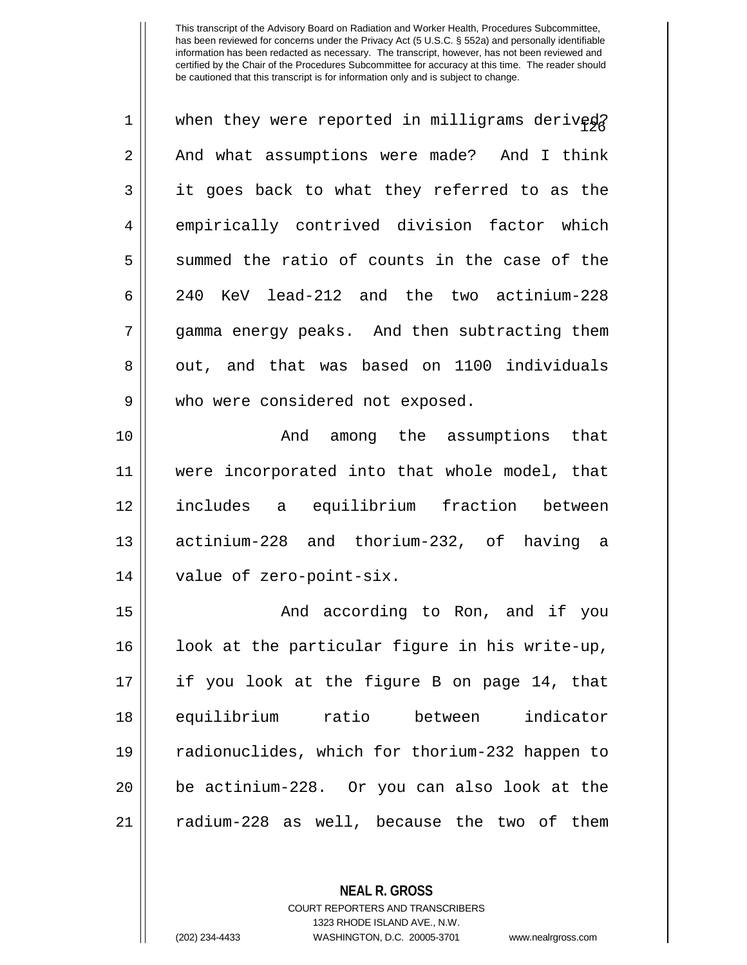| $\mathbf 1$ | when they were reported in milligrams derived? |
|-------------|------------------------------------------------|
| 2           | And what assumptions were made? And I think    |
| 3           | it goes back to what they referred to as the   |
| 4           | empirically contrived division factor which    |
| 5           | summed the ratio of counts in the case of the  |
| 6           | 240 KeV lead-212 and the two actinium-228      |
| 7           | gamma energy peaks. And then subtracting them  |
| 8           | out, and that was based on 1100 individuals    |
| 9           | who were considered not exposed.               |
| 10          | And among the assumptions that                 |
| 11          | were incorporated into that whole model, that  |
| 12          | includes a equilibrium fraction between        |
| 13          | actinium-228 and thorium-232, of having a      |
| 14          | value of zero-point-six.                       |
| 15          | And according to Ron, and if you               |
| 16          | look at the particular figure in his write-up, |
| 17          | if you look at the figure B on page 14, that   |
| 18          | equilibrium ratio between<br>indicator         |
| 19          | radionuclides, which for thorium-232 happen to |
| 20          | be actinium-228. Or you can also look at the   |
| 21          | radium-228 as well, because the two of them    |

**NEAL R. GROSS** COURT REPORTERS AND TRANSCRIBERS

1323 RHODE ISLAND AVE., N.W.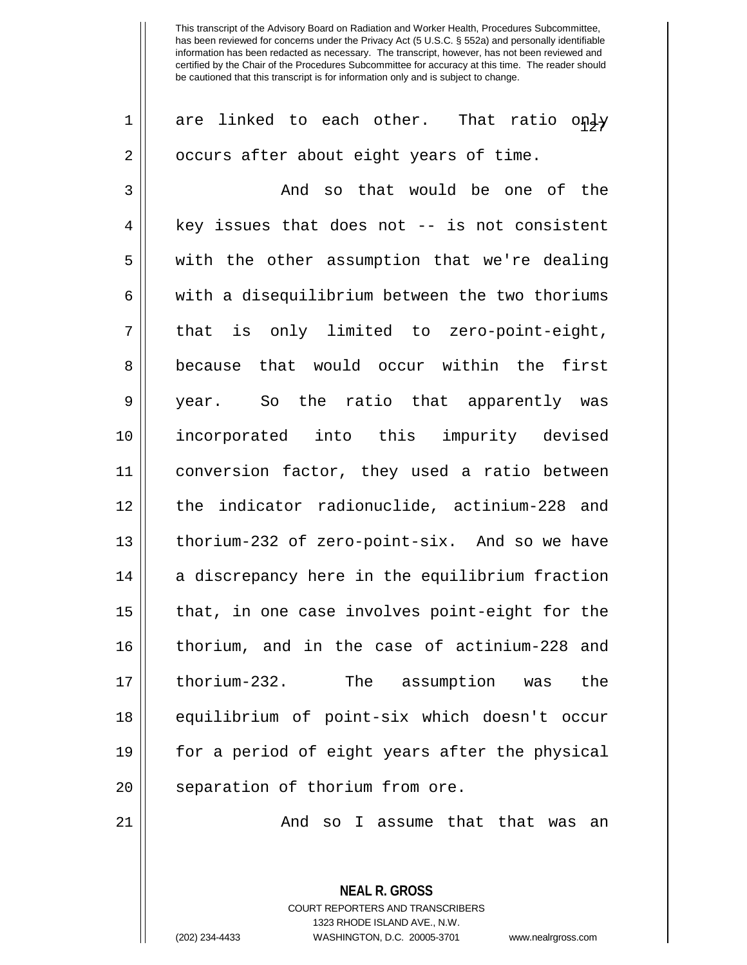| 1  | are linked to each other. That ratio only      |
|----|------------------------------------------------|
| 2  | occurs after about eight years of time.        |
| 3  | And so that would be one of the                |
| 4  | key issues that does not -- is not consistent  |
| 5  | with the other assumption that we're dealing   |
| 6  | with a disequilibrium between the two thoriums |
| 7  | that is only limited to zero-point-eight,      |
| 8  | because that would occur within the first      |
| 9  | year. So the ratio that apparently was         |
| 10 | incorporated into this impurity devised        |
| 11 | conversion factor, they used a ratio between   |
| 12 | the indicator radionuclide, actinium-228 and   |
| 13 | thorium-232 of zero-point-six. And so we have  |
| 14 | a discrepancy here in the equilibrium fraction |
| 15 | that, in one case involves point-eight for the |
| 16 | thorium, and in the case of actinium-228 and   |
| 17 | thorium-232.<br>The assumption was<br>the      |
| 18 | equilibrium of point-six which doesn't occur   |
| 19 | for a period of eight years after the physical |
| 20 | separation of thorium from ore.                |
|    |                                                |

And so I assume that that was an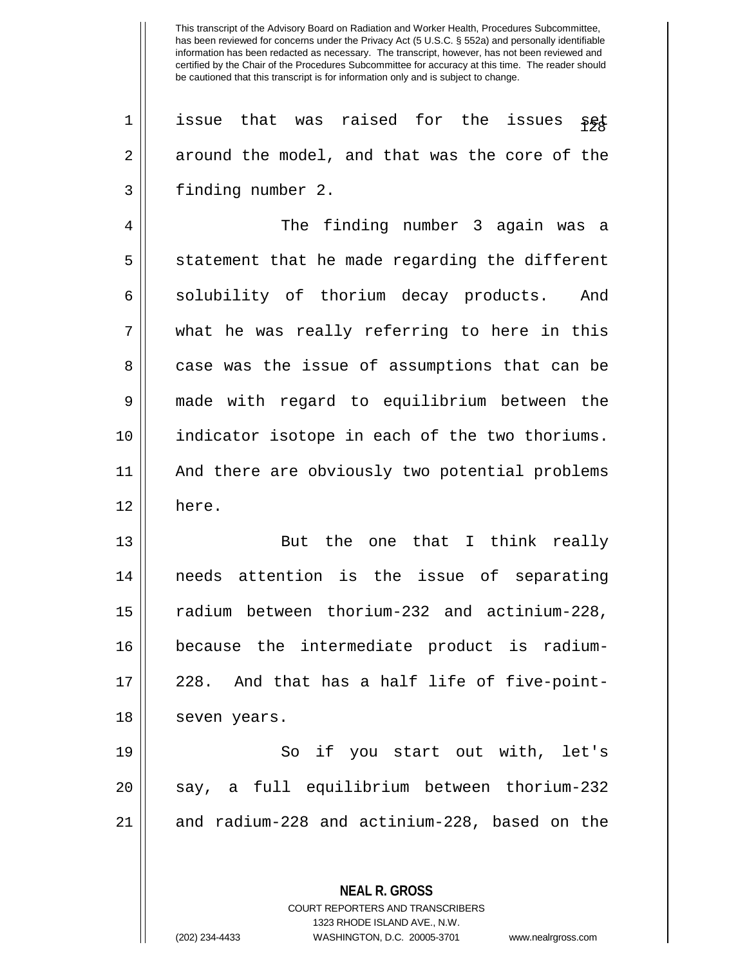$1$  | issue that was raised for the issues set 2 around the model, and that was the core of the 3 | finding number 2.

4 The finding number 3 again was a  $5 \parallel$  statement that he made regarding the different 6 || solubility of thorium decay products. And 7 what he was really referring to here in this 8 case was the issue of assumptions that can be 9 made with regard to equilibrium between the 10 indicator isotope in each of the two thoriums. 11 And there are obviously two potential problems 12 here.

13 || But the one that I think really 14 needs attention is the issue of separating 15 radium between thorium-232 and actinium-228, 16 because the intermediate product is radium- $17 \parallel 228$ . And that has a half life of five-point-18 | seven years.

19 So if you start out with, let's 20 || say, a full equilibrium between thorium-232 21 || and radium-228 and actinium-228, based on the

**NEAL R. GROSS**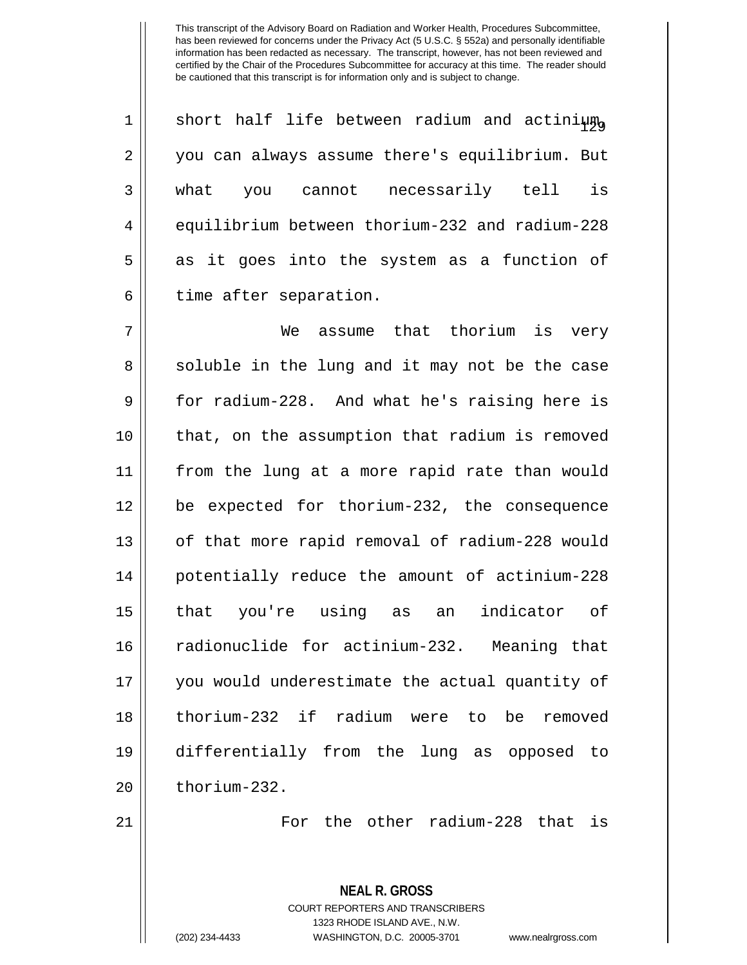| $\mathbf 1$    | short half life between radium and actinium    |
|----------------|------------------------------------------------|
| $\overline{2}$ | you can always assume there's equilibrium. But |
| 3              | is<br>cannot necessarily tell<br>what you      |
| $\overline{4}$ | equilibrium between thorium-232 and radium-228 |
| 5              | as it goes into the system as a function of    |
| б              | time after separation.                         |

 We assume that thorium is very 8 || soluble in the lung and it may not be the case  $9 \parallel$  for radium-228. And what he's raising here is that, on the assumption that radium is removed from the lung at a more rapid rate than would be expected for thorium-232, the consequence 13 || of that more rapid removal of radium-228 would potentially reduce the amount of actinium-228 that you're using as an indicator of 16 || radionuclide for actinium-232. Meaning that you would underestimate the actual quantity of thorium-232 if radium were to be removed differentially from the lung as opposed to | thorium-232.

21 For the other radium-228 that is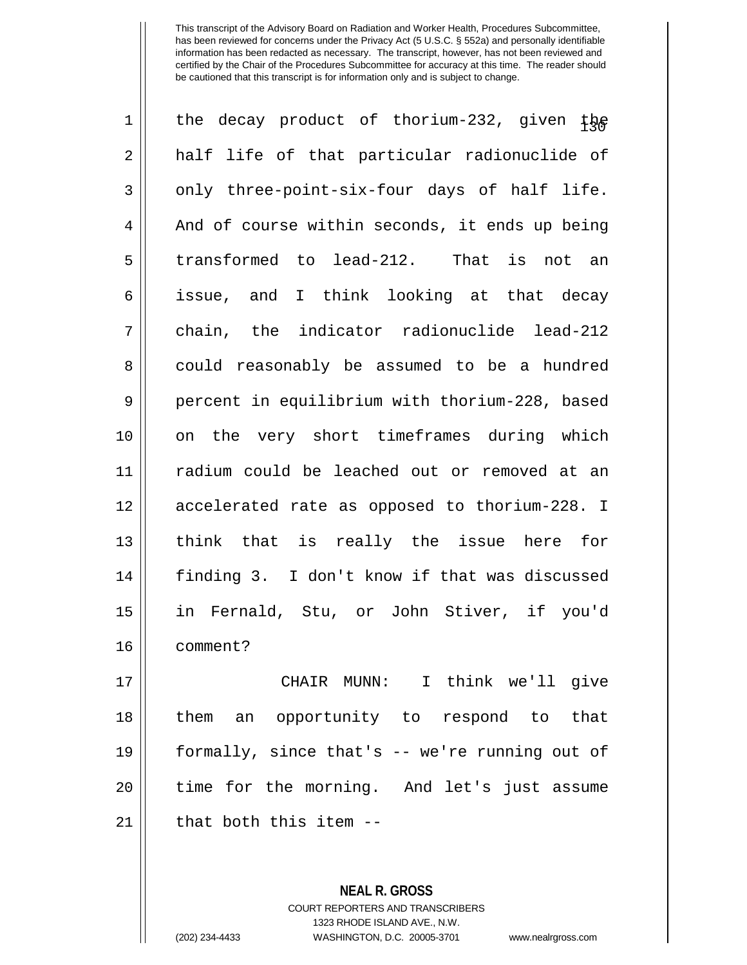| $\mathbf 1$ | the decay product of thorium-232, given $tp$   |
|-------------|------------------------------------------------|
| 2           | half life of that particular radionuclide of   |
| 3           | only three-point-six-four days of half life.   |
| 4           | And of course within seconds, it ends up being |
| 5           | transformed to lead-212. That is not an        |
| 6           | issue, and I think looking at that decay       |
| 7           | chain, the indicator radionuclide lead-212     |
| 8           | could reasonably be assumed to be a hundred    |
| 9           | percent in equilibrium with thorium-228, based |
| 10          | on the very short timeframes during which      |
| 11          | radium could be leached out or removed at an   |
| 12          | accelerated rate as opposed to thorium-228. I  |
| 13          | think that is really the issue here for        |
| 14          | finding 3. I don't know if that was discussed  |
| 15          | in Fernald, Stu, or John Stiver, if you'd      |
| 16          | comment?                                       |
| 17          | CHAIR MUNN: I think we'll give                 |
| 18          | them an opportunity to respond to that         |
| 19          | formally, since that's -- we're running out of |
| 20          | time for the morning. And let's just assume    |
| 21          | that both this item --                         |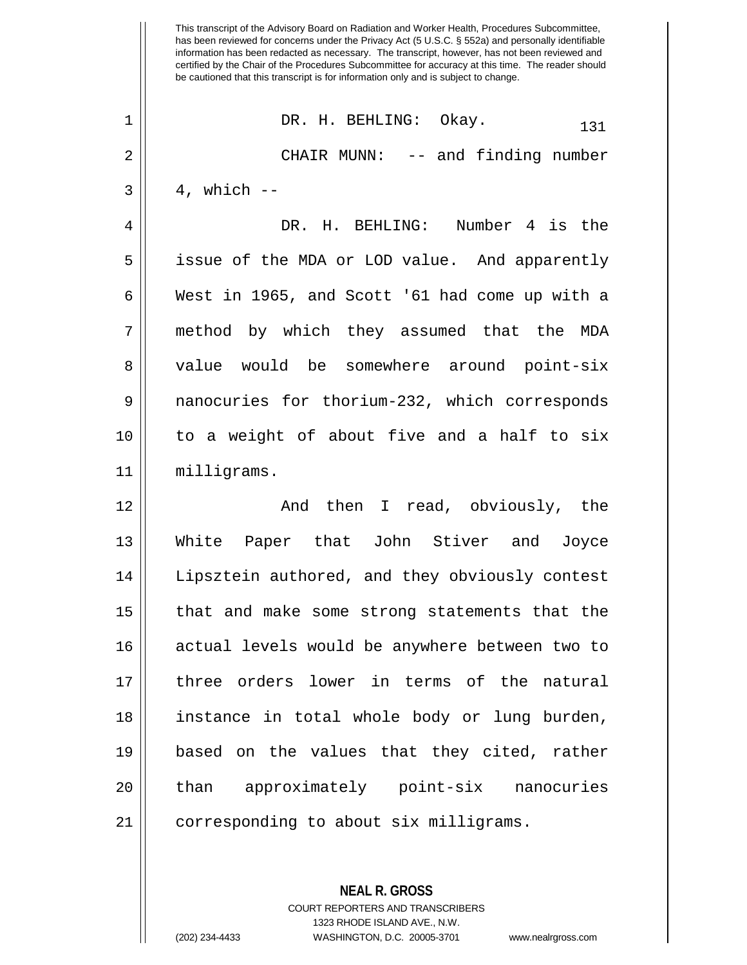This transcript of the Advisory Board on Radiation and Worker Health, Procedures Subcommittee, has been reviewed for concerns under the Privacy Act (5 U.S.C. § 552a) and personally identifiable information has been redacted as necessary. The transcript, however, has not been reviewed and certified by the Chair of the Procedures Subcommittee for accuracy at this time. The reader should be cautioned that this transcript is for information only and is subject to change.  $\begin{array}{ccc} 1 & \text{DR. H. BEHLING: } \end{array}$  Okay.  $\begin{array}{ccc} 131 & \text{D} & \text{D} & \text{D} \end{array}$ 2 CHAIR MUNN: -- and finding number  $3 \parallel 4$ , which  $-$ 4 DR. H. BEHLING: Number 4 is the 5 || issue of the MDA or LOD value. And apparently 6 West in 1965, and Scott '61 had come up with a 7 method by which they assumed that the MDA 8 || value would be somewhere around point-six 9 | nanocuries for thorium-232, which corresponds 10 to a weight of about five and a half to six 11 milligrams. 12 And then I read, obviously, the 13 White Paper that John Stiver and Joyce 14 || Lipsztein authored, and they obviously contest 15 that and make some strong statements that the 16 || actual levels would be anywhere between two to 17 three orders lower in terms of the natural 18 instance in total whole body or lung burden, 19 based on the values that they cited, rather 20 || than approximately point-six nanocuries 21 || corresponding to about six milligrams.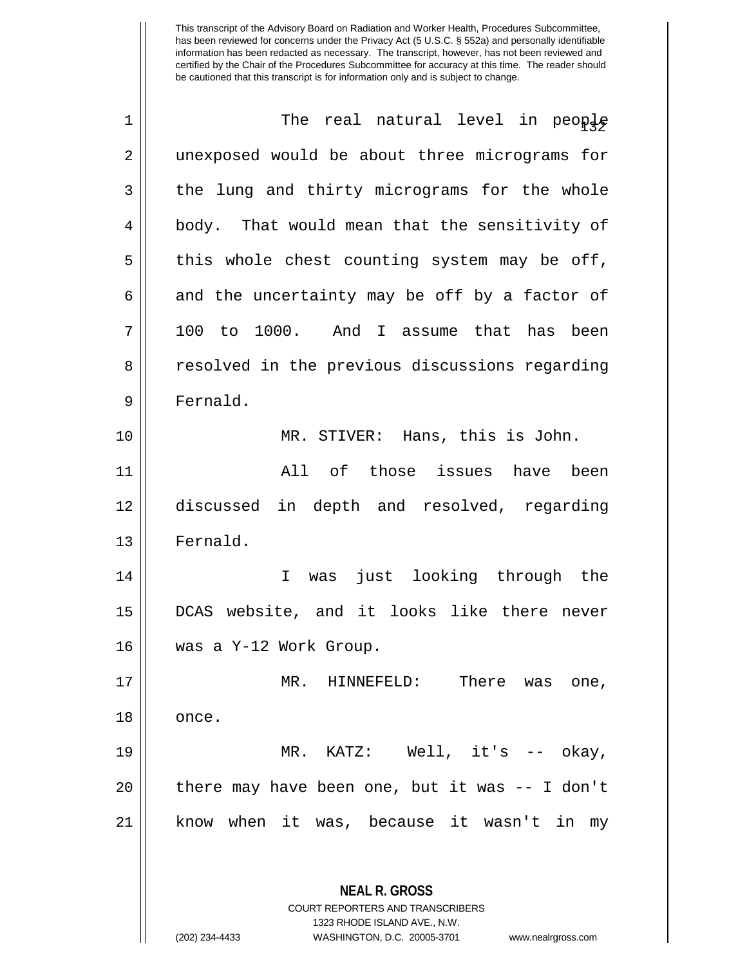| 1  | The real natural level in people                                                                                                                                |
|----|-----------------------------------------------------------------------------------------------------------------------------------------------------------------|
| 2  | unexposed would be about three micrograms for                                                                                                                   |
| 3  | the lung and thirty micrograms for the whole                                                                                                                    |
| 4  | body. That would mean that the sensitivity of                                                                                                                   |
| 5  | this whole chest counting system may be off,                                                                                                                    |
| 6  | and the uncertainty may be off by a factor of                                                                                                                   |
| 7  | 100 to 1000. And I assume that has been                                                                                                                         |
| 8  | resolved in the previous discussions regarding                                                                                                                  |
| 9  | Fernald.                                                                                                                                                        |
| 10 | MR. STIVER: Hans, this is John.                                                                                                                                 |
| 11 | All of those issues have been                                                                                                                                   |
| 12 | discussed in depth and resolved, regarding                                                                                                                      |
| 13 | Fernald.                                                                                                                                                        |
| 14 | just looking through the<br>$\mathbf I$<br>was                                                                                                                  |
| 15 | DCAS website, and it looks like there never                                                                                                                     |
| 16 | was a Y-12 Work Group.                                                                                                                                          |
| 17 | MR. HINNEFELD:<br>There was<br>one,                                                                                                                             |
| 18 | once.                                                                                                                                                           |
| 19 | MR. KATZ: Well, $it's$ -- $okay$ ,                                                                                                                              |
| 20 | there may have been one, but it was $-$ I don't                                                                                                                 |
| 21 | know when it was, because it wasn't in my                                                                                                                       |
|    | <b>NEAL R. GROSS</b><br>COURT REPORTERS AND TRANSCRIBERS<br>1323 RHODE ISLAND AVE., N.W.<br>(202) 234-4433<br>WASHINGTON, D.C. 20005-3701<br>www.nealrgross.com |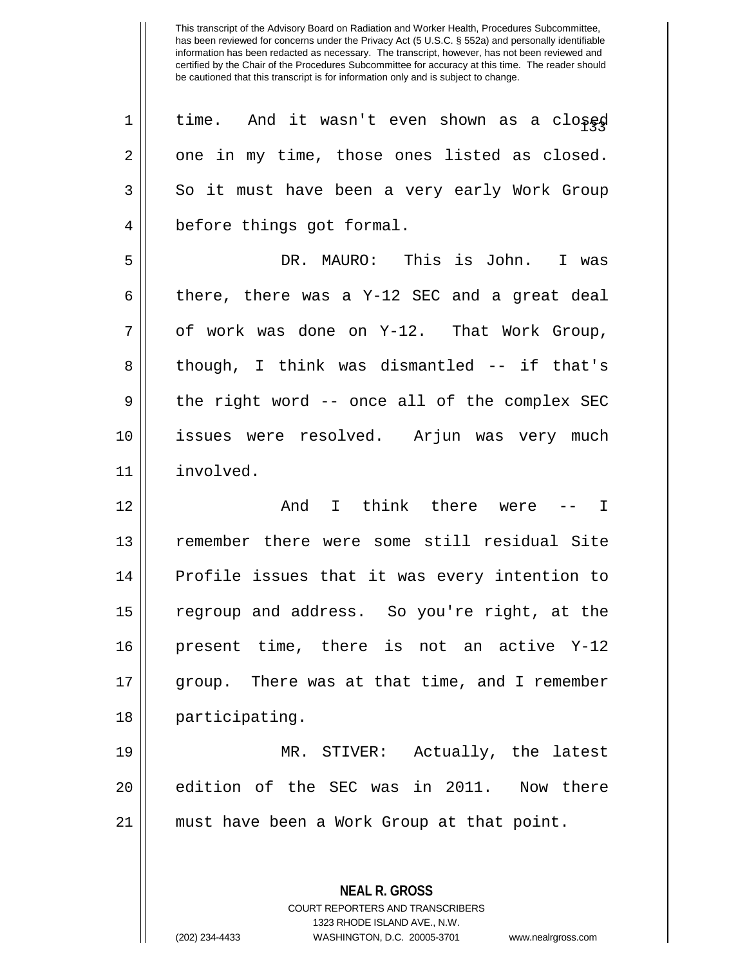| $\mathbf 1$    | time. And it wasn't even shown as a closed    |
|----------------|-----------------------------------------------|
| $\overline{2}$ | one in my time, those ones listed as closed.  |
| 3              | So it must have been a very early Work Group  |
| 4              | before things got formal.                     |
| 5              | DR. MAURO: This is John.<br>I was             |
| 6              | there, there was a Y-12 SEC and a great deal  |
| 7              | of work was done on Y-12. That Work Group,    |
| 8              | though, I think was dismantled -- if that's   |
| $\mathsf 9$    | the right word -- once all of the complex SEC |
| 10             | issues were resolved. Arjun was very much     |
| 11             | involved.                                     |
| 12             | And I think there were --<br>$\mathbf{I}$     |
| 13             | remember there were some still residual Site  |
| 14             | Profile issues that it was every intention to |
| 15             | regroup and address. So you're right, at the  |
| 16             | present time, there is not an active Y-12     |
| 17             | group. There was at that time, and I remember |
| 18             | participating.                                |
| 19             | MR. STIVER: Actually, the latest              |
| 20             | edition of the SEC was in 2011.<br>Now there  |
| 21             | must have been a Work Group at that point.    |
|                |                                               |
|                | <b>NEAL R. GROSS</b>                          |

COURT REPORTERS AND TRANSCRIBERS 1323 RHODE ISLAND AVE., N.W.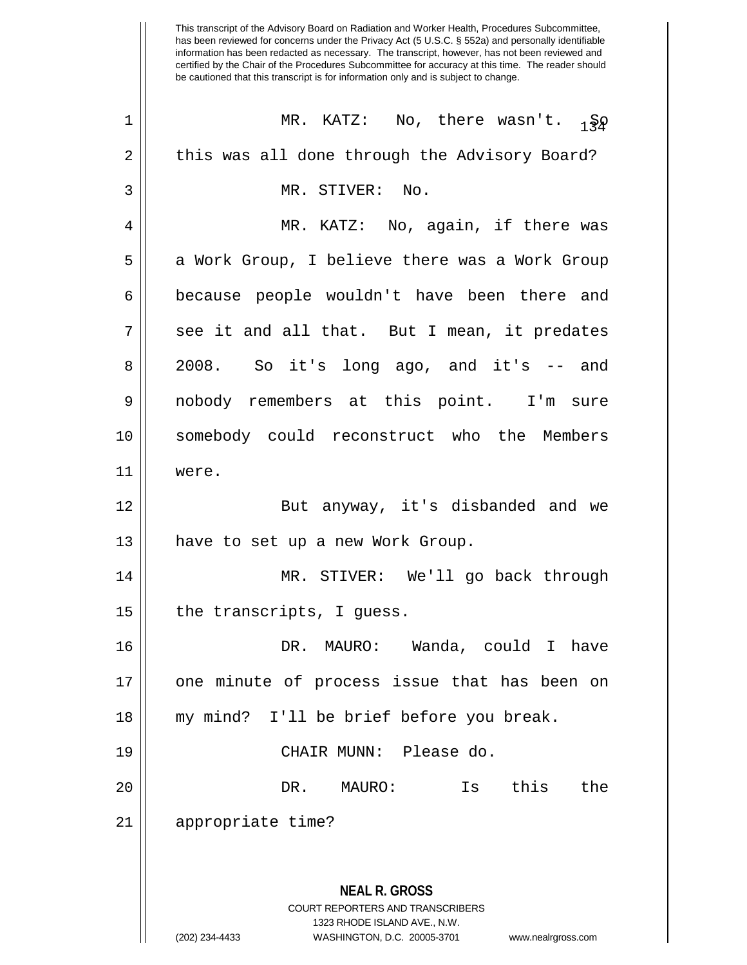This transcript of the Advisory Board on Radiation and Worker Health, Procedures Subcommittee, has been reviewed for concerns under the Privacy Act (5 U.S.C. § 552a) and personally identifiable information has been redacted as necessary. The transcript, however, has not been reviewed and certified by the Chair of the Procedures Subcommittee for accuracy at this time. The reader should be cautioned that this transcript is for information only and is subject to change. **NEAL R. GROSS** COURT REPORTERS AND TRANSCRIBERS 1323 RHODE ISLAND AVE., N.W. (202) 234-4433 WASHINGTON, D.C. 20005-3701 www.nealrgross.com 1 || MR. KATZ: No, there wasn't.  $\frac{1}{180}$ 2 | this was all done through the Advisory Board? 3 || MR. STIVER: No. 4 MR. KATZ: No, again, if there was 5 || a Work Group, I believe there was a Work Group 6 because people wouldn't have been there and 7 || see it and all that. But I mean, it predates 8 2008. So it's long ago, and it's -- and 9 nobody remembers at this point. I'm sure 10 somebody could reconstruct who the Members 11 were. 12 || But anyway, it's disbanded and we 13 || have to set up a new Work Group. 14 MR. STIVER: We'll go back through  $15$  || the transcripts, I guess. 16 DR. MAURO: Wanda, could I have 17 || one minute of process issue that has been on 18 || my mind? I'll be brief before you break. 19 CHAIR MUNN: Please do. 20 DR. MAURO: Is this the 21 appropriate time?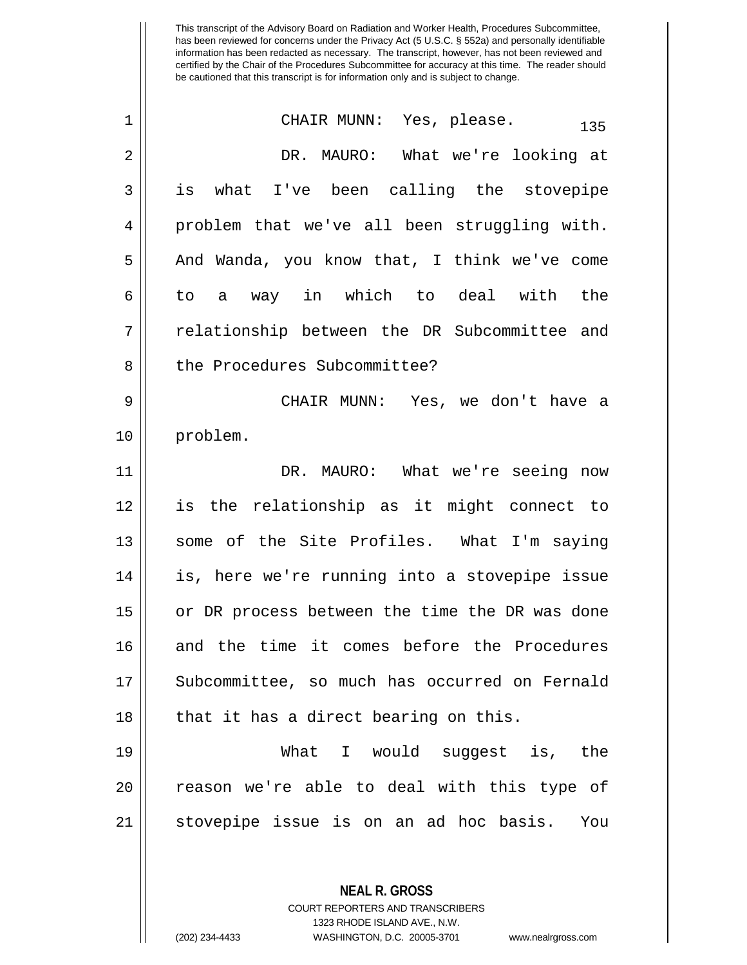| $\mathbf 1$ | CHAIR MUNN: Yes, please.<br>135                |
|-------------|------------------------------------------------|
| 2           | DR. MAURO: What we're looking at               |
| 3           | what I've been calling the stovepipe<br>is     |
| 4           | problem that we've all been struggling with.   |
| 5           | And Wanda, you know that, I think we've come   |
| 6           | way in which to deal with<br>the<br>to<br>a    |
| 7           | relationship between the DR Subcommittee and   |
| 8           | the Procedures Subcommittee?                   |
| 9           | CHAIR MUNN: Yes, we don't have a               |
| 10          | problem.                                       |
| 11          | DR. MAURO: What we're seeing now               |
| 12          | is the relationship as it might connect to     |
| 13          | some of the Site Profiles. What I'm saying     |
| 14          | is, here we're running into a stovepipe issue  |
| 15          | or DR process between the time the DR was done |
| 16          | and the time it comes before the Procedures    |
| 17          | Subcommittee, so much has occurred on Fernald  |
| 18          | that it has a direct bearing on this.          |
| 19          | What I would suggest is, the                   |
| 20          | reason we're able to deal with this type of    |
| 21          | stovepipe issue is on an ad hoc basis.<br>You  |
|             |                                                |

1323 RHODE ISLAND AVE., N.W.

**NEAL R. GROSS** COURT REPORTERS AND TRANSCRIBERS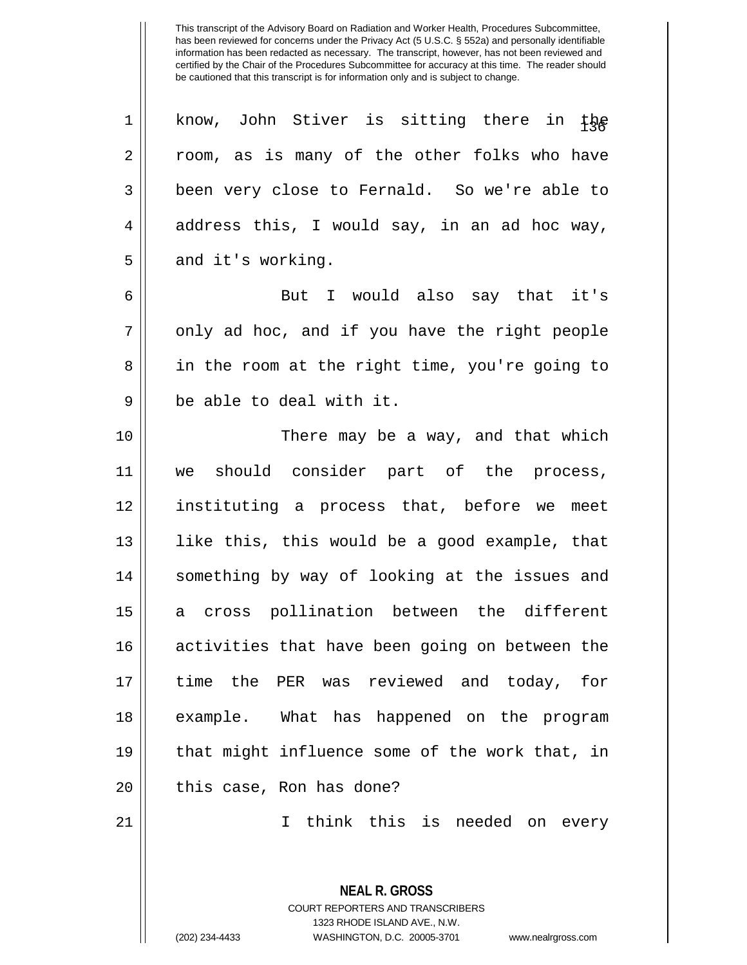1 || know, John Stiver is sitting there in the 2 || room, as is many of the other folks who have 3 || been very close to Fernald. So we're able to  $4 \parallel$  address this, I would say, in an ad hoc way,  $5 \parallel$  and it's working.

6 But I would also say that it's  $7 ||$  only ad hoc, and if you have the right people 8 || in the room at the right time, you're going to  $9 \parallel$  be able to deal with it.

 There may be a way, and that which we should consider part of the process, instituting a process that, before we meet || like this, this would be a good example, that 14 || something by way of looking at the issues and a cross pollination between the different 16 || activities that have been going on between the time the PER was reviewed and today, for example. What has happened on the program that might influence some of the work that, in || this case, Ron has done?

21 I think this is needed on every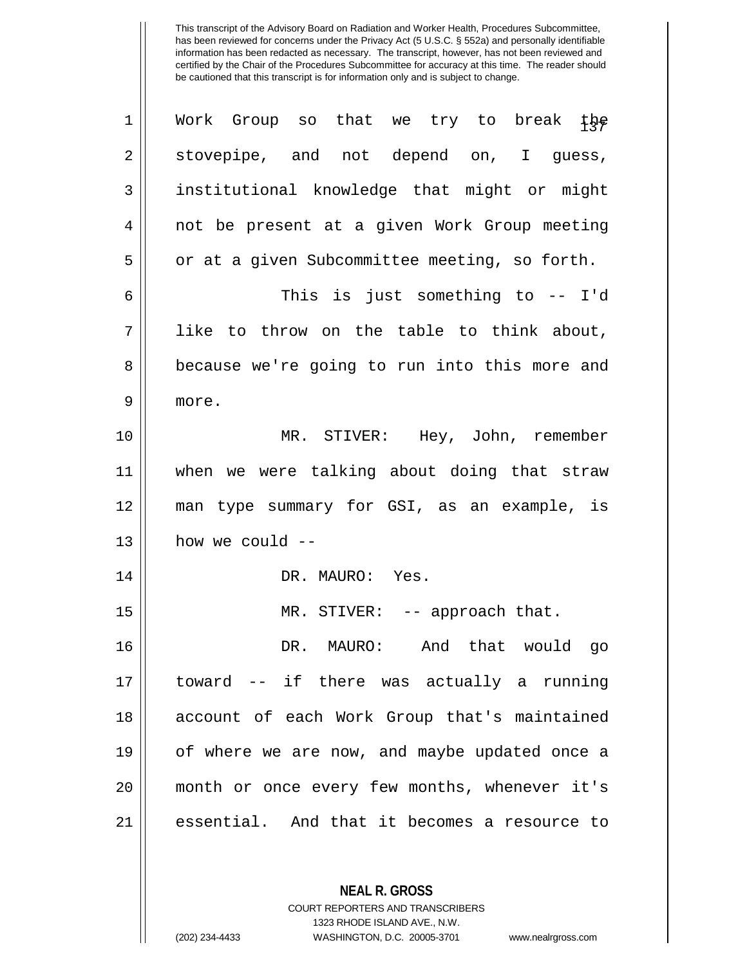| $\mathbf 1$    | Work Group so that we try to break the        |
|----------------|-----------------------------------------------|
| $\overline{2}$ | stovepipe, and not depend on, I guess,        |
| 3              | institutional knowledge that might or might   |
| 4              | not be present at a given Work Group meeting  |
| 5              | or at a given Subcommittee meeting, so forth. |
| 6              | This is just something to -- I'd              |
| 7              | like to throw on the table to think about,    |
| 8              | because we're going to run into this more and |
| 9              | more.                                         |
| 10             | MR. STIVER: Hey, John, remember               |
| 11             | when we were talking about doing that straw   |
| 12             | man type summary for GSI, as an example, is   |
| 13             | how we could --                               |
| 14             | DR. MAURO: Yes.                               |
| 15             | MR. STIVER: -- approach that.                 |
| 16             | DR. MAURO: And that would go                  |
| 17             | toward -- if there was actually a running     |
| 18             | account of each Work Group that's maintained  |
| 19             | of where we are now, and maybe updated once a |
| 20             | month or once every few months, whenever it's |
| 21             | essential. And that it becomes a resource to  |

**NEAL R. GROSS** COURT REPORTERS AND TRANSCRIBERS

1323 RHODE ISLAND AVE., N.W.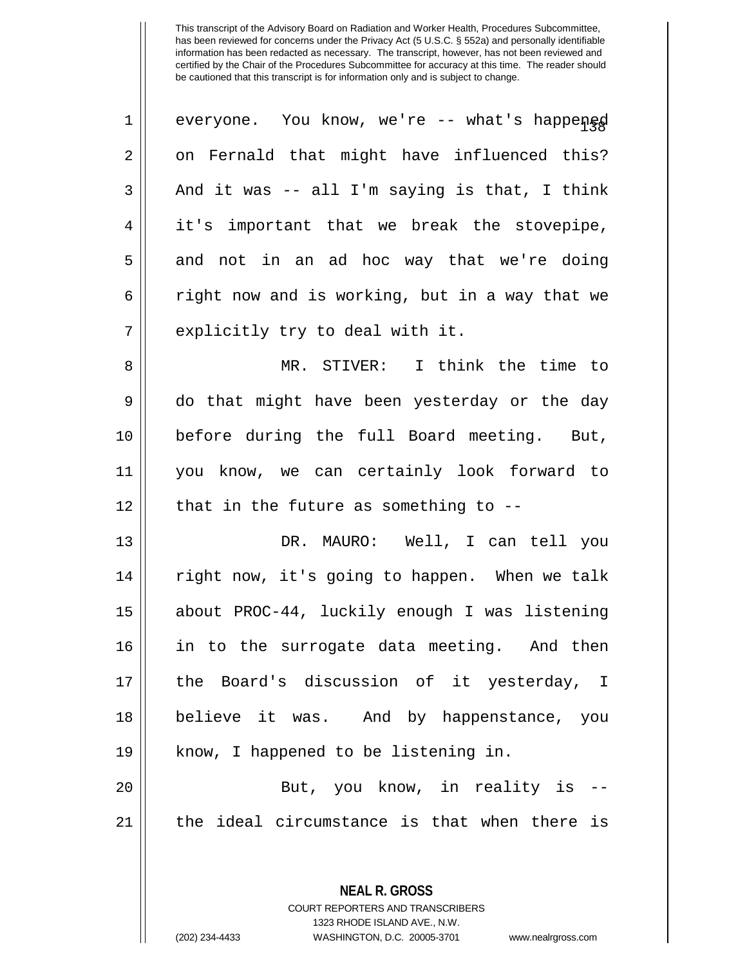| $\mathbf 1$ | everyone. You know, we're -- what's happened   |
|-------------|------------------------------------------------|
| 2           | on Fernald that might have influenced this?    |
| 3           | And it was -- all I'm saying is that, I think  |
| 4           | it's important that we break the stovepipe,    |
| 5           | and not in an ad hoc way that we're doing      |
| 6           | right now and is working, but in a way that we |
| 7           | explicitly try to deal with it.                |
| 8           | MR. STIVER: I think the time to                |
| $\mathsf 9$ | do that might have been yesterday or the day   |
| 10          | before during the full Board meeting. But,     |
| 11          | you know, we can certainly look forward to     |
| 12          | that in the future as something to $-$ -       |
|             |                                                |
| 13          | DR. MAURO: Well, I can tell you                |
| 14          | right now, it's going to happen. When we talk  |
| 15          | about PROC-44, luckily enough I was listening  |
| 16          | in to the surrogate data meeting. And then     |
|             | the Board's discussion of it yesterday, I      |
| 17<br>18    | believe it was. And by happenstance, you       |
| 19          | know, I happened to be listening in.           |
| 20          | But, you know, in reality is --                |
| 21          | the ideal circumstance is that when there is   |

1323 RHODE ISLAND AVE., N.W. (202) 234-4433 WASHINGTON, D.C. 20005-3701 www.nealrgross.com

**NEAL R. GROSS** COURT REPORTERS AND TRANSCRIBERS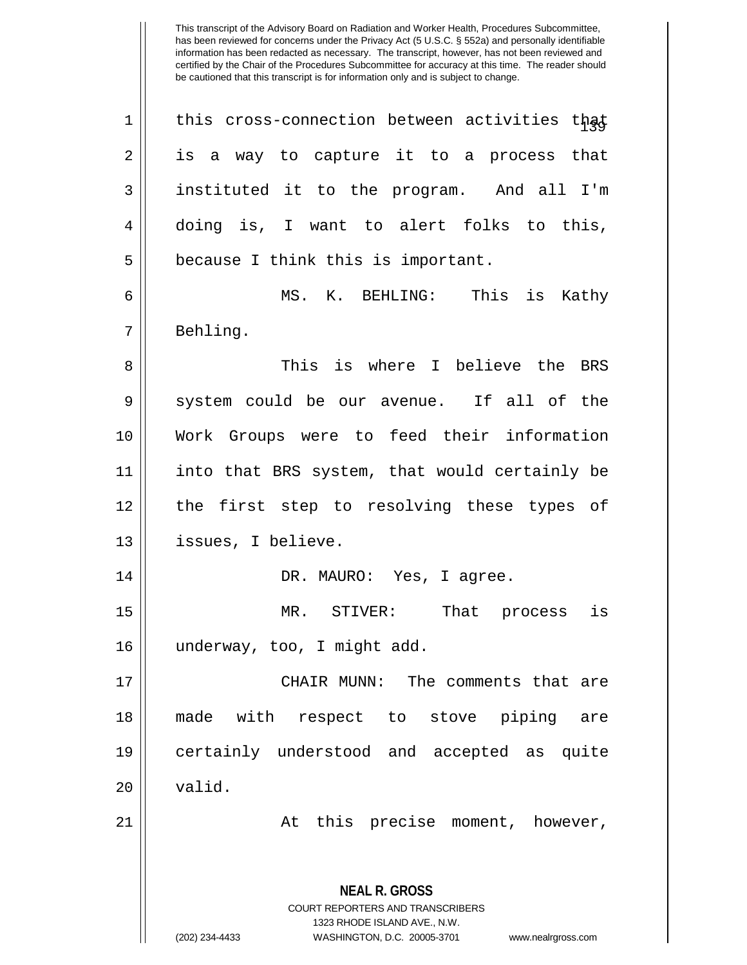| $\mathbf 1$ | this cross-connection between activities that                                                   |
|-------------|-------------------------------------------------------------------------------------------------|
| 2           | is a way to capture it to a process that                                                        |
| 3           | instituted it to the program. And all I'm                                                       |
| 4           | doing is, I want to alert folks to this,                                                        |
| 5           | because I think this is important.                                                              |
| 6           | MS. K. BEHLING: This is Kathy                                                                   |
| 7           | Behling.                                                                                        |
| 8           | This is where I believe the BRS                                                                 |
| 9           | system could be our avenue. If all of the                                                       |
| 10          | Work Groups were to feed their information                                                      |
| 11          | into that BRS system, that would certainly be                                                   |
| 12          | the first step to resolving these types of                                                      |
| 13          | issues, I believe.                                                                              |
| 14          | DR. MAURO: Yes, I agree.                                                                        |
| 15          | MR. STIVER: That process<br>is                                                                  |
| 16          | underway, too, I might add.                                                                     |
| 17          | CHAIR MUNN: The comments that are                                                               |
| 18          | made with respect to stove piping are                                                           |
| 19          | certainly understood and accepted as quite                                                      |
| 20          | valid.                                                                                          |
| 21          | At this precise moment, however,                                                                |
|             | <b>NEAL R. GROSS</b><br><b>COURT REPORTERS AND TRANSCRIBERS</b><br>1323 RHODE ISLAND AVE., N.W. |
|             | (202) 234-4433<br>WASHINGTON, D.C. 20005-3701<br>www.nealrgross.com                             |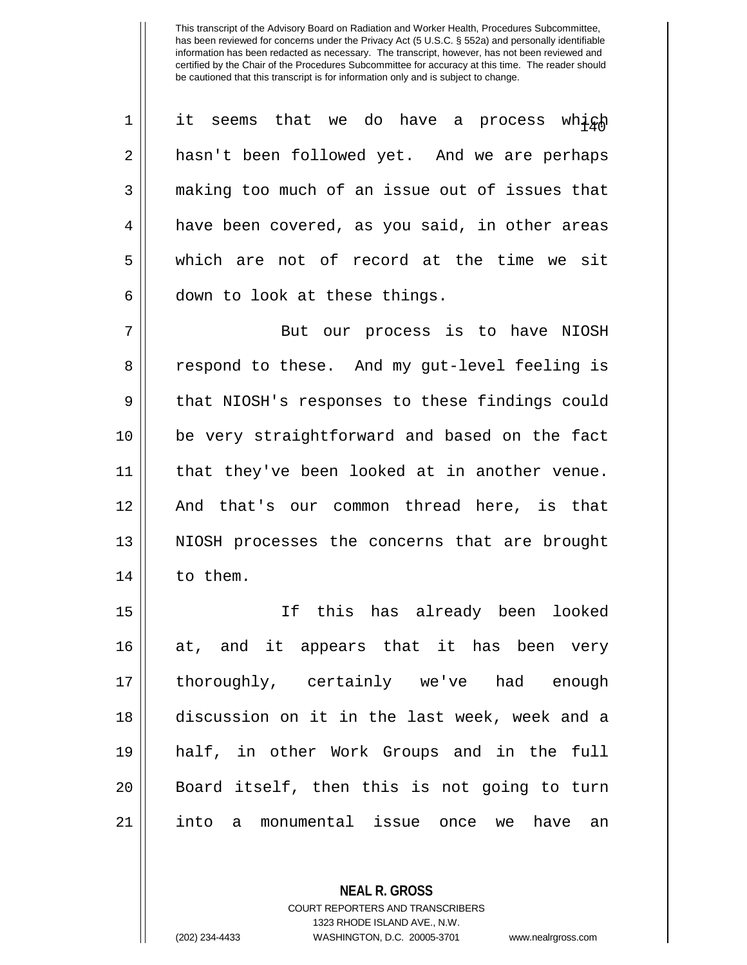| 1  | it seems that we do have a process<br>which      |
|----|--------------------------------------------------|
| 2  | hasn't been followed yet. And we are perhaps     |
| 3  | making too much of an issue out of issues that   |
| 4  | have been covered, as you said, in other areas   |
| 5  | which are not of record at the time we sit       |
| 6  | down to look at these things.                    |
| 7  | But our process is to have NIOSH                 |
| 8  | respond to these. And my gut-level feeling is    |
| 9  | that NIOSH's responses to these findings could   |
| 10 | be very straightforward and based on the fact    |
| 11 | that they've been looked at in another venue.    |
| 12 | And that's our common thread here, is that       |
| 13 | NIOSH processes the concerns that are brought    |
| 14 | to them.                                         |
| 15 | this has already been looked<br>If               |
| 16 | at, and it appears that it has been<br>very      |
| 17 | thoroughly, certainly we've had enough           |
| 18 | discussion on it in the last week, week and a    |
| 19 | half, in other Work Groups and in the full       |
| 20 | Board itself, then this is not going to turn     |
| 21 | monumental issue once we<br>have<br>into a<br>an |

COURT REPORTERS AND TRANSCRIBERS 1323 RHODE ISLAND AVE., N.W.

**NEAL R. GROSS**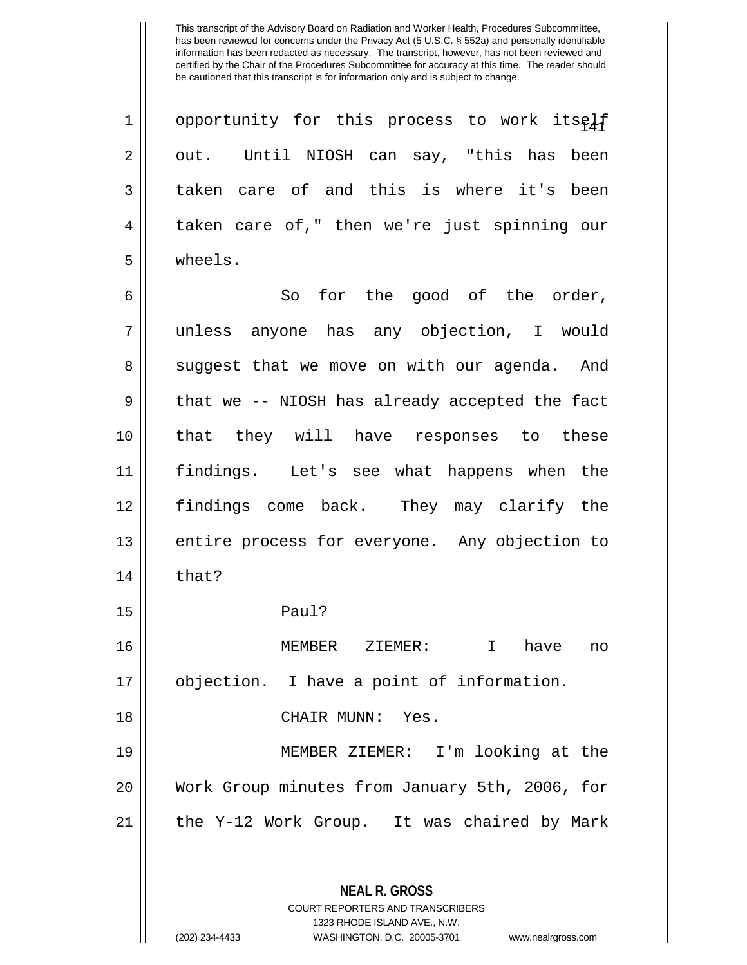$1$ | opportunity for this process to work itself  $2 \parallel$  out. Until NIOSH can say, "this has been 3 taken care of and this is where it's been 4 taken care of," then we're just spinning our 5 wheels.

 So for the good of the order, unless anyone has any objection, I would 8 || suggest that we move on with our agenda. And  $9 \parallel$  that we -- NIOSH has already accepted the fact that they will have responses to these findings. Let's see what happens when the findings come back. They may clarify the 13 || entire process for everyone. Any objection to  $\parallel$  that? 15 Paul? MEMBER ZIEMER: I have no

17 objection. I have a point of information.

18 CHAIR MUNN: Yes.

19 MEMBER ZIEMER: I'm looking at the 20 Work Group minutes from January 5th, 2006, for 21 || the Y-12 Work Group. It was chaired by Mark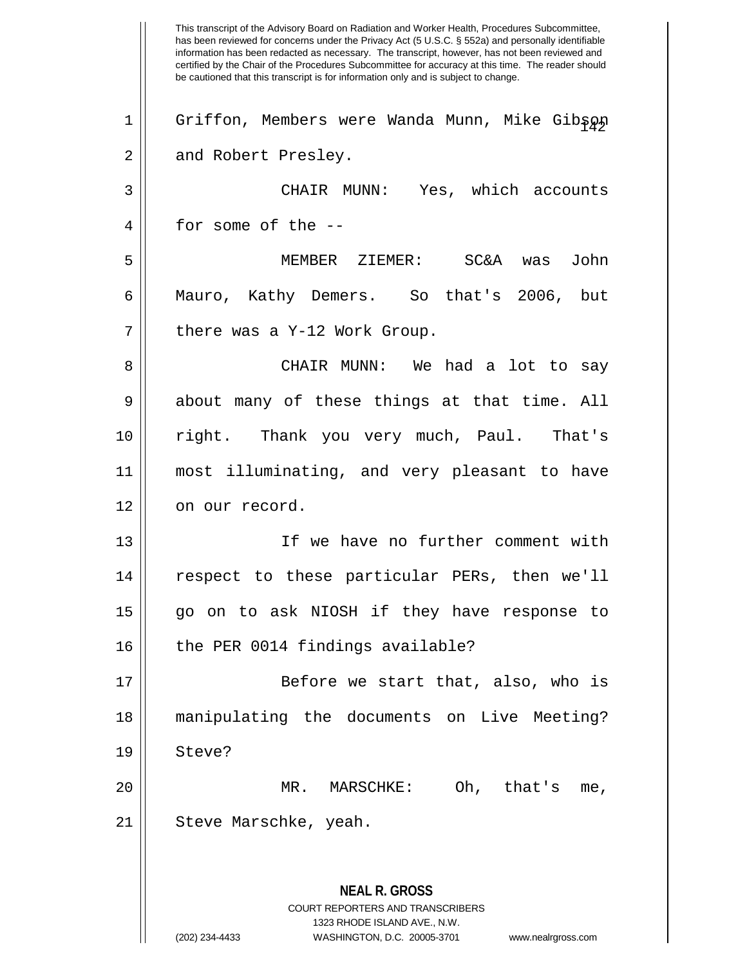This transcript of the Advisory Board on Radiation and Worker Health, Procedures Subcommittee, has been reviewed for concerns under the Privacy Act (5 U.S.C. § 552a) and personally identifiable information has been redacted as necessary. The transcript, however, has not been reviewed and certified by the Chair of the Procedures Subcommittee for accuracy at this time. The reader should be cautioned that this transcript is for information only and is subject to change. **NEAL R. GROSS** COURT REPORTERS AND TRANSCRIBERS 1323 RHODE ISLAND AVE., N.W. 1 || Griffon, Members were Wanda Munn, Mike Gibson 2 || and Robert Presley. 3 CHAIR MUNN: Yes, which accounts 4 for some of the -- 5 MEMBER ZIEMER: SC&A was John 6 Mauro, Kathy Demers. So that's 2006, but  $7 ||$  there was a Y-12 Work Group. 8 CHAIR MUNN: We had a lot to say  $9 \parallel$  about many of these things at that time. All 10 right. Thank you very much, Paul. That's 11 most illuminating, and very pleasant to have 12 | on our record. 13 If we have no further comment with 14 || respect to these particular PERs, then we'll 15 go on to ask NIOSH if they have response to 16 || the PER 0014 findings available? 17 || Before we start that, also, who is 18 manipulating the documents on Live Meeting? 19 Steve? 20 MR. MARSCHKE: Oh, that's me, 21 | Steve Marschke, yeah.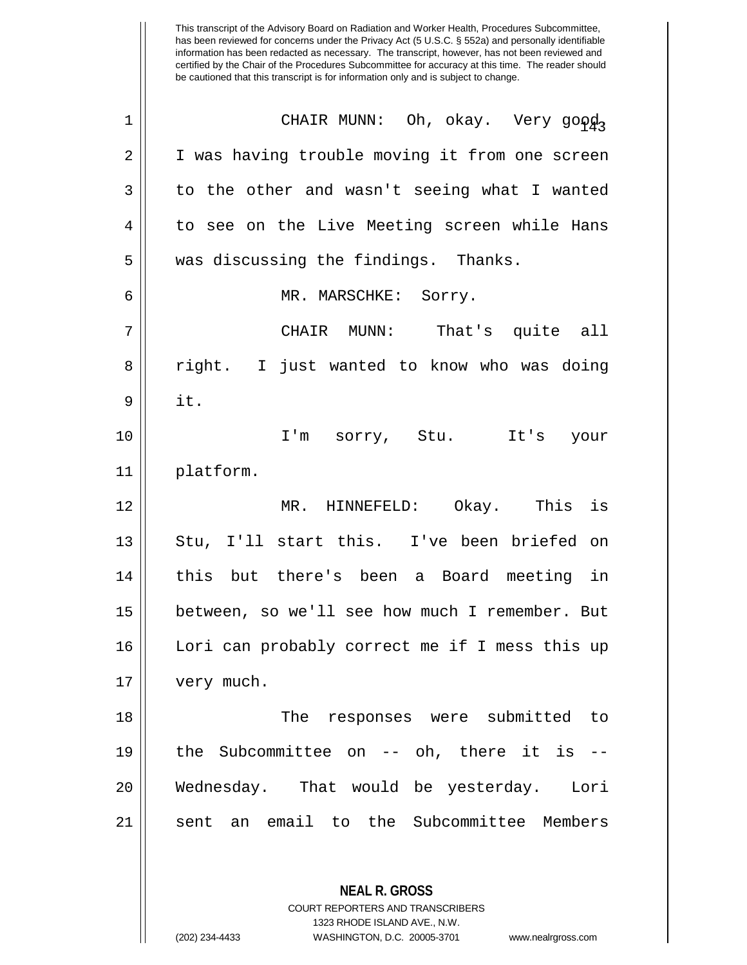| $\mathbf 1$ | CHAIR MUNN: Oh, okay. Very good,               |
|-------------|------------------------------------------------|
| 2           | I was having trouble moving it from one screen |
| 3           | to the other and wasn't seeing what I wanted   |
| 4           | to see on the Live Meeting screen while Hans   |
| 5           | was discussing the findings. Thanks.           |
| 6           | MR. MARSCHKE: Sorry.                           |
| 7           | CHAIR MUNN: That's quite all                   |
| 8           | right. I just wanted to know who was doing     |
| 9           | it.                                            |
| 10          | I'm sorry, Stu. It's<br>your                   |
| 11          | platform.                                      |
| 12          | MR. HINNEFELD: Okay. This is                   |
| 13          | Stu, I'll start this. I've been briefed on     |
| 14          | this but there's been a Board meeting in       |
| 15          | between, so we'll see how much I remember. But |
| 16          | Lori can probably correct me if I mess this up |
| 17          | very much.                                     |
| 18          | The responses were submitted to                |
|             |                                                |
| 19          | the Subcommittee on $--$ oh, there it is $--$  |
| 20          | Wednesday. That would be yesterday. Lori       |
| 21          | sent an email to the Subcommittee Members      |

**NEAL R. GROSS**

COURT REPORTERS AND TRANSCRIBERS 1323 RHODE ISLAND AVE., N.W.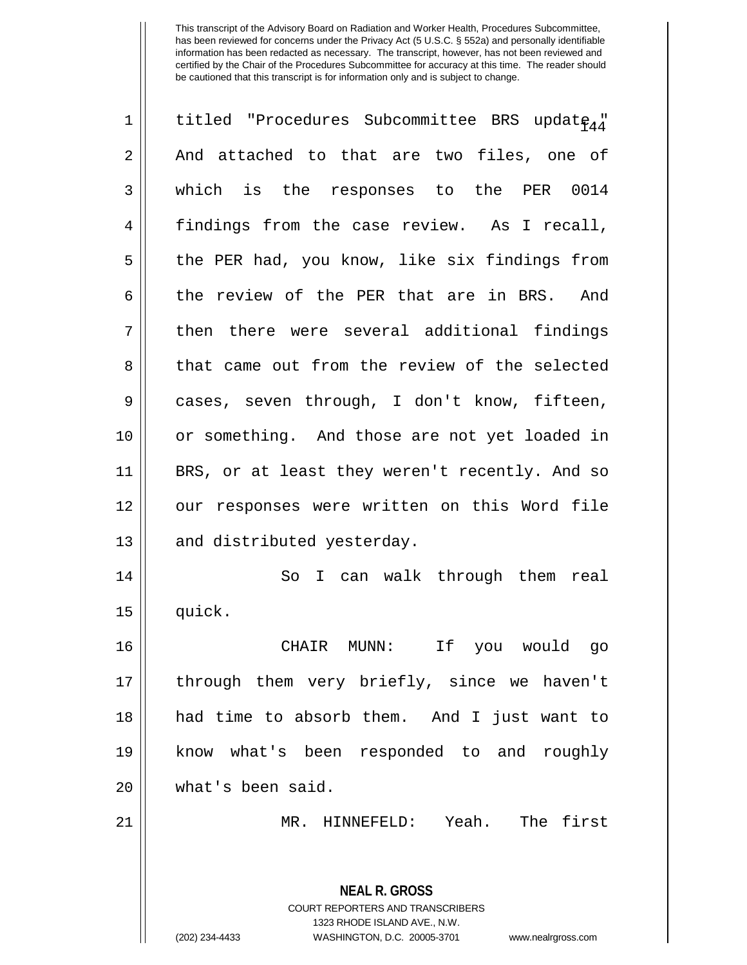| 1  | titled "Procedures Subcommittee BRS update44"                                                   |
|----|-------------------------------------------------------------------------------------------------|
| 2  | And attached to that are two files, one of                                                      |
| 3  | which is the responses to the PER 0014                                                          |
| 4  | findings from the case review. As I recall,                                                     |
| 5  | the PER had, you know, like six findings from                                                   |
| 6  | the review of the PER that are in BRS. And                                                      |
| 7  | then there were several additional findings                                                     |
| 8  | that came out from the review of the selected                                                   |
| 9  | cases, seven through, I don't know, fifteen,                                                    |
| 10 | or something. And those are not yet loaded in                                                   |
| 11 | BRS, or at least they weren't recently. And so                                                  |
| 12 | our responses were written on this Word file                                                    |
| 13 | and distributed yesterday.                                                                      |
| 14 | I can walk through them real<br>So                                                              |
| 15 | quick.                                                                                          |
| 16 | If<br>CHAIR<br>you would<br>$MUNN$ :<br>go                                                      |
| 17 | through them very briefly, since we haven't                                                     |
| 18 | had time to absorb them. And I just want to                                                     |
| 19 | know what's been responded to and roughly                                                       |
| 20 | what's been said.                                                                               |
| 21 | MR. HINNEFELD: Yeah. The first                                                                  |
|    | <b>NEAL R. GROSS</b><br><b>COURT REPORTERS AND TRANSCRIBERS</b><br>1323 RHODE ISLAND AVE., N.W. |
|    | (202) 234-4433<br>WASHINGTON, D.C. 20005-3701<br>www.nealrgross.com                             |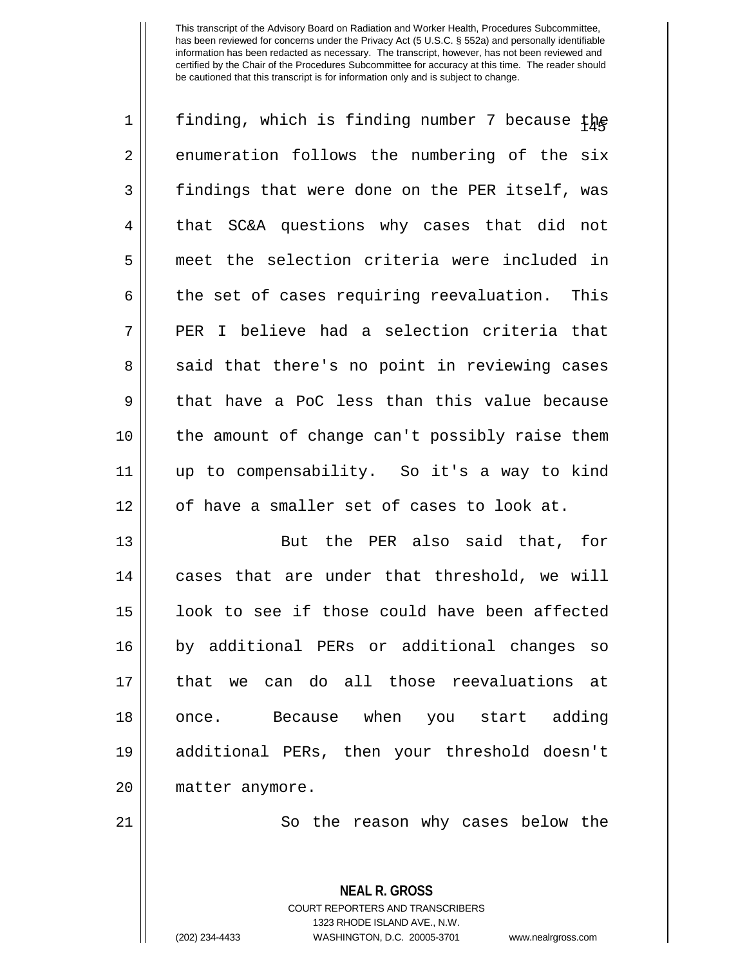| $\mathbf 1$    | finding, which is finding number 7 because the   |
|----------------|--------------------------------------------------|
| $\overline{2}$ | enumeration follows the numbering of the six     |
| 3              | findings that were done on the PER itself, was   |
| 4              | that SC&A questions why cases that did not       |
| 5              | meet the selection criteria were included in     |
| 6              | the set of cases requiring reevaluation.<br>This |
| 7              | PER I believe had a selection criteria that      |
| 8              | said that there's no point in reviewing cases    |
| $\mathsf 9$    | that have a PoC less than this value because     |
| 10             | the amount of change can't possibly raise them   |
| 11             | up to compensability. So it's a way to kind      |
| 12             | of have a smaller set of cases to look at.       |
| 13             | But the PER also said that, for                  |
| 14             | cases that are under that threshold, we will     |
| 15             | look to see if those could have been affected    |
| 16             | by additional PERs or additional changes so      |
| 17             | that we can do all those reevaluations at        |
| 18             | once. Because when you start adding              |
| 19             | additional PERs, then your threshold doesn't     |
| 20             | matter anymore.                                  |
| 21             | So the reason why cases below the                |

**NEAL R. GROSS** COURT REPORTERS AND TRANSCRIBERS 1323 RHODE ISLAND AVE., N.W. (202) 234-4433 WASHINGTON, D.C. 20005-3701 www.nealrgross.com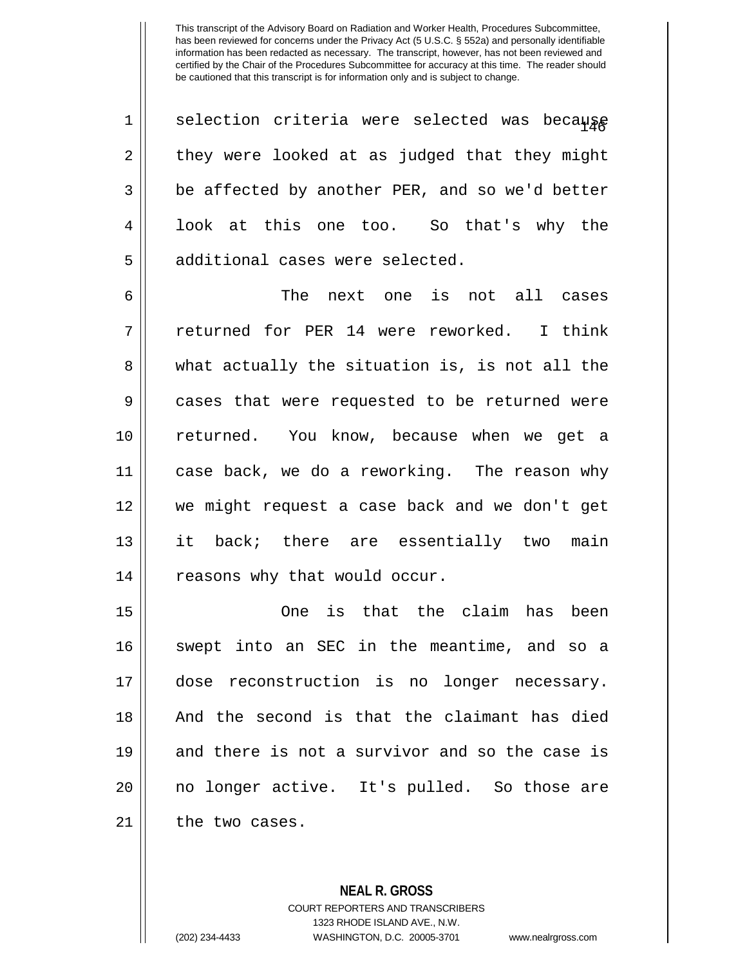1 $\parallel$  selection criteria were selected was because  $2 \parallel$  they were looked at as judged that they might  $3 \parallel$  be affected by another PER, and so we'd better 4 || look at this one too. So that's why the 5 || additional cases were selected.

6 The next one is not all cases 7 returned for PER 14 were reworked. I think 8 || what actually the situation is, is not all the 9 cases that were requested to be returned were 10 returned. You know, because when we get a 11 case back, we do a reworking. The reason why 12 we might request a case back and we don't get 13 || it back; there are essentially two main 14 | reasons why that would occur.

15 One is that the claim has been 16 || swept into an SEC in the meantime, and so a 17 || dose reconstruction is no longer necessary. 18 || And the second is that the claimant has died 19 and there is not a survivor and so the case is 20 || no longer active. It's pulled. So those are 21 | the two cases.

> **NEAL R. GROSS** COURT REPORTERS AND TRANSCRIBERS 1323 RHODE ISLAND AVE., N.W. (202) 234-4433 WASHINGTON, D.C. 20005-3701 www.nealrgross.com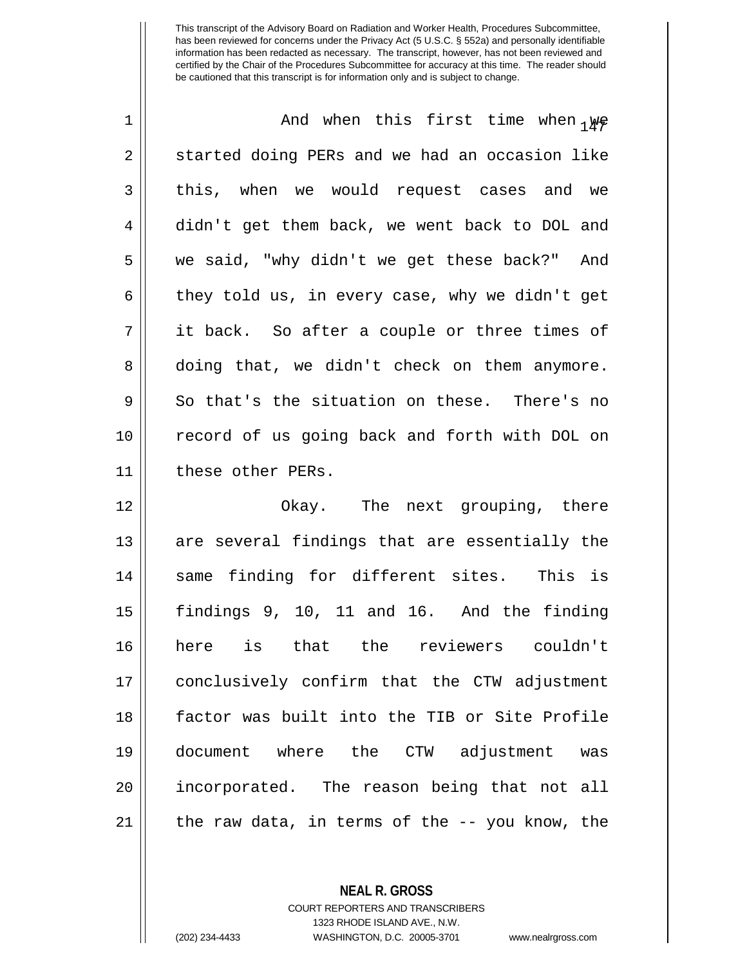| 1  | And when this first time when $_{1}\mu$ e      |
|----|------------------------------------------------|
| 2  | started doing PERs and we had an occasion like |
| 3  | this, when we would request cases and we       |
| 4  | didn't get them back, we went back to DOL and  |
| 5  | we said, "why didn't we get these back?" And   |
| 6  | they told us, in every case, why we didn't get |
| 7  | it back. So after a couple or three times of   |
| 8  | doing that, we didn't check on them anymore.   |
| 9  | So that's the situation on these. There's no   |
| 10 | record of us going back and forth with DOL on  |
| 11 | these other PERs.                              |
| 12 | Okay. The next grouping, there                 |
| 13 | are several findings that are essentially the  |
| 14 | same finding for different sites. This is      |
| 15 | findings 9, 10, 11 and 16. And the finding     |
| 16 | here is that the reviewers couldn't            |
| 17 | conclusively confirm that the CTW adjustment   |
| 18 | factor was built into the TIB or Site Profile  |
| 19 | document where the CTW adjustment<br>was       |
| 20 | incorporated. The reason being that not all    |
| 21 | the raw data, in terms of the -- you know, the |

**NEAL R. GROSS** COURT REPORTERS AND TRANSCRIBERS 1323 RHODE ISLAND AVE., N.W.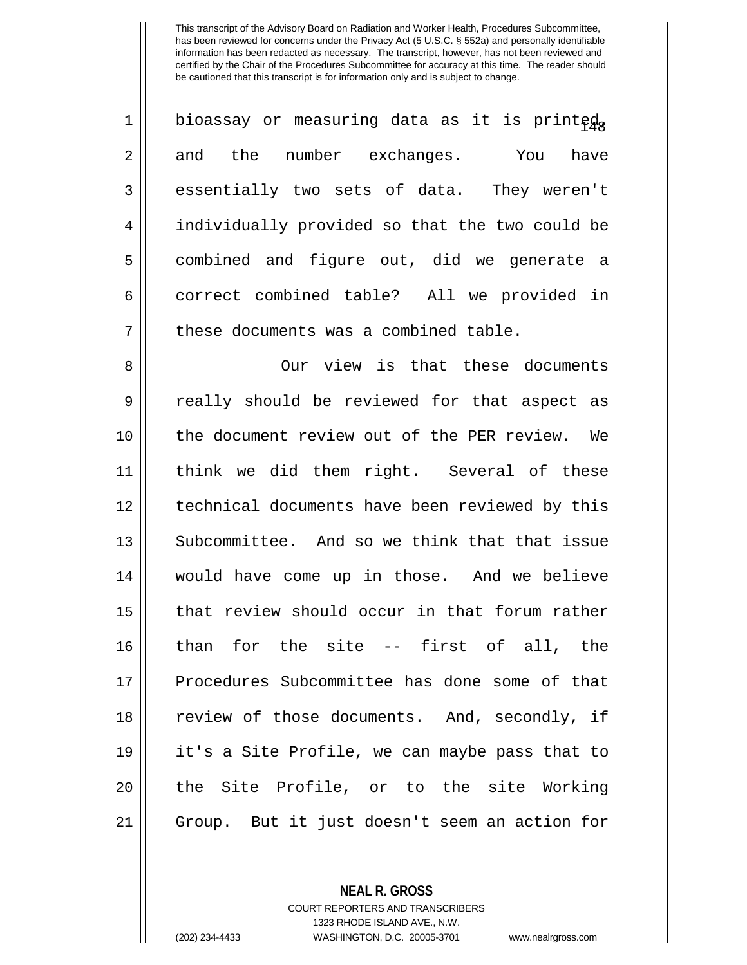| $\mathbf 1$ | bioassay or measuring data as it is printeda   |
|-------------|------------------------------------------------|
| 2           | and the number exchanges. You have             |
| 3           | essentially two sets of data. They weren't     |
| 4           | individually provided so that the two could be |
| 5           | combined and figure out, did we generate a     |
| 6           | correct combined table? All we provided in     |
| 7           | these documents was a combined table.          |
| 8           | Our view is that these documents               |
| 9           | really should be reviewed for that aspect as   |
| 10          | the document review out of the PER review. We  |
| 11          | think we did them right. Several of these      |
| 12          | technical documents have been reviewed by this |
| 13          | Subcommittee. And so we think that that issue  |
| 14          | would have come up in those. And we believe    |
| 15          | that review should occur in that forum rather  |
| 16          | than for the site -- first of all, the         |
| 17          | Procedures Subcommittee has done some of that  |
| 18          | review of those documents. And, secondly, if   |
| 19          | it's a Site Profile, we can maybe pass that to |
| 20          | the Site Profile, or to the site Working       |
| 21          | Group. But it just doesn't seem an action for  |

**NEAL R. GROSS** COURT REPORTERS AND TRANSCRIBERS

1323 RHODE ISLAND AVE., N.W.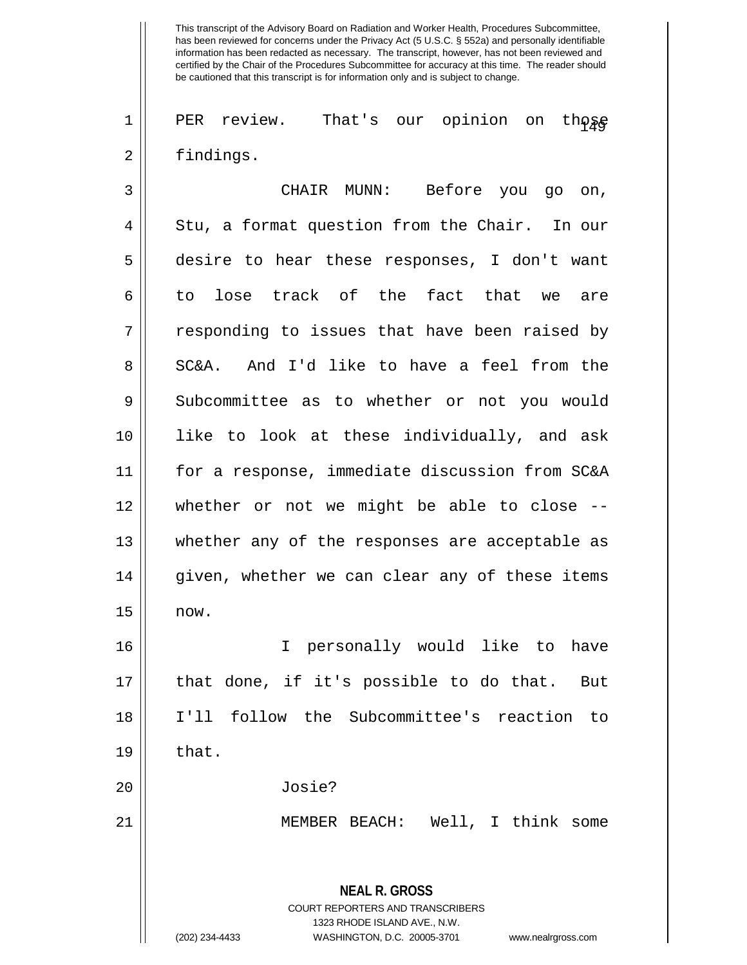$1 \parallel$  PER review. That's our opinion on those 2 | findings.

| 3              | CHAIR MUNN: Before you go on,                                                                                                                                          |
|----------------|------------------------------------------------------------------------------------------------------------------------------------------------------------------------|
| $\overline{4}$ | Stu, a format question from the Chair. In our                                                                                                                          |
| 5              | desire to hear these responses, I don't want                                                                                                                           |
| 6              | to lose track of the fact that we are                                                                                                                                  |
| 7              | responding to issues that have been raised by                                                                                                                          |
| 8              | SC&A. And I'd like to have a feel from the                                                                                                                             |
| 9              | Subcommittee as to whether or not you would                                                                                                                            |
| 10             | like to look at these individually, and ask                                                                                                                            |
| 11             | for a response, immediate discussion from SC&A                                                                                                                         |
| 12             | whether or not we might be able to close --                                                                                                                            |
| 13             | whether any of the responses are acceptable as                                                                                                                         |
| 14             | given, whether we can clear any of these items                                                                                                                         |
| 15             | now.                                                                                                                                                                   |
| 16             | I personally would like to have                                                                                                                                        |
| 17             | that done, if it's possible to do that. But                                                                                                                            |
| 18             | I'll follow the Subcommittee's reaction to                                                                                                                             |
| 19             | that.                                                                                                                                                                  |
| 20             | Josie?                                                                                                                                                                 |
| 21             | MEMBER BEACH: Well, I think some                                                                                                                                       |
|                | <b>NEAL R. GROSS</b><br><b>COURT REPORTERS AND TRANSCRIBERS</b><br>1323 RHODE ISLAND AVE., N.W.<br>WASHINGTON, D.C. 20005-3701<br>(202) 234-4433<br>www.nealrgross.com |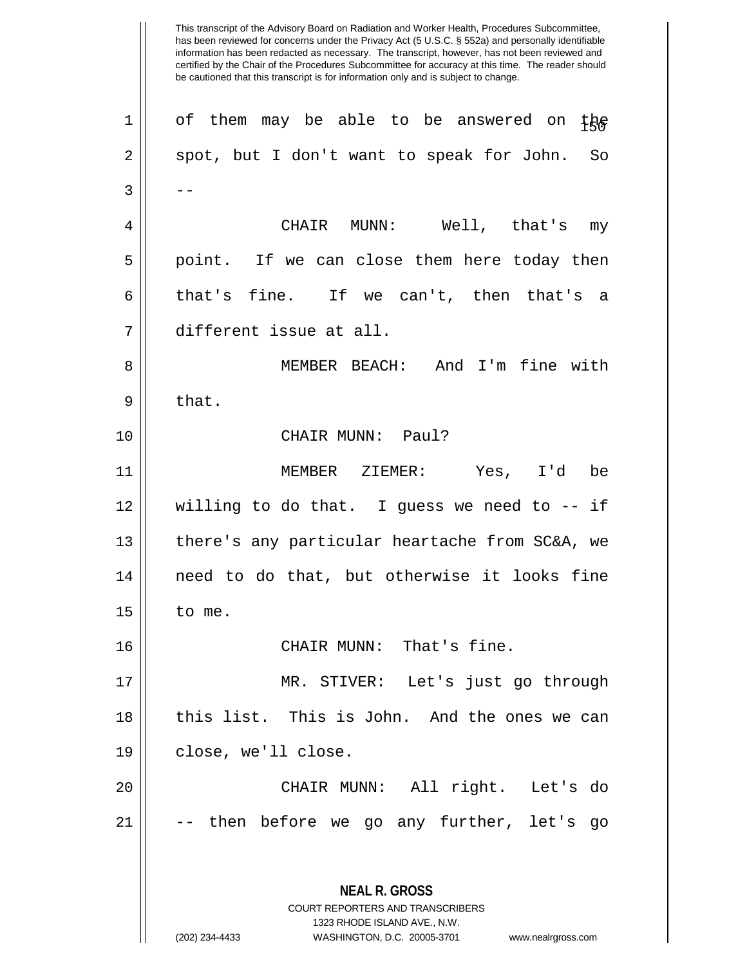**NEAL R. GROSS** COURT REPORTERS AND TRANSCRIBERS 1323 RHODE ISLAND AVE., N.W. (202) 234-4433 WASHINGTON, D.C. 20005-3701 www.nealrgross.com 1 || of them may be able to be answered on  $tp$  $2 \parallel$  spot, but I don't want to speak for John. So  $3 \parallel - -$ 4 CHAIR MUNN: Well, that's my  $5 \parallel$  point. If we can close them here today then 6 that's fine. If we can't, then that's a 7 different issue at all. 8 || MEMBER BEACH: And I'm fine with  $9 \parallel$  that. 10 || CHAIR MUNN: Paul? 11 MEMBER ZIEMER: Yes, I'd be 12 willing to do that. I guess we need to -- if 13 || there's any particular heartache from SC&A, we 14 || need to do that, but otherwise it looks fine  $15 \parallel$  to me. 16 CHAIR MUNN: That's fine. 17 MR. STIVER: Let's just go through 18 || this list. This is John. And the ones we can 19 close, we'll close. 20 CHAIR MUNN: All right. Let's do  $21$   $\vert$  -- then before we go any further, let's go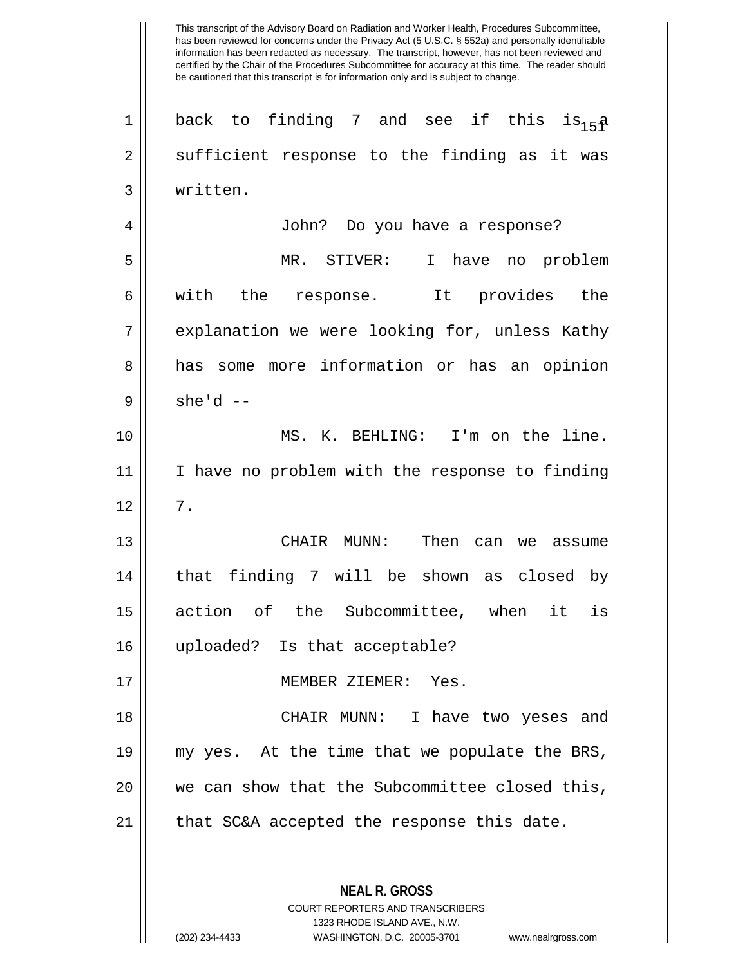2 || sufficient response to the finding as it was 3 written. 4 John? Do you have a response? 5 MR. STIVER: I have no problem 6 || with the response. It provides the 7 || explanation we were looking for, unless Kathy 8 || has some more information or has an opinion  $9 \parallel$  she'd --10 || MS. K. BEHLING: I'm on the line. 11 I have no problem with the response to finding  $12 \parallel 7$ . 13 CHAIR MUNN: Then can we assume 14 || that finding 7 will be shown as closed by 15 action of the Subcommittee, when it is 16 uploaded? Is that acceptable? 17 MEMBER ZIEMER: Yes. 18 CHAIR MUNN: I have two yeses and 19 my yes. At the time that we populate the BRS, 20 || we can show that the Subcommittee closed this,  $21$  | that SC&A accepted the response this date.

> **NEAL R. GROSS** COURT REPORTERS AND TRANSCRIBERS 1323 RHODE ISLAND AVE., N.W.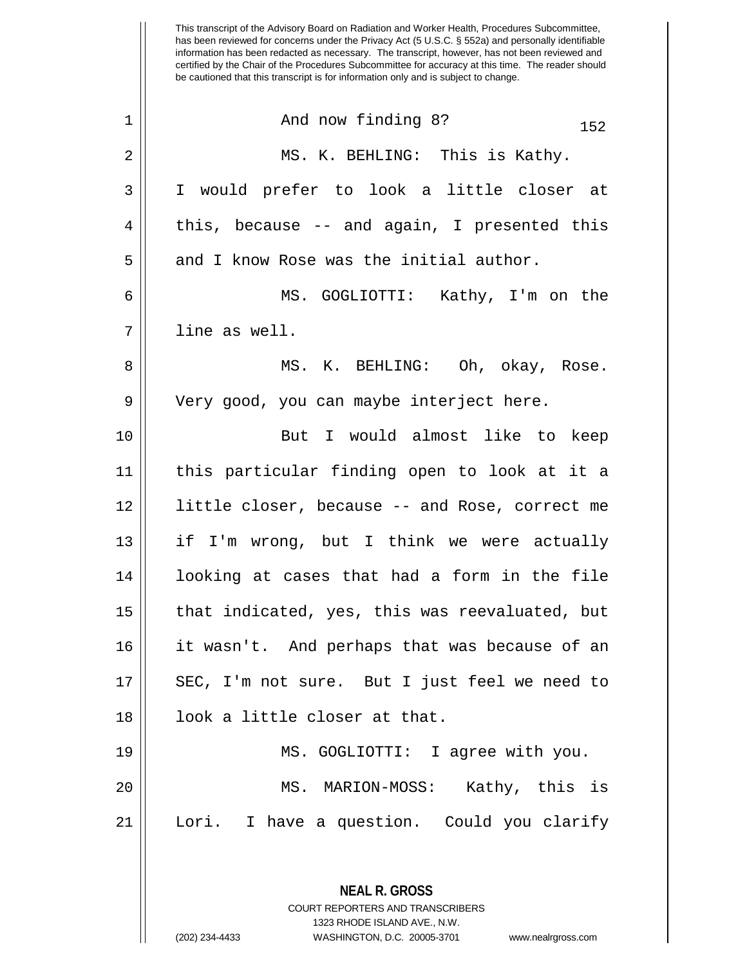This transcript of the Advisory Board on Radiation and Worker Health, Procedures Subcommittee, has been reviewed for concerns under the Privacy Act (5 U.S.C. § 552a) and personally identifiable information has been redacted as necessary. The transcript, however, has not been reviewed and certified by the Chair of the Procedures Subcommittee for accuracy at this time. The reader should be cautioned that this transcript is for information only and is subject to change.  $1 \parallel$  And now finding 8?  $152$ 2 MS. K. BEHLING: This is Kathy. 3 I would prefer to look a little closer at  $4 \parallel$  this, because -- and again, I presented this  $5$  || and I know Rose was the initial author. 6 MS. GOGLIOTTI: Kathy, I'm on the 7 line as well. 8 MS. K. BEHLING: Oh, okay, Rose. 9 || Very good, you can maybe interject here. 10 || The But I would almost like to keep 11 this particular finding open to look at it a 12 little closer, because -- and Rose, correct me  $13$  || if I'm wrong, but I think we were actually 14 || looking at cases that had a form in the file  $15$  || that indicated, yes, this was reevaluated, but 16 it wasn't. And perhaps that was because of an 17 || SEC, I'm not sure. But I just feel we need to 18 || 100k a little closer at that. 19 MS. GOGLIOTTI: I agree with you.

20 MS. MARION-MOSS: Kathy, this is 21 Lori. I have a question. Could you clarify

> **NEAL R. GROSS** COURT REPORTERS AND TRANSCRIBERS 1323 RHODE ISLAND AVE., N.W. (202) 234-4433 WASHINGTON, D.C. 20005-3701 www.nealrgross.com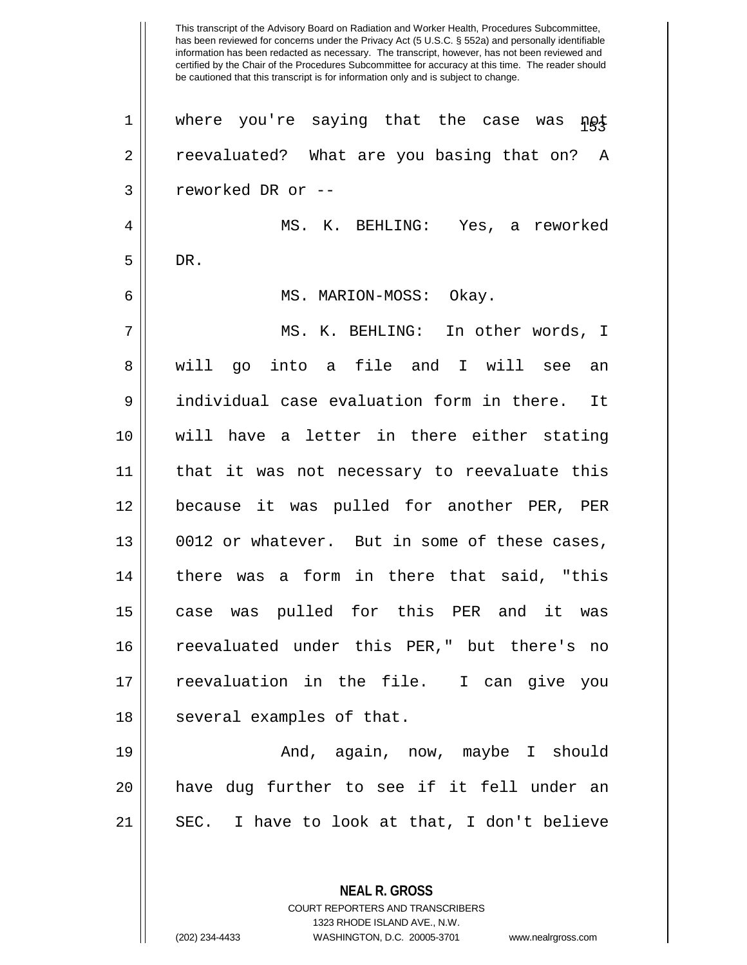has been reviewed for concerns under the Privacy Act (5 U.S.C. § 552a) and personally identifiable information has been redacted as necessary. The transcript, however, has not been reviewed and certified by the Chair of the Procedures Subcommittee for accuracy at this time. The reader should be cautioned that this transcript is for information only and is subject to change. **NEAL R. GROSS** COURT REPORTERS AND TRANSCRIBERS  $1$  where you're saying that the case was not 2 || reevaluated? What are you basing that on? A 3 || reworked DR or --4 MS. K. BEHLING: Yes, a reworked  $5 \parallel$  DR. 6 MS. MARION-MOSS: Okay. 7 MS. K. BEHLING: In other words, I 8 || will go into a file and I will see an 9 individual case evaluation form in there. It 10 will have a letter in there either stating 11 that it was not necessary to reevaluate this 12 because it was pulled for another PER, PER  $13$  | 0012 or whatever. But in some of these cases, 14 || there was a form in there that said, "this 15 case was pulled for this PER and it was 16 reevaluated under this PER," but there's no 17 reevaluation in the file. I can give you 18 || several examples of that. 19 And, again, now, maybe I should 20 have dug further to see if it fell under an 21 || SEC. I have to look at that, I don't believe

1323 RHODE ISLAND AVE., N.W.

This transcript of the Advisory Board on Radiation and Worker Health, Procedures Subcommittee,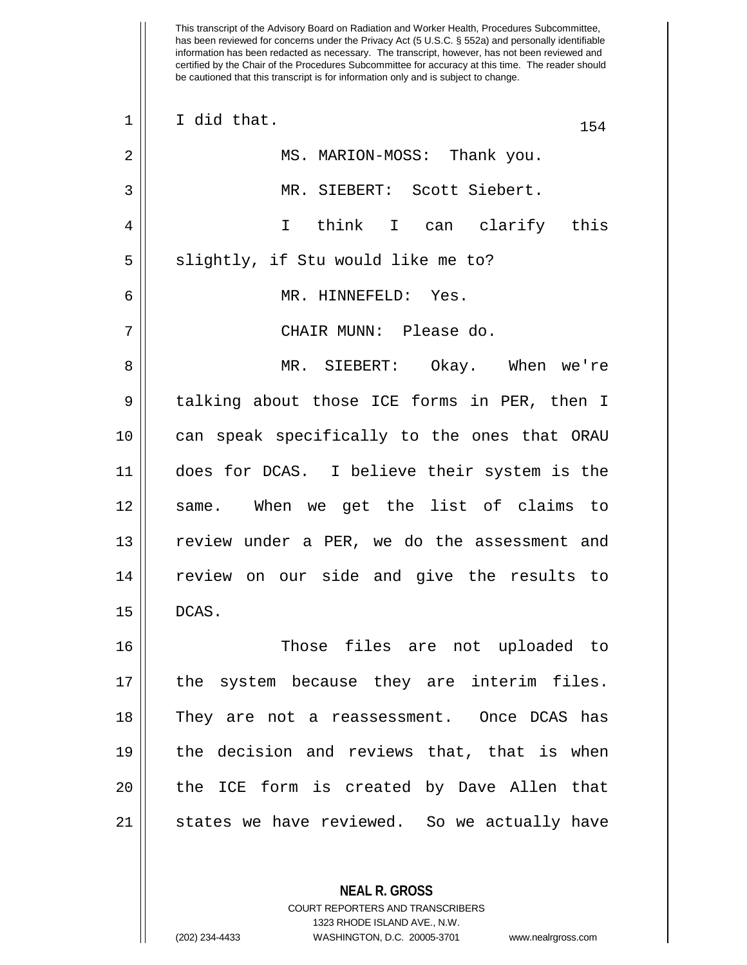| $\mathbf 1$ | I did that.<br>154                           |
|-------------|----------------------------------------------|
| 2           | MS. MARION-MOSS: Thank you.                  |
| 3           | MR. SIEBERT: Scott Siebert.                  |
| 4           | I think I can clarify this                   |
| 5           | slightly, if Stu would like me to?           |
| 6           | MR. HINNEFELD: Yes.                          |
| 7           | CHAIR MUNN: Please do.                       |
| 8           | MR. SIEBERT: Okay. When we're                |
| 9           | talking about those ICE forms in PER, then I |
| 10          | can speak specifically to the ones that ORAU |
| 11          | does for DCAS. I believe their system is the |
| 12          | same. When we get the list of claims to      |
| 13          | review under a PER, we do the assessment and |
| 14          | review on our side and give the results to   |
| 15          | DCAS.                                        |
| 16          | Those files are not uploaded to              |
| 17          | the system because they are interim files.   |
| 18          | They are not a reassessment. Once DCAS has   |
| 19          | the decision and reviews that, that is when  |
| 20          | the ICE form is created by Dave Allen that   |
| 21          | states we have reviewed. So we actually have |
|             |                                              |

**NEAL R. GROSS** COURT REPORTERS AND TRANSCRIBERS 1323 RHODE ISLAND AVE., N.W.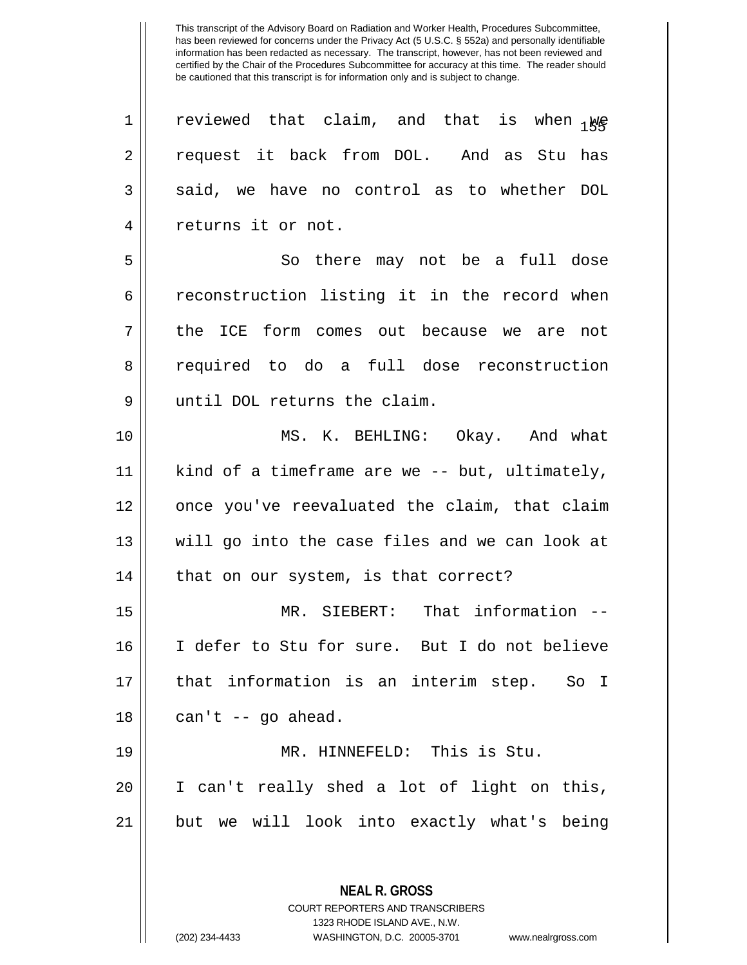| $\mathbf 1$ | reviewed that claim, and that is when Ne       |
|-------------|------------------------------------------------|
| 2           | request it back from DOL. And as Stu has       |
| 3           | said, we have no control as to whether DOL     |
| 4           | returns it or not.                             |
| 5           | So there may not be a full dose                |
| 6           | reconstruction listing it in the record when   |
| 7           | the ICE form comes out because we are not      |
| 8           | required to do a full dose reconstruction      |
| 9           | until DOL returns the claim.                   |
| 10          | MS. K. BEHLING: Okay. And what                 |
| 11          | kind of a timeframe are we -- but, ultimately, |
| 12          | once you've reevaluated the claim, that claim  |
| 13          | will go into the case files and we can look at |
| 14          | that on our system, is that correct?           |
| 15          | MR. SIEBERT: That information --               |
| 16          | I defer to Stu for sure. But I do not believe  |
| 17          | that information is an interim step. So I      |
| 18          | can't -- go ahead.                             |
| 19          | MR. HINNEFELD: This is Stu.                    |
| 20          | I can't really shed a lot of light on this,    |
| 21          | but we will look into exactly what's being     |
|             |                                                |
|             | <b>NEAL R. GROSS</b>                           |

COURT REPORTERS AND TRANSCRIBERS 1323 RHODE ISLAND AVE., N.W.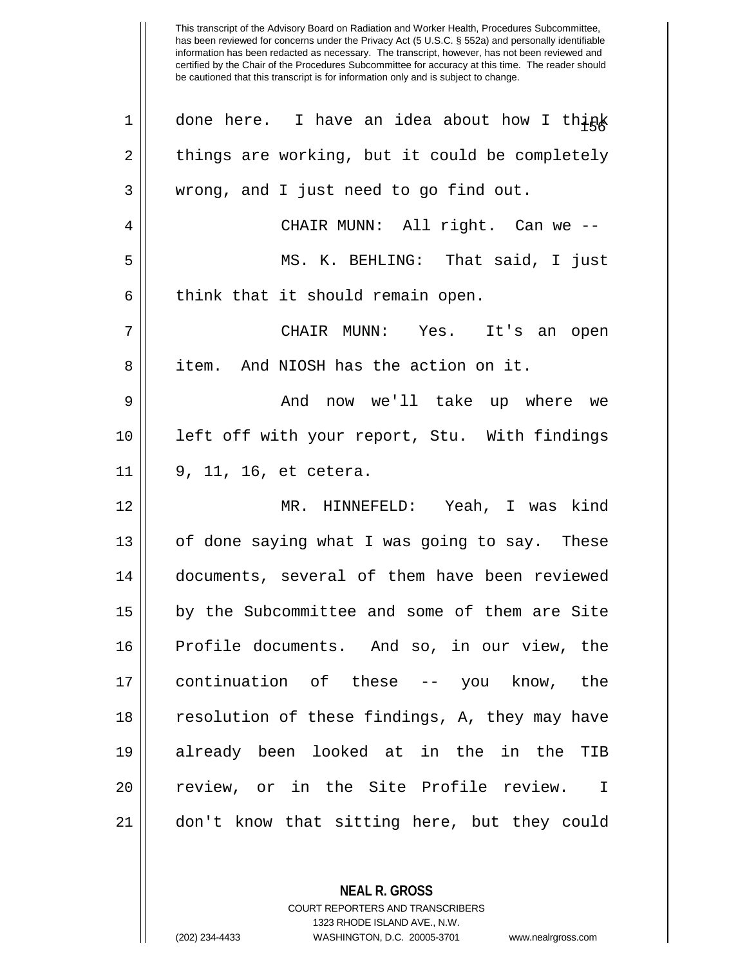| 1  | done here. I have an idea about how I think    |
|----|------------------------------------------------|
| 2  | things are working, but it could be completely |
| 3  | wrong, and I just need to go find out.         |
| 4  | CHAIR MUNN: All right. Can we --               |
| 5  | MS. K. BEHLING: That said, I just              |
| 6  | think that it should remain open.              |
| 7  | CHAIR MUNN: Yes. It's an open                  |
| 8  | item. And NIOSH has the action on it.          |
| 9  | And now we'll take up where we                 |
| 10 | left off with your report, Stu. With findings  |
| 11 | 9, 11, 16, et cetera.                          |
| 12 | MR. HINNEFELD: Yeah, I was kind                |
| 13 | of done saying what I was going to say. These  |
| 14 | documents, several of them have been reviewed  |
| 15 | by the Subcommittee and some of them are Site  |
| 16 | Profile documents. And so, in our view, the    |
| 17 | continuation of these -- you know, the         |
| 18 | resolution of these findings, A, they may have |
| 19 | already been looked at in the in the<br>TIB    |
| 20 | review, or in the Site Profile review. I       |
| 21 | don't know that sitting here, but they could   |

**NEAL R. GROSS** COURT REPORTERS AND TRANSCRIBERS

1323 RHODE ISLAND AVE., N.W.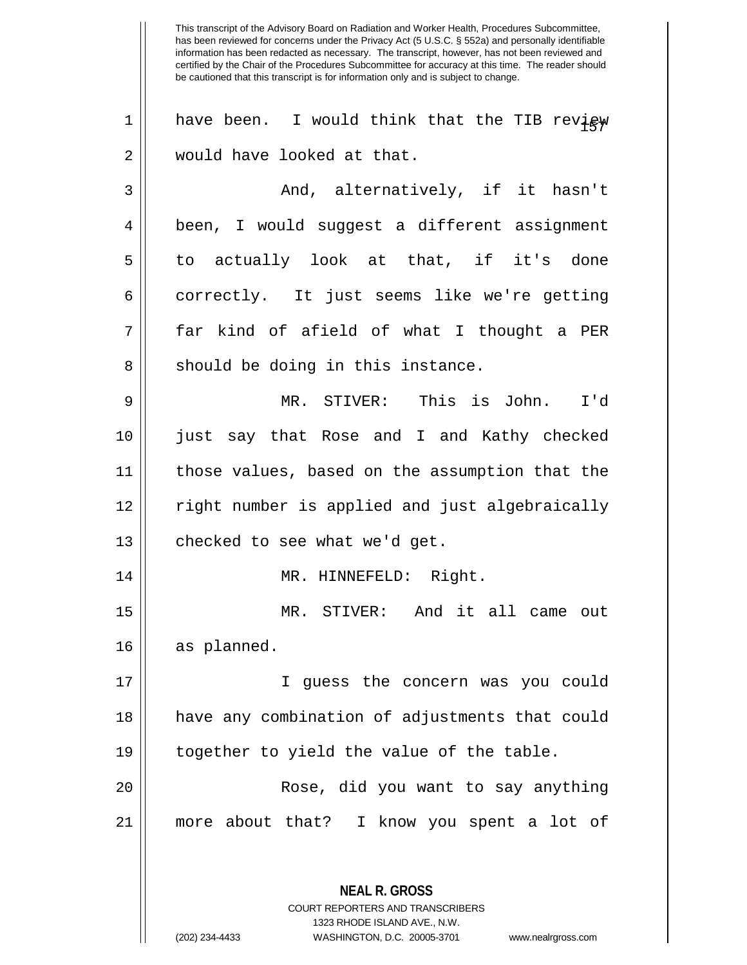1 || have been. I would think that the TIB review 2 || would have looked at that. 3 And, alternatively, if it hasn't 4 | been, I would suggest a different assignment  $5 \parallel$  to actually look at that, if it's done 6 correctly. It just seems like we're getting 7 far kind of afield of what I thought a PER  $8 \parallel$  should be doing in this instance. 9 MR. STIVER: This is John. I'd 10 just say that Rose and I and Kathy checked 11 those values, based on the assumption that the 12 right number is applied and just algebraically  $13$  | checked to see what we'd get. 14 || MR. HINNEFELD: Right. 15 MR. STIVER: And it all came out 16 | as planned. 17 I guess the concern was you could 18 have any combination of adjustments that could 19 || together to yield the value of the table. 20 Rose, did you want to say anything 21 more about that? I know you spent a lot of

> **NEAL R. GROSS** COURT REPORTERS AND TRANSCRIBERS 1323 RHODE ISLAND AVE., N.W.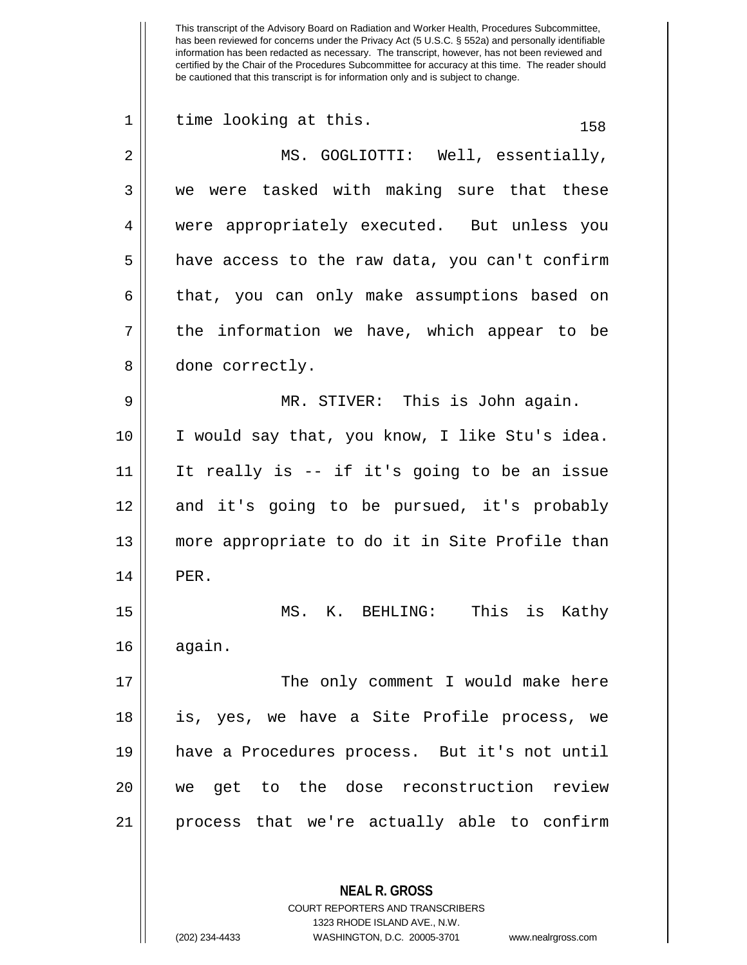| $\mathbf 1$ | time looking at this.<br>158                   |
|-------------|------------------------------------------------|
| 2           | MS. GOGLIOTTI: Well, essentially,              |
| 3           | we were tasked with making sure that these     |
| 4           | were appropriately executed. But unless you    |
| 5           | have access to the raw data, you can't confirm |
| 6           | that, you can only make assumptions based on   |
| 7           | the information we have, which appear to be    |
| 8           | done correctly.                                |
| 9           | MR. STIVER: This is John again.                |
| 10          | I would say that, you know, I like Stu's idea. |
| 11          | It really is -- if it's going to be an issue   |
| 12          | and it's going to be pursued, it's probably    |
| 13          | more appropriate to do it in Site Profile than |
| 14          | PER.                                           |
| 15          | MS. K. BEHLING: This is Kathy                  |
| 16          | again.                                         |
| 17          | The only comment I would make here             |
| 18          | is, yes, we have a Site Profile process, we    |
| 19          | have a Procedures process. But it's not until  |
| 20          | we get to the dose reconstruction review       |
| 21          | process that we're actually able to confirm    |
|             |                                                |
|             | <b>NEAL R. GROSS</b>                           |

COURT REPORTERS AND TRANSCRIBERS 1323 RHODE ISLAND AVE., N.W.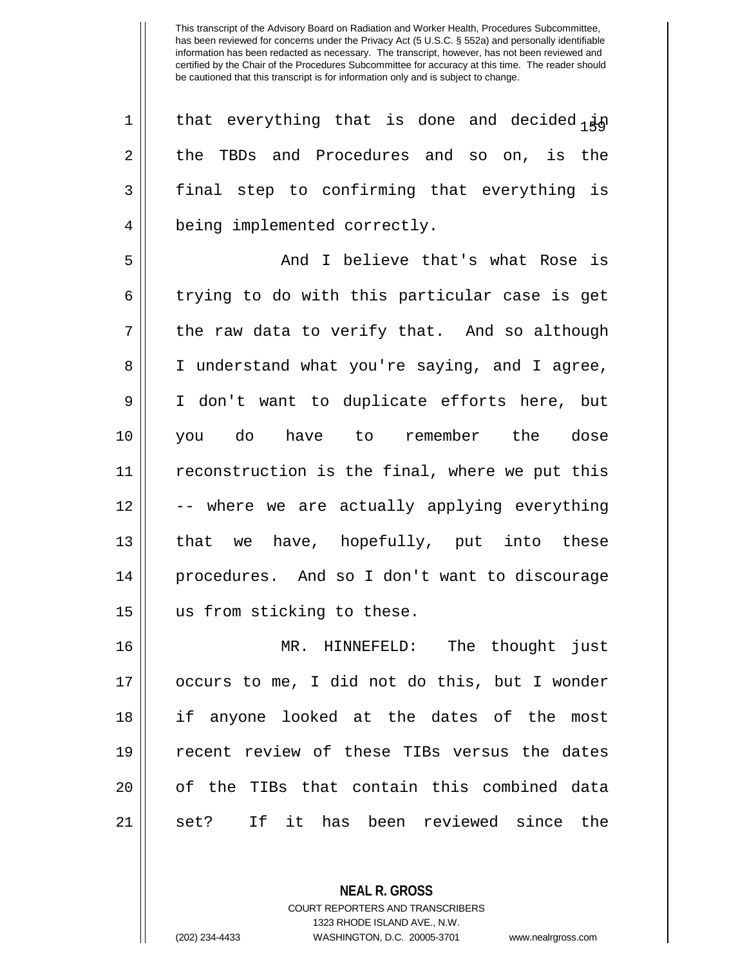| $\mathbf 1$ | that everything that is done and decided $_1$ in |
|-------------|--------------------------------------------------|
| 2           | the TBDs and Procedures and so on, is the        |
| 3           | final step to confirming that everything is      |
| 4           | being implemented correctly.                     |
| 5           | And I believe that's what Rose is                |
| 6           | trying to do with this particular case is get    |
| 7           | the raw data to verify that. And so although     |
| 8           | I understand what you're saying, and I agree,    |
| 9           | I don't want to duplicate efforts here, but      |
| 10          | you do have to remember the dose                 |
| 11          | reconstruction is the final, where we put this   |
| 12          | -- where we are actually applying everything     |
| 13          | that we have, hopefully, put into these          |
| 14          | procedures. And so I don't want to discourage    |
| 15          | us from sticking to these.                       |
| 16          | MR. HINNEFELD: The thought just                  |
| 17          | occurs to me, I did not do this, but I wonder    |
| 18          | if anyone looked at the dates of the most        |
| 19          | recent review of these TIBs versus the dates     |
| 20          | of the TIBs that contain this combined data      |
| 21          | If it has been reviewed since the<br>set?        |

**NEAL R. GROSS**

COURT REPORTERS AND TRANSCRIBERS 1323 RHODE ISLAND AVE., N.W. (202) 234-4433 WASHINGTON, D.C. 20005-3701 www.nealrgross.com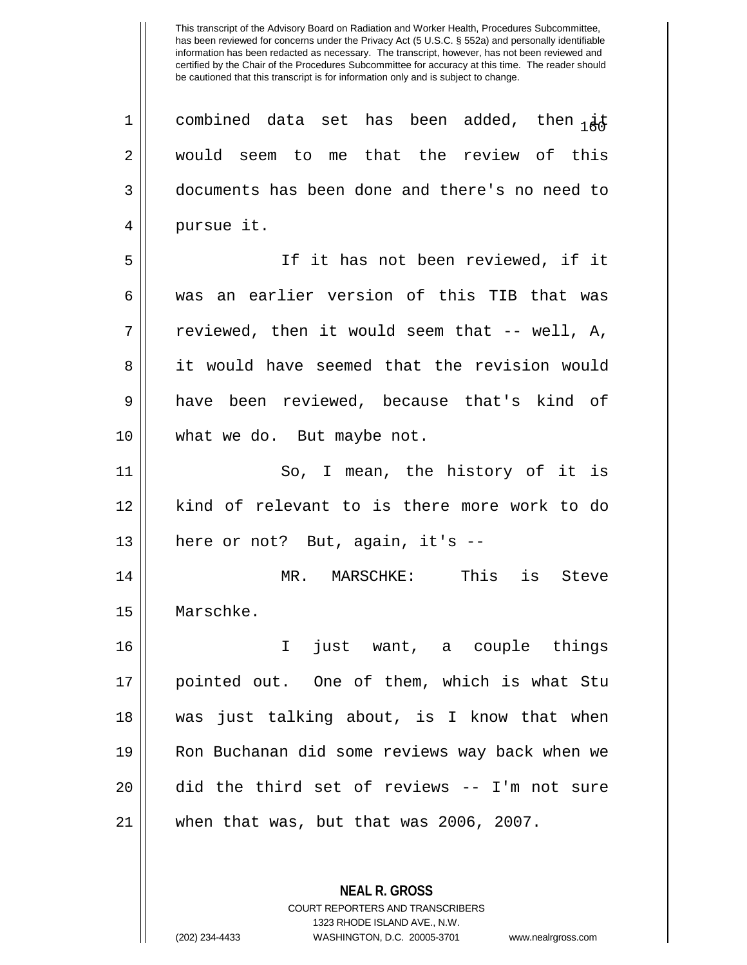1 || combined data set has been added, then  $\frac{1}{16}$  would seem to me that the review of this documents has been done and there's no need to 4 || pursue it. If it has not been reviewed, if it was an earlier version of this TIB that was  $7 \parallel$  reviewed, then it would seem that -- well, A, it would have seemed that the revision would have been reviewed, because that's kind of what we do. But maybe not. So, I mean, the history of it is kind of relevant to is there more work to do | here or not? But, again, it's -- MR. MARSCHKE: This is Steve Marschke. I just want, a couple things

 pointed out. One of them, which is what Stu was just talking about, is I know that when Ron Buchanan did some reviews way back when we did the third set of reviews -- I'm not sure when that was, but that was 2006, 2007.

> **NEAL R. GROSS** COURT REPORTERS AND TRANSCRIBERS 1323 RHODE ISLAND AVE., N.W. (202) 234-4433 WASHINGTON, D.C. 20005-3701 www.nealrgross.com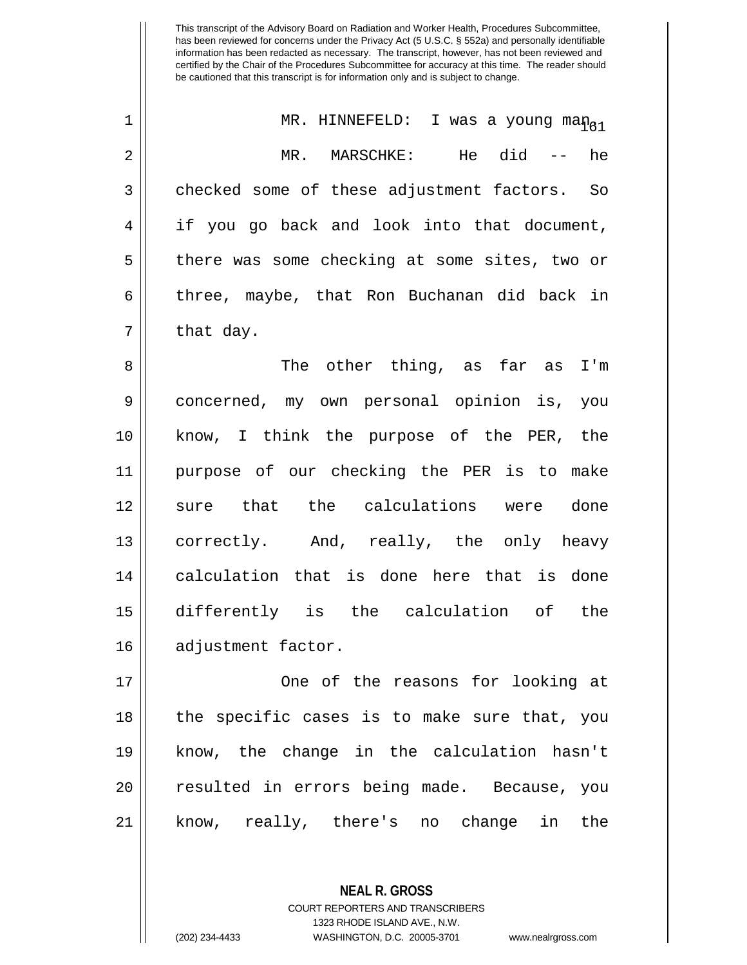|                | MR. HINNEFELD:<br>I was a young man <sub>gi</sub> |
|----------------|---------------------------------------------------|
| $\overline{2}$ | He did -- he<br>MARSCHKE:<br>MR.                  |
| 3              | checked some of these adjustment factors. So      |
| 4              | if you go back and look into that document,       |
| 5              | there was some checking at some sites, two or     |
| 6              | three, maybe, that Ron Buchanan did back in       |
| 7              | that day.                                         |

8 The other thing, as far as I'm 9 concerned, my own personal opinion is, you 10 || know, I think the purpose of the PER, the 11 purpose of our checking the PER is to make 12 || sure that the calculations were done 13 || correctly. And, really, the only heavy 14 || calculation that is done here that is done 15 differently is the calculation of the 16 | adjustment factor.

17 || Cone of the reasons for looking at  $18$  || the specific cases is to make sure that, you 19 know, the change in the calculation hasn't 20 || resulted in errors being made. Because, you 21 know, really, there's no change in the

> **NEAL R. GROSS** COURT REPORTERS AND TRANSCRIBERS 1323 RHODE ISLAND AVE., N.W. (202) 234-4433 WASHINGTON, D.C. 20005-3701 www.nealrgross.com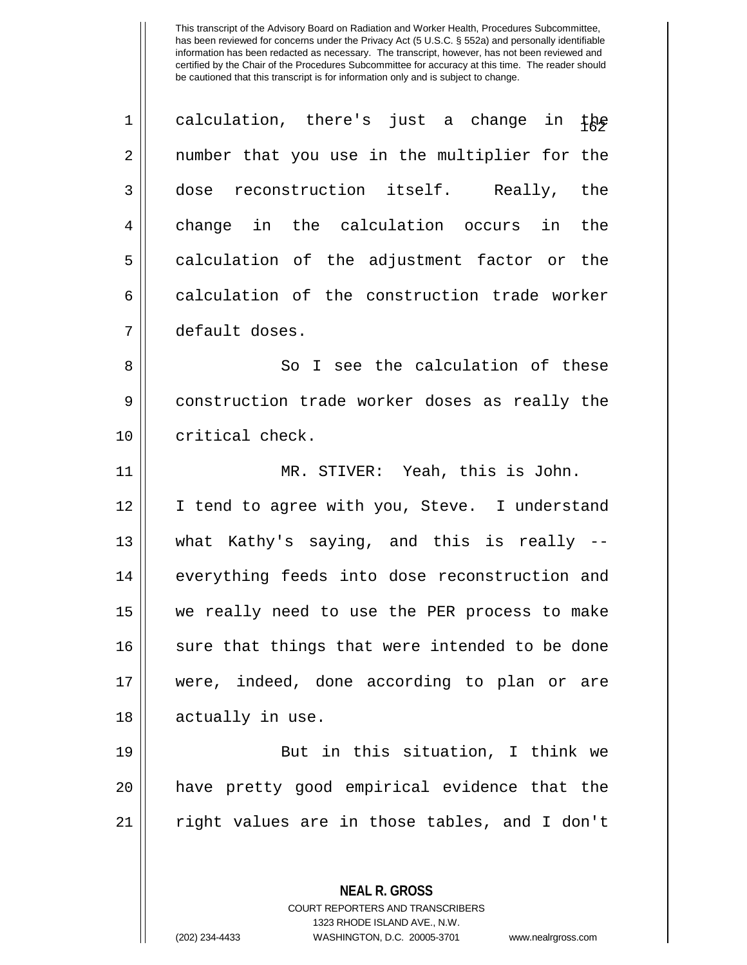| $\mathbf 1$ | calculation, there's just a change in the      |
|-------------|------------------------------------------------|
| 2           | number that you use in the multiplier for the  |
| 3           | dose reconstruction itself. Really, the        |
| 4           | change in the calculation occurs in<br>the     |
| 5           | calculation of the adjustment factor or the    |
| 6           | calculation of the construction trade worker   |
| 7           | default doses.                                 |
| 8           | So I see the calculation of these              |
| 9           | construction trade worker doses as really the  |
| 10          | critical check.                                |
| 11          | MR. STIVER: Yeah, this is John.                |
| 12          | I tend to agree with you, Steve. I understand  |
| 13          | what Kathy's saying, and this is really --     |
| 14          | everything feeds into dose reconstruction and  |
| 15          | we really need to use the PER process to make  |
| 16          | sure that things that were intended to be done |
| 17          | were, indeed, done according to plan or are    |
| 18          | actually in use.                               |
| 19          | But in this situation, I think we              |
| 20          | have pretty good empirical evidence that the   |
| 21          | right values are in those tables, and I don't  |
|             |                                                |
|             | <b>NEAL R. GROSS</b>                           |

COURT REPORTERS AND TRANSCRIBERS 1323 RHODE ISLAND AVE., N.W.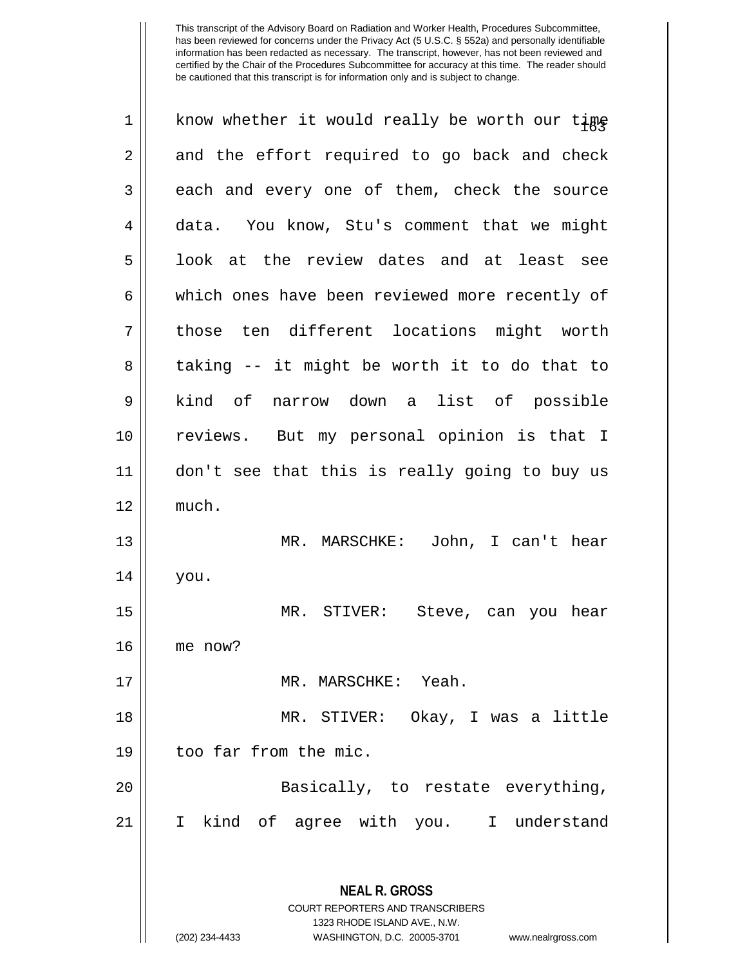| 1  | know whether it would really be worth our time                                                      |
|----|-----------------------------------------------------------------------------------------------------|
| 2  | and the effort required to go back and check                                                        |
| 3  | each and every one of them, check the source                                                        |
| 4  | data. You know, Stu's comment that we might                                                         |
| 5  | look at the review dates and at least see                                                           |
| 6  | which ones have been reviewed more recently of                                                      |
| 7  | those ten different locations might worth                                                           |
| 8  | taking -- it might be worth it to do that to                                                        |
| 9  | kind of narrow down a list of possible                                                              |
| 10 | reviews. But my personal opinion is that I                                                          |
| 11 | don't see that this is really going to buy us                                                       |
| 12 | much.                                                                                               |
| 13 | MR. MARSCHKE: John, I can't hear                                                                    |
| 14 | you.                                                                                                |
| 15 | MR. STIVER: Steve, can you hear                                                                     |
| 16 | me now?                                                                                             |
| 17 | MR. MARSCHKE: Yeah.                                                                                 |
| 18 | MR. STIVER: Okay, I was a little                                                                    |
| 19 | too far from the mic.                                                                               |
| 20 | Basically, to restate everything,                                                                   |
| 21 | I kind of agree with you. I understand                                                              |
|    | <b>NEAL R. GROSS</b><br><b>COURT REPORTERS AND TRANSCRIBERS</b>                                     |
|    | 1323 RHODE ISLAND AVE., N.W.<br>WASHINGTON, D.C. 20005-3701<br>(202) 234-4433<br>www.nealrgross.com |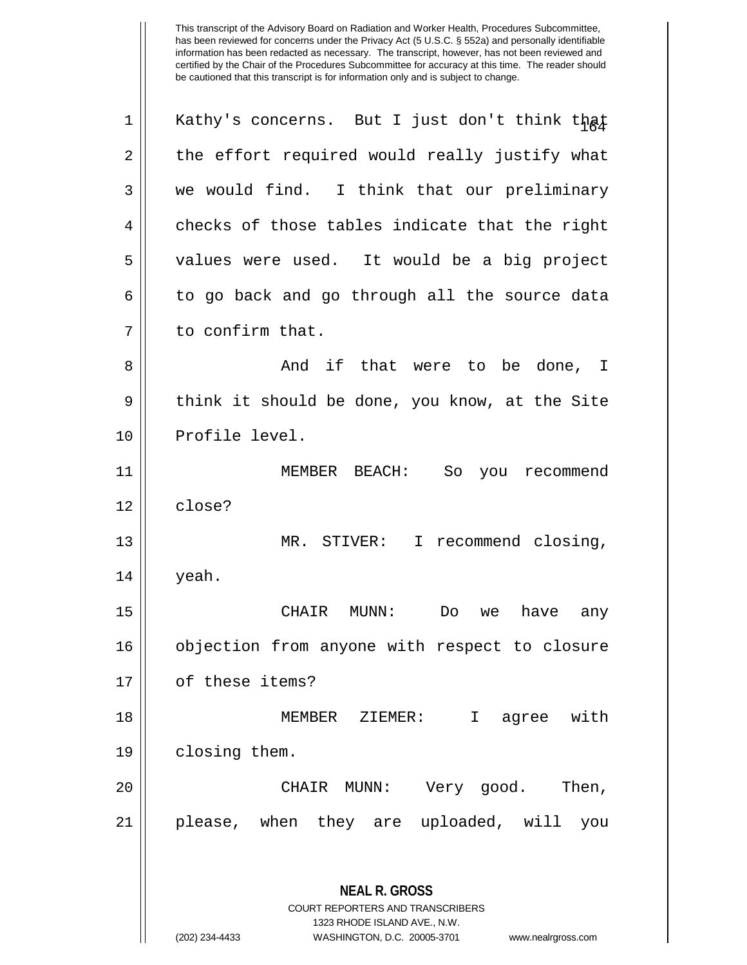**NEAL R. GROSS** COURT REPORTERS AND TRANSCRIBERS 1323 RHODE ISLAND AVE., N.W. 1 || Kathy's concerns. But I just don't think that  $2 \parallel$  the effort required would really justify what 3 we would find. I think that our preliminary  $4 \parallel$  checks of those tables indicate that the right 5 || values were used. It would be a big project 6 to go back and go through all the source data 7 || to confirm that. 8 And if that were to be done, I  $9 \parallel$  think it should be done, you know, at the Site 10 | Profile level. 11 MEMBER BEACH: So you recommend 12 close? 13 || MR. STIVER: I recommend closing,  $14 \parallel$  yeah. 15 CHAIR MUNN: Do we have any 16 || objection from anyone with respect to closure 17 | of these items? 18 MEMBER ZIEMER: I agree with 19 | closing them. 20 CHAIR MUNN: Very good. Then, 21 please, when they are uploaded, will you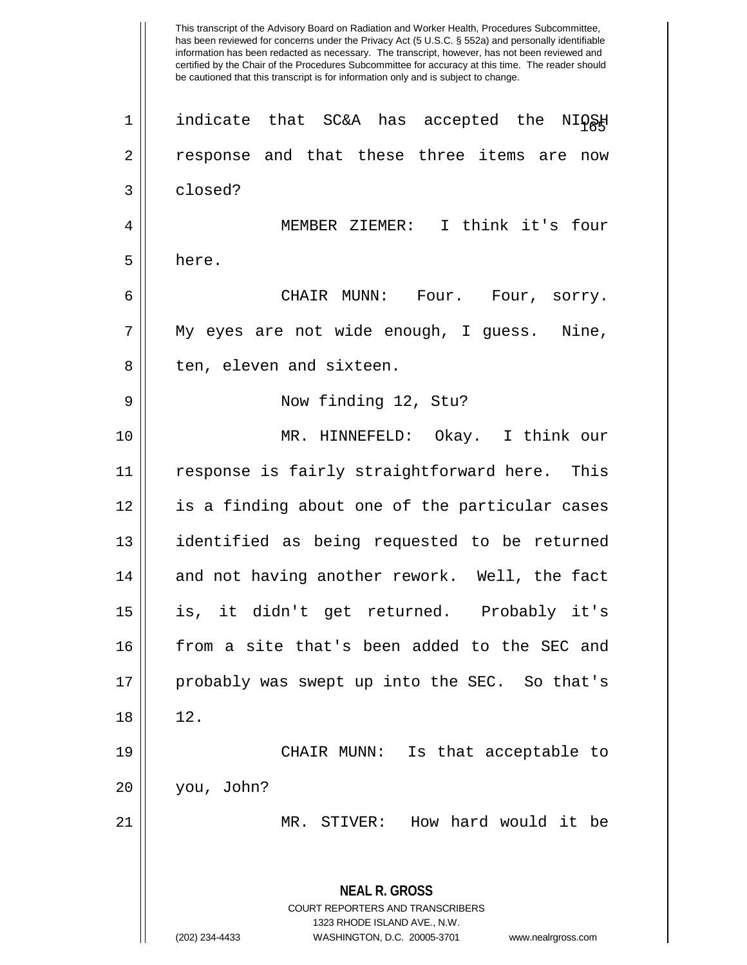This transcript of the Advisory Board on Radiation and Worker Health, Procedures Subcommittee, has been reviewed for concerns under the Privacy Act (5 U.S.C. § 552a) and personally identifiable information has been redacted as necessary. The transcript, however, has not been reviewed and certified by the Chair of the Procedures Subcommittee for accuracy at this time. The reader should be cautioned that this transcript is for information only and is subject to change. **NEAL R. GROSS** COURT REPORTERS AND TRANSCRIBERS 1323 RHODE ISLAND AVE., N.W. (202) 234-4433 WASHINGTON, D.C. 20005-3701 www.nealrgross.com 1|| indicate that SC&A has accepted the NIQSH 2 || response and that these three items are now 3 closed? 4 MEMBER ZIEMER: I think it's four  $5 \parallel$  here. 6 CHAIR MUNN: Four. Four, sorry. 7 My eyes are not wide enough, I guess. Nine, 8 || ten, eleven and sixteen. 9 Now finding 12, Stu? 10 MR. HINNEFELD: Okay. I think our 11 response is fairly straightforward here. This 12 is a finding about one of the particular cases 13 identified as being requested to be returned 14 and not having another rework. Well, the fact 15 is, it didn't get returned. Probably it's 16 from a site that's been added to the SEC and 17 || probably was swept up into the SEC. So that's  $18 \parallel 12$ . 19 CHAIR MUNN: Is that acceptable to 20 you, John? 21 MR. STIVER: How hard would it be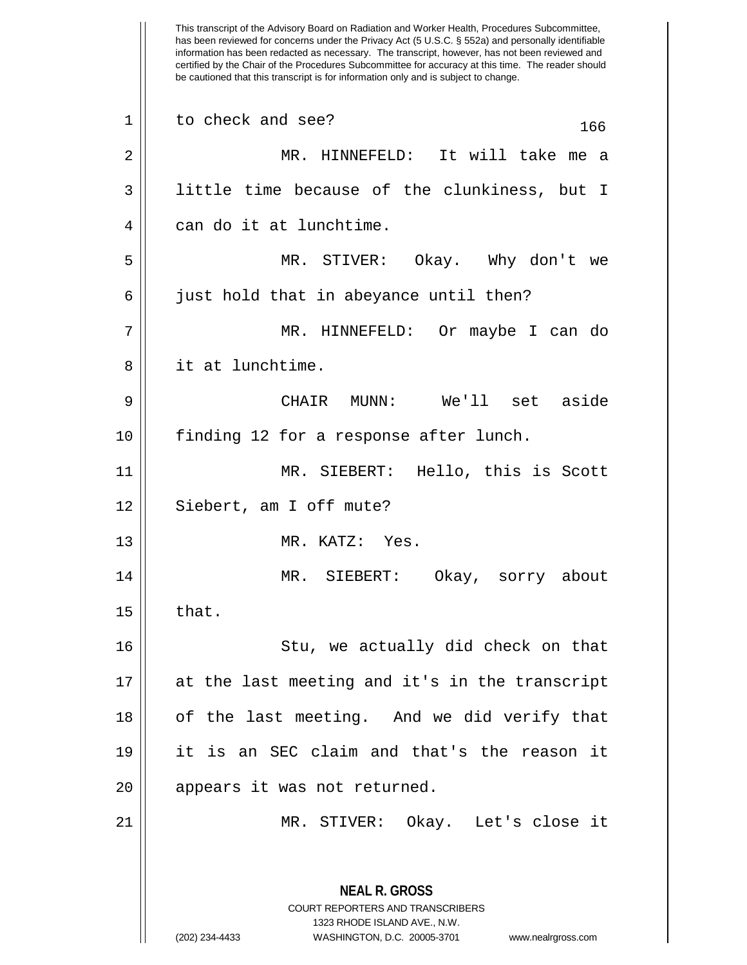has been reviewed for concerns under the Privacy Act (5 U.S.C. § 552a) and personally identifiable information has been redacted as necessary. The transcript, however, has not been reviewed and certified by the Chair of the Procedures Subcommittee for accuracy at this time. The reader should be cautioned that this transcript is for information only and is subject to change. **NEAL R. GROSS** COURT REPORTERS AND TRANSCRIBERS 1323 RHODE ISLAND AVE., N.W.  $1 \parallel$  to check and see?  $166$ 2 MR. HINNEFELD: It will take me a 3 || little time because of the clunkiness, but I 4 can do it at lunchtime. 5 MR. STIVER: Okay. Why don't we 6 || just hold that in abeyance until then? 7 MR. HINNEFELD: Or maybe I can do 8 it at lunchtime. 9 CHAIR MUNN: We'll set aside 10 finding 12 for a response after lunch. 11 MR. SIEBERT: Hello, this is Scott 12 || Siebert, am I off mute? 13 || MR. KATZ: Yes. 14 MR. SIEBERT: Okay, sorry about  $15 \parallel$  that. 16 || Stu, we actually did check on that 17 at the last meeting and it's in the transcript 18 || of the last meeting. And we did verify that 19 it is an SEC claim and that's the reason it 20 || appears it was not returned. 21 MR. STIVER: Okay. Let's close it

This transcript of the Advisory Board on Radiation and Worker Health, Procedures Subcommittee,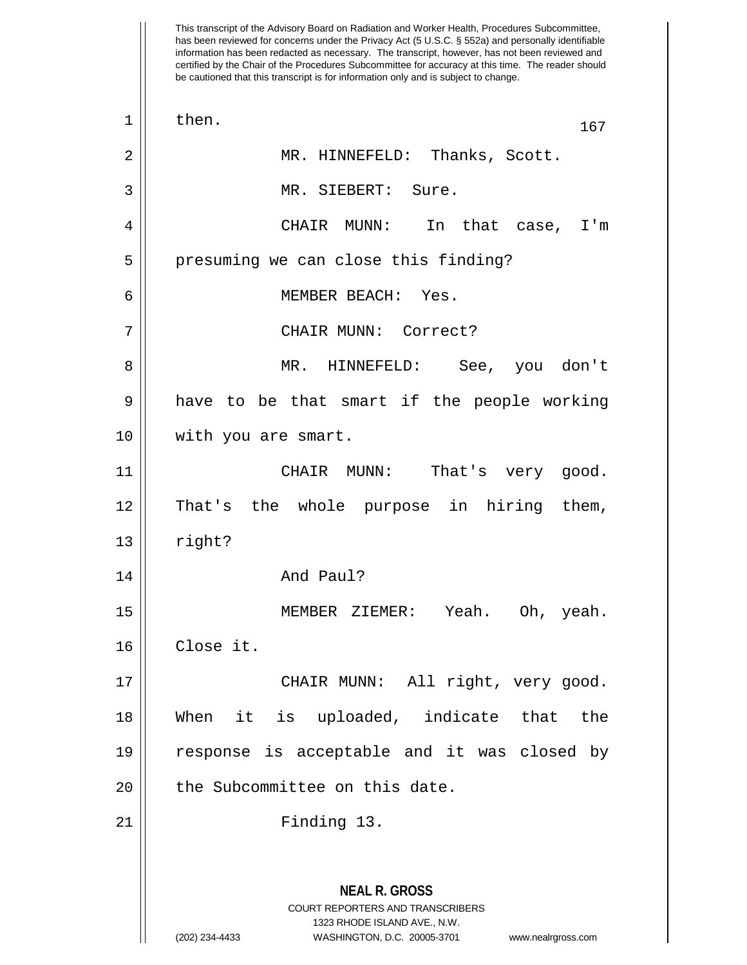has been reviewed for concerns under the Privacy Act (5 U.S.C. § 552a) and personally identifiable information has been redacted as necessary. The transcript, however, has not been reviewed and certified by the Chair of the Procedures Subcommittee for accuracy at this time. The reader should be cautioned that this transcript is for information only and is subject to change. **NEAL R. GROSS** COURT REPORTERS AND TRANSCRIBERS 1323 RHODE ISLAND AVE., N.W.  $\begin{array}{|c|c|c|c|c|}\n1 & \text{then.} & \text{167}\n\end{array}$ 2 || MR. HINNEFELD: Thanks, Scott. 3 MR. SIEBERT: Sure. 4 CHAIR MUNN: In that case, I'm 5 | presuming we can close this finding? 6 MEMBER BEACH: Yes. 7 CHAIR MUNN: Correct? 8 MR. HINNEFELD: See, you don't  $9 \parallel$  have to be that smart if the people working 10 with you are smart. 11 CHAIR MUNN: That's very good. 12 That's the whole purpose in hiring them,  $13$  || right? 14 And Paul? 15 MEMBER ZIEMER: Yeah. Oh, yeah. 16 Close it. 17 || CHAIR MUNN: All right, very good. 18 When it is uploaded, indicate that the 19 response is acceptable and it was closed by 20 || the Subcommittee on this date. 21 Finding 13.

This transcript of the Advisory Board on Radiation and Worker Health, Procedures Subcommittee,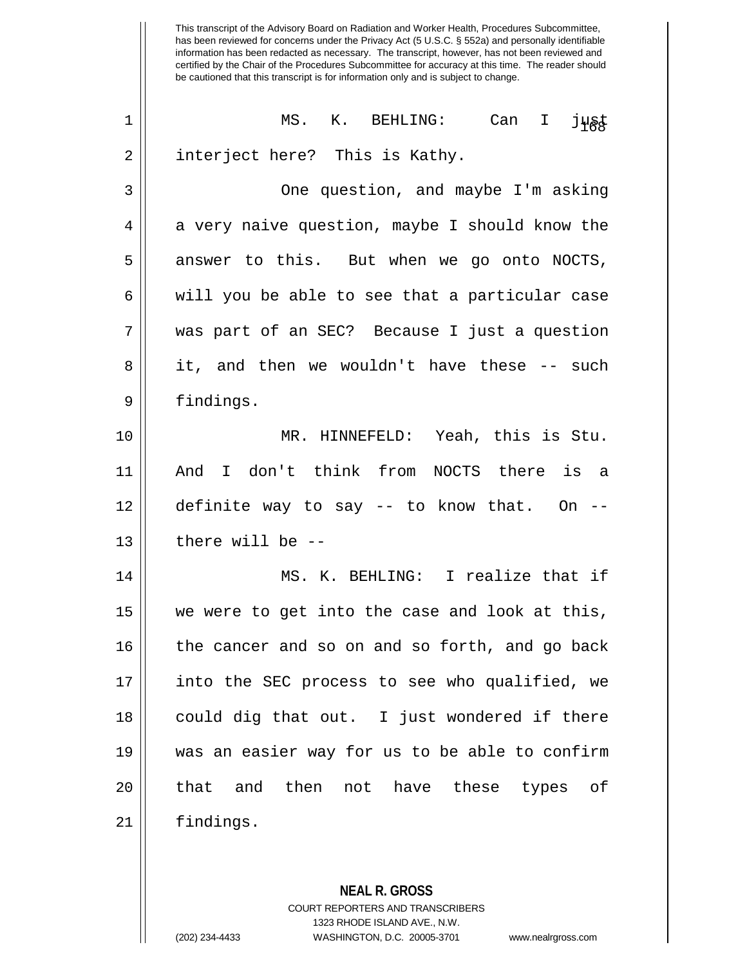This transcript of the Advisory Board on Radiation and Worker Health, Procedures Subcommittee, has been reviewed for concerns under the Privacy Act (5 U.S.C. § 552a) and personally identifiable information has been redacted as necessary. The transcript, however, has not been reviewed and certified by the Chair of the Procedures Subcommittee for accuracy at this time. The reader should be cautioned that this transcript is for information only and is subject to change.  $\begin{array}{ccc} 1 & \hspace{1.5cm} \mid & \hspace{1.5cm} \texttt{MS.} \hspace{1.5cm} \texttt{K.} \hspace{1.5cm} \texttt{BEHLING:} \hspace{1.5cm} \texttt{Can} \hspace{1.5cm} \texttt{I} \hspace{1.5cm} \texttt{j} \texttt{ys} \texttt{t} \end{array}$ 2 | interject here? This is Kathy. 3 || One question, and maybe I'm asking  $4 \parallel$  a very naive question, maybe I should know the  $5 \parallel$  answer to this. But when we go onto NOCTS,  $6 \parallel$  will you be able to see that a particular case 7 was part of an SEC? Because I just a question 8 || it, and then we wouldn't have these -- such 9 | findings.

 MR. HINNEFELD: Yeah, this is Stu. And I don't think from NOCTS there is a definite way to say -- to know that. On -- || there will be  $-$ -

14 MS. K. BEHLING: I realize that if 15 we were to get into the case and look at this, 16 || the cancer and so on and so forth, and go back 17 into the SEC process to see who qualified, we 18 || could dig that out. I just wondered if there 19 was an easier way for us to be able to confirm 20 || that and then not have these types of 21 findings.

> **NEAL R. GROSS** COURT REPORTERS AND TRANSCRIBERS 1323 RHODE ISLAND AVE., N.W. (202) 234-4433 WASHINGTON, D.C. 20005-3701 www.nealrgross.com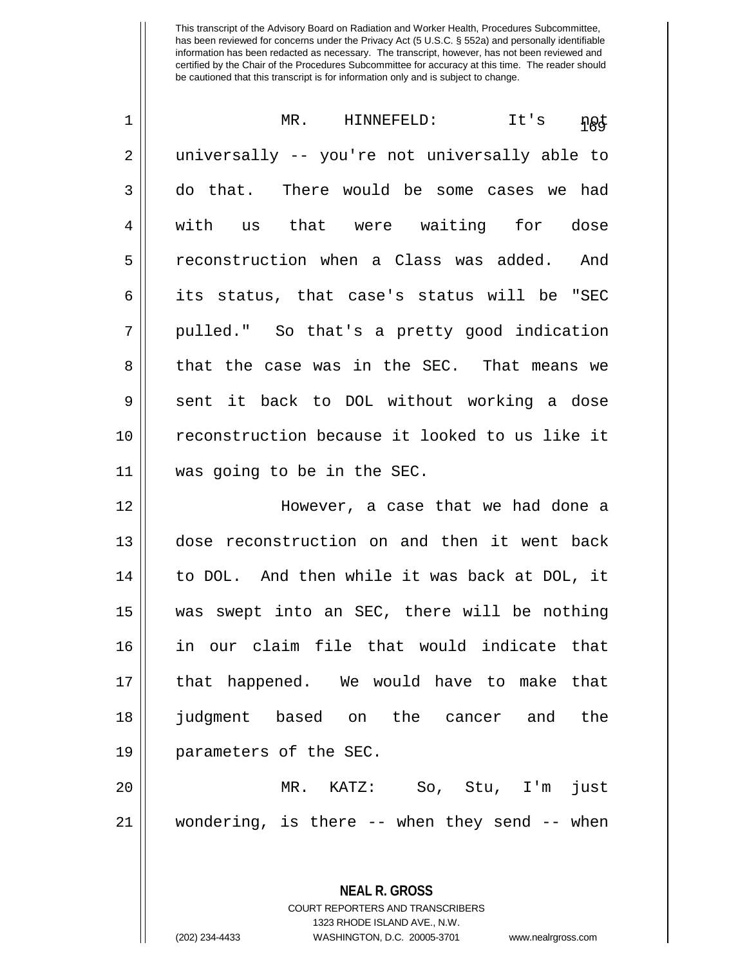| $\mathbf 1$ | MR. HINNEFELD: It's<br><u>ngt</u>              |
|-------------|------------------------------------------------|
| 2           | universally -- you're not universally able to  |
| 3           | do that. There would be some cases we had      |
| 4           | us that were waiting for dose<br>with          |
| 5           | reconstruction when a Class was added. And     |
| 6           | its status, that case's status will be "SEC    |
| 7           | pulled." So that's a pretty good indication    |
| 8           | that the case was in the SEC. That means we    |
| 9           | sent it back to DOL without working a dose     |
| 10          | reconstruction because it looked to us like it |
| 11          | was going to be in the SEC.                    |
| 12          | However, a case that we had done a             |
| 13          | dose reconstruction on and then it went back   |
| 14          | to DOL. And then while it was back at DOL, it  |
| 15          | was swept into an SEC, there will be nothing   |
| 16          | in our claim file that would indicate that     |
| 17          | that happened. We would have to make that      |
| 18          | judgment based on the cancer and<br>the        |
| 19          | parameters of the SEC.                         |
| 20          | MR.<br>KATZ: So, Stu, I'm<br>just              |
| 21          | wondering, is there -- when they send -- when  |
|             |                                                |

COURT REPORTERS AND TRANSCRIBERS 1323 RHODE ISLAND AVE., N.W. (202) 234-4433 WASHINGTON, D.C. 20005-3701 www.nealrgross.com

**NEAL R. GROSS**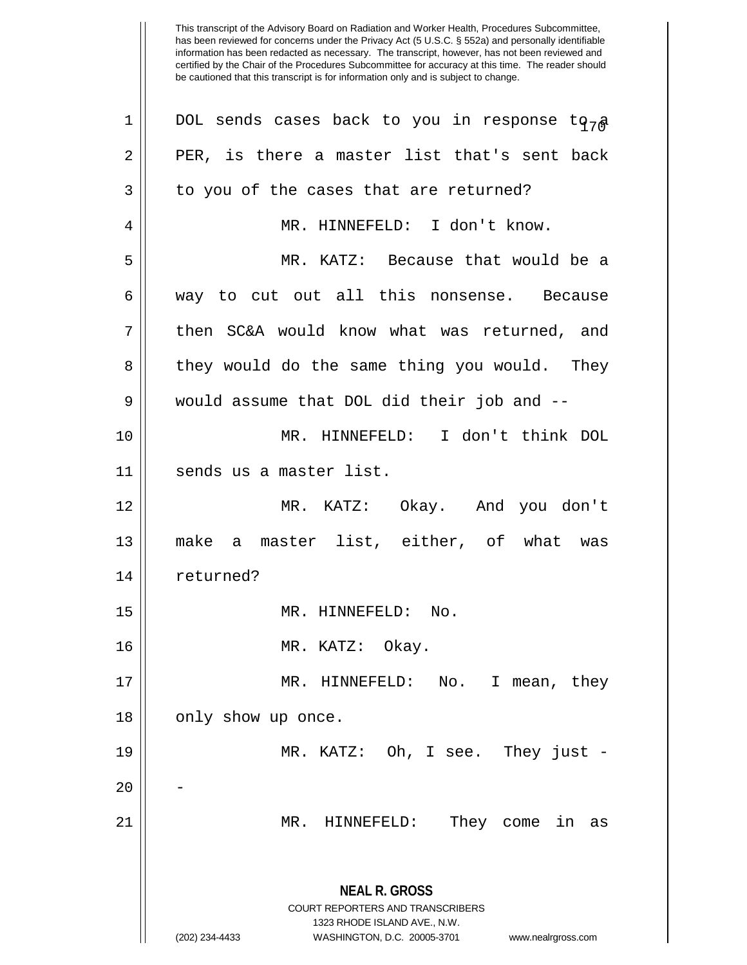| 1  | DOL sends cases back to you in response to $7a$                                                                                                                 |
|----|-----------------------------------------------------------------------------------------------------------------------------------------------------------------|
| 2  | PER, is there a master list that's sent back                                                                                                                    |
| 3  | to you of the cases that are returned?                                                                                                                          |
| 4  | MR. HINNEFELD: I don't know.                                                                                                                                    |
| 5  | MR. KATZ: Because that would be a                                                                                                                               |
| 6  | way to cut out all this nonsense. Because                                                                                                                       |
| 7  | then SC&A would know what was returned, and                                                                                                                     |
| 8  | they would do the same thing you would. They                                                                                                                    |
| 9  | would assume that DOL did their job and --                                                                                                                      |
| 10 | MR. HINNEFELD: I don't think DOL                                                                                                                                |
| 11 | sends us a master list.                                                                                                                                         |
| 12 | MR. KATZ: Okay. And you don't                                                                                                                                   |
| 13 | make a master list, either, of what was                                                                                                                         |
| 14 | returned?                                                                                                                                                       |
| 15 | MR. HINNEFELD: No.                                                                                                                                              |
| 16 | MR. KATZ: Okay.                                                                                                                                                 |
| 17 | MR. HINNEFELD:<br>No.<br>I mean, they                                                                                                                           |
| 18 | only show up once.                                                                                                                                              |
| 19 | MR. KATZ: Oh, I see. They just -                                                                                                                                |
| 20 |                                                                                                                                                                 |
| 21 | They come<br>MR.<br>HINNEFELD:<br>in<br>as                                                                                                                      |
|    | <b>NEAL R. GROSS</b><br>COURT REPORTERS AND TRANSCRIBERS<br>1323 RHODE ISLAND AVE., N.W.<br>(202) 234-4433<br>WASHINGTON, D.C. 20005-3701<br>www.nealrgross.com |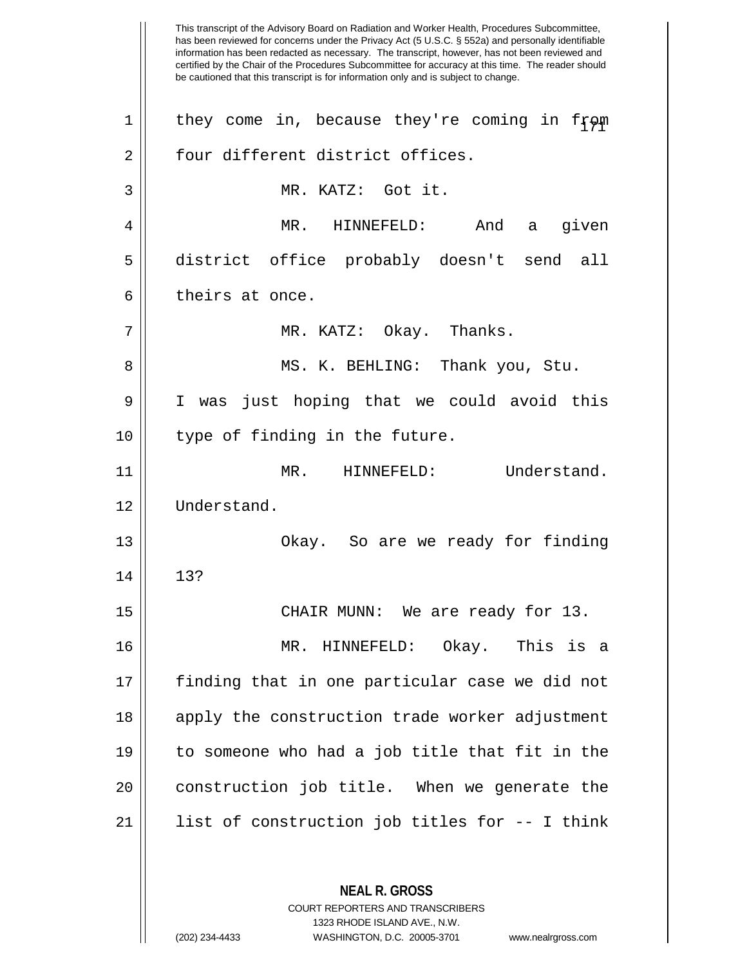This transcript of the Advisory Board on Radiation and Worker Health, Procedures Subcommittee, has been reviewed for concerns under the Privacy Act (5 U.S.C. § 552a) and personally identifiable information has been redacted as necessary. The transcript, however, has not been reviewed and certified by the Chair of the Procedures Subcommittee for accuracy at this time. The reader should be cautioned that this transcript is for information only and is subject to change. **NEAL R. GROSS** COURT REPORTERS AND TRANSCRIBERS 1 || they come in, because they're coming in from 2 || four different district offices. 3 MR. KATZ: Got it. 4 MR. HINNEFELD: And a given 5 district office probably doesn't send all  $6 \parallel$  theirs at once. 7 MR. KATZ: Okay. Thanks. 8 MS. K. BEHLING: Thank you, Stu. 9 I was just hoping that we could avoid this 10 || type of finding in the future. 11 || MR. HINNEFELD: Understand. 12 Understand. 13 || Chay. So are we ready for finding  $14$   $13?$ 15 || CHAIR MUNN: We are ready for 13. 16 MR. HINNEFELD: Okay. This is a 17 || finding that in one particular case we did not 18 || apply the construction trade worker adjustment 19 to someone who had a job title that fit in the 20 || construction job title. When we generate the 21 || list of construction job titles for -- I think

1323 RHODE ISLAND AVE., N.W.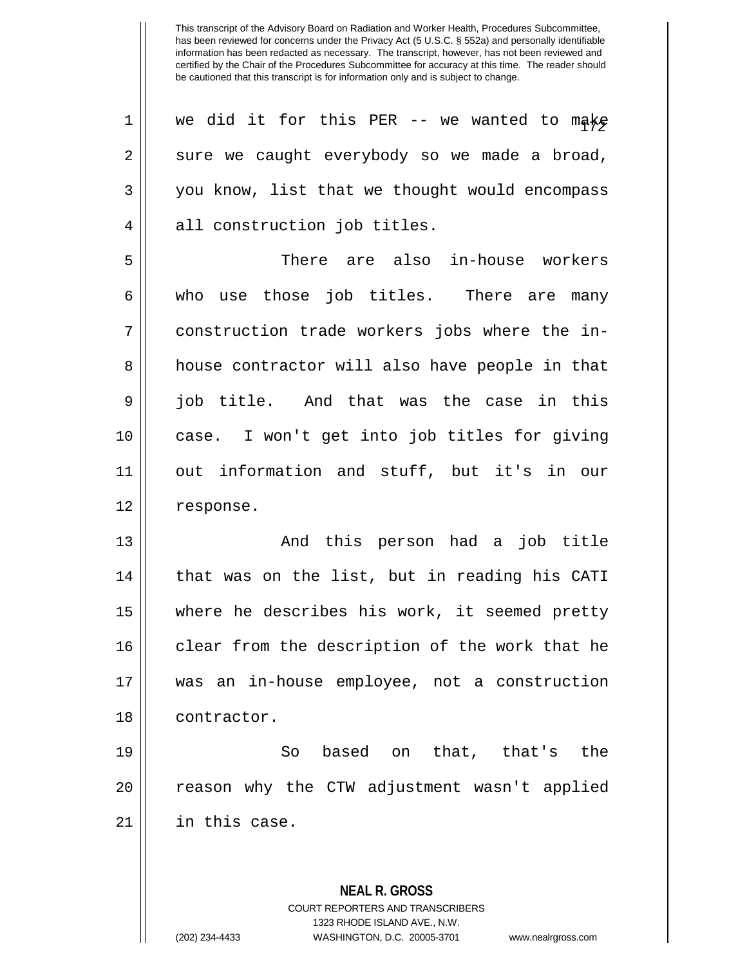| 1  | we did it for this PER -- we wanted to make              |
|----|----------------------------------------------------------|
| 2  | sure we caught everybody so we made a broad,             |
| 3  | you know, list that we thought would encompass           |
| 4  | all construction job titles.                             |
| 5  | There are also in-house workers                          |
| 6  | who use those job titles. There are many                 |
| 7  | construction trade workers jobs where the in-            |
| 8  | house contractor will also have people in that           |
| 9  | job title. And that was the case in this                 |
| 10 | case. I won't get into job titles for giving             |
| 11 | out information and stuff, but it's in our               |
| 12 | response.                                                |
| 13 | And this person had a job title                          |
| 14 | that was on the list, but in reading his CATI            |
| 15 | where he describes his work, it seemed pretty            |
| 16 | clear from the description of the work that he           |
| 17 | was an in-house employee, not a construction             |
| 18 | contractor.                                              |
| 19 | based on that, that's the<br>So                          |
| 20 | reason why the CTW adjustment wasn't applied             |
| 21 | in this case.                                            |
|    |                                                          |
|    | <b>NEAL R. GROSS</b><br>COURT REPORTERS AND TRANSCRIBERS |

1323 RHODE ISLAND AVE., N.W.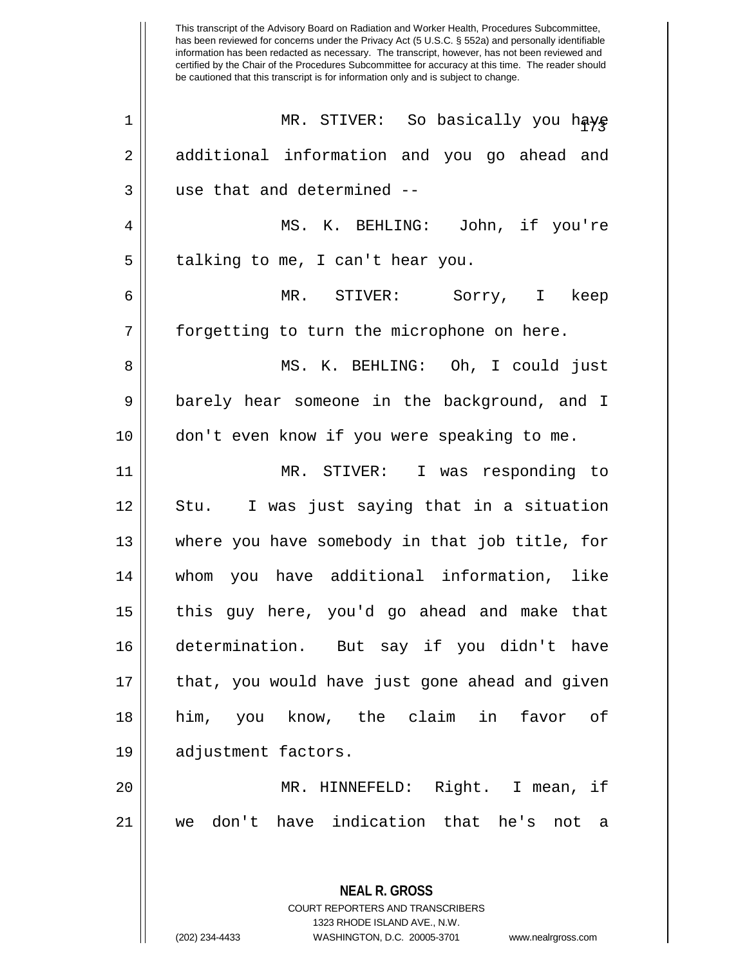This transcript of the Advisory Board on Radiation and Worker Health, Procedures Subcommittee, has been reviewed for concerns under the Privacy Act (5 U.S.C. § 552a) and personally identifiable information has been redacted as necessary. The transcript, however, has not been reviewed and certified by the Chair of the Procedures Subcommittee for accuracy at this time. The reader should be cautioned that this transcript is for information only and is subject to change. **NEAL R. GROSS** <sup>173</sup> <sup>1</sup> MR. STIVER: So basically you have 2 || additional information and you go ahead and 3 || use that and determined --4 MS. K. BEHLING: John, if you're  $5 \parallel$  talking to me, I can't hear you. 6 MR. STIVER: Sorry, I keep 7 || forgetting to turn the microphone on here. 8 MS. K. BEHLING: Oh, I could just 9 barely hear someone in the background, and I 10 don't even know if you were speaking to me. 11 MR. STIVER: I was responding to 12 || Stu. I was just saying that in a situation 13 || where you have somebody in that job title, for 14 whom you have additional information, like 15 || this guy here, you'd go ahead and make that 16 determination. But say if you didn't have 17 || that, you would have just gone ahead and given 18 him, you know, the claim in favor of 19 adjustment factors. 20 MR. HINNEFELD: Right. I mean, if 21 we don't have indication that he's not a

> COURT REPORTERS AND TRANSCRIBERS 1323 RHODE ISLAND AVE., N.W.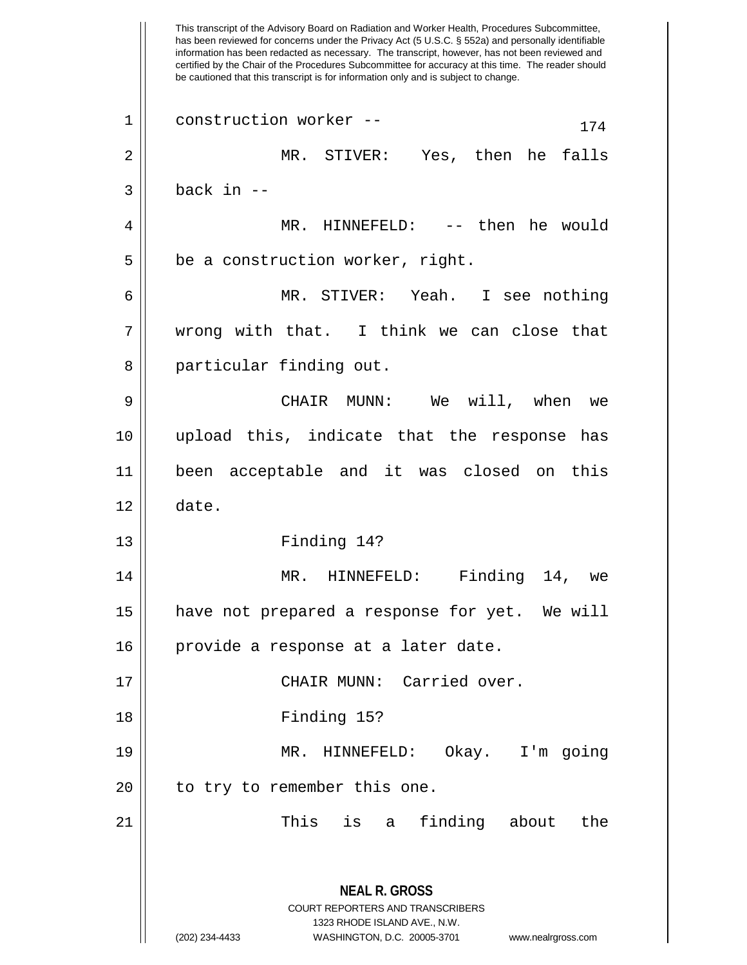This transcript of the Advisory Board on Radiation and Worker Health, Procedures Subcommittee, has been reviewed for concerns under the Privacy Act (5 U.S.C. § 552a) and personally identifiable information has been redacted as necessary. The transcript, however, has not been reviewed and certified by the Chair of the Procedures Subcommittee for accuracy at this time. The reader should be cautioned that this transcript is for information only and is subject to change. **NEAL R. GROSS** COURT REPORTERS AND TRANSCRIBERS 1323 RHODE ISLAND AVE., N.W. (202) 234-4433 WASHINGTON, D.C. 20005-3701 www.nealrgross.com  $1 \parallel$  construction worker --  $174$ 2 MR. STIVER: Yes, then he falls  $3 \parallel$  back in  $-$ 4 MR. HINNEFELD: -- then he would  $5 \parallel$  be a construction worker, right. 6 MR. STIVER: Yeah. I see nothing 7 wrong with that. I think we can close that 8 || particular finding out. 9 CHAIR MUNN: We will, when we 10 upload this, indicate that the response has 11 been acceptable and it was closed on this  $12 \parallel$  date. 13 Finding 14? 14 || MR. HINNEFELD: Finding 14, we 15 have not prepared a response for yet. We will 16 | provide a response at a later date. 17 CHAIR MUNN: Carried over. 18 Finding 15? 19 MR. HINNEFELD: Okay. I'm going 20 || to try to remember this one. 21 || This is a finding about the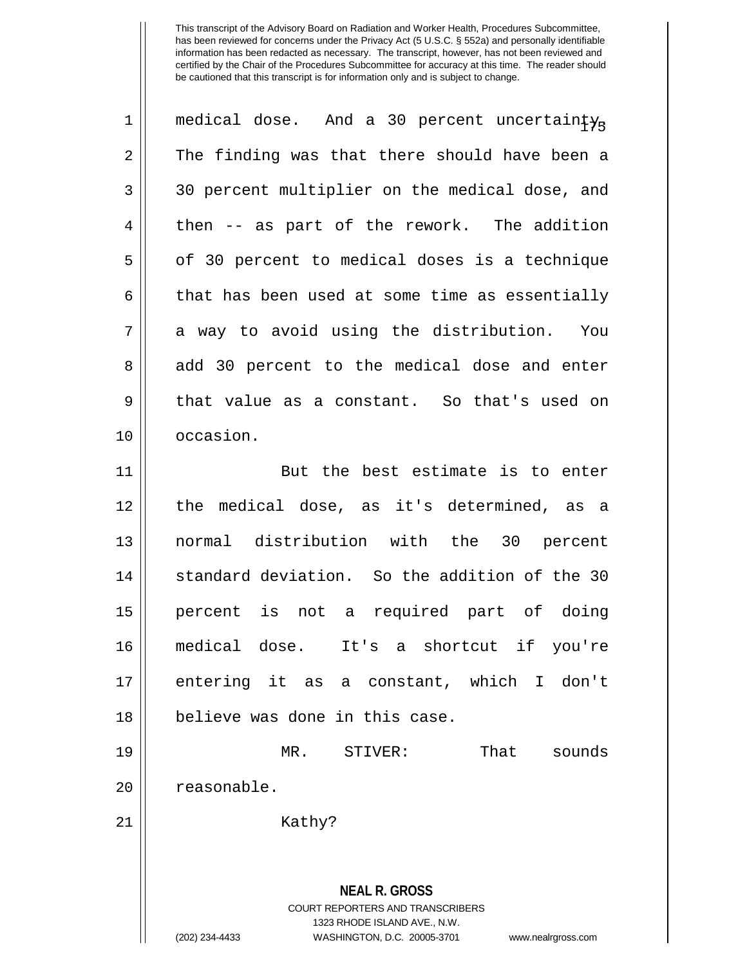| $\mathbf 1$    | medical dose. And a 30 percent uncertainty <sub>R</sub>                                                                                                                |
|----------------|------------------------------------------------------------------------------------------------------------------------------------------------------------------------|
| $\overline{2}$ | The finding was that there should have been a                                                                                                                          |
| 3              | 30 percent multiplier on the medical dose, and                                                                                                                         |
| 4              | then -- as part of the rework. The addition                                                                                                                            |
| 5              | of 30 percent to medical doses is a technique                                                                                                                          |
| 6              | that has been used at some time as essentially                                                                                                                         |
| 7              | a way to avoid using the distribution. You                                                                                                                             |
| 8              | add 30 percent to the medical dose and enter                                                                                                                           |
| 9              | that value as a constant. So that's used on                                                                                                                            |
| 10             | occasion.                                                                                                                                                              |
| 11             | But the best estimate is to enter                                                                                                                                      |
| 12             | the medical dose, as it's determined, as a                                                                                                                             |
| 13             | normal distribution with the 30 percent                                                                                                                                |
| 14             | standard deviation. So the addition of the 30                                                                                                                          |
| 15             | percent is not a required part of doing                                                                                                                                |
| 16             | medical dose. It's a shortcut if you're                                                                                                                                |
| 17             | entering it as a constant, which I don't                                                                                                                               |
| 18             | believe was done in this case.                                                                                                                                         |
| 19             | That<br>MR. STIVER:<br>sounds                                                                                                                                          |
| 20             | reasonable.                                                                                                                                                            |
| 21             | Kathy?                                                                                                                                                                 |
|                | <b>NEAL R. GROSS</b><br><b>COURT REPORTERS AND TRANSCRIBERS</b><br>1323 RHODE ISLAND AVE., N.W.<br>(202) 234-4433<br>WASHINGTON, D.C. 20005-3701<br>www.nealrgross.com |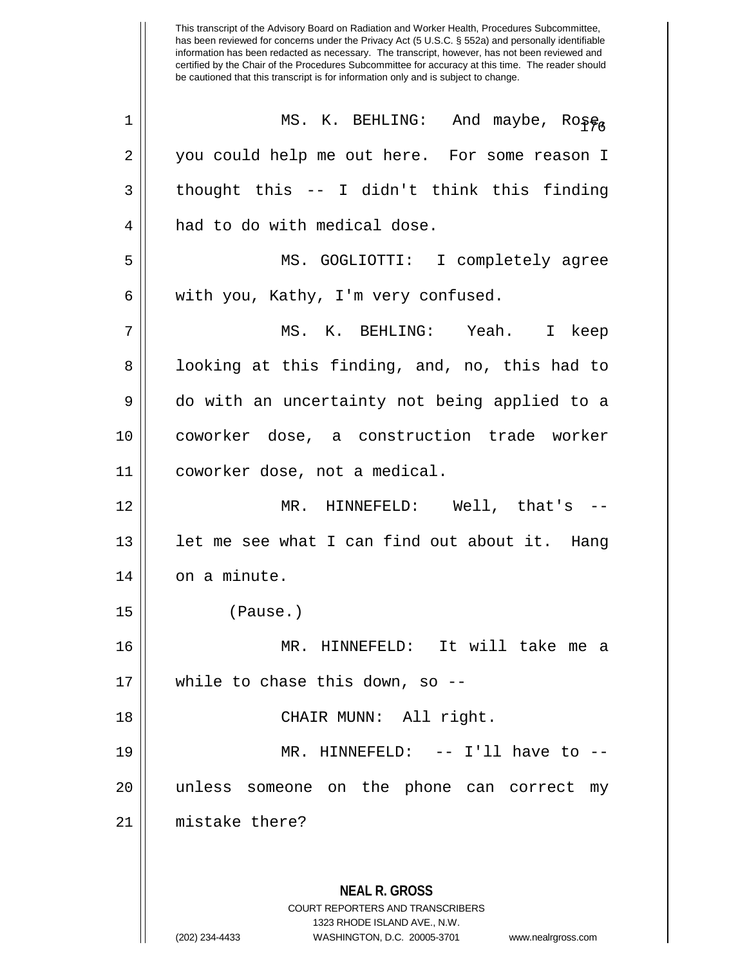This transcript of the Advisory Board on Radiation and Worker Health, Procedures Subcommittee, has been reviewed for concerns under the Privacy Act (5 U.S.C. § 552a) and personally identifiable information has been redacted as necessary. The transcript, however, has not been reviewed and certified by the Chair of the Procedures Subcommittee for accuracy at this time. The reader should be cautioned that this transcript is for information only and is subject to change. **NEAL R. GROSS** COURT REPORTERS AND TRANSCRIBERS 1323 RHODE ISLAND AVE., N.W. <sup>176</sup> <sup>1</sup> MS. K. BEHLING: And maybe, Rose, 2 || you could help me out here. For some reason I  $3 \parallel$  thought this -- I didn't think this finding 4 || had to do with medical dose. 5 MS. GOGLIOTTI: I completely agree  $6 \parallel$  with you, Kathy, I'm very confused. 7 MS. K. BEHLING: Yeah. I keep 8 || Iooking at this finding, and, no, this had to 9 do with an uncertainty not being applied to a 10 coworker dose, a construction trade worker 11 coworker dose, not a medical. 12 MR. HINNEFELD: Well, that's -- 13  $\parallel$  1et me see what I can find out about it. Hang  $14$  on a minute. 15 (Pause.) 16 MR. HINNEFELD: It will take me a  $17$  | while to chase this down, so --18 || CHAIR MUNN: All right. 19 MR. HINNEFELD: -- I'll have to -- 20 unless someone on the phone can correct my 21 mistake there?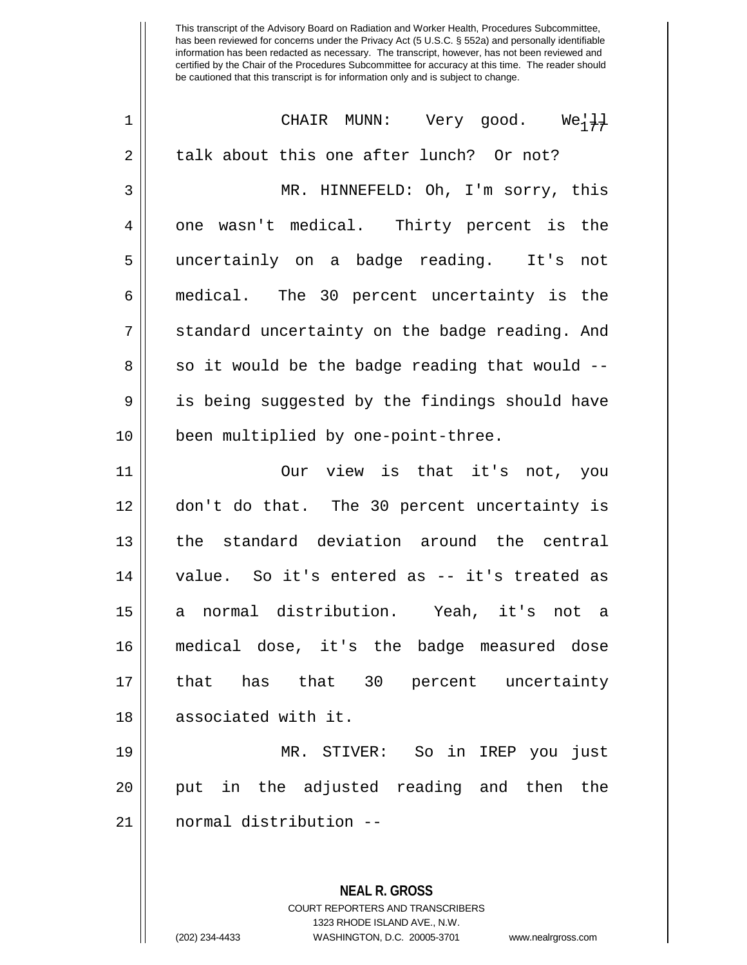| $\mathbf 1$ | CHAIR MUNN: Very good.<br>$We\{\frac{1}{4}\}$            |
|-------------|----------------------------------------------------------|
| 2           | talk about this one after lunch? Or not?                 |
| 3           | MR. HINNEFELD: Oh, I'm sorry, this                       |
| 4           | one wasn't medical. Thirty percent is the                |
| 5           | uncertainly on a badge reading. It's<br>not              |
| 6           | medical. The 30 percent uncertainty is the               |
| 7           | standard uncertainty on the badge reading. And           |
| 8           | so it would be the badge reading that would --           |
| 9           | is being suggested by the findings should have           |
| 10          | been multiplied by one-point-three.                      |
| 11          | Our view is that it's not, you                           |
| 12          | don't do that. The 30 percent uncertainty is             |
| 13          | the standard deviation around the central                |
| 14          | value. So it's entered as -- it's treated as             |
| 15          | normal distribution. Yeah, it's not a<br>a               |
| 16          | medical dose, it's the badge measured dose               |
| 17          | has that 30 percent uncertainty<br>that                  |
| 18          | associated with it.                                      |
| 19          | MR. STIVER: So in IREP you just                          |
| 20          | put in the adjusted reading and then the                 |
| 21          | normal distribution --                                   |
|             |                                                          |
|             | <b>NEAL R. GROSS</b><br>COURT REPORTERS AND TRANSCRIBERS |

1323 RHODE ISLAND AVE., N.W.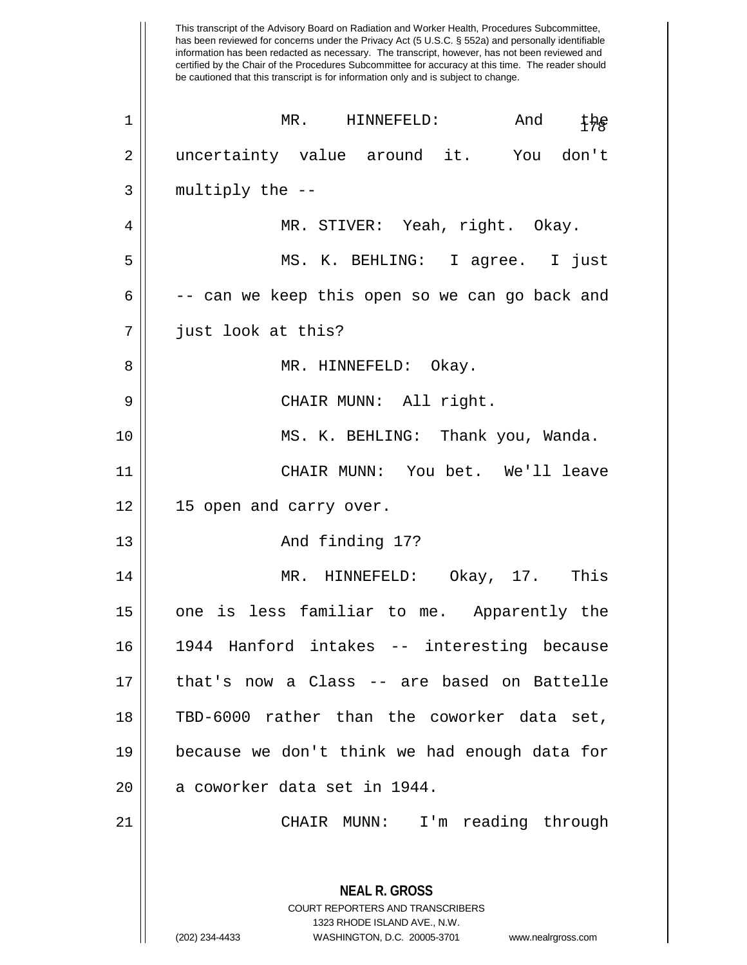This transcript of the Advisory Board on Radiation and Worker Health, Procedures Subcommittee, has been reviewed for concerns under the Privacy Act (5 U.S.C. § 552a) and personally identifiable information has been redacted as necessary. The transcript, however, has not been reviewed and certified by the Chair of the Procedures Subcommittee for accuracy at this time. The reader should be cautioned that this transcript is for information only and is subject to change. **NEAL R. GROSS** COURT REPORTERS AND TRANSCRIBERS 1323 RHODE ISLAND AVE., N.W. 1 || MR. HINNEFELD: And the 2 || uncertainty value around it. You don't  $3 \parallel$  multiply the  $-$ 4 || MR. STIVER: Yeah, right. Okay. 5 MS. K. BEHLING: I agree. I just  $6 \parallel$  -- can we keep this open so we can go back and 7 just look at this? 8 MR. HINNEFELD: Okay. 9 CHAIR MUNN: All right. 10 MS. K. BEHLING: Thank you, Wanda. 11 CHAIR MUNN: You bet. We'll leave 12 || 15 open and carry over. 13 || The Contract And finding 17? 14 MR. HINNEFELD: Okay, 17. This 15 || one is less familiar to me. Apparently the 16 1944 Hanford intakes -- interesting because 17 that's now a Class -- are based on Battelle 18 TBD-6000 rather than the coworker data set, 19 because we don't think we had enough data for 20 || a coworker data set in 1944. 21 CHAIR MUNN: I'm reading through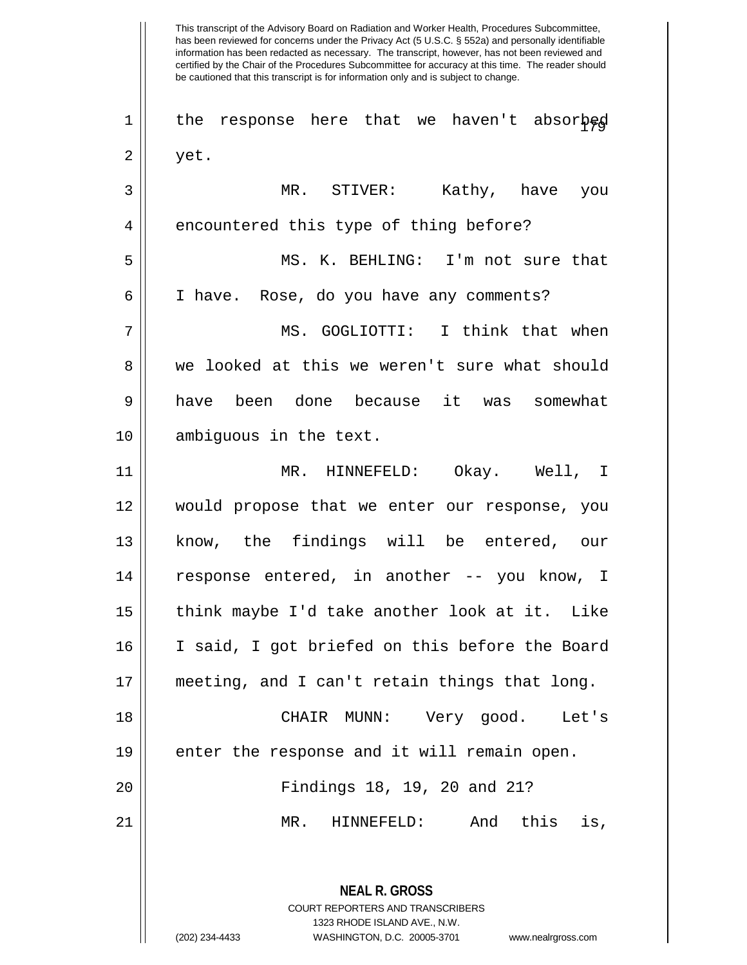This transcript of the Advisory Board on Radiation and Worker Health, Procedures Subcommittee, has been reviewed for concerns under the Privacy Act (5 U.S.C. § 552a) and personally identifiable information has been redacted as necessary. The transcript, however, has not been reviewed and certified by the Chair of the Procedures Subcommittee for accuracy at this time. The reader should be cautioned that this transcript is for information only and is subject to change. **NEAL R. GROSS** COURT REPORTERS AND TRANSCRIBERS 1323 RHODE ISLAND AVE., N.W.  $1 \parallel$  the response here that we haven't absorbed  $2 \parallel$  yet. 3 MR. STIVER: Kathy, have you 4 encountered this type of thing before? 5 MS. K. BEHLING: I'm not sure that 6 | I have. Rose, do you have any comments? 7 MS. GOGLIOTTI: I think that when 8 we looked at this we weren't sure what should 9 have been done because it was somewhat 10 ambiguous in the text. 11 MR. HINNEFELD: Okay. Well, I 12 would propose that we enter our response, you 13 || know, the findings will be entered, our 14 || response entered, in another -- you know, I 15 || think maybe I'd take another look at it. Like 16 I said, I got briefed on this before the Board 17 meeting, and I can't retain things that long. 18 CHAIR MUNN: Very good. Let's 19 || enter the response and it will remain open. 20 Findings 18, 19, 20 and 21? 21 MR. HINNEFELD: And this is,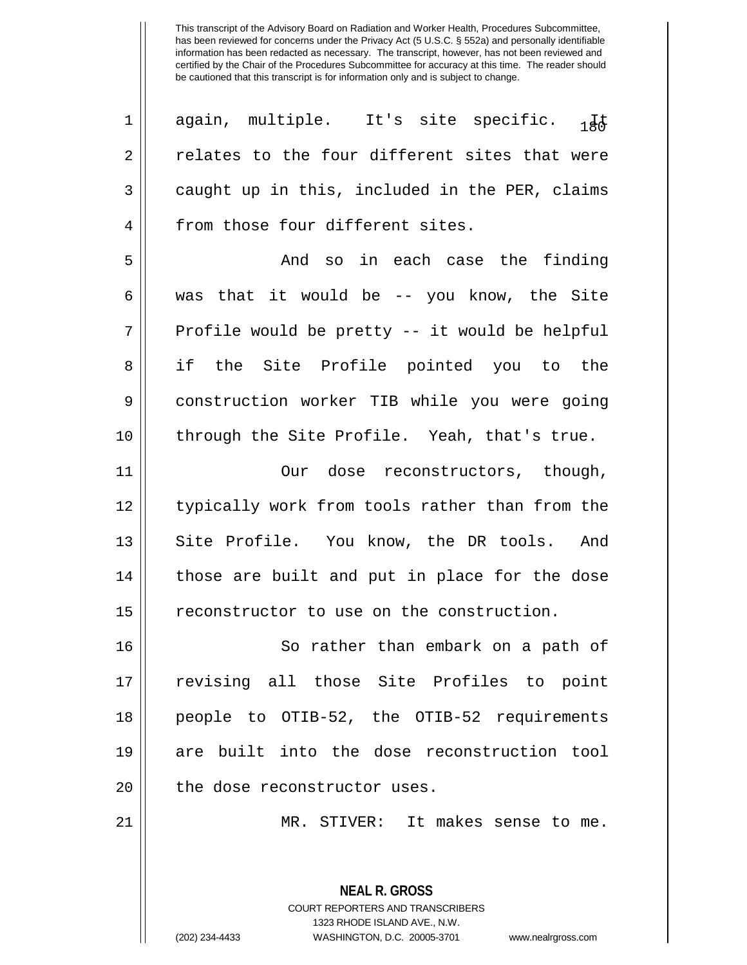| $\mathbf 1$    | again, multiple. It's site specific.<br>1 F &  |
|----------------|------------------------------------------------|
| $\overline{2}$ | relates to the four different sites that were  |
| 3              | caught up in this, included in the PER, claims |
| 4              | from those four different sites.               |
| 5              | And so in each case the finding                |
| 6              | was that it would be -- you know, the Site     |
| 7              | Profile would be pretty -- it would be helpful |
| 8              | if the Site Profile pointed you to the         |
| $\mathsf 9$    | construction worker TIB while you were going   |
| 10             | through the Site Profile. Yeah, that's true.   |
| 11             | dose reconstructors, though,<br>Our            |
| 12             | typically work from tools rather than from the |
| 13             | Site Profile. You know, the DR tools. And      |
| 14             | those are built and put in place for the dose  |
| 15             | reconstructor to use on the construction.      |
| 16             | So rather than embark on a path of             |
| 17             | revising all those Site Profiles to point      |
| 18             | people to OTIB-52, the OTIB-52 requirements    |
| 19             | are built into the dose reconstruction tool    |
| 20             | the dose reconstructor uses.                   |
| 21             | MR. STIVER: It makes sense to me.              |
|                |                                                |

**NEAL R. GROSS** COURT REPORTERS AND TRANSCRIBERS

1323 RHODE ISLAND AVE., N.W. (202) 234-4433 WASHINGTON, D.C. 20005-3701 www.nealrgross.com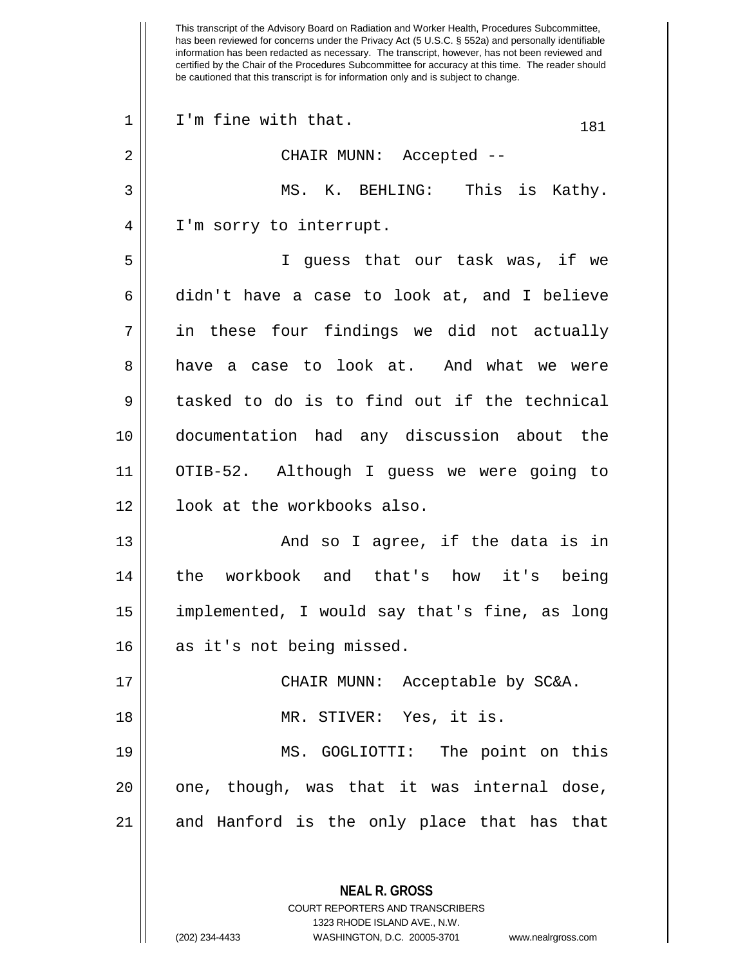This transcript of the Advisory Board on Radiation and Worker Health, Procedures Subcommittee, has been reviewed for concerns under the Privacy Act (5 U.S.C. § 552a) and personally identifiable information has been redacted as necessary. The transcript, however, has not been reviewed and certified by the Chair of the Procedures Subcommittee for accuracy at this time. The reader should be cautioned that this transcript is for information only and is subject to change.  $1 \parallel$  I'm fine with that.  $181$ 2 CHAIR MUNN: Accepted -- 3 MS. K. BEHLING: This is Kathy. 4 | I'm sorry to interrupt. 5 I guess that our task was, if we 6 didn't have a case to look at, and I believe 7 || in these four findings we did not actually 8 have a case to look at. And what we were  $9 \parallel$  tasked to do is to find out if the technical 10 documentation had any discussion about the 11 OTIB-52. Although I guess we were going to 12 || look at the workbooks also. 13 And so I agree, if the data is in 14 the workbook and that's how it's being 15 implemented, I would say that's fine, as long 16 || as it's not being missed. 17 CHAIR MUNN: Acceptable by SC&A. 18 MR. STIVER: Yes, it is. 19 MS. GOGLIOTTI: The point on this  $20$  || one, though, was that it was internal dose, 21 and Hanford is the only place that has that

> **NEAL R. GROSS** COURT REPORTERS AND TRANSCRIBERS 1323 RHODE ISLAND AVE., N.W.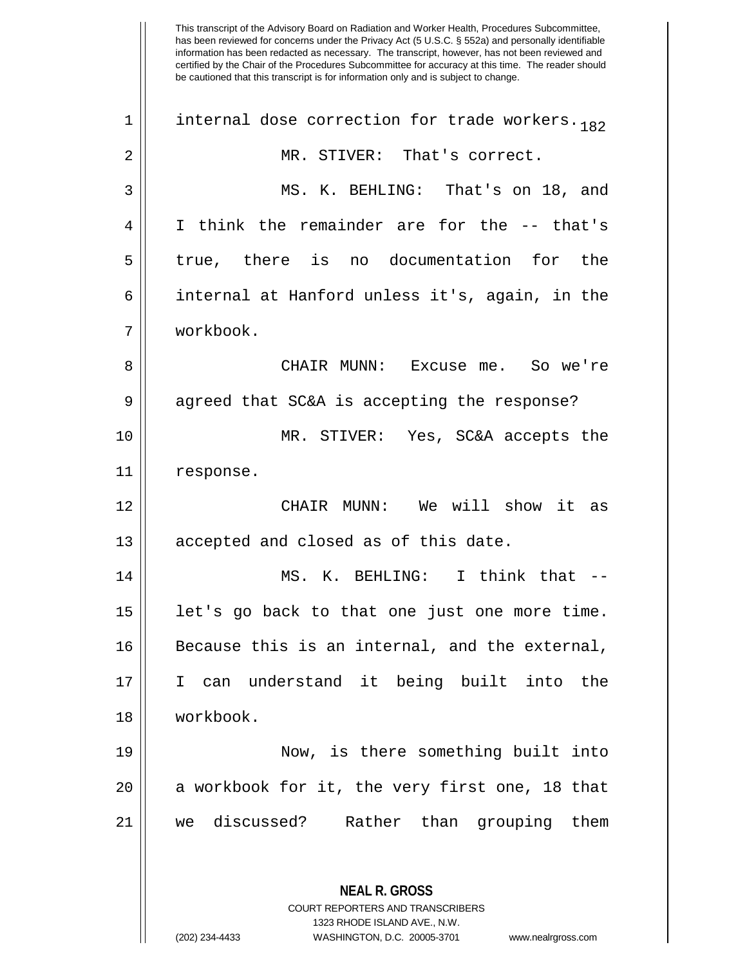| 1  | internal dose correction for trade workers. 182                                          |
|----|------------------------------------------------------------------------------------------|
| 2  | MR. STIVER: That's correct.                                                              |
| 3  | MS. K. BEHLING: That's on 18, and                                                        |
| 4  | I think the remainder are for the -- that's                                              |
| 5  | true, there is no documentation for the                                                  |
| 6  | internal at Hanford unless it's, again, in the                                           |
| 7  | workbook.                                                                                |
| 8  | CHAIR MUNN: Excuse me. So we're                                                          |
| 9  | agreed that SC&A is accepting the response?                                              |
| 10 | MR. STIVER: Yes, SC&A accepts the                                                        |
| 11 | response.                                                                                |
| 12 | CHAIR MUNN: We will show it as                                                           |
| 13 | accepted and closed as of this date.                                                     |
| 14 | MS. K. BEHLING: I think that --                                                          |
| 15 | let's go back to that one just one more time.                                            |
| 16 | Because this is an internal, and the external,                                           |
| 17 | I can understand it being built into the                                                 |
| 18 | workbook.                                                                                |
| 19 | Now, is there something built into                                                       |
| 20 | a workbook for it, the very first one, 18 that                                           |
| 21 | we discussed?<br>Rather than grouping them                                               |
|    |                                                                                          |
|    | <b>NEAL R. GROSS</b><br>COURT REPORTERS AND TRANSCRIBERS<br>1323 RHODE ISLAND AVE., N.W. |

 $\mathbf{\mathcal{H}}$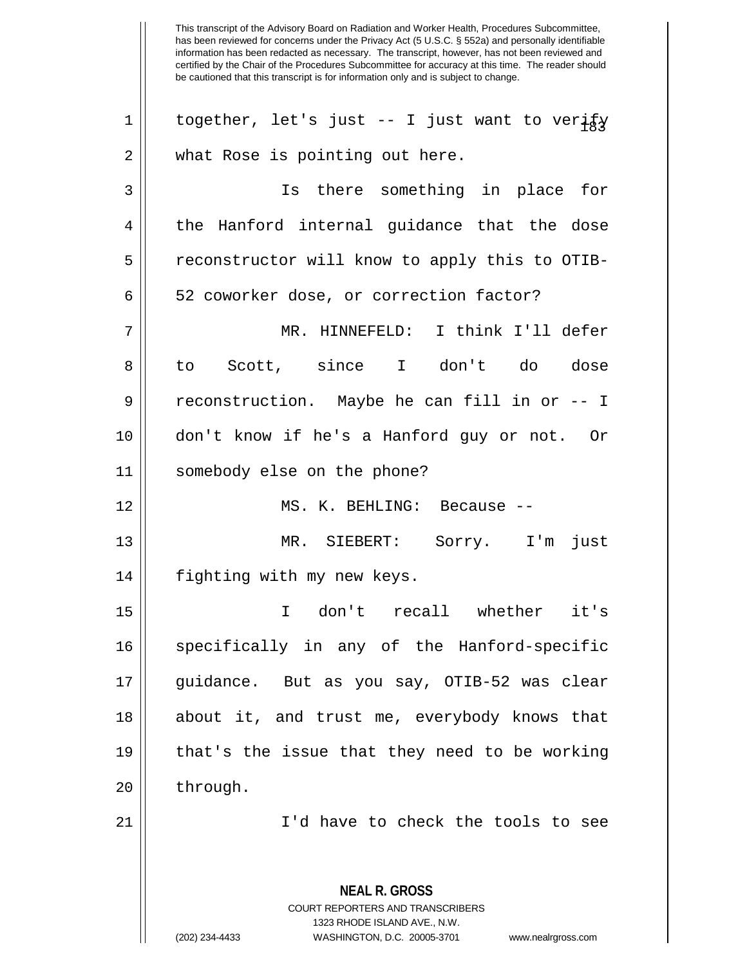**NEAL R. GROSS** COURT REPORTERS AND TRANSCRIBERS 1 || together, let's just -- I just want to veri $\frac{1}{2}$  $2 \parallel$  what Rose is pointing out here. 3 Is there something in place for  $4 \parallel$  the Hanford internal guidance that the dose 5 | reconstructor will know to apply this to OTIB-6 | 52 coworker dose, or correction factor? 7 MR. HINNEFELD: I think I'll defer 8|| to Scott, since I don't do dose  $9 \parallel$  reconstruction. Maybe he can fill in or -- I 10 don't know if he's a Hanford guy or not. Or 11 somebody else on the phone? 12 MS. K. BEHLING: Because -- 13 MR. SIEBERT: Sorry. I'm just 14 | fighting with my new keys. 15 I don't recall whether it's 16 || specifically in any of the Hanford-specific 17 guidance. But as you say, OTIB-52 was clear 18 about it, and trust me, everybody knows that 19 that's the issue that they need to be working  $20$  || through. 21 || I'd have to check the tools to see

1323 RHODE ISLAND AVE., N.W.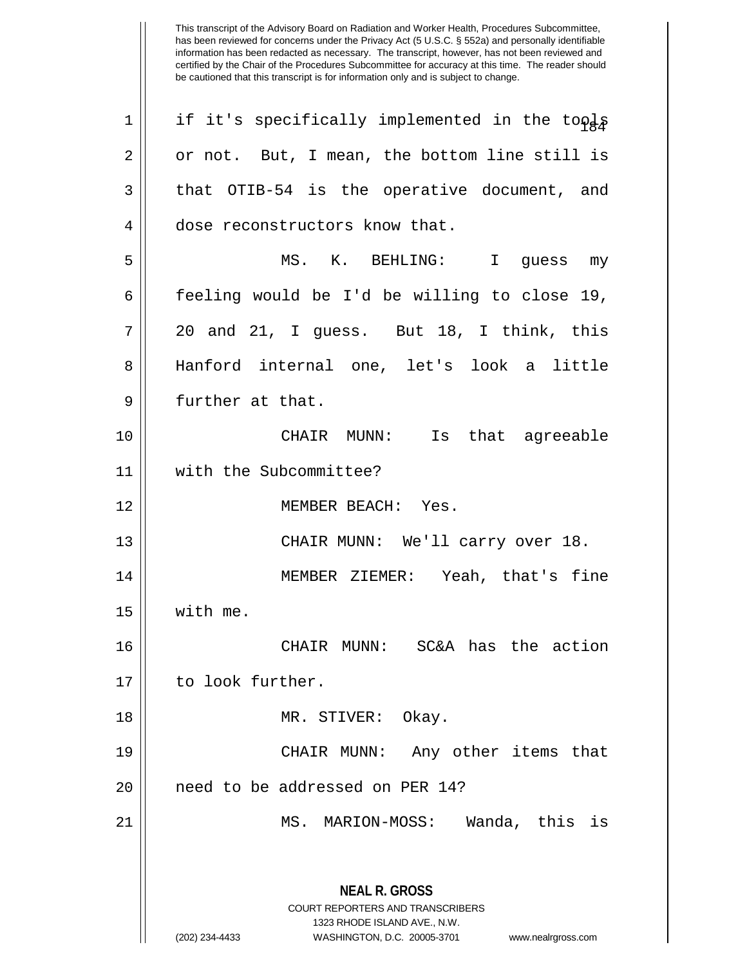| 1  | if it's specifically implemented in the tools                                                                                                                          |
|----|------------------------------------------------------------------------------------------------------------------------------------------------------------------------|
| 2  | or not. But, I mean, the bottom line still is                                                                                                                          |
| 3  | that OTIB-54 is the operative document, and                                                                                                                            |
| 4  | dose reconstructors know that.                                                                                                                                         |
| 5  | MS. K. BEHLING: I guess my                                                                                                                                             |
| 6  | feeling would be I'd be willing to close 19,                                                                                                                           |
| 7  | 20 and 21, I guess. But 18, I think, this                                                                                                                              |
| 8  | Hanford internal one, let's look a little                                                                                                                              |
| 9  | further at that.                                                                                                                                                       |
| 10 | CHAIR MUNN: Is that agreeable                                                                                                                                          |
| 11 | with the Subcommittee?                                                                                                                                                 |
| 12 | MEMBER BEACH: Yes.                                                                                                                                                     |
| 13 | CHAIR MUNN: We'll carry over 18.                                                                                                                                       |
| 14 | MEMBER ZIEMER: Yeah, that's fine                                                                                                                                       |
| 15 | with me.                                                                                                                                                               |
| 16 | CHAIR MUNN: SC&A has the action                                                                                                                                        |
| 17 | to look further.                                                                                                                                                       |
| 18 | MR. STIVER: Okay.                                                                                                                                                      |
| 19 | CHAIR MUNN: Any other items that                                                                                                                                       |
| 20 | need to be addressed on PER 14?                                                                                                                                        |
| 21 | MS. MARION-MOSS:<br>Wanda, this is                                                                                                                                     |
|    | <b>NEAL R. GROSS</b><br><b>COURT REPORTERS AND TRANSCRIBERS</b><br>1323 RHODE ISLAND AVE., N.W.<br>(202) 234-4433<br>WASHINGTON, D.C. 20005-3701<br>www.nealrgross.com |
|    |                                                                                                                                                                        |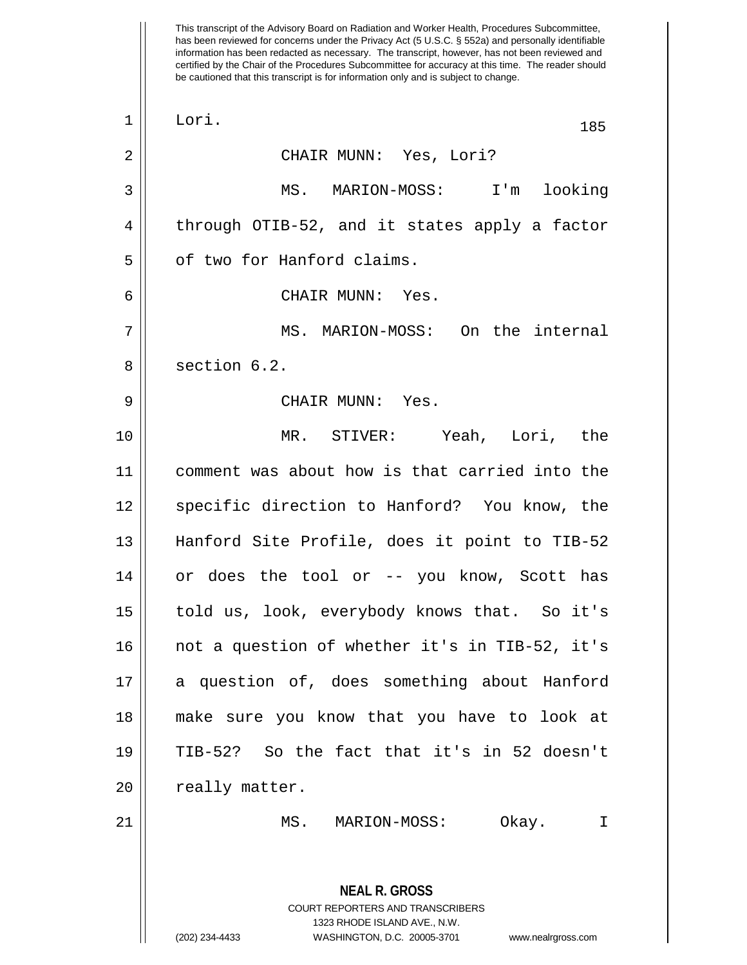has been reviewed for concerns under the Privacy Act (5 U.S.C. § 552a) and personally identifiable information has been redacted as necessary. The transcript, however, has not been reviewed and certified by the Chair of the Procedures Subcommittee for accuracy at this time. The reader should be cautioned that this transcript is for information only and is subject to change. **NEAL R. GROSS** COURT REPORTERS AND TRANSCRIBERS 1323 RHODE ISLAND AVE., N.W. 1 || Lori. 185 2 CHAIR MUNN: Yes, Lori? 3 MS. MARION-MOSS: I'm looking  $4 \parallel$  through OTIB-52, and it states apply a factor 5 | | of two for Hanford claims. 6 CHAIR MUNN: Yes. 7 MS. MARION-MOSS: On the internal 8 || section 6.2. 9 CHAIR MUNN: Yes. 10 MR. STIVER: Yeah, Lori, the 11 comment was about how is that carried into the 12 || specific direction to Hanford? You know, the 13 Hanford Site Profile, does it point to TIB-52 14 or does the tool or -- you know, Scott has 15 || told us, look, everybody knows that. So it's 16 || not a question of whether it's in TIB-52, it's 17 || a question of, does something about Hanford 18 make sure you know that you have to look at 19 TIB-52? So the fact that it's in 52 doesn't 20 | really matter. 21 MS. MARION-MOSS: Okay. I

This transcript of the Advisory Board on Radiation and Worker Health, Procedures Subcommittee,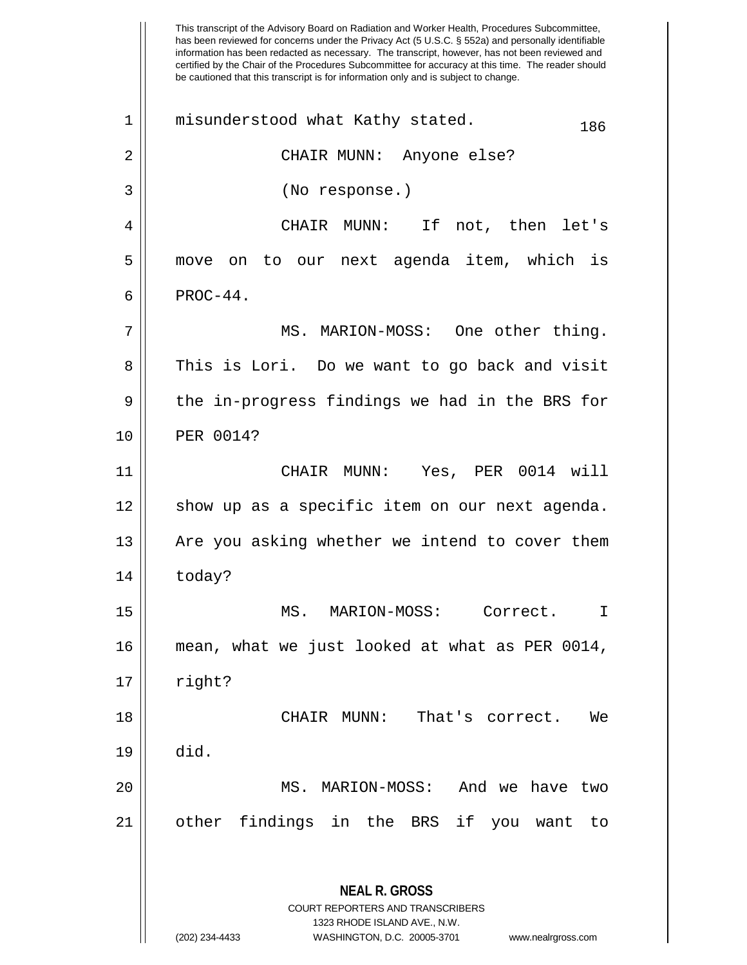This transcript of the Advisory Board on Radiation and Worker Health, Procedures Subcommittee, has been reviewed for concerns under the Privacy Act (5 U.S.C. § 552a) and personally identifiable information has been redacted as necessary. The transcript, however, has not been reviewed and certified by the Chair of the Procedures Subcommittee for accuracy at this time. The reader should be cautioned that this transcript is for information only and is subject to change. **NEAL R. GROSS** COURT REPORTERS AND TRANSCRIBERS 1323 RHODE ISLAND AVE., N.W. (202) 234-4433 WASHINGTON, D.C. 20005-3701 www.nealrgross.com  $1$  || misunderstood what Kathy stated.  $186$ 2 CHAIR MUNN: Anyone else? 3 (No response.) 4 CHAIR MUNN: If not, then let's 5 move on to our next agenda item, which is  $6 \parallel$  PROC-44. 7 MS. MARION-MOSS: One other thing. 8 || This is Lori. Do we want to go back and visit  $9 \parallel$  the in-progress findings we had in the BRS for 10 PER 0014? 11 CHAIR MUNN: Yes, PER 0014 will 12 || show up as a specific item on our next agenda.  $13$  | Are you asking whether we intend to cover them  $14$  today? 15 MS. MARION-MOSS: Correct. I 16 mean, what we just looked at what as PER 0014,  $17 \parallel$  right? 18 CHAIR MUNN: That's correct. We 19 did. 20 MS. MARION-MOSS: And we have two 21 other findings in the BRS if you want to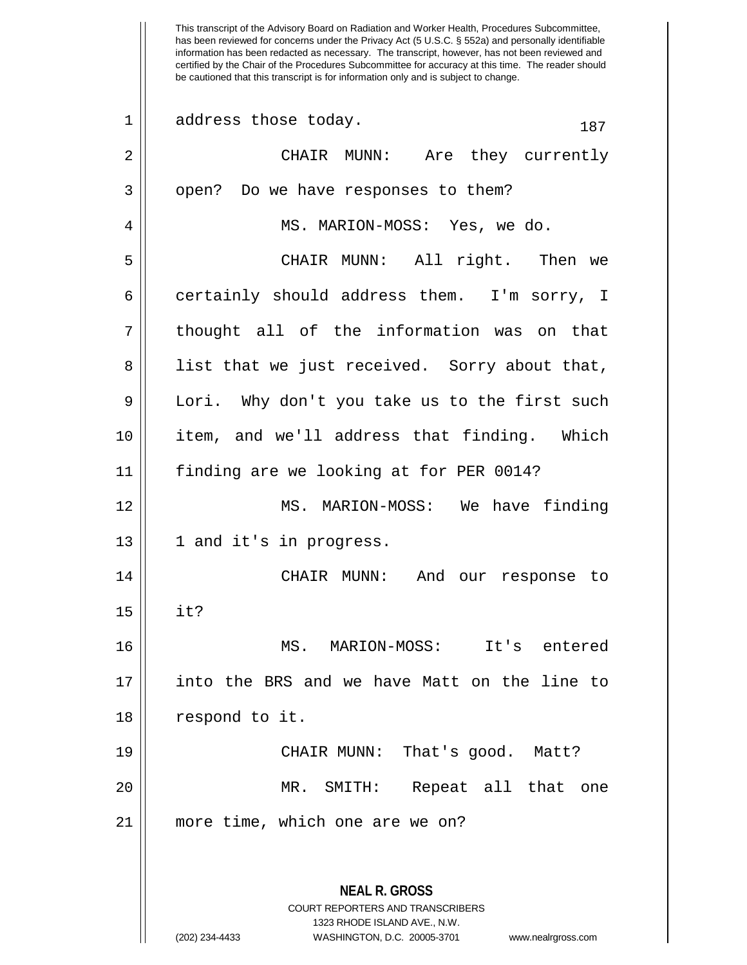This transcript of the Advisory Board on Radiation and Worker Health, Procedures Subcommittee, has been reviewed for concerns under the Privacy Act (5 U.S.C. § 552a) and personally identifiable information has been redacted as necessary. The transcript, however, has not been reviewed and certified by the Chair of the Procedures Subcommittee for accuracy at this time. The reader should be cautioned that this transcript is for information only and is subject to change.  $1 \parallel$  address those today.  $187$ 2 CHAIR MUNN: Are they currently  $3 \parallel$  open? Do we have responses to them? 4 || MS. MARION-MOSS: Yes, we do. 5 CHAIR MUNN: All right. Then we 6 certainly should address them. I'm sorry, I 7 || thought all of the information was on that 8 || list that we just received. Sorry about that, 9 Lori. Why don't you take us to the first such 10 item, and we'll address that finding. Which 11 finding are we looking at for PER 0014? 12 MS. MARION-MOSS: We have finding  $13 \parallel 1$  and it's in progress. 14 CHAIR MUNN: And our response to 15 it? 16 MS. MARION-MOSS: It's entered 17 into the BRS and we have Matt on the line to 18 | respond to it. 19 CHAIR MUNN: That's good. Matt? 20 || MR. SMITH: Repeat all that one 21 more time, which one are we on?

> **NEAL R. GROSS** COURT REPORTERS AND TRANSCRIBERS 1323 RHODE ISLAND AVE., N.W. (202) 234-4433 WASHINGTON, D.C. 20005-3701 www.nealrgross.com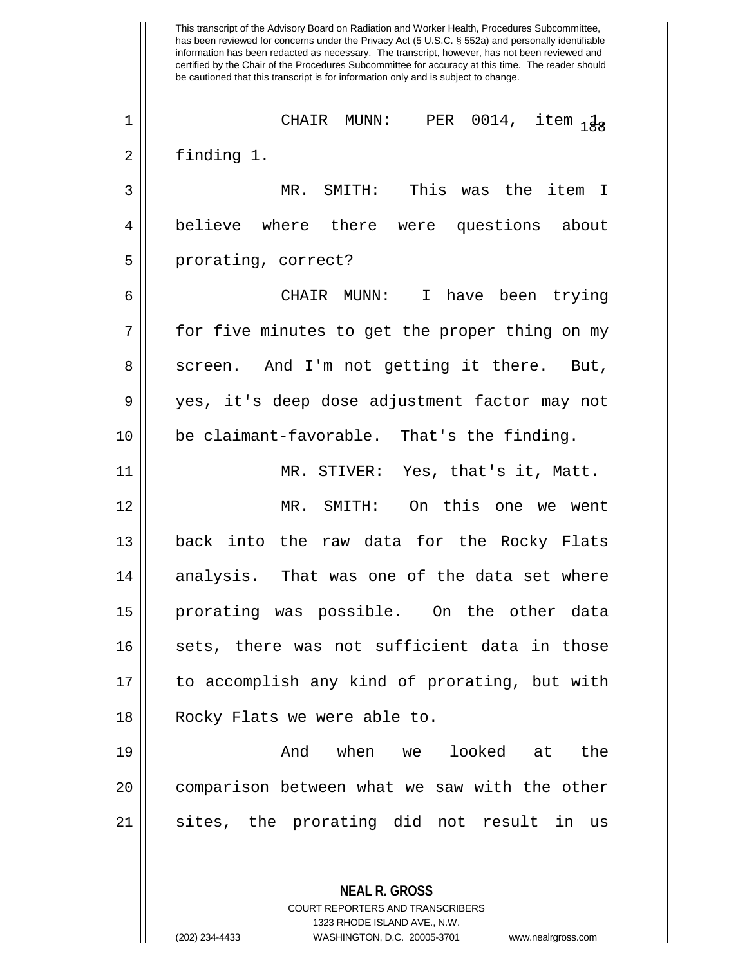This transcript of the Advisory Board on Radiation and Worker Health, Procedures Subcommittee, has been reviewed for concerns under the Privacy Act (5 U.S.C. § 552a) and personally identifiable information has been redacted as necessary. The transcript, however, has not been reviewed and certified by the Chair of the Procedures Subcommittee for accuracy at this time. The reader should be cautioned that this transcript is for information only and is subject to change. **NEAL R. GROSS** <sup>188</sup> <sup>1</sup> CHAIR MUNN: PER 0014, item 1, 2 finding 1. 3 MR. SMITH: This was the item I 4 believe where there were questions about 5 | prorating, correct? 6 CHAIR MUNN: I have been trying 7 for five minutes to get the proper thing on my 8 || screen. And I'm not getting it there. But, 9 yes, it's deep dose adjustment factor may not 10 be claimant-favorable. That's the finding. 11 MR. STIVER: Yes, that's it, Matt. 12 MR. SMITH: On this one we went 13 back into the raw data for the Rocky Flats  $14$  analysis. That was one of the data set where 15 prorating was possible. On the other data 16 || sets, there was not sufficient data in those 17 || to accomplish any kind of prorating, but with 18 || Rocky Flats we were able to. 19 And when we looked at the 20 || comparison between what we saw with the other 21 || sites, the prorating did not result in us

> COURT REPORTERS AND TRANSCRIBERS 1323 RHODE ISLAND AVE., N.W.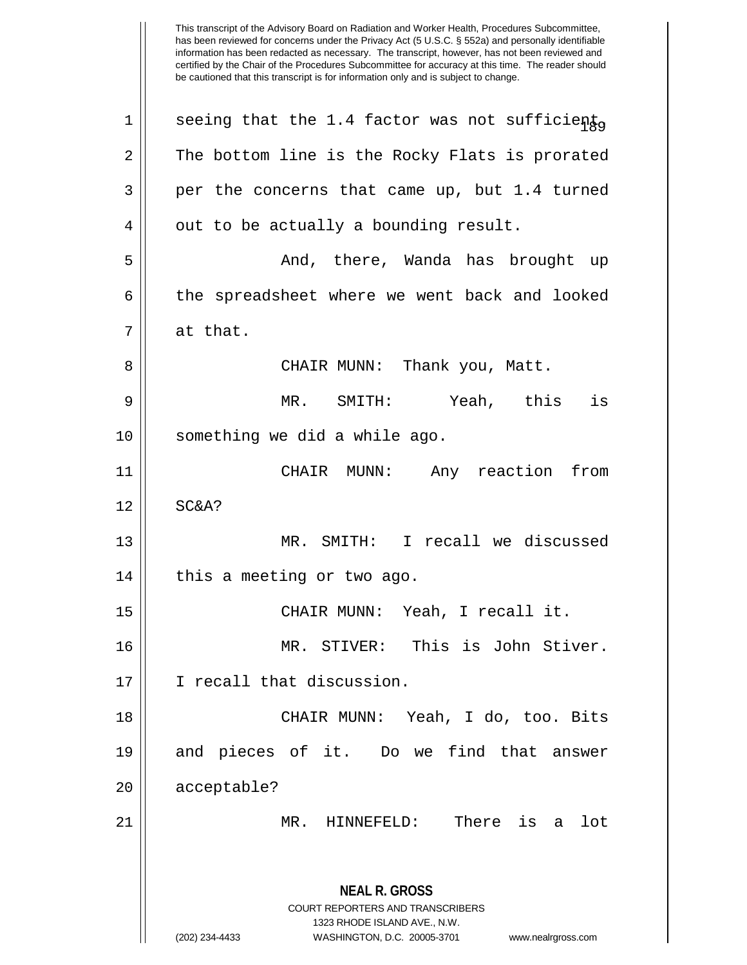This transcript of the Advisory Board on Radiation and Worker Health, Procedures Subcommittee, has been reviewed for concerns under the Privacy Act (5 U.S.C. § 552a) and personally identifiable information has been redacted as necessary. The transcript, however, has not been reviewed and certified by the Chair of the Procedures Subcommittee for accuracy at this time. The reader should be cautioned that this transcript is for information only and is subject to change. **NEAL R. GROSS** COURT REPORTERS AND TRANSCRIBERS 1323 RHODE ISLAND AVE., N.W. (202) 234-4433 WASHINGTON, D.C. 20005-3701 www.nealrgross.com 1 | seeing that the 1.4 factor was not sufficiento  $2 \parallel$  The bottom line is the Rocky Flats is prorated  $3 \parallel$  per the concerns that came up, but 1.4 turned  $4 \parallel$  out to be actually a bounding result. 5 And, there, Wanda has brought up 6 the spreadsheet where we went back and looked 7 at that. 8 CHAIR MUNN: Thank you, Matt. 9 MR. SMITH: Yeah, this is 10 something we did a while ago. 11 CHAIR MUNN: Any reaction from 12 || SC&A? 13 MR. SMITH: I recall we discussed  $14$  | this a meeting or two ago. 15 CHAIR MUNN: Yeah, I recall it. 16 MR. STIVER: This is John Stiver. 17 || I recall that discussion. 18 CHAIR MUNN: Yeah, I do, too. Bits 19 and pieces of it. Do we find that answer 20 | acceptable? 21 MR. HINNEFELD: There is a lot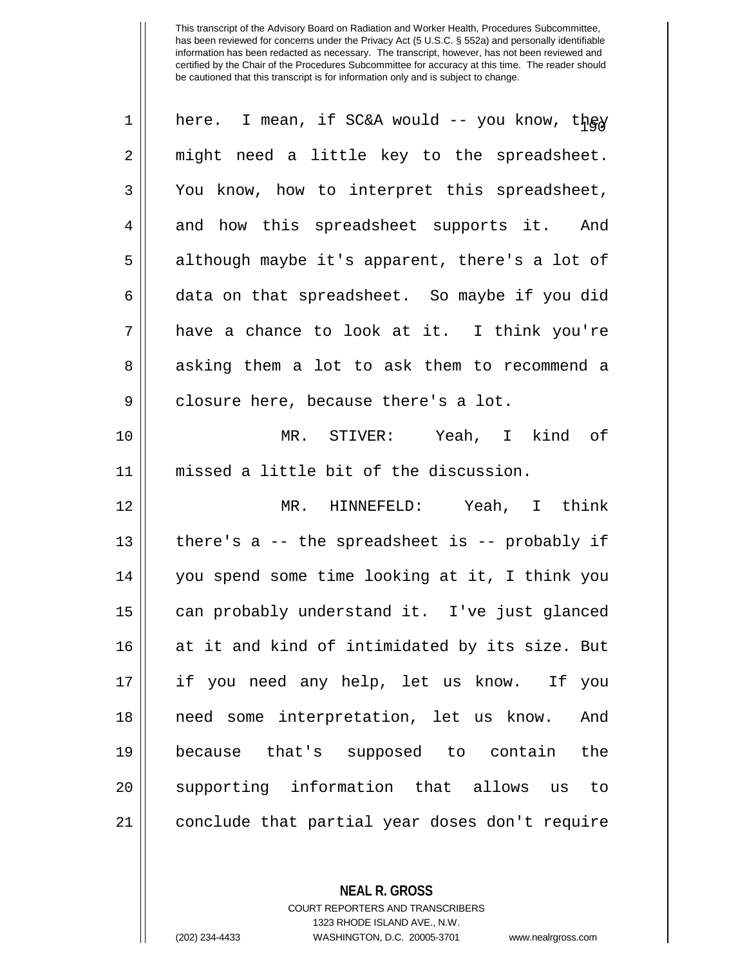| $\mathbf 1$ | here. I mean, if SC&A would -- you know, they    |
|-------------|--------------------------------------------------|
| 2           | might need a little key to the spreadsheet.      |
| 3           | You know, how to interpret this spreadsheet,     |
| 4           | and how this spreadsheet supports it. And        |
| 5           | although maybe it's apparent, there's a lot of   |
| 6           | data on that spreadsheet. So maybe if you did    |
| 7           | have a chance to look at it. I think you're      |
| 8           | asking them a lot to ask them to recommend a     |
| 9           | closure here, because there's a lot.             |
| 10          | MR. STIVER: Yeah, I kind of                      |
| 11          | missed a little bit of the discussion.           |
| 12          | MR. HINNEFELD: Yeah, I think                     |
| 13          | there's $a$ -- the spreadsheet is -- probably if |
| 14          | you spend some time looking at it, I think you   |
| 15          | can probably understand it. I've just glanced    |
| 16          | at it and kind of intimidated by its size. But   |
| 17          | if you need any help, let us know. If you        |
| 18          | need some interpretation, let us know.<br>And    |
| 19          | because that's supposed to contain the           |
| 20          | supporting information that allows us to         |
| 21          | conclude that partial year doses don't require   |

**NEAL R. GROSS**

COURT REPORTERS AND TRANSCRIBERS 1323 RHODE ISLAND AVE., N.W. (202) 234-4433 WASHINGTON, D.C. 20005-3701 www.nealrgross.com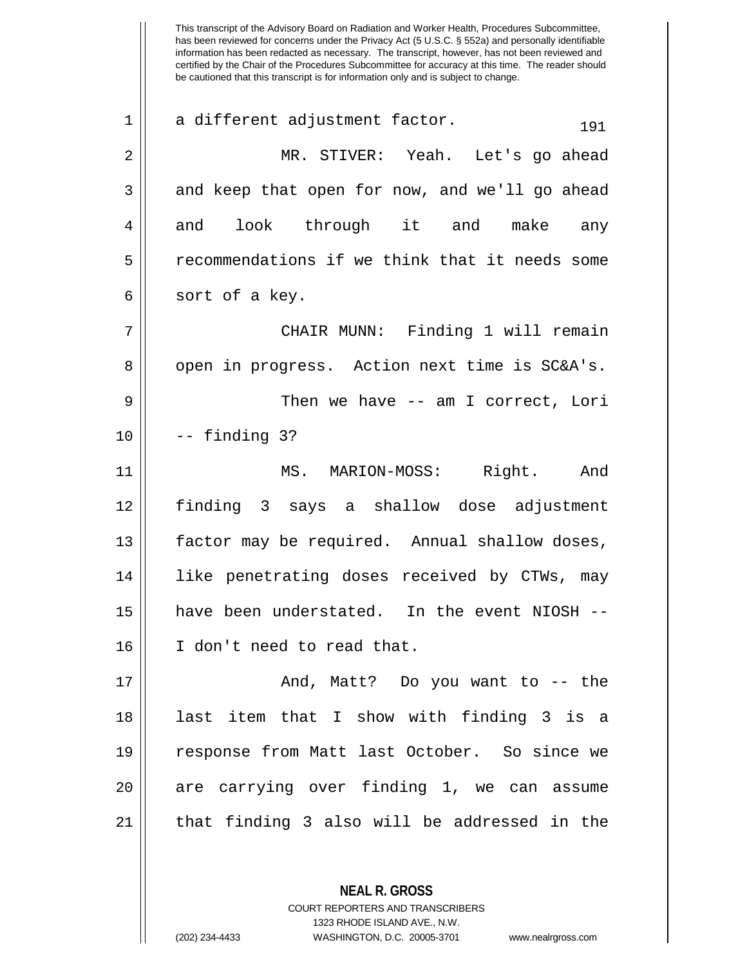This transcript of the Advisory Board on Radiation and Worker Health, Procedures Subcommittee, has been reviewed for concerns under the Privacy Act (5 U.S.C. § 552a) and personally identifiable information has been redacted as necessary. The transcript, however, has not been reviewed and certified by the Chair of the Procedures Subcommittee for accuracy at this time. The reader should be cautioned that this transcript is for information only and is subject to change.  $1 \parallel$  a different adjustment factor.  $191$ 2 MR. STIVER: Yeah. Let's go ahead  $3 \parallel$  and keep that open for now, and we'll go ahead 4 || and look through it and make any 5 | recommendations if we think that it needs some  $6 \parallel$  sort of a key. 7 CHAIR MUNN: Finding 1 will remain 8 || open in progress. Action next time is SC&A's. 9 Then we have -- am I correct, Lori 10 -- finding 3? 11 MS. MARION-MOSS: Right. And 12 finding 3 says a shallow dose adjustment 13 | factor may be required. Annual shallow doses, 14 || like penetrating doses received by CTWs, may 15 have been understated. In the event NIOSH -- 16 I don't need to read that. 17 And, Matt? Do you want to -- the 18 last item that I show with finding 3 is a 19 response from Matt last October. So since we 20 || are carrying over finding 1, we can assume  $21$  || that finding 3 also will be addressed in the

> COURT REPORTERS AND TRANSCRIBERS 1323 RHODE ISLAND AVE., N.W. (202) 234-4433 WASHINGTON, D.C. 20005-3701 www.nealrgross.com

**NEAL R. GROSS**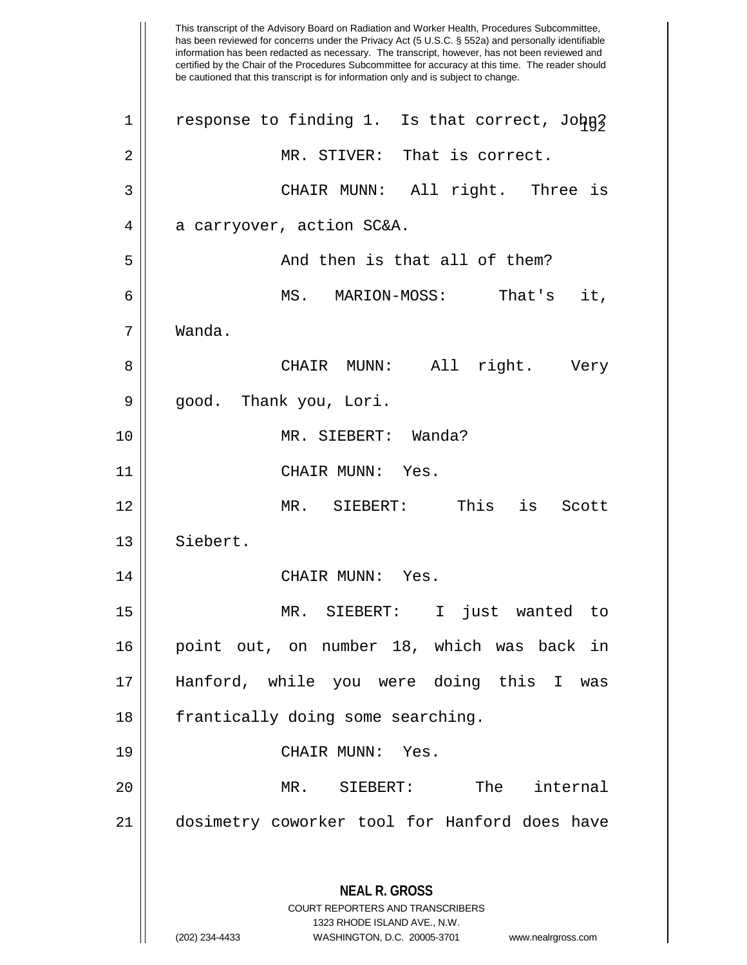This transcript of the Advisory Board on Radiation and Worker Health, Procedures Subcommittee, has been reviewed for concerns under the Privacy Act (5 U.S.C. § 552a) and personally identifiable information has been redacted as necessary. The transcript, however, has not been reviewed and certified by the Chair of the Procedures Subcommittee for accuracy at this time. The reader should be cautioned that this transcript is for information only and is subject to change. **NEAL R. GROSS** COURT REPORTERS AND TRANSCRIBERS 1323 RHODE ISLAND AVE., N.W. (202) 234-4433 WASHINGTON, D.C. 20005-3701 www.nealrgross.com  $1$  | response to finding 1. Is that correct, John? 2 || MR. STIVER: That is correct. 3 CHAIR MUNN: All right. Three is 4 a carryover, action SC&A. 5 And then is that all of them? 6 MS. MARION-MOSS: That's it, 7 Wanda. 8 CHAIR MUNN: All right. Very 9 || good. Thank you, Lori. 10 MR. SIEBERT: Wanda? 11 || CHAIR MUNN: Yes. 12 MR. SIEBERT: This is Scott 13 | Siebert. 14 | CHAIR MUNN: Yes. 15 MR. SIEBERT: I just wanted to 16 point out, on number 18, which was back in 17 Hanford, while you were doing this I was 18 || frantically doing some searching. 19 CHAIR MUNN: Yes. 20 MR. SIEBERT: The internal 21 dosimetry coworker tool for Hanford does have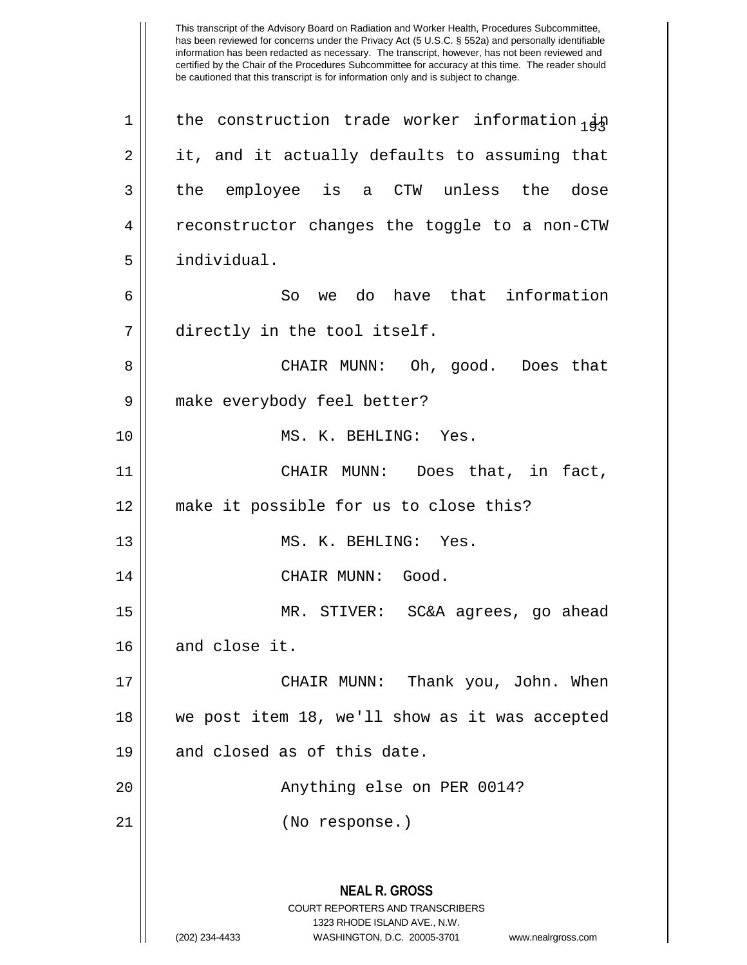has been reviewed for concerns under the Privacy Act (5 U.S.C. § 552a) and personally identifiable information has been redacted as necessary. The transcript, however, has not been reviewed and certified by the Chair of the Procedures Subcommittee for accuracy at this time. The reader should be cautioned that this transcript is for information only and is subject to change. **NEAL R. GROSS** COURT REPORTERS AND TRANSCRIBERS 1323 RHODE ISLAND AVE., N.W. (202) 234-4433 WASHINGTON, D.C. 20005-3701 www.nealrgross.com 1 | the construction trade worker information  $\frac{1}{4}$  $2 \parallel$  it, and it actually defaults to assuming that 3 the employee is a CTW unless the dose 4 Feconstructor changes the toggle to a non-CTW 5 individual. 6 So we do have that information 7 directly in the tool itself. 8 CHAIR MUNN: Oh, good. Does that 9 | make everybody feel better? 10 || MS. K. BEHLING: Yes. 11 CHAIR MUNN: Does that, in fact, 12 make it possible for us to close this? 13 || MS. K. BEHLING: Yes. 14 || CHAIR MUNN: Good. 15 MR. STIVER: SC&A agrees, go ahead 16 || and close it. 17 CHAIR MUNN: Thank you, John. When 18 we post item 18, we'll show as it was accepted 19 and closed as of this date. 20 || Anything else on PER 0014? 21 (No response.)

This transcript of the Advisory Board on Radiation and Worker Health, Procedures Subcommittee,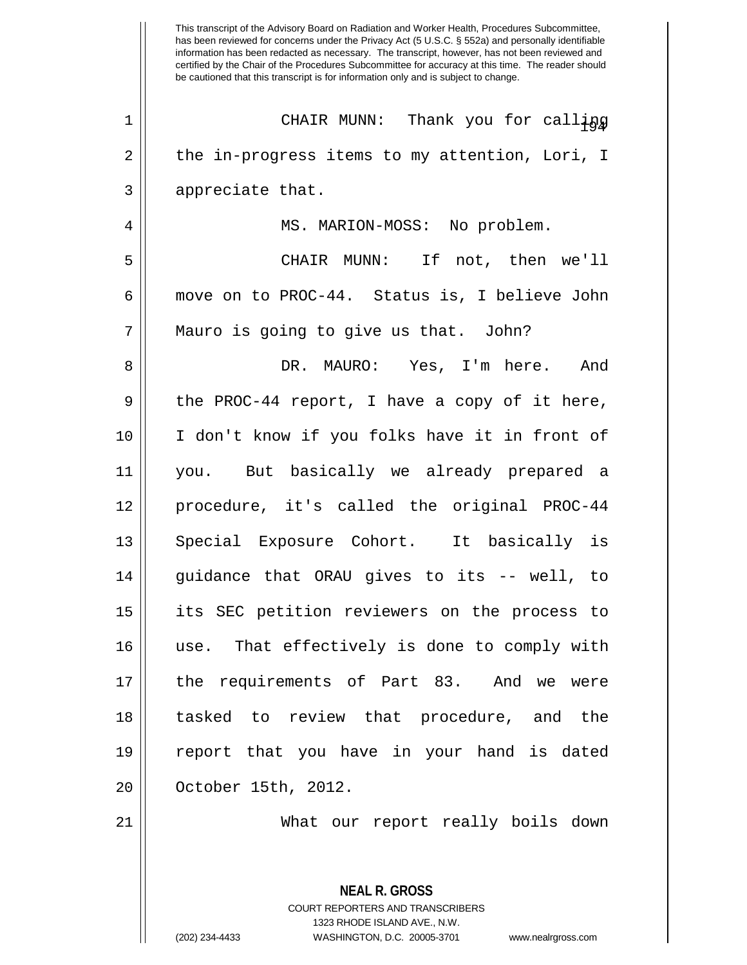has been reviewed for concerns under the Privacy Act (5 U.S.C. § 552a) and personally identifiable information has been redacted as necessary. The transcript, however, has not been reviewed and certified by the Chair of the Procedures Subcommittee for accuracy at this time. The reader should be cautioned that this transcript is for information only and is subject to change. <sup>194</sup> <sup>1</sup> CHAIR MUNN: Thank you for calling 2 || the in-progress items to my attention, Lori, I 3 || appreciate that. 4 | MS. MARION-MOSS: No problem. 5 CHAIR MUNN: If not, then we'll 6 move on to PROC-44. Status is, I believe John 7 Mauro is going to give us that. John? 8 DR. MAURO: Yes, I'm here. And  $9 \parallel$  the PROC-44 report, I have a copy of it here, 10 I don't know if you folks have it in front of 11 you. But basically we already prepared a 12 procedure, it's called the original PROC-44 13 || Special Exposure Cohort. It basically is  $14$  || guidance that ORAU gives to its -- well, to 15 its SEC petition reviewers on the process to 16 use. That effectively is done to comply with 17 || the requirements of Part 83. And we were 18 tasked to review that procedure, and the 19 report that you have in your hand is dated 20 | October 15th, 2012. 21 What our report really boils down

This transcript of the Advisory Board on Radiation and Worker Health, Procedures Subcommittee,

**NEAL R. GROSS** COURT REPORTERS AND TRANSCRIBERS 1323 RHODE ISLAND AVE., N.W. (202) 234-4433 WASHINGTON, D.C. 20005-3701 www.nealrgross.com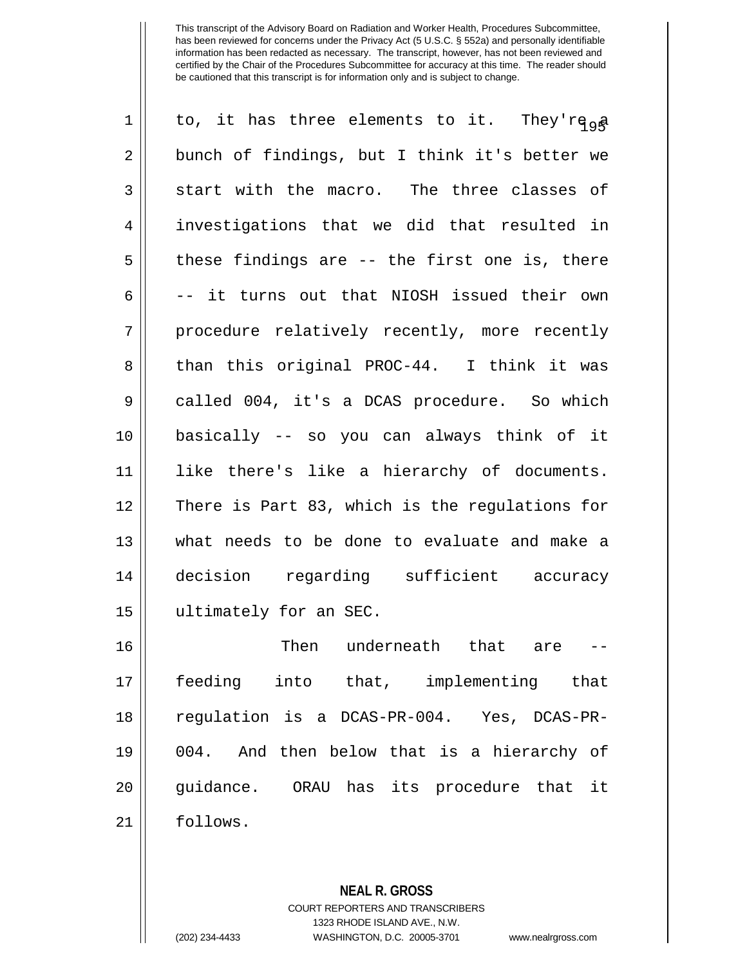| $\mathbf 1$    | to, it has three elements to it. They'rega     |
|----------------|------------------------------------------------|
| $\overline{2}$ | bunch of findings, but I think it's better we  |
| 3              | start with the macro. The three classes of     |
| 4              | investigations that we did that resulted in    |
| 5              | these findings are -- the first one is, there  |
| 6              | -- it turns out that NIOSH issued their own    |
| 7              | procedure relatively recently, more recently   |
| 8              | than this original PROC-44. I think it was     |
| $\mathsf 9$    | called 004, it's a DCAS procedure. So which    |
| 10             | basically -- so you can always think of it     |
| 11             | like there's like a hierarchy of documents.    |
| 12             | There is Part 83, which is the regulations for |
| 13             | what needs to be done to evaluate and make a   |
| 14             | decision regarding sufficient accuracy         |
| 15             | ultimately for an SEC.                         |
| 16             | Then underneath that are --                    |
| 17             | feeding into that, implementing that           |
| 18             | regulation is a DCAS-PR-004. Yes, DCAS-PR-     |
| 19             | 004. And then below that is a hierarchy of     |
| 20             | guidance. ORAU has its procedure that it       |
| 21             | follows.                                       |

**NEAL R. GROSS** COURT REPORTERS AND TRANSCRIBERS 1323 RHODE ISLAND AVE., N.W.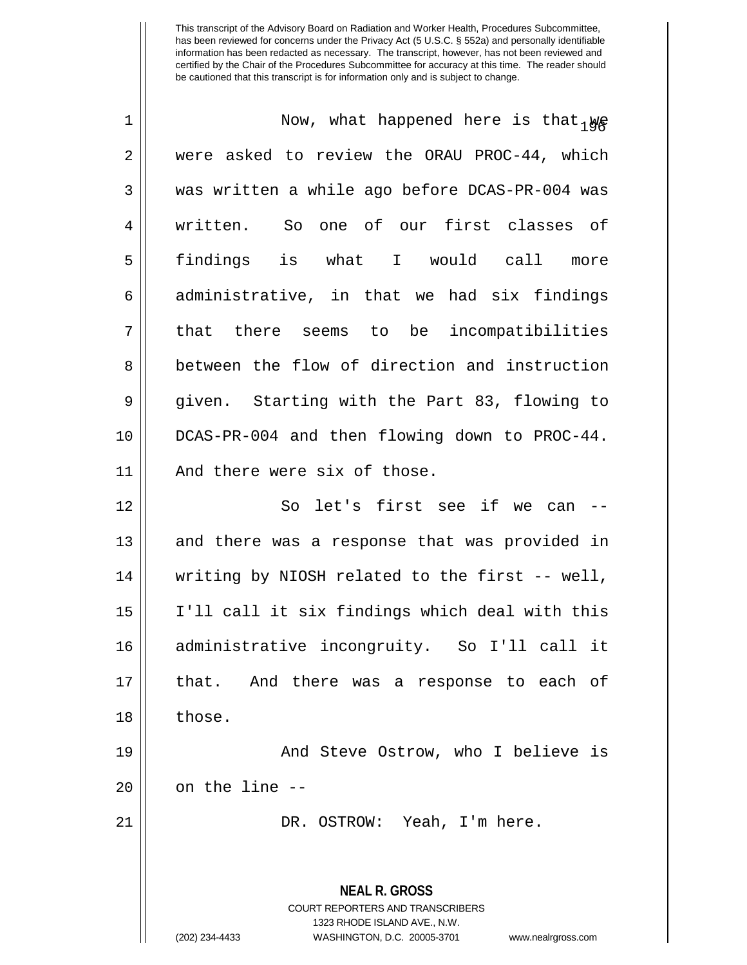| $\mathbf 1$ | Now, what happened here is that $_{1}\psi_{\beta}$                                              |
|-------------|-------------------------------------------------------------------------------------------------|
| 2           | were asked to review the ORAU PROC-44, which                                                    |
| 3           | was written a while ago before DCAS-PR-004 was                                                  |
| 4           | written. So one of our first classes of                                                         |
| 5           | findings is what I would call<br>more                                                           |
| 6           | administrative, in that we had six findings                                                     |
| 7           | that there seems to be incompatibilities                                                        |
| 8           | between the flow of direction and instruction                                                   |
| 9           | given. Starting with the Part 83, flowing to                                                    |
| 10          | DCAS-PR-004 and then flowing down to PROC-44.                                                   |
| 11          | And there were six of those.                                                                    |
| 12          | So let's first see if we can --                                                                 |
| 13          | and there was a response that was provided in                                                   |
| 14          | writing by NIOSH related to the first -- well,                                                  |
| 15          | I'll call it six findings which deal with this                                                  |
| 16          | administrative incongruity. So I'll call it                                                     |
| 17          | that. And there was a response to each of                                                       |
| 18          | those.                                                                                          |
| 19          | And Steve Ostrow, who I believe is                                                              |
| 20          | on the line --                                                                                  |
| 21          | DR. OSTROW: Yeah, I'm here.                                                                     |
|             | <b>NEAL R. GROSS</b><br><b>COURT REPORTERS AND TRANSCRIBERS</b><br>1323 RHODE ISLAND AVE., N.W. |
|             | (202) 234-4433<br>WASHINGTON, D.C. 20005-3701<br>www.nealrgross.com                             |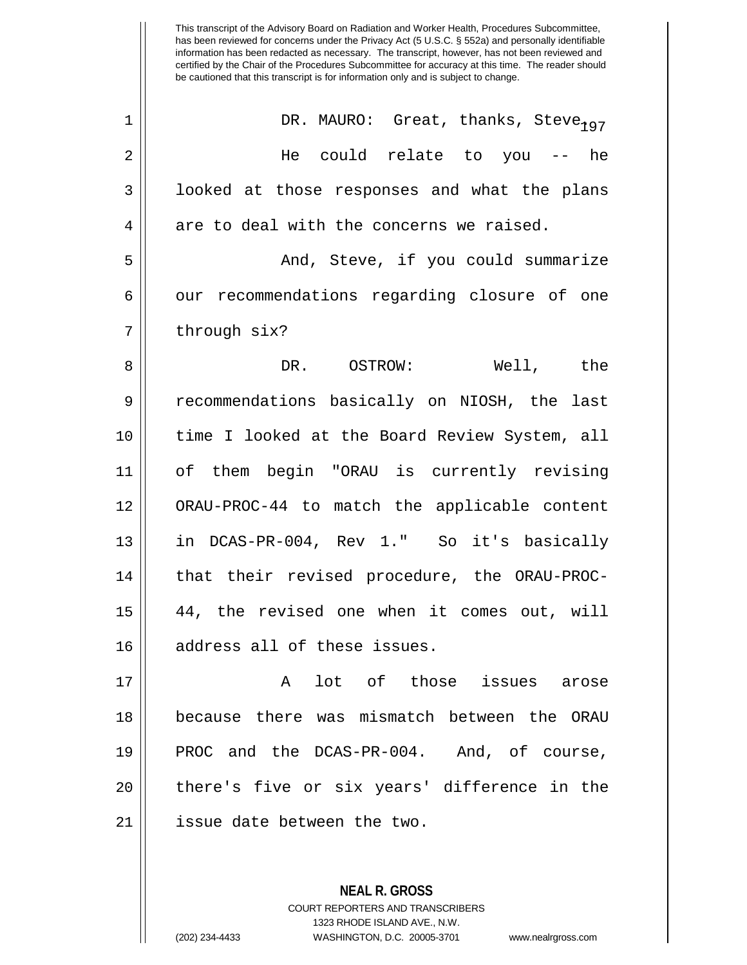| $\mathbf 1$ | DR. MAURO: Great, thanks, Steve <sub>197</sub> |
|-------------|------------------------------------------------|
| 2           | He could relate to you -- he                   |
| 3           | looked at those responses and what the plans   |
| 4           | are to deal with the concerns we raised.       |
| 5           | And, Steve, if you could summarize             |
| 6           | our recommendations regarding closure of one   |
| 7           | through six?                                   |
| 8           | DR. OSTROW: Well, the                          |
| 9           | recommendations basically on NIOSH, the last   |
| 10          | time I looked at the Board Review System, all  |
| 11          | of them begin "ORAU is currently revising      |
| 12          | ORAU-PROC-44 to match the applicable content   |
| 13          | in DCAS-PR-004, Rev 1." So it's basically      |
| 14          | that their revised procedure, the ORAU-PROC-   |
| 15          | 44, the revised one when it comes out, will    |
| 16          | address all of these issues.                   |
| 17          | lot of those issues arose<br>$\mathbf{A}$      |
| 18          | because there was mismatch between the ORAU    |
| 19          | PROC and the DCAS-PR-004. And, of course,      |
| 20          | there's five or six years' difference in the   |
| 21          | issue date between the two.                    |

COURT REPORTERS AND TRANSCRIBERS 1323 RHODE ISLAND AVE., N.W. (202) 234-4433 WASHINGTON, D.C. 20005-3701 www.nealrgross.com

**NEAL R. GROSS**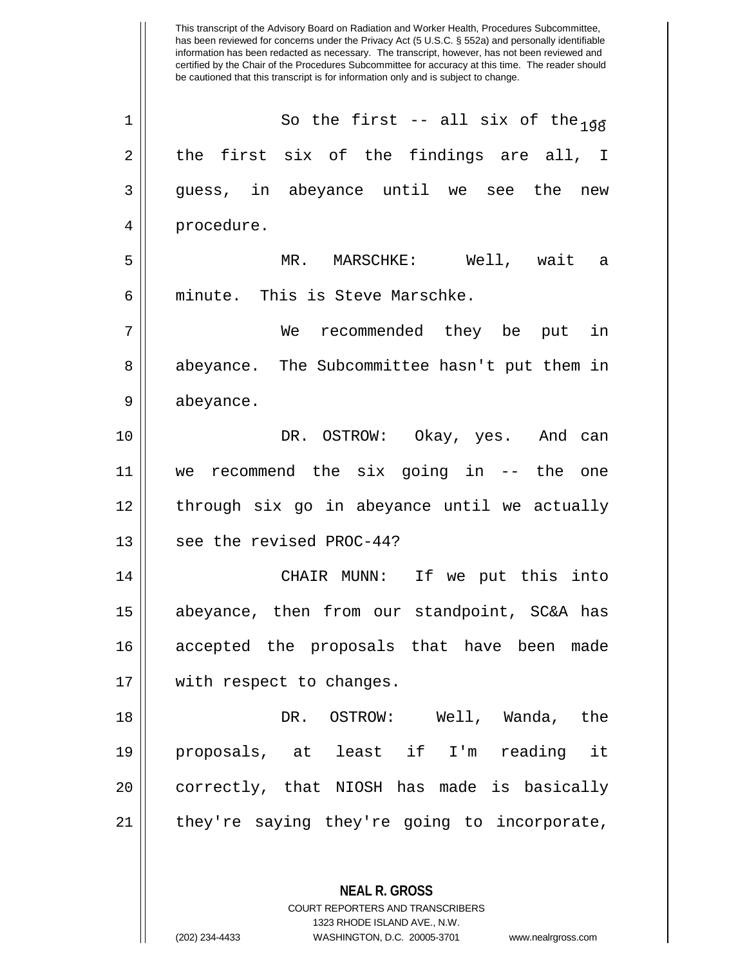has been reviewed for concerns under the Privacy Act (5 U.S.C. § 552a) and personally identifiable information has been redacted as necessary. The transcript, however, has not been reviewed and certified by the Chair of the Procedures Subcommittee for accuracy at this time. The reader should be cautioned that this transcript is for information only and is subject to change. **NEAL R. GROSS** 1 || So the first -- all six of the  $\frac{1}{108}$  $2 \parallel$  the first six of the findings are all, I 3 guess, in abeyance until we see the new 4 | procedure. 5 MR. MARSCHKE: Well, wait a 6 minute. This is Steve Marschke. 7 We recommended they be put in 8 || abeyance. The Subcommittee hasn't put them in 9 | abeyance. 10 DR. OSTROW: Okay, yes. And can 11 we recommend the six going in -- the one 12 through six go in abeyance until we actually 13 || see the revised PROC-44? 14 CHAIR MUNN: If we put this into 15 abeyance, then from our standpoint, SC&A has 16 accepted the proposals that have been made 17 || with respect to changes. 18 DR. OSTROW: Well, Wanda, the 19 proposals, at least if I'm reading it 20 || correctly, that NIOSH has made is basically 21 || they're saying they're going to incorporate,

> COURT REPORTERS AND TRANSCRIBERS 1323 RHODE ISLAND AVE., N.W.

This transcript of the Advisory Board on Radiation and Worker Health, Procedures Subcommittee,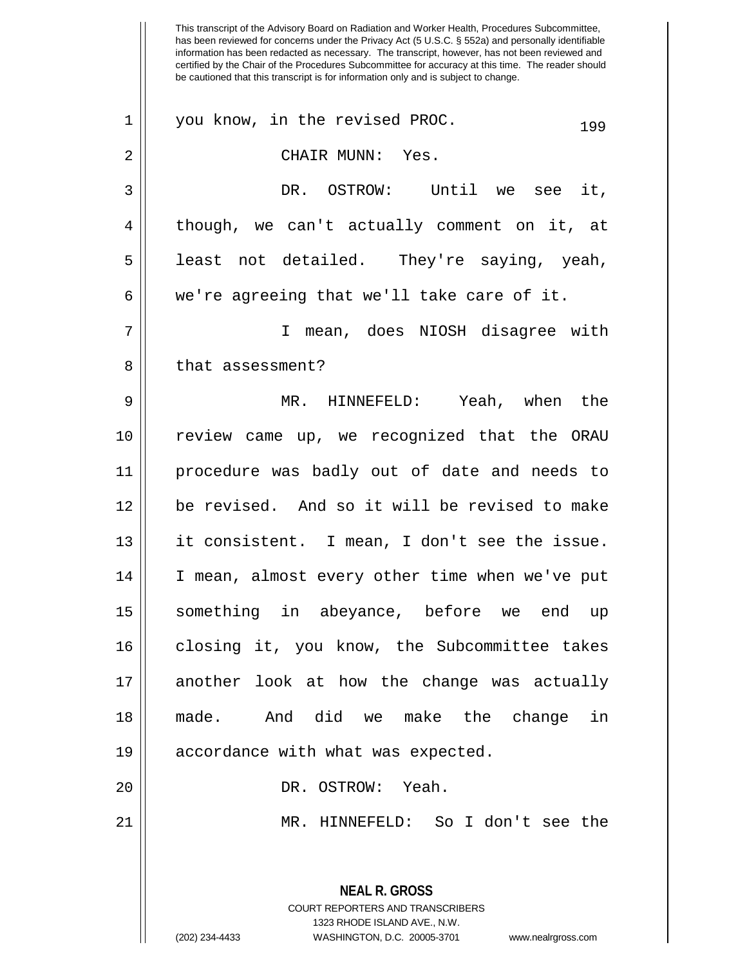This transcript of the Advisory Board on Radiation and Worker Health, Procedures Subcommittee, has been reviewed for concerns under the Privacy Act (5 U.S.C. § 552a) and personally identifiable information has been redacted as necessary. The transcript, however, has not been reviewed and certified by the Chair of the Procedures Subcommittee for accuracy at this time. The reader should be cautioned that this transcript is for information only and is subject to change. **NEAL R. GROSS** COURT REPORTERS AND TRANSCRIBERS 1323 RHODE ISLAND AVE., N.W.  $1 \parallel$  you know, in the revised PROC.  $199$ 2 CHAIR MUNN: Yes. 3 DR. OSTROW: Until we see it,  $4 \parallel$  though, we can't actually comment on it, at 5 || least not detailed. They're saying, yeah,  $6 \parallel$  we're agreeing that we'll take care of it. 7 I mean, does NIOSH disagree with 8 ll that assessment? 9 MR. HINNEFELD: Yeah, when the 10 || review came up, we recognized that the ORAU 11 procedure was badly out of date and needs to 12 be revised. And so it will be revised to make 13 || it consistent. I mean, I don't see the issue. 14 || I mean, almost every other time when we've put 15 something in abeyance, before we end up 16 closing it, you know, the Subcommittee takes 17 || another look at how the change was actually 18 made. And did we make the change in 19 || accordance with what was expected. 20 DR. OSTROW: Yeah. 21 MR. HINNEFELD: So I don't see the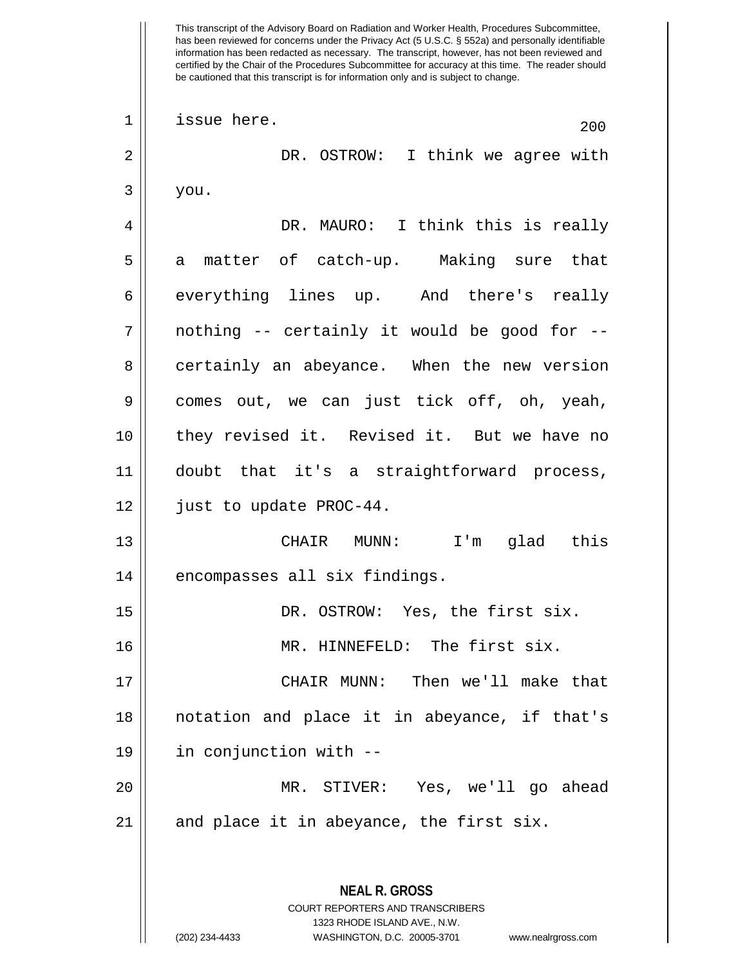**NEAL R. GROSS** COURT REPORTERS AND TRANSCRIBERS  $\begin{array}{c|c|c|c|c} 1 & \text{issue here.} \end{array}$  200 2 DR. OSTROW: I think we agree with  $3 \mid y$ ou. 4 DR. MAURO: I think this is really 5 a matter of catch-up. Making sure that 6 || everything lines up. And there's really  $7 \parallel$  nothing -- certainly it would be good for --8 certainly an abeyance. When the new version  $9 \parallel$  comes out, we can just tick off, oh, yeah, 10 they revised it. Revised it. But we have no 11 doubt that it's a straightforward process, 12 just to update PROC-44. 13 CHAIR MUNN: I'm glad this 14 | encompasses all six findings. 15 || DR. OSTROW: Yes, the first six. 16 MR. HINNEFELD: The first six. 17 CHAIR MUNN: Then we'll make that 18 notation and place it in abeyance, if that's 19 in conjunction with -- 20 MR. STIVER: Yes, we'll go ahead  $21$  || and place it in abeyance, the first six.

1323 RHODE ISLAND AVE., N.W.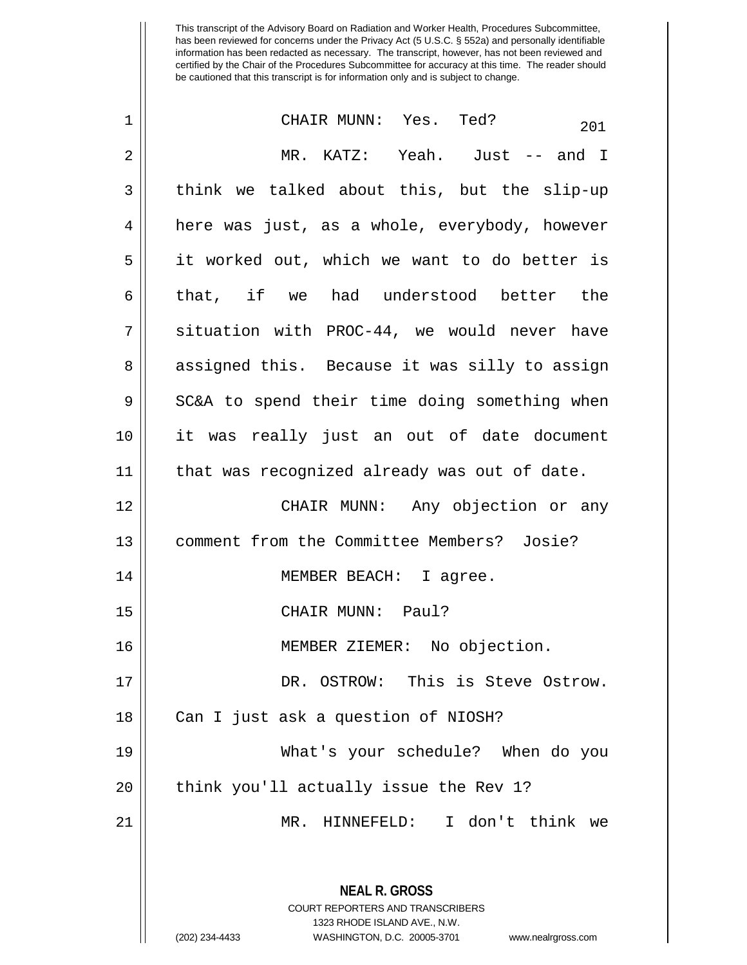| $\mathbf 1$ | CHAIR MUNN: Yes. Ted?<br>201                                                                                                                                           |
|-------------|------------------------------------------------------------------------------------------------------------------------------------------------------------------------|
| 2           | MR. KATZ: Yeah. Just -- and I                                                                                                                                          |
| 3           | think we talked about this, but the slip-up                                                                                                                            |
| 4           | here was just, as a whole, everybody, however                                                                                                                          |
| 5           | it worked out, which we want to do better is                                                                                                                           |
| 6           | that, if we had understood better the                                                                                                                                  |
| 7           | situation with PROC-44, we would never have                                                                                                                            |
| 8           | assigned this. Because it was silly to assign                                                                                                                          |
| 9           | SC&A to spend their time doing something when                                                                                                                          |
| 10          | it was really just an out of date document                                                                                                                             |
| 11          | that was recognized already was out of date.                                                                                                                           |
| 12          | CHAIR MUNN: Any objection or any                                                                                                                                       |
| 13          | comment from the Committee Members? Josie?                                                                                                                             |
| 14          | MEMBER BEACH: I agree.                                                                                                                                                 |
| 15          | CHAIR MUNN: Paul?                                                                                                                                                      |
| 16          | MEMBER ZIEMER: No objection.                                                                                                                                           |
| 17          | DR. OSTROW: This is Steve Ostrow.                                                                                                                                      |
| 18          | Can I just ask a question of NIOSH?                                                                                                                                    |
| 19          | What's your schedule? When do you                                                                                                                                      |
| 20          | think you'll actually issue the Rev 1?                                                                                                                                 |
| 21          | MR. HINNEFELD: I don't think we                                                                                                                                        |
|             | <b>NEAL R. GROSS</b><br><b>COURT REPORTERS AND TRANSCRIBERS</b><br>1323 RHODE ISLAND AVE., N.W.<br>(202) 234-4433<br>WASHINGTON, D.C. 20005-3701<br>www.nealrgross.com |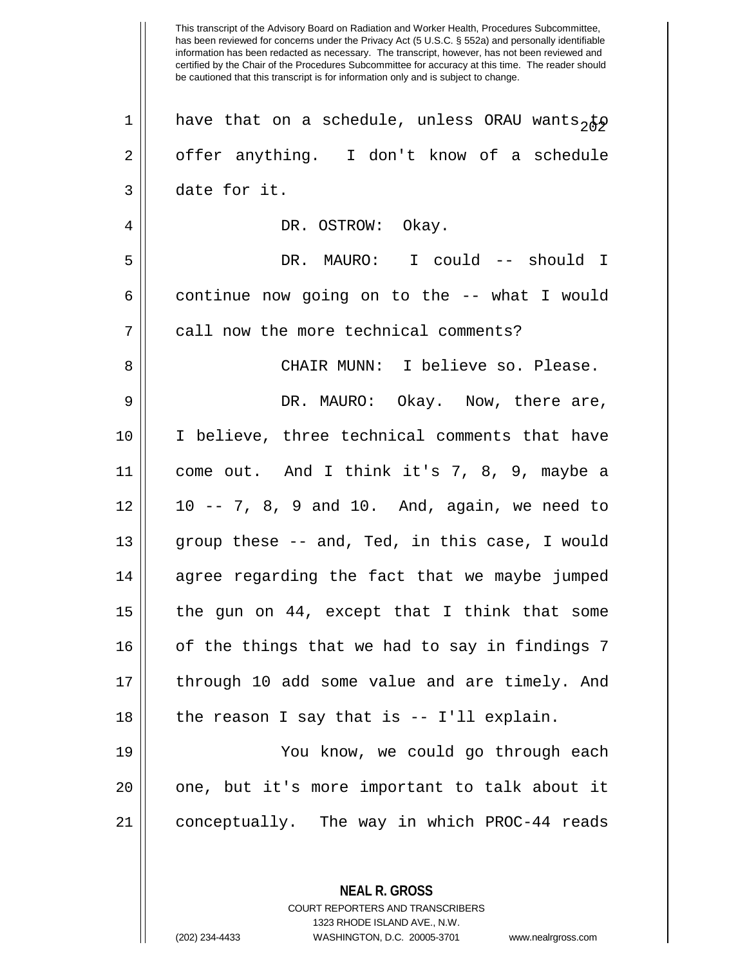has been reviewed for concerns under the Privacy Act (5 U.S.C. § 552a) and personally identifiable information has been redacted as necessary. The transcript, however, has not been reviewed and certified by the Chair of the Procedures Subcommittee for accuracy at this time. The reader should be cautioned that this transcript is for information only and is subject to change. 1 || have that on a schedule, unless ORAU wants, to  $2 \parallel$  offer anything. I don't know of a schedule 3 date for it. 4 DR. OSTROW: Okay. 5 DR. MAURO: I could -- should I  $6 \parallel$  continue now going on to the -- what I would 7 || call now the more technical comments? 8 CHAIR MUNN: I believe so. Please. 9 DR. MAURO: Okay. Now, there are, 10 I believe, three technical comments that have 11 come out. And I think it's 7, 8, 9, maybe a  $12 \parallel 10 - -7$ , 8, 9 and 10. And, again, we need to 13  $\parallel$  group these -- and, Ted, in this case, I would 14 || agree regarding the fact that we maybe jumped 15  $\parallel$  the gun on 44, except that I think that some 16 || of the things that we had to say in findings 7 17 || through 10 add some value and are timely. And  $18$  || the reason I say that is  $-5$  I'll explain. 19 You know, we could go through each  $20$  || one, but it's more important to talk about it 21 conceptually. The way in which PROC-44 reads

This transcript of the Advisory Board on Radiation and Worker Health, Procedures Subcommittee,

COURT REPORTERS AND TRANSCRIBERS 1323 RHODE ISLAND AVE., N.W. (202) 234-4433 WASHINGTON, D.C. 20005-3701 www.nealrgross.com

**NEAL R. GROSS**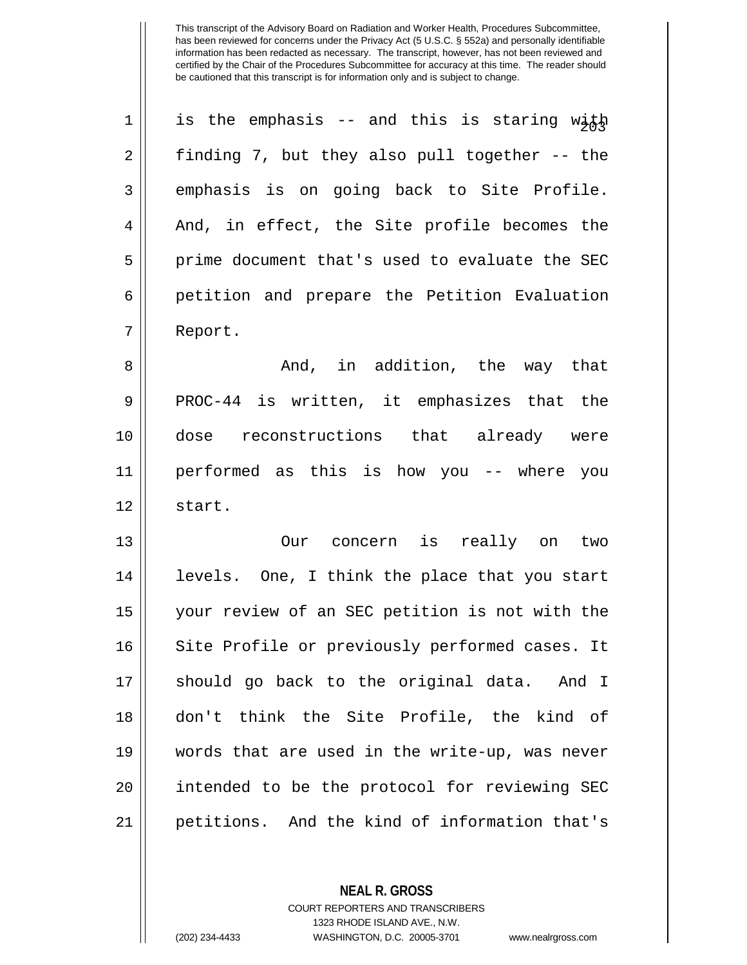| $\mathbf 1$ | is the emphasis -- and this is staring with    |
|-------------|------------------------------------------------|
| 2           | finding 7, but they also pull together -- the  |
| 3           | emphasis is on going back to Site Profile.     |
| 4           | And, in effect, the Site profile becomes the   |
| 5           | prime document that's used to evaluate the SEC |
| 6           | petition and prepare the Petition Evaluation   |
| 7           | Report.                                        |
| 8           | And, in addition, the way that                 |
| 9           | PROC-44 is written, it emphasizes that the     |
| 10          | dose reconstructions that already were         |
| 11          | performed as this is how you -- where you      |
| 12          | start.                                         |
| 13          | Our concern is really on<br>two                |
| 14          | levels. One, I think the place that you start  |
| 15          | your review of an SEC petition is not with the |
| 16          | Site Profile or previously performed cases. It |
| 17          | should go back to the original data. And I     |
| 18          | don't think the Site Profile, the kind of      |
| 19          | words that are used in the write-up, was never |
| 20          | intended to be the protocol for reviewing SEC  |
| 21          | petitions. And the kind of information that's  |

**NEAL R. GROSS** COURT REPORTERS AND TRANSCRIBERS

1323 RHODE ISLAND AVE., N.W. (202) 234-4433 WASHINGTON, D.C. 20005-3701 www.nealrgross.com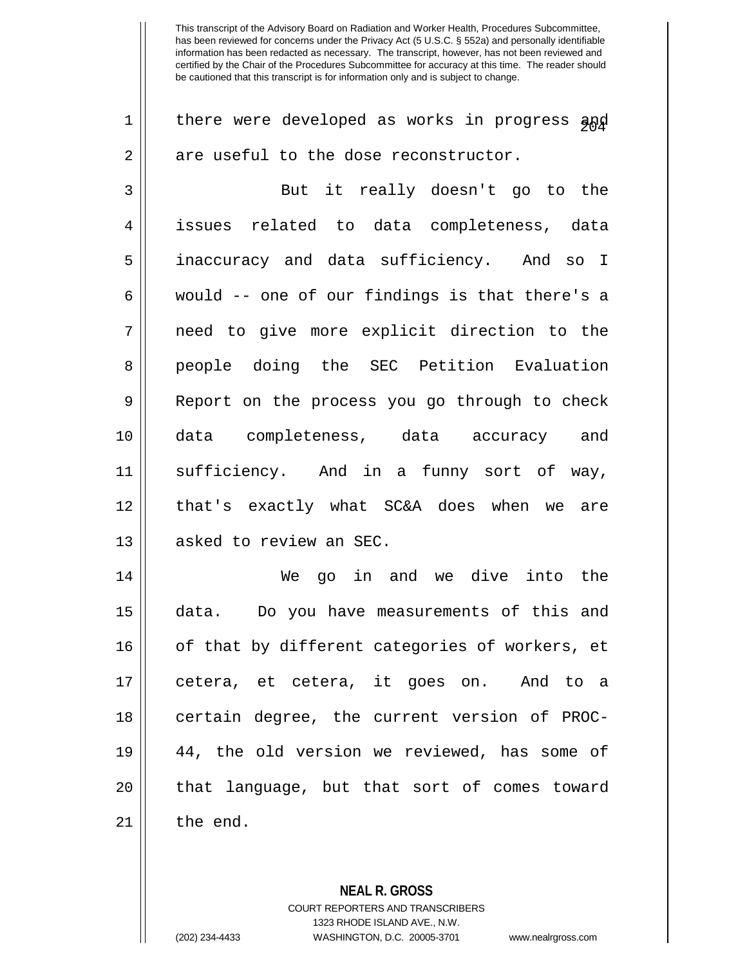| $\mathbf 1$ | there were developed as works in progress and  |
|-------------|------------------------------------------------|
| 2           | are useful to the dose reconstructor.          |
| 3           | But it really doesn't go to the                |
| 4           | issues related to data completeness, data      |
| 5           | inaccuracy and data sufficiency. And so I      |
| 6           | would -- one of our findings is that there's a |
| 7           | need to give more explicit direction to the    |
| 8           | people doing the SEC Petition Evaluation       |
| 9           | Report on the process you go through to check  |
| 10          | data completeness, data accuracy and           |
| 11          | sufficiency. And in a funny sort of way,       |
| 12          | that's exactly what SC&A does when we are      |
| 13          | asked to review an SEC.                        |
| 14          | We go in and we dive into the                  |
| 15          | data. Do you have measurements of this and     |
| 16          | of that by different categories of workers, et |
| 17          | cetera, et cetera, it goes on. And to a        |
| 18          | certain degree, the current version of PROC-   |
| 19          | 44, the old version we reviewed, has some of   |
| 20          | that language, but that sort of comes toward   |
| 21          | the end.                                       |
|             |                                                |

**NEAL R. GROSS** COURT REPORTERS AND TRANSCRIBERS

1323 RHODE ISLAND AVE., N.W. (202) 234-4433 WASHINGTON, D.C. 20005-3701 www.nealrgross.com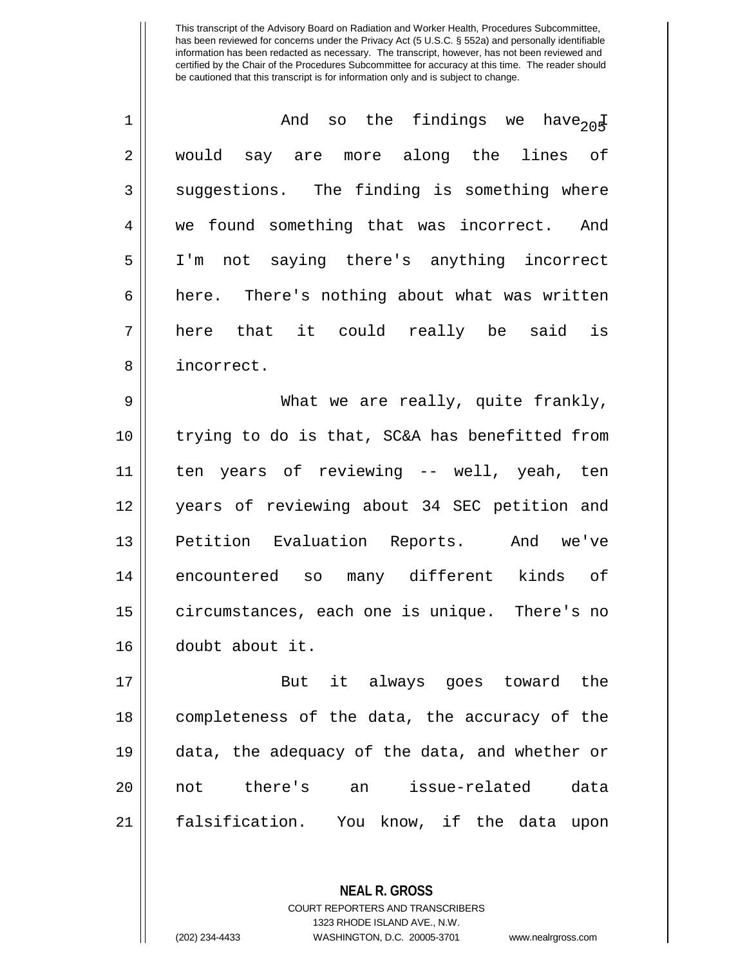| $\mathbf 1$    | And so the findings we have <sub>20</sub> E    |
|----------------|------------------------------------------------|
| $\overline{2}$ | would say are more along the lines of          |
| 3              | suggestions. The finding is something where    |
| 4              | we found something that was incorrect. And     |
| 5              | I'm not saying there's anything incorrect      |
| 6              | here. There's nothing about what was written   |
| 7              | here that it could really be said is           |
| 8              | incorrect.                                     |
| 9              | What we are really, quite frankly,             |
| 10             | trying to do is that, SC&A has benefitted from |
| 11             | ten years of reviewing -- well, yeah, ten      |
| 12             | years of reviewing about 34 SEC petition and   |
| 13             | Petition Evaluation Reports. And we've         |
| 14             | encountered so many different kinds of         |
| 15             | circumstances, each one is unique. There's no  |
| 16             | doubt about it.                                |
| 17             | it always goes toward the<br>But               |
| 18             | completeness of the data, the accuracy of the  |
| 19             | data, the adequacy of the data, and whether or |
| 20             | there's<br>issue-related<br>an<br>data<br>not  |
| 21             | falsification. You know, if the data upon      |

**NEAL R. GROSS** COURT REPORTERS AND TRANSCRIBERS 1323 RHODE ISLAND AVE., N.W.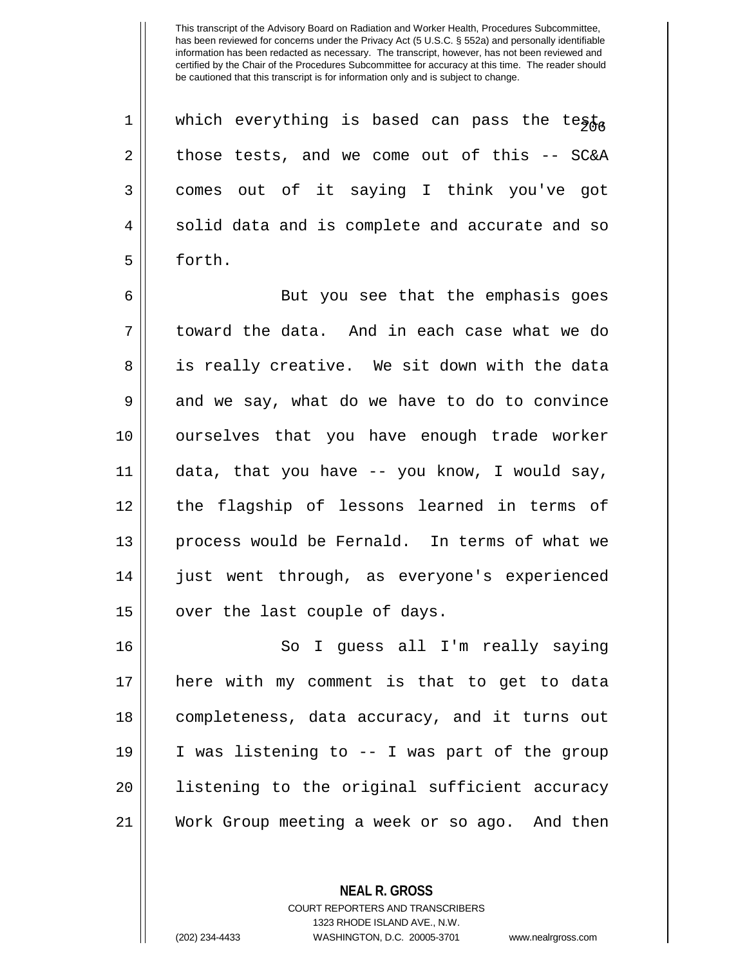1 || which everything is based can pass the testa  $2 \parallel$  those tests, and we come out of this  $-$  SC&A 3 comes out of it saying I think you've got  $4 \parallel$  solid data and is complete and accurate and so 5 | forth.

6 || But you see that the emphasis goes 7 toward the data. And in each case what we do 8 || is really creative. We sit down with the data  $9 \parallel$  and we say, what do we have to do to convince 10 ourselves that you have enough trade worker 11 data, that you have -- you know, I would say, 12 the flagship of lessons learned in terms of 13 || process would be Fernald. In terms of what we 14 || just went through, as everyone's experienced  $15$  | over the last couple of days.

16 || So I guess all I'm really saying here with my comment is that to get to data completeness, data accuracy, and it turns out I was listening to -- I was part of the group listening to the original sufficient accuracy Work Group meeting a week or so ago. And then

**NEAL R. GROSS**

COURT REPORTERS AND TRANSCRIBERS 1323 RHODE ISLAND AVE., N.W.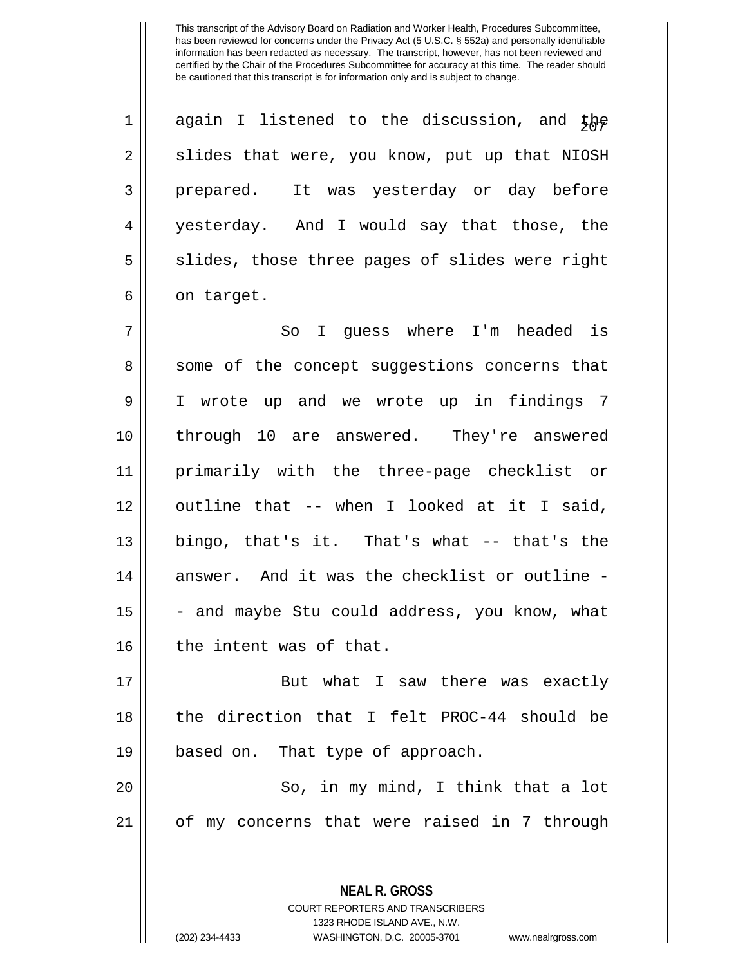| $\mathbf{1}$   | again I listened to the discussion, and the    |
|----------------|------------------------------------------------|
| $\overline{2}$ | slides that were, you know, put up that NIOSH  |
| 3              | prepared. It was yesterday or day before       |
| $\overline{4}$ | yesterday. And I would say that those, the     |
| 5              | slides, those three pages of slides were right |
| б              | on target.                                     |

 So I guess where I'm headed is 8 || some of the concept suggestions concerns that I wrote up and we wrote up in findings 7 through 10 are answered. They're answered primarily with the three-page checklist or outline that -- when I looked at it I said, || bingo, that's it. That's what -- that's the answer. And it was the checklist or outline -  $\vert$  - and maybe Stu could address, you know, what 16 || the intent was of that.

17 || But what I saw there was exactly 18 || the direction that I felt PROC-44 should be 19 || based on. That type of approach.

20 So, in my mind, I think that a lot 21 of my concerns that were raised in 7 through

> **NEAL R. GROSS** COURT REPORTERS AND TRANSCRIBERS 1323 RHODE ISLAND AVE., N.W. (202) 234-4433 WASHINGTON, D.C. 20005-3701 www.nealrgross.com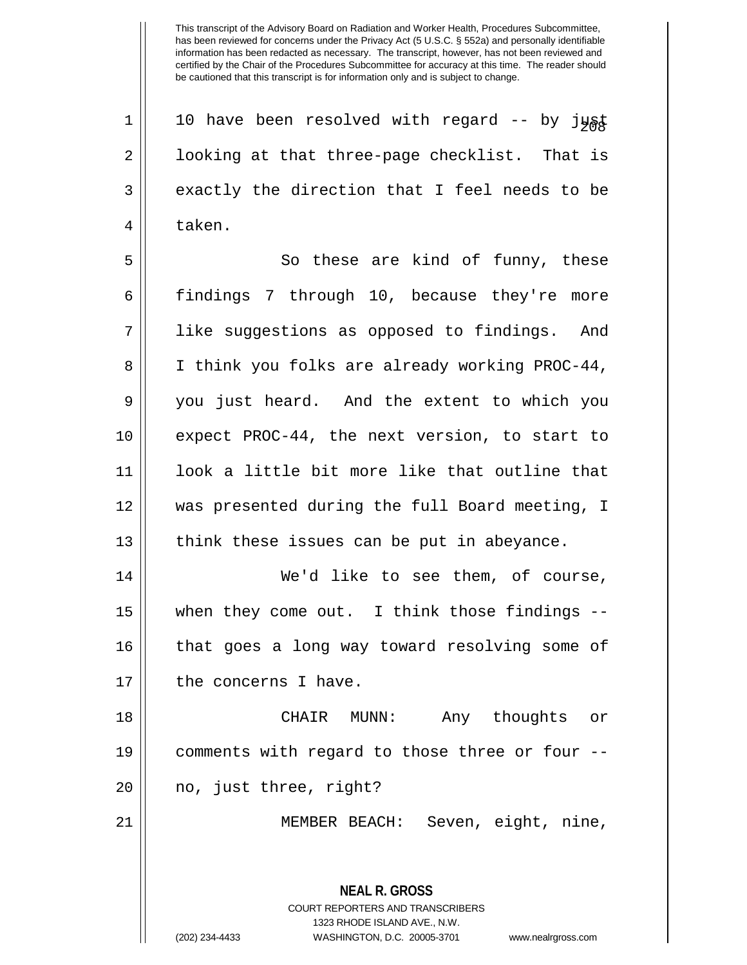**NEAL R. GROSS** COURT REPORTERS AND TRANSCRIBERS 1 | 10 have been resolved with regard -- by just 2 || looking at that three-page checklist. That is  $3 \parallel$  exactly the direction that I feel needs to be 4 l taken. 5 || So these are kind of funny, these 6 findings 7 through 10, because they're more 7 like suggestions as opposed to findings. And 8 || I think you folks are already working PROC-44, 9 you just heard. And the extent to which you 10 expect PROC-44, the next version, to start to 11 look a little bit more like that outline that 12 was presented during the full Board meeting, I  $13$  | think these issues can be put in abeyance. 14 || We'd like to see them, of course, 15 when they come out. I think those findings -- 16 || that goes a long way toward resolving some of  $17$  | the concerns I have. 18 CHAIR MUNN: Any thoughts or 19 comments with regard to those three or four -- 20 || no, just three, right? 21 MEMBER BEACH: Seven, eight, nine,

1323 RHODE ISLAND AVE., N.W.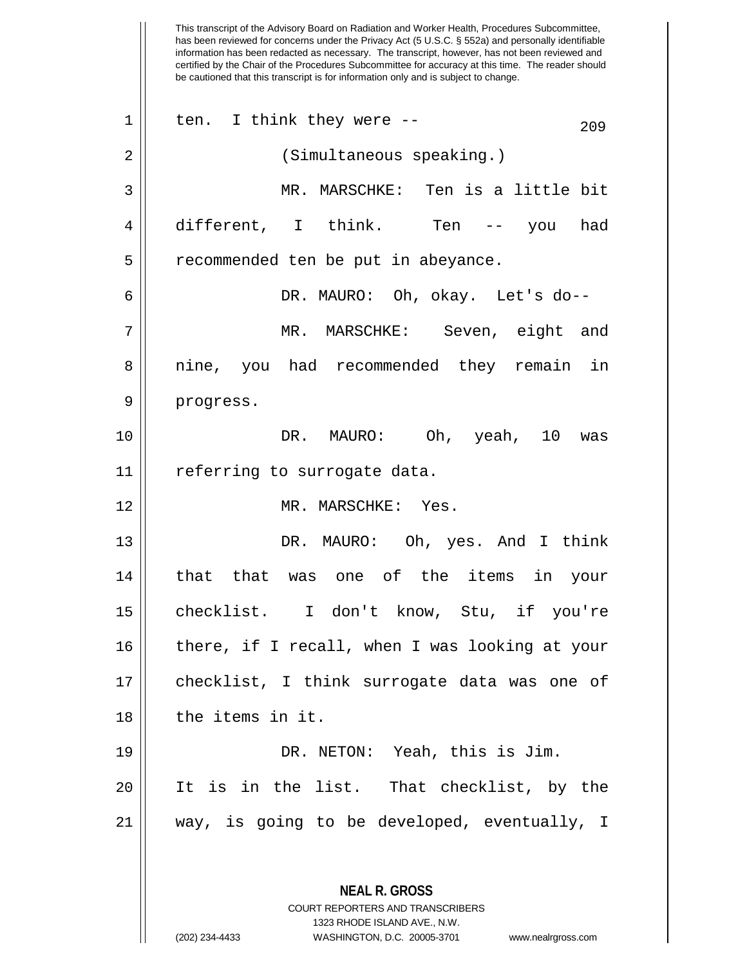has been reviewed for concerns under the Privacy Act (5 U.S.C. § 552a) and personally identifiable information has been redacted as necessary. The transcript, however, has not been reviewed and certified by the Chair of the Procedures Subcommittee for accuracy at this time. The reader should be cautioned that this transcript is for information only and is subject to change. **NEAL R. GROSS** COURT REPORTERS AND TRANSCRIBERS 1323 RHODE ISLAND AVE., N.W.  $1 \parallel$  ten. I think they were --  $209$ 2 || (Simultaneous speaking.) 3 MR. MARSCHKE: Ten is a little bit 4 different, I think. Ten -- you had 5 | recommended ten be put in abeyance. 6 DR. MAURO: Oh, okay. Let's do-- 7 MR. MARSCHKE: Seven, eight and 8 || nine, you had recommended they remain in 9 | progress. 10 DR. MAURO: Oh, yeah, 10 was 11 | referring to surrogate data. 12 || MR. MARSCHKE: Yes. 13 DR. MAURO: Oh, yes. And I think 14 || that that was one of the items in your 15 checklist. I don't know, Stu, if you're 16 there, if I recall, when I was looking at your 17 || checklist, I think surrogate data was one of 18 l the items in it. 19 DR. NETON: Yeah, this is Jim. 20 It is in the list. That checklist, by the 21 way, is going to be developed, eventually, I

(202) 234-4433 WASHINGTON, D.C. 20005-3701 www.nealrgross.com

This transcript of the Advisory Board on Radiation and Worker Health, Procedures Subcommittee,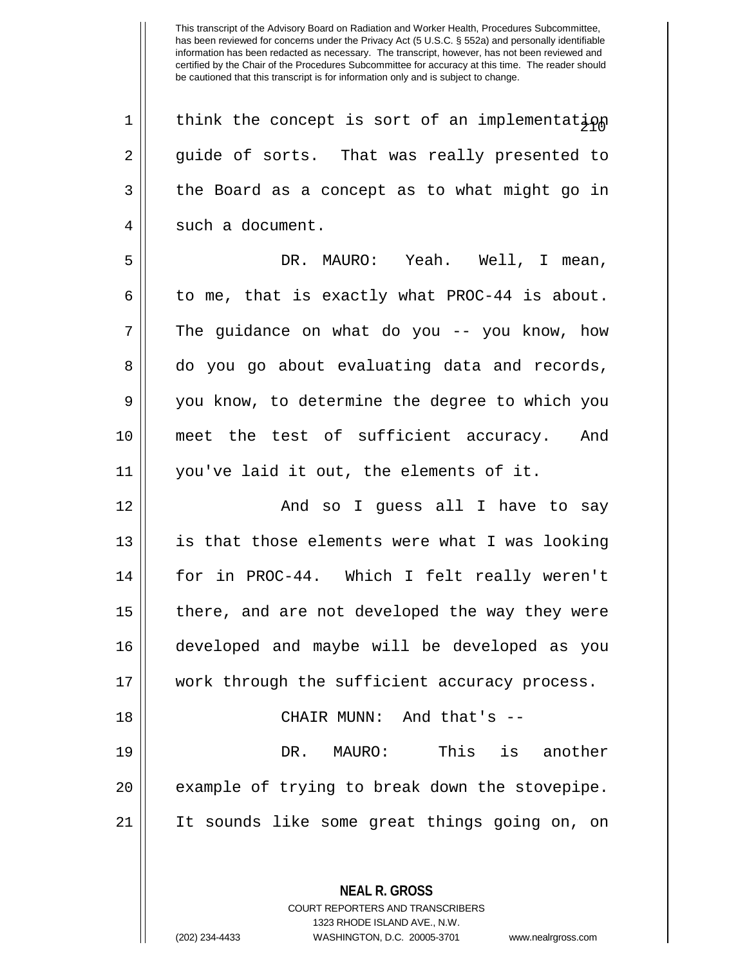| think the concept is sort of an implementation 2 guide of sorts. That was really presented to  $3 \parallel$  the Board as a concept as to what might go in 4 | such a document. DR. MAURO: Yeah. Well, I mean, 6 | to me, that is exactly what PROC-44 is about. The guidance on what do you -- you know, how 8 do you go about evaluating data and records, you know, to determine the degree to which you meet the test of sufficient accuracy. And you've laid it out, the elements of it. And so I guess all I have to say || is that those elements were what I was looking for in PROC-44. Which I felt really weren't 15 || there, and are not developed the way they were developed and maybe will be developed as you 17 || work through the sufficient accuracy process. CHAIR MUNN: And that's -- DR. MAURO: This is another || example of trying to break down the stovepipe. It sounds like some great things going on, on

> COURT REPORTERS AND TRANSCRIBERS 1323 RHODE ISLAND AVE., N.W.

**NEAL R. GROSS**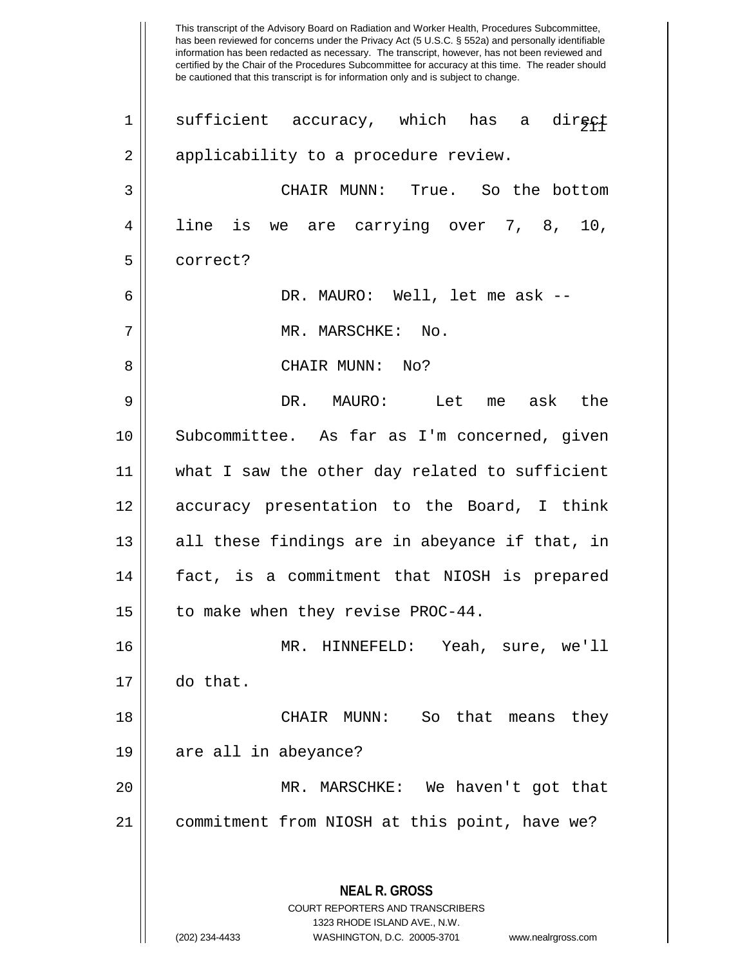This transcript of the Advisory Board on Radiation and Worker Health, Procedures Subcommittee, has been reviewed for concerns under the Privacy Act (5 U.S.C. § 552a) and personally identifiable information has been redacted as necessary. The transcript, however, has not been reviewed and certified by the Chair of the Procedures Subcommittee for accuracy at this time. The reader should be cautioned that this transcript is for information only and is subject to change. **NEAL R. GROSS** COURT REPORTERS AND TRANSCRIBERS 1323 RHODE ISLAND AVE., N.W. 1 || sufficient accuracy, which has a direct 2 || applicability to a procedure review. 3 CHAIR MUNN: True. So the bottom 4 line is we are carrying over 7, 8, 10, 5 correct? 6 DR. MAURO: Well, let me ask -- 7 MR. MARSCHKE: No. 8 CHAIR MUNN: No? 9 DR. MAURO: Let me ask the 10 Subcommittee. As far as I'm concerned, given 11 what I saw the other day related to sufficient 12 accuracy presentation to the Board, I think  $13$  || all these findings are in abeyance if that, in 14 fact, is a commitment that NIOSH is prepared 15 | to make when they revise PROC-44. 16 MR. HINNEFELD: Yeah, sure, we'll 17 do that. 18 CHAIR MUNN: So that means they 19 are all in abeyance? 20 MR. MARSCHKE: We haven't got that 21 commitment from NIOSH at this point, have we?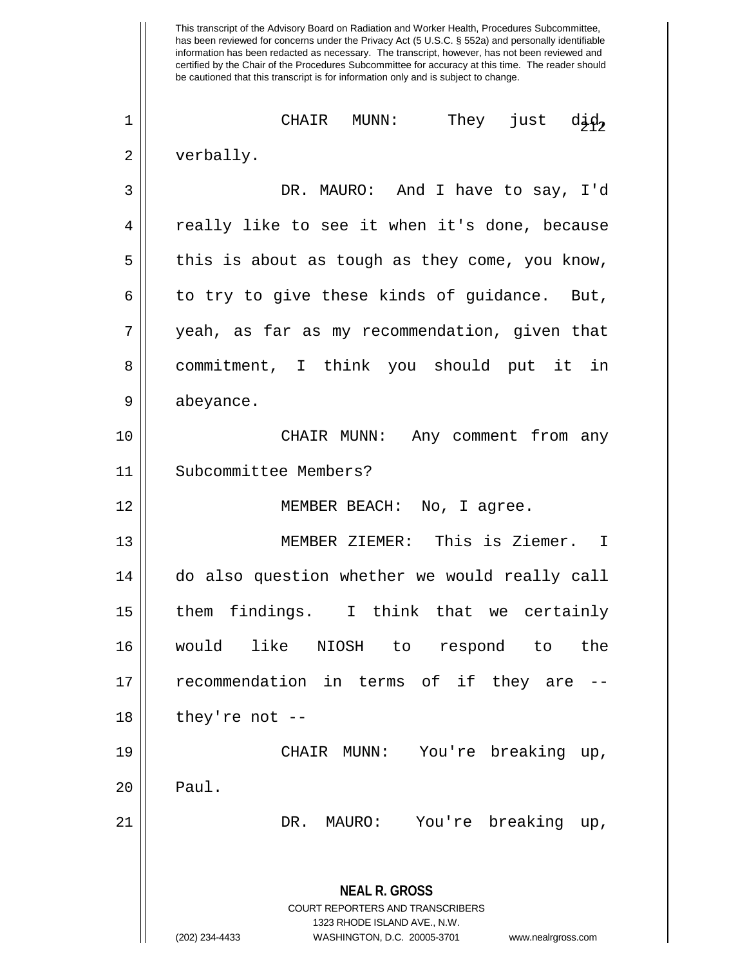This transcript of the Advisory Board on Radiation and Worker Health, Procedures Subcommittee, has been reviewed for concerns under the Privacy Act (5 U.S.C. § 552a) and personally identifiable information has been redacted as necessary. The transcript, however, has not been reviewed and certified by the Chair of the Procedures Subcommittee for accuracy at this time. The reader should be cautioned that this transcript is for information only and is subject to change.  $\begin{array}{ccc} \hbox{\small\it 1}\end{array}$  CHAIR MUNN: They just d $\begin{array}{ccc} \hbox{\small\it 2} \hbox{\small\it 1}\end{array}$ 2 | verbally. 3 DR. MAURO: And I have to say, I'd 4 || really like to see it when it's done, because  $5 \parallel$  this is about as tough as they come, you know, 6 | to try to give these kinds of guidance. But, 7 yeah, as far as my recommendation, given that 8 commitment, I think you should put it in 9 | abeyance. 10 CHAIR MUNN: Any comment from any 11 Subcommittee Members? 12 || MEMBER BEACH: No, I agree. 13 MEMBER ZIEMER: This is Ziemer. I 14  $\parallel$  do also question whether we would really call 15 them findings. I think that we certainly 16 would like NIOSH to respond to the 17 || recommendation in terms of if they are -- $18$  || they're not --19 CHAIR MUNN: You're breaking up,  $20$  | Paul. 21 DR. MAURO: You're breaking up,

> COURT REPORTERS AND TRANSCRIBERS 1323 RHODE ISLAND AVE., N.W. (202) 234-4433 WASHINGTON, D.C. 20005-3701 www.nealrgross.com

**NEAL R. GROSS**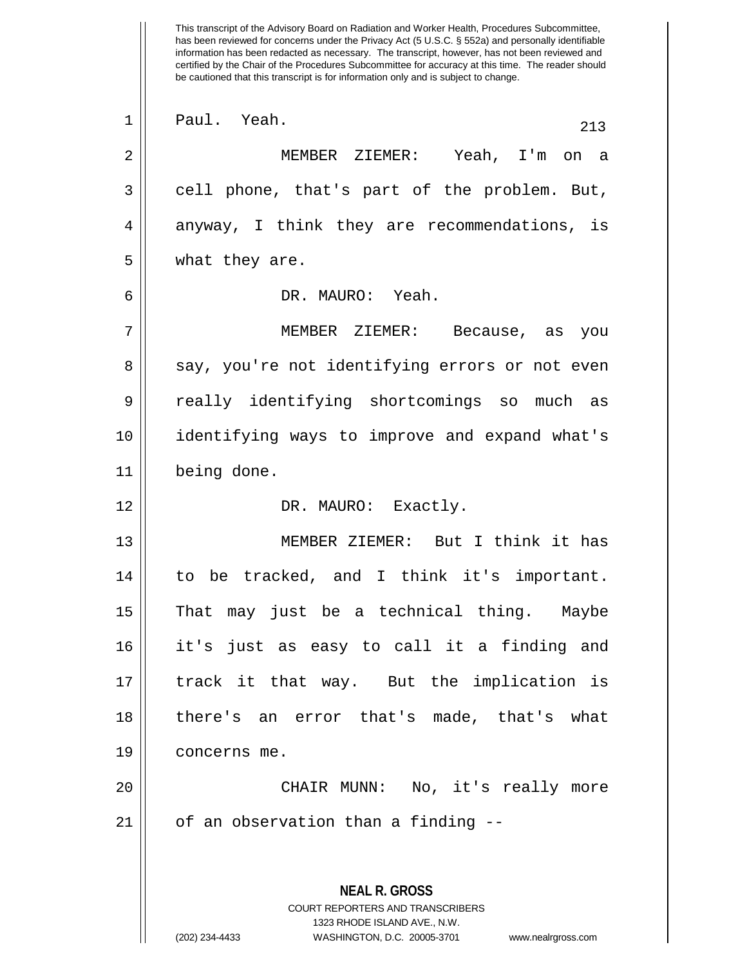This transcript of the Advisory Board on Radiation and Worker Health, Procedures Subcommittee, has been reviewed for concerns under the Privacy Act (5 U.S.C. § 552a) and personally identifiable information has been redacted as necessary. The transcript, however, has not been reviewed and certified by the Chair of the Procedures Subcommittee for accuracy at this time. The reader should be cautioned that this transcript is for information only and is subject to change. **NEAL R. GROSS** COURT REPORTERS AND TRANSCRIBERS 1323 RHODE ISLAND AVE., N.W. 1 || Paul. Yeah. 213 2 MEMBER ZIEMER: Yeah, I'm on a 3 cell phone, that's part of the problem. But,  $4 \parallel$  anyway, I think they are recommendations, is 5 | what they are. 6 DR. MAURO: Yeah. 7 MEMBER ZIEMER: Because, as you 8 say, you're not identifying errors or not even 9 || really identifying shortcomings so much as 10 identifying ways to improve and expand what's 11 being done. 12 DR. MAURO: Exactly. 13 MEMBER ZIEMER: But I think it has 14 to be tracked, and I think it's important. 15 || That may just be a technical thing. Maybe 16 it's just as easy to call it a finding and 17 || track it that way. But the implication is 18 there's an error that's made, that's what 19 concerns me. 20 CHAIR MUNN: No, it's really more  $21$  | of an observation than a finding  $-$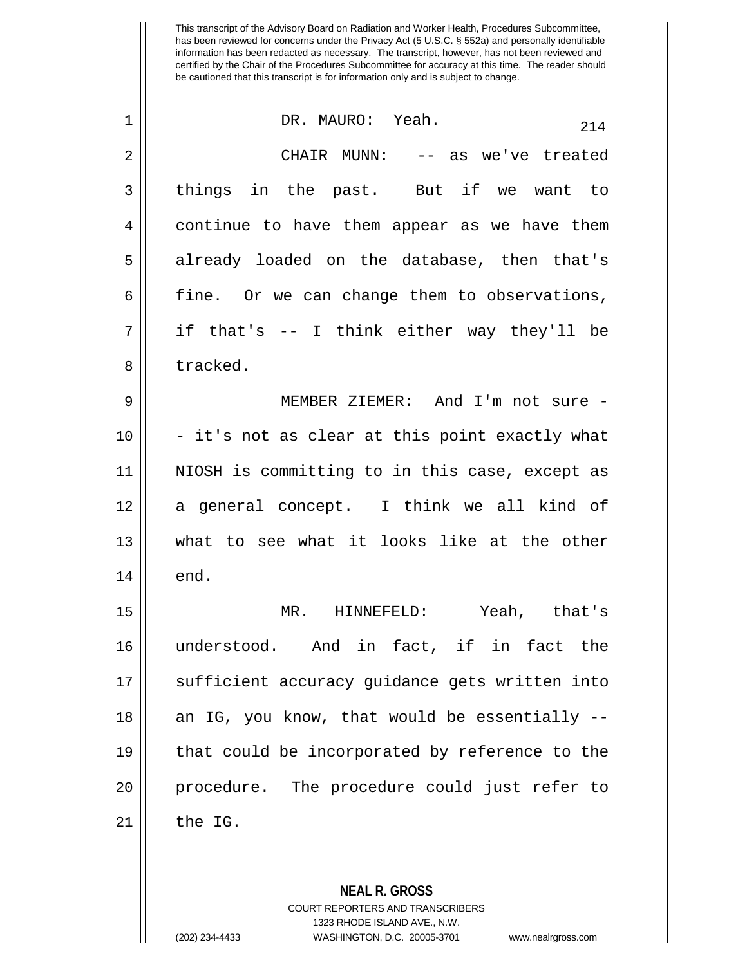| $\mathbf 1$ | DR. MAURO: Yeah.<br>214                        |
|-------------|------------------------------------------------|
| 2           | CHAIR MUNN: -- as we've treated                |
| 3           | things in the past. But if we want to          |
| 4           | continue to have them appear as we have them   |
| 5           | already loaded on the database, then that's    |
| 6           | fine. Or we can change them to observations,   |
| 7           | if that's -- I think either way they'll be     |
| 8           | tracked.                                       |
| 9           | MEMBER ZIEMER: And I'm not sure -              |
| 10          | - it's not as clear at this point exactly what |
| 11          | NIOSH is committing to in this case, except as |
| 12          | a general concept. I think we all kind of      |
| 13          | what to see what it looks like at the other    |
| 14          | end.                                           |
| 15          | MR. HINNEFELD: Yeah, that's                    |
| 16          | understood. And in fact, if in fact the        |
| 17          | sufficient accuracy guidance gets written into |
| 18          | an IG, you know, that would be essentially --  |
| 19          | that could be incorporated by reference to the |
| 20          | procedure. The procedure could just refer to   |
| 21          | the IG.                                        |
|             |                                                |

**NEAL R. GROSS** COURT REPORTERS AND TRANSCRIBERS 1323 RHODE ISLAND AVE., N.W.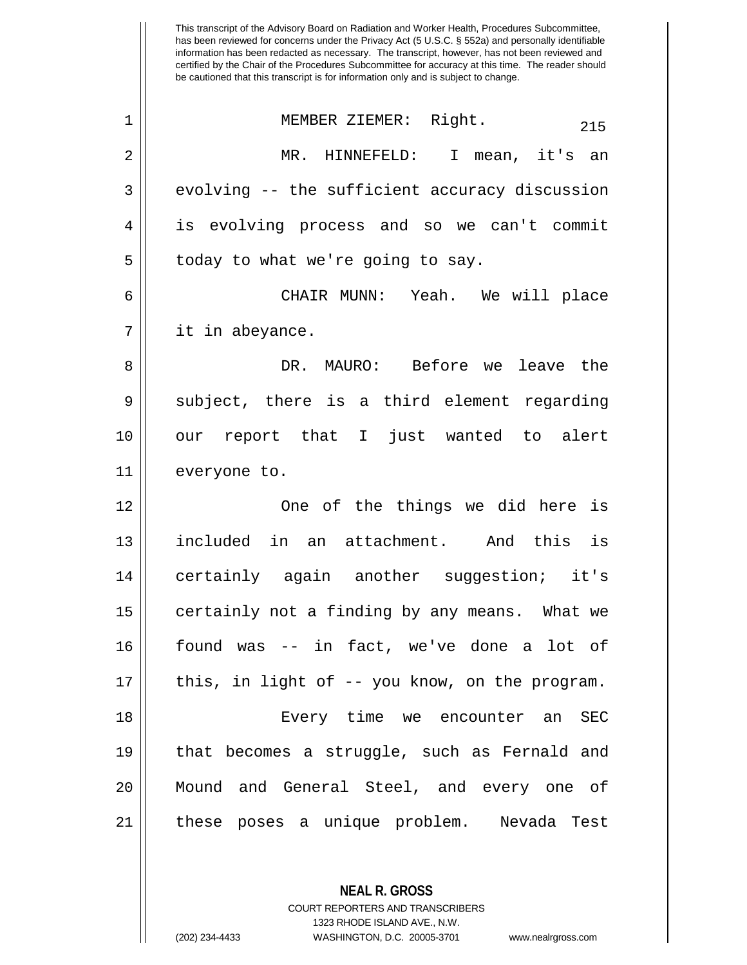This transcript of the Advisory Board on Radiation and Worker Health, Procedures Subcommittee, has been reviewed for concerns under the Privacy Act (5 U.S.C. § 552a) and personally identifiable information has been redacted as necessary. The transcript, however, has not been reviewed and certified by the Chair of the Procedures Subcommittee for accuracy at this time. The reader should be cautioned that this transcript is for information only and is subject to change. <sup>215</sup> <sup>1</sup> MEMBER ZIEMER: Right. 2 MR. HINNEFELD: I mean, it's an  $3 \parallel$  evolving -- the sufficient accuracy discussion 4 is evolving process and so we can't commit  $5 \parallel$  today to what we're going to say. 6 CHAIR MUNN: Yeah. We will place 7 it in abeyance. 8 DR. MAURO: Before we leave the  $9 \parallel$  subject, there is a third element regarding 10 our report that I just wanted to alert 11 everyone to. 12 One of the things we did here is 13 included in an attachment. And this is 14 || certainly again another suggestion; it's 15 || certainly not a finding by any means. What we 16 found was -- in fact, we've done a lot of  $17$  | this, in light of -- you know, on the program. 18 Every time we encounter an SEC 19 that becomes a struggle, such as Fernald and 20 Mound and General Steel, and every one of 21 these poses a unique problem. Nevada Test

> **NEAL R. GROSS** COURT REPORTERS AND TRANSCRIBERS

> > 1323 RHODE ISLAND AVE., N.W.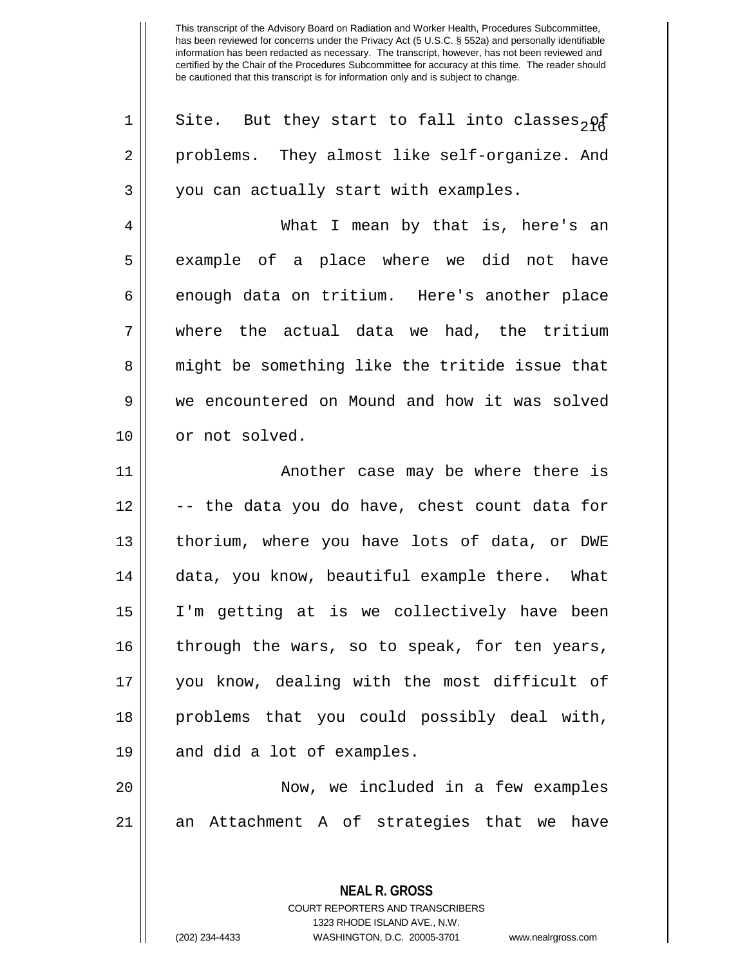| Site. But they start to fall into classes <sub>2Pa</sub> |
|----------------------------------------------------------|
| problems. They almost like self-organize. And            |
| you can actually start with examples.                    |
| What I mean by that is, here's an                        |
| example of a place where we did not have                 |
| enough data on tritium. Here's another place             |
| where the actual data we had, the tritium                |
| might be something like the tritide issue that           |
| we encountered on Mound and how it was solved            |
| or not solved.                                           |
| Another case may be where there is                       |
| -- the data you do have, chest count data for            |
| thorium, where you have lots of data, or DWE             |
| data, you know, beautiful example there. What            |
| I'm getting at is we collectively have been              |
| through the wars, so to speak, for ten years,            |
| you know, dealing with the most difficult of             |
| problems that you could possibly deal with,              |
|                                                          |
| and did a lot of examples.                               |
| Now, we included in a few examples                       |
| Attachment A of strategies that we have<br>an            |
|                                                          |

**NEAL R. GROSS** COURT REPORTERS AND TRANSCRIBERS 1323 RHODE ISLAND AVE., N.W.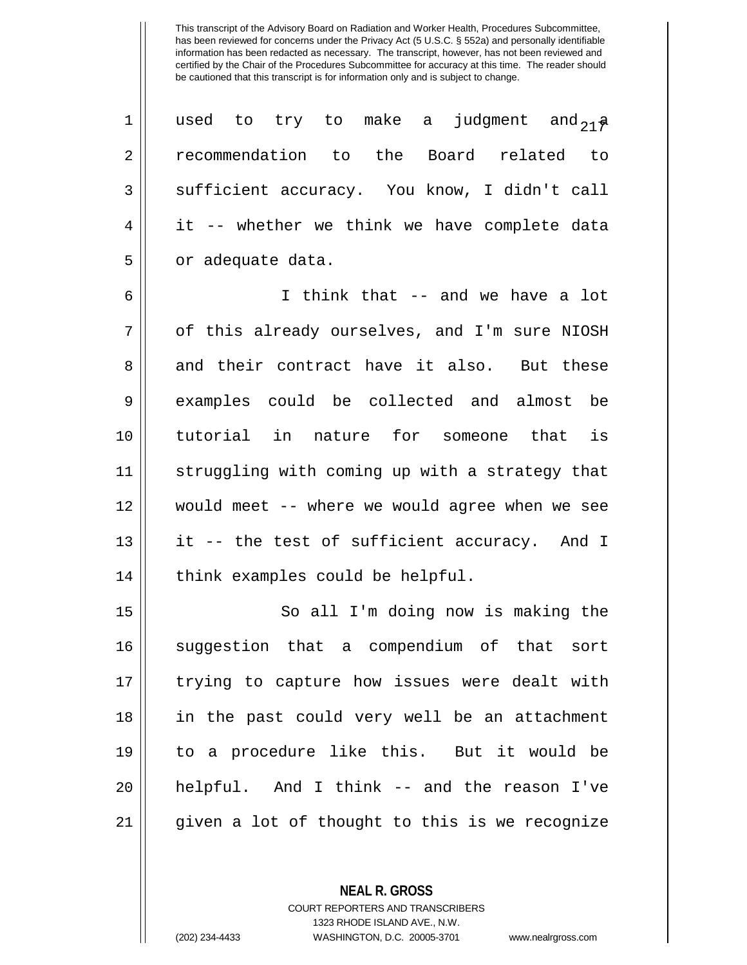| $\mathbf{1}$   | used to try to make a judgment and $_{21}$    |
|----------------|-----------------------------------------------|
| $\overline{2}$ | recommendation to the Board related to        |
| $\mathsf{3}$   | sufficient accuracy. You know, I didn't call  |
| $\overline{4}$ | it -- whether we think we have complete data  |
| 5              | or adequate data.                             |
| $\overline{6}$ | I think that -- and we have a lot             |
| $\mathbf{r}$   | of this already europlyca, and Ilm gure NIOCH |

7 || ot this already ourselves, and I'm sure NIOSH 8 and their contract have it also. But these 9 examples could be collected and almost be 10 tutorial in nature for someone that is 11 || struggling with coming up with a strategy that 12 would meet -- where we would agree when we see  $13$  || it -- the test of sufficient accuracy. And I  $14$  | think examples could be helpful.

15 || So all I'm doing now is making the 16 suggestion that a compendium of that sort 17 || trying to capture how issues were dealt with 18 || in the past could very well be an attachment 19 to a procedure like this. But it would be 20 helpful. And I think -- and the reason I've 21 given a lot of thought to this is we recognize

> **NEAL R. GROSS** COURT REPORTERS AND TRANSCRIBERS 1323 RHODE ISLAND AVE., N.W.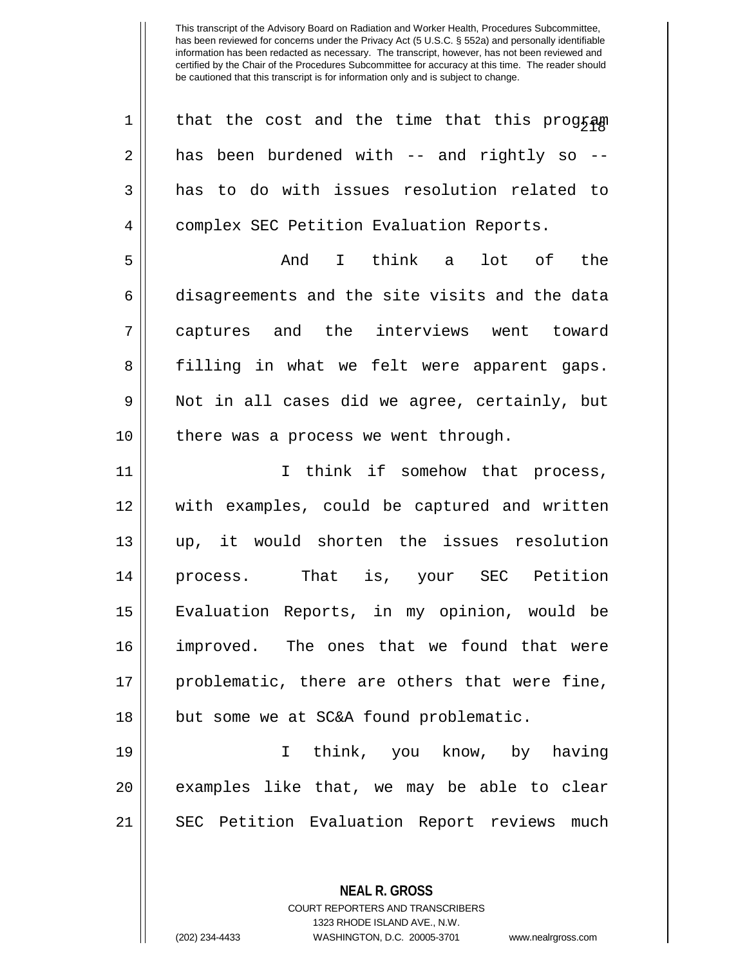| $\mathbf 1$ | that the cost and the time that this program   |
|-------------|------------------------------------------------|
| 2           | has been burdened with -- and rightly so --    |
| 3           | has to do with issues resolution related to    |
| 4           | complex SEC Petition Evaluation Reports.       |
| 5           | I think a<br>lot of the<br>And                 |
| 6           | disagreements and the site visits and the data |
| 7           | captures and the interviews went toward        |
| 8           | filling in what we felt were apparent gaps.    |
| 9           | Not in all cases did we agree, certainly, but  |
| 10          | there was a process we went through.           |
| 11          | I think if somehow that process,               |
| 12          | with examples, could be captured and written   |
| 13          | up, it would shorten the issues resolution     |
| 14          | process. That is, your SEC Petition            |
| 15          | Evaluation Reports, in my opinion, would be    |
| 16          | improved. The ones that we found that were     |
| 17          | problematic, there are others that were fine,  |
| 18          | but some we at SC&A found problematic.         |
| 19          | think, you know, by having<br>I.               |
| 20          | examples like that, we may be able to clear    |
| 21          | SEC Petition Evaluation Report reviews much    |
|             |                                                |
|             |                                                |

**NEAL R. GROSS** COURT REPORTERS AND TRANSCRIBERS 1323 RHODE ISLAND AVE., N.W.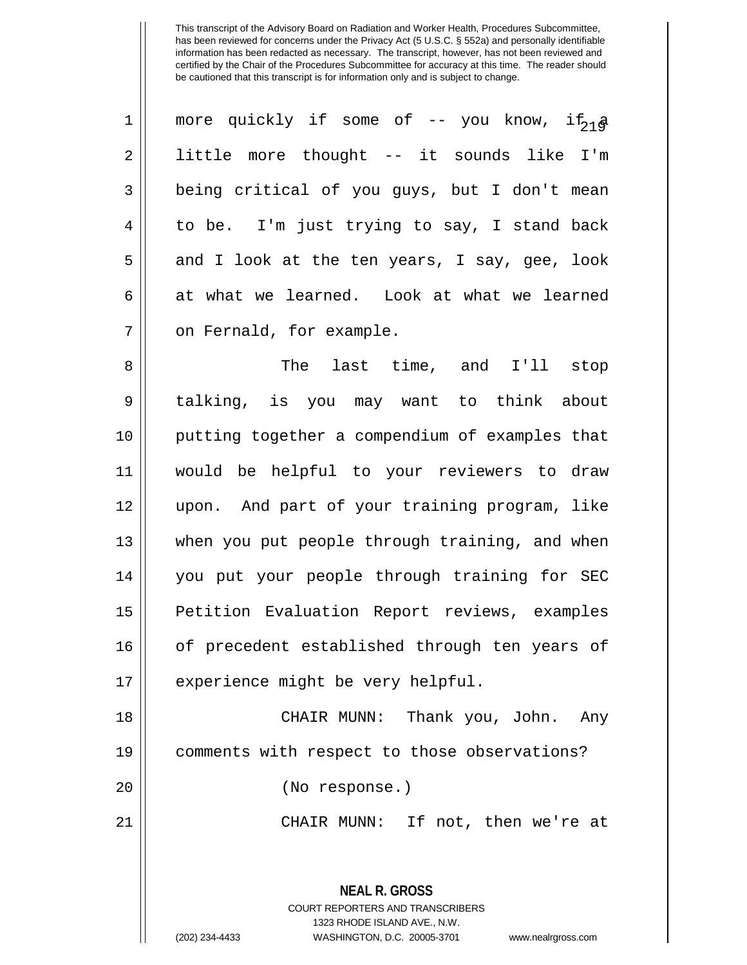| $\mathbf 1$    | more quickly if some of -- you know, if <sub>18</sub>                                                                                                                  |
|----------------|------------------------------------------------------------------------------------------------------------------------------------------------------------------------|
| $\overline{2}$ | little more thought -- it sounds like I'm                                                                                                                              |
| 3              | being critical of you guys, but I don't mean                                                                                                                           |
| 4              | to be. I'm just trying to say, I stand back                                                                                                                            |
| 5              | and I look at the ten years, I say, gee, look                                                                                                                          |
| 6              | at what we learned. Look at what we learned                                                                                                                            |
| 7              | on Fernald, for example.                                                                                                                                               |
| 8              | The last time, and I'll stop                                                                                                                                           |
| 9              | talking, is you may want to think about                                                                                                                                |
| 10             | putting together a compendium of examples that                                                                                                                         |
| 11             | would be helpful to your reviewers to draw                                                                                                                             |
| 12             | upon. And part of your training program, like                                                                                                                          |
| 13             | when you put people through training, and when                                                                                                                         |
| 14             | you put your people through training for SEC                                                                                                                           |
| 15             | Petition Evaluation Report reviews, examples                                                                                                                           |
| 16             | of precedent established through ten years of                                                                                                                          |
| 17             | experience might be very helpful.                                                                                                                                      |
| 18             | CHAIR MUNN: Thank you, John. Any                                                                                                                                       |
| 19             | comments with respect to those observations?                                                                                                                           |
| 20             | (No response.)                                                                                                                                                         |
| 21             | CHAIR MUNN: If not, then we're at                                                                                                                                      |
|                | <b>NEAL R. GROSS</b><br><b>COURT REPORTERS AND TRANSCRIBERS</b><br>1323 RHODE ISLAND AVE., N.W.<br>(202) 234-4433<br>WASHINGTON, D.C. 20005-3701<br>www.nealrgross.com |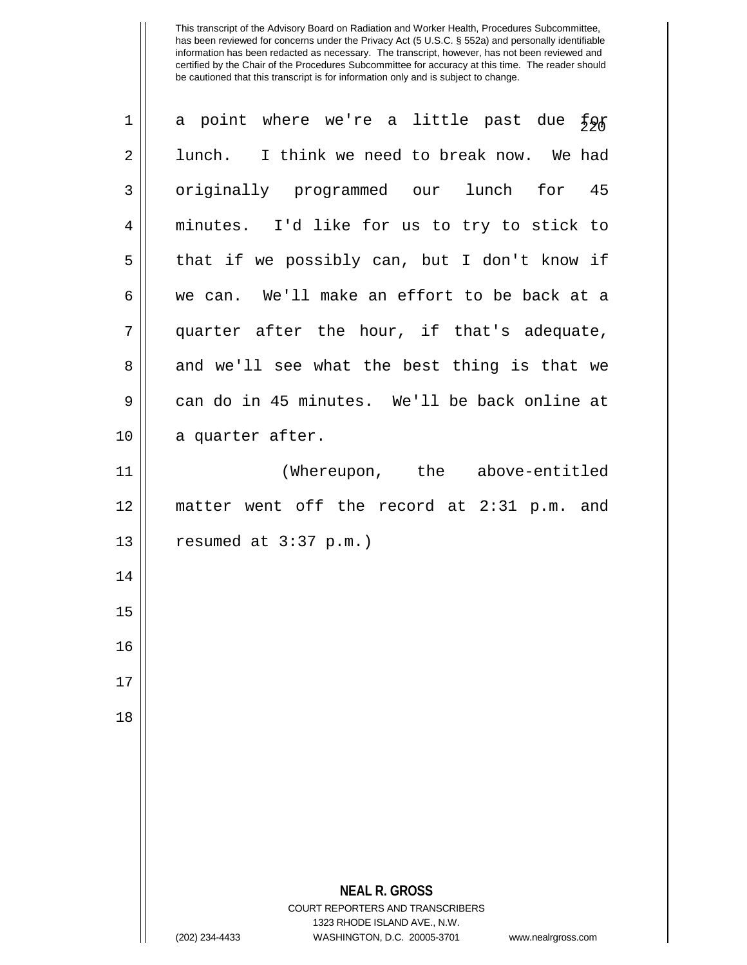| $\mathbf 1$  | a point where we're a little past due<br>48£                                                        |
|--------------|-----------------------------------------------------------------------------------------------------|
| $\sqrt{2}$   | lunch. I think we need to break now. We had                                                         |
| $\mathbf{3}$ | originally programmed our lunch for 45                                                              |
| 4            | minutes. I'd like for us to try to stick to                                                         |
| 5            | that if we possibly can, but I don't know if                                                        |
| 6            | we can. We'll make an effort to be back at a                                                        |
| 7            | quarter after the hour, if that's adequate,                                                         |
| 8            | and we'll see what the best thing is that we                                                        |
| 9            | can do in 45 minutes. We'll be back online at                                                       |
| 10           | a quarter after.                                                                                    |
| 11           | (Whereupon, the above-entitled                                                                      |
| 12           | matter went off the record at 2:31 p.m. and                                                         |
| 13           | resumed at $3:37$ p.m.)                                                                             |
| 14           |                                                                                                     |
| 15           |                                                                                                     |
| 16           |                                                                                                     |
| 17           |                                                                                                     |
| 18           |                                                                                                     |
|              |                                                                                                     |
|              |                                                                                                     |
|              |                                                                                                     |
|              |                                                                                                     |
|              | <b>NEAL R. GROSS</b><br><b>COURT REPORTERS AND TRANSCRIBERS</b>                                     |
|              | 1323 RHODE ISLAND AVE., N.W.<br>WASHINGTON, D.C. 20005-3701<br>(202) 234-4433<br>www.nealrgross.com |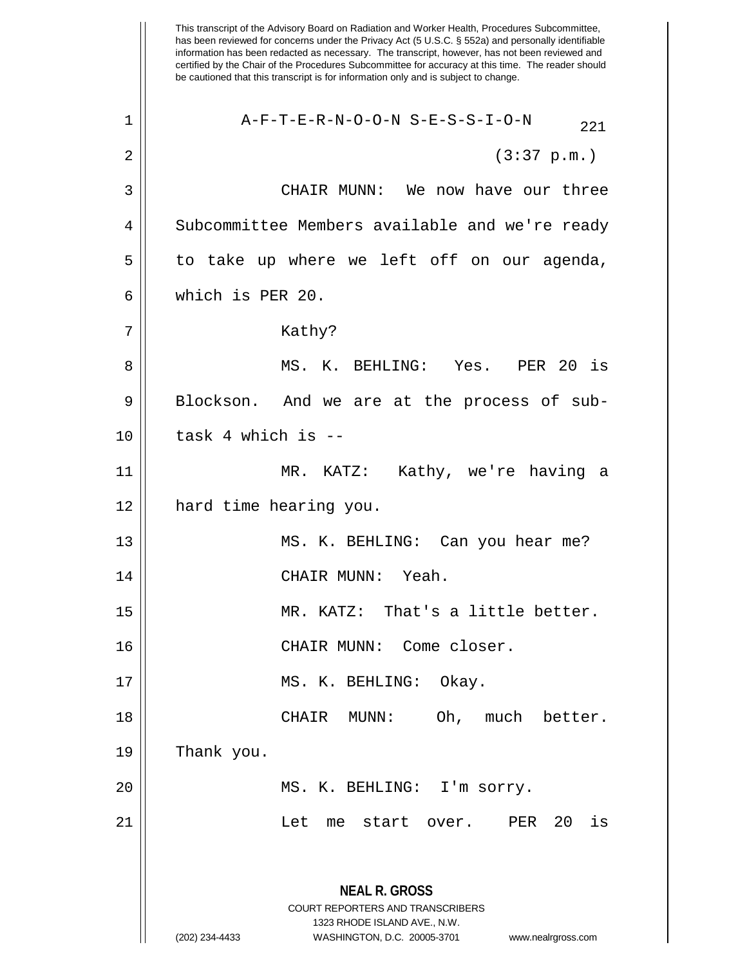This transcript of the Advisory Board on Radiation and Worker Health, Procedures Subcommittee, has been reviewed for concerns under the Privacy Act (5 U.S.C. § 552a) and personally identifiable information has been redacted as necessary. The transcript, however, has not been reviewed and certified by the Chair of the Procedures Subcommittee for accuracy at this time. The reader should be cautioned that this transcript is for information only and is subject to change. **NEAL R. GROSS** COURT REPORTERS AND TRANSCRIBERS 1323 RHODE ISLAND AVE., N.W. (202) 234-4433 WASHINGTON, D.C. 20005-3701 www.nealrgross.com  $1$  |  $\overline{A-F-T-E-R-N-O-O-N}$  S-E-S-S-I-O-N  $221$  $2 \parallel$  (3:37 p.m.) 3 CHAIR MUNN: We now have our three 4 Subcommittee Members available and we're ready  $5 \parallel$  to take up where we left off on our agenda, 6 which is PER 20. 7 || Kathy? 8 MS. K. BEHLING: Yes. PER 20 is  $9 \parallel$  Blockson. And we are at the process of sub- $10$  || task 4 which is  $-$ 11 MR. KATZ: Kathy, we're having a 12 hard time hearing you. 13 || MS. K. BEHLING: Can you hear me? 14 CHAIR MUNN: Yeah. 15 MR. KATZ: That's a little better. 16 || CHAIR MUNN: Come closer. 17 MS. K. BEHLING: Okay. 18 CHAIR MUNN: Oh, much better.  $19$  | Thank you. 20 || MS. K. BEHLING: I'm sorry. 21 Let me start over. PER 20 is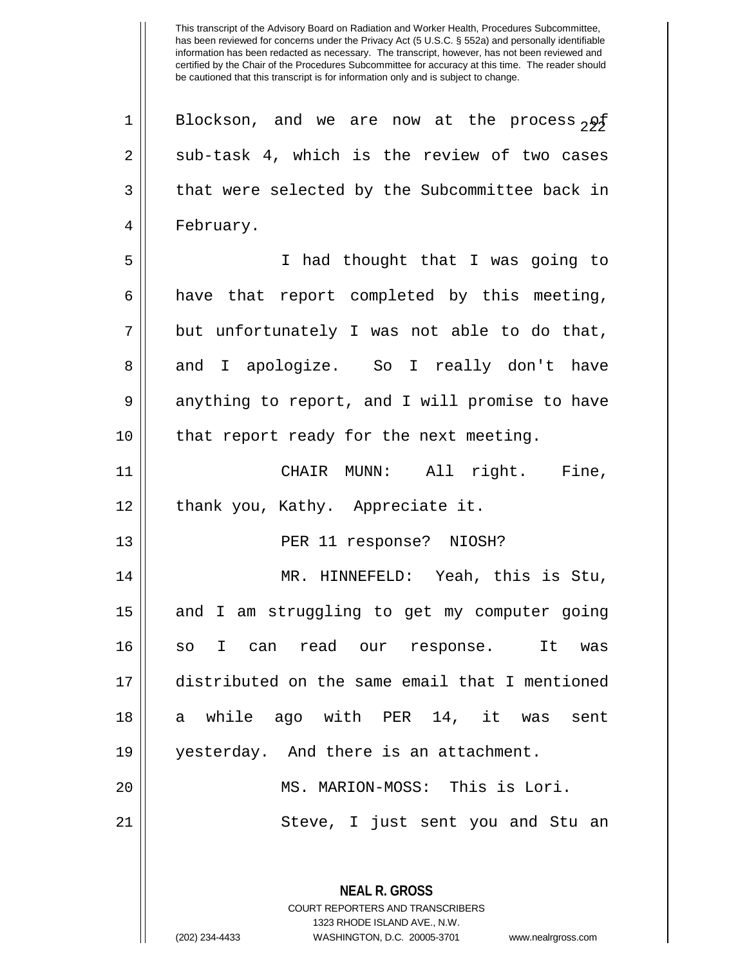**NEAL R. GROSS** COURT REPORTERS AND TRANSCRIBERS 1323 RHODE ISLAND AVE., N.W. 1 || Blockson, and we are now at the process  $_2$ 9 $\sharp$  $2 \parallel$  sub-task 4, which is the review of two cases  $3 \parallel$  that were selected by the Subcommittee back in 4 | February. 5 I had thought that I was going to  $6 \parallel$  have that report completed by this meeting,  $7 ||$  but unfortunately I was not able to do that, 8 and I apologize. So I really don't have  $9 \parallel$  anything to report, and I will promise to have 10 || that report ready for the next meeting. 11 CHAIR MUNN: All right. Fine, 12 || thank you, Kathy. Appreciate it. 13 || PER 11 response? NIOSH? 14 MR. HINNEFELD: Yeah, this is Stu, 15 || and I am struggling to get my computer going 16 so I can read our response. It was 17 distributed on the same email that I mentioned 18 a while ago with PER 14, it was sent 19 yesterday. And there is an attachment. 20 MS. MARION-MOSS: This is Lori. 21 Steve, I just sent you and Stu an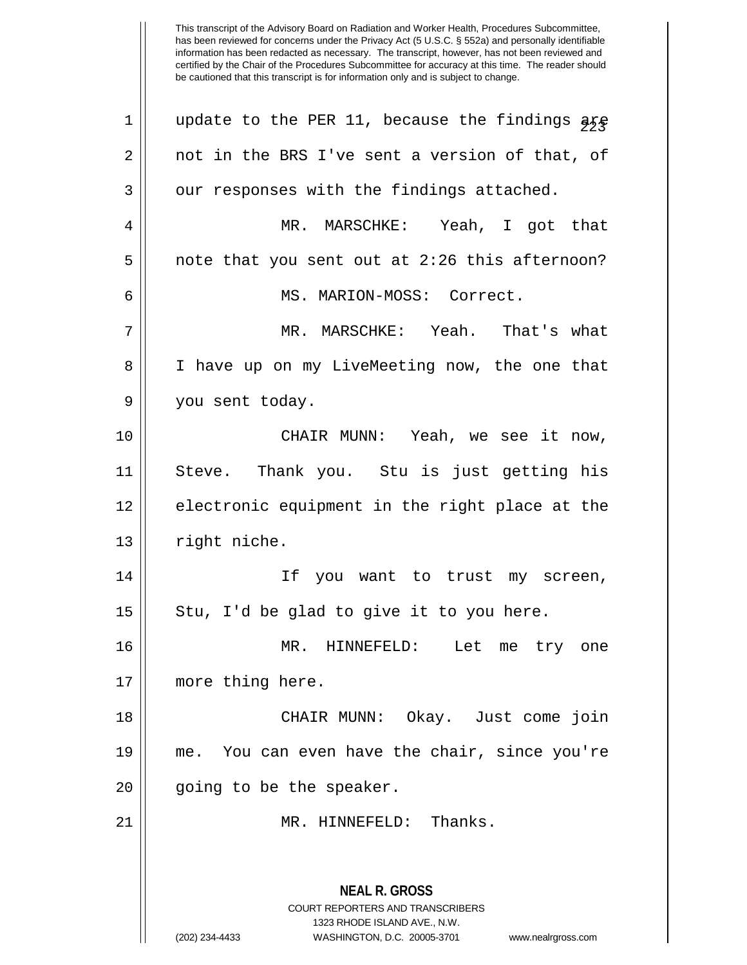| $\mathbf 1$    | update to the PER 11, because the findings are                                                                                                                         |
|----------------|------------------------------------------------------------------------------------------------------------------------------------------------------------------------|
| $\overline{2}$ | not in the BRS I've sent a version of that, of                                                                                                                         |
| 3              | our responses with the findings attached.                                                                                                                              |
| 4              | MR. MARSCHKE: Yeah, I got that                                                                                                                                         |
| 5              | note that you sent out at 2:26 this afternoon?                                                                                                                         |
| 6              | MS. MARION-MOSS: Correct.                                                                                                                                              |
| 7              | MR. MARSCHKE: Yeah. That's what                                                                                                                                        |
| 8              | I have up on my LiveMeeting now, the one that                                                                                                                          |
| 9              | you sent today.                                                                                                                                                        |
| 10             | CHAIR MUNN: Yeah, we see it now,                                                                                                                                       |
| 11             | Steve. Thank you. Stu is just getting his                                                                                                                              |
| 12             | electronic equipment in the right place at the                                                                                                                         |
| 13             | right niche.                                                                                                                                                           |
| 14             | If you want to trust my screen,                                                                                                                                        |
| 15             | Stu, I'd be glad to give it to you here.                                                                                                                               |
| 16             | MR. HINNEFELD: Let me try one                                                                                                                                          |
| 17             | more thing here.                                                                                                                                                       |
| 18             | CHAIR MUNN: Okay. Just come join                                                                                                                                       |
| 19             | me. You can even have the chair, since you're                                                                                                                          |
| 20             | going to be the speaker.                                                                                                                                               |
| 21             | MR. HINNEFELD: Thanks.                                                                                                                                                 |
|                | <b>NEAL R. GROSS</b><br><b>COURT REPORTERS AND TRANSCRIBERS</b><br>1323 RHODE ISLAND AVE., N.W.<br>WASHINGTON, D.C. 20005-3701<br>(202) 234-4433<br>www.nealrgross.com |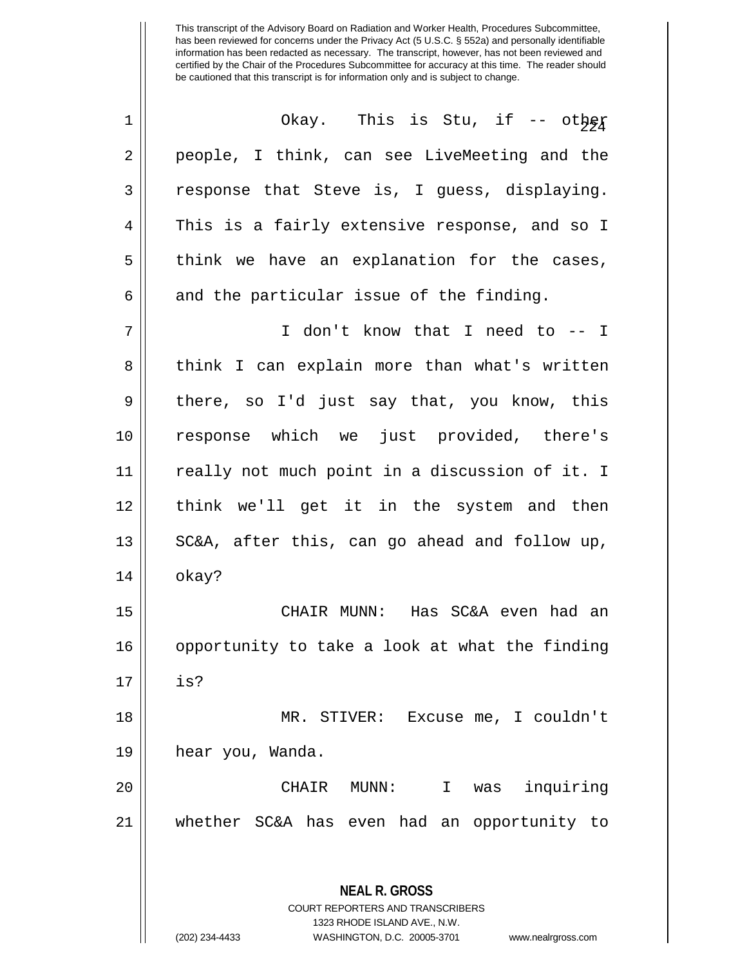| $\mathbf 1$ | Okay. This is Stu, if -- other                                                                  |
|-------------|-------------------------------------------------------------------------------------------------|
| 2           | people, I think, can see LiveMeeting and the                                                    |
| 3           | response that Steve is, I guess, displaying.                                                    |
| 4           | This is a fairly extensive response, and so I                                                   |
| 5           | think we have an explanation for the cases,                                                     |
| 6           | and the particular issue of the finding.                                                        |
| 7           | I don't know that I need to -- I                                                                |
| 8           | think I can explain more than what's written                                                    |
| 9           | there, so I'd just say that, you know, this                                                     |
| 10          | response which we just provided, there's                                                        |
| 11          | really not much point in a discussion of it. I                                                  |
| 12          | think we'll get it in the system and then                                                       |
| 13          | SC&A, after this, can go ahead and follow up,                                                   |
| 14          | okay?                                                                                           |
| 15          | CHAIR MUNN: Has SC&A even had an                                                                |
| 16          | opportunity to take a look at what the finding                                                  |
| 17          | is?                                                                                             |
| 18          | MR. STIVER: Excuse me, I couldn't                                                               |
| 19          | hear you, Wanda.                                                                                |
| 20          | inquiring<br>CHAIR MUNN:<br>I.<br>was                                                           |
| 21          | whether SC&A has even had an opportunity to                                                     |
|             |                                                                                                 |
|             | <b>NEAL R. GROSS</b><br><b>COURT REPORTERS AND TRANSCRIBERS</b><br>1323 RHODE ISLAND AVE., N.W. |

 $\mathbb{I}$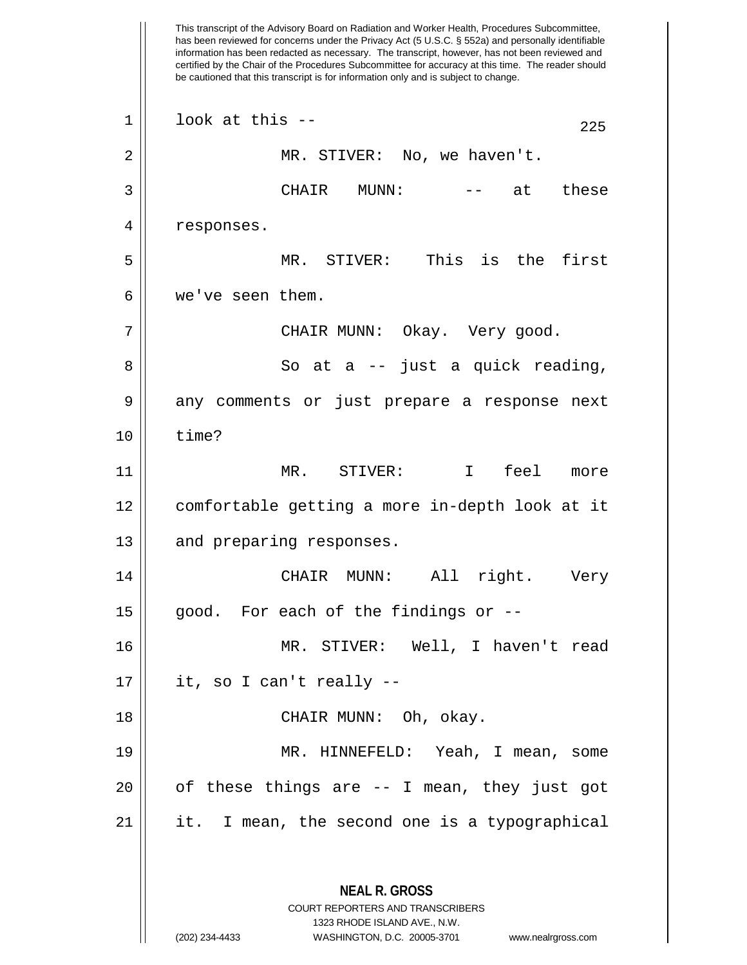This transcript of the Advisory Board on Radiation and Worker Health, Procedures Subcommittee, has been reviewed for concerns under the Privacy Act (5 U.S.C. § 552a) and personally identifiable information has been redacted as necessary. The transcript, however, has not been reviewed and certified by the Chair of the Procedures Subcommittee for accuracy at this time. The reader should be cautioned that this transcript is for information only and is subject to change. **NEAL R. GROSS** COURT REPORTERS AND TRANSCRIBERS 1323 RHODE ISLAND AVE., N.W.  $1 \parallel$  look at this --2 || MR. STIVER: No, we haven't. 3 CHAIR MUNN: -- at these 4 | responses. 5 MR. STIVER: This is the first 6 we've seen them. 7 CHAIR MUNN: Okay. Very good. 8 || So at a -- just a quick reading, 9 || any comments or just prepare a response next  $10 \parallel$  time? 11 MR. STIVER: I feel more 12 comfortable getting a more in-depth look at it 13 || and preparing responses. 14 || CHAIR MUNN: All right. Very  $15$  || good. For each of the findings or  $-$ -16 MR. STIVER: Well, I haven't read  $17 \parallel$  it, so I can't really --18 CHAIR MUNN: Oh, okay. 19 MR. HINNEFELD: Yeah, I mean, some  $20$  || of these things are  $-$  I mean, they just got  $21$  || it. I mean, the second one is a typographical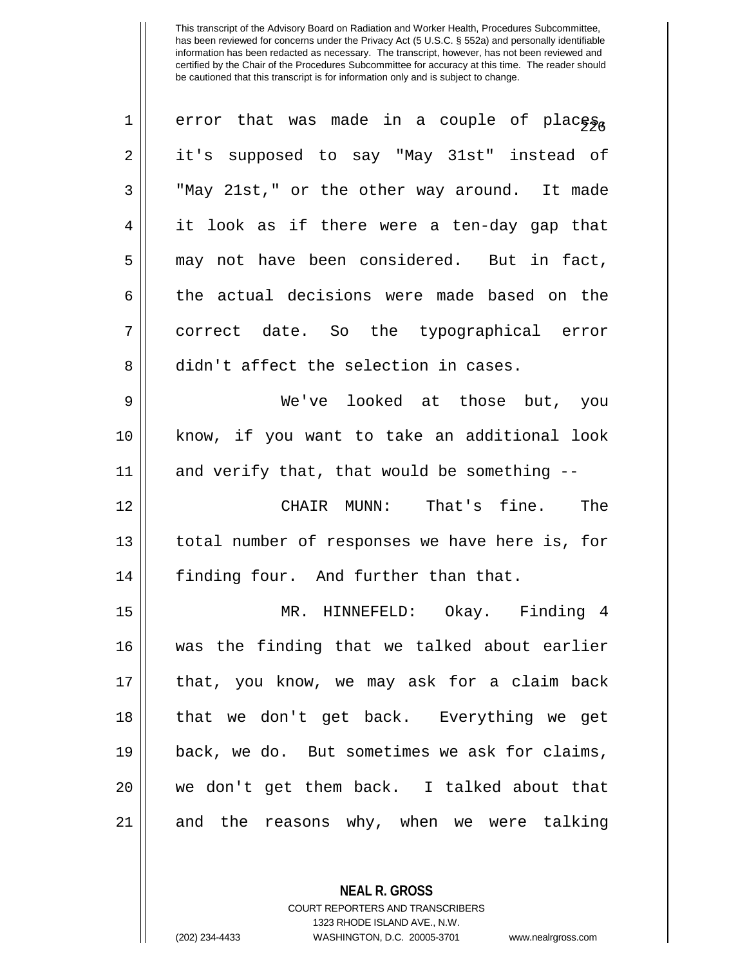| $\mathbf 1$    | error that was made in a couple of places,     |
|----------------|------------------------------------------------|
| $\overline{2}$ | it's supposed to say "May 31st" instead of     |
| 3              | "May 21st," or the other way around. It made   |
|                |                                                |
| 4              | it look as if there were a ten-day gap that    |
| 5              | may not have been considered. But in fact,     |
| 6              | the actual decisions were made based on the    |
| 7              | correct date. So the typographical error       |
| 8              | didn't affect the selection in cases.          |
| $\mathsf 9$    | We've looked at those but, you                 |
| 10             | know, if you want to take an additional look   |
| 11             | and verify that, that would be something --    |
| 12             | CHAIR MUNN: That's fine. The                   |
| 13             | total number of responses we have here is, for |
| 14             | finding four. And further than that.           |
| 15             | MR. HINNEFELD: Okay. Finding 4                 |
| 16             | was the finding that we talked about earlier   |
| 17             | that, you know, we may ask for a claim back    |
| 18             | that we don't get back. Everything we get      |
| 19             | back, we do. But sometimes we ask for claims,  |
| 20             | we don't get them back. I talked about that    |
| 21             | and the reasons why, when we were talking      |

COURT REPORTERS AND TRANSCRIBERS

**NEAL R. GROSS**

1323 RHODE ISLAND AVE., N.W.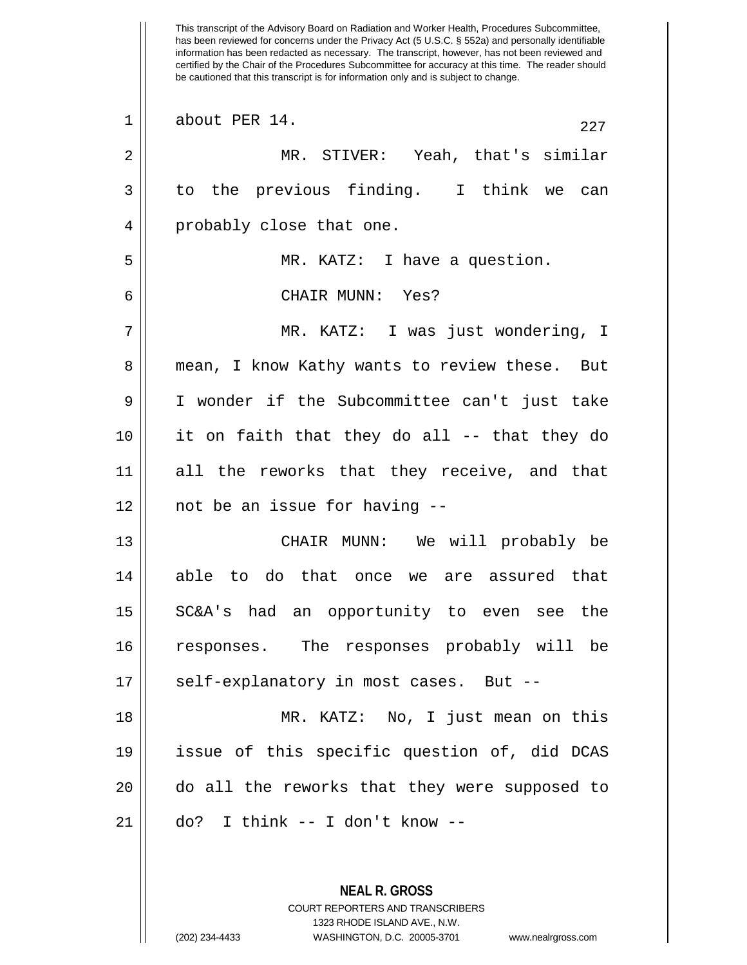This transcript of the Advisory Board on Radiation and Worker Health, Procedures Subcommittee, has been reviewed for concerns under the Privacy Act (5 U.S.C. § 552a) and personally identifiable information has been redacted as necessary. The transcript, however, has not been reviewed and certified by the Chair of the Procedures Subcommittee for accuracy at this time. The reader should be cautioned that this transcript is for information only and is subject to change.  $\begin{array}{|c|c|c|c|c|}\n1 & \text{about PER 14.} & & & & & & & 227 \\
\end{array}$ 2 MR. STIVER: Yeah, that's similar  $3 \parallel$  to the previous finding. I think we can 4 || probably close that one. 5 MR. KATZ: I have a question. 6 CHAIR MUNN: Yes? 7 MR. KATZ: I was just wondering, I 8 || mean, I know Kathy wants to review these. But 9 I wonder if the Subcommittee can't just take 10 it on faith that they do all -- that they do 11 all the reworks that they receive, and that 12 not be an issue for having -- 13 CHAIR MUNN: We will probably be 14 able to do that once we are assured that 15 SC&A's had an opportunity to even see the 16 responses. The responses probably will be 17 || self-explanatory in most cases. But --18 MR. KATZ: No, I just mean on this 19 issue of this specific question of, did DCAS 20 do all the reworks that they were supposed to  $21 \parallel$  do? I think -- I don't know --

> **NEAL R. GROSS** COURT REPORTERS AND TRANSCRIBERS 1323 RHODE ISLAND AVE., N.W. (202) 234-4433 WASHINGTON, D.C. 20005-3701 www.nealrgross.com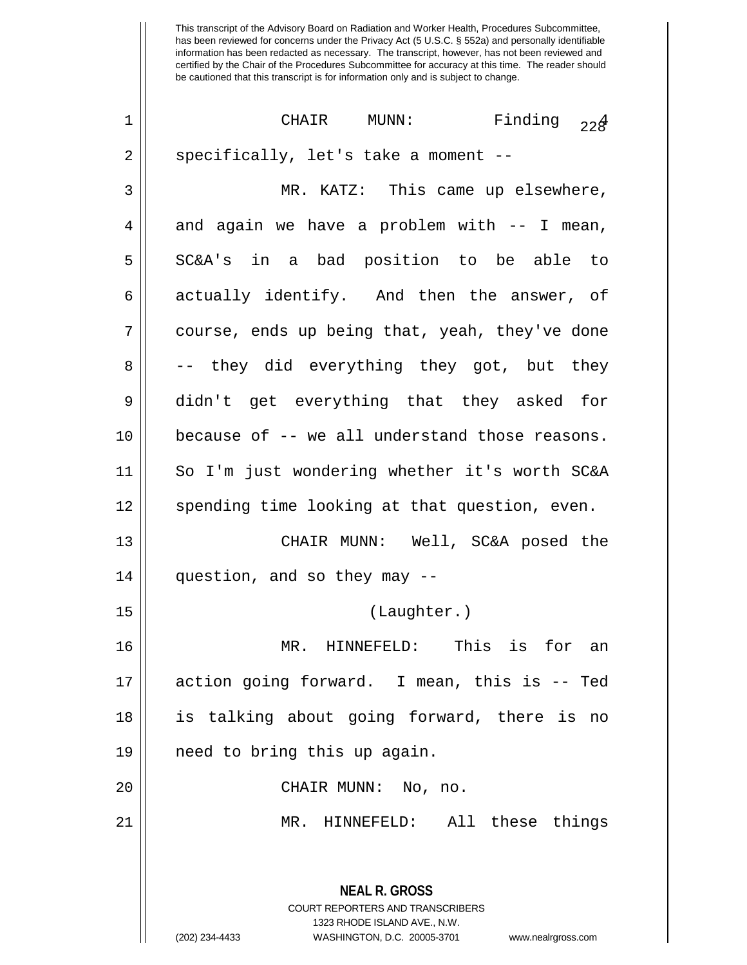| $\mathbf 1$ | Finding $22\frac{4}{3}$<br>CHAIR MUNN:                                                                                                                                 |
|-------------|------------------------------------------------------------------------------------------------------------------------------------------------------------------------|
| 2           | specifically, let's take a moment --                                                                                                                                   |
| 3           | MR. KATZ: This came up elsewhere,                                                                                                                                      |
| 4           | and again we have a problem with -- I mean,                                                                                                                            |
| 5           | SC&A's in a bad position to be able to                                                                                                                                 |
| 6           | actually identify. And then the answer, of                                                                                                                             |
| 7           | course, ends up being that, yeah, they've done                                                                                                                         |
| 8           | -- they did everything they got, but they                                                                                                                              |
| 9           | didn't get everything that they asked for                                                                                                                              |
| 10          | because of -- we all understand those reasons.                                                                                                                         |
| 11          | So I'm just wondering whether it's worth SC&A                                                                                                                          |
| 12          | spending time looking at that question, even.                                                                                                                          |
| 13          | CHAIR MUNN: Well, SC&A posed the                                                                                                                                       |
| 14          | question, and so they may --                                                                                                                                           |
| 15          | (Laughter.)                                                                                                                                                            |
| 16          | HINNEFELD: This is for<br>MR.<br>an                                                                                                                                    |
| 17          | action going forward. I mean, this is -- Ted                                                                                                                           |
| 18          | is talking about going forward, there is no                                                                                                                            |
| 19          | need to bring this up again.                                                                                                                                           |
| 20          | CHAIR MUNN: No, no.                                                                                                                                                    |
| 21          | MR. HINNEFELD: All these things                                                                                                                                        |
|             | <b>NEAL R. GROSS</b><br><b>COURT REPORTERS AND TRANSCRIBERS</b><br>1323 RHODE ISLAND AVE., N.W.<br>(202) 234-4433<br>WASHINGTON, D.C. 20005-3701<br>www.nealrgross.com |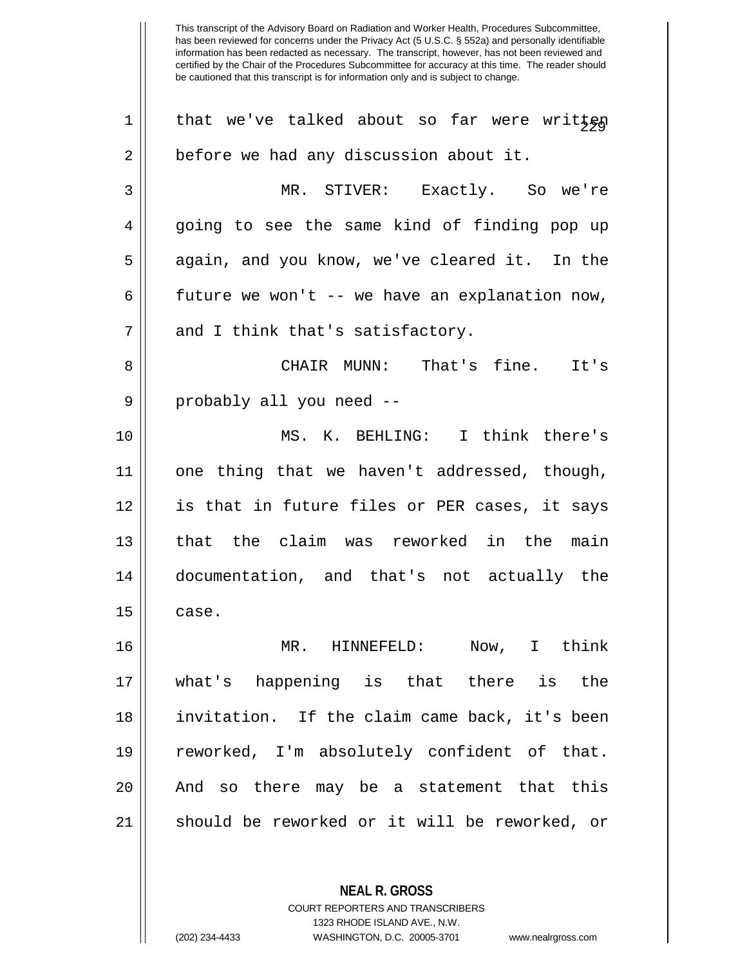1 that we've talked about so far were written  $2 \parallel$  before we had any discussion about it. MR. STIVER: Exactly. So we're 4 || going to see the same kind of finding pop up 5 || again, and you know, we've cleared it. In the  $\parallel$  future we won't -- we have an explanation now,  $7 ||$  and I think that's satisfactory. CHAIR MUNN: That's fine. It's 9 || probably all you need -- MS. K. BEHLING: I think there's one thing that we haven't addressed, though, is that in future files or PER cases, it says 13 || that the claim was reworked in the main documentation, and that's not actually the  $15 \parallel$  case. MR. HINNEFELD: Now, I think what's happening is that there is the invitation. If the claim came back, it's been reworked, I'm absolutely confident of that. 20 || And so there may be a statement that this should be reworked or it will be reworked, or

> **NEAL R. GROSS** COURT REPORTERS AND TRANSCRIBERS 1323 RHODE ISLAND AVE., N.W.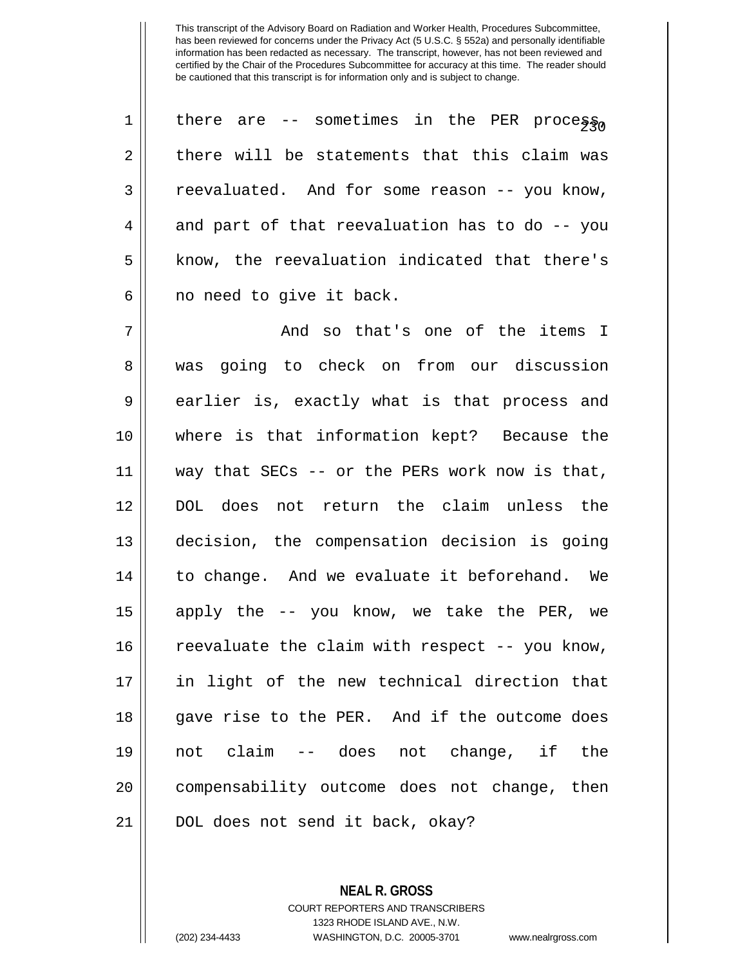| $\mathbf 1$ | there are -- sometimes in the PER process,        |
|-------------|---------------------------------------------------|
| 2           | there will be statements that this claim was      |
| 3           | reevaluated. And for some reason -- you know,     |
| 4           | and part of that reevaluation has to do -- you    |
| 5           | know, the reevaluation indicated that there's     |
| 6           | no need to give it back.                          |
| 7           | And so that's one of the items I                  |
| 8           | was going to check on from our discussion         |
| 9           | earlier is, exactly what is that process and      |
| 10          | where is that information kept? Because the       |
| 11          | way that SECs $-$ - or the PERs work now is that, |
| 12          | DOL does not return the claim unless the          |
| 13          | decision, the compensation decision is going      |
| 14          | to change. And we evaluate it beforehand. We      |
| 15          | apply the -- you know, we take the PER, we        |
| 16          | reevaluate the claim with respect -- you know,    |
| 17          | in light of the new technical direction that      |
| 18          | gave rise to the PER. And if the outcome does     |
| 19          | not claim -- does not change, if the              |
| 20          | compensability outcome does not change, then      |
| 21          | DOL does not send it back, okay?                  |

**NEAL R. GROSS** COURT REPORTERS AND TRANSCRIBERS 1323 RHODE ISLAND AVE., N.W. (202) 234-4433 WASHINGTON, D.C. 20005-3701 www.nealrgross.com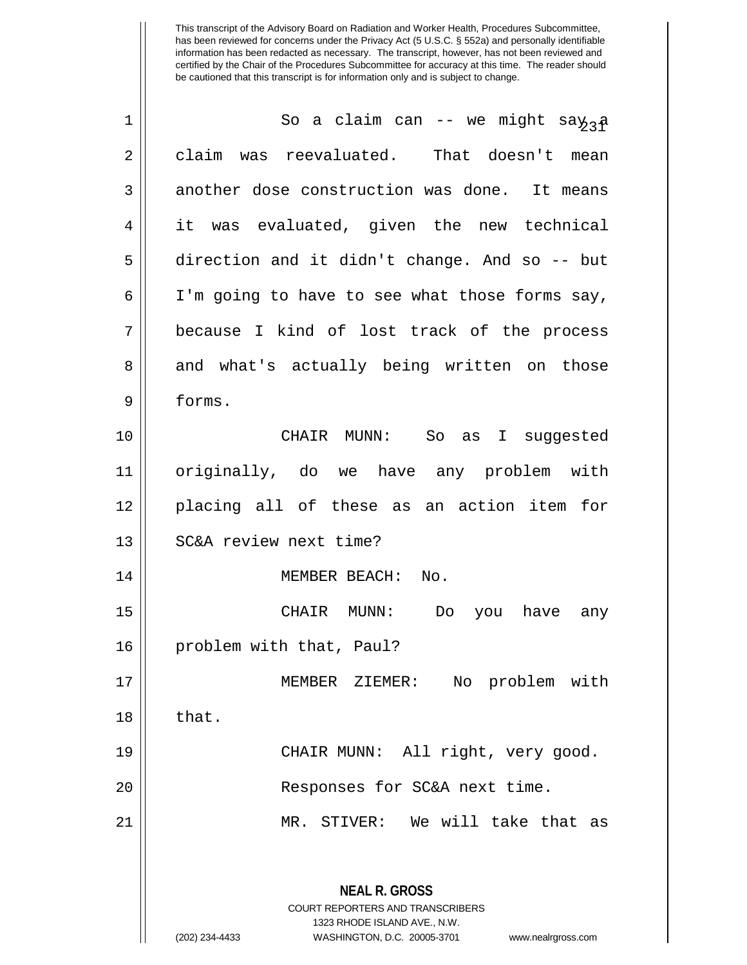| 1  | So a claim can -- we might say <sub>3</sub> a                                                   |
|----|-------------------------------------------------------------------------------------------------|
| 2  | claim was reevaluated. That doesn't mean                                                        |
| 3  | another dose construction was done. It means                                                    |
| 4  | it was evaluated, given the new technical                                                       |
| 5  | direction and it didn't change. And so -- but                                                   |
| 6  | I'm going to have to see what those forms say,                                                  |
| 7  | because I kind of lost track of the process                                                     |
| 8  | and what's actually being written on those                                                      |
| 9  | forms.                                                                                          |
| 10 | CHAIR MUNN: So as I suggested                                                                   |
| 11 | originally, do we have any problem with                                                         |
| 12 | placing all of these as an action item for                                                      |
| 13 | SC&A review next time?                                                                          |
| 14 | MEMBER BEACH:<br>No.                                                                            |
| 15 | CHAIR MUNN:<br>you have<br>Do<br>any                                                            |
| 16 | problem with that, Paul?                                                                        |
| 17 | No problem with<br>MEMBER ZIEMER:                                                               |
| 18 | that.                                                                                           |
| 19 | CHAIR MUNN: All right, very good.                                                               |
| 20 | Responses for SC&A next time.                                                                   |
| 21 | MR. STIVER: We will take that as                                                                |
|    | <b>NEAL R. GROSS</b><br><b>COURT REPORTERS AND TRANSCRIBERS</b><br>1323 RHODE ISLAND AVE., N.W. |
|    | WASHINGTON, D.C. 20005-3701<br>(202) 234-4433<br>www.nealrgross.com                             |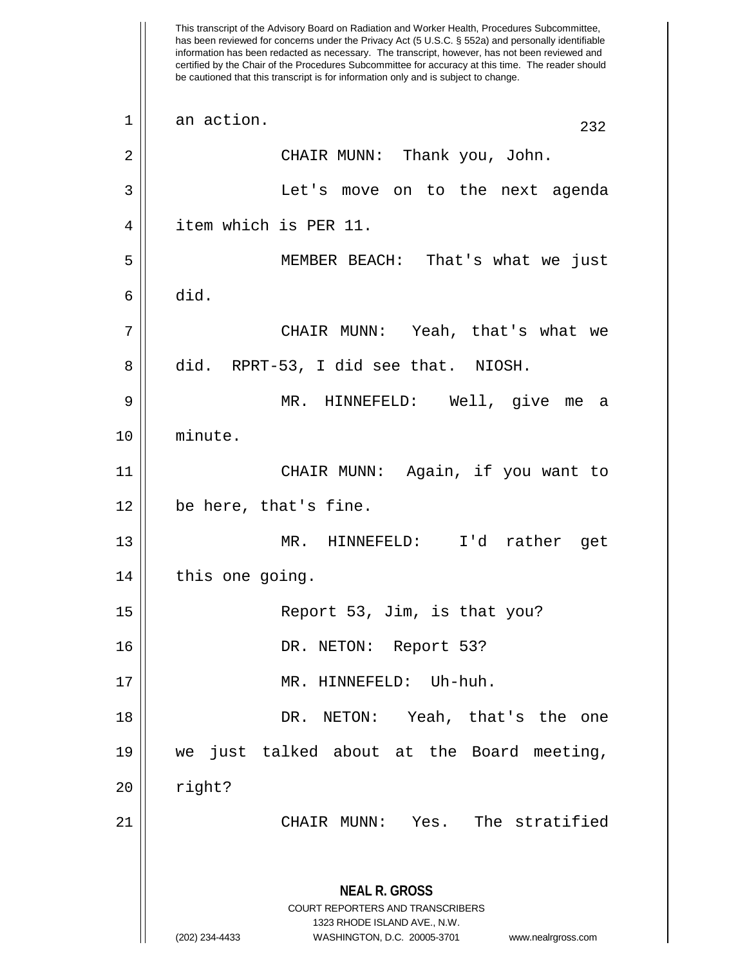This transcript of the Advisory Board on Radiation and Worker Health, Procedures Subcommittee, has been reviewed for concerns under the Privacy Act (5 U.S.C. § 552a) and personally identifiable information has been redacted as necessary. The transcript, however, has not been reviewed and certified by the Chair of the Procedures Subcommittee for accuracy at this time. The reader should be cautioned that this transcript is for information only and is subject to change. **NEAL R. GROSS** COURT REPORTERS AND TRANSCRIBERS 1323 RHODE ISLAND AVE., N.W. (202) 234-4433 WASHINGTON, D.C. 20005-3701 www.nealrgross.com  $\begin{array}{|c|c|c|c|c|}\n1 & \text{an action.} & & & & & & & 232 \\
\end{array}$ 2 CHAIR MUNN: Thank you, John. 3 Let's move on to the next agenda 4 | item which is PER 11. 5 MEMBER BEACH: That's what we just  $6 \parallel$  did. 7 CHAIR MUNN: Yeah, that's what we 8 did. RPRT-53, I did see that. NIOSH. 9 MR. HINNEFELD: Well, give me a 10 minute. 11 CHAIR MUNN: Again, if you want to 12 be here, that's fine. 13 MR. HINNEFELD: I'd rather get 14 | this one going. 15 Report 53, Jim, is that you? 16 || DR. NETON: Report 53? 17 || MR. HINNEFELD: Uh-huh. 18 DR. NETON: Yeah, that's the one 19 we just talked about at the Board meeting,  $20$  || right? 21 CHAIR MUNN: Yes. The stratified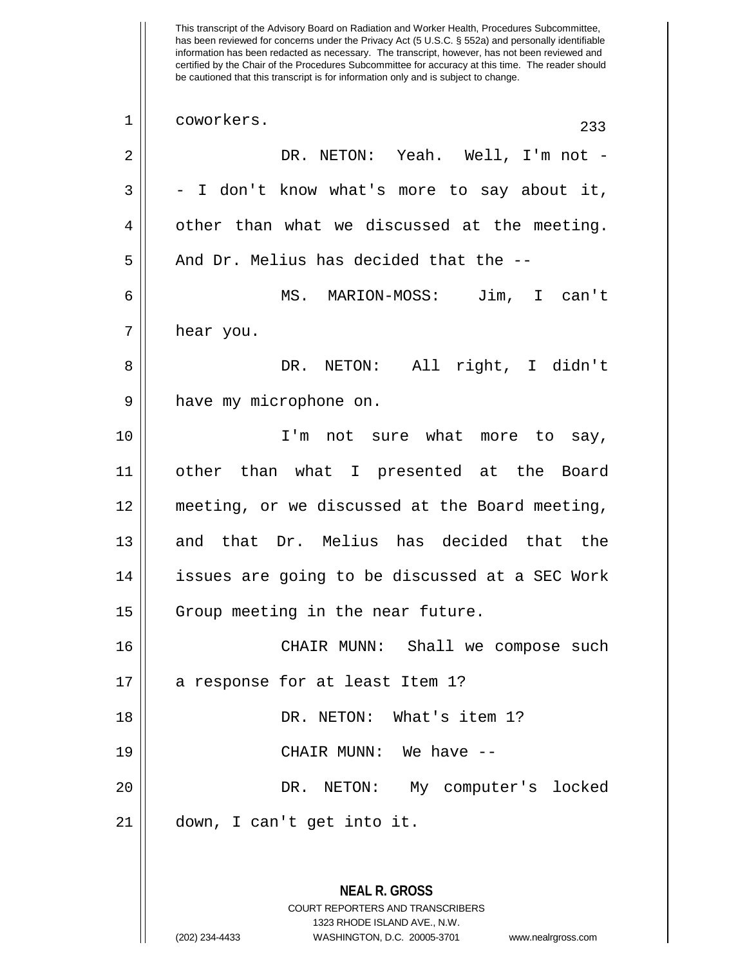This transcript of the Advisory Board on Radiation and Worker Health, Procedures Subcommittee, has been reviewed for concerns under the Privacy Act (5 U.S.C. § 552a) and personally identifiable information has been redacted as necessary. The transcript, however, has not been reviewed and certified by the Chair of the Procedures Subcommittee for accuracy at this time. The reader should be cautioned that this transcript is for information only and is subject to change. **NEAL R. GROSS** 1 coworkers. 233 2 DR. NETON: Yeah. Well, I'm not -  $3 \parallel - I$  don't know what's more to say about it,  $4 \parallel$  other than what we discussed at the meeting.  $5 \parallel$  And Dr. Melius has decided that the --6 MS. MARION-MOSS: Jim, I can't 7 || hear you. 8 DR. NETON: All right, I didn't 9 | have my microphone on. 10 I'm not sure what more to say, 11 other than what I presented at the Board 12 meeting, or we discussed at the Board meeting, 13 and that Dr. Melius has decided that the 14 || issues are going to be discussed at a SEC Work 15 || Group meeting in the near future. 16 CHAIR MUNN: Shall we compose such 17 || a response for at least Item 1? 18 || DR. NETON: What's item 1? 19 CHAIR MUNN: We have -- 20 DR. NETON: My computer's locked 21 down, I can't get into it.

> COURT REPORTERS AND TRANSCRIBERS 1323 RHODE ISLAND AVE., N.W.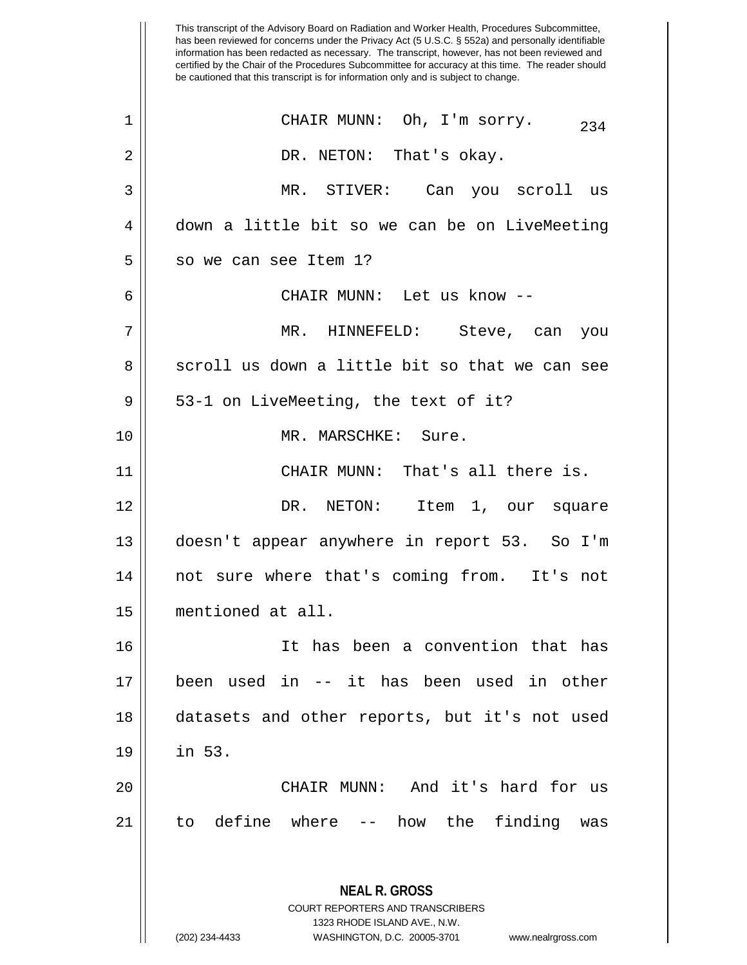This transcript of the Advisory Board on Radiation and Worker Health, Procedures Subcommittee, has been reviewed for concerns under the Privacy Act (5 U.S.C. § 552a) and personally identifiable information has been redacted as necessary. The transcript, however, has not been reviewed and certified by the Chair of the Procedures Subcommittee for accuracy at this time. The reader should be cautioned that this transcript is for information only and is subject to change. **NEAL R. GROSS** COURT REPORTERS AND TRANSCRIBERS 1323 RHODE ISLAND AVE., N.W. (202) 234-4433 WASHINGTON, D.C. 20005-3701 www.nealrgross.com  $\begin{array}{ccc} 1 & \vert & \vert & \end{array}$  CHAIR MUNN: Oh, I'm sorry.  $\begin{array}{ccc} 234 & \vert & \vert \end{array}$ 2 DR. NETON: That's okay. 3 MR. STIVER: Can you scroll us 4 down a little bit so we can be on LiveMeeting  $5 \parallel$  so we can see Item 1? 6 CHAIR MUNN: Let us know -- 7 MR. HINNEFELD: Steve, can you 8 scroll us down a little bit so that we can see  $9 \parallel 53-1$  on LiveMeeting, the text of it? 10 || MR. MARSCHKE: Sure. 11 || CHAIR MUNN: That's all there is. 12 DR. NETON: Item 1, our square 13 doesn't appear anywhere in report 53. So I'm 14 not sure where that's coming from. It's not 15 mentioned at all. 16 It has been a convention that has 17 been used in -- it has been used in other 18 datasets and other reports, but it's not used 19 in 53. 20 CHAIR MUNN: And it's hard for us 21 to define where -- how the finding was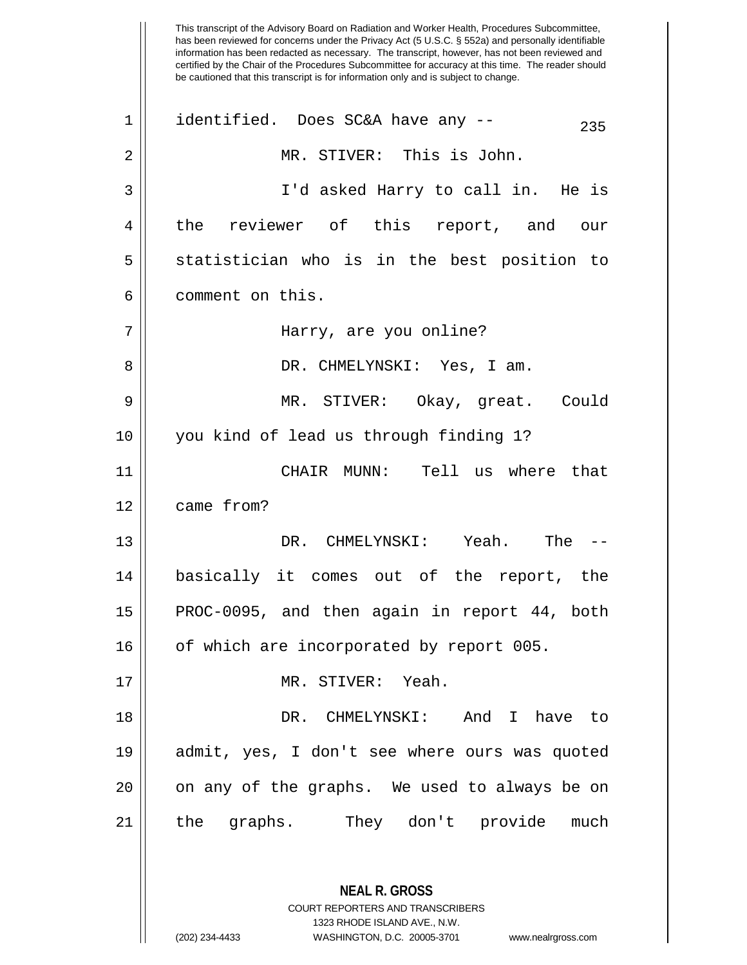This transcript of the Advisory Board on Radiation and Worker Health, Procedures Subcommittee, has been reviewed for concerns under the Privacy Act (5 U.S.C. § 552a) and personally identifiable information has been redacted as necessary. The transcript, however, has not been reviewed and certified by the Chair of the Procedures Subcommittee for accuracy at this time. The reader should be cautioned that this transcript is for information only and is subject to change. **NEAL R. GROSS** COURT REPORTERS AND TRANSCRIBERS  $1 \parallel$  identified. Does SC&A have any --  $235$ 2 MR. STIVER: This is John. 3 I'd asked Harry to call in. He is 4 || the reviewer of this report, and our  $5 \parallel$  statistician who is in the best position to 6 l comment on this. 7 Harry, are you online? 8 DR. CHMELYNSKI: Yes, I am. 9 MR. STIVER: Okay, great. Could 10 you kind of lead us through finding 1? 11 CHAIR MUNN: Tell us where that 12 came from? 13 DR. CHMELYNSKI: Yeah. The -- 14 basically it comes out of the report, the 15 || PROC-0095, and then again in report 44, both 16 | of which are incorporated by report 005. 17 MR. STIVER: Yeah. 18 DR. CHMELYNSKI: And I have to 19 admit, yes, I don't see where ours was quoted 20 || on any of the graphs. We used to always be on 21 the graphs. They don't provide much

1323 RHODE ISLAND AVE., N.W.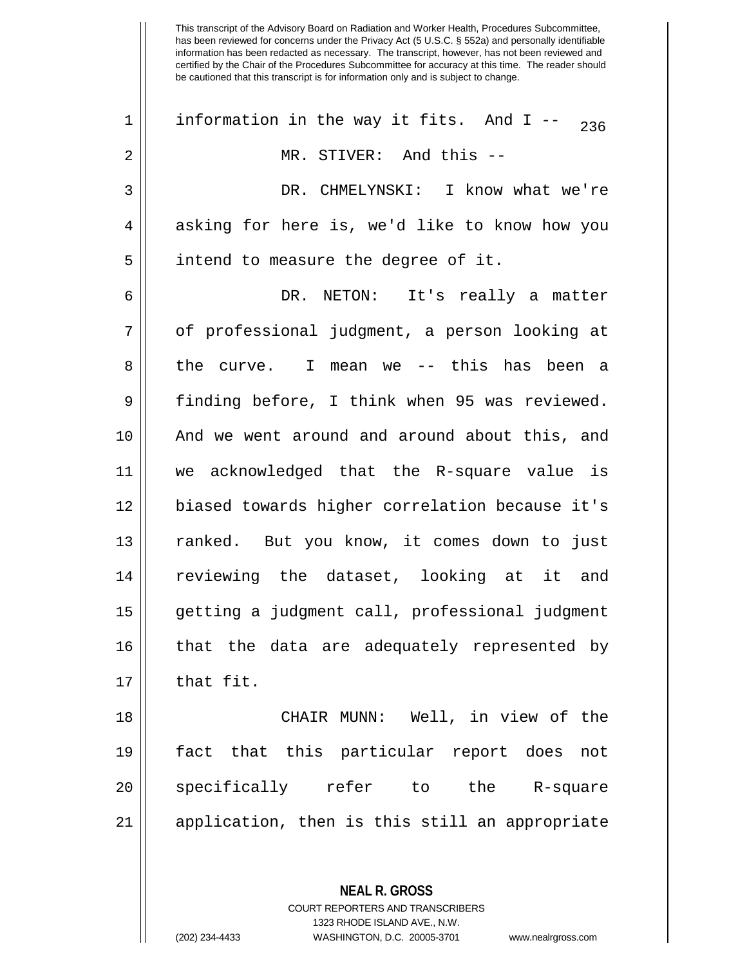| $\mathbf 1$ | information in the way it fits. And I -- $_{236}$ |
|-------------|---------------------------------------------------|
| 2           | MR. STIVER: And this --                           |
| 3           | DR. CHMELYNSKI: I know what we're                 |
| 4           | asking for here is, we'd like to know how you     |
| 5           | intend to measure the degree of it.               |
| 6           | DR. NETON: It's really a matter                   |
| 7           | of professional judgment, a person looking at     |
| 8           | the curve. I mean we -- this has been a           |
| 9           | finding before, I think when 95 was reviewed.     |
| 10          | And we went around and around about this, and     |
| 11          | we acknowledged that the R-square value is        |
| 12          | biased towards higher correlation because it's    |
| 13          | ranked. But you know, it comes down to just       |
| 14          | reviewing the dataset, looking at it and          |
| 15          | getting a judgment call, professional judgment    |
| 16          | that the data are adequately represented by       |
| 17          | that fit.                                         |
| 18          | CHAIR MUNN: Well, in view of the                  |
| 19          | fact that this particular report does<br>not      |
| 20          | specifically refer<br>the<br>to<br>R-square       |
|             |                                                   |

21 || application, then is this still an appropriate

**NEAL R. GROSS**

COURT REPORTERS AND TRANSCRIBERS 1323 RHODE ISLAND AVE., N.W. (202) 234-4433 WASHINGTON, D.C. 20005-3701 www.nealrgross.com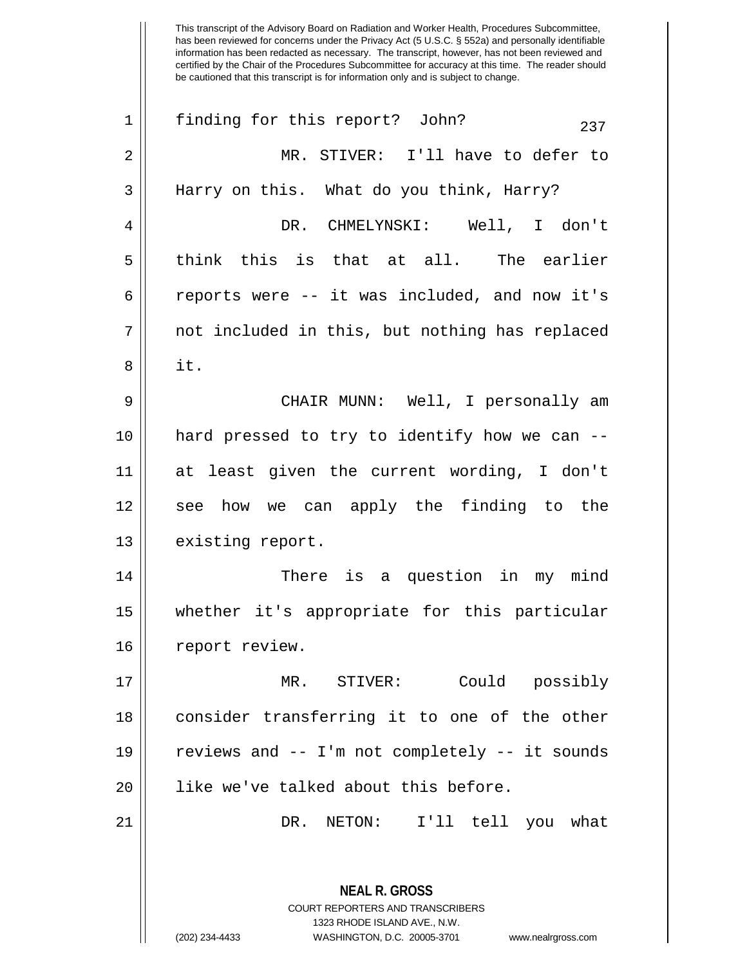| $\mathbf 1$ | finding for this report? John?<br>237                                                               |
|-------------|-----------------------------------------------------------------------------------------------------|
| 2           | MR. STIVER: I'll have to defer to                                                                   |
| 3           | Harry on this. What do you think, Harry?                                                            |
| 4           | DR. CHMELYNSKI: Well, I don't                                                                       |
| 5           | think this is that at all. The earlier                                                              |
| 6           | reports were -- it was included, and now it's                                                       |
| 7           | not included in this, but nothing has replaced                                                      |
| 8           | it.                                                                                                 |
| 9           | CHAIR MUNN: Well, I personally am                                                                   |
| 10          | hard pressed to try to identify how we can --                                                       |
| 11          | at least given the current wording, I don't                                                         |
| 12          | see how we can apply the finding to the                                                             |
| 13          | existing report.                                                                                    |
| 14          | There is a question in my mind                                                                      |
| 15          | whether it's appropriate for this particular                                                        |
| 16          | report review.                                                                                      |
| 17          | Could possibly<br>MR. STIVER:                                                                       |
| 18          | consider transferring it to one of the other                                                        |
| 19          | reviews and -- I'm not completely -- it sounds                                                      |
| 20          | like we've talked about this before.                                                                |
| 21          | DR. NETON: I'll tell you what                                                                       |
|             |                                                                                                     |
|             | <b>NEAL R. GROSS</b>                                                                                |
|             | COURT REPORTERS AND TRANSCRIBERS                                                                    |
|             | 1323 RHODE ISLAND AVE., N.W.<br>(202) 234-4433<br>WASHINGTON, D.C. 20005-3701<br>www.nealrgross.com |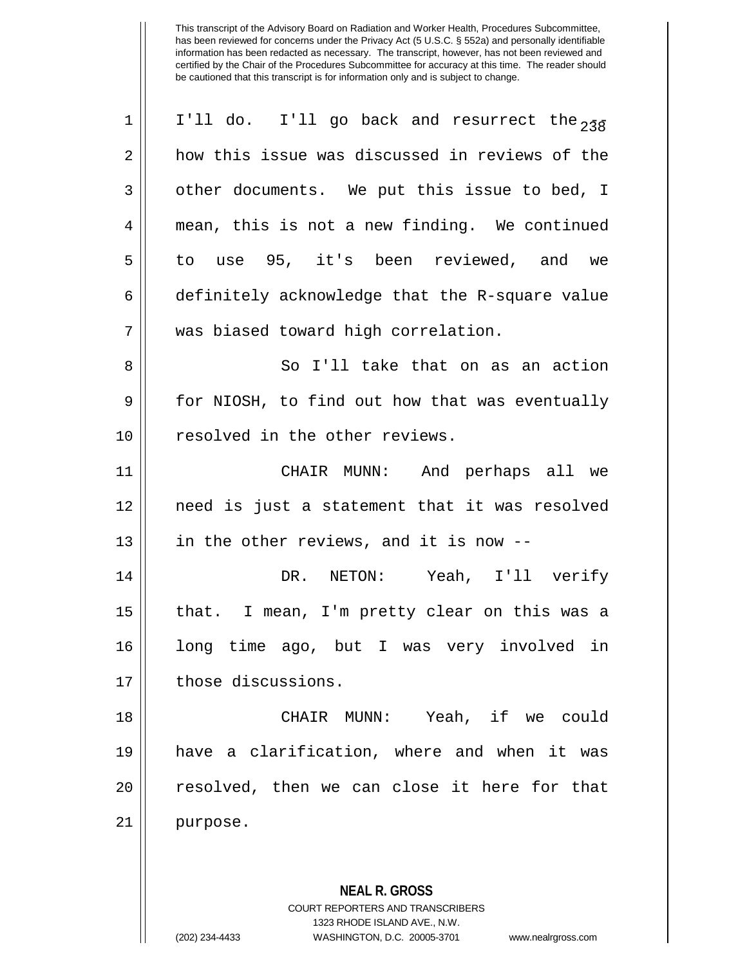| 1  | I'll do. I'll go back and resurrect the $_{238}$         |
|----|----------------------------------------------------------|
| 2  | how this issue was discussed in reviews of the           |
| 3  | other documents. We put this issue to bed, I             |
| 4  | mean, this is not a new finding. We continued            |
| 5  | to use 95, it's been reviewed, and we                    |
| 6  | definitely acknowledge that the R-square value           |
| 7  | was biased toward high correlation.                      |
| 8  | So I'll take that on as an action                        |
| 9  | for NIOSH, to find out how that was eventually           |
| 10 | resolved in the other reviews.                           |
| 11 | CHAIR MUNN: And perhaps all we                           |
| 12 | need is just a statement that it was resolved            |
| 13 | in the other reviews, and it is now --                   |
| 14 | DR. NETON: Yeah, I'll verify                             |
| 15 | that. I mean, I'm pretty clear on this was a             |
| 16 | long time ago, but I was very involved in                |
| 17 | those discussions.                                       |
| 18 | CHAIR MUNN: Yeah, if we could                            |
| 19 | have a clarification, where and when it was              |
| 20 | resolved, then we can close it here for that             |
| 21 | purpose.                                                 |
|    |                                                          |
|    | <b>NEAL R. GROSS</b><br>COURT REPORTERS AND TRANSCRIBERS |

1323 RHODE ISLAND AVE., N.W.

 $\mathsf{I}$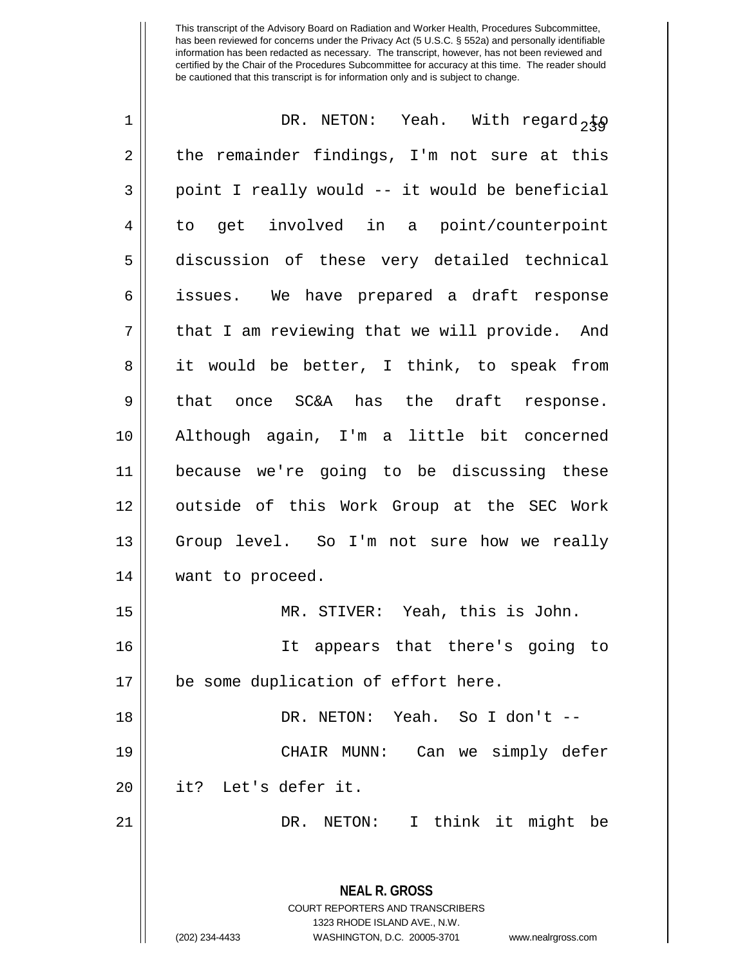| 1  | DR. NETON: Yeah. With regard, $\frac{1}{2}\sqrt{9}$                     |
|----|-------------------------------------------------------------------------|
| 2  | the remainder findings, I'm not sure at this                            |
| 3  | point I really would -- it would be beneficial                          |
| 4  | to get involved in a point/counterpoint                                 |
| 5  | discussion of these very detailed technical                             |
| 6  | issues. We have prepared a draft response                               |
| 7  | that I am reviewing that we will provide. And                           |
| 8  | it would be better, I think, to speak from                              |
| 9  | that once SC&A has the draft response.                                  |
| 10 | Although again, I'm a little bit concerned                              |
| 11 | because we're going to be discussing these                              |
| 12 | outside of this Work Group at the SEC Work                              |
| 13 | Group level. So I'm not sure how we really                              |
| 14 | want to proceed.                                                        |
| 15 | MR. STIVER: Yeah, this is John.                                         |
| 16 | It appears that there's going to                                        |
| 17 | be some duplication of effort here.                                     |
| 18 | DR. NETON: Yeah. So I don't --                                          |
| 19 | Can we simply defer<br>CHAIR MUNN:                                      |
| 20 | it? Let's defer it.                                                     |
| 21 | DR. NETON: I think it might be                                          |
|    |                                                                         |
|    | <b>NEAL R. GROSS</b>                                                    |
|    | <b>COURT REPORTERS AND TRANSCRIBERS</b><br>1323 RHODE ISLAND AVE., N.W. |
|    | (202) 234-4433<br>WASHINGTON, D.C. 20005-3701<br>www.nealrgross.com     |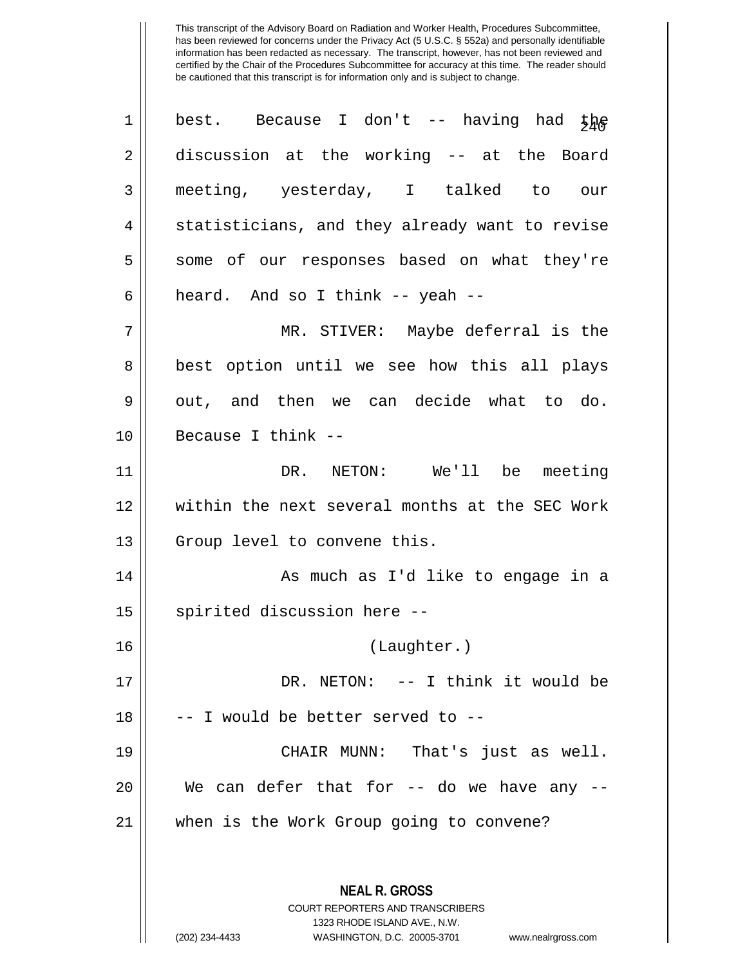| $\mathbf 1$ | best. Because I don't -- having had $\frac{1}{2}$                       |
|-------------|-------------------------------------------------------------------------|
| 2           | discussion at the working -- at the Board                               |
| 3           | meeting, yesterday, I talked to our                                     |
| 4           | statisticians, and they already want to revise                          |
| 5           | some of our responses based on what they're                             |
| 6           | heard. And so I think -- yeah --                                        |
| 7           | MR. STIVER: Maybe deferral is the                                       |
| 8           | best option until we see how this all plays                             |
| 9           | out, and then we can decide what to do.                                 |
| 10          | Because I think --                                                      |
| 11          | DR. NETON: We'll be meeting                                             |
| 12          | within the next several months at the SEC Work                          |
| 13          | Group level to convene this.                                            |
| 14          | As much as I'd like to engage in a                                      |
| 15          | spirited discussion here --                                             |
| 16          | (Laughter.)                                                             |
| 17          | DR. NETON: -- I think it would be                                       |
| 18          | -- I would be better served to --                                       |
| 19          | CHAIR MUNN: That's just as well.                                        |
| 20          | We can defer that for -- do we have any --                              |
| 21          | when is the Work Group going to convene?                                |
|             |                                                                         |
|             | <b>NEAL R. GROSS</b>                                                    |
|             | <b>COURT REPORTERS AND TRANSCRIBERS</b><br>1323 RHODE ISLAND AVE., N.W. |
|             | (202) 234-4433<br>WASHINGTON, D.C. 20005-3701<br>www.nealrgross.com     |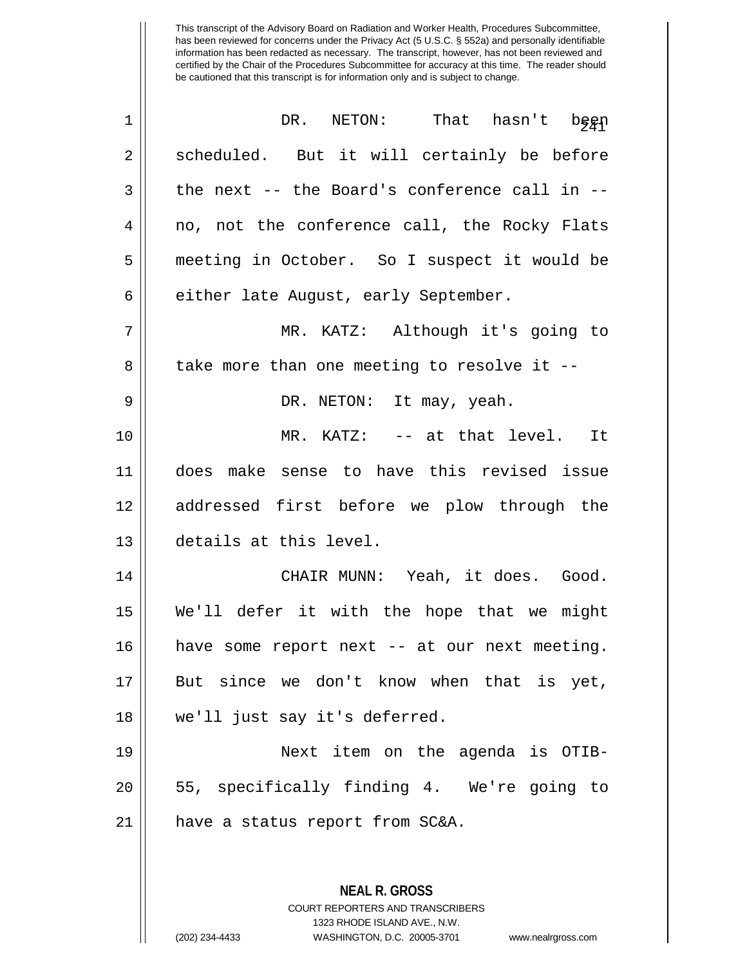| $\mathbf 1$ | NETON: That hasn't begp<br>DR.                                                           |
|-------------|------------------------------------------------------------------------------------------|
| 2           | scheduled. But it will certainly be before                                               |
| 3           | the next -- the Board's conference call in --                                            |
| 4           | no, not the conference call, the Rocky Flats                                             |
| 5           | meeting in October. So I suspect it would be                                             |
| 6           | either late August, early September.                                                     |
| 7           | MR. KATZ: Although it's going to                                                         |
| 8           | take more than one meeting to resolve it --                                              |
| 9           | DR. NETON: It may, yeah.                                                                 |
| 10          | MR. KATZ: -- at that level. It                                                           |
| 11          | does make sense to have this revised issue                                               |
| 12          | addressed first before we plow through the                                               |
| 13          | details at this level.                                                                   |
| 14          | CHAIR MUNN: Yeah, it does. Good.                                                         |
| 15          | We'll defer it with the hope that we might                                               |
| 16          | have some report next -- at our next meeting.                                            |
| 17          | But since we don't know when that is yet,                                                |
| 18          | we'll just say it's deferred.                                                            |
| 19          | Next item on the agenda is OTIB-                                                         |
| 20          | 55, specifically finding 4. We're going to                                               |
| 21          | have a status report from SC&A.                                                          |
|             |                                                                                          |
|             | <b>NEAL R. GROSS</b><br>COURT REPORTERS AND TRANSCRIBERS<br>1323 RHODE ISLAND AVE., N.W. |

 $\mathbb{I}$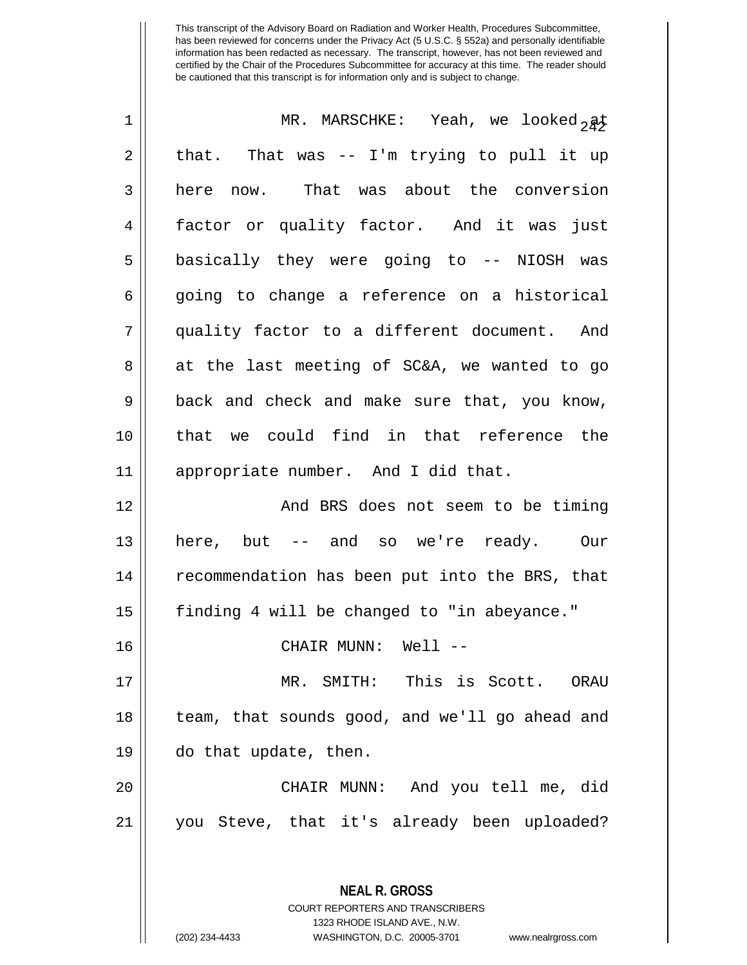| $\mathbf 1$ | MR. MARSCHKE: Yeah, we looked $2a\frac{1}{2}$  |
|-------------|------------------------------------------------|
| 2           | that. That was -- I'm trying to pull it up     |
| 3           | here now. That was about the conversion        |
| 4           | factor or quality factor. And it was just      |
| 5           | basically they were going to -- NIOSH was      |
| 6           | going to change a reference on a historical    |
| 7           | quality factor to a different document. And    |
| 8           | at the last meeting of SC&A, we wanted to go   |
| 9           | back and check and make sure that, you know,   |
| 10          | that we could find in that reference the       |
| 11          | appropriate number. And I did that.            |
| 12          | And BRS does not seem to be timing             |
| 13          | here, but -- and so we're ready. Our           |
| 14          | recommendation has been put into the BRS, that |
| 15          | finding 4 will be changed to "in abeyance."    |
| 16          | CHAIR MUNN: Well --                            |
| 17          | MR. SMITH: This is Scott. ORAU                 |
| 18          | team, that sounds good, and we'll go ahead and |
| 19          | do that update, then.                          |
| 20          | CHAIR MUNN: And you tell me, did               |
| 21          | you Steve, that it's already been uploaded?    |
|             |                                                |
|             | <b>NEAL R. GROSS</b>                           |

COURT REPORTERS AND TRANSCRIBERS 1323 RHODE ISLAND AVE., N.W.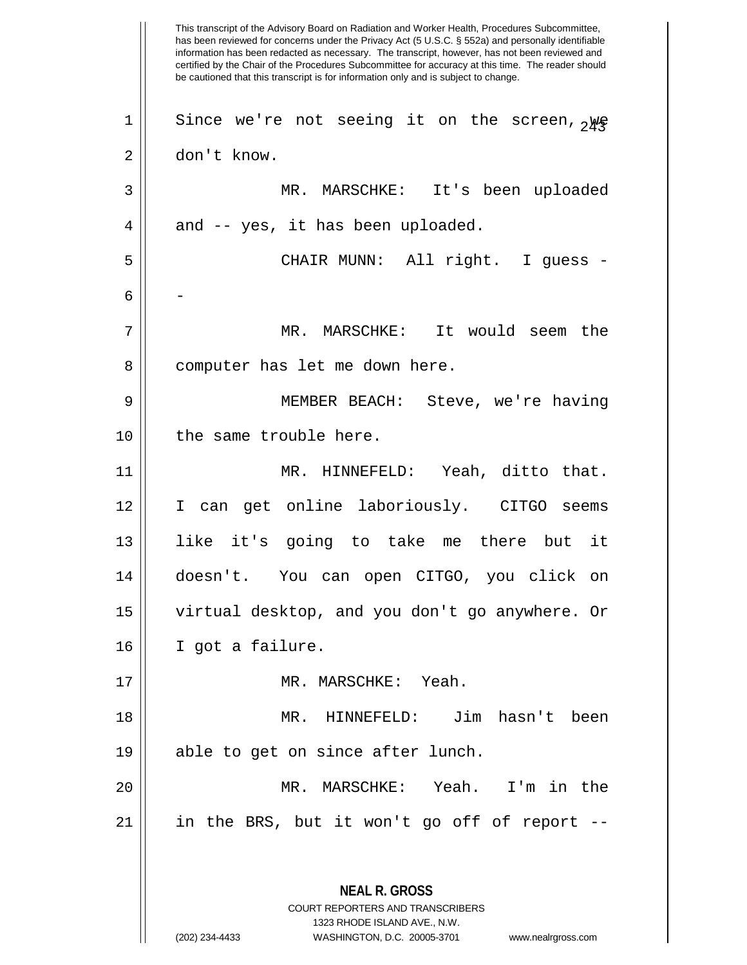This transcript of the Advisory Board on Radiation and Worker Health, Procedures Subcommittee, has been reviewed for concerns under the Privacy Act (5 U.S.C. § 552a) and personally identifiable information has been redacted as necessary. The transcript, however, has not been reviewed and certified by the Chair of the Procedures Subcommittee for accuracy at this time. The reader should be cautioned that this transcript is for information only and is subject to change. **NEAL R. GROSS** COURT REPORTERS AND TRANSCRIBERS 1323 RHODE ISLAND AVE., N.W. (202) 234-4433 WASHINGTON, D.C. 20005-3701 www.nealrgross.com 1 || Since we're not seeing it on the screen,  $_{2}$ ye 2 don't know. 3 MR. MARSCHKE: It's been uploaded  $4 \parallel$  and -- yes, it has been uploaded. 5 CHAIR MUNN: All right. I guess - 6 | | 7 MR. MARSCHKE: It would seem the 8 || computer has let me down here. 9 MEMBER BEACH: Steve, we're having 10 || the same trouble here. 11 MR. HINNEFELD: Yeah, ditto that. 12 I can get online laboriously. CITGO seems 13 like it's going to take me there but it 14 doesn't. You can open CITGO, you click on 15 virtual desktop, and you don't go anywhere. Or 16 I got a failure. 17 MR. MARSCHKE: Yeah. 18 MR. HINNEFELD: Jim hasn't been 19 || able to get on since after lunch. 20 MR. MARSCHKE: Yeah. I'm in the 21 in the BRS, but it won't go off of report --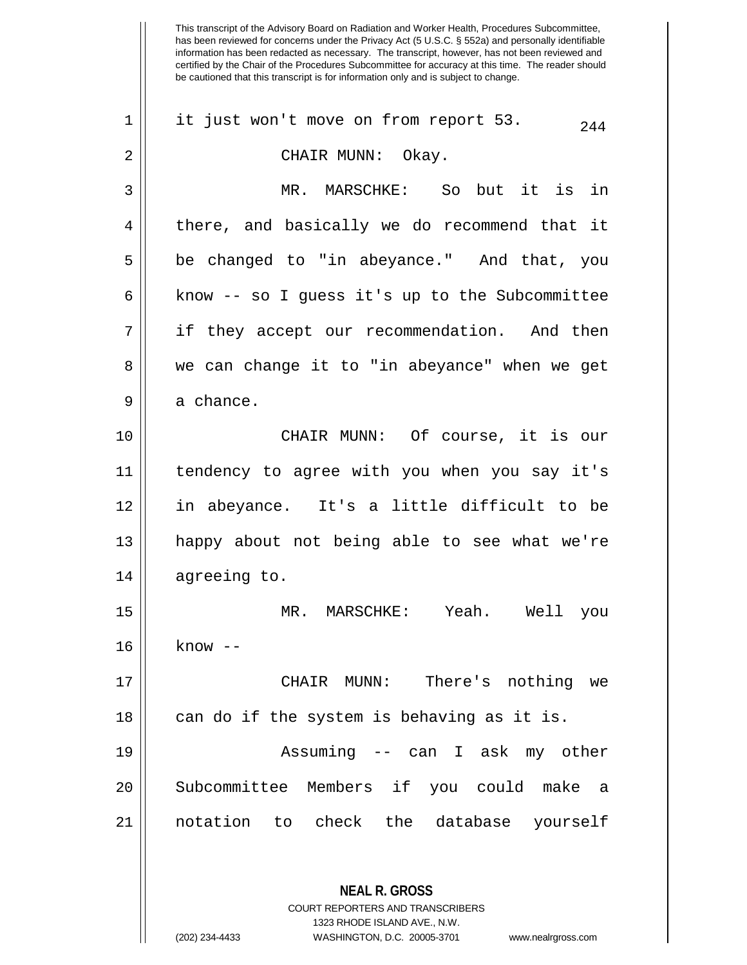| 1  | it just won't move on from report 53.<br>244                                             |
|----|------------------------------------------------------------------------------------------|
| 2  | CHAIR MUNN: Okay.                                                                        |
| 3  | MR. MARSCHKE: So but it is in                                                            |
| 4  | there, and basically we do recommend that it                                             |
| 5  | be changed to "in abeyance." And that, you                                               |
| 6  | know -- so I guess it's up to the Subcommittee                                           |
| 7  | if they accept our recommendation. And then                                              |
| 8  | we can change it to "in abeyance" when we get                                            |
| 9  | a chance.                                                                                |
| 10 | CHAIR MUNN: Of course, it is our                                                         |
| 11 | tendency to agree with you when you say it's                                             |
| 12 | in abeyance. It's a little difficult to be                                               |
| 13 | happy about not being able to see what we're                                             |
| 14 | agreeing to.                                                                             |
| 15 | MR. MARSCHKE: Yeah. Well you                                                             |
| 16 | know                                                                                     |
| 17 | CHAIR MUNN:<br>There's nothing we                                                        |
| 18 | can do if the system is behaving as it is.                                               |
| 19 | Assuming -- can I ask my other                                                           |
| 20 | Subcommittee Members if you could make a                                                 |
| 21 | notation to check the database yourself                                                  |
|    | <b>NEAL R. GROSS</b><br>COURT REPORTERS AND TRANSCRIBERS<br>1323 RHODE ISLAND AVE., N.W. |

 $\frac{1}{2}$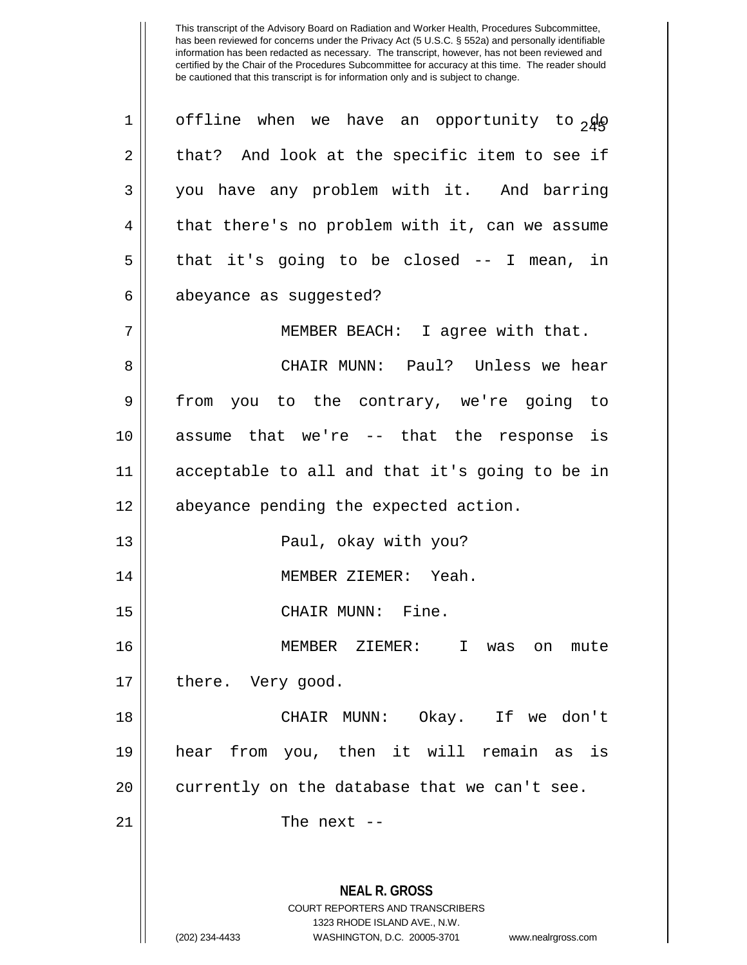| $\mathbf 1$    | offline when we have an opportunity to 240                                                      |
|----------------|-------------------------------------------------------------------------------------------------|
| $\overline{2}$ | that? And look at the specific item to see if                                                   |
| 3              | you have any problem with it. And barring                                                       |
| 4              | that there's no problem with it, can we assume                                                  |
| 5              | that it's going to be closed $-$ I mean, in                                                     |
| 6              | abeyance as suggested?                                                                          |
| 7              | MEMBER BEACH: I agree with that.                                                                |
| 8              | CHAIR MUNN: Paul? Unless we hear                                                                |
| 9              | from you to the contrary, we're going to                                                        |
| 10             | assume that we're -- that the response is                                                       |
| 11             | acceptable to all and that it's going to be in                                                  |
| 12             | abeyance pending the expected action.                                                           |
| 13             | Paul, okay with you?                                                                            |
| 14             | MEMBER ZIEMER: Yeah.                                                                            |
| 15             | CHAIR MUNN: Fine.                                                                               |
| 16             | MEMBER ZIEMER: I was on mute                                                                    |
| 17             | there. Very good.                                                                               |
| 18             | CHAIR MUNN: Okay. If we don't                                                                   |
| 19             | hear from you, then it will remain as is                                                        |
| 20             | currently on the database that we can't see.                                                    |
| 21             | The next $-$                                                                                    |
|                |                                                                                                 |
|                | <b>NEAL R. GROSS</b><br><b>COURT REPORTERS AND TRANSCRIBERS</b><br>1323 RHODE ISLAND AVE., N.W. |

 $\mathbf{\mathcal{H}}$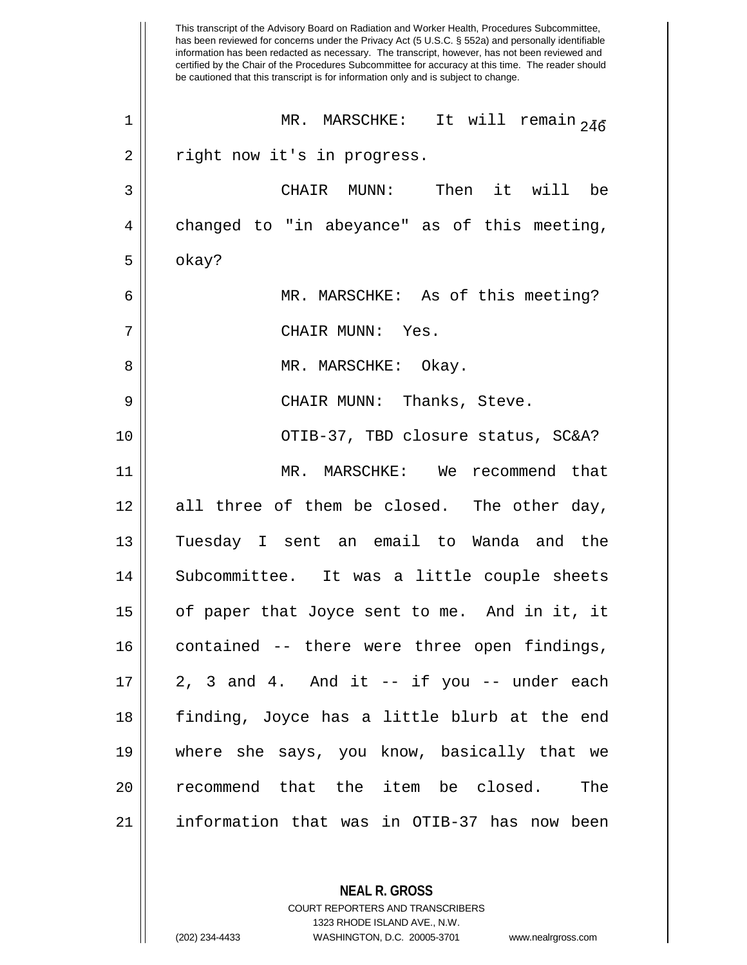This transcript of the Advisory Board on Radiation and Worker Health, Procedures Subcommittee, has been reviewed for concerns under the Privacy Act (5 U.S.C. § 552a) and personally identifiable information has been redacted as necessary. The transcript, however, has not been reviewed and certified by the Chair of the Procedures Subcommittee for accuracy at this time. The reader should be cautioned that this transcript is for information only and is subject to change. 1 || MR. MARSCHKE: It will remain  $_{2\bar{4}\bar{6}}$ 2 || right now it's in progress. 3 CHAIR MUNN: Then it will be  $4 \parallel$  changed to "in abeyance" as of this meeting,  $5 \parallel$  okay? 6 || MR. MARSCHKE: As of this meeting? 7 CHAIR MUNN: Yes. 8 MR. MARSCHKE: Okay. 9 CHAIR MUNN: Thanks, Steve. 10 || OTIB-37, TBD closure status, SC&A? 11 MR. MARSCHKE: We recommend that 12 all three of them be closed. The other day, 13 Tuesday I sent an email to Wanda and the 14 || Subcommittee. It was a little couple sheets 15 of paper that Joyce sent to me. And in it, it 16 || contained -- there were three open findings,  $17 \parallel 2$ , 3 and 4. And it -- if you -- under each 18 finding, Joyce has a little blurb at the end 19 where she says, you know, basically that we 20 || recommend that the item be closed. The 21 information that was in OTIB-37 has now been

> **NEAL R. GROSS** COURT REPORTERS AND TRANSCRIBERS 1323 RHODE ISLAND AVE., N.W.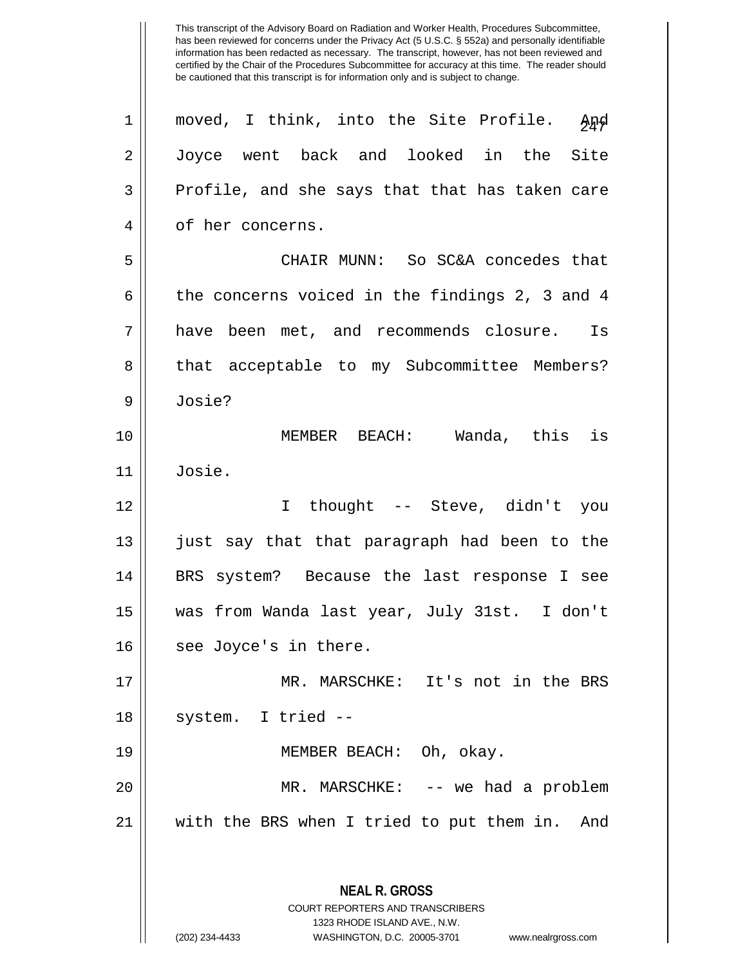This transcript of the Advisory Board on Radiation and Worker Health, Procedures Subcommittee, has been reviewed for concerns under the Privacy Act (5 U.S.C. § 552a) and personally identifiable information has been redacted as necessary. The transcript, however, has not been reviewed and certified by the Chair of the Procedures Subcommittee for accuracy at this time. The reader should be cautioned that this transcript is for information only and is subject to change. **NEAL R. GROSS** COURT REPORTERS AND TRANSCRIBERS 1323 RHODE ISLAND AVE., N.W. (202) 234-4433 WASHINGTON, D.C. 20005-3701 www.nealrgross.com 1 || moved, I think, into the Site Profile.  $\frac{1}{2}$ 2 Joyce went back and looked in the Site  $3 \parallel$  Profile, and she says that that has taken care 4 || of her concerns. 5 CHAIR MUNN: So SC&A concedes that 6 | the concerns voiced in the findings 2, 3 and 4 7 have been met, and recommends closure. Is 8 || that acceptable to my Subcommittee Members? 9 Josie? 10 MEMBER BEACH: Wanda, this is 11 Josie. 12 I thought -- Steve, didn't you 13 || just say that that paragraph had been to the 14 BRS system? Because the last response I see 15 was from Wanda last year, July 31st. I don't 16 || see Joyce's in there. 17 MR. MARSCHKE: It's not in the BRS  $18 \parallel$  system. I tried --19 MEMBER BEACH: Oh, okay. 20 MR. MARSCHKE: -- we had a problem 21 with the BRS when I tried to put them in. And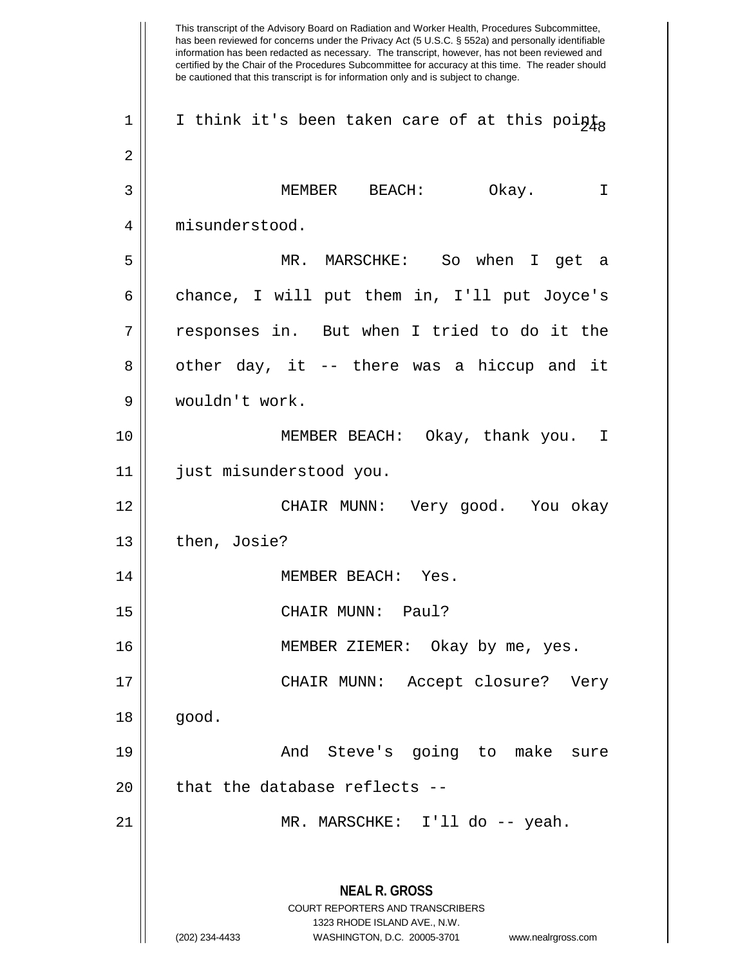This transcript of the Advisory Board on Radiation and Worker Health, Procedures Subcommittee, has been reviewed for concerns under the Privacy Act (5 U.S.C. § 552a) and personally identifiable information has been redacted as necessary. The transcript, however, has not been reviewed and certified by the Chair of the Procedures Subcommittee for accuracy at this time. The reader should be cautioned that this transcript is for information only and is subject to change. **NEAL R. GROSS** COURT REPORTERS AND TRANSCRIBERS 1323 RHODE ISLAND AVE., N.W. (202) 234-4433 WASHINGTON, D.C. 20005-3701 www.nealrgross.com 1 || I think it's been taken care of at this points 2 3 MEMBER BEACH: Okay. I 4 misunderstood. 5 MR. MARSCHKE: So when I get a  $6 \parallel$  chance, I will put them in, I'll put Joyce's 7 responses in. But when I tried to do it the 8 || other day, it -- there was a hiccup and it 9 wouldn't work. 10 MEMBER BEACH: Okay, thank you. I 11 just misunderstood you. 12 CHAIR MUNN: Very good. You okay  $13 \parallel$  then, Josie? 14 MEMBER BEACH: Yes. 15 CHAIR MUNN: Paul? 16 MEMBER ZIEMER: Okay by me, yes. 17 CHAIR MUNN: Accept closure? Very  $18 \parallel$  good. 19 And Steve's going to make sure  $20$  || that the database reflects --21 MR. MARSCHKE: I'll do -- yeah.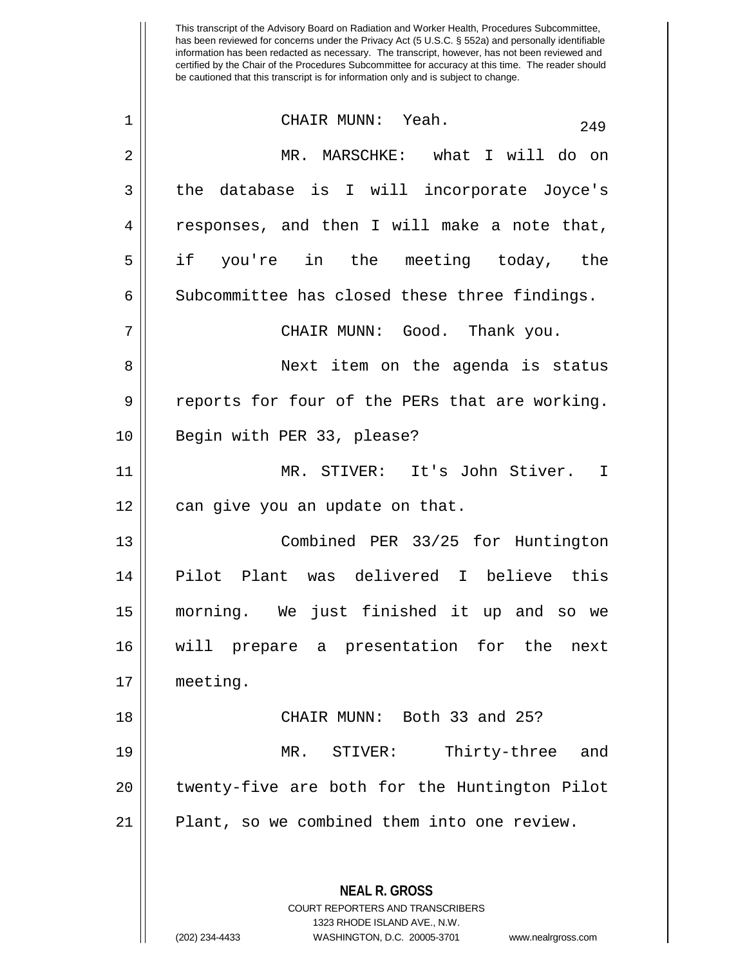| $\mathbf 1$    | CHAIR MUNN: Yeah.<br>249                                                                                                                                               |
|----------------|------------------------------------------------------------------------------------------------------------------------------------------------------------------------|
| 2              | MR. MARSCHKE: what I will do on                                                                                                                                        |
| 3              | the database is I will incorporate Joyce's                                                                                                                             |
| $\overline{4}$ | responses, and then I will make a note that,                                                                                                                           |
| 5              | if you're in the meeting today, the                                                                                                                                    |
| 6              | Subcommittee has closed these three findings.                                                                                                                          |
| 7              | CHAIR MUNN: Good. Thank you.                                                                                                                                           |
| 8              | Next item on the agenda is status                                                                                                                                      |
| 9              | reports for four of the PERs that are working.                                                                                                                         |
| 10             | Begin with PER 33, please?                                                                                                                                             |
| 11             | MR. STIVER: It's John Stiver. I                                                                                                                                        |
| 12             | can give you an update on that.                                                                                                                                        |
| 13             | Combined PER 33/25 for Huntington                                                                                                                                      |
| 14             | Pilot Plant was delivered I believe this                                                                                                                               |
| 15             | morning. We just finished it up and so we                                                                                                                              |
| 16             | will prepare a presentation for the next                                                                                                                               |
| 17             | meeting.                                                                                                                                                               |
| 18             | CHAIR MUNN: Both 33 and 25?                                                                                                                                            |
| 19             | STIVER:<br>Thirty-three<br>MR.<br>and                                                                                                                                  |
| 20             | twenty-five are both for the Huntington Pilot                                                                                                                          |
| 21             | Plant, so we combined them into one review.                                                                                                                            |
|                | <b>NEAL R. GROSS</b><br><b>COURT REPORTERS AND TRANSCRIBERS</b><br>1323 RHODE ISLAND AVE., N.W.<br>(202) 234-4433<br>WASHINGTON, D.C. 20005-3701<br>www.nealrgross.com |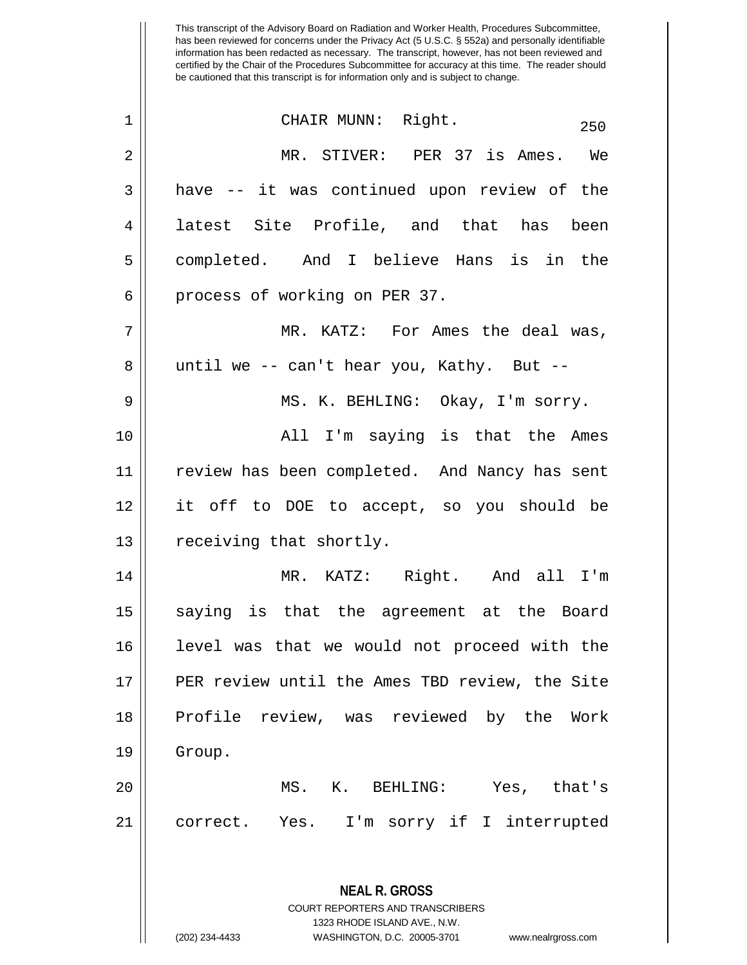| $\mathbf 1$ | CHAIR MUNN: Right.<br>250                                |
|-------------|----------------------------------------------------------|
| 2           | MR. STIVER: PER 37 is Ames. We                           |
| 3           | have -- it was continued upon review of the              |
| 4           | latest Site Profile, and that has been                   |
| 5           | completed. And I believe Hans is in the                  |
| 6           | process of working on PER 37.                            |
| 7           | MR. KATZ: For Ames the deal was,                         |
| 8           | until we -- can't hear you, Kathy. But --                |
| 9           | MS. K. BEHLING: Okay, I'm sorry.                         |
| 10          | All I'm saying is that the Ames                          |
| 11          | review has been completed. And Nancy has sent            |
| 12          | it off to DOE to accept, so you should be                |
| 13          | receiving that shortly.                                  |
| 14          | MR. KATZ: Right. And all I'm                             |
| 15          | saying is that the agreement at the Board                |
| 16          | level was that we would not proceed with the             |
| 17          | PER review until the Ames TBD review, the Site           |
| 18          | Profile review, was reviewed by the Work                 |
| 19          | Group.                                                   |
| 20          | MS. K. BEHLING: Yes, that's                              |
| 21          | correct. Yes. I'm sorry if I interrupted                 |
|             |                                                          |
|             | <b>NEAL R. GROSS</b><br>COURT REPORTERS AND TRANSCRIBERS |

1323 RHODE ISLAND AVE., N.W.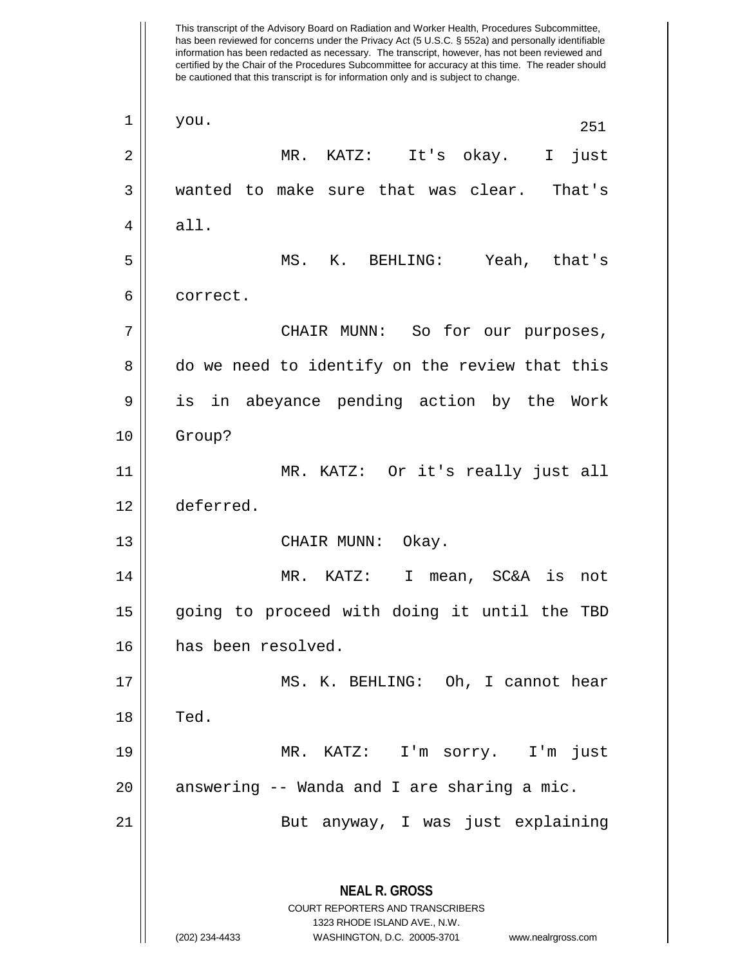This transcript of the Advisory Board on Radiation and Worker Health, Procedures Subcommittee, has been reviewed for concerns under the Privacy Act (5 U.S.C. § 552a) and personally identifiable information has been redacted as necessary. The transcript, however, has not been reviewed and certified by the Chair of the Procedures Subcommittee for accuracy at this time. The reader should be cautioned that this transcript is for information only and is subject to change. **NEAL R. GROSS** COURT REPORTERS AND TRANSCRIBERS 1323 RHODE ISLAND AVE., N.W. (202) 234-4433 WASHINGTON, D.C. 20005-3701 www.nealrgross.com  $\begin{array}{|c|c|c|c|c|}\n1 & \text{you.} & & & & & & 251 \\
\end{array}$ 2 MR. KATZ: It's okay. I just 3 wanted to make sure that was clear. That's  $4 \parallel$  all. 5 MS. K. BEHLING: Yeah, that's 6 | correct. 7 CHAIR MUNN: So for our purposes, 8 do we need to identify on the review that this 9 || is in abeyance pending action by the Work 10 Group? 11 MR. KATZ: Or it's really just all 12 deferred. 13 || CHAIR MUNN: Okay. 14 MR. KATZ: I mean, SC&A is not 15 || going to proceed with doing it until the TBD 16 has been resolved. 17 || MS. K. BEHLING: Oh, I cannot hear  $18$   $\parallel$  Ted. 19 MR. KATZ: I'm sorry. I'm just  $20$  || answering -- Wanda and I are sharing a mic. 21 || But anyway, I was just explaining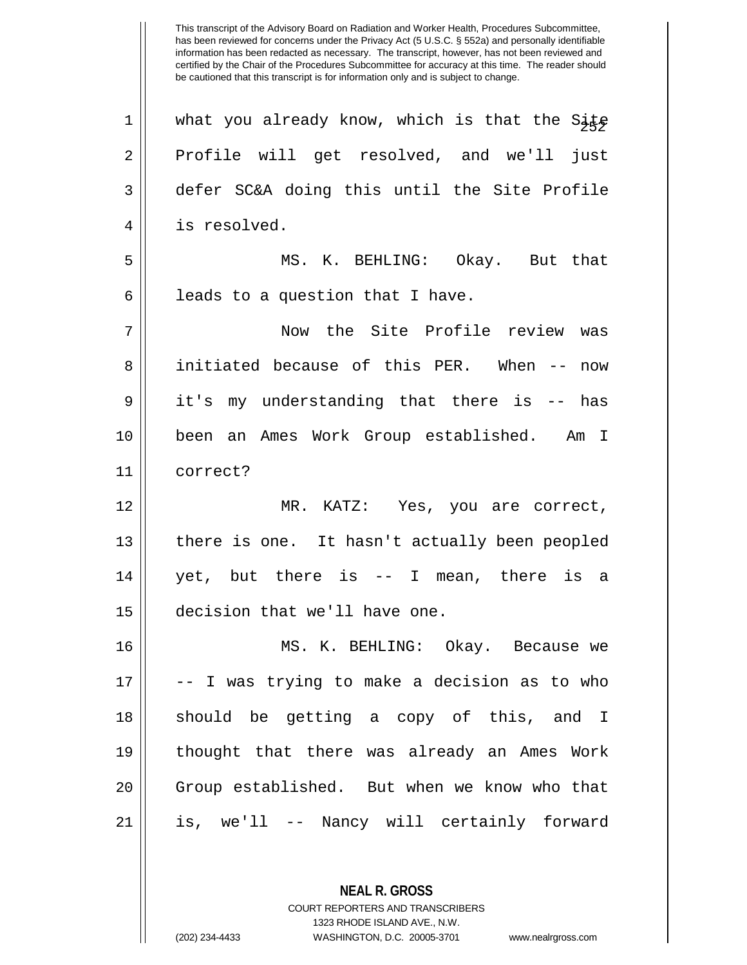1 What you already know, which is that the Site 2 Profile will get resolved, and we'll just defer SC&A doing this until the Site Profile is resolved. MS. K. BEHLING: Okay. But that | leads to a question that I have. Now the Site Profile review was 8 || initiated because of this PER. When -- now it's my understanding that there is -- has been an Ames Work Group established. Am I 11 correct? MR. KATZ: Yes, you are correct, | there is one. It hasn't actually been peopled yet, but there is -- I mean, there is a decision that we'll have one. MS. K. BEHLING: Okay. Because we  $17 \parallel$  -- I was trying to make a decision as to who 18 || should be getting a copy of this, and I thought that there was already an Ames Work 20 || Group established. But when we know who that is, we'll -- Nancy will certainly forward

> **NEAL R. GROSS** COURT REPORTERS AND TRANSCRIBERS 1323 RHODE ISLAND AVE., N.W.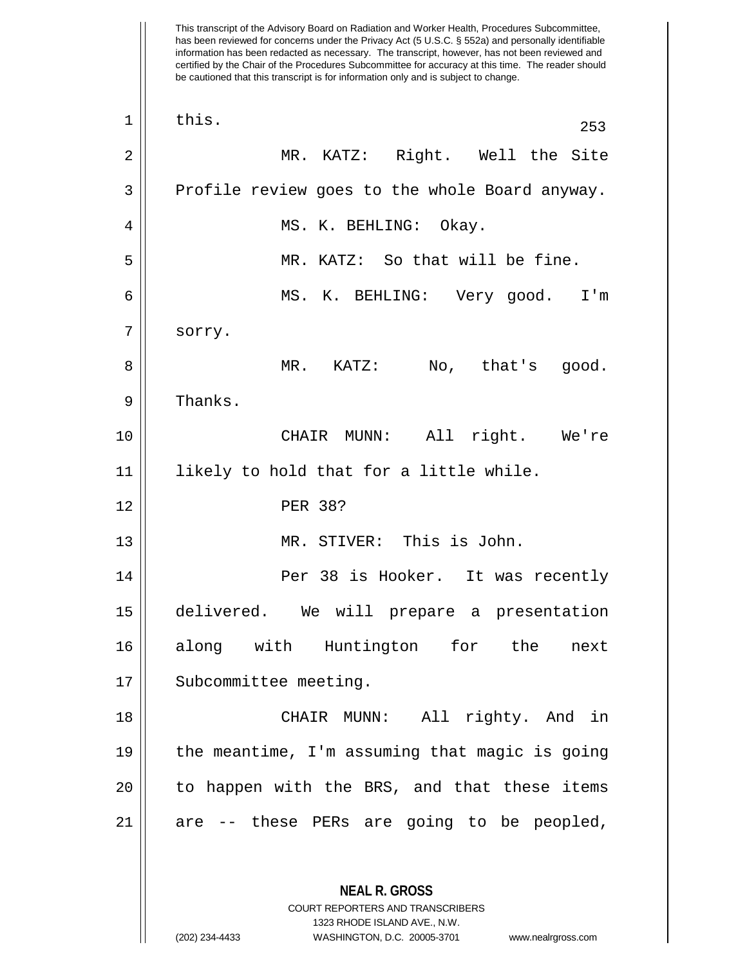This transcript of the Advisory Board on Radiation and Worker Health, Procedures Subcommittee, has been reviewed for concerns under the Privacy Act (5 U.S.C. § 552a) and personally identifiable information has been redacted as necessary. The transcript, however, has not been reviewed and certified by the Chair of the Procedures Subcommittee for accuracy at this time. The reader should be cautioned that this transcript is for information only and is subject to change. **NEAL R. GROSS** COURT REPORTERS AND TRANSCRIBERS 1323 RHODE ISLAND AVE., N.W.  $\begin{array}{|c|c|c|c|c|}\n1 & \text{this.} & & & & & & & 253 \\
\hline\n\end{array}$ 2 MR. KATZ: Right. Well the Site  $3 \parallel$  Profile review goes to the whole Board anyway. 4 MS. K. BEHLING: Okay. 5 || MR. KATZ: So that will be fine. 6 MS. K. BEHLING: Very good. I'm 7 | sorry. 8 MR. KATZ: No, that's good. 9 | Thanks. 10 CHAIR MUNN: All right. We're 11 likely to hold that for a little while. 12 PER 38? 13 MR. STIVER: This is John. 14 || Per 38 is Hooker. It was recently 15 delivered. We will prepare a presentation 16 along with Huntington for the next 17 || Subcommittee meeting. 18 || CHAIR MUNN: All righty. And in 19 the meantime, I'm assuming that magic is going 20 || to happen with the BRS, and that these items  $21$  || are -- these PERs are going to be peopled,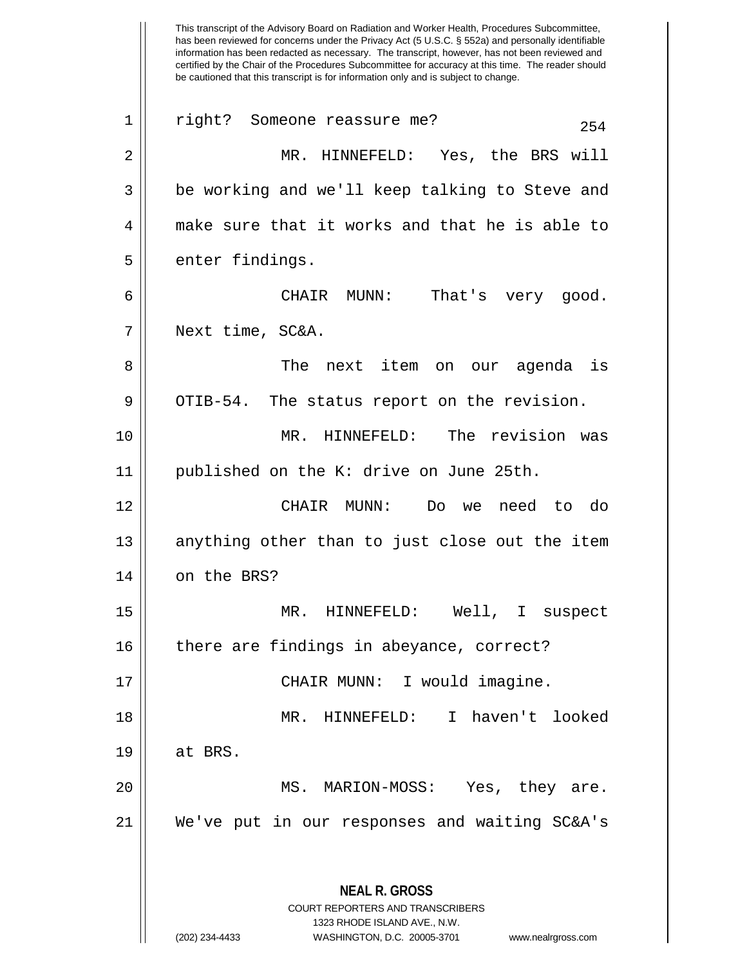This transcript of the Advisory Board on Radiation and Worker Health, Procedures Subcommittee, has been reviewed for concerns under the Privacy Act (5 U.S.C. § 552a) and personally identifiable information has been redacted as necessary. The transcript, however, has not been reviewed and certified by the Chair of the Procedures Subcommittee for accuracy at this time. The reader should be cautioned that this transcript is for information only and is subject to change. **NEAL R. GROSS** COURT REPORTERS AND TRANSCRIBERS 1323 RHODE ISLAND AVE., N.W. 1 || right? Someone reassure me? 254 2 MR. HINNEFELD: Yes, the BRS will 3 || be working and we'll keep talking to Steve and 4 make sure that it works and that he is able to 5 | enter findings. 6 CHAIR MUNN: That's very good. 7 Next time, SC&A. 8 The next item on our agenda is  $9 \parallel$  OTIB-54. The status report on the revision. 10 MR. HINNEFELD: The revision was 11 published on the K: drive on June 25th. 12 CHAIR MUNN: Do we need to do 13 || anything other than to just close out the item 14 | on the BRS? 15 MR. HINNEFELD: Well, I suspect 16 || there are findings in abeyance, correct? 17 || CHAIR MUNN: I would imagine. 18 MR. HINNEFELD: I haven't looked  $19 \parallel$  at BRS. 20 MS. MARION-MOSS: Yes, they are. 21 We've put in our responses and waiting SC&A's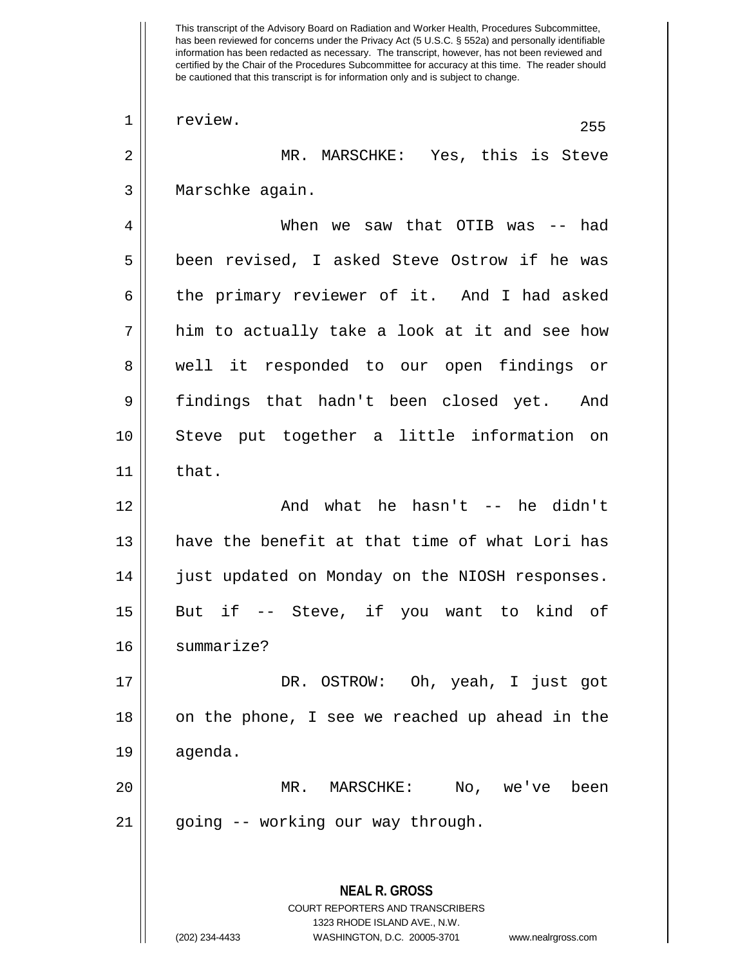This transcript of the Advisory Board on Radiation and Worker Health, Procedures Subcommittee, has been reviewed for concerns under the Privacy Act (5 U.S.C. § 552a) and personally identifiable information has been redacted as necessary. The transcript, however, has not been reviewed and certified by the Chair of the Procedures Subcommittee for accuracy at this time. The reader should be cautioned that this transcript is for information only and is subject to change. **NEAL R. GROSS** COURT REPORTERS AND TRANSCRIBERS 1323 RHODE ISLAND AVE., N.W.  $\begin{array}{|c|c|c|c|c|}\n1 & \text{review.} & & & & & & & & & 255 \\
\hline\n\end{array}$ 2 MR. MARSCHKE: Yes, this is Steve 3 || Marschke again. 4 When we saw that OTIB was -- had 5 || been revised, I asked Steve Ostrow if he was 6 the primary reviewer of it. And I had asked  $7 \parallel$  him to actually take a look at it and see how 8 || well it responded to our open findings or 9 findings that hadn't been closed yet. And 10 Steve put together a little information on  $11$   $\parallel$  that. 12 And what he hasn't -- he didn't 13 || have the benefit at that time of what Lori has 14 | just updated on Monday on the NIOSH responses. 15 But if -- Steve, if you want to kind of 16 summarize? 17 DR. OSTROW: Oh, yeah, I just got 18 || on the phone, I see we reached up ahead in the 19 agenda. 20 MR. MARSCHKE: No, we've been 21 || going -- working our way through.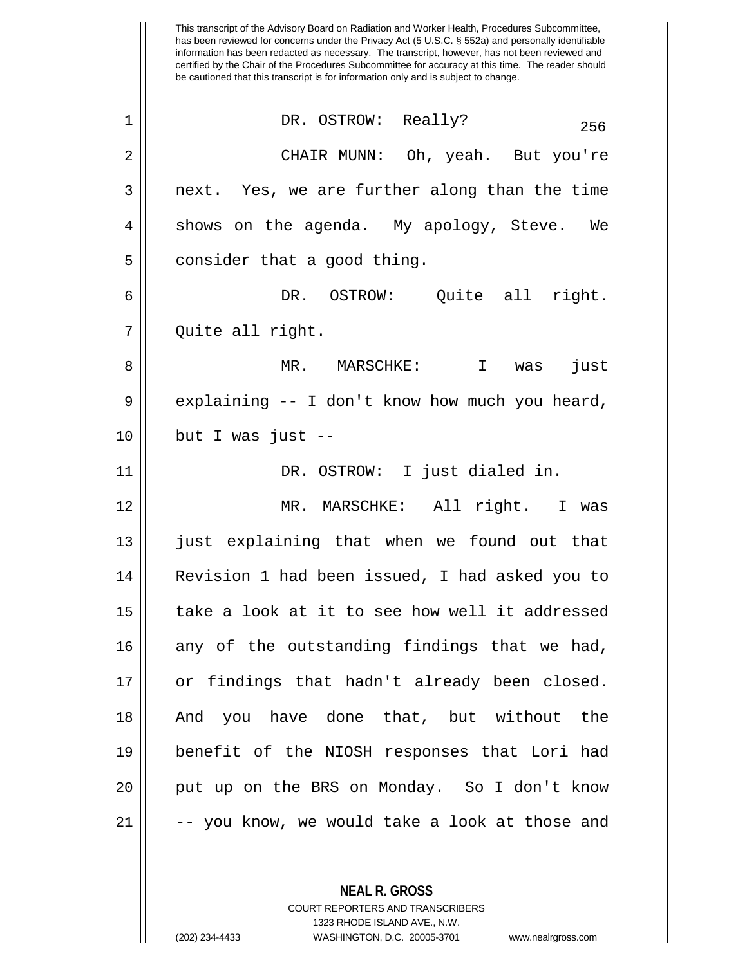This transcript of the Advisory Board on Radiation and Worker Health, Procedures Subcommittee, has been reviewed for concerns under the Privacy Act (5 U.S.C. § 552a) and personally identifiable information has been redacted as necessary. The transcript, however, has not been reviewed and certified by the Chair of the Procedures Subcommittee for accuracy at this time. The reader should be cautioned that this transcript is for information only and is subject to change.  $\begin{array}{ccc} 1 & \vert & \vert & \end{array}$  DR. OSTROW: Really?  $\begin{array}{ccc} 256 & \vert & \vert \end{array}$ 2 CHAIR MUNN: Oh, yeah. But you're  $3 \parallel$  next. Yes, we are further along than the time  $4 \parallel$  shows on the agenda. My apology, Steve. We  $5 \parallel$  consider that a good thing. 6 DR. OSTROW: Quite all right. 7 Quite all right. 8 MR. MARSCHKE: I was just  $9 \parallel$  explaining -- I don't know how much you heard,  $10$  || but I was just --11 DR. OSTROW: I just dialed in. 12 MR. MARSCHKE: All right. I was 13 || just explaining that when we found out that 14 || Revision 1 had been issued, I had asked you to 15 take a look at it to see how well it addressed  $16$  any of the outstanding findings that we had, 17 || or findings that hadn't already been closed. 18 And you have done that, but without the 19 benefit of the NIOSH responses that Lori had 20 || put up on the BRS on Monday. So I don't know  $21 \parallel$  -- you know, we would take a look at those and

> **NEAL R. GROSS** COURT REPORTERS AND TRANSCRIBERS

> > 1323 RHODE ISLAND AVE., N.W.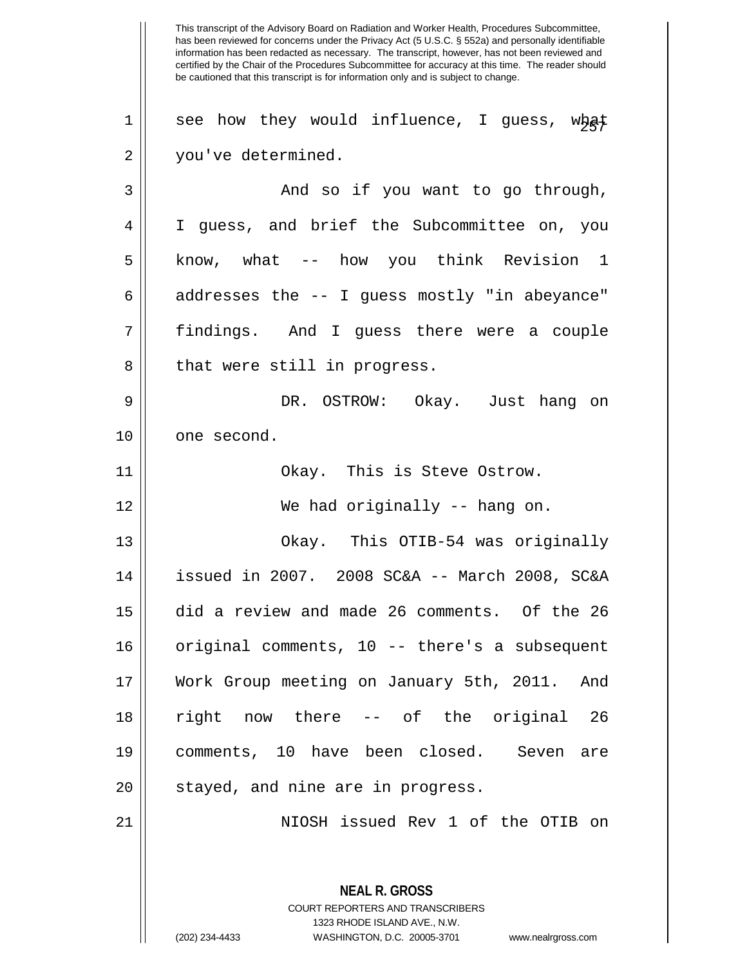This transcript of the Advisory Board on Radiation and Worker Health, Procedures Subcommittee, has been reviewed for concerns under the Privacy Act (5 U.S.C. § 552a) and personally identifiable information has been redacted as necessary. The transcript, however, has not been reviewed and certified by the Chair of the Procedures Subcommittee for accuracy at this time. The reader should be cautioned that this transcript is for information only and is subject to change. **NEAL R. GROSS** COURT REPORTERS AND TRANSCRIBERS 1323 RHODE ISLAND AVE., N.W. 1 || see how they would influence, I guess, what 2 | you've determined. 3 And so if you want to go through, 4 I guess, and brief the Subcommittee on, you 5 || know, what -- how you think Revision 1  $6 \parallel$  addresses the -- I guess mostly "in abeyance" 7 findings. And I guess there were a couple 8 || that were still in progress. 9 DR. OSTROW: Okay. Just hang on 10 || one second. 11 || Chay. This is Steve Ostrow. 12 We had originally -- hang on. 13 Okay. This OTIB-54 was originally 14 issued in 2007. 2008 SC&A -- March 2008, SC&A 15 did a review and made 26 comments. Of the 26 16 || original comments, 10 -- there's a subsequent 17 Work Group meeting on January 5th, 2011. And 18 || right now there -- of the original 26 19 comments, 10 have been closed. Seven are 20 || stayed, and nine are in progress. 21 NIOSH issued Rev 1 of the OTIB on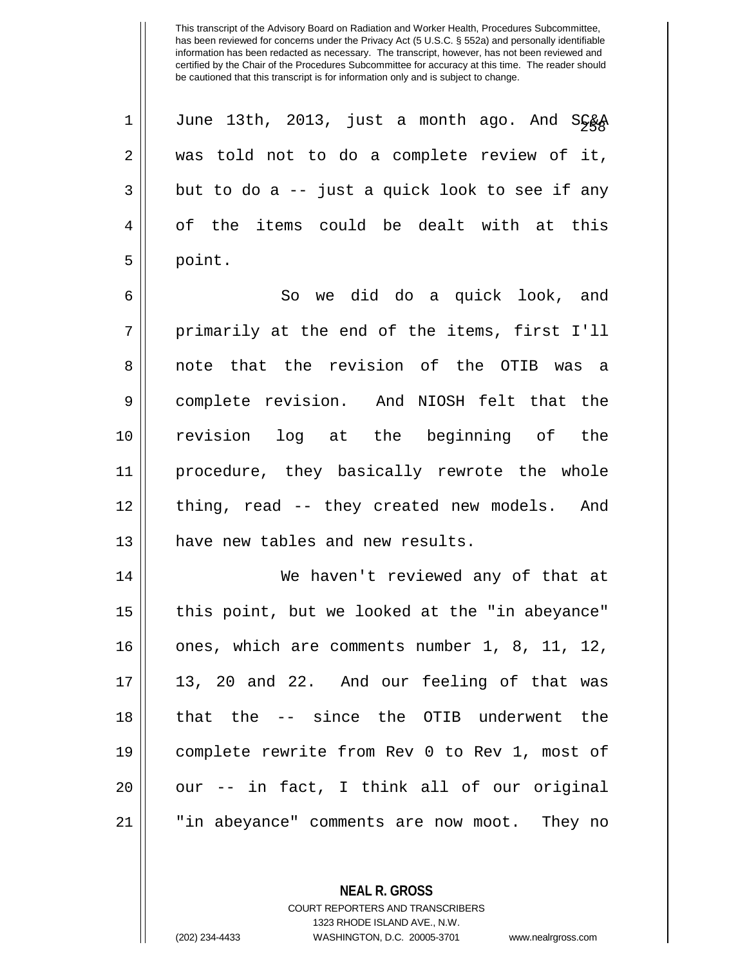| $\mathbf 1$    | June 13th, 2013, just a month ago. And SG&A    |
|----------------|------------------------------------------------|
| $\overline{a}$ | was told not to do a complete review of it,    |
| $\overline{3}$ | but to do a -- just a quick look to see if any |
| $\overline{4}$ | of the items could be dealt with at this       |
| 5              | point.                                         |
| 6              | So we did do a quick look, and                 |
| 7              | primarily at the end of the items, first I'll  |

8 note that the revision of the OTIB was a 9 || complete revision. And NIOSH felt that the 10 revision log at the beginning of the 11 procedure, they basically rewrote the whole 12 || thing, read -- they created new models. And 13 || have new tables and new results.

14 || We haven't reviewed any of that at 15 || this point, but we looked at the "in abeyance" 16 || ones, which are comments number 1, 8, 11, 12,  $17 \parallel 13$ , 20 and 22. And our feeling of that was 18 that the -- since the OTIB underwent the 19 complete rewrite from Rev 0 to Rev 1, most of  $20 \parallel$  our -- in fact, I think all of our original 21 || "in abeyance" comments are now moot. They no

**NEAL R. GROSS**

COURT REPORTERS AND TRANSCRIBERS 1323 RHODE ISLAND AVE., N.W. (202) 234-4433 WASHINGTON, D.C. 20005-3701 www.nealrgross.com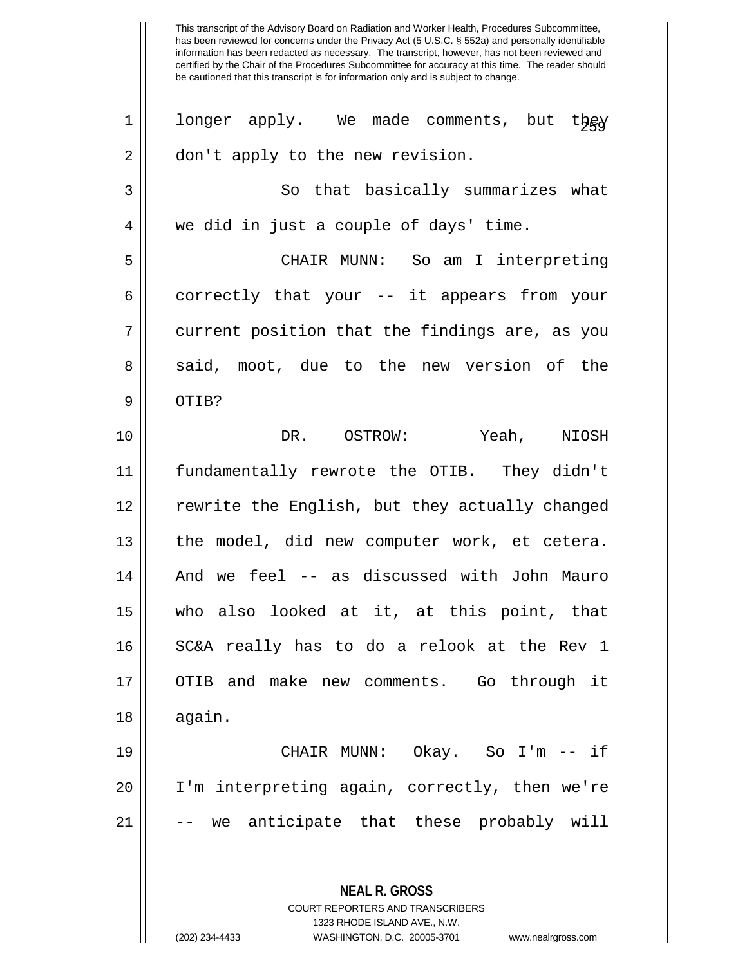**NEAL R. GROSS** COURT REPORTERS AND TRANSCRIBERS 1323 RHODE ISLAND AVE., N.W. 1 || longer apply. We made comments, but t $\frac{1}{2}$ 2 | don't apply to the new revision. 3 || So that basically summarizes what 4 we did in just a couple of days' time. 5 CHAIR MUNN: So am I interpreting  $6 \parallel$  correctly that your -- it appears from your 7 current position that the findings are, as you 8 said, moot, due to the new version of the  $9 \parallel$  OTIB? 10 DR. OSTROW: Yeah, NIOSH 11 fundamentally rewrote the OTIB. They didn't 12 rewrite the English, but they actually changed  $13$  | the model, did new computer work, et cetera. 14 || And we feel -- as discussed with John Mauro 15 who also looked at it, at this point, that 16 || SC&A really has to do a relook at the Rev 1 17 || OTIB and make new comments. Go through it  $18 \parallel$  again. 19 CHAIR MUNN: Okay. So I'm -- if 20 I'm interpreting again, correctly, then we're 21 || -- we anticipate that these probably will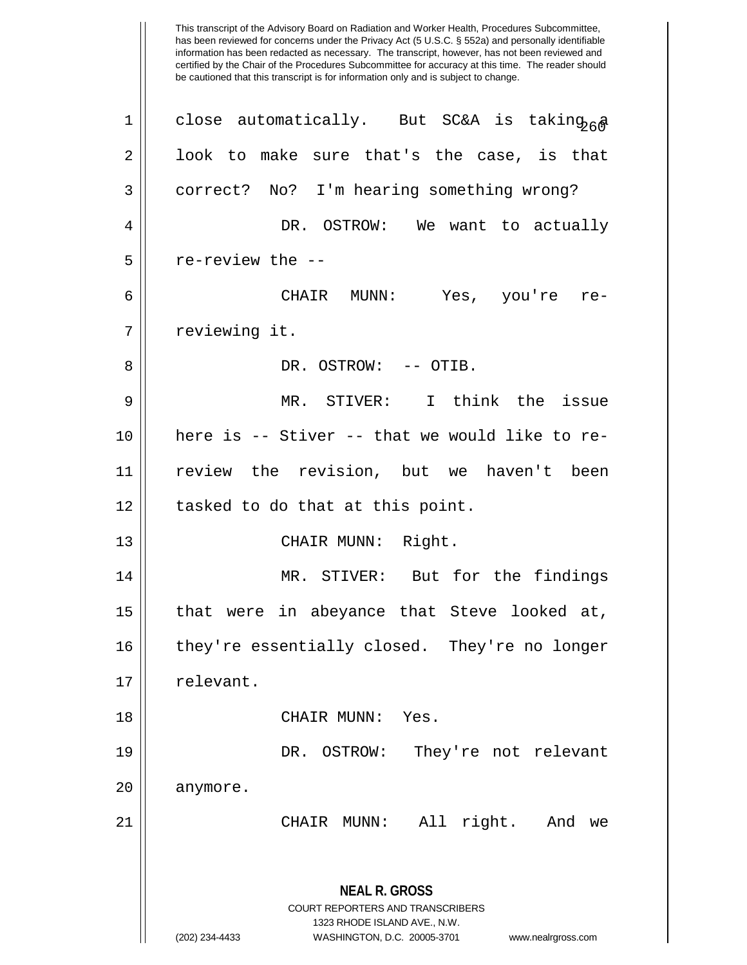This transcript of the Advisory Board on Radiation and Worker Health, Procedures Subcommittee, has been reviewed for concerns under the Privacy Act (5 U.S.C. § 552a) and personally identifiable information has been redacted as necessary. The transcript, however, has not been reviewed and certified by the Chair of the Procedures Subcommittee for accuracy at this time. The reader should be cautioned that this transcript is for information only and is subject to change. 1 || close automatically. But SC&A is taking<sub>26</sub>a  $2 \parallel$  look to make sure that's the case, is that 3 || correct? No? I'm hearing something wrong? 4 DR. OSTROW: We want to actually  $5 \parallel$  re-review the --6 CHAIR MUNN: Yes, you're re-7 || reviewing it. 8 DR. OSTROW: -- OTIB. 9 MR. STIVER: I think the issue 10 here is -- Stiver -- that we would like to re-11 review the revision, but we haven't been 12 || tasked to do that at this point. 13 || CHAIR MUNN: Right. 14 || MR. STIVER: But for the findings 15 that were in abeyance that Steve looked at, 16 || they're essentially closed. They're no longer  $17 \parallel$  relevant. 18 CHAIR MUNN: Yes. 19 DR. OSTROW: They're not relevant 20 || anymore. 21 CHAIR MUNN: All right. And we

> **NEAL R. GROSS** COURT REPORTERS AND TRANSCRIBERS 1323 RHODE ISLAND AVE., N.W. (202) 234-4433 WASHINGTON, D.C. 20005-3701 www.nealrgross.com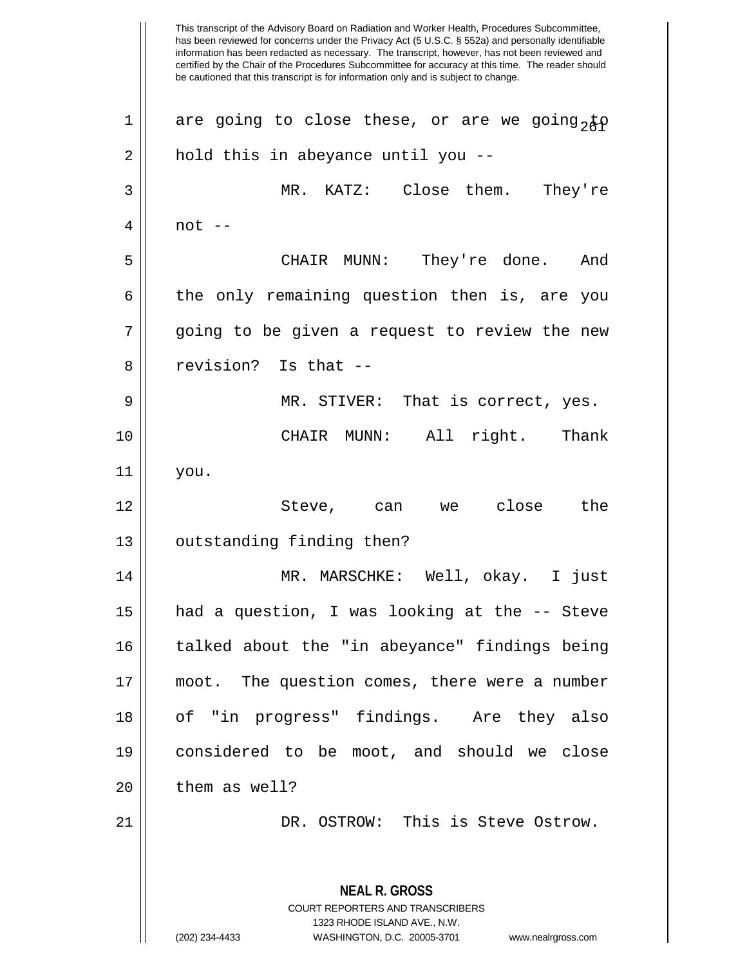This transcript of the Advisory Board on Radiation and Worker Health, Procedures Subcommittee, has been reviewed for concerns under the Privacy Act (5 U.S.C. § 552a) and personally identifiable information has been redacted as necessary. The transcript, however, has not been reviewed and certified by the Chair of the Procedures Subcommittee for accuracy at this time. The reader should be cautioned that this transcript is for information only and is subject to change. **NEAL R. GROSS** COURT REPORTERS AND TRANSCRIBERS 1323 RHODE ISLAND AVE., N.W. (202) 234-4433 WASHINGTON, D.C. 20005-3701 www.nealrgross.com 1 || are going to close these, or are we going, to  $2 \parallel$  hold this in abeyance until you --3 MR. KATZ: Close them. They're  $4 \parallel$  not  $-$ 5 CHAIR MUNN: They're done. And  $6 \parallel$  the only remaining question then is, are you 7 || going to be given a request to review the new 8 || revision? Is that --9 MR. STIVER: That is correct, yes. 10 CHAIR MUNN: All right. Thank 11 you. 12 Steve, can we close the 13 | outstanding finding then? 14 MR. MARSCHKE: Well, okay. I just 15 had a question, I was looking at the -- Steve 16 || talked about the "in abeyance" findings being 17 || moot. The question comes, there were a number 18 of "in progress" findings. Are they also 19 considered to be moot, and should we close  $20$  | them as well? 21 DR. OSTROW: This is Steve Ostrow.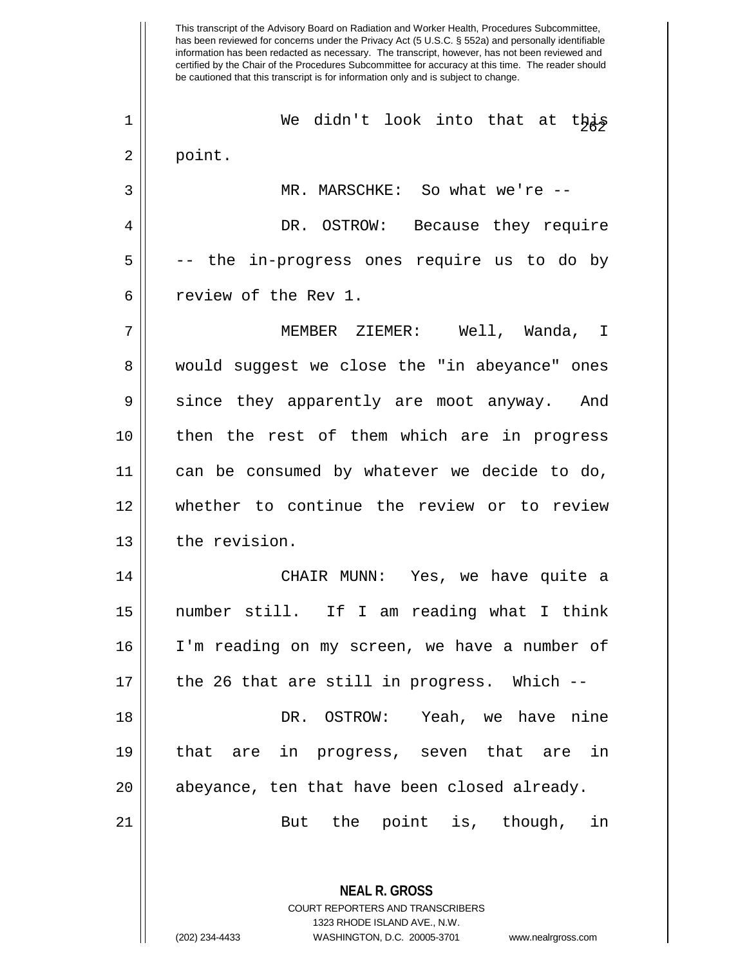This transcript of the Advisory Board on Radiation and Worker Health, Procedures Subcommittee, has been reviewed for concerns under the Privacy Act (5 U.S.C. § 552a) and personally identifiable information has been redacted as necessary. The transcript, however, has not been reviewed and certified by the Chair of the Procedures Subcommittee for accuracy at this time. The reader should be cautioned that this transcript is for information only and is subject to change. **NEAL R. GROSS** <sup>262</sup> <sup>1</sup> We didn't look into that at this 2 || point. 3 || MR. MARSCHKE: So what we're --4 | DR. OSTROW: Because they require  $5 \parallel$  -- the in-progress ones require us to do by 6 ceview of the Rev 1. 7 || MEMBER ZIEMER: Well, Wanda, I 8 would suggest we close the "in abeyance" ones 9 since they apparently are moot anyway. And 10 then the rest of them which are in progress 11 can be consumed by whatever we decide to do, 12 whether to continue the review or to review 13 | the revision. 14 CHAIR MUNN: Yes, we have quite a 15 number still. If I am reading what I think 16 I'm reading on my screen, we have a number of  $17$  || the 26 that are still in progress. Which  $-$ 18 DR. OSTROW: Yeah, we have nine 19 that are in progress, seven that are in 20 || abeyance, ten that have been closed already. 21 || But the point is, though, in

> COURT REPORTERS AND TRANSCRIBERS 1323 RHODE ISLAND AVE., N.W.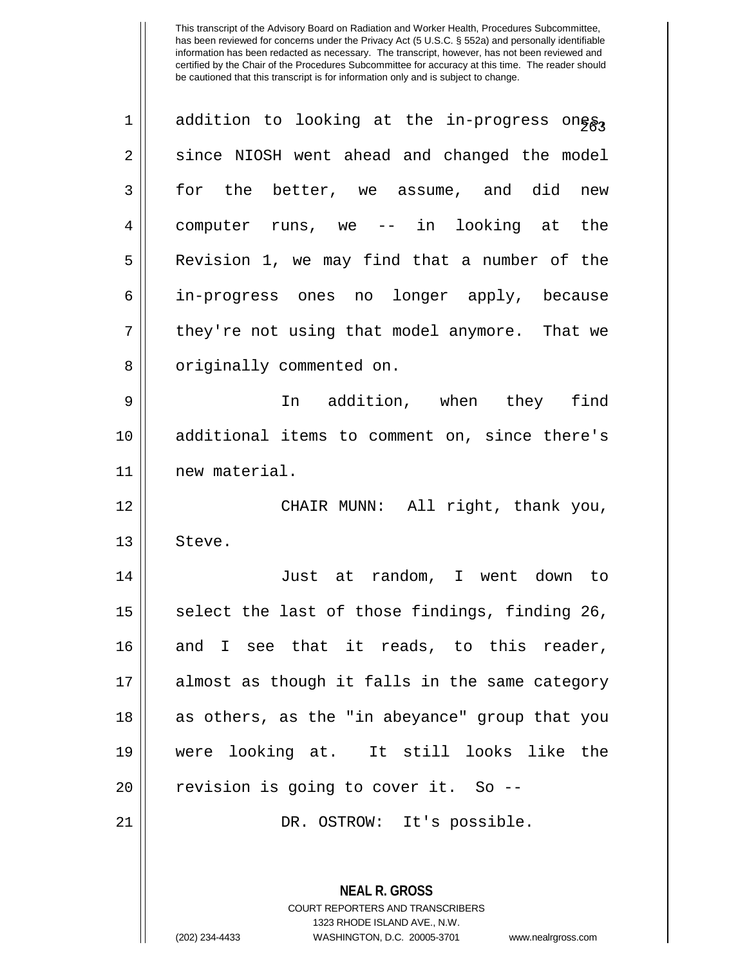| 1  | addition to looking at the in-progress ongg3   |
|----|------------------------------------------------|
| 2  | since NIOSH went ahead and changed the model   |
| 3  | for the better, we assume, and did<br>new      |
| 4  | computer runs, we -- in looking at the         |
| 5  | Revision 1, we may find that a number of the   |
| 6  | in-progress ones no longer apply, because      |
| 7  | they're not using that model anymore. That we  |
| 8  | originally commented on.                       |
| 9  | In addition, when they find                    |
| 10 | additional items to comment on, since there's  |
| 11 | new material.                                  |
| 12 | CHAIR MUNN: All right, thank you,              |
| 13 | Steve.                                         |
| 14 | Just at random, I went down to                 |
| 15 | select the last of those findings, finding 26, |
| 16 | and I see that it reads, to this reader,       |
| 17 | almost as though it falls in the same category |
| 18 | as others, as the "in abeyance" group that you |
| 19 | were looking at. It still looks like the       |
| 20 | revision is going to cover it. So --           |
| 21 | DR. OSTROW: It's possible.                     |
|    |                                                |
|    | <b>NEAL R. GROSS</b>                           |

COURT REPORTERS AND TRANSCRIBERS 1323 RHODE ISLAND AVE., N.W.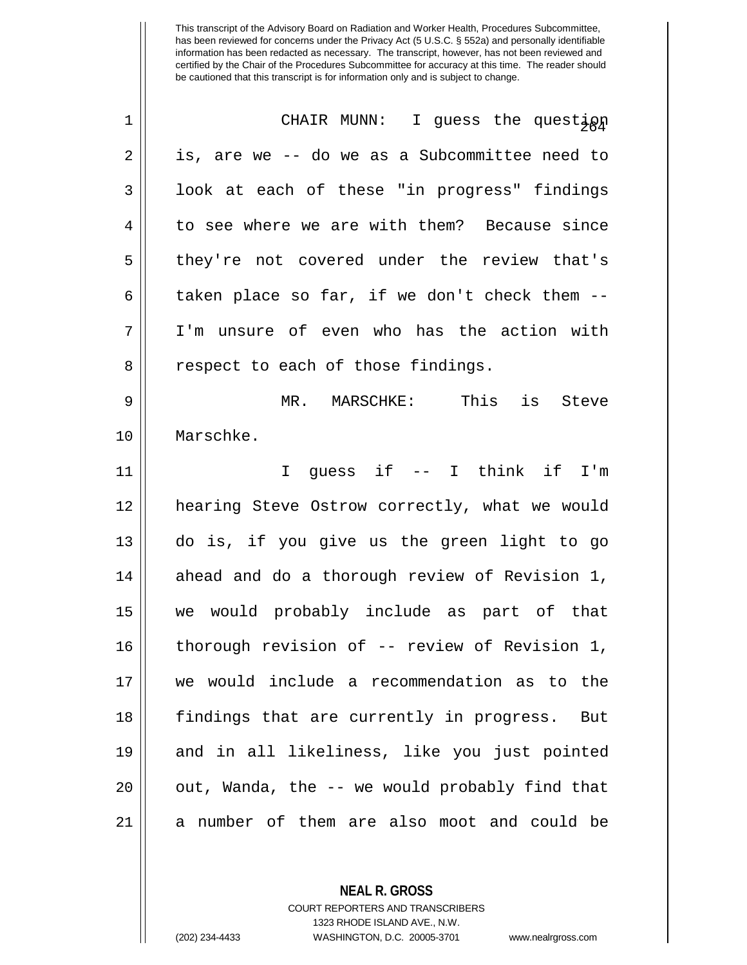| $\mathbf 1$ | CHAIR MUNN: I guess the questign                |
|-------------|-------------------------------------------------|
| 2           | is, are we -- do we as a Subcommittee need to   |
| 3           | look at each of these "in progress" findings    |
| 4           | to see where we are with them? Because since    |
| 5           | they're not covered under the review that's     |
| 6           | taken place so far, if we don't check them --   |
| 7           | I'm unsure of even who has the action with      |
| 8           | respect to each of those findings.              |
| 9           | MR. MARSCHKE: This is Steve                     |
| 10          | Marschke.                                       |
| 11          | I guess if -- I think if I'm                    |
| 12          | hearing Steve Ostrow correctly, what we would   |
| 13          | do is, if you give us the green light to go     |
| 14          | ahead and do a thorough review of Revision 1,   |
| 15          | we would probably include as part of that       |
| 16          | thorough revision of -- review of Revision 1,   |
| 17          | we would include a recommendation as to the     |
| 18          | findings that are currently in progress.<br>But |
| 19          | and in all likeliness, like you just pointed    |
| 20          | out, Wanda, the -- we would probably find that  |
| 21          | a number of them are also moot and could be     |

**NEAL R. GROSS**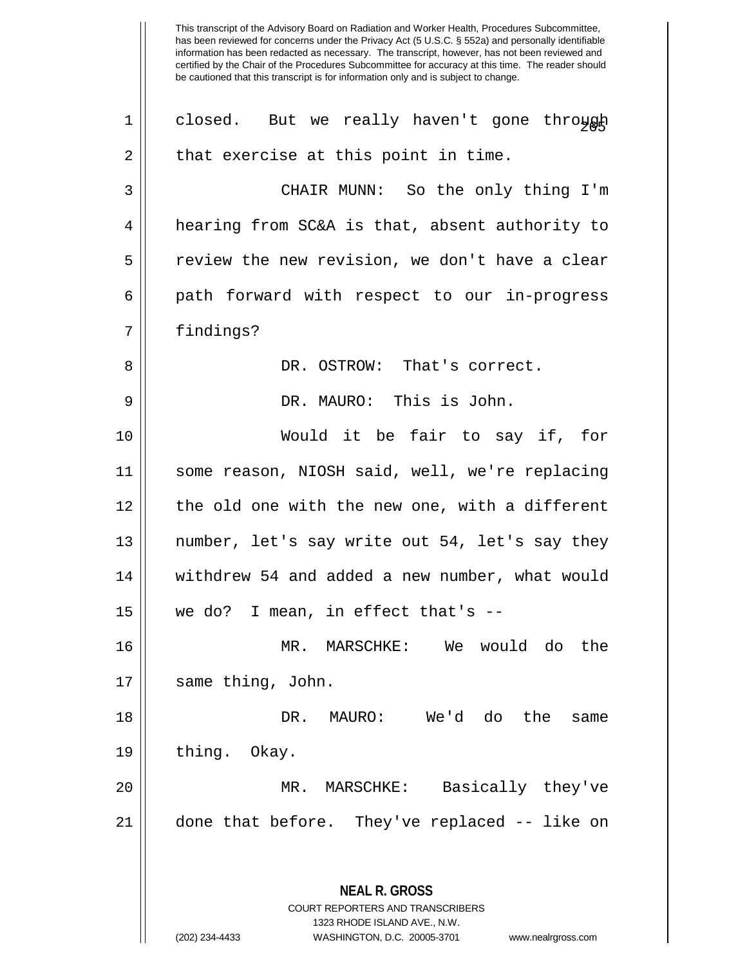**NEAL R. GROSS** COURT REPORTERS AND TRANSCRIBERS 1323 RHODE ISLAND AVE., N.W. (202) 234-4433 WASHINGTON, D.C. 20005-3701 www.nealrgross.com 1 || closed. But we really haven't gone through  $2 \parallel$  that exercise at this point in time. 3 CHAIR MUNN: So the only thing I'm 4 | hearing from SC&A is that, absent authority to  $5 \parallel$  review the new revision, we don't have a clear 6 || path forward with respect to our in-progress 7 || findings? 8 DR. OSTROW: That's correct. 9 DR. MAURO: This is John. 10 Would it be fair to say if, for 11 some reason, NIOSH said, well, we're replacing 12 || the old one with the new one, with a different 13 || number, let's say write out 54, let's say they 14 | withdrew 54 and added a new number, what would  $15$  | we do? I mean, in effect that's  $-$ 16 MR. MARSCHKE: We would do the 17 || same thing, John. 18 DR. MAURO: We'd do the same 19 | thing. Okay. 20 MR. MARSCHKE: Basically they've 21 done that before. They've replaced -- like on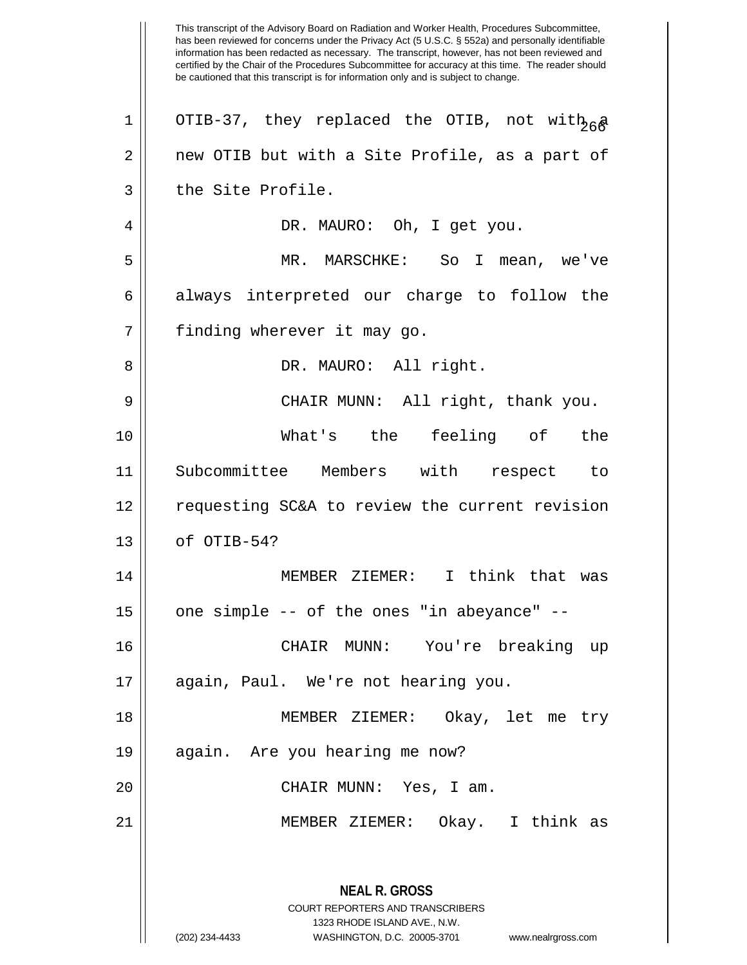This transcript of the Advisory Board on Radiation and Worker Health, Procedures Subcommittee, has been reviewed for concerns under the Privacy Act (5 U.S.C. § 552a) and personally identifiable information has been redacted as necessary. The transcript, however, has not been reviewed and certified by the Chair of the Procedures Subcommittee for accuracy at this time. The reader should be cautioned that this transcript is for information only and is subject to change. **NEAL R. GROSS** COURT REPORTERS AND TRANSCRIBERS 1323 RHODE ISLAND AVE., N.W. (202) 234-4433 WASHINGTON, D.C. 20005-3701 www.nealrgross.com 1 || OTIB-37, they replaced the OTIB, not with  $a \in \mathbb{R}$ 2 | new OTIB but with a Site Profile, as a part of 3 || the Site Profile. 4 || DR. MAURO: Oh, I get you. 5 MR. MARSCHKE: So I mean, we've  $6 \parallel$  always interpreted our charge to follow the 7 || finding wherever it may go. 8 DR. MAURO: All right. 9 CHAIR MUNN: All right, thank you. 10 What's the feeling of the 11 Subcommittee Members with respect to 12 requesting SC&A to review the current revision  $13$  | of OTIB-54? 14 MEMBER ZIEMER: I think that was  $15$  | one simple -- of the ones "in abeyance" --16 CHAIR MUNN: You're breaking up 17 || again, Paul. We're not hearing you. 18 MEMBER ZIEMER: Okay, let me try 19 || again. Are you hearing me now? 20 CHAIR MUNN: Yes, I am. 21 MEMBER ZIEMER: Okay. I think as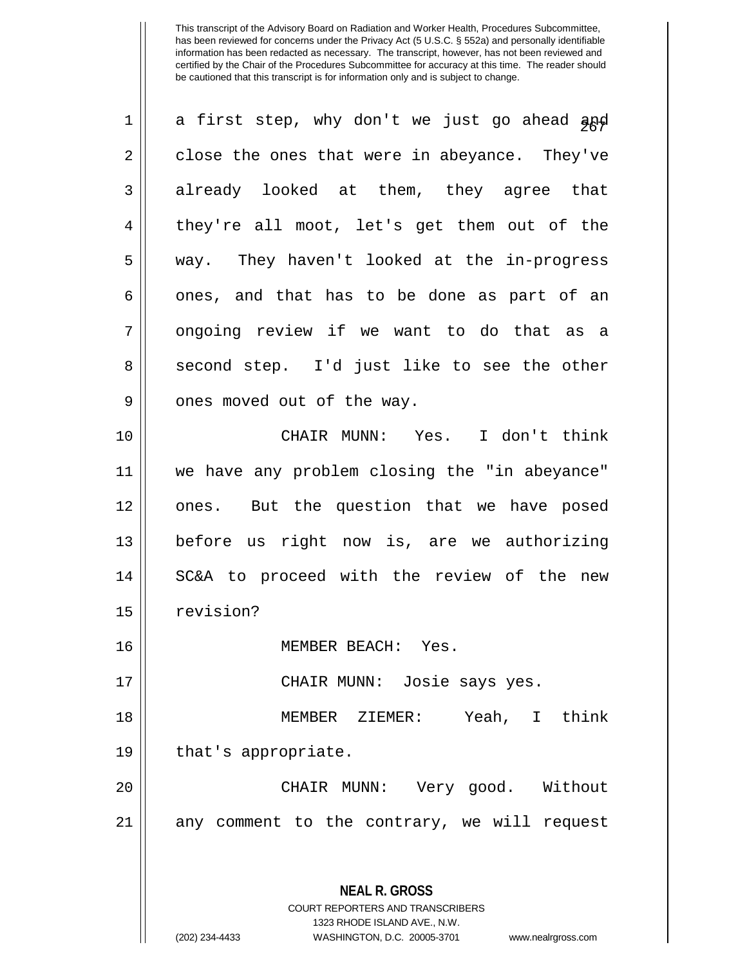| $\mathbf 1$ | a first step, why don't we just go ahead apd                                             |
|-------------|------------------------------------------------------------------------------------------|
| 2           | close the ones that were in abeyance. They've                                            |
| 3           | already looked at them, they agree that                                                  |
| 4           | they're all moot, let's get them out of the                                              |
| 5           | way. They haven't looked at the in-progress                                              |
| 6           | ones, and that has to be done as part of an                                              |
| 7           | ongoing review if we want to do that as a                                                |
| 8           | second step. I'd just like to see the other                                              |
| 9           | ones moved out of the way.                                                               |
| 10          | CHAIR MUNN: Yes. I don't think                                                           |
| 11          | we have any problem closing the "in abeyance"                                            |
| 12          | But the question that we have posed<br>ones.                                             |
| 13          | before us right now is, are we authorizing                                               |
| 14          | SC&A to proceed with the review of the new                                               |
| 15          | revision?                                                                                |
| 16          | MEMBER BEACH: Yes                                                                        |
| 17          | CHAIR MUNN: Josie says yes.                                                              |
| 18          | MEMBER ZIEMER: Yeah, I think                                                             |
| 19          | that's appropriate.                                                                      |
| 20          | CHAIR MUNN: Very good. Without                                                           |
| 21          | any comment to the contrary, we will request                                             |
|             | <b>NEAL R. GROSS</b><br>COURT REPORTERS AND TRANSCRIBERS<br>1323 RHODE ISLAND AVE., N.W. |

 $\parallel$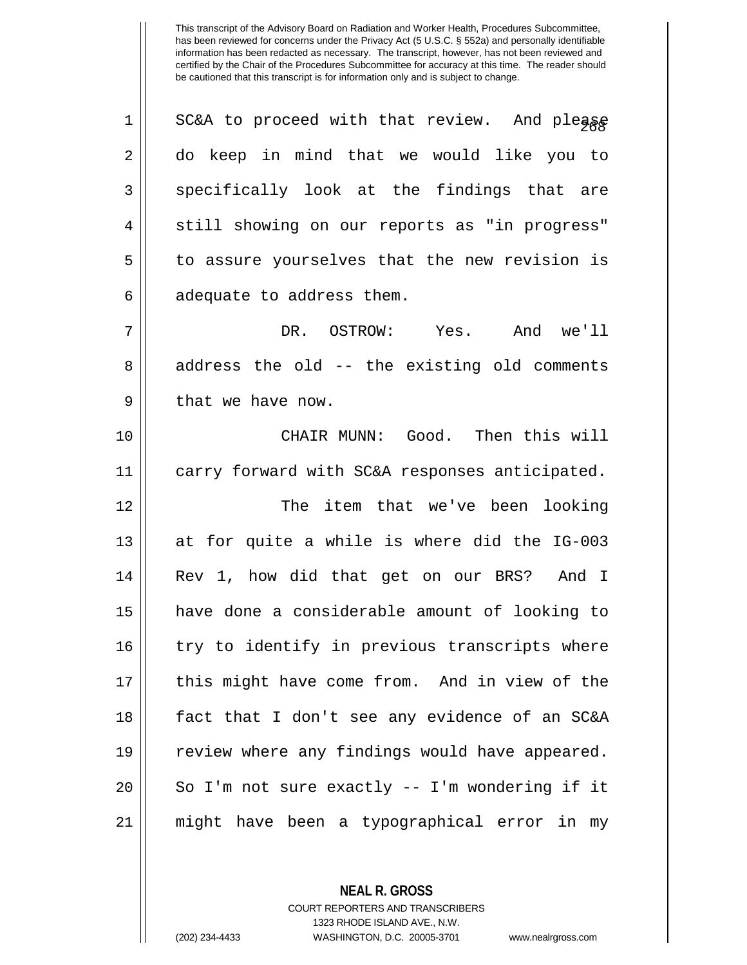| $\mathbf 1$ | SC&A to proceed with that review. And pleage   |
|-------------|------------------------------------------------|
| 2           | do keep in mind that we would like you to      |
| 3           | specifically look at the findings that are     |
| 4           | still showing on our reports as "in progress"  |
| 5           | to assure yourselves that the new revision is  |
| 6           | adequate to address them.                      |
| 7           | DR. OSTROW: Yes. And we'll                     |
| 8           | address the old -- the existing old comments   |
| 9           | that we have now.                              |
| 10          | CHAIR MUNN: Good. Then this will               |
| 11          | carry forward with SC&A responses anticipated. |
| 12          | item that we've been looking<br>The            |
| 13          | at for quite a while is where did the IG-003   |
| 14          | Rev 1, how did that get on our BRS? And I      |
| 15          | have done a considerable amount of looking to  |
| 16          | try to identify in previous transcripts where  |
| 17          | this might have come from. And in view of the  |
| 18          | fact that I don't see any evidence of an SC&A  |
| 19          | review where any findings would have appeared. |
| 20          | So I'm not sure exactly -- I'm wondering if it |
| 21          | might have been a typographical error in my    |

**NEAL R. GROSS**

COURT REPORTERS AND TRANSCRIBERS 1323 RHODE ISLAND AVE., N.W. (202) 234-4433 WASHINGTON, D.C. 20005-3701 www.nealrgross.com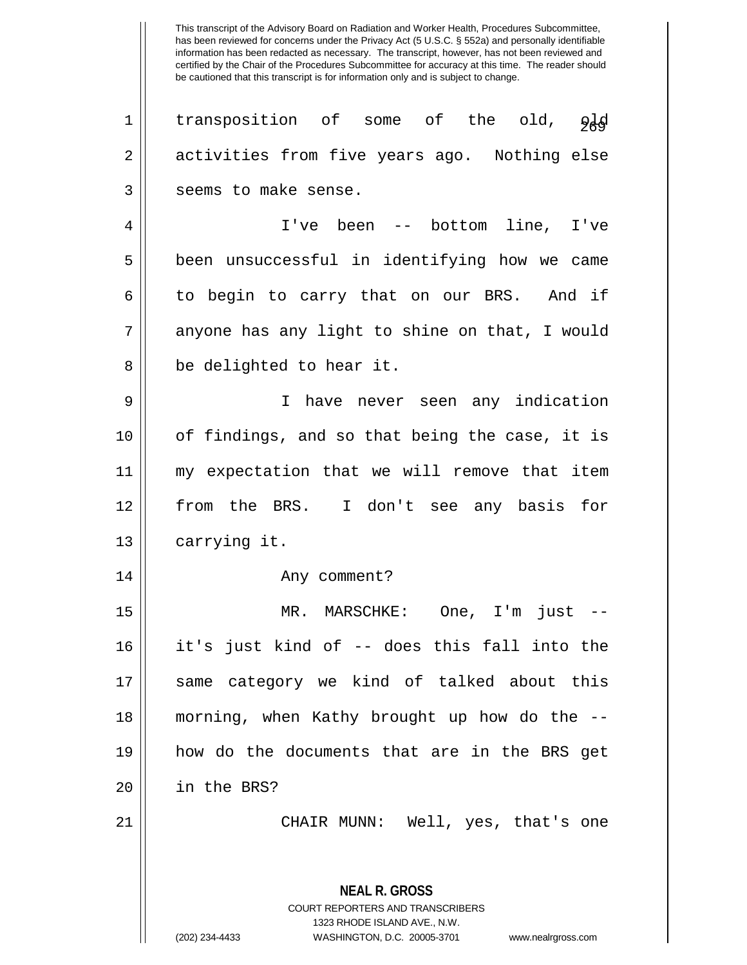This transcript of the Advisory Board on Radiation and Worker Health, Procedures Subcommittee, has been reviewed for concerns under the Privacy Act (5 U.S.C. § 552a) and personally identifiable information has been redacted as necessary. The transcript, however, has not been reviewed and certified by the Chair of the Procedures Subcommittee for accuracy at this time. The reader should be cautioned that this transcript is for information only and is subject to change. **NEAL R. GROSS** 1 || transposition of some of the old,  $960$ 2 | activities from five years ago. Nothing else 3 || seems to make sense. 4 I've been -- bottom line, I've 5 || been unsuccessful in identifying how we came  $6 \parallel$  to begin to carry that on our BRS. And if 7 || anyone has any light to shine on that, I would 8 || be delighted to hear it. 9 I have never seen any indication 10 of findings, and so that being the case, it is 11 my expectation that we will remove that item 12 from the BRS. I don't see any basis for 13 | carrying it. 14 Any comment? 15 MR. MARSCHKE: One, I'm just -- 16 it's just kind of -- does this fall into the 17 || same category we kind of talked about this 18 morning, when Kathy brought up how do the -- 19 how do the documents that are in the BRS get 20 in the BRS? 21 CHAIR MUNN: Well, yes, that's one

> COURT REPORTERS AND TRANSCRIBERS 1323 RHODE ISLAND AVE., N.W.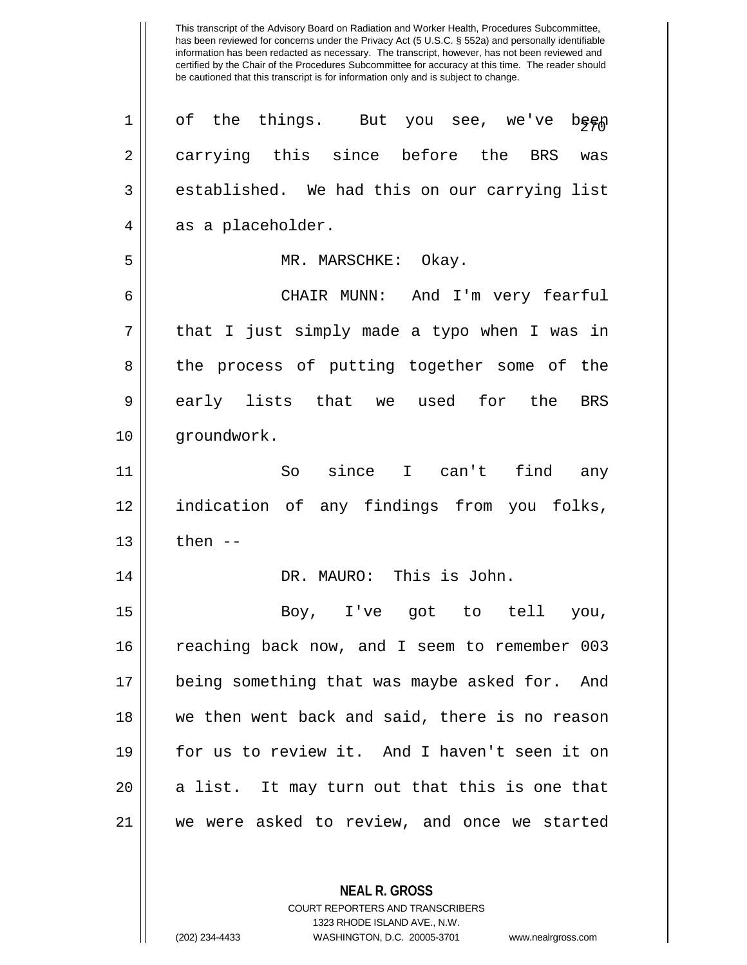| $\mathbf 1$ | of the things. But you see, we've<br>beep      |
|-------------|------------------------------------------------|
| 2           | carrying this since before the BRS<br>was      |
| 3           | established. We had this on our carrying list  |
| 4           | as a placeholder.                              |
| 5           | MR. MARSCHKE: Okay.                            |
| 6           | CHAIR MUNN: And I'm very fearful               |
| 7           | that I just simply made a typo when I was in   |
| 8           | the process of putting together some of the    |
| 9           | early lists that we used for the<br>BRS        |
| 10          | groundwork.                                    |
| 11          | So since I can't find<br>any                   |
| 12          | indication of any findings from you folks,     |
| 13          | then $--$                                      |
| 14          | DR. MAURO: This is John.                       |
| 15          | Boy, I've got to tell<br>you,                  |
| 16          | reaching back now, and I seem to remember 003  |
| 17          | being something that was maybe asked for. And  |
| 18          | we then went back and said, there is no reason |
| 19          | for us to review it. And I haven't seen it on  |
| 20          | a list. It may turn out that this is one that  |
| 21          | we were asked to review, and once we started   |
|             |                                                |

**NEAL R. GROSS** COURT REPORTERS AND TRANSCRIBERS

1323 RHODE ISLAND AVE., N.W.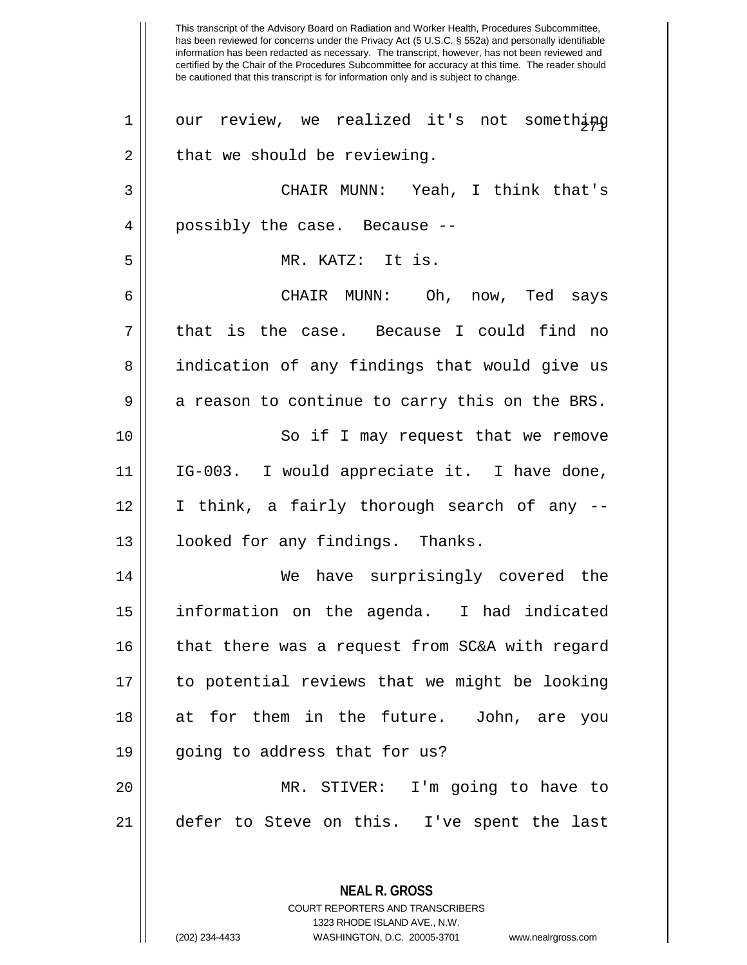This transcript of the Advisory Board on Radiation and Worker Health, Procedures Subcommittee, has been reviewed for concerns under the Privacy Act (5 U.S.C. § 552a) and personally identifiable information has been redacted as necessary. The transcript, however, has not been reviewed and certified by the Chair of the Procedures Subcommittee for accuracy at this time. The reader should be cautioned that this transcript is for information only and is subject to change. **NEAL R. GROSS**  $1$ | our review, we realized it's not something  $2 \parallel$  that we should be reviewing. 3 CHAIR MUNN: Yeah, I think that's 4 || possibly the case. Because --5 MR. KATZ: It is. 6 CHAIR MUNN: Oh, now, Ted says 7 that is the case. Because I could find no 8 || indication of any findings that would give us  $9 \parallel$  a reason to continue to carry this on the BRS. 10 || So if I may request that we remove 11 IG-003. I would appreciate it. I have done, 12 I think, a fairly thorough search of any -- 13 || looked for any findings. Thanks. 14 We have surprisingly covered the 15 information on the agenda. I had indicated 16 || that there was a request from SC&A with regard 17 to potential reviews that we might be looking 18 at for them in the future. John, are you  $19$  | qoing to address that for us? 20 MR. STIVER: I'm going to have to 21 defer to Steve on this. I've spent the last

> COURT REPORTERS AND TRANSCRIBERS 1323 RHODE ISLAND AVE., N.W.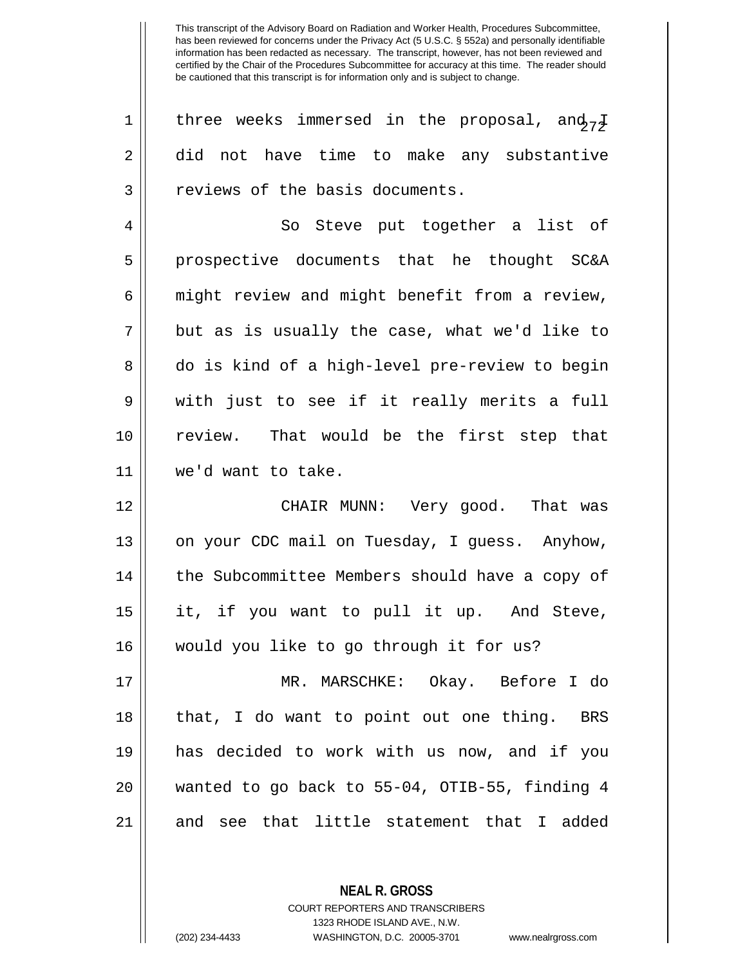1 || three weeks immersed in the proposal, and  $\frac{1}{7}$ 2 did not have time to make any substantive 3 || reviews of the basis documents.

4 || So Steve put together a list of 5 || prospective documents that he thought SC&A  $6 \parallel$  might review and might benefit from a review,  $7 \parallel$  but as is usually the case, what we'd like to 8 do is kind of a high-level pre-review to begin  $9 \parallel$  with just to see if it really merits a full 10 review. That would be the first step that 11 we'd want to take.

12 CHAIR MUNN: Very good. That was 13 | on your CDC mail on Tuesday, I guess. Anyhow, 14 || the Subcommittee Members should have a copy of 15 it, if you want to pull it up. And Steve, 16 would you like to go through it for us?

17 MR. MARSCHKE: Okay. Before I do 18 || that, I do want to point out one thing. BRS 19 has decided to work with us now, and if you 20 wanted to go back to 55-04, OTIB-55, finding 4 21 || and see that little statement that I added

> **NEAL R. GROSS** COURT REPORTERS AND TRANSCRIBERS 1323 RHODE ISLAND AVE., N.W. (202) 234-4433 WASHINGTON, D.C. 20005-3701 www.nealrgross.com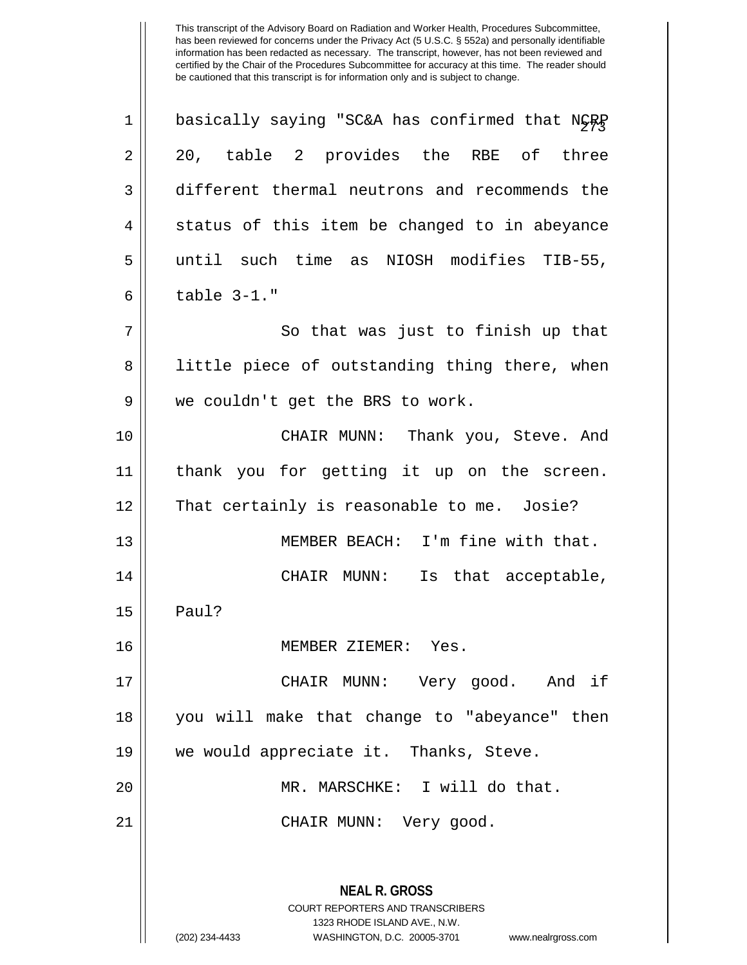| $\mathbf 1$ | basically saying "SC&A has confirmed that NGRP                                                                                                                  |
|-------------|-----------------------------------------------------------------------------------------------------------------------------------------------------------------|
| 2           | 20, table 2 provides the RBE of three                                                                                                                           |
| 3           | different thermal neutrons and recommends the                                                                                                                   |
| 4           | status of this item be changed to in abeyance                                                                                                                   |
| 5           | until such time as NIOSH modifies TIB-55,                                                                                                                       |
| 6           | table 3-1."                                                                                                                                                     |
| 7           | So that was just to finish up that                                                                                                                              |
| 8           | little piece of outstanding thing there, when                                                                                                                   |
| 9           | we couldn't get the BRS to work.                                                                                                                                |
| 10          | CHAIR MUNN: Thank you, Steve. And                                                                                                                               |
| 11          | thank you for getting it up on the screen.                                                                                                                      |
| 12          | That certainly is reasonable to me. Josie?                                                                                                                      |
| 13          | MEMBER BEACH: I'm fine with that.                                                                                                                               |
| 14          |                                                                                                                                                                 |
|             | Is that acceptable,<br>CHAIR MUNN:                                                                                                                              |
| 15          | Paul?                                                                                                                                                           |
| 16          | MEMBER ZIEMER: Yes                                                                                                                                              |
| 17          | CHAIR MUNN: Very good. And if                                                                                                                                   |
| 18          | you will make that change to "abeyance" then                                                                                                                    |
| 19          | we would appreciate it. Thanks, Steve.                                                                                                                          |
| 20          | MR. MARSCHKE: I will do that.                                                                                                                                   |
| 21          | CHAIR MUNN: Very good.                                                                                                                                          |
|             |                                                                                                                                                                 |
|             | <b>NEAL R. GROSS</b><br>COURT REPORTERS AND TRANSCRIBERS<br>1323 RHODE ISLAND AVE., N.W.<br>(202) 234-4433<br>WASHINGTON, D.C. 20005-3701<br>www.nealrgross.com |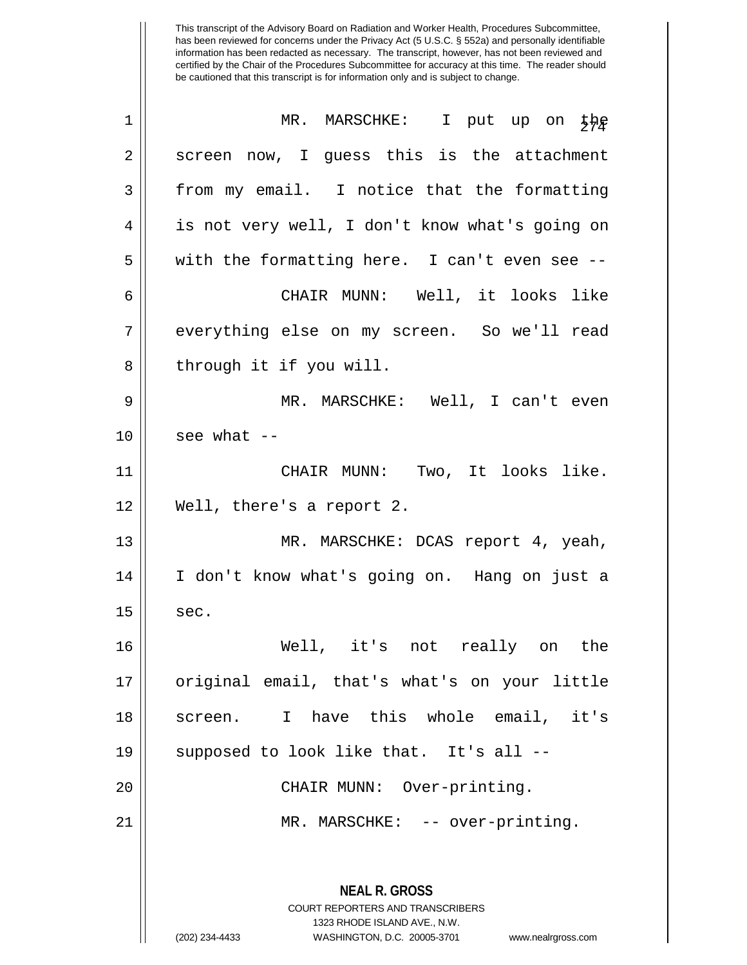| $\mathbf 1$ | MR. MARSCHKE: I put up on $\frac{1}{2}$                                                  |
|-------------|------------------------------------------------------------------------------------------|
| 2           | screen now, I guess this is the attachment                                               |
| 3           | from my email. I notice that the formatting                                              |
| 4           | is not very well, I don't know what's going on                                           |
| 5           | with the formatting here. I can't even see --                                            |
| 6           | CHAIR MUNN: Well, it looks like                                                          |
| 7           | everything else on my screen. So we'll read                                              |
| 8           | through it if you will.                                                                  |
| 9           | MR. MARSCHKE: Well, I can't even                                                         |
| 10          | see what $--$                                                                            |
| 11          | CHAIR MUNN: Two, It looks like.                                                          |
| 12          | Well, there's a report 2.                                                                |
| 13          | MR. MARSCHKE: DCAS report 4, yeah,                                                       |
| 14          | I don't know what's going on. Hang on just a                                             |
| 15          | sec.                                                                                     |
| 16          | Well, it's not really on the                                                             |
| 17          | original email, that's what's on your little                                             |
| 18          | I have this whole email,<br>it's<br>screen.                                              |
| 19          | supposed to look like that. It's all --                                                  |
| 20          | CHAIR MUNN: Over-printing.                                                               |
| 21          | MR. MARSCHKE: -- over-printing.                                                          |
|             | <b>NEAL R. GROSS</b><br>COURT REPORTERS AND TRANSCRIBERS<br>1323 RHODE ISLAND AVE., N.W. |
|             | (202) 234-4433<br>WASHINGTON, D.C. 20005-3701<br>www.nealrgross.com                      |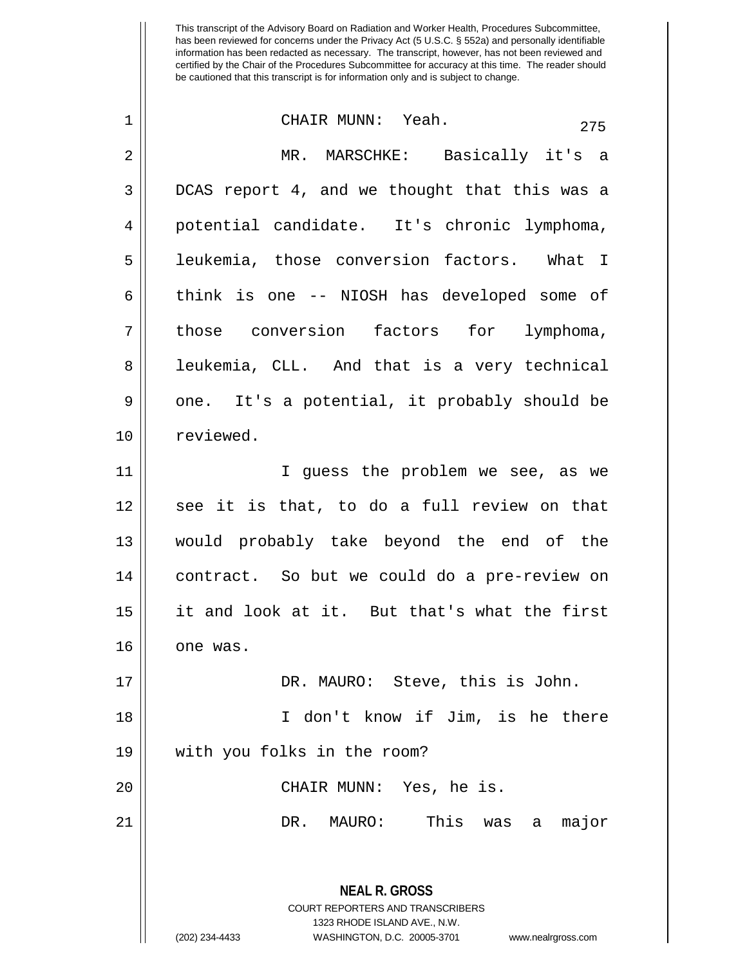| $\mathbf 1$ | CHAIR MUNN: Yeah.<br>275                                                                                                                                               |
|-------------|------------------------------------------------------------------------------------------------------------------------------------------------------------------------|
| 2           | MR. MARSCHKE: Basically it's a                                                                                                                                         |
| 3           | DCAS report 4, and we thought that this was a                                                                                                                          |
| 4           | potential candidate. It's chronic lymphoma,                                                                                                                            |
| 5           | leukemia, those conversion factors. What I                                                                                                                             |
| 6           | think is one -- NIOSH has developed some of                                                                                                                            |
| 7           | those conversion factors for lymphoma,                                                                                                                                 |
| 8           | leukemia, CLL. And that is a very technical                                                                                                                            |
| 9           | one. It's a potential, it probably should be                                                                                                                           |
| 10          | reviewed.                                                                                                                                                              |
| 11          | I guess the problem we see, as we                                                                                                                                      |
| 12          | see it is that, to do a full review on that                                                                                                                            |
| 13          | would probably take beyond the end of the                                                                                                                              |
| 14          | contract. So but we could do a pre-review on                                                                                                                           |
| 15          | it and look at it. But that's what the first                                                                                                                           |
| 16          | one was.                                                                                                                                                               |
| 17          | DR. MAURO: Steve, this is John.                                                                                                                                        |
| 18          | I don't know if Jim, is he there                                                                                                                                       |
| 19          | with you folks in the room?                                                                                                                                            |
| 20          | CHAIR MUNN: Yes, he is.                                                                                                                                                |
| 21          | This was<br>a major<br>DR. MAURO:                                                                                                                                      |
|             | <b>NEAL R. GROSS</b><br><b>COURT REPORTERS AND TRANSCRIBERS</b><br>1323 RHODE ISLAND AVE., N.W.<br>(202) 234-4433<br>WASHINGTON, D.C. 20005-3701<br>www.nealrgross.com |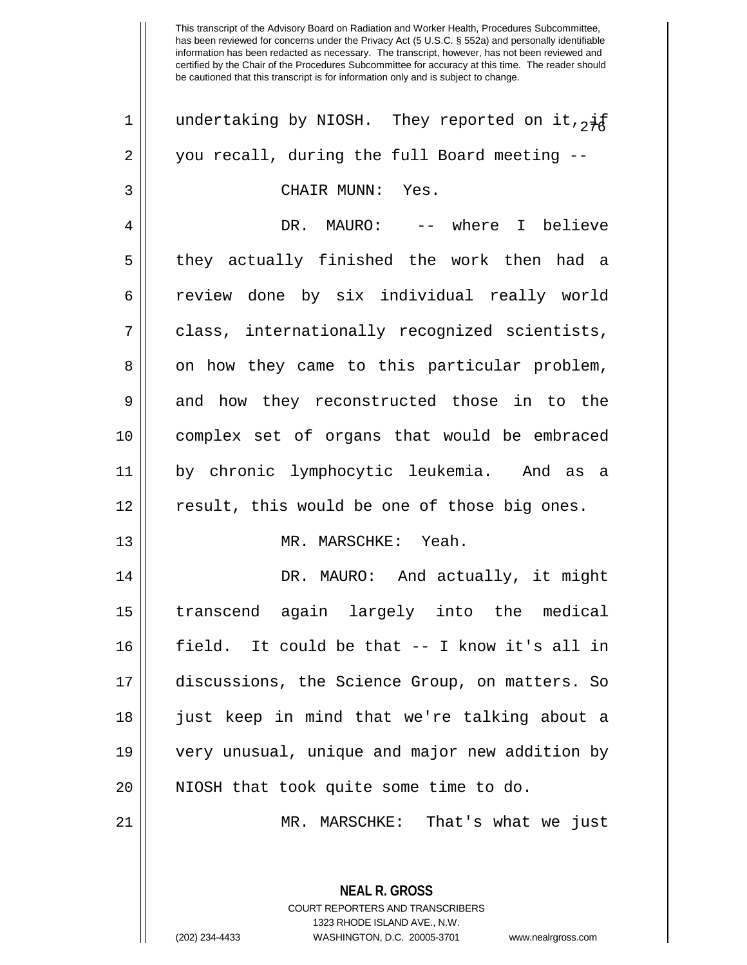This transcript of the Advisory Board on Radiation and Worker Health, Procedures Subcommittee, has been reviewed for concerns under the Privacy Act (5 U.S.C. § 552a) and personally identifiable information has been redacted as necessary. The transcript, however, has not been reviewed and certified by the Chair of the Procedures Subcommittee for accuracy at this time. The reader should be cautioned that this transcript is for information only and is subject to change. 1 || undertaking by NIOSH. They reported on it,  $\frac{1}{2}$ 2 you recall, during the full Board meeting -- 3 CHAIR MUNN: Yes. 4 DR. MAURO: -- where I believe 5 || they actually finished the work then had a 6 review done by six individual really world 7 class, internationally recognized scientists, 8 on how they came to this particular problem, 9 || and how they reconstructed those in to the 10 complex set of organs that would be embraced 11 by chronic lymphocytic leukemia. And as a 12 result, this would be one of those big ones. 13 || MR. MARSCHKE: Yeah. 14 || DR. MAURO: And actually, it might 15 transcend again largely into the medical 16 field. It could be that -- I know it's all in 17 discussions, the Science Group, on matters. So 18 just keep in mind that we're talking about a 19 very unusual, unique and major new addition by 20 || NIOSH that took quite some time to do. 21 MR. MARSCHKE: That's what we just

> **NEAL R. GROSS** COURT REPORTERS AND TRANSCRIBERS 1323 RHODE ISLAND AVE., N.W. (202) 234-4433 WASHINGTON, D.C. 20005-3701 www.nealrgross.com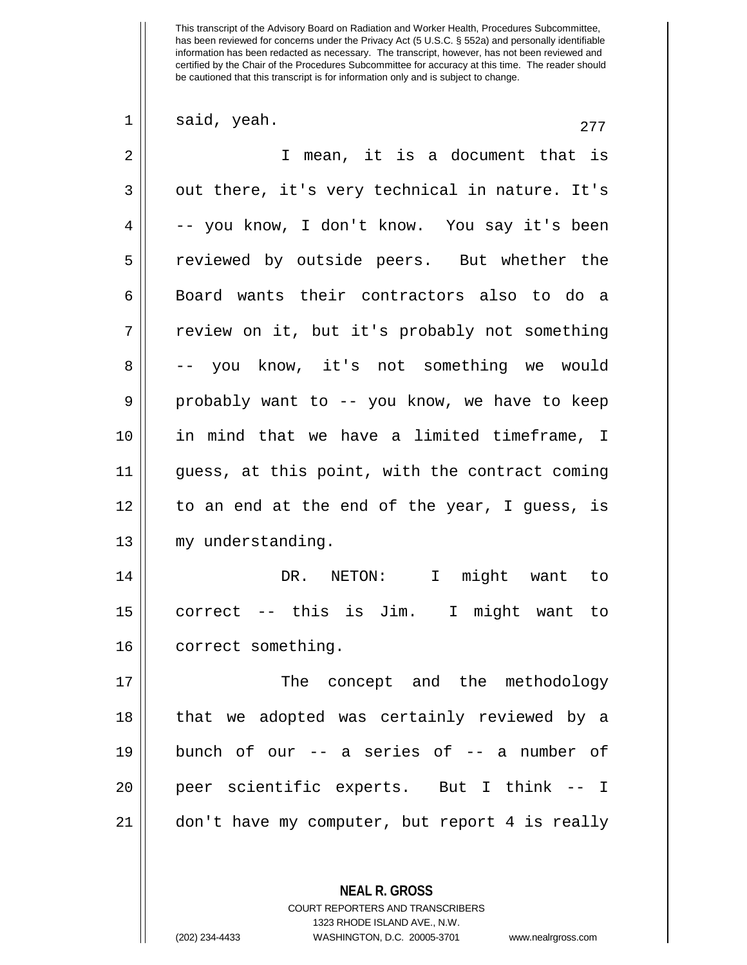| 1  | said, yeah.<br>277                             |
|----|------------------------------------------------|
| 2  | I mean, it is a document that is               |
| 3  | out there, it's very technical in nature. It's |
| 4  | -- you know, I don't know. You say it's been   |
| 5  | reviewed by outside peers. But whether the     |
| 6  | Board wants their contractors also to do a     |
| 7  | review on it, but it's probably not something  |
| 8  | -- you know, it's not something we would       |
| 9  | probably want to -- you know, we have to keep  |
| 10 | in mind that we have a limited timeframe, I    |
| 11 | guess, at this point, with the contract coming |
| 12 | to an end at the end of the year, I guess, is  |
| 13 | my understanding.                              |
| 14 | NETON: I<br>might want to<br>DR.               |
| 15 | correct -- this is Jim. I might want to        |
| 16 | correct something.                             |
| 17 | The concept and the methodology                |
| 18 | that we adopted was certainly reviewed by a    |
| 19 | bunch of our -- a series of -- a number of     |
| 20 | peer scientific experts. But I think -- I      |
| 21 | don't have my computer, but report 4 is really |
|    |                                                |
|    | <b>NEAL R. GROSS</b>                           |

COURT REPORTERS AND TRANSCRIBERS 1323 RHODE ISLAND AVE., N.W.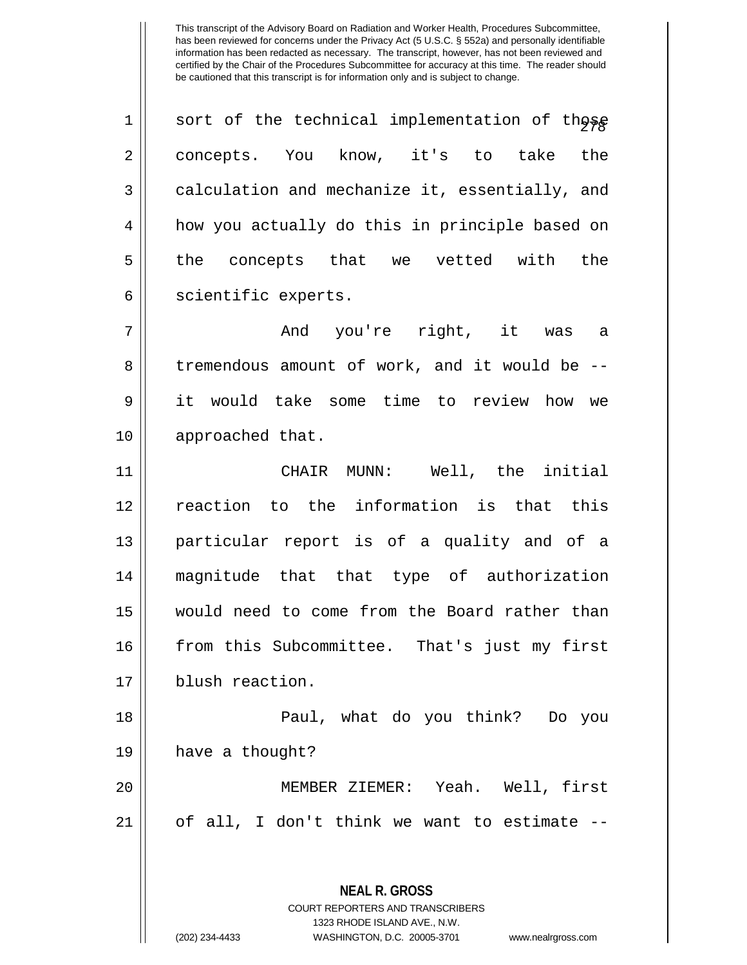1 || sort of the technical implementation of those 2 || concepts. You know, it's to take the 3 calculation and mechanize it, essentially, and 4 | how you actually do this in principle based on  $5 \parallel$  the concepts that we vetted with the 6 | scientific experts.

7 And you're right, it was a 8 || tremendous amount of work, and it would be --9 it would take some time to review how we 10 || approached that.

 CHAIR MUNN: Well, the initial reaction to the information is that this particular report is of a quality and of a magnitude that that type of authorization would need to come from the Board rather than from this Subcommittee. That's just my first 17 | blush reaction.

18 Paul, what do you think? Do you  $19$  | have a thought? 20 MEMBER ZIEMER: Yeah. Well, first

 $21$  || of all, I don't think we want to estimate  $-$ 

**NEAL R. GROSS** COURT REPORTERS AND TRANSCRIBERS

1323 RHODE ISLAND AVE., N.W.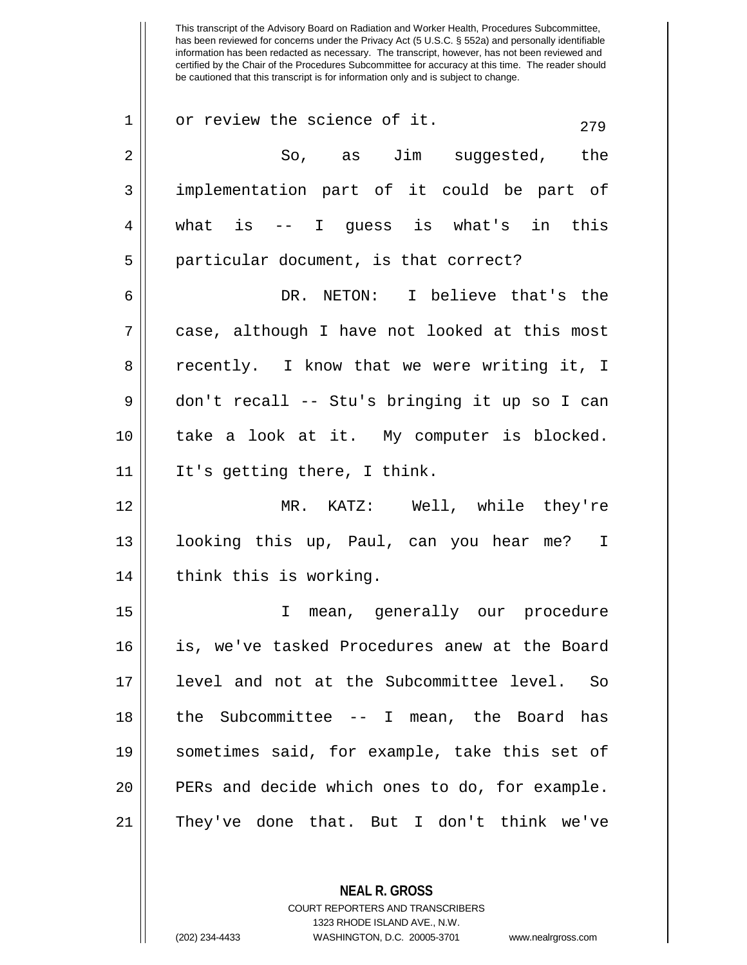| $\mathbf 1$    | or review the science of it.<br>279            |
|----------------|------------------------------------------------|
| $\overline{2}$ | So, as Jim suggested, the                      |
| 3              | implementation part of it could be part of     |
| 4              | what is $-$ I quess is what's in this          |
| 5              | particular document, is that correct?          |
| 6              | DR. NETON: I believe that's the                |
| 7              | case, although I have not looked at this most  |
|                |                                                |
| 8              | recently. I know that we were writing it, I    |
| $\mathsf 9$    | don't recall -- Stu's bringing it up so I can  |
| 10             | take a look at it. My computer is blocked.     |
| 11             | It's getting there, I think.                   |
| 12             | MR. KATZ: Well, while they're                  |
| 13             | looking this up, Paul, can you hear me? I      |
| 14             | think this is working.                         |
| 15             | I mean, generally our procedure                |
| 16             | is, we've tasked Procedures anew at the Board  |
| 17             | level and not at the Subcommittee level.<br>So |
| 18             | the Subcommittee $-$ - I mean, the Board has   |
| 19             | sometimes said, for example, take this set of  |
| 20             | PERs and decide which ones to do, for example. |
| 21             | They've done that. But I don't think we've     |

**NEAL R. GROSS** COURT REPORTERS AND TRANSCRIBERS 1323 RHODE ISLAND AVE., N.W.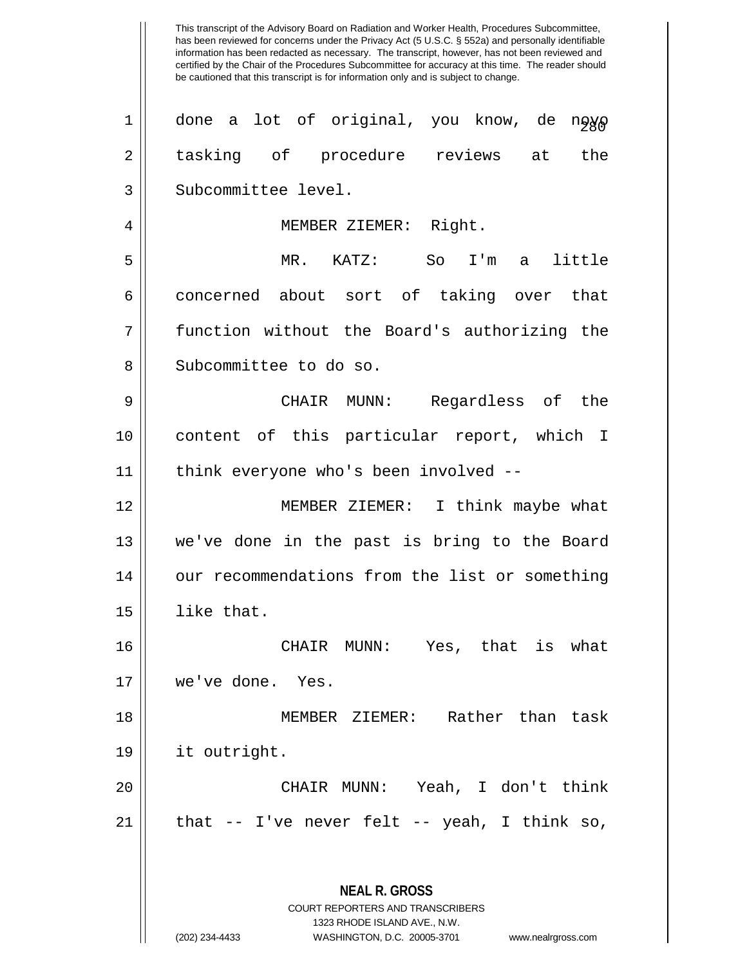has been reviewed for concerns under the Privacy Act (5 U.S.C. § 552a) and personally identifiable information has been redacted as necessary. The transcript, however, has not been reviewed and certified by the Chair of the Procedures Subcommittee for accuracy at this time. The reader should be cautioned that this transcript is for information only and is subject to change. **NEAL R. GROSS** COURT REPORTERS AND TRANSCRIBERS 1323 RHODE ISLAND AVE., N.W. (202) 234-4433 WASHINGTON, D.C. 20005-3701 www.nealrgross.com  $1 \parallel$  done a lot of original, you know, de n $\frac{1}{2}$ 2 tasking of procedure reviews at the 3 || Subcommittee level. 4 || MEMBER ZIEMER: Right. 5 MR. KATZ: So I'm a little 6 concerned about sort of taking over that 7 function without the Board's authorizing the 8 || Subcommittee to do so. 9 CHAIR MUNN: Regardless of the 10 content of this particular report, which I 11 think everyone who's been involved -- 12 MEMBER ZIEMER: I think maybe what 13 we've done in the past is bring to the Board 14 | our recommendations from the list or something 15 like that. 16 CHAIR MUNN: Yes, that is what 17 we've done. Yes. 18 MEMBER ZIEMER: Rather than task 19 it outright. 20 CHAIR MUNN: Yeah, I don't think  $21$  | that  $-$  I've never felt  $-$  yeah, I think so,

This transcript of the Advisory Board on Radiation and Worker Health, Procedures Subcommittee,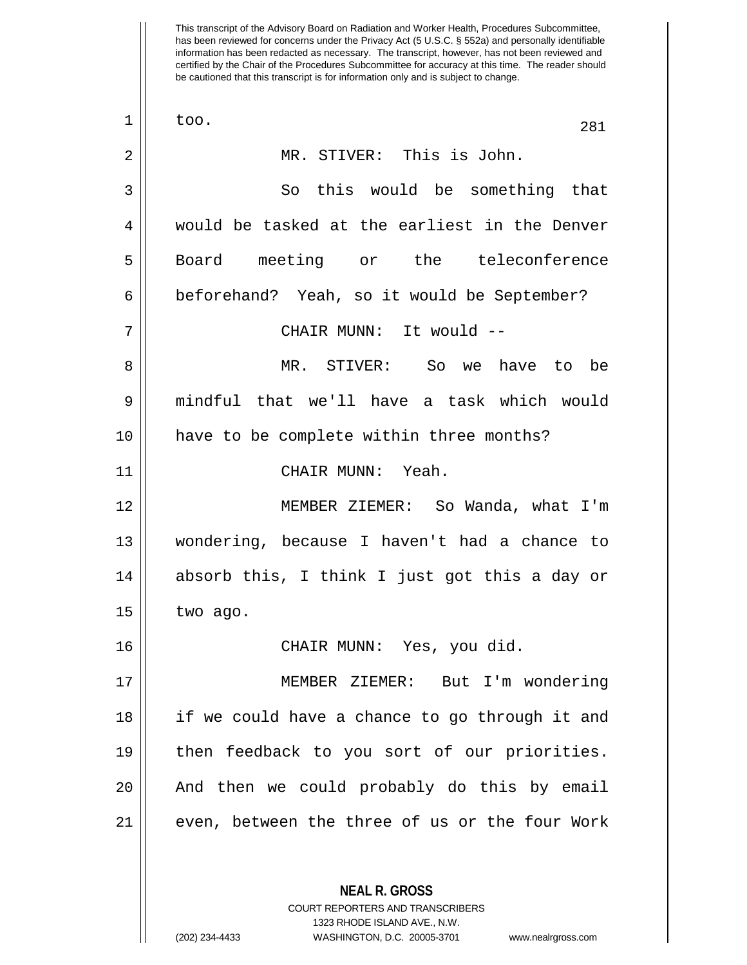This transcript of the Advisory Board on Radiation and Worker Health, Procedures Subcommittee, has been reviewed for concerns under the Privacy Act (5 U.S.C. § 552a) and personally identifiable information has been redacted as necessary. The transcript, however, has not been reviewed and certified by the Chair of the Procedures Subcommittee for accuracy at this time. The reader should be cautioned that this transcript is for information only and is subject to change.  $\begin{array}{|c|c|c|c|c|}\n1 & \text{too.} & & & & & 281 \\
\hline\n\end{array}$ 2 MR. STIVER: This is John. 3 So this would be something that 4 would be tasked at the earliest in the Denver 5 || Board meeting or the teleconference 6 beforehand? Yeah, so it would be September? 7 CHAIR MUNN: It would -- 8 MR. STIVER: So we have to be 9 mindful that we'll have a task which would 10 have to be complete within three months? 11 CHAIR MUNN: Yeah. 12 MEMBER ZIEMER: So Wanda, what I'm 13 wondering, because I haven't had a chance to 14 absorb this, I think I just got this a day or 15 | two ago. 16 CHAIR MUNN: Yes, you did. 17 MEMBER ZIEMER: But I'm wondering 18 if we could have a chance to go through it and 19 then feedback to you sort of our priorities. 20 || And then we could probably do this by email 21 || even, between the three of us or the four Work

> **NEAL R. GROSS** COURT REPORTERS AND TRANSCRIBERS

1323 RHODE ISLAND AVE., N.W.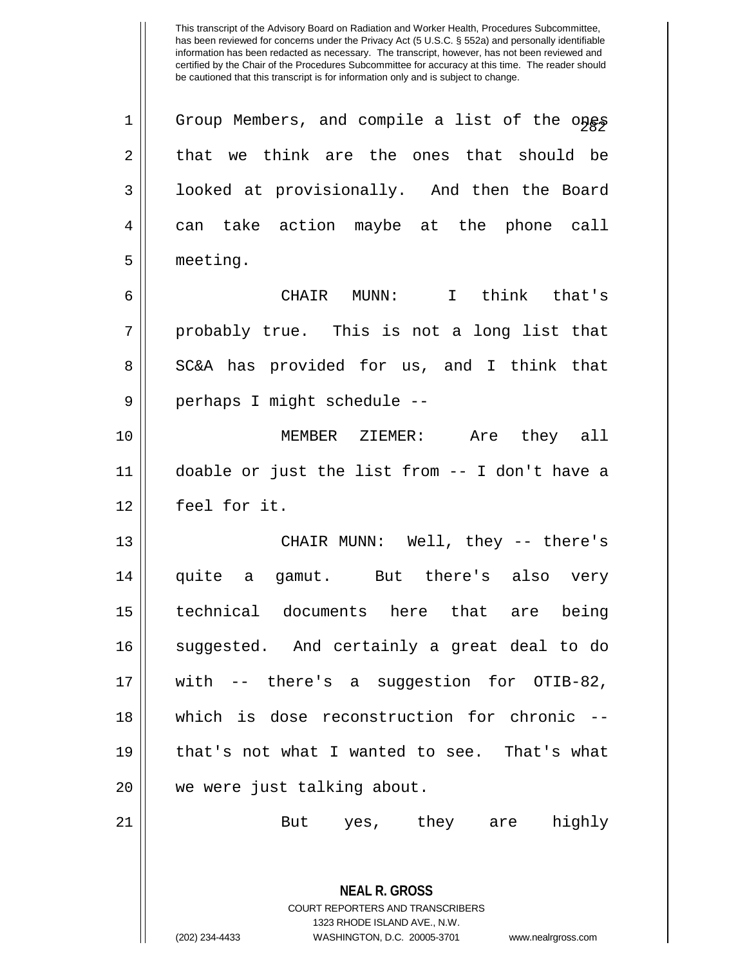**NEAL R. GROSS** 1 || Group Members, and compile a list of the ones  $2 \parallel$  that we think are the ones that should be 3 | looked at provisionally. And then the Board 4 || can take action maybe at the phone call 5 meeting. 6 CHAIR MUNN: I think that's  $7 \parallel$  probably true. This is not a long list that 8 SC&A has provided for us, and I think that 9 || perhaps I might schedule --10 MEMBER ZIEMER: Are they all 11 doable or just the list from -- I don't have a 12 feel for it. 13 CHAIR MUNN: Well, they -- there's 14 quite a gamut. But there's also very 15 technical documents here that are being 16 || suggested. And certainly a great deal to do 17 with -- there's a suggestion for OTIB-82, 18 which is dose reconstruction for chronic -- 19 || that's not what I wanted to see. That's what 20 || we were just talking about. 21 But yes, they are highly

> COURT REPORTERS AND TRANSCRIBERS 1323 RHODE ISLAND AVE., N.W.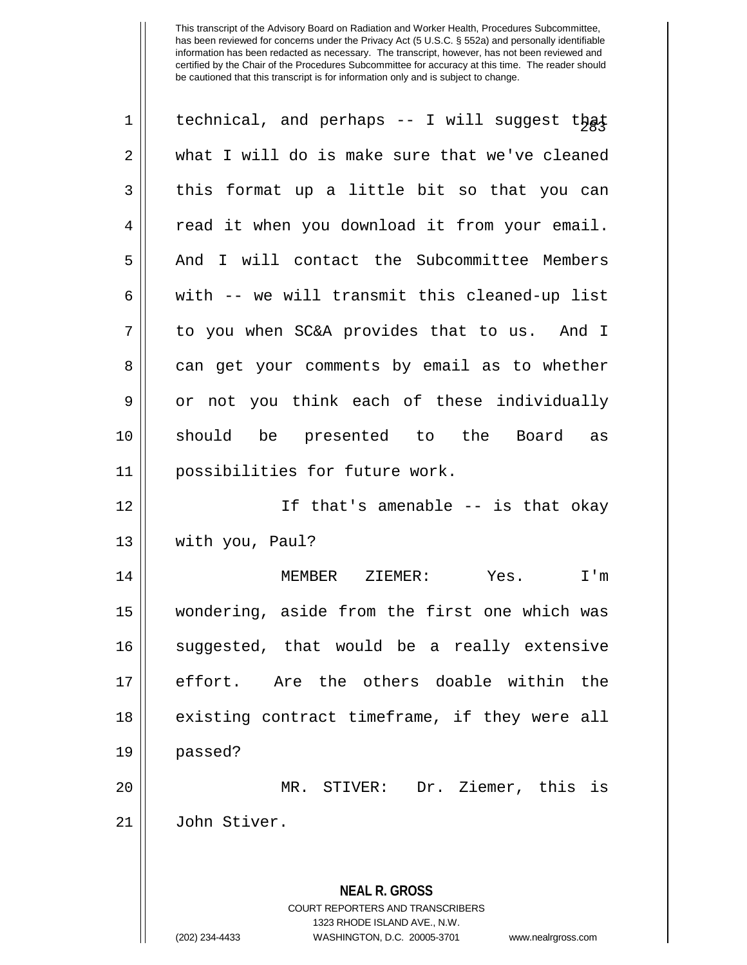| 1  | technical, and perhaps -- I will suggest that                           |
|----|-------------------------------------------------------------------------|
| 2  | what I will do is make sure that we've cleaned                          |
| 3  | this format up a little bit so that you can                             |
| 4  | read it when you download it from your email.                           |
| 5  | And I will contact the Subcommittee Members                             |
| 6  | with -- we will transmit this cleaned-up list                           |
| 7  | to you when SC&A provides that to us. And I                             |
| 8  | can get your comments by email as to whether                            |
| 9  | or not you think each of these individually                             |
| 10 | should be presented to the Board as                                     |
| 11 | possibilities for future work.                                          |
| 12 | If that's amenable -- is that okay                                      |
| 13 | with you, Paul?                                                         |
| 14 | MEMBER ZIEMER:<br>Yes.<br>I'm                                           |
| 15 | wondering, aside from the first one which was                           |
| 16 | suggested, that would be a really extensive                             |
| 17 | Are the others doable within the<br>effort.                             |
| 18 | existing contract timeframe, if they were all                           |
| 19 | passed?                                                                 |
| 20 | MR. STIVER: Dr. Ziemer, this is                                         |
| 21 | John Stiver.                                                            |
|    |                                                                         |
|    | <b>NEAL R. GROSS</b>                                                    |
|    | <b>COURT REPORTERS AND TRANSCRIBERS</b><br>1323 RHODE ISLAND AVE., N.W. |
|    | (202) 234-4433<br>WASHINGTON, D.C. 20005-3701<br>www.nealrgross.com     |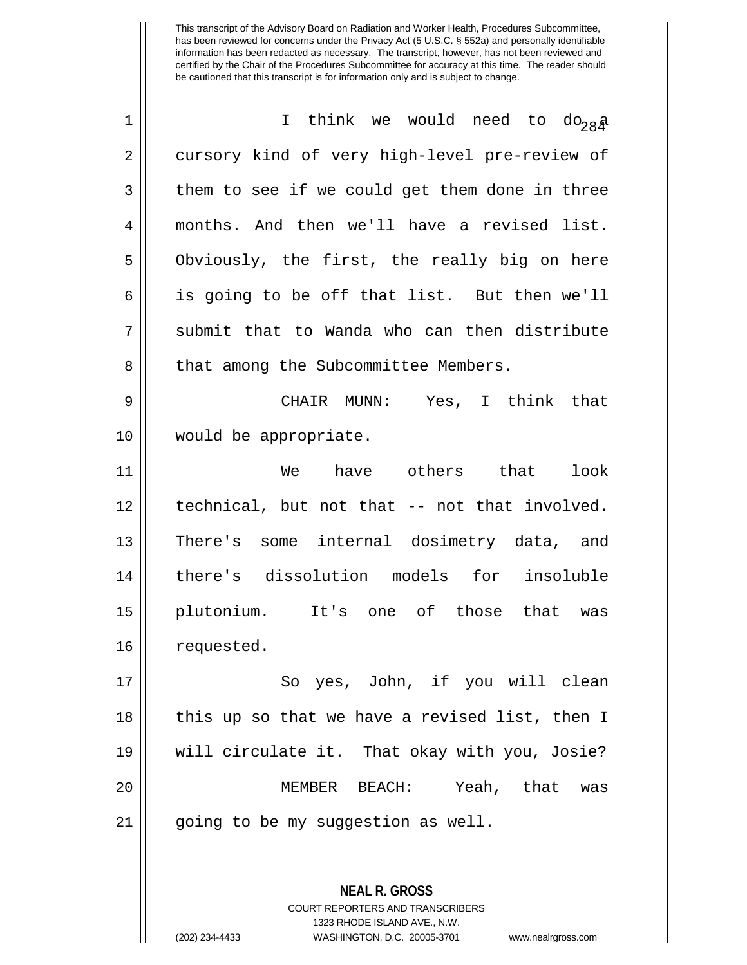| $\mathbf 1$ | I think we would need to do <sub>28</sub> a    |
|-------------|------------------------------------------------|
| 2           | cursory kind of very high-level pre-review of  |
| 3           | them to see if we could get them done in three |
| 4           | months. And then we'll have a revised list.    |
| 5           | Obviously, the first, the really big on here   |
| 6           | is going to be off that list. But then we'll   |
| 7           | submit that to Wanda who can then distribute   |
| 8           | that among the Subcommittee Members.           |
| 9           | CHAIR MUNN: Yes, I think that                  |
| 10          | would be appropriate.                          |
| 11          | have others that<br>We<br>look                 |
| 12          | technical, but not that -- not that involved.  |
| 13          | There's some internal dosimetry data, and      |
| 14          | there's dissolution models for insoluble       |
| 15          | plutonium. It's one of those that was          |
| 16          | requested.                                     |
| 17          | So yes, John, if you will clean                |
| 18          | this up so that we have a revised list, then I |
| 19          | will circulate it. That okay with you, Josie?  |
| 20          | MEMBER BEACH: Yeah, that<br>was                |
| 21          | going to be my suggestion as well.             |
|             |                                                |
|             | <b>NEAL R. GROSS</b>                           |

COURT REPORTERS AND TRANSCRIBERS 1323 RHODE ISLAND AVE., N.W.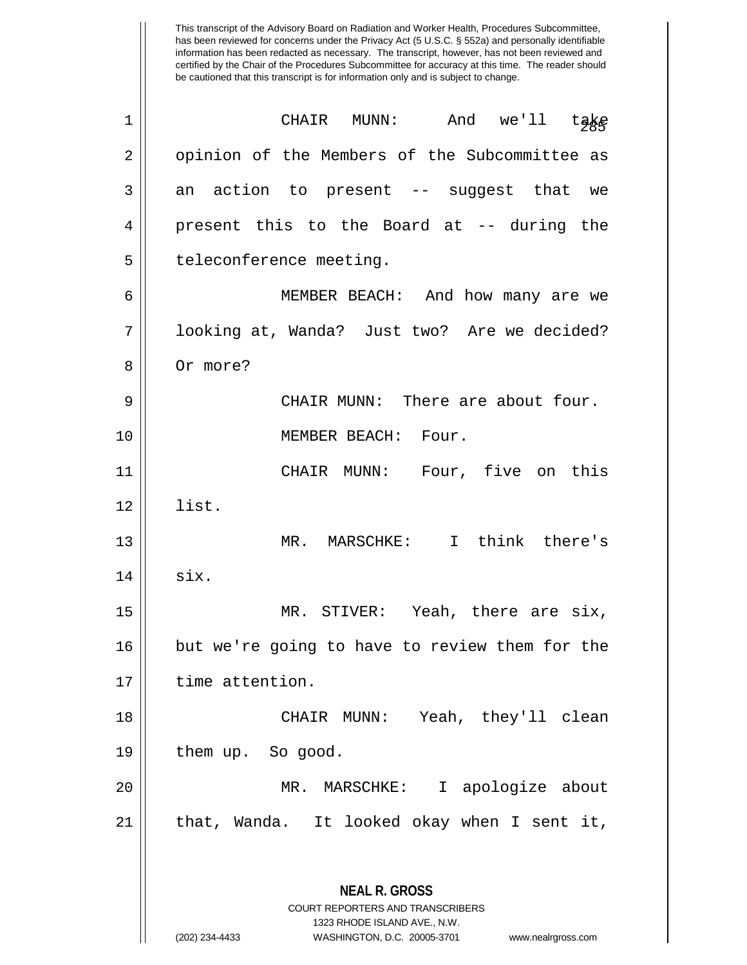has been reviewed for concerns under the Privacy Act (5 U.S.C. § 552a) and personally identifiable information has been redacted as necessary. The transcript, however, has not been reviewed and certified by the Chair of the Procedures Subcommittee for accuracy at this time. The reader should be cautioned that this transcript is for information only and is subject to change. **NEAL R. GROSS** COURT REPORTERS AND TRANSCRIBERS 1323 RHODE ISLAND AVE., N.W. <sup>285</sup> <sup>1</sup> CHAIR MUNN: And we'll take 2 || opinion of the Members of the Subcommittee as  $3 \parallel$  an action to present -- suggest that we 4 present this to the Board at -- during the 5 | teleconference meeting. 6 MEMBER BEACH: And how many are we 7 || looking at, Wanda? Just two? Are we decided? 8 || Or more? 9 CHAIR MUNN: There are about four. 10 || **MEMBER BEACH:** Four. 11 CHAIR MUNN: Four, five on this 12 list. 13 MR. MARSCHKE: I think there's  $14$  six. 15 MR. STIVER: Yeah, there are six, 16 but we're going to have to review them for the 17 | time attention. 18 CHAIR MUNN: Yeah, they'll clean 19 | them up. So good. 20 MR. MARSCHKE: I apologize about 21 || that, Wanda. It looked okay when I sent it,

This transcript of the Advisory Board on Radiation and Worker Health, Procedures Subcommittee,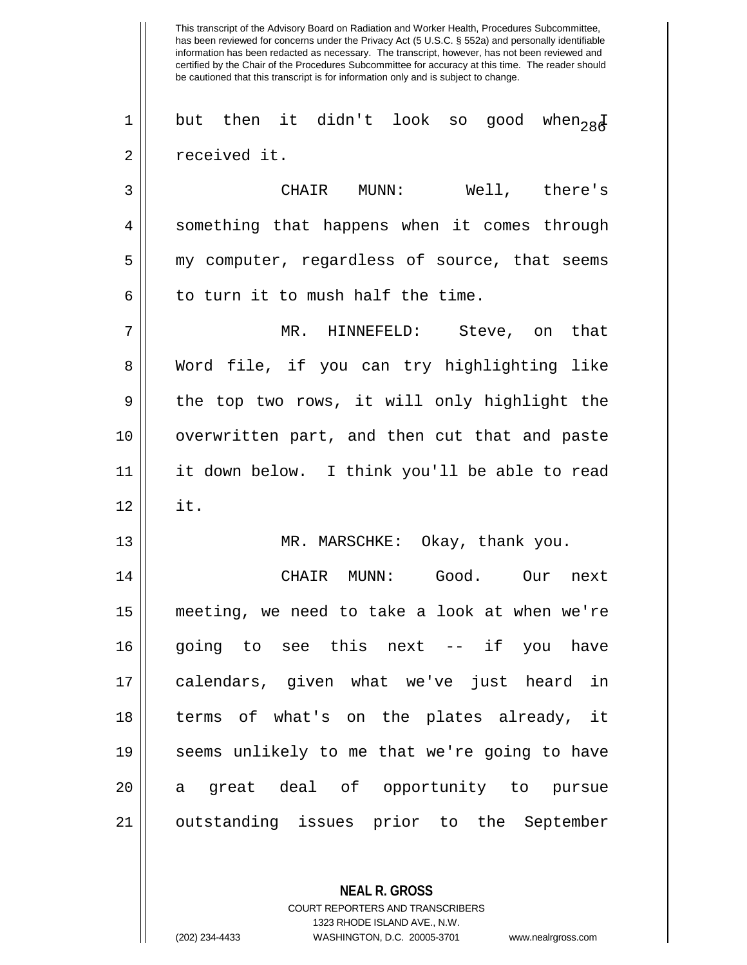This transcript of the Advisory Board on Radiation and Worker Health, Procedures Subcommittee, has been reviewed for concerns under the Privacy Act (5 U.S.C. § 552a) and personally identifiable information has been redacted as necessary. The transcript, however, has not been reviewed and certified by the Chair of the Procedures Subcommittee for accuracy at this time. The reader should be cautioned that this transcript is for information only and is subject to change.  $\begin{array}{r} 1 \parallel \end{array}$  but then it didn't look so good when  $_{28} \bar{\rm g}$ 2 | received it. 3 CHAIR MUNN: Well, there's 4 || something that happens when it comes through 5 || my computer, regardless of source, that seems  $6 \parallel$  to turn it to mush half the time. 7 MR. HINNEFELD: Steve, on that 8 Word file, if you can try highlighting like  $9 \parallel$  the top two rows, it will only highlight the 10 overwritten part, and then cut that and paste 11 it down below. I think you'll be able to read  $12 \parallel$  it. 13 || MR. MARSCHKE: Okay, thank you. 14 CHAIR MUNN: Good. Our next 15 meeting, we need to take a look at when we're 16 || going to see this next -- if you have 17 calendars, given what we've just heard in 18 terms of what's on the plates already, it 19 seems unlikely to me that we're going to have 20 a great deal of opportunity to pursue 21 || outstanding issues prior to the September

> COURT REPORTERS AND TRANSCRIBERS 1323 RHODE ISLAND AVE., N.W.

**NEAL R. GROSS**

<sup>(202) 234-4433</sup> WASHINGTON, D.C. 20005-3701 www.nealrgross.com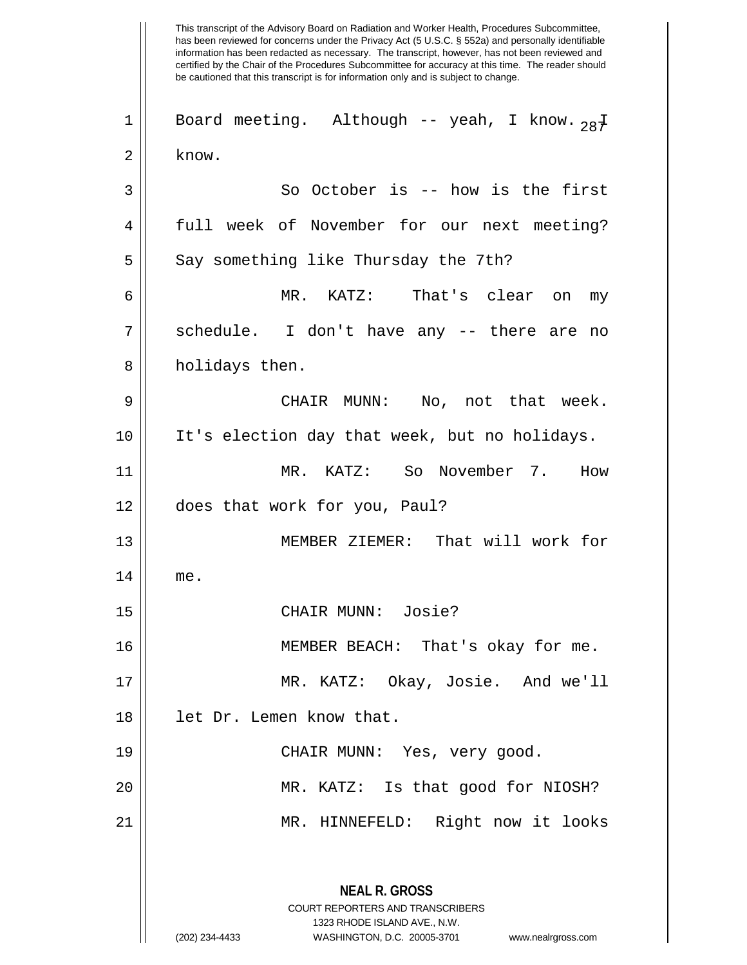This transcript of the Advisory Board on Radiation and Worker Health, Procedures Subcommittee, has been reviewed for concerns under the Privacy Act (5 U.S.C. § 552a) and personally identifiable information has been redacted as necessary. The transcript, however, has not been reviewed and certified by the Chair of the Procedures Subcommittee for accuracy at this time. The reader should be cautioned that this transcript is for information only and is subject to change. **NEAL R. GROSS** COURT REPORTERS AND TRANSCRIBERS 1323 RHODE ISLAND AVE., N.W. (202) 234-4433 WASHINGTON, D.C. 20005-3701 www.nealrgross.com 1 || Board meeting. Although -- yeah, I know.  $28\frac{1}{4}$  $2 \parallel$  know.  $3 \parallel$  So October is -- how is the first 4 full week of November for our next meeting?  $5 \parallel$  Say something like Thursday the 7th? 6 MR. KATZ: That's clear on my 7 || schedule. I don't have any -- there are no 8 || holidays then. 9 CHAIR MUNN: No, not that week. 10 It's election day that week, but no holidays. 11 MR. KATZ: So November 7. How 12 does that work for you, Paul? 13 MEMBER ZIEMER: That will work for 14 me. 15 || CHAIR MUNN: Josie? 16 MEMBER BEACH: That's okay for me. 17 MR. KATZ: Okay, Josie. And we'll 18 let Dr. Lemen know that. 19 CHAIR MUNN: Yes, very good. 20 MR. KATZ: Is that good for NIOSH? 21 MR. HINNEFELD: Right now it looks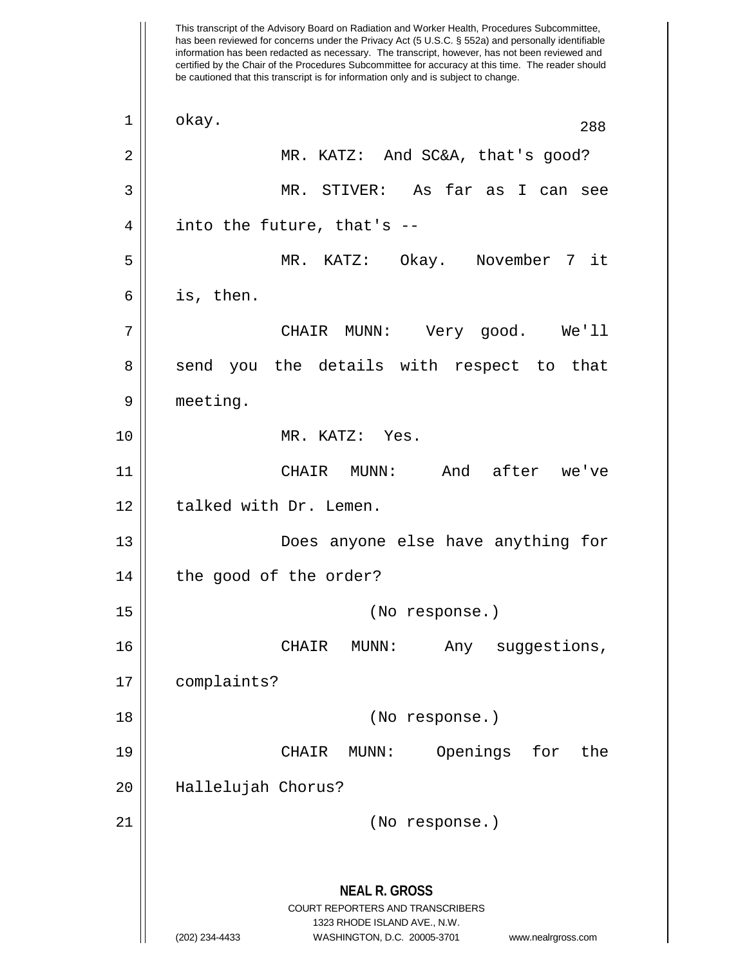This transcript of the Advisory Board on Radiation and Worker Health, Procedures Subcommittee, has been reviewed for concerns under the Privacy Act (5 U.S.C. § 552a) and personally identifiable information has been redacted as necessary. The transcript, however, has not been reviewed and certified by the Chair of the Procedures Subcommittee for accuracy at this time. The reader should be cautioned that this transcript is for information only and is subject to change. **NEAL R. GROSS** COURT REPORTERS AND TRANSCRIBERS 1323 RHODE ISLAND AVE., N.W. (202) 234-4433 WASHINGTON, D.C. 20005-3701 www.nealrgross.com 1 || okay. 288 2 MR. KATZ: And SC&A, that's good? 3 MR. STIVER: As far as I can see  $4 \parallel$  into the future, that's --5 MR. KATZ: Okay. November 7 it  $6 \parallel$  is, then. 7 CHAIR MUNN: Very good. We'll 8 send you the details with respect to that 9 | meeting. 10 MR. KATZ: Yes. 11 CHAIR MUNN: And after we've 12 | talked with Dr. Lemen. 13 || **Does anyone else have anything for** 14 | the good of the order? 15 (No response.) 16 CHAIR MUNN: Any suggestions, 17 complaints? 18 (No response.) 19 CHAIR MUNN: Openings for the 20 Hallelujah Chorus? 21 (No response.)